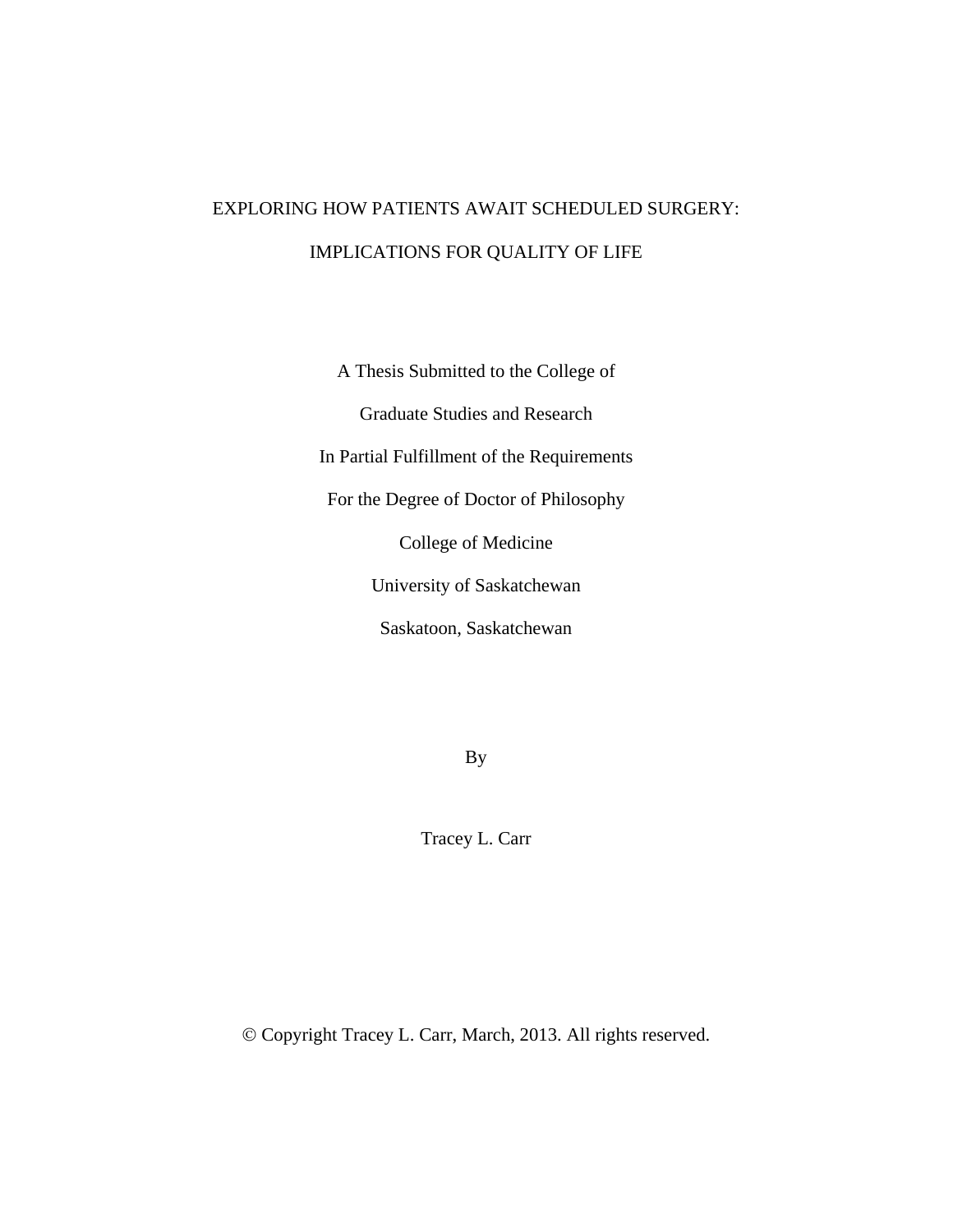# EXPLORING HOW PATIENTS AWAIT SCHEDULED SURGERY: IMPLICATIONS FOR QUALITY OF LIFE

A Thesis Submitted to the College of Graduate Studies and Research In Partial Fulfillment of the Requirements For the Degree of Doctor of Philosophy College of Medicine University of Saskatchewan Saskatoon, Saskatchewan

By

Tracey L. Carr

Copyright Tracey L. Carr, March, 2013. All rights reserved.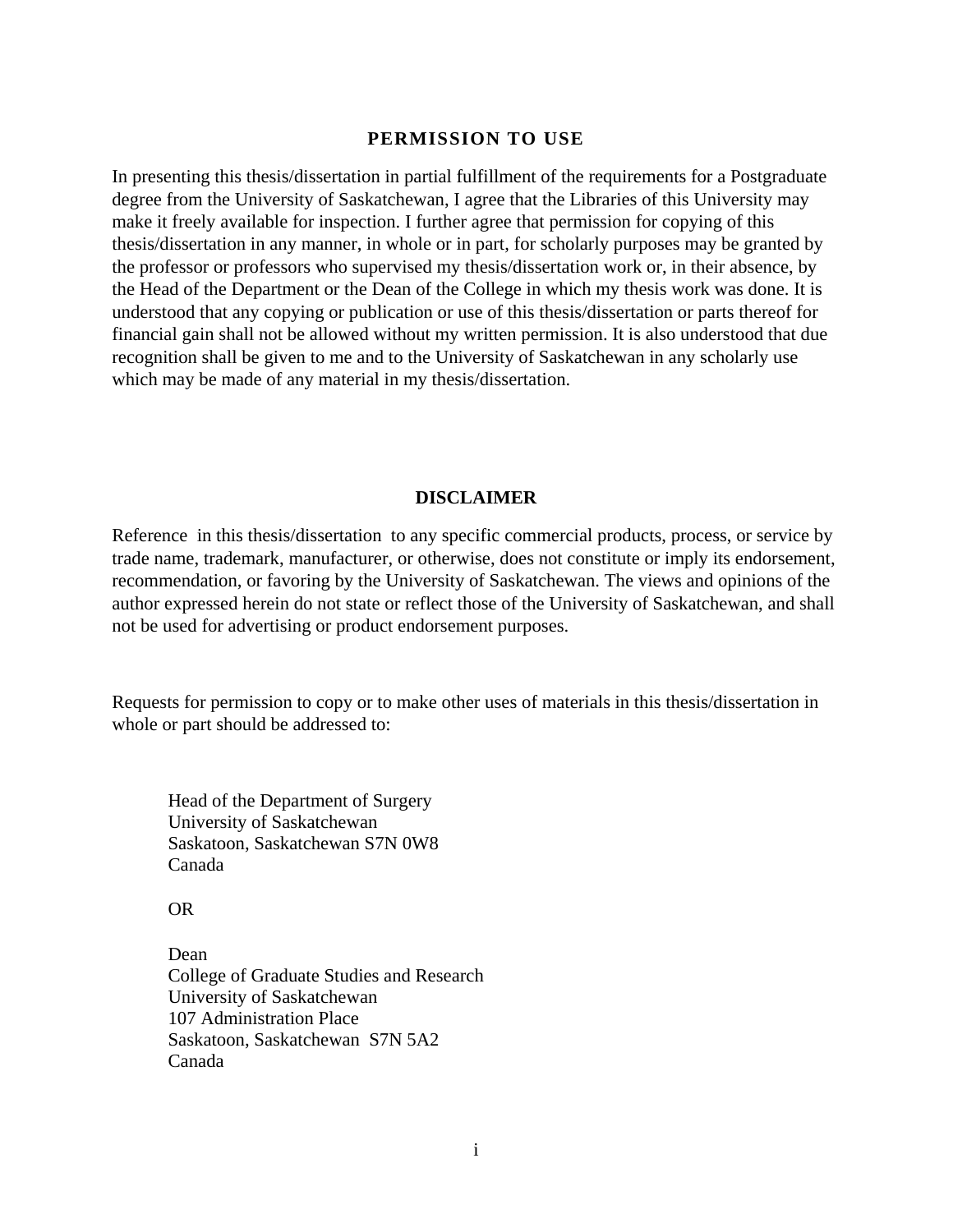# **PERMISSION TO USE**

In presenting this thesis/dissertation in partial fulfillment of the requirements for a Postgraduate degree from the University of Saskatchewan, I agree that the Libraries of this University may make it freely available for inspection. I further agree that permission for copying of this thesis/dissertation in any manner, in whole or in part, for scholarly purposes may be granted by the professor or professors who supervised my thesis/dissertation work or, in their absence, by the Head of the Department or the Dean of the College in which my thesis work was done. It is understood that any copying or publication or use of this thesis/dissertation or parts thereof for financial gain shall not be allowed without my written permission. It is also understood that due recognition shall be given to me and to the University of Saskatchewan in any scholarly use which may be made of any material in my thesis/dissertation.

#### **DISCLAIMER**

Reference in this thesis/dissertation to any specific commercial products, process, or service by trade name, trademark, manufacturer, or otherwise, does not constitute or imply its endorsement, recommendation, or favoring by the University of Saskatchewan. The views and opinions of the author expressed herein do not state or reflect those of the University of Saskatchewan, and shall not be used for advertising or product endorsement purposes.

Requests for permission to copy or to make other uses of materials in this thesis/dissertation in whole or part should be addressed to:

 Head of the Department of Surgery University of Saskatchewan Saskatoon, Saskatchewan S7N 0W8 Canada

OR

 Dean College of Graduate Studies and Research University of Saskatchewan 107 Administration Place Saskatoon, Saskatchewan S7N 5A2 Canada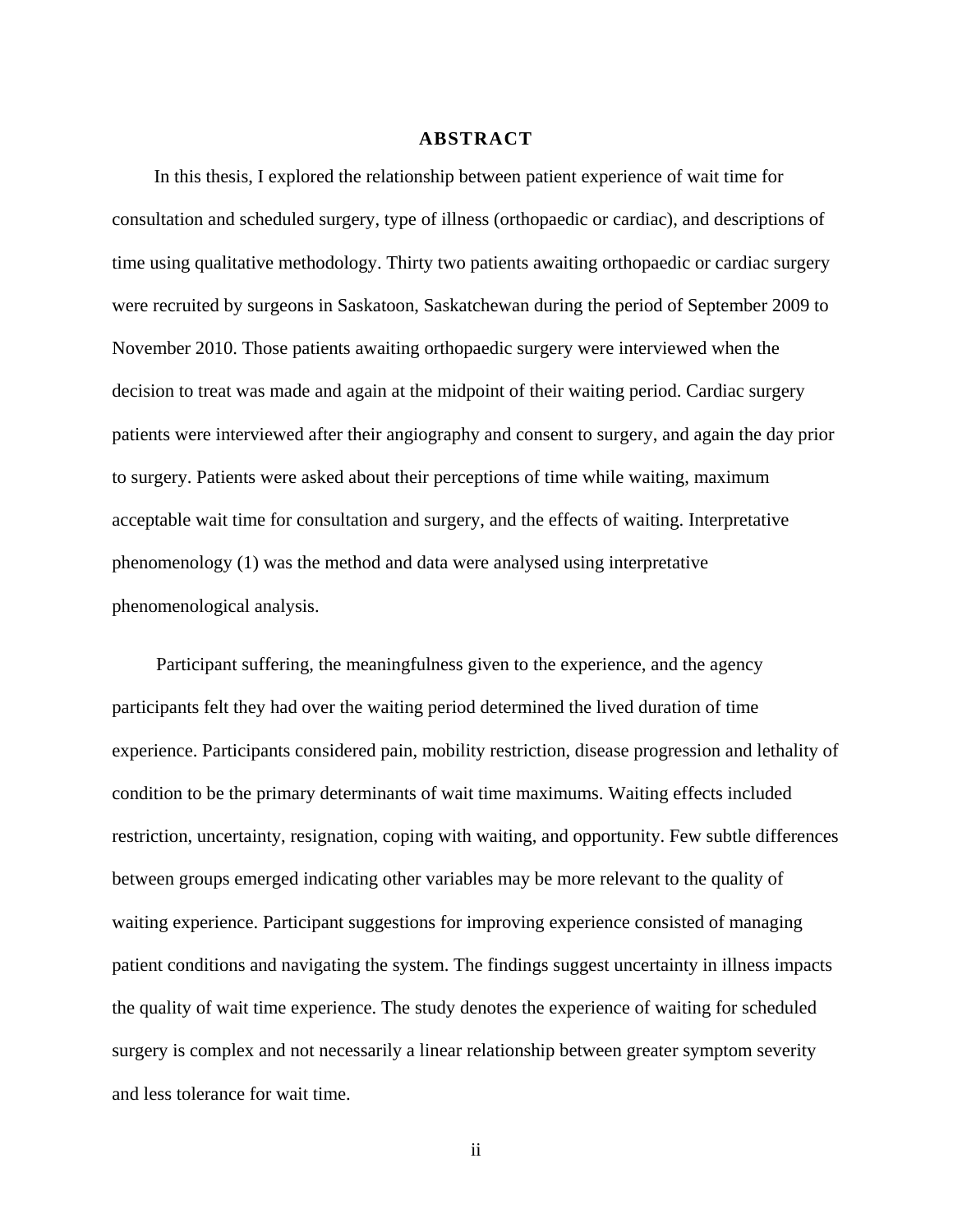#### **ABSTRACT**

In this thesis, I explored the relationship between patient experience of wait time for consultation and scheduled surgery, type of illness (orthopaedic or cardiac), and descriptions of time using qualitative methodology. Thirty two patients awaiting orthopaedic or cardiac surgery were recruited by surgeons in Saskatoon, Saskatchewan during the period of September 2009 to November 2010. Those patients awaiting orthopaedic surgery were interviewed when the decision to treat was made and again at the midpoint of their waiting period. Cardiac surgery patients were interviewed after their angiography and consent to surgery, and again the day prior to surgery. Patients were asked about their perceptions of time while waiting, maximum acceptable wait time for consultation and surgery, and the effects of waiting. Interpretative phenomenology (1) was the method and data were analysed using interpretative phenomenological analysis.

Participant suffering, the meaningfulness given to the experience, and the agency participants felt they had over the waiting period determined the lived duration of time experience. Participants considered pain, mobility restriction, disease progression and lethality of condition to be the primary determinants of wait time maximums. Waiting effects included restriction, uncertainty, resignation, coping with waiting, and opportunity. Few subtle differences between groups emerged indicating other variables may be more relevant to the quality of waiting experience. Participant suggestions for improving experience consisted of managing patient conditions and navigating the system. The findings suggest uncertainty in illness impacts the quality of wait time experience. The study denotes the experience of waiting for scheduled surgery is complex and not necessarily a linear relationship between greater symptom severity and less tolerance for wait time.

ii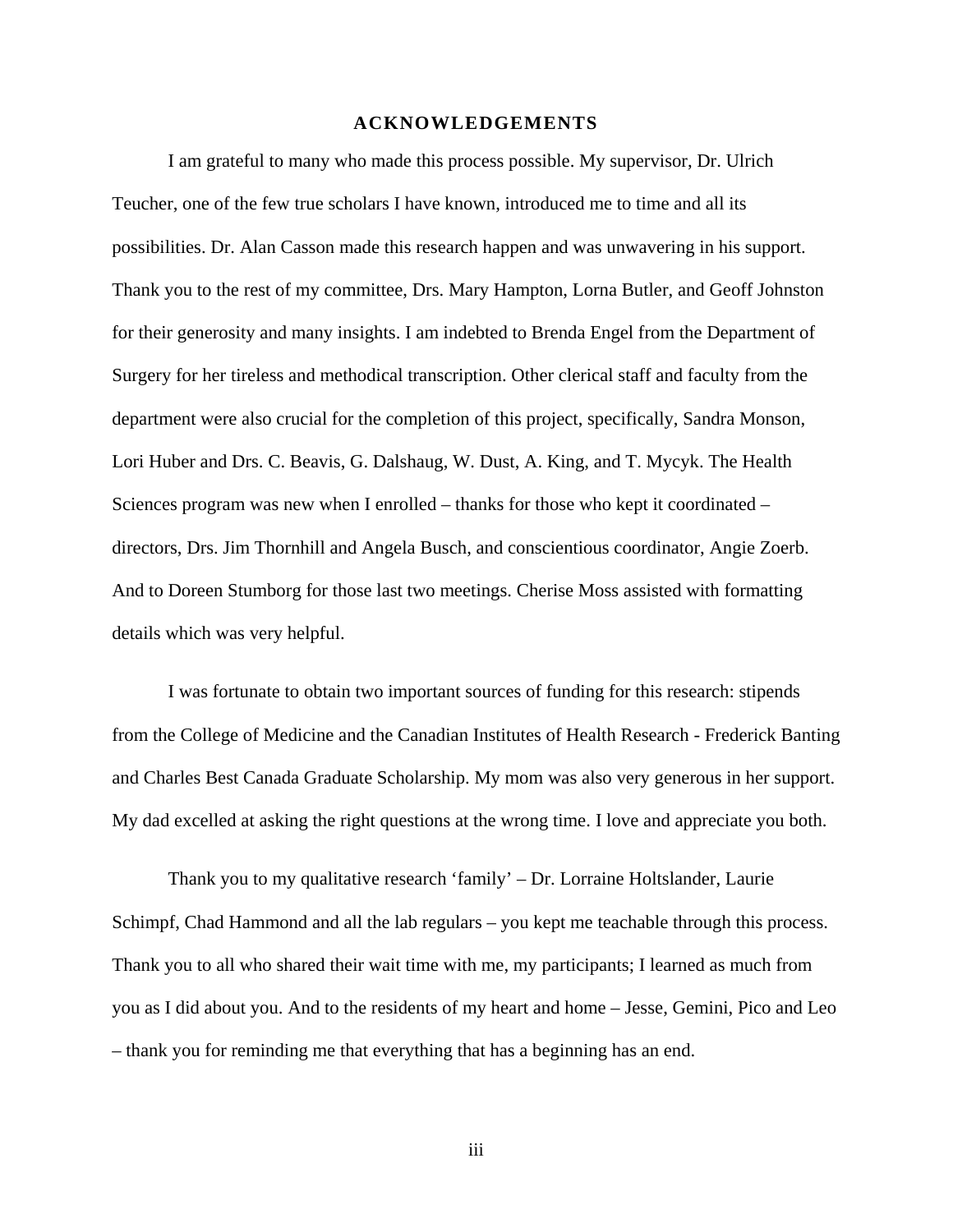#### **ACKNOWLEDGEMENTS**

I am grateful to many who made this process possible. My supervisor, Dr. Ulrich Teucher, one of the few true scholars I have known, introduced me to time and all its possibilities. Dr. Alan Casson made this research happen and was unwavering in his support. Thank you to the rest of my committee, Drs. Mary Hampton, Lorna Butler, and Geoff Johnston for their generosity and many insights. I am indebted to Brenda Engel from the Department of Surgery for her tireless and methodical transcription. Other clerical staff and faculty from the department were also crucial for the completion of this project, specifically, Sandra Monson, Lori Huber and Drs. C. Beavis, G. Dalshaug, W. Dust, A. King, and T. Mycyk. The Health Sciences program was new when I enrolled – thanks for those who kept it coordinated – directors, Drs. Jim Thornhill and Angela Busch, and conscientious coordinator, Angie Zoerb. And to Doreen Stumborg for those last two meetings. Cherise Moss assisted with formatting details which was very helpful.

I was fortunate to obtain two important sources of funding for this research: stipends from the College of Medicine and the Canadian Institutes of Health Research - Frederick Banting and Charles Best Canada Graduate Scholarship. My mom was also very generous in her support. My dad excelled at asking the right questions at the wrong time. I love and appreciate you both.

Thank you to my qualitative research 'family' – Dr. Lorraine Holtslander, Laurie Schimpf, Chad Hammond and all the lab regulars – you kept me teachable through this process. Thank you to all who shared their wait time with me, my participants; I learned as much from you as I did about you. And to the residents of my heart and home – Jesse, Gemini, Pico and Leo – thank you for reminding me that everything that has a beginning has an end.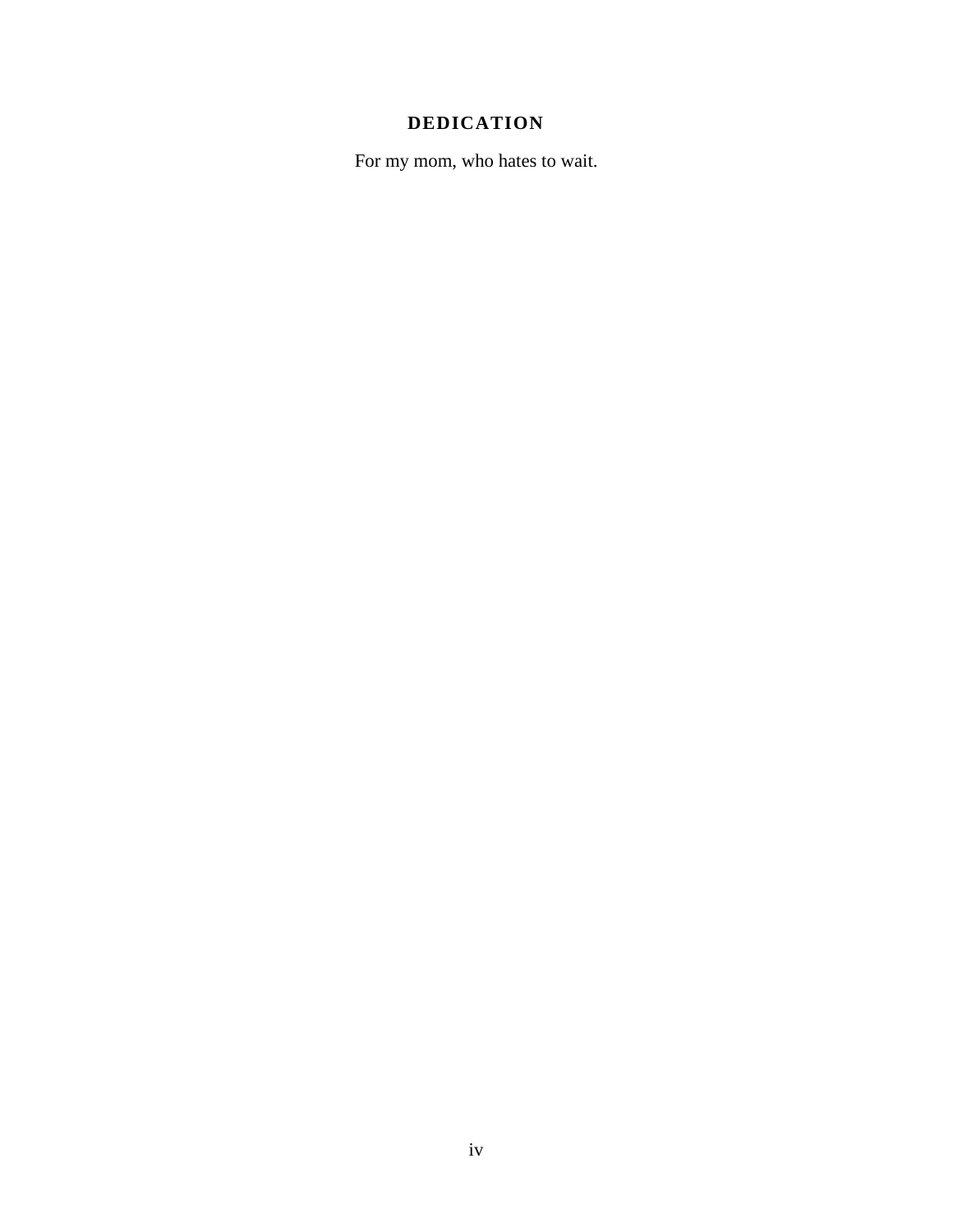# **DEDICATION**

For my mom, who hates to wait.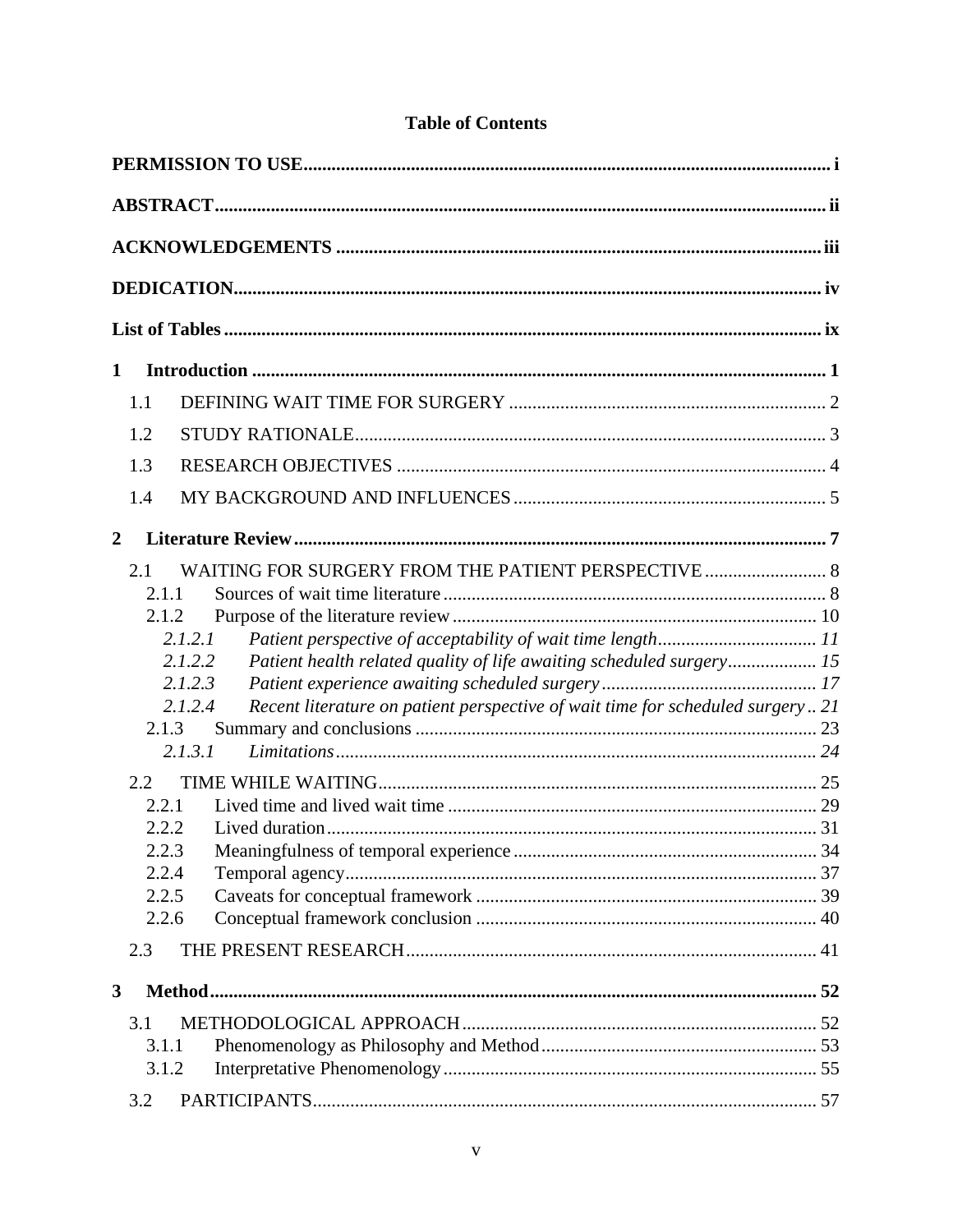| 1                                                                                                                                                                                                                                                                                                      |  |
|--------------------------------------------------------------------------------------------------------------------------------------------------------------------------------------------------------------------------------------------------------------------------------------------------------|--|
| 1.1                                                                                                                                                                                                                                                                                                    |  |
| 1.2                                                                                                                                                                                                                                                                                                    |  |
| 1.3                                                                                                                                                                                                                                                                                                    |  |
| 1.4                                                                                                                                                                                                                                                                                                    |  |
| 2                                                                                                                                                                                                                                                                                                      |  |
| WAITING FOR SURGERY FROM THE PATIENT PERSPECTIVE  8<br>2.1<br>2.1.1<br>2.1.2<br>2.1.2.1<br>2.1.2.2<br>Patient health related quality of life awaiting scheduled surgery 15<br>2.1.2.3<br>Recent literature on patient perspective of wait time for scheduled surgery 21<br>2.1.2.4<br>2.1.3<br>2.1.3.1 |  |
| 2.2                                                                                                                                                                                                                                                                                                    |  |
| 2.2.1<br>2.2.2                                                                                                                                                                                                                                                                                         |  |
| 2.2.3                                                                                                                                                                                                                                                                                                  |  |
| 2.2.4                                                                                                                                                                                                                                                                                                  |  |
| 2.2.5                                                                                                                                                                                                                                                                                                  |  |
| 2.2.6<br>2.3                                                                                                                                                                                                                                                                                           |  |
| 3                                                                                                                                                                                                                                                                                                      |  |
| 3.1                                                                                                                                                                                                                                                                                                    |  |
| 3.1.1                                                                                                                                                                                                                                                                                                  |  |
| 3.1.2                                                                                                                                                                                                                                                                                                  |  |
| 3.2                                                                                                                                                                                                                                                                                                    |  |

# **Table of Contents**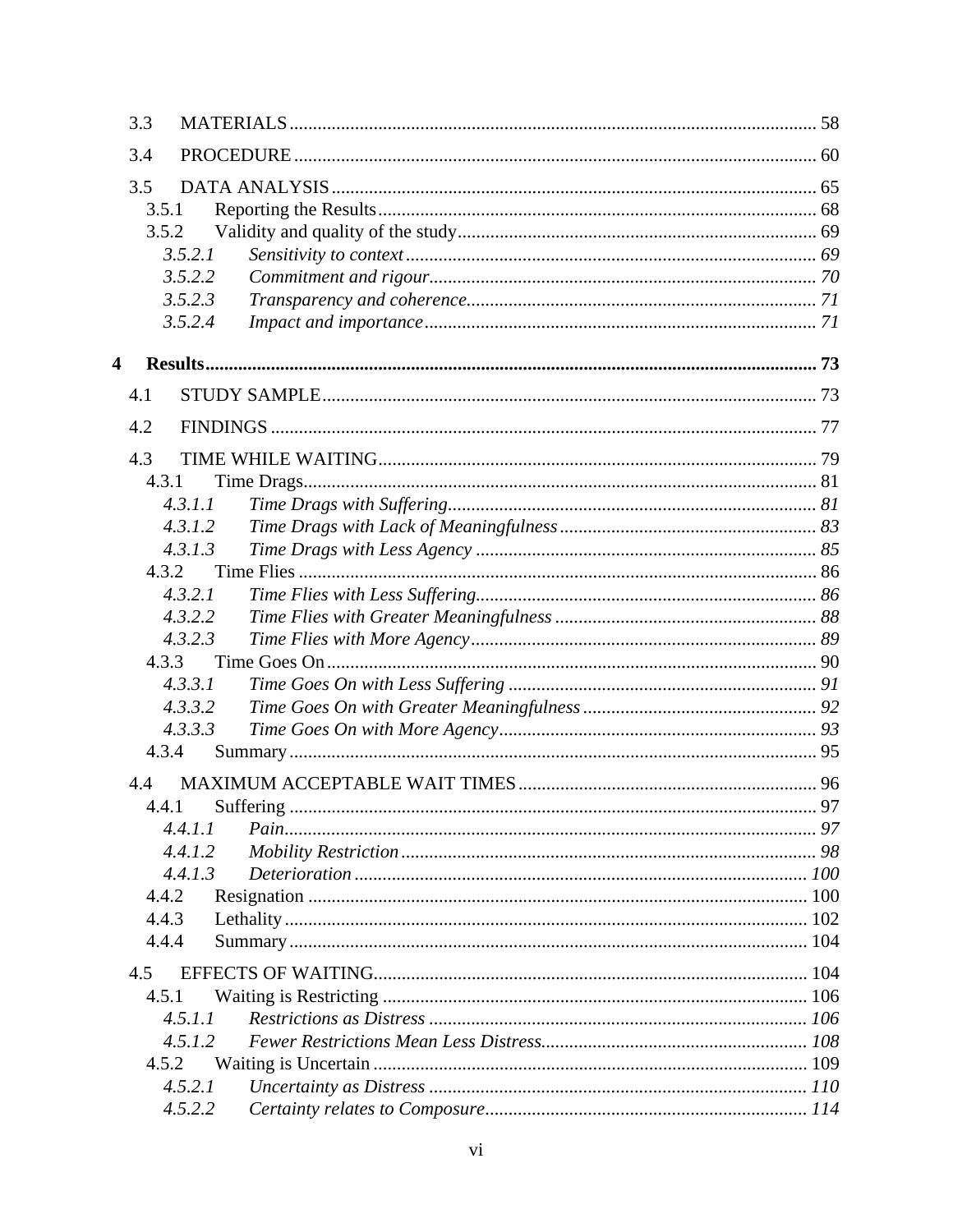|   | 3.3     |                 |    |
|---|---------|-----------------|----|
|   | 3.4     |                 |    |
|   | 3.5     |                 |    |
|   | 3.5.1   |                 |    |
|   | 3.5.2   |                 |    |
|   | 3.5.2.1 |                 |    |
|   | 3.5.2.2 |                 |    |
|   | 3.5.2.3 |                 |    |
|   | 3.5.2.4 |                 |    |
| 4 |         |                 |    |
|   | 4.1     |                 |    |
|   | 4.2     |                 |    |
|   | 4.3     |                 |    |
|   | 4.3.1   |                 |    |
|   | 4.3.1.1 |                 |    |
|   | 4.3.1.2 |                 |    |
|   | 4.3.1.3 |                 |    |
|   | 4.3.2   |                 |    |
|   | 4.3.2.1 |                 |    |
|   | 4.3.2.2 |                 |    |
|   | 4.3.2.3 |                 |    |
|   | 4.3.3   |                 |    |
|   | 4.3.3.1 |                 |    |
|   | 4.3.3.2 |                 |    |
|   | 4.3.3.3 |                 |    |
|   | 4.3.4   |                 |    |
|   | 4.4     |                 |    |
|   |         | 4.4.1 Suffering | 97 |
|   | 4.4.1.1 |                 |    |
|   | 4.4.1.2 |                 |    |
|   | 4.4.1.3 |                 |    |
|   | 4.4.2   |                 |    |
|   | 4.4.3   |                 |    |
|   | 4.4.4   |                 |    |
|   | 4.5     |                 |    |
|   | 4.5.1   |                 |    |
|   | 4.5.1.1 |                 |    |
|   | 4.5.1.2 |                 |    |
|   | 4.5.2   |                 |    |
|   | 4.5.2.1 |                 |    |
|   | 4.5.2.2 |                 |    |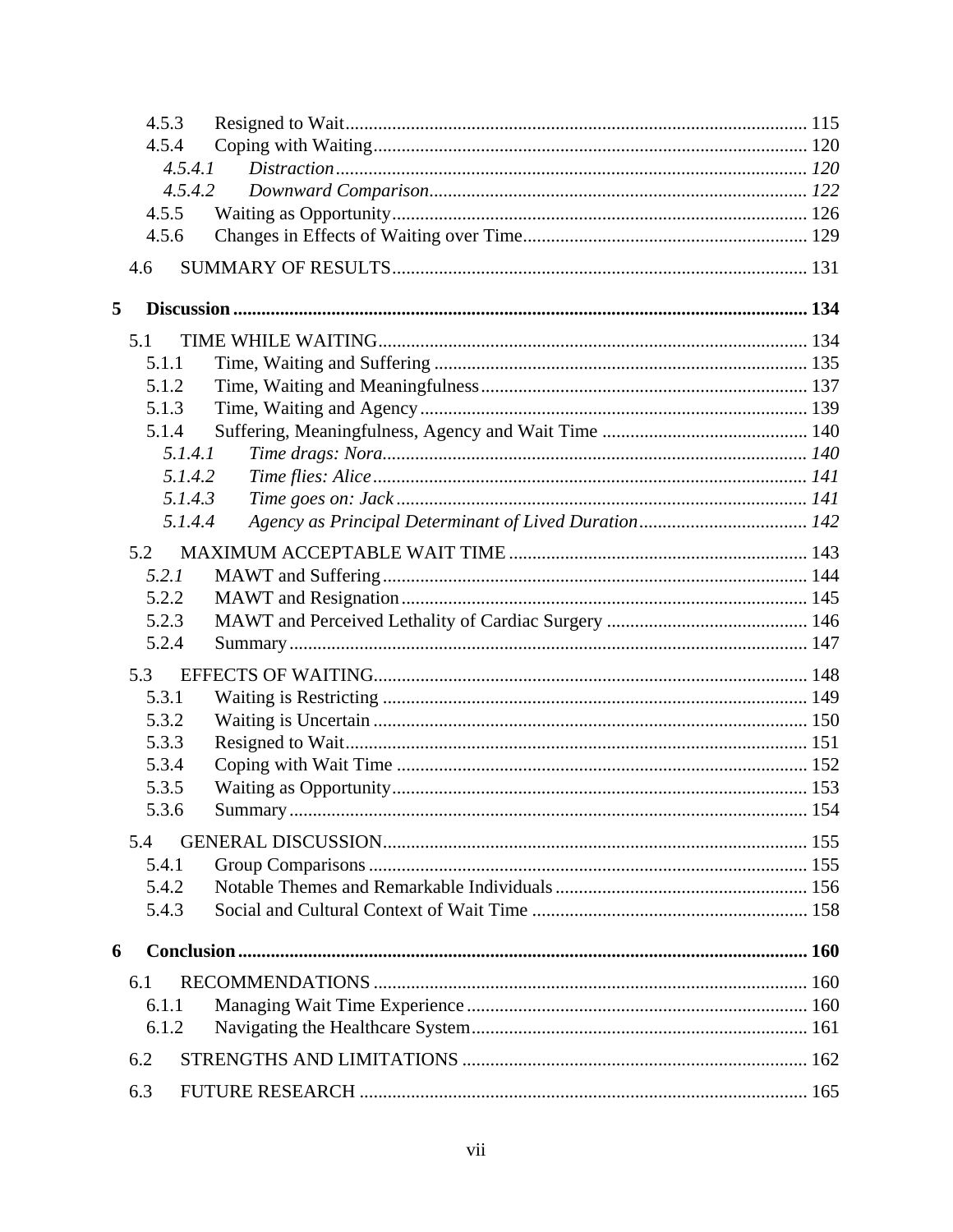|   | 4.5.3   |  |
|---|---------|--|
|   | 4.5.4   |  |
|   | 4.5.4.1 |  |
|   | 4.5.4.2 |  |
|   | 4.5.5   |  |
|   | 4.5.6   |  |
|   | 4.6     |  |
| 5 |         |  |
|   | 5.1     |  |
|   | 5.1.1   |  |
|   | 5.1.2   |  |
|   | 5.1.3   |  |
|   | 5.1.4   |  |
|   | 5.1.4.1 |  |
|   | 5.1.4.2 |  |
|   | 5.1.4.3 |  |
|   | 5.1.4.4 |  |
|   | 5.2     |  |
|   | 5.2.1   |  |
|   | 5.2.2   |  |
|   | 5.2.3   |  |
|   | 5.2.4   |  |
|   | 5.3     |  |
|   | 5.3.1   |  |
|   | 5.3.2   |  |
|   | 5.3.3   |  |
|   | 5.3.4   |  |
|   | 5.3.5   |  |
|   | 5.3.6   |  |
|   | 5.4     |  |
|   | 5.4.1   |  |
|   | 5.4.2   |  |
|   | 5.4.3   |  |
| 6 |         |  |
|   | 6.1     |  |
|   | 6.1.1   |  |
|   | 6.1.2   |  |
|   | 6.2     |  |
|   | 6.3     |  |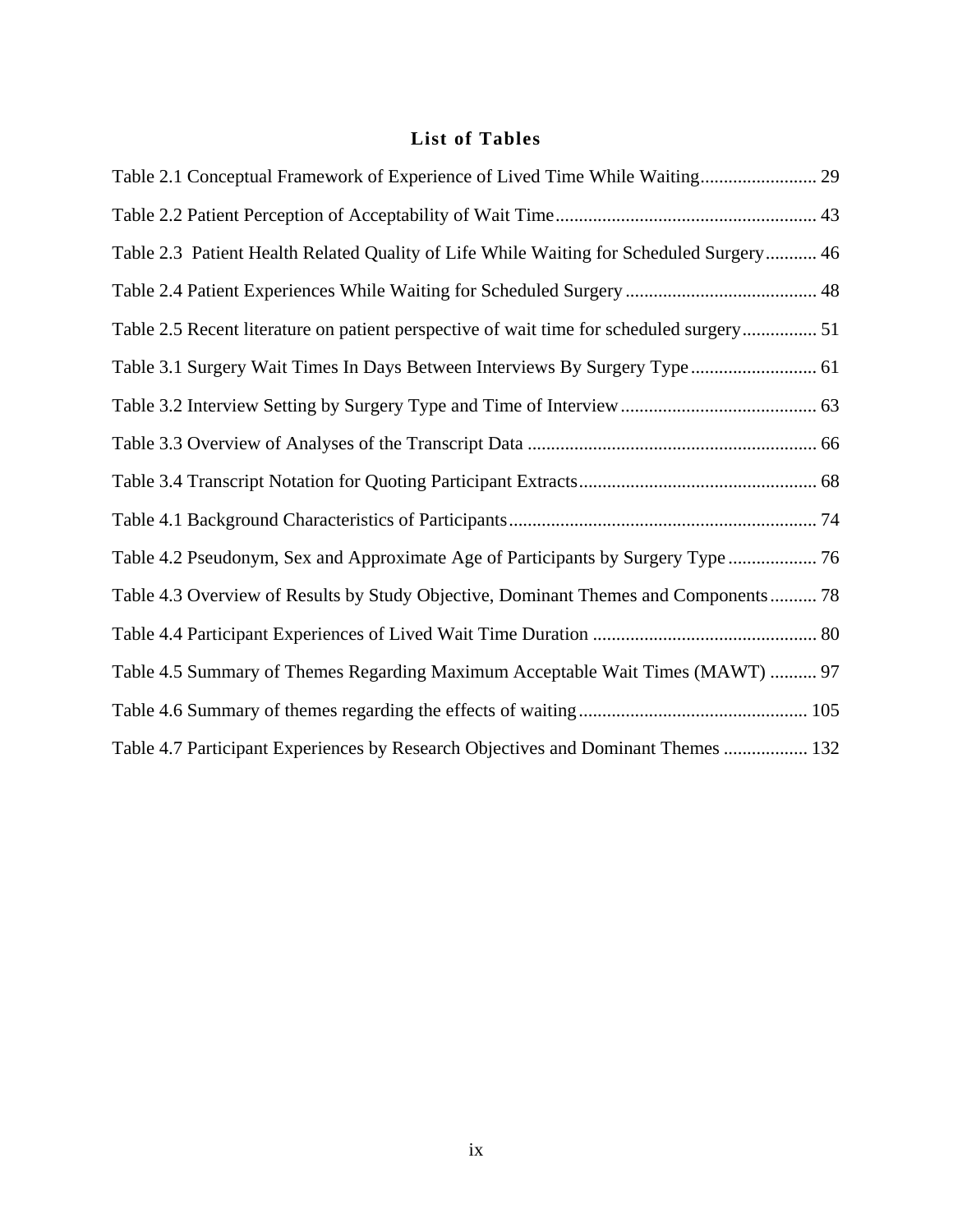# **List of Tables**

| Table 2.1 Conceptual Framework of Experience of Lived Time While Waiting 29              |  |
|------------------------------------------------------------------------------------------|--|
|                                                                                          |  |
| Table 2.3 Patient Health Related Quality of Life While Waiting for Scheduled Surgery 46  |  |
|                                                                                          |  |
| Table 2.5 Recent literature on patient perspective of wait time for scheduled surgery 51 |  |
| Table 3.1 Surgery Wait Times In Days Between Interviews By Surgery Type 61               |  |
|                                                                                          |  |
|                                                                                          |  |
|                                                                                          |  |
|                                                                                          |  |
| Table 4.2 Pseudonym, Sex and Approximate Age of Participants by Surgery Type             |  |
| Table 4.3 Overview of Results by Study Objective, Dominant Themes and Components 78      |  |
|                                                                                          |  |
| Table 4.5 Summary of Themes Regarding Maximum Acceptable Wait Times (MAWT)  97           |  |
|                                                                                          |  |
| Table 4.7 Participant Experiences by Research Objectives and Dominant Themes  132        |  |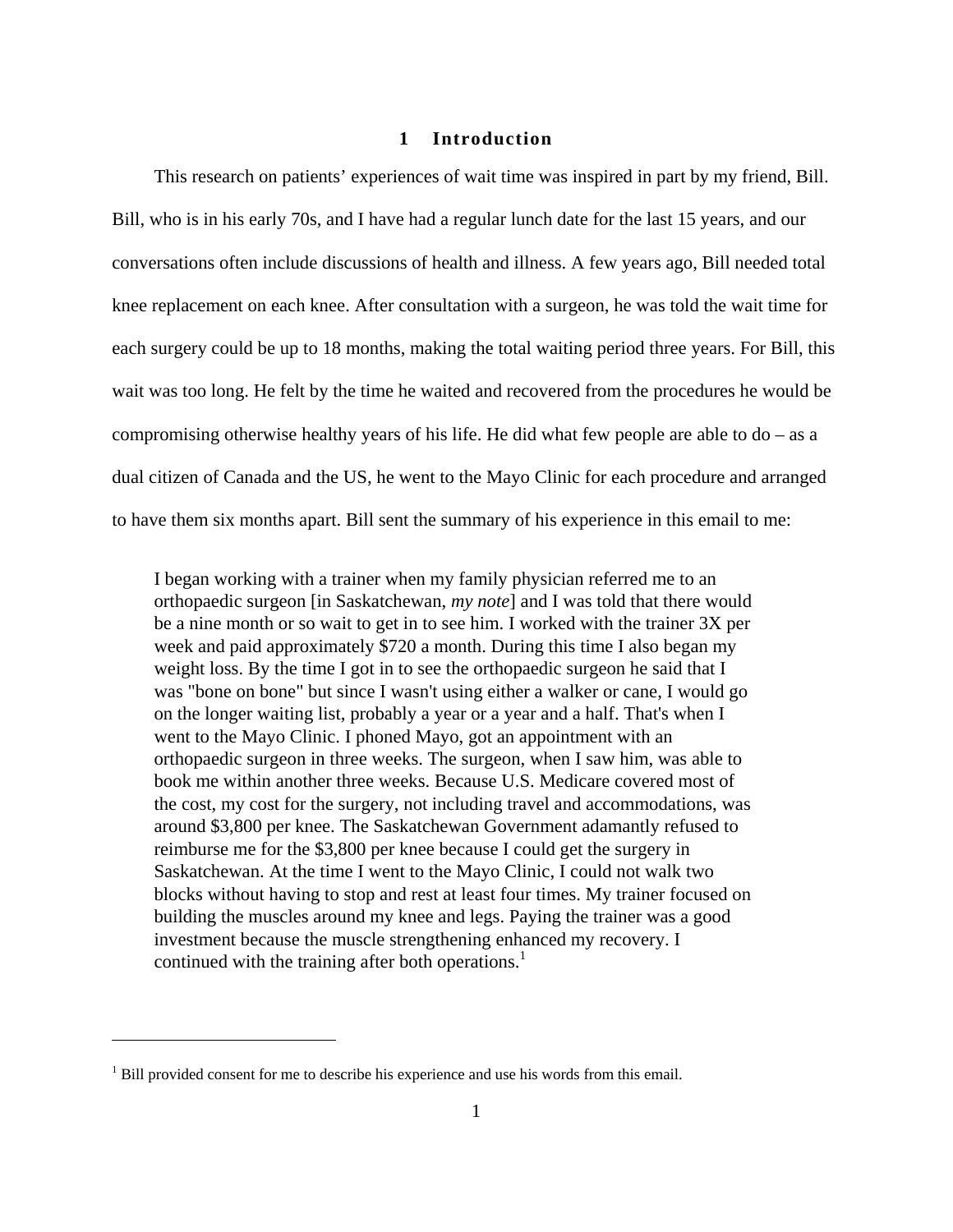# **1 Introduction**

This research on patients' experiences of wait time was inspired in part by my friend, Bill. Bill, who is in his early 70s, and I have had a regular lunch date for the last 15 years, and our conversations often include discussions of health and illness. A few years ago, Bill needed total knee replacement on each knee. After consultation with a surgeon, he was told the wait time for each surgery could be up to 18 months, making the total waiting period three years. For Bill, this wait was too long. He felt by the time he waited and recovered from the procedures he would be compromising otherwise healthy years of his life. He did what few people are able to  $do - as a$ dual citizen of Canada and the US, he went to the Mayo Clinic for each procedure and arranged to have them six months apart. Bill sent the summary of his experience in this email to me:

I began working with a trainer when my family physician referred me to an orthopaedic surgeon [in Saskatchewan, *my note*] and I was told that there would be a nine month or so wait to get in to see him. I worked with the trainer 3X per week and paid approximately \$720 a month. During this time I also began my weight loss. By the time I got in to see the orthopaedic surgeon he said that I was "bone on bone" but since I wasn't using either a walker or cane, I would go on the longer waiting list, probably a year or a year and a half. That's when I went to the Mayo Clinic. I phoned Mayo, got an appointment with an orthopaedic surgeon in three weeks. The surgeon, when I saw him, was able to book me within another three weeks. Because U.S. Medicare covered most of the cost, my cost for the surgery, not including travel and accommodations, was around \$3,800 per knee. The Saskatchewan Government adamantly refused to reimburse me for the \$3,800 per knee because I could get the surgery in Saskatchewan. At the time I went to the Mayo Clinic, I could not walk two blocks without having to stop and rest at least four times. My trainer focused on building the muscles around my knee and legs. Paying the trainer was a good investment because the muscle strengthening enhanced my recovery. I continued with the training after both operations.<sup>1</sup>

<u>.</u>

 $<sup>1</sup>$  Bill provided consent for me to describe his experience and use his words from this email.</sup>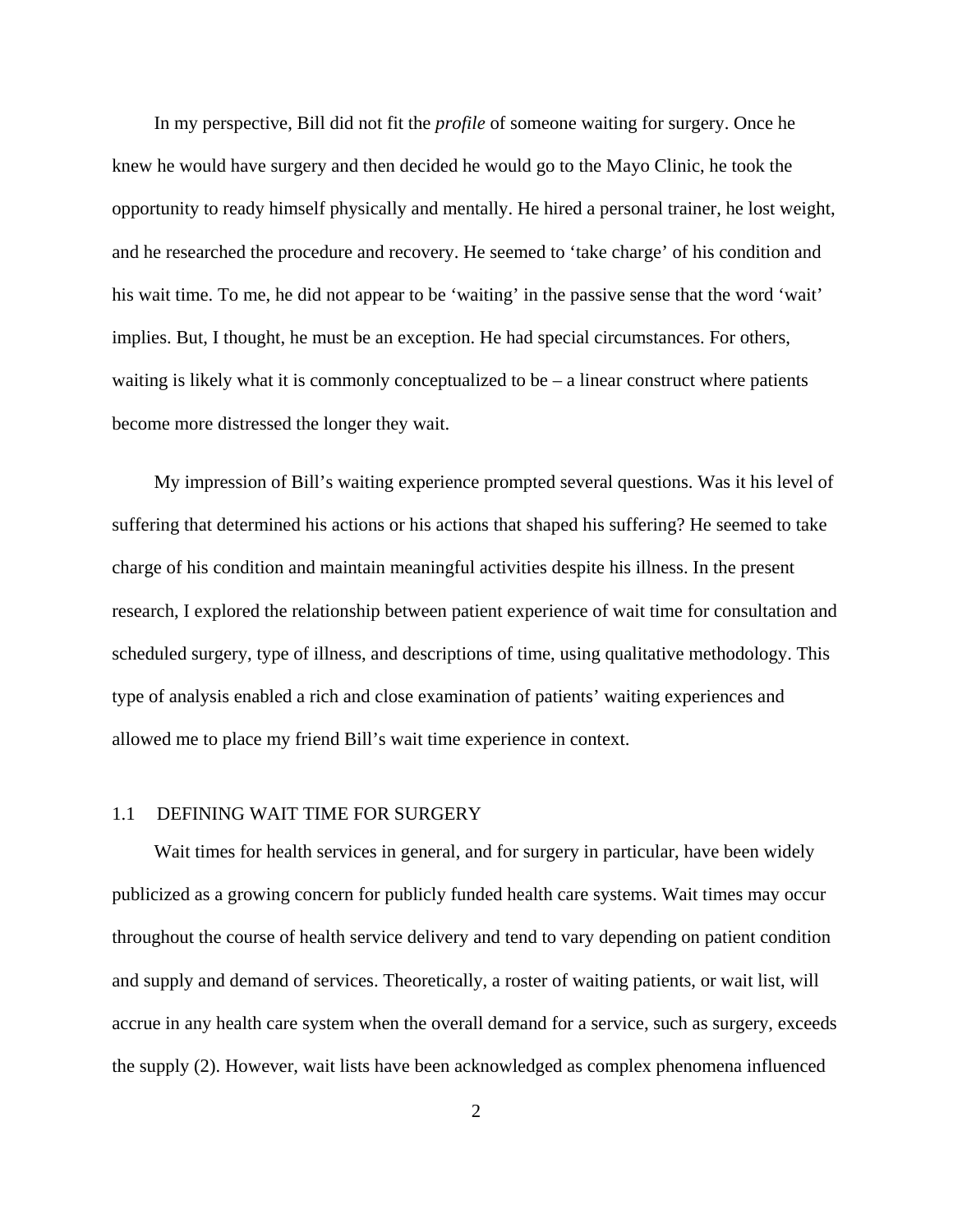In my perspective, Bill did not fit the *profile* of someone waiting for surgery. Once he knew he would have surgery and then decided he would go to the Mayo Clinic, he took the opportunity to ready himself physically and mentally. He hired a personal trainer, he lost weight, and he researched the procedure and recovery. He seemed to 'take charge' of his condition and his wait time. To me, he did not appear to be 'waiting' in the passive sense that the word 'wait' implies. But, I thought, he must be an exception. He had special circumstances. For others, waiting is likely what it is commonly conceptualized to be  $-$  a linear construct where patients become more distressed the longer they wait.

My impression of Bill's waiting experience prompted several questions. Was it his level of suffering that determined his actions or his actions that shaped his suffering? He seemed to take charge of his condition and maintain meaningful activities despite his illness. In the present research, I explored the relationship between patient experience of wait time for consultation and scheduled surgery, type of illness, and descriptions of time, using qualitative methodology. This type of analysis enabled a rich and close examination of patients' waiting experiences and allowed me to place my friend Bill's wait time experience in context.

#### 1.1 DEFINING WAIT TIME FOR SURGERY

Wait times for health services in general, and for surgery in particular, have been widely publicized as a growing concern for publicly funded health care systems. Wait times may occur throughout the course of health service delivery and tend to vary depending on patient condition and supply and demand of services. Theoretically, a roster of waiting patients, or wait list, will accrue in any health care system when the overall demand for a service, such as surgery, exceeds the supply (2). However, wait lists have been acknowledged as complex phenomena influenced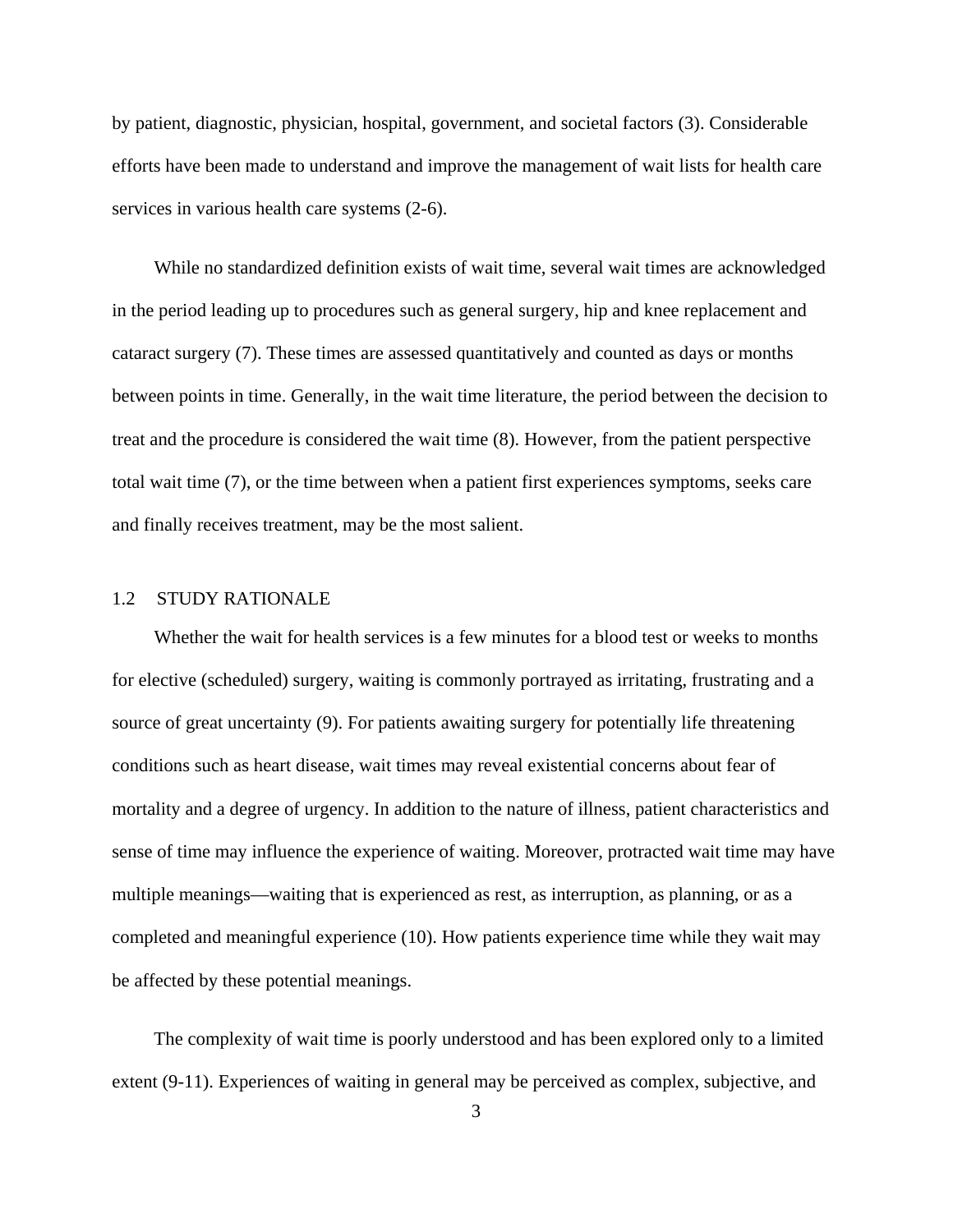by patient, diagnostic, physician, hospital, government, and societal factors (3). Considerable efforts have been made to understand and improve the management of wait lists for health care services in various health care systems (2-6).

While no standardized definition exists of wait time, several wait times are acknowledged in the period leading up to procedures such as general surgery, hip and knee replacement and cataract surgery (7). These times are assessed quantitatively and counted as days or months between points in time. Generally, in the wait time literature, the period between the decision to treat and the procedure is considered the wait time (8). However, from the patient perspective total wait time (7), or the time between when a patient first experiences symptoms, seeks care and finally receives treatment, may be the most salient.

# 1.2 STUDY RATIONALE

Whether the wait for health services is a few minutes for a blood test or weeks to months for elective (scheduled) surgery, waiting is commonly portrayed as irritating, frustrating and a source of great uncertainty (9). For patients awaiting surgery for potentially life threatening conditions such as heart disease, wait times may reveal existential concerns about fear of mortality and a degree of urgency. In addition to the nature of illness, patient characteristics and sense of time may influence the experience of waiting. Moreover, protracted wait time may have multiple meanings—waiting that is experienced as rest, as interruption, as planning, or as a completed and meaningful experience (10). How patients experience time while they wait may be affected by these potential meanings.

The complexity of wait time is poorly understood and has been explored only to a limited extent (9-11). Experiences of waiting in general may be perceived as complex, subjective, and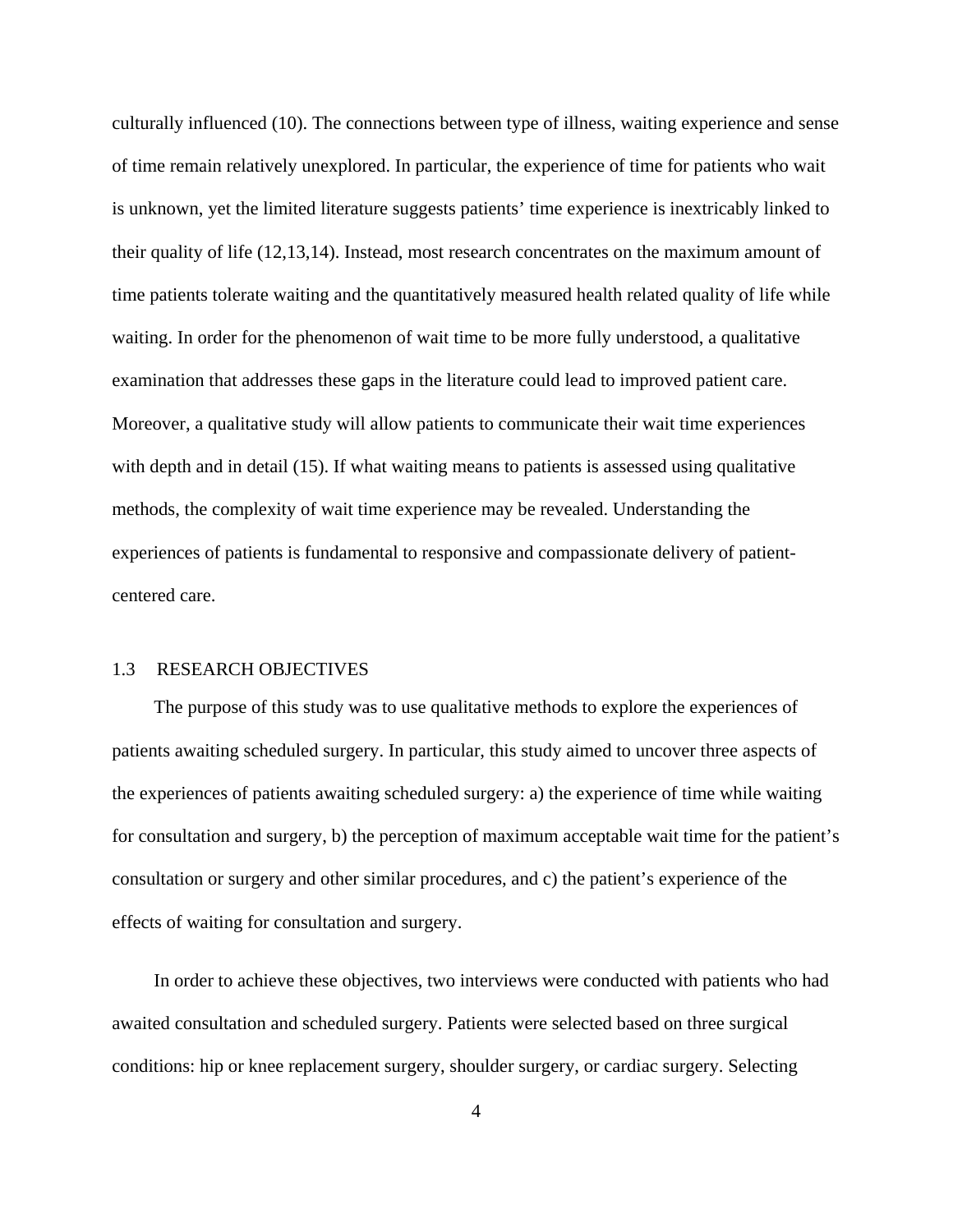culturally influenced (10). The connections between type of illness, waiting experience and sense of time remain relatively unexplored. In particular, the experience of time for patients who wait is unknown, yet the limited literature suggests patients' time experience is inextricably linked to their quality of life (12,13,14). Instead, most research concentrates on the maximum amount of time patients tolerate waiting and the quantitatively measured health related quality of life while waiting. In order for the phenomenon of wait time to be more fully understood, a qualitative examination that addresses these gaps in the literature could lead to improved patient care. Moreover, a qualitative study will allow patients to communicate their wait time experiences with depth and in detail (15). If what waiting means to patients is assessed using qualitative methods, the complexity of wait time experience may be revealed. Understanding the experiences of patients is fundamental to responsive and compassionate delivery of patientcentered care.

# 1.3 RESEARCH OBJECTIVES

The purpose of this study was to use qualitative methods to explore the experiences of patients awaiting scheduled surgery. In particular, this study aimed to uncover three aspects of the experiences of patients awaiting scheduled surgery: a) the experience of time while waiting for consultation and surgery, b) the perception of maximum acceptable wait time for the patient's consultation or surgery and other similar procedures, and c) the patient's experience of the effects of waiting for consultation and surgery.

In order to achieve these objectives, two interviews were conducted with patients who had awaited consultation and scheduled surgery. Patients were selected based on three surgical conditions: hip or knee replacement surgery, shoulder surgery, or cardiac surgery. Selecting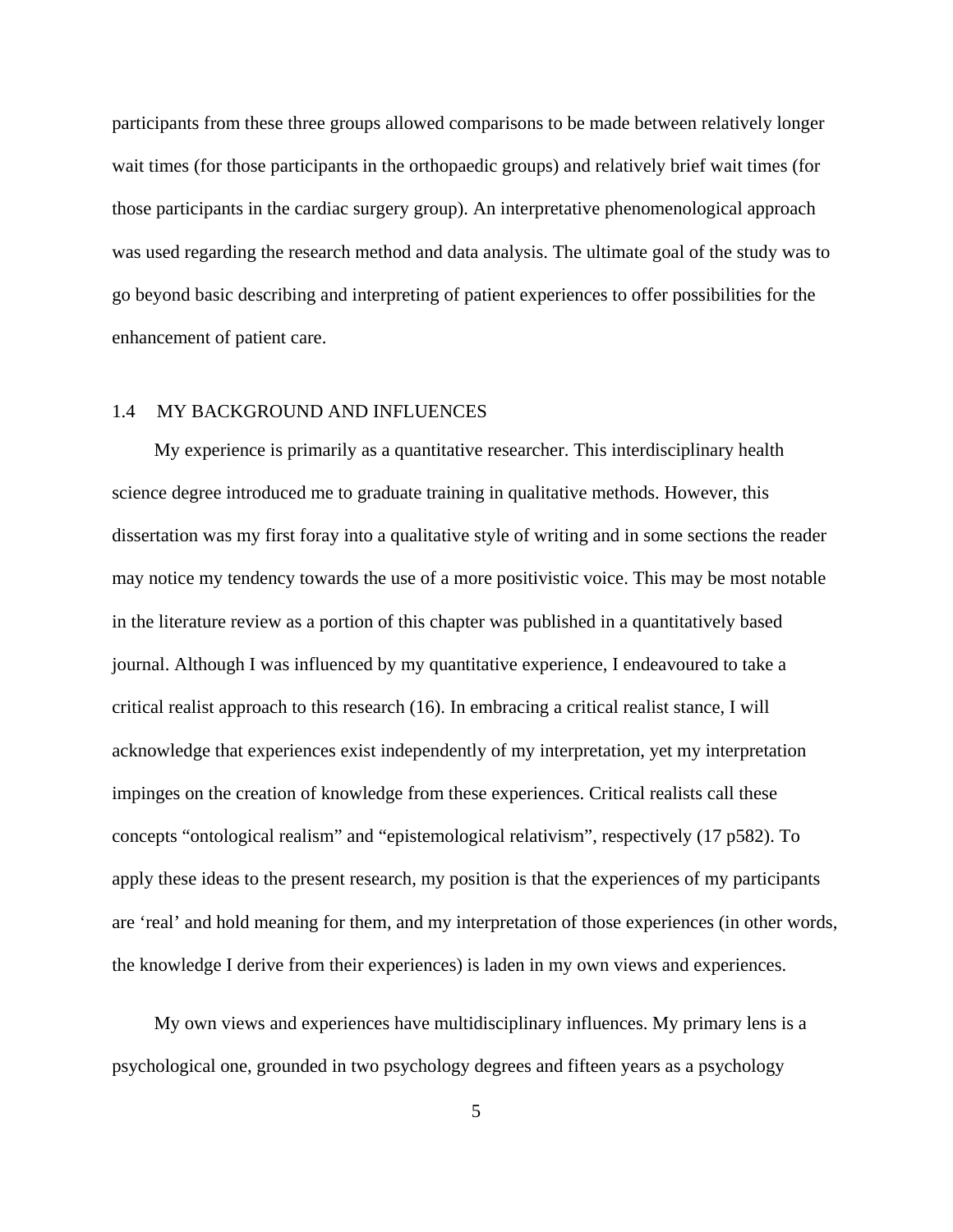participants from these three groups allowed comparisons to be made between relatively longer wait times (for those participants in the orthopaedic groups) and relatively brief wait times (for those participants in the cardiac surgery group). An interpretative phenomenological approach was used regarding the research method and data analysis. The ultimate goal of the study was to go beyond basic describing and interpreting of patient experiences to offer possibilities for the enhancement of patient care.

# 1.4 MY BACKGROUND AND INFLUENCES

My experience is primarily as a quantitative researcher. This interdisciplinary health science degree introduced me to graduate training in qualitative methods. However, this dissertation was my first foray into a qualitative style of writing and in some sections the reader may notice my tendency towards the use of a more positivistic voice. This may be most notable in the literature review as a portion of this chapter was published in a quantitatively based journal. Although I was influenced by my quantitative experience, I endeavoured to take a critical realist approach to this research (16). In embracing a critical realist stance, I will acknowledge that experiences exist independently of my interpretation, yet my interpretation impinges on the creation of knowledge from these experiences. Critical realists call these concepts "ontological realism" and "epistemological relativism", respectively (17 p582). To apply these ideas to the present research, my position is that the experiences of my participants are 'real' and hold meaning for them, and my interpretation of those experiences (in other words, the knowledge I derive from their experiences) is laden in my own views and experiences.

My own views and experiences have multidisciplinary influences. My primary lens is a psychological one, grounded in two psychology degrees and fifteen years as a psychology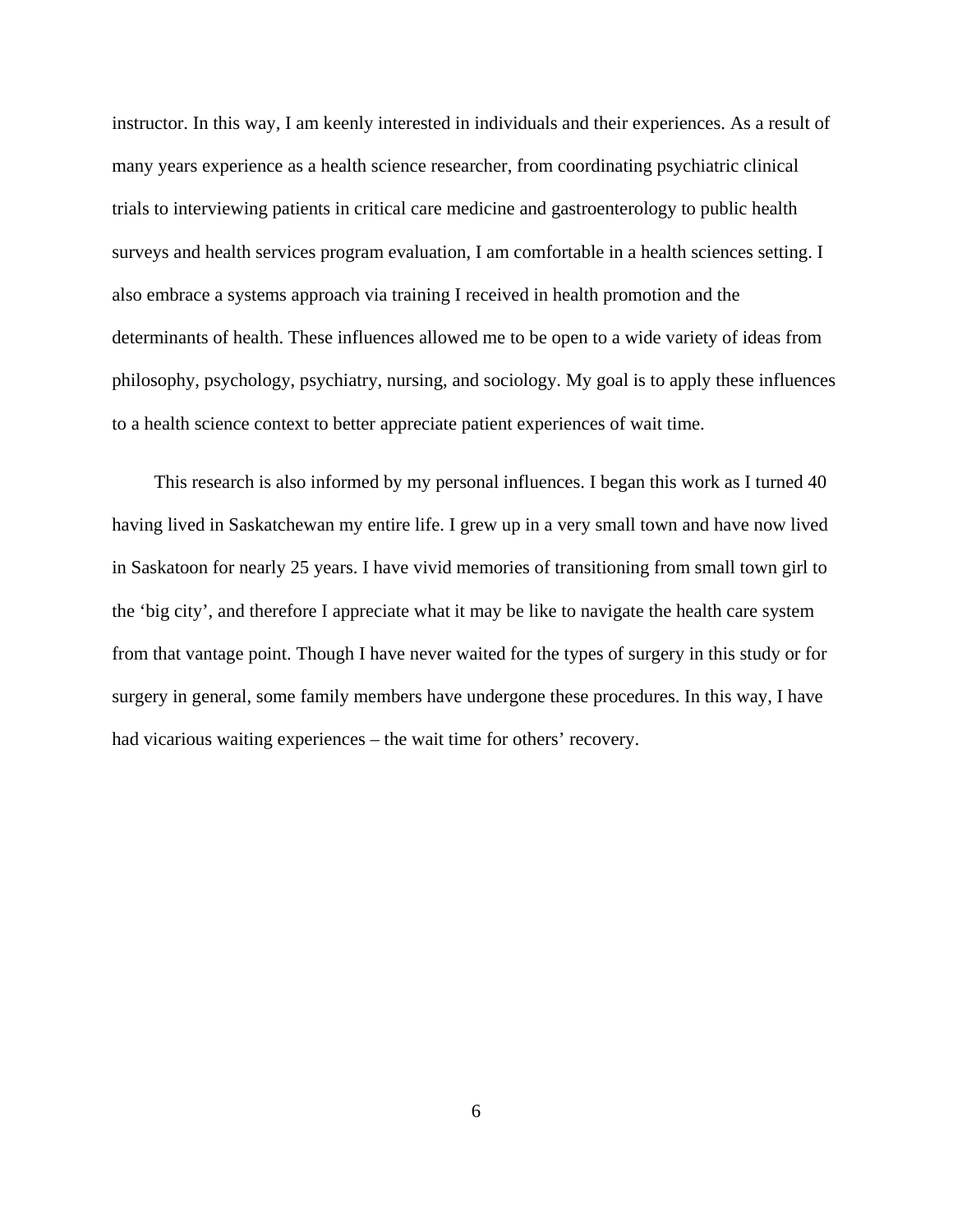instructor. In this way, I am keenly interested in individuals and their experiences. As a result of many years experience as a health science researcher, from coordinating psychiatric clinical trials to interviewing patients in critical care medicine and gastroenterology to public health surveys and health services program evaluation, I am comfortable in a health sciences setting. I also embrace a systems approach via training I received in health promotion and the determinants of health. These influences allowed me to be open to a wide variety of ideas from philosophy, psychology, psychiatry, nursing, and sociology. My goal is to apply these influences to a health science context to better appreciate patient experiences of wait time.

This research is also informed by my personal influences. I began this work as I turned 40 having lived in Saskatchewan my entire life. I grew up in a very small town and have now lived in Saskatoon for nearly 25 years. I have vivid memories of transitioning from small town girl to the 'big city', and therefore I appreciate what it may be like to navigate the health care system from that vantage point. Though I have never waited for the types of surgery in this study or for surgery in general, some family members have undergone these procedures. In this way, I have had vicarious waiting experiences – the wait time for others' recovery.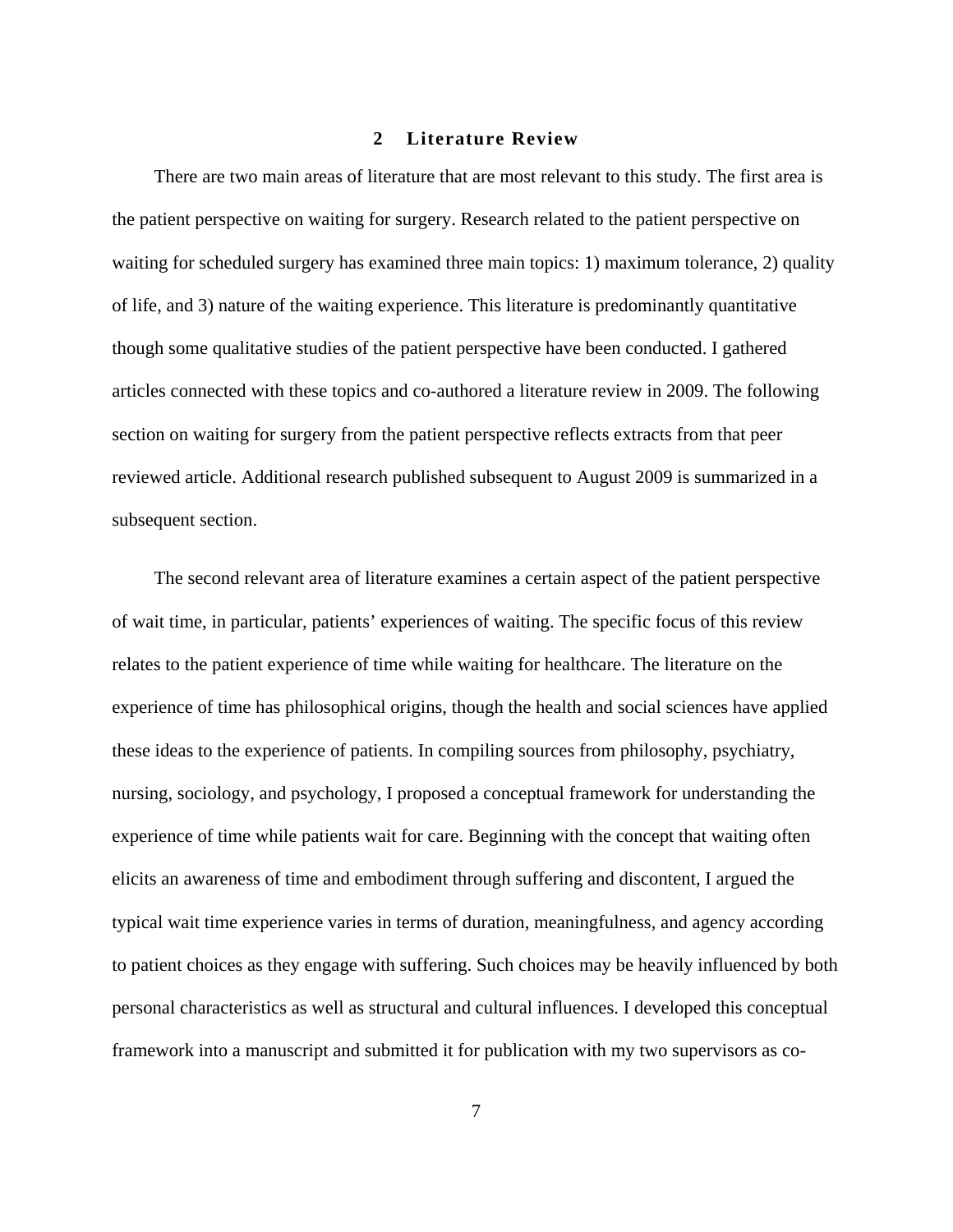#### **2 Literature Review**

There are two main areas of literature that are most relevant to this study. The first area is the patient perspective on waiting for surgery. Research related to the patient perspective on waiting for scheduled surgery has examined three main topics: 1) maximum tolerance, 2) quality of life, and 3) nature of the waiting experience. This literature is predominantly quantitative though some qualitative studies of the patient perspective have been conducted. I gathered articles connected with these topics and co-authored a literature review in 2009. The following section on waiting for surgery from the patient perspective reflects extracts from that peer reviewed article. Additional research published subsequent to August 2009 is summarized in a subsequent section.

The second relevant area of literature examines a certain aspect of the patient perspective of wait time, in particular, patients' experiences of waiting. The specific focus of this review relates to the patient experience of time while waiting for healthcare. The literature on the experience of time has philosophical origins, though the health and social sciences have applied these ideas to the experience of patients. In compiling sources from philosophy, psychiatry, nursing, sociology, and psychology, I proposed a conceptual framework for understanding the experience of time while patients wait for care. Beginning with the concept that waiting often elicits an awareness of time and embodiment through suffering and discontent, I argued the typical wait time experience varies in terms of duration, meaningfulness, and agency according to patient choices as they engage with suffering. Such choices may be heavily influenced by both personal characteristics as well as structural and cultural influences. I developed this conceptual framework into a manuscript and submitted it for publication with my two supervisors as co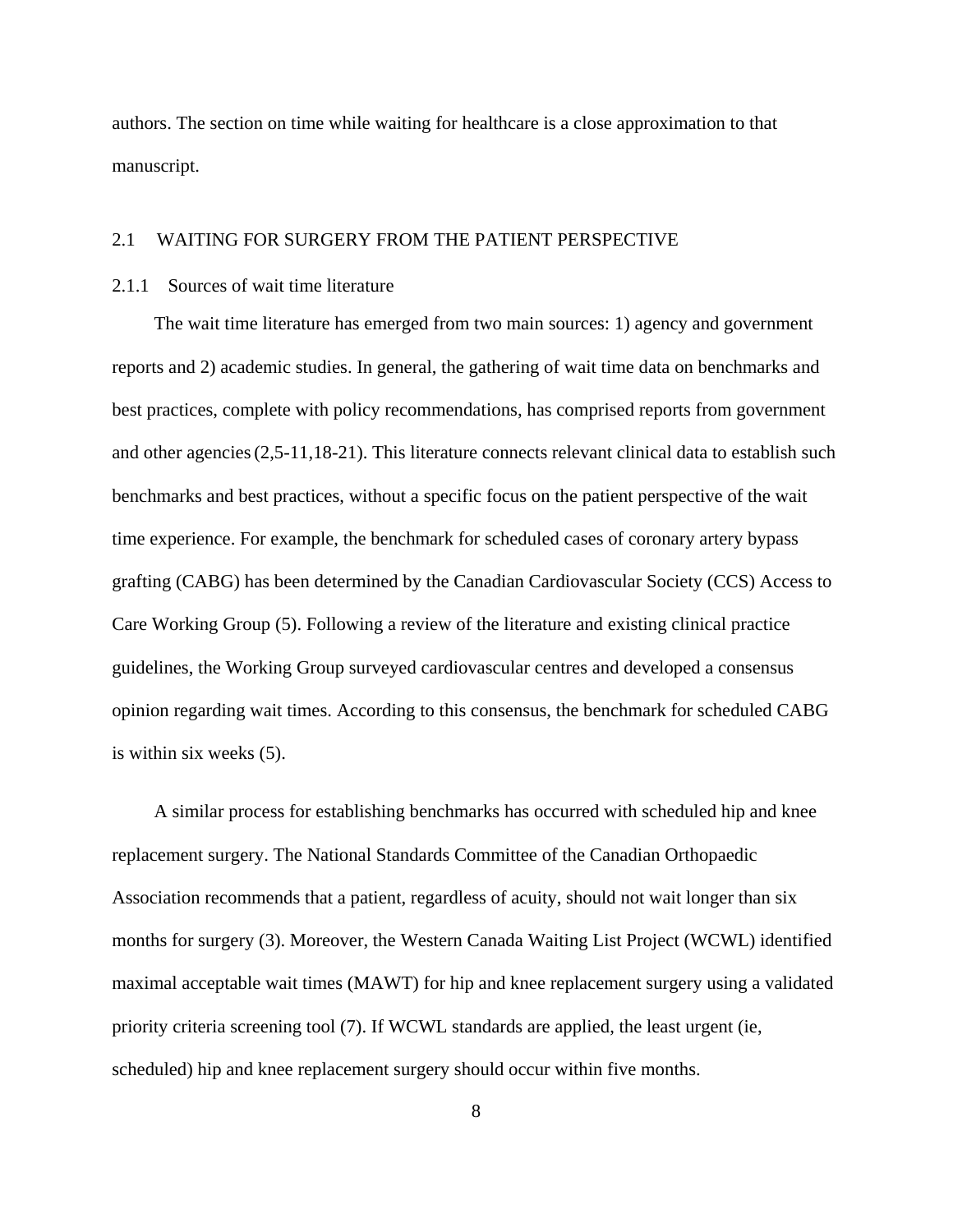authors. The section on time while waiting for healthcare is a close approximation to that manuscript.

#### 2.1 WAITING FOR SURGERY FROM THE PATIENT PERSPECTIVE

## 2.1.1 Sources of wait time literature

The wait time literature has emerged from two main sources: 1) agency and government reports and 2) academic studies. In general, the gathering of wait time data on benchmarks and best practices, complete with policy recommendations, has comprised reports from government and other agencies(2,5-11,18-21). This literature connects relevant clinical data to establish such benchmarks and best practices, without a specific focus on the patient perspective of the wait time experience. For example, the benchmark for scheduled cases of coronary artery bypass grafting (CABG) has been determined by the Canadian Cardiovascular Society (CCS) Access to Care Working Group (5). Following a review of the literature and existing clinical practice guidelines, the Working Group surveyed cardiovascular centres and developed a consensus opinion regarding wait times. According to this consensus, the benchmark for scheduled CABG is within six weeks (5).

A similar process for establishing benchmarks has occurred with scheduled hip and knee replacement surgery. The National Standards Committee of the Canadian Orthopaedic Association recommends that a patient, regardless of acuity, should not wait longer than six months for surgery (3). Moreover, the Western Canada Waiting List Project (WCWL) identified maximal acceptable wait times (MAWT) for hip and knee replacement surgery using a validated priority criteria screening tool (7). If WCWL standards are applied, the least urgent (ie, scheduled) hip and knee replacement surgery should occur within five months.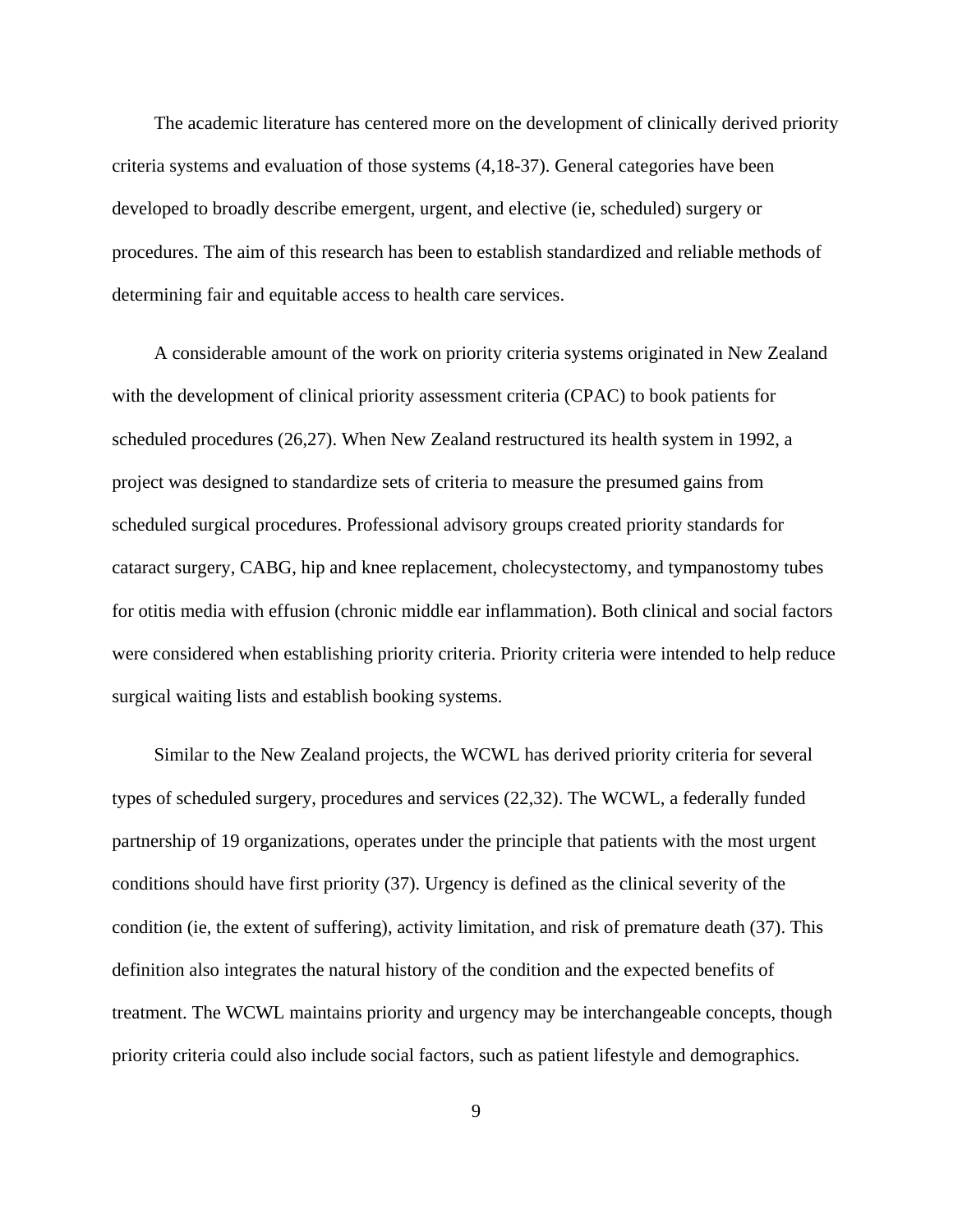The academic literature has centered more on the development of clinically derived priority criteria systems and evaluation of those systems (4,18-37). General categories have been developed to broadly describe emergent, urgent, and elective (ie, scheduled) surgery or procedures. The aim of this research has been to establish standardized and reliable methods of determining fair and equitable access to health care services.

A considerable amount of the work on priority criteria systems originated in New Zealand with the development of clinical priority assessment criteria (CPAC) to book patients for scheduled procedures (26,27). When New Zealand restructured its health system in 1992, a project was designed to standardize sets of criteria to measure the presumed gains from scheduled surgical procedures. Professional advisory groups created priority standards for cataract surgery, CABG, hip and knee replacement, cholecystectomy, and tympanostomy tubes for otitis media with effusion (chronic middle ear inflammation). Both clinical and social factors were considered when establishing priority criteria. Priority criteria were intended to help reduce surgical waiting lists and establish booking systems.

Similar to the New Zealand projects, the WCWL has derived priority criteria for several types of scheduled surgery, procedures and services (22,32). The WCWL, a federally funded partnership of 19 organizations, operates under the principle that patients with the most urgent conditions should have first priority (37). Urgency is defined as the clinical severity of the condition (ie, the extent of suffering), activity limitation, and risk of premature death (37). This definition also integrates the natural history of the condition and the expected benefits of treatment. The WCWL maintains priority and urgency may be interchangeable concepts, though priority criteria could also include social factors, such as patient lifestyle and demographics.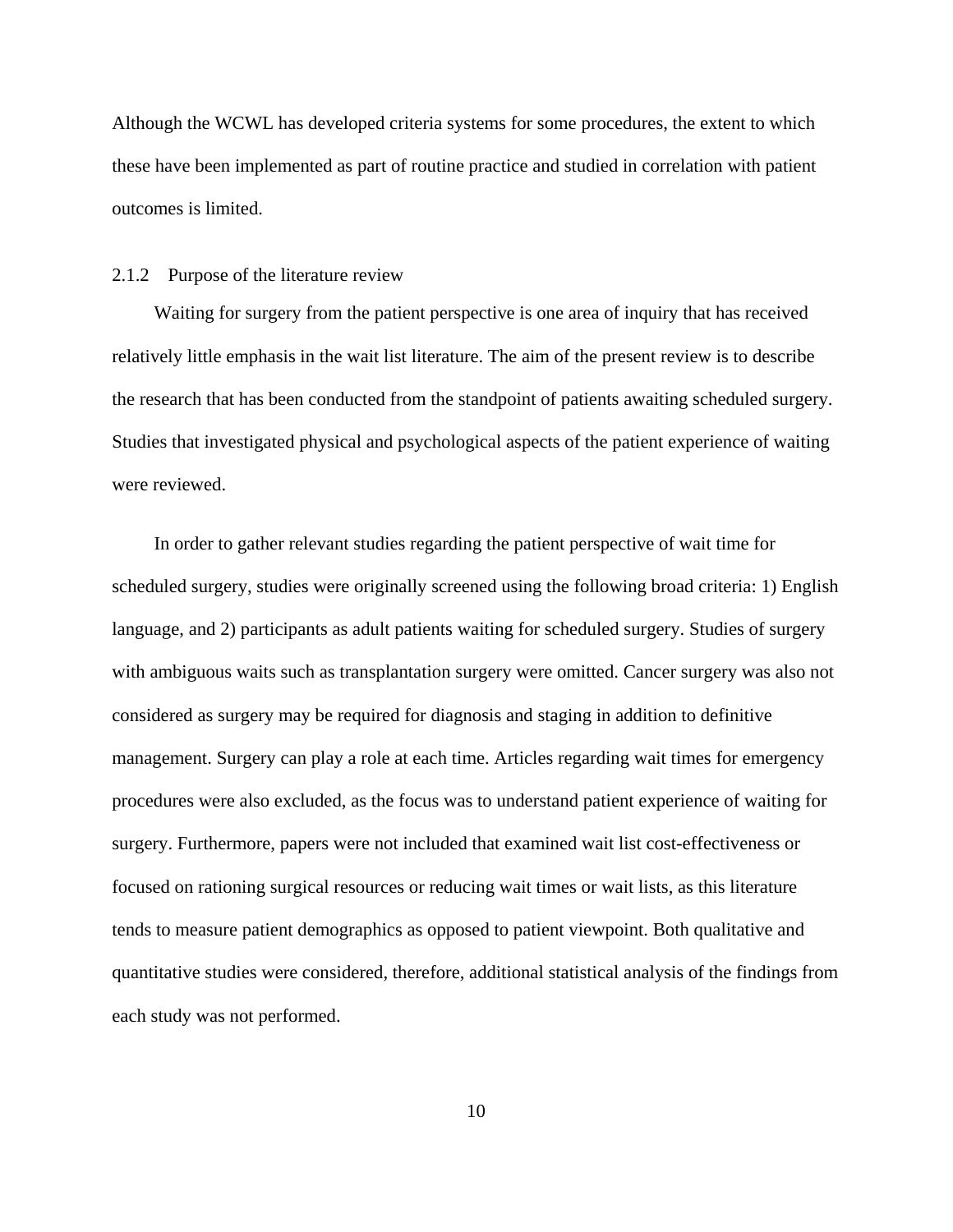Although the WCWL has developed criteria systems for some procedures, the extent to which these have been implemented as part of routine practice and studied in correlation with patient outcomes is limited.

#### 2.1.2 Purpose of the literature review

Waiting for surgery from the patient perspective is one area of inquiry that has received relatively little emphasis in the wait list literature. The aim of the present review is to describe the research that has been conducted from the standpoint of patients awaiting scheduled surgery. Studies that investigated physical and psychological aspects of the patient experience of waiting were reviewed.

In order to gather relevant studies regarding the patient perspective of wait time for scheduled surgery, studies were originally screened using the following broad criteria: 1) English language, and 2) participants as adult patients waiting for scheduled surgery. Studies of surgery with ambiguous waits such as transplantation surgery were omitted. Cancer surgery was also not considered as surgery may be required for diagnosis and staging in addition to definitive management. Surgery can play a role at each time. Articles regarding wait times for emergency procedures were also excluded, as the focus was to understand patient experience of waiting for surgery. Furthermore, papers were not included that examined wait list cost-effectiveness or focused on rationing surgical resources or reducing wait times or wait lists, as this literature tends to measure patient demographics as opposed to patient viewpoint. Both qualitative and quantitative studies were considered, therefore, additional statistical analysis of the findings from each study was not performed.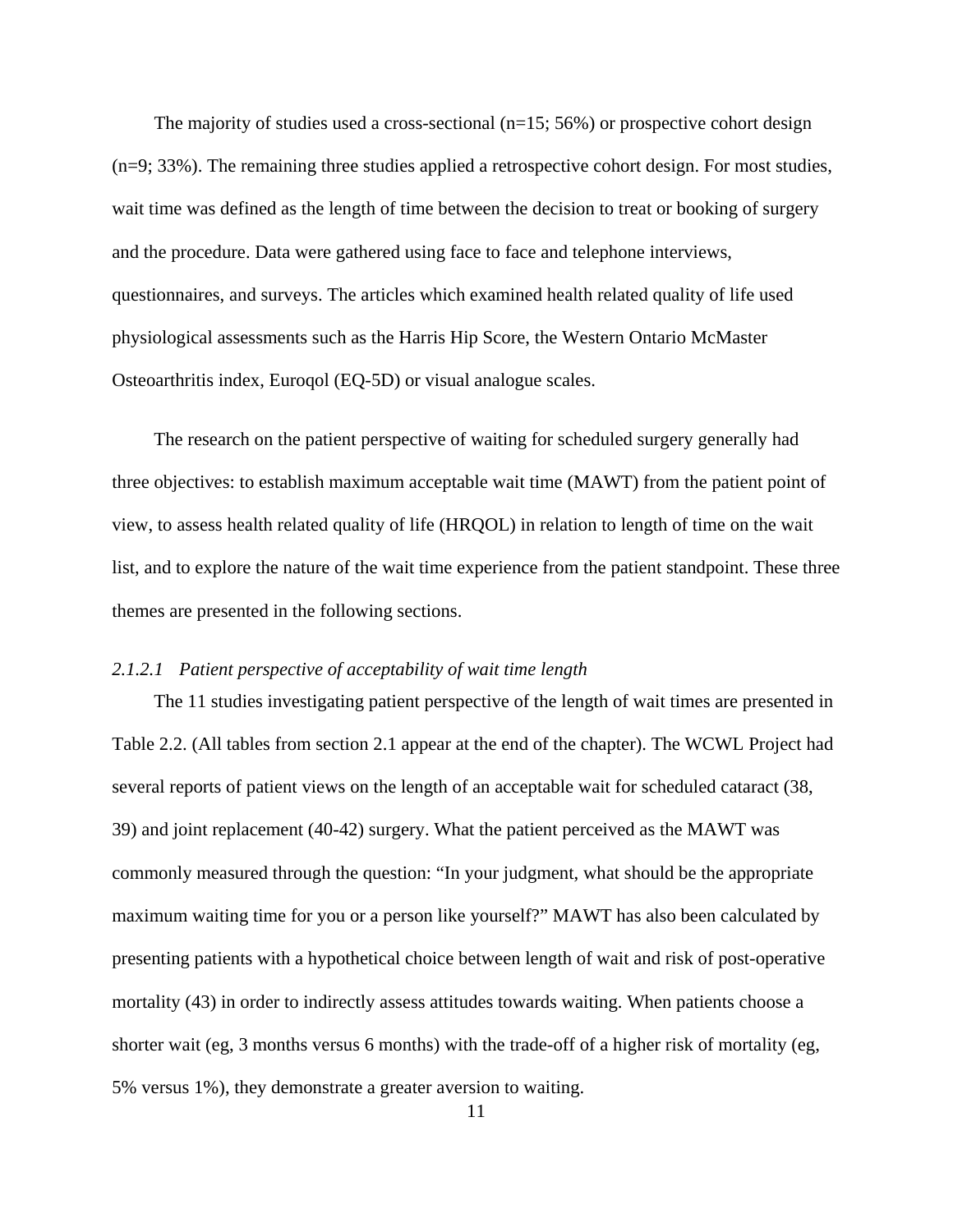The majority of studies used a cross-sectional  $(n=15; 56%)$  or prospective cohort design (n=9; 33%). The remaining three studies applied a retrospective cohort design. For most studies, wait time was defined as the length of time between the decision to treat or booking of surgery and the procedure. Data were gathered using face to face and telephone interviews, questionnaires, and surveys. The articles which examined health related quality of life used physiological assessments such as the Harris Hip Score, the Western Ontario McMaster Osteoarthritis index, Euroqol (EQ-5D) or visual analogue scales.

The research on the patient perspective of waiting for scheduled surgery generally had three objectives: to establish maximum acceptable wait time (MAWT) from the patient point of view, to assess health related quality of life (HRQOL) in relation to length of time on the wait list, and to explore the nature of the wait time experience from the patient standpoint. These three themes are presented in the following sections.

#### *2.1.2.1 Patient perspective of acceptability of wait time length*

The 11 studies investigating patient perspective of the length of wait times are presented in Table 2.2. (All tables from section 2.1 appear at the end of the chapter). The WCWL Project had several reports of patient views on the length of an acceptable wait for scheduled cataract (38, 39) and joint replacement (40-42) surgery. What the patient perceived as the MAWT was commonly measured through the question: "In your judgment, what should be the appropriate maximum waiting time for you or a person like yourself?" MAWT has also been calculated by presenting patients with a hypothetical choice between length of wait and risk of post-operative mortality (43) in order to indirectly assess attitudes towards waiting. When patients choose a shorter wait (eg, 3 months versus 6 months) with the trade-off of a higher risk of mortality (eg, 5% versus 1%), they demonstrate a greater aversion to waiting.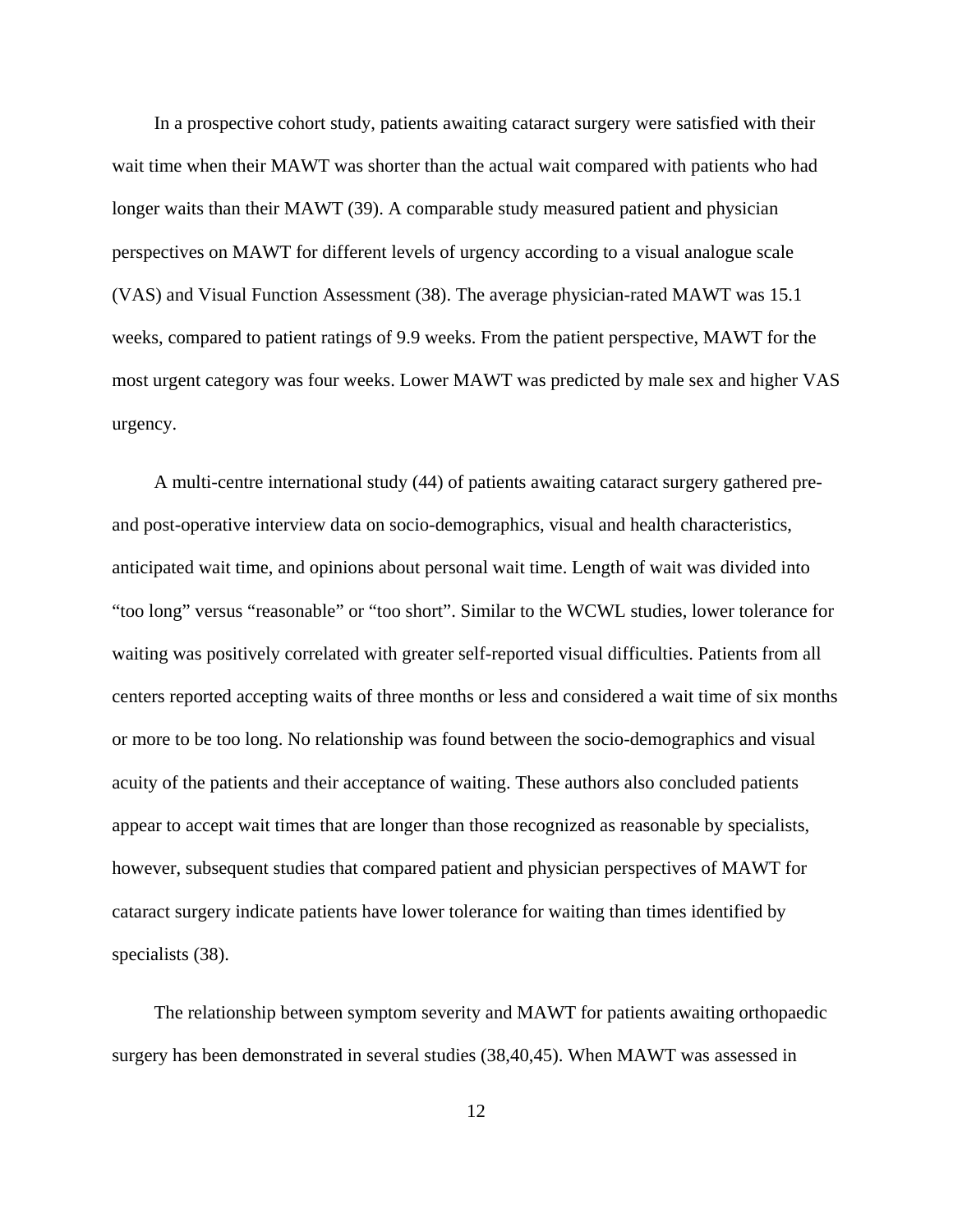In a prospective cohort study, patients awaiting cataract surgery were satisfied with their wait time when their MAWT was shorter than the actual wait compared with patients who had longer waits than their MAWT (39). A comparable study measured patient and physician perspectives on MAWT for different levels of urgency according to a visual analogue scale (VAS) and Visual Function Assessment (38). The average physician-rated MAWT was 15.1 weeks, compared to patient ratings of 9.9 weeks. From the patient perspective, MAWT for the most urgent category was four weeks. Lower MAWT was predicted by male sex and higher VAS urgency.

A multi-centre international study (44) of patients awaiting cataract surgery gathered preand post-operative interview data on socio-demographics, visual and health characteristics, anticipated wait time, and opinions about personal wait time. Length of wait was divided into "too long" versus "reasonable" or "too short". Similar to the WCWL studies, lower tolerance for waiting was positively correlated with greater self-reported visual difficulties. Patients from all centers reported accepting waits of three months or less and considered a wait time of six months or more to be too long. No relationship was found between the socio-demographics and visual acuity of the patients and their acceptance of waiting. These authors also concluded patients appear to accept wait times that are longer than those recognized as reasonable by specialists, however, subsequent studies that compared patient and physician perspectives of MAWT for cataract surgery indicate patients have lower tolerance for waiting than times identified by specialists (38).

The relationship between symptom severity and MAWT for patients awaiting orthopaedic surgery has been demonstrated in several studies (38,40,45). When MAWT was assessed in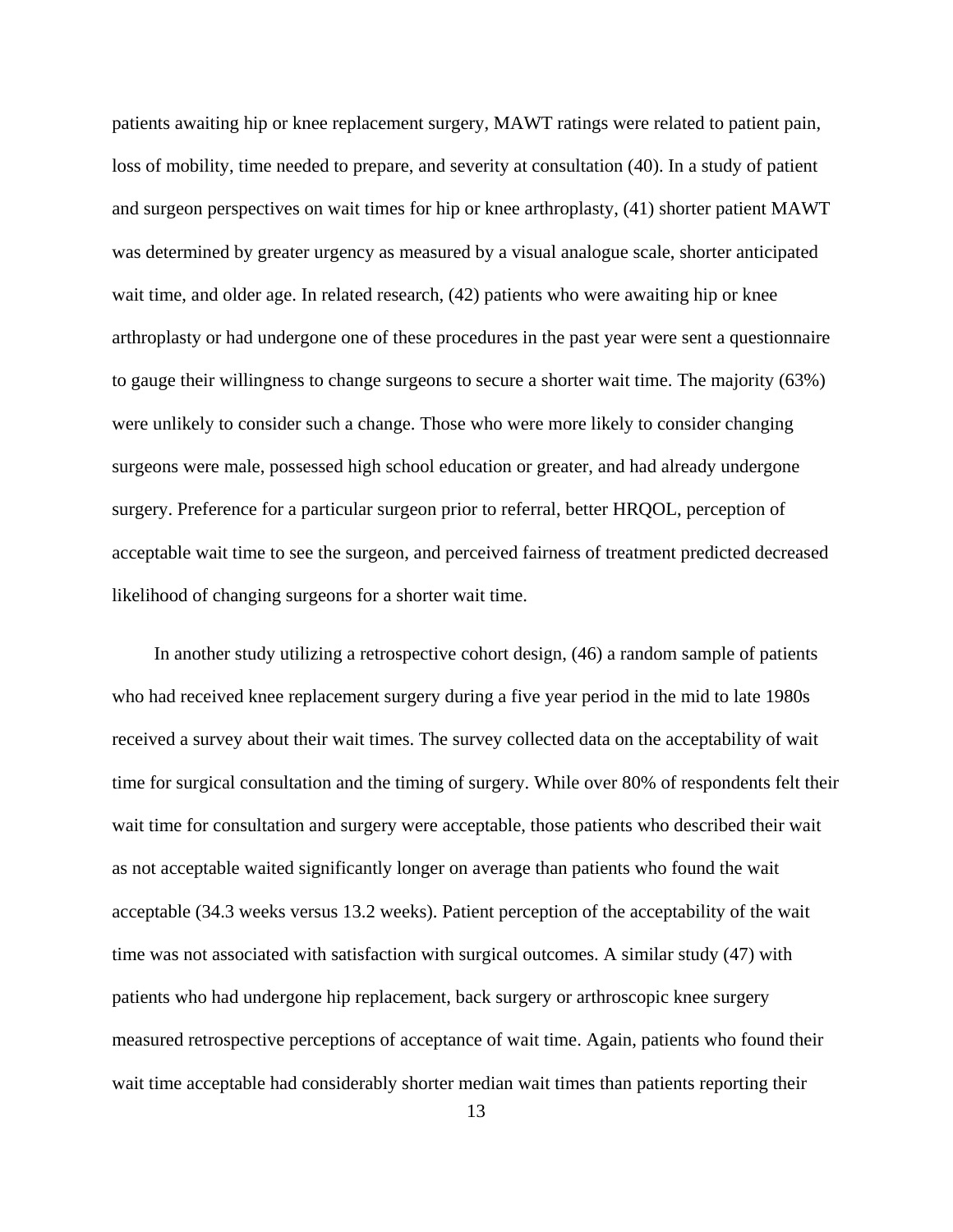patients awaiting hip or knee replacement surgery, MAWT ratings were related to patient pain, loss of mobility, time needed to prepare, and severity at consultation (40). In a study of patient and surgeon perspectives on wait times for hip or knee arthroplasty, (41) shorter patient MAWT was determined by greater urgency as measured by a visual analogue scale, shorter anticipated wait time, and older age. In related research, (42) patients who were awaiting hip or knee arthroplasty or had undergone one of these procedures in the past year were sent a questionnaire to gauge their willingness to change surgeons to secure a shorter wait time. The majority (63%) were unlikely to consider such a change. Those who were more likely to consider changing surgeons were male, possessed high school education or greater, and had already undergone surgery. Preference for a particular surgeon prior to referral, better HRQOL, perception of acceptable wait time to see the surgeon, and perceived fairness of treatment predicted decreased likelihood of changing surgeons for a shorter wait time.

In another study utilizing a retrospective cohort design, (46) a random sample of patients who had received knee replacement surgery during a five year period in the mid to late 1980s received a survey about their wait times. The survey collected data on the acceptability of wait time for surgical consultation and the timing of surgery. While over 80% of respondents felt their wait time for consultation and surgery were acceptable, those patients who described their wait as not acceptable waited significantly longer on average than patients who found the wait acceptable (34.3 weeks versus 13.2 weeks). Patient perception of the acceptability of the wait time was not associated with satisfaction with surgical outcomes. A similar study (47) with patients who had undergone hip replacement, back surgery or arthroscopic knee surgery measured retrospective perceptions of acceptance of wait time. Again, patients who found their wait time acceptable had considerably shorter median wait times than patients reporting their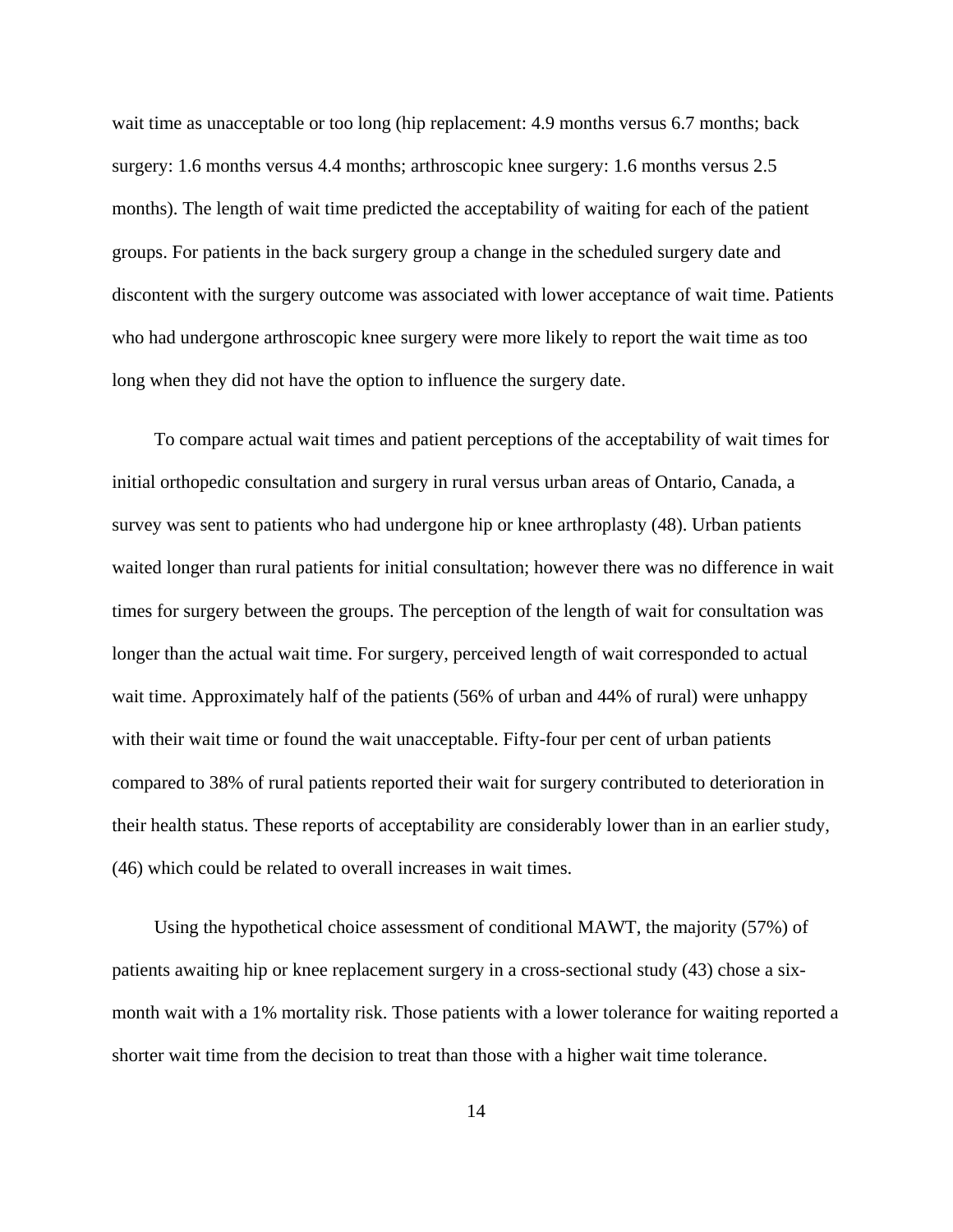wait time as unacceptable or too long (hip replacement: 4.9 months versus 6.7 months; back surgery: 1.6 months versus 4.4 months; arthroscopic knee surgery: 1.6 months versus 2.5 months). The length of wait time predicted the acceptability of waiting for each of the patient groups. For patients in the back surgery group a change in the scheduled surgery date and discontent with the surgery outcome was associated with lower acceptance of wait time. Patients who had undergone arthroscopic knee surgery were more likely to report the wait time as too long when they did not have the option to influence the surgery date.

To compare actual wait times and patient perceptions of the acceptability of wait times for initial orthopedic consultation and surgery in rural versus urban areas of Ontario, Canada, a survey was sent to patients who had undergone hip or knee arthroplasty (48). Urban patients waited longer than rural patients for initial consultation; however there was no difference in wait times for surgery between the groups. The perception of the length of wait for consultation was longer than the actual wait time. For surgery, perceived length of wait corresponded to actual wait time. Approximately half of the patients (56% of urban and 44% of rural) were unhappy with their wait time or found the wait unacceptable. Fifty-four per cent of urban patients compared to 38% of rural patients reported their wait for surgery contributed to deterioration in their health status. These reports of acceptability are considerably lower than in an earlier study, (46) which could be related to overall increases in wait times.

Using the hypothetical choice assessment of conditional MAWT, the majority (57%) of patients awaiting hip or knee replacement surgery in a cross-sectional study (43) chose a sixmonth wait with a 1% mortality risk. Those patients with a lower tolerance for waiting reported a shorter wait time from the decision to treat than those with a higher wait time tolerance.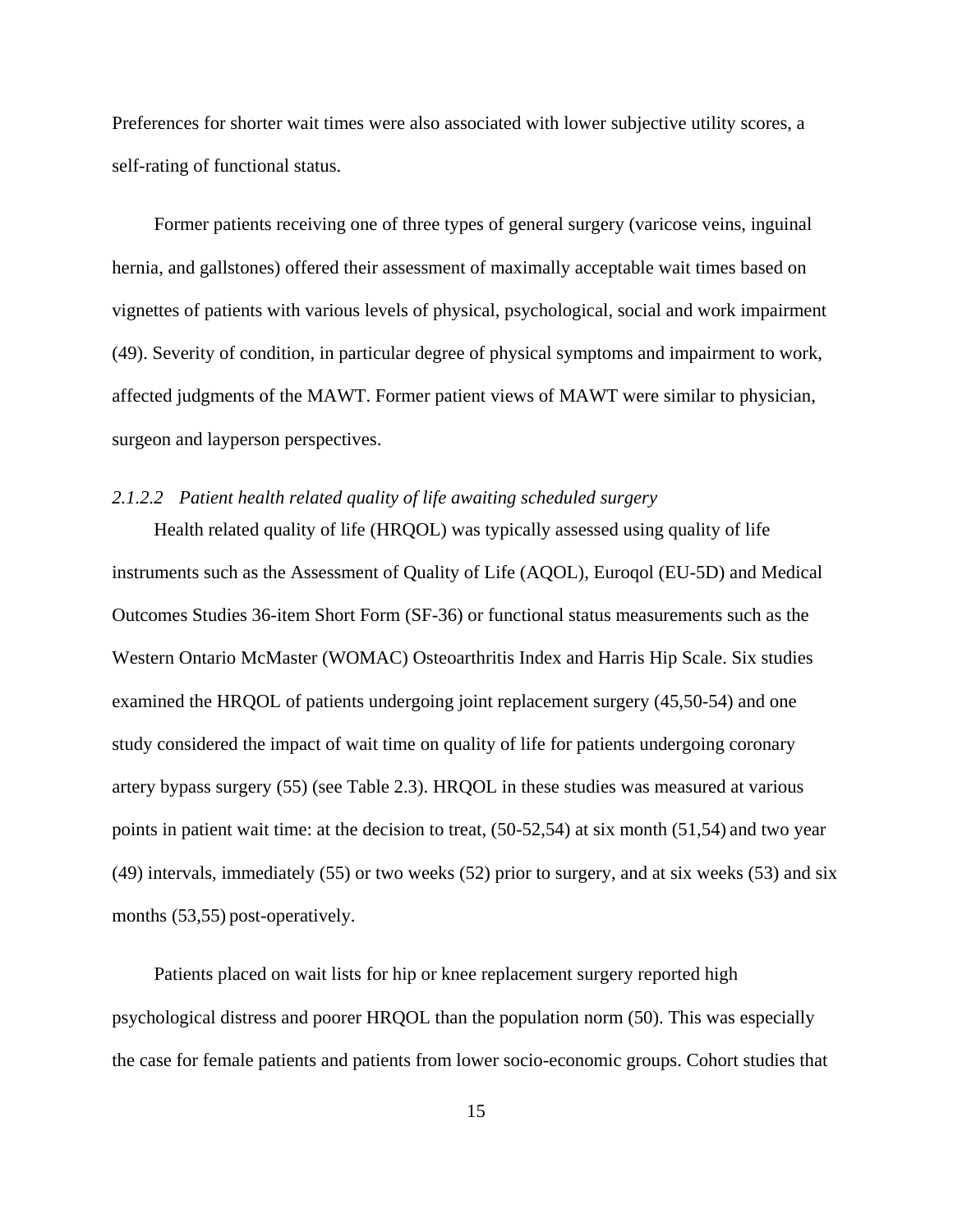Preferences for shorter wait times were also associated with lower subjective utility scores, a self-rating of functional status.

Former patients receiving one of three types of general surgery (varicose veins, inguinal hernia, and gallstones) offered their assessment of maximally acceptable wait times based on vignettes of patients with various levels of physical, psychological, social and work impairment (49). Severity of condition, in particular degree of physical symptoms and impairment to work, affected judgments of the MAWT. Former patient views of MAWT were similar to physician, surgeon and layperson perspectives.

# *2.1.2.2 Patient health related quality of life awaiting scheduled surgery*

Health related quality of life (HRQOL) was typically assessed using quality of life instruments such as the Assessment of Quality of Life (AQOL), Euroqol (EU-5D) and Medical Outcomes Studies 36-item Short Form (SF-36) or functional status measurements such as the Western Ontario McMaster (WOMAC) Osteoarthritis Index and Harris Hip Scale. Six studies examined the HRQOL of patients undergoing joint replacement surgery (45,50-54) and one study considered the impact of wait time on quality of life for patients undergoing coronary artery bypass surgery (55) (see Table 2.3). HRQOL in these studies was measured at various points in patient wait time: at the decision to treat, (50-52,54) at six month (51,54) and two year (49) intervals, immediately (55) or two weeks (52) prior to surgery, and at six weeks (53) and six months (53,55) post-operatively.

Patients placed on wait lists for hip or knee replacement surgery reported high psychological distress and poorer HRQOL than the population norm (50). This was especially the case for female patients and patients from lower socio-economic groups. Cohort studies that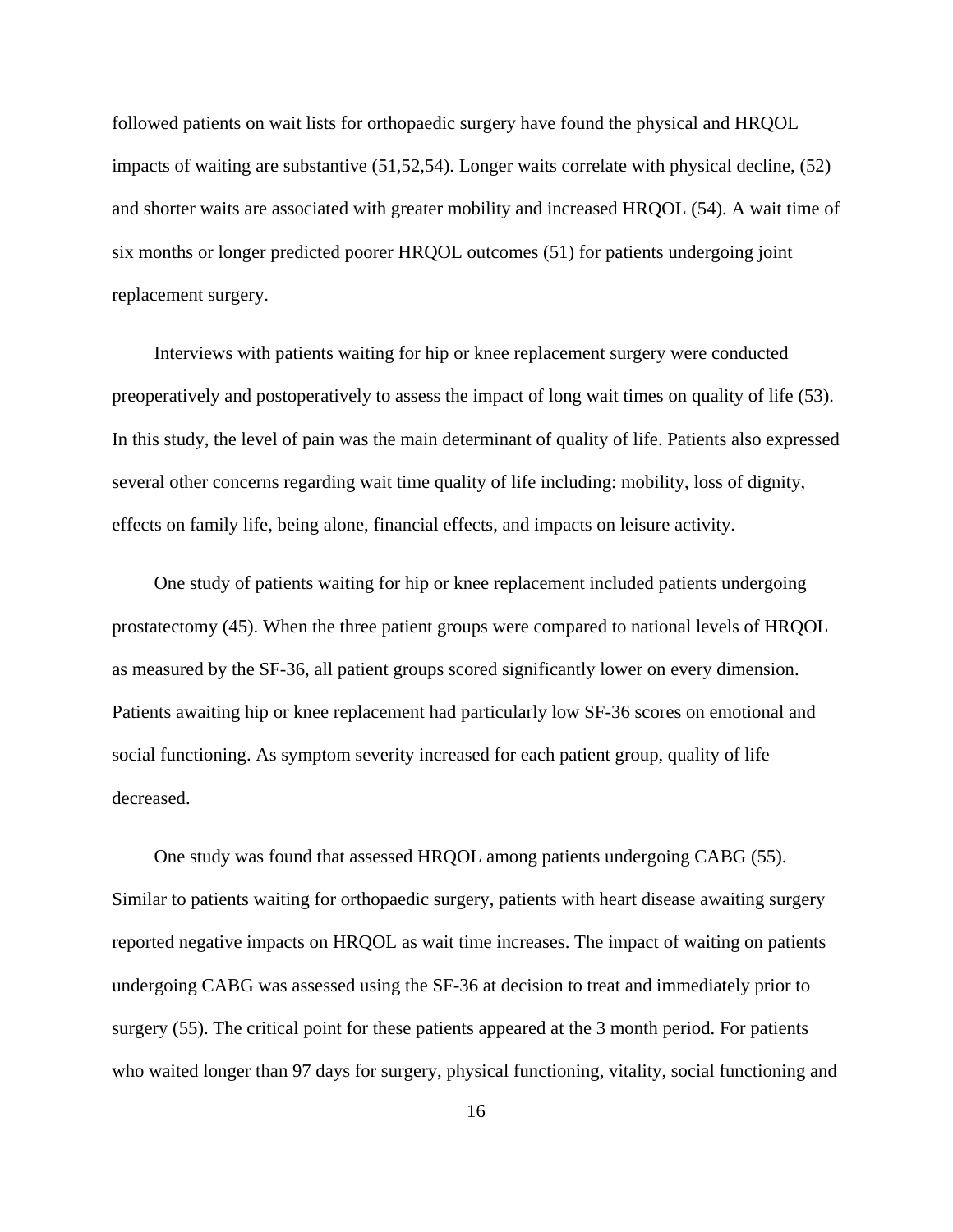followed patients on wait lists for orthopaedic surgery have found the physical and HRQOL impacts of waiting are substantive (51,52,54). Longer waits correlate with physical decline, (52) and shorter waits are associated with greater mobility and increased HRQOL (54). A wait time of six months or longer predicted poorer HRQOL outcomes (51) for patients undergoing joint replacement surgery.

Interviews with patients waiting for hip or knee replacement surgery were conducted preoperatively and postoperatively to assess the impact of long wait times on quality of life (53). In this study, the level of pain was the main determinant of quality of life. Patients also expressed several other concerns regarding wait time quality of life including: mobility, loss of dignity, effects on family life, being alone, financial effects, and impacts on leisure activity.

One study of patients waiting for hip or knee replacement included patients undergoing prostatectomy (45). When the three patient groups were compared to national levels of HRQOL as measured by the SF-36, all patient groups scored significantly lower on every dimension. Patients awaiting hip or knee replacement had particularly low SF-36 scores on emotional and social functioning. As symptom severity increased for each patient group, quality of life decreased.

One study was found that assessed HRQOL among patients undergoing CABG (55). Similar to patients waiting for orthopaedic surgery, patients with heart disease awaiting surgery reported negative impacts on HRQOL as wait time increases. The impact of waiting on patients undergoing CABG was assessed using the SF-36 at decision to treat and immediately prior to surgery (55). The critical point for these patients appeared at the 3 month period. For patients who waited longer than 97 days for surgery, physical functioning, vitality, social functioning and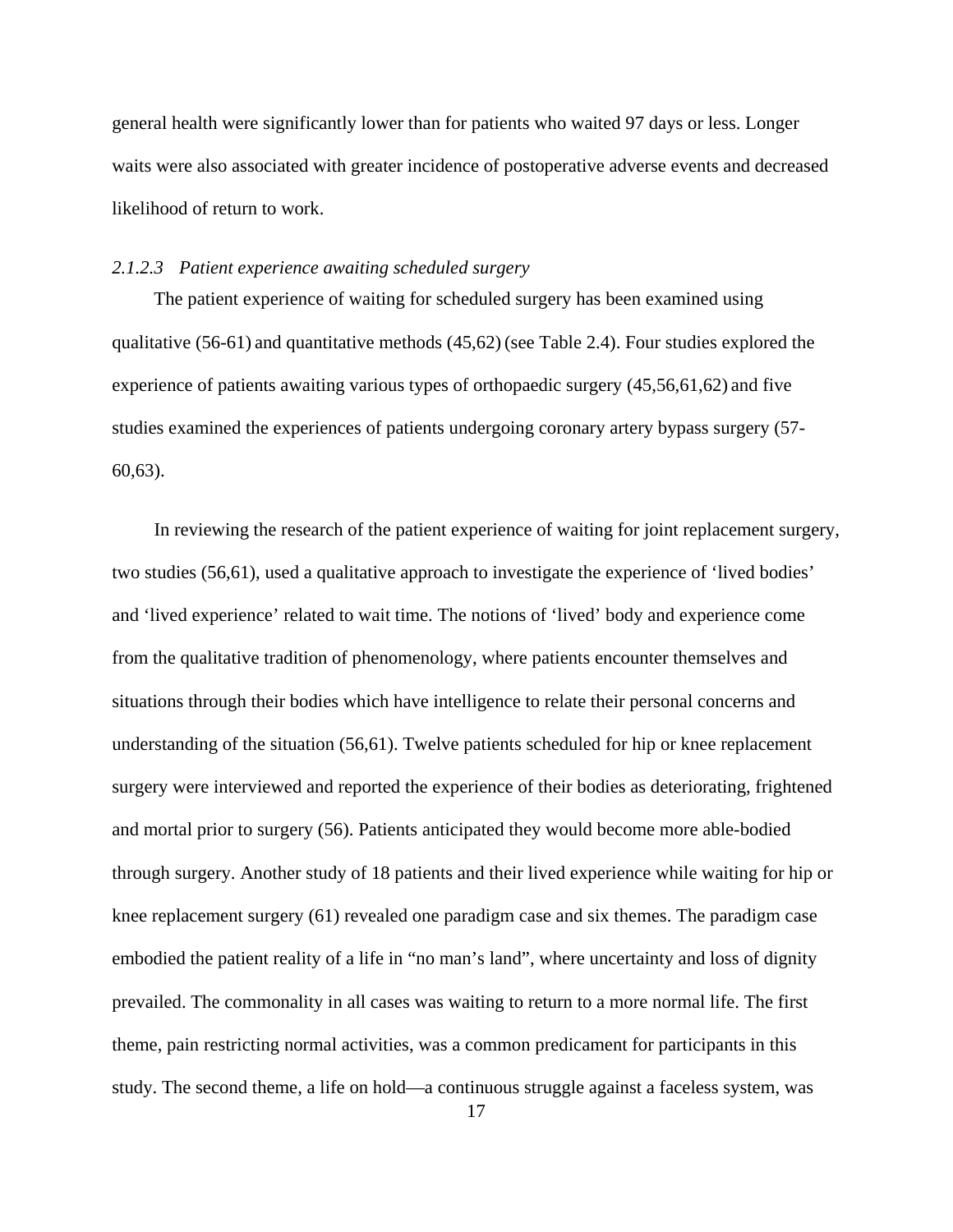general health were significantly lower than for patients who waited 97 days or less. Longer waits were also associated with greater incidence of postoperative adverse events and decreased likelihood of return to work.

#### *2.1.2.3 Patient experience awaiting scheduled surgery*

The patient experience of waiting for scheduled surgery has been examined using qualitative (56-61) and quantitative methods (45,62) (see Table 2.4). Four studies explored the experience of patients awaiting various types of orthopaedic surgery (45,56,61,62) and five studies examined the experiences of patients undergoing coronary artery bypass surgery (57- 60,63).

In reviewing the research of the patient experience of waiting for joint replacement surgery, two studies (56,61), used a qualitative approach to investigate the experience of 'lived bodies' and 'lived experience' related to wait time. The notions of 'lived' body and experience come from the qualitative tradition of phenomenology, where patients encounter themselves and situations through their bodies which have intelligence to relate their personal concerns and understanding of the situation (56,61). Twelve patients scheduled for hip or knee replacement surgery were interviewed and reported the experience of their bodies as deteriorating, frightened and mortal prior to surgery (56). Patients anticipated they would become more able-bodied through surgery. Another study of 18 patients and their lived experience while waiting for hip or knee replacement surgery (61) revealed one paradigm case and six themes. The paradigm case embodied the patient reality of a life in "no man's land", where uncertainty and loss of dignity prevailed. The commonality in all cases was waiting to return to a more normal life. The first theme, pain restricting normal activities, was a common predicament for participants in this study. The second theme, a life on hold—a continuous struggle against a faceless system, was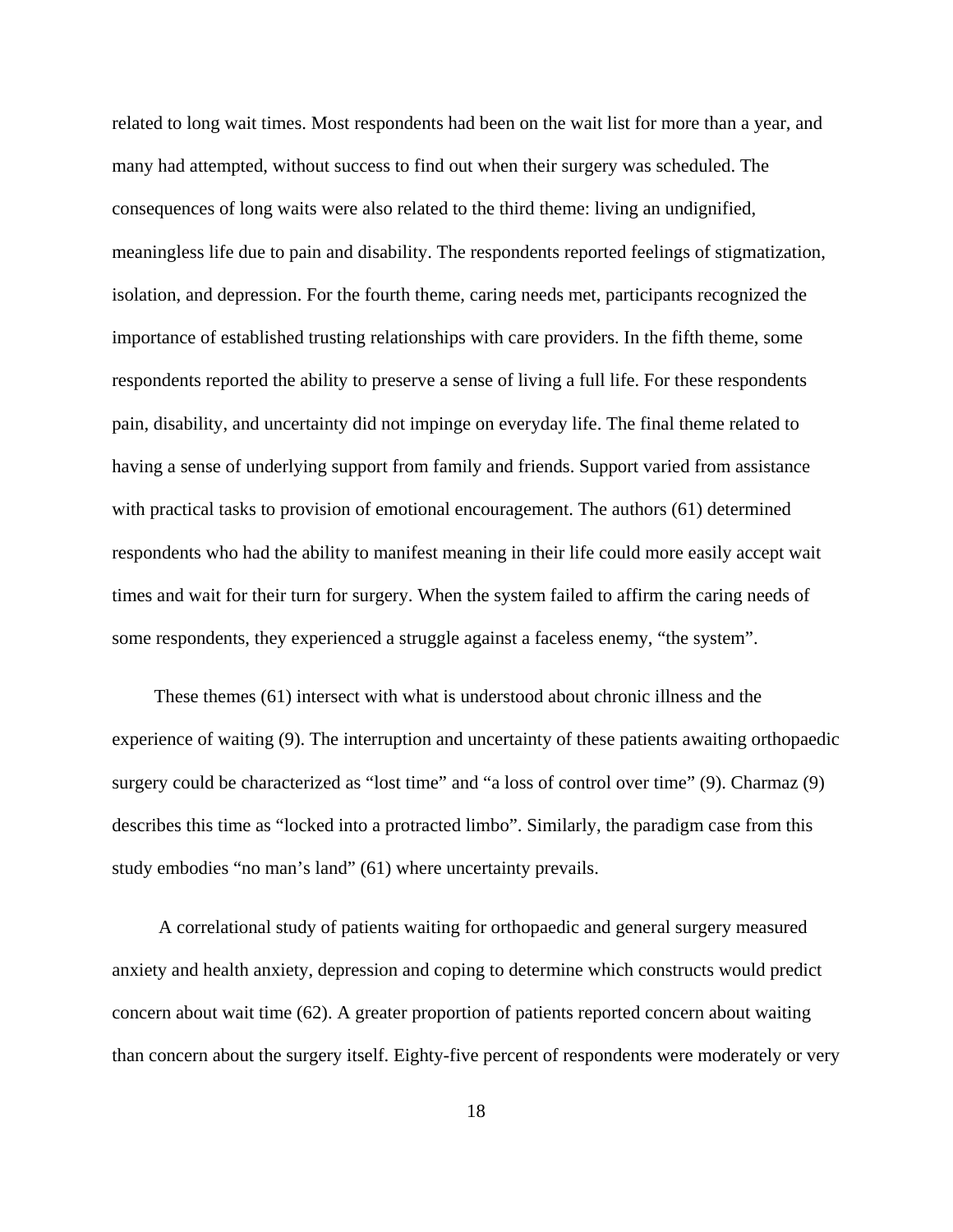related to long wait times. Most respondents had been on the wait list for more than a year, and many had attempted, without success to find out when their surgery was scheduled. The consequences of long waits were also related to the third theme: living an undignified, meaningless life due to pain and disability. The respondents reported feelings of stigmatization, isolation, and depression. For the fourth theme, caring needs met, participants recognized the importance of established trusting relationships with care providers. In the fifth theme, some respondents reported the ability to preserve a sense of living a full life. For these respondents pain, disability, and uncertainty did not impinge on everyday life. The final theme related to having a sense of underlying support from family and friends. Support varied from assistance with practical tasks to provision of emotional encouragement. The authors (61) determined respondents who had the ability to manifest meaning in their life could more easily accept wait times and wait for their turn for surgery. When the system failed to affirm the caring needs of some respondents, they experienced a struggle against a faceless enemy, "the system".

These themes (61) intersect with what is understood about chronic illness and the experience of waiting (9). The interruption and uncertainty of these patients awaiting orthopaedic surgery could be characterized as "lost time" and "a loss of control over time" (9). Charmaz (9) describes this time as "locked into a protracted limbo". Similarly, the paradigm case from this study embodies "no man's land" (61) where uncertainty prevails.

 A correlational study of patients waiting for orthopaedic and general surgery measured anxiety and health anxiety, depression and coping to determine which constructs would predict concern about wait time (62). A greater proportion of patients reported concern about waiting than concern about the surgery itself. Eighty-five percent of respondents were moderately or very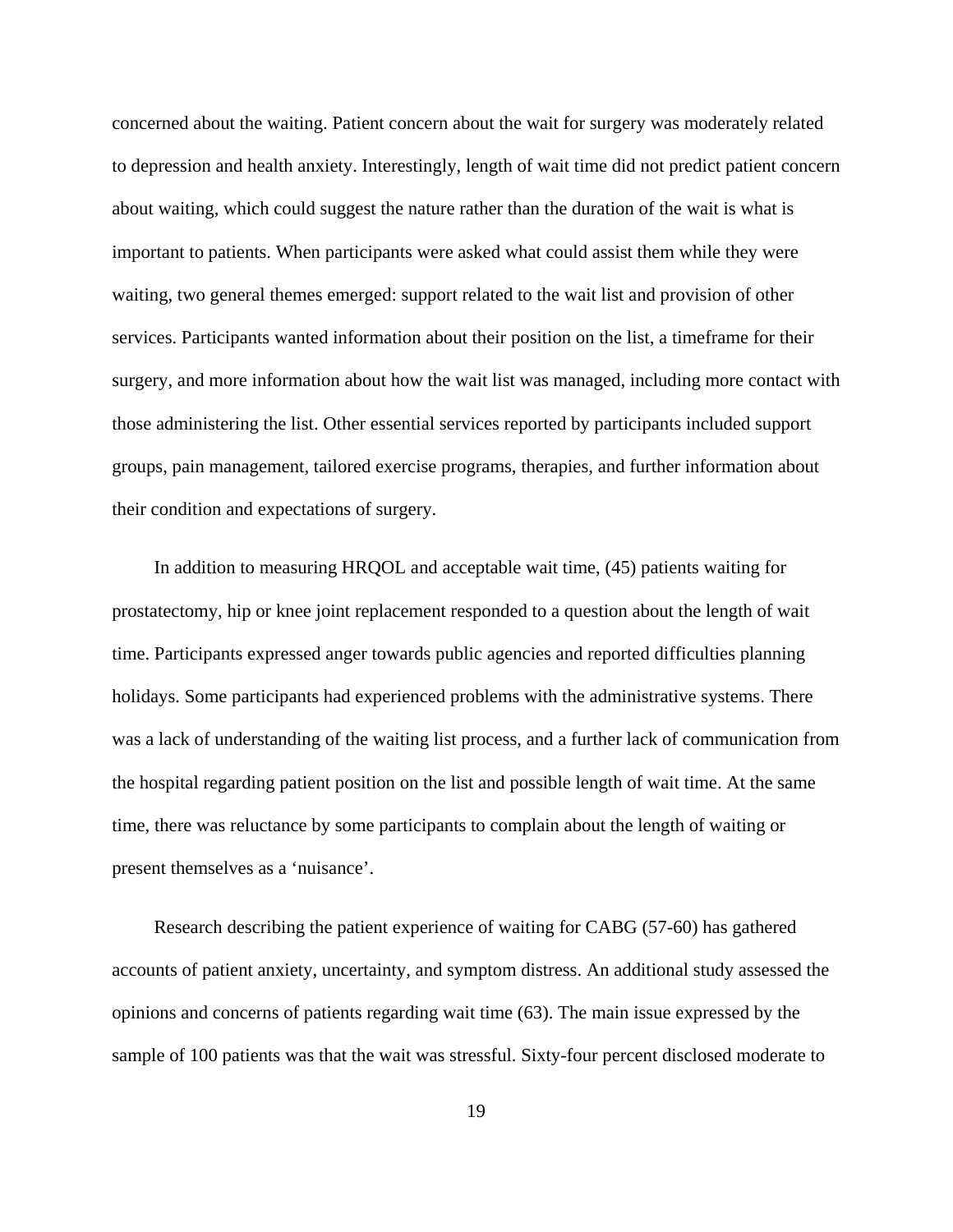concerned about the waiting. Patient concern about the wait for surgery was moderately related to depression and health anxiety. Interestingly, length of wait time did not predict patient concern about waiting, which could suggest the nature rather than the duration of the wait is what is important to patients. When participants were asked what could assist them while they were waiting, two general themes emerged: support related to the wait list and provision of other services. Participants wanted information about their position on the list, a timeframe for their surgery, and more information about how the wait list was managed, including more contact with those administering the list. Other essential services reported by participants included support groups, pain management, tailored exercise programs, therapies, and further information about their condition and expectations of surgery.

In addition to measuring HRQOL and acceptable wait time, (45) patients waiting for prostatectomy, hip or knee joint replacement responded to a question about the length of wait time. Participants expressed anger towards public agencies and reported difficulties planning holidays. Some participants had experienced problems with the administrative systems. There was a lack of understanding of the waiting list process, and a further lack of communication from the hospital regarding patient position on the list and possible length of wait time. At the same time, there was reluctance by some participants to complain about the length of waiting or present themselves as a 'nuisance'.

Research describing the patient experience of waiting for CABG (57-60) has gathered accounts of patient anxiety, uncertainty, and symptom distress. An additional study assessed the opinions and concerns of patients regarding wait time (63). The main issue expressed by the sample of 100 patients was that the wait was stressful. Sixty-four percent disclosed moderate to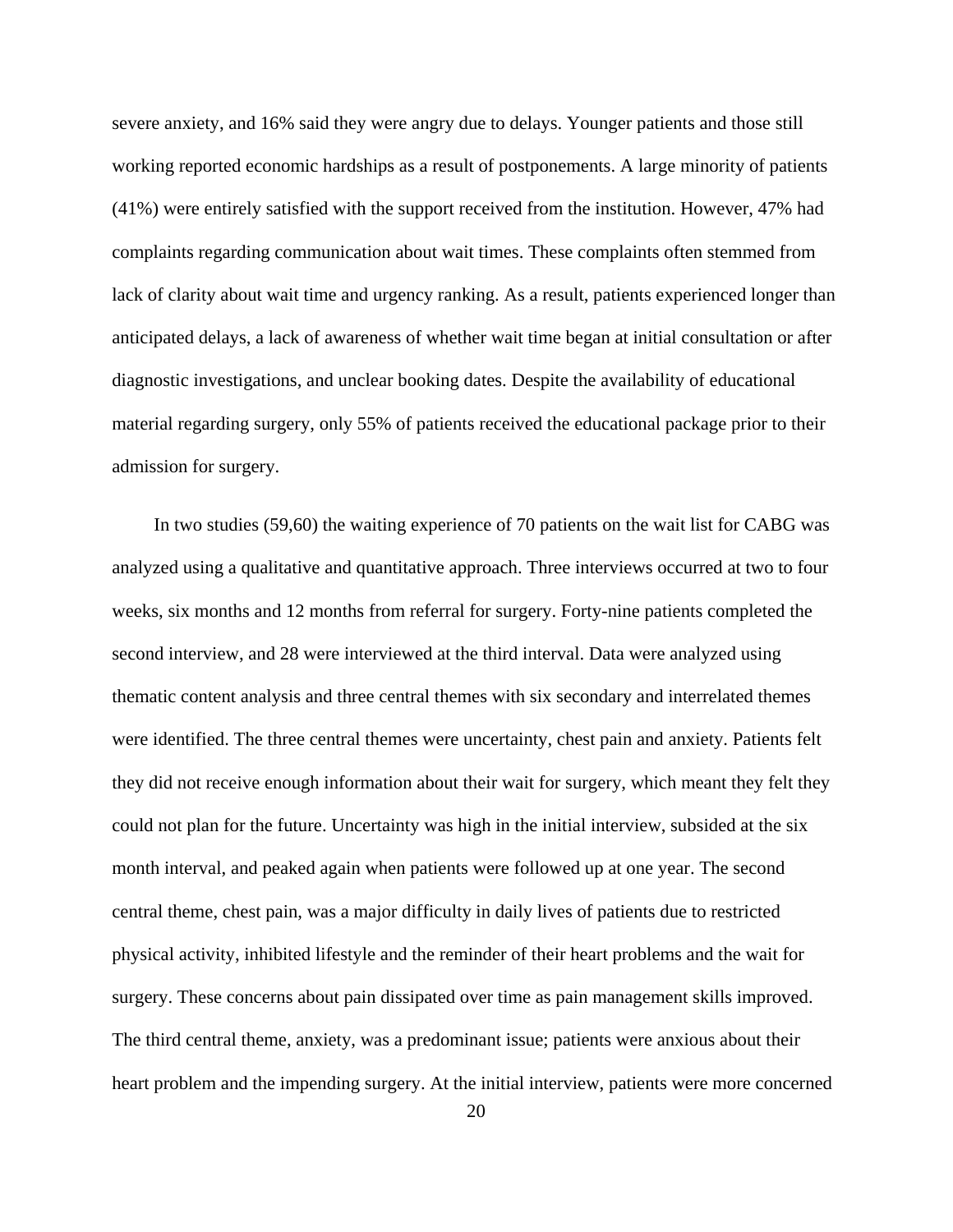severe anxiety, and 16% said they were angry due to delays. Younger patients and those still working reported economic hardships as a result of postponements. A large minority of patients (41%) were entirely satisfied with the support received from the institution. However, 47% had complaints regarding communication about wait times. These complaints often stemmed from lack of clarity about wait time and urgency ranking. As a result, patients experienced longer than anticipated delays, a lack of awareness of whether wait time began at initial consultation or after diagnostic investigations, and unclear booking dates. Despite the availability of educational material regarding surgery, only 55% of patients received the educational package prior to their admission for surgery.

In two studies (59,60) the waiting experience of 70 patients on the wait list for CABG was analyzed using a qualitative and quantitative approach. Three interviews occurred at two to four weeks, six months and 12 months from referral for surgery. Forty-nine patients completed the second interview, and 28 were interviewed at the third interval. Data were analyzed using thematic content analysis and three central themes with six secondary and interrelated themes were identified. The three central themes were uncertainty, chest pain and anxiety. Patients felt they did not receive enough information about their wait for surgery, which meant they felt they could not plan for the future. Uncertainty was high in the initial interview, subsided at the six month interval, and peaked again when patients were followed up at one year. The second central theme, chest pain, was a major difficulty in daily lives of patients due to restricted physical activity, inhibited lifestyle and the reminder of their heart problems and the wait for surgery. These concerns about pain dissipated over time as pain management skills improved. The third central theme, anxiety, was a predominant issue; patients were anxious about their heart problem and the impending surgery. At the initial interview, patients were more concerned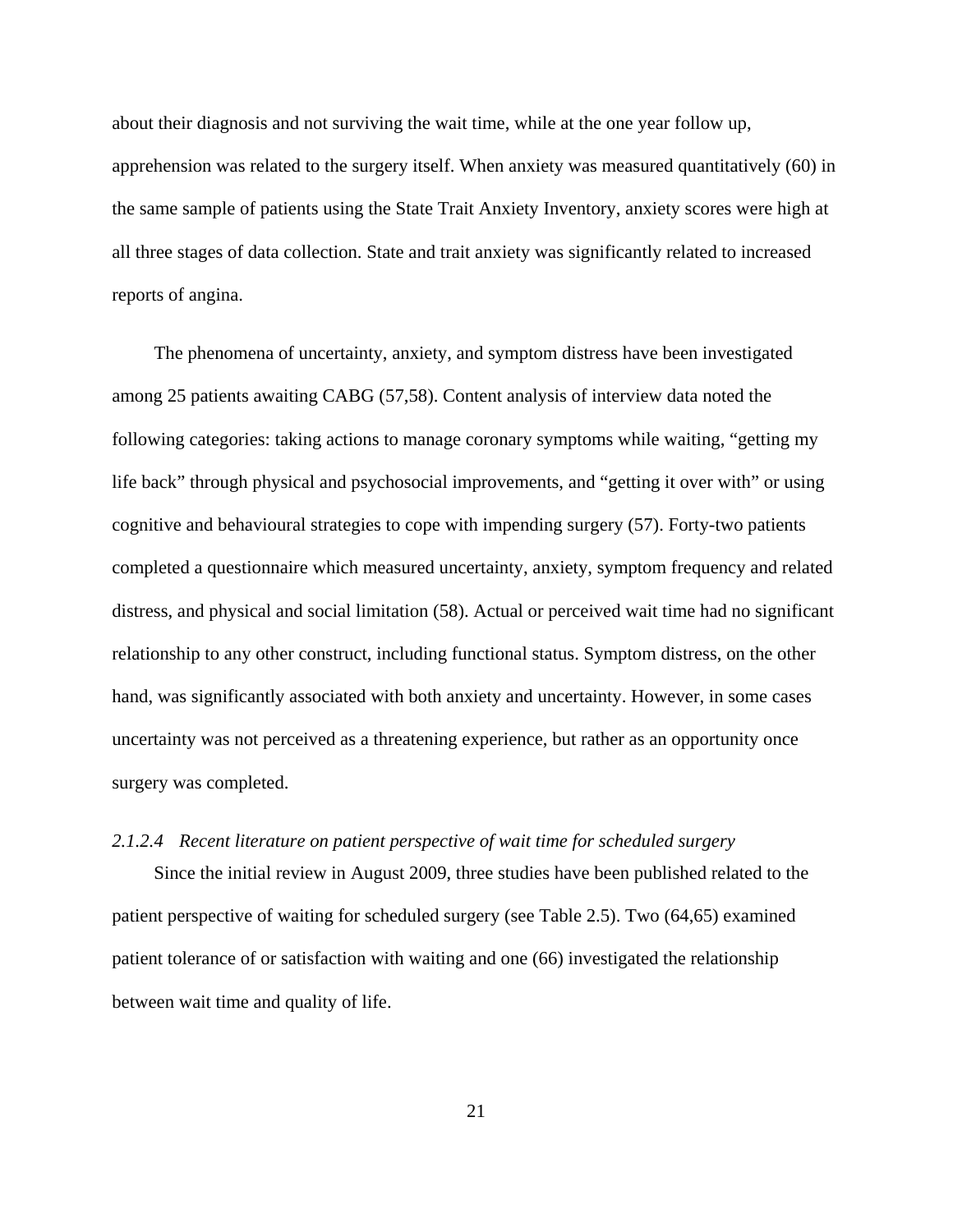about their diagnosis and not surviving the wait time, while at the one year follow up, apprehension was related to the surgery itself. When anxiety was measured quantitatively (60) in the same sample of patients using the State Trait Anxiety Inventory, anxiety scores were high at all three stages of data collection. State and trait anxiety was significantly related to increased reports of angina.

The phenomena of uncertainty, anxiety, and symptom distress have been investigated among 25 patients awaiting CABG (57,58). Content analysis of interview data noted the following categories: taking actions to manage coronary symptoms while waiting, "getting my life back" through physical and psychosocial improvements, and "getting it over with" or using cognitive and behavioural strategies to cope with impending surgery (57). Forty-two patients completed a questionnaire which measured uncertainty, anxiety, symptom frequency and related distress, and physical and social limitation (58). Actual or perceived wait time had no significant relationship to any other construct, including functional status. Symptom distress, on the other hand, was significantly associated with both anxiety and uncertainty. However, in some cases uncertainty was not perceived as a threatening experience, but rather as an opportunity once surgery was completed.

# *2.1.2.4 Recent literature on patient perspective of wait time for scheduled surgery*

Since the initial review in August 2009, three studies have been published related to the patient perspective of waiting for scheduled surgery (see Table 2.5). Two (64,65) examined patient tolerance of or satisfaction with waiting and one (66) investigated the relationship between wait time and quality of life.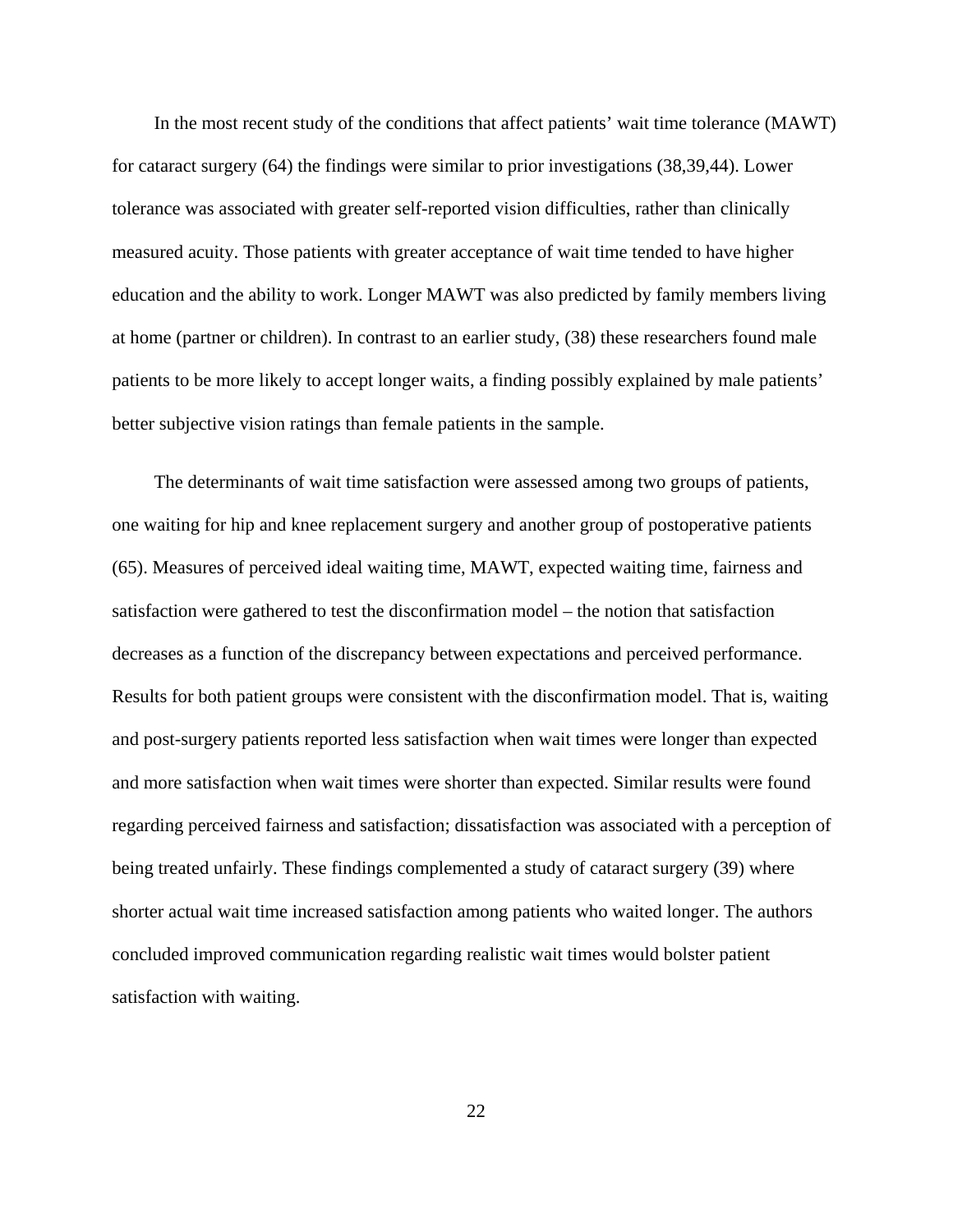In the most recent study of the conditions that affect patients' wait time tolerance (MAWT) for cataract surgery (64) the findings were similar to prior investigations (38,39,44). Lower tolerance was associated with greater self-reported vision difficulties, rather than clinically measured acuity. Those patients with greater acceptance of wait time tended to have higher education and the ability to work. Longer MAWT was also predicted by family members living at home (partner or children). In contrast to an earlier study, (38) these researchers found male patients to be more likely to accept longer waits, a finding possibly explained by male patients' better subjective vision ratings than female patients in the sample.

The determinants of wait time satisfaction were assessed among two groups of patients, one waiting for hip and knee replacement surgery and another group of postoperative patients (65). Measures of perceived ideal waiting time, MAWT, expected waiting time, fairness and satisfaction were gathered to test the disconfirmation model – the notion that satisfaction decreases as a function of the discrepancy between expectations and perceived performance. Results for both patient groups were consistent with the disconfirmation model. That is, waiting and post-surgery patients reported less satisfaction when wait times were longer than expected and more satisfaction when wait times were shorter than expected. Similar results were found regarding perceived fairness and satisfaction; dissatisfaction was associated with a perception of being treated unfairly. These findings complemented a study of cataract surgery (39) where shorter actual wait time increased satisfaction among patients who waited longer. The authors concluded improved communication regarding realistic wait times would bolster patient satisfaction with waiting.

22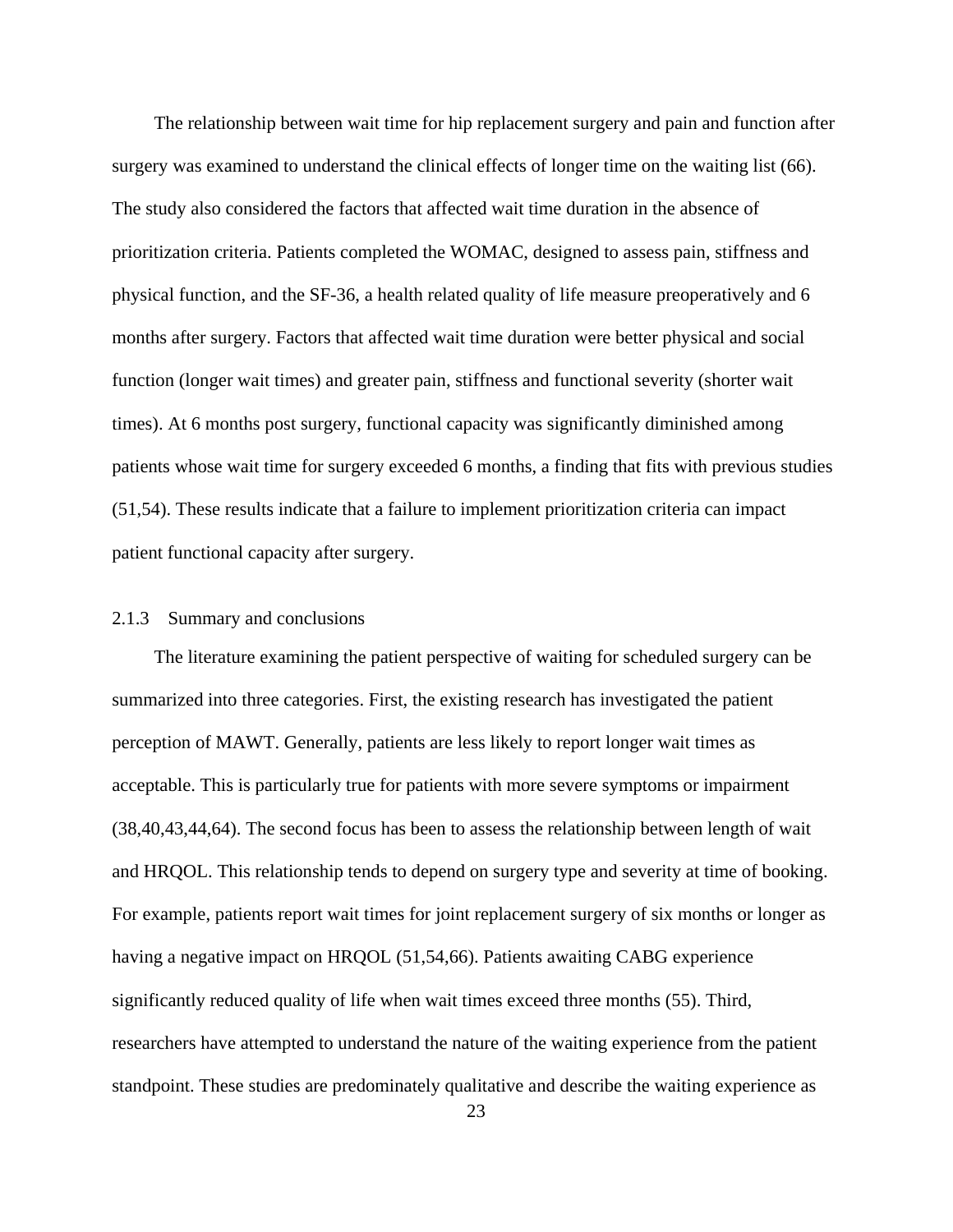The relationship between wait time for hip replacement surgery and pain and function after surgery was examined to understand the clinical effects of longer time on the waiting list (66). The study also considered the factors that affected wait time duration in the absence of prioritization criteria. Patients completed the WOMAC, designed to assess pain, stiffness and physical function, and the SF-36, a health related quality of life measure preoperatively and 6 months after surgery. Factors that affected wait time duration were better physical and social function (longer wait times) and greater pain, stiffness and functional severity (shorter wait times). At 6 months post surgery, functional capacity was significantly diminished among patients whose wait time for surgery exceeded 6 months, a finding that fits with previous studies (51,54). These results indicate that a failure to implement prioritization criteria can impact patient functional capacity after surgery.

#### 2.1.3 Summary and conclusions

The literature examining the patient perspective of waiting for scheduled surgery can be summarized into three categories. First, the existing research has investigated the patient perception of MAWT. Generally, patients are less likely to report longer wait times as acceptable. This is particularly true for patients with more severe symptoms or impairment (38,40,43,44,64). The second focus has been to assess the relationship between length of wait and HRQOL. This relationship tends to depend on surgery type and severity at time of booking. For example, patients report wait times for joint replacement surgery of six months or longer as having a negative impact on HRQOL (51,54,66). Patients awaiting CABG experience significantly reduced quality of life when wait times exceed three months (55). Third, researchers have attempted to understand the nature of the waiting experience from the patient standpoint. These studies are predominately qualitative and describe the waiting experience as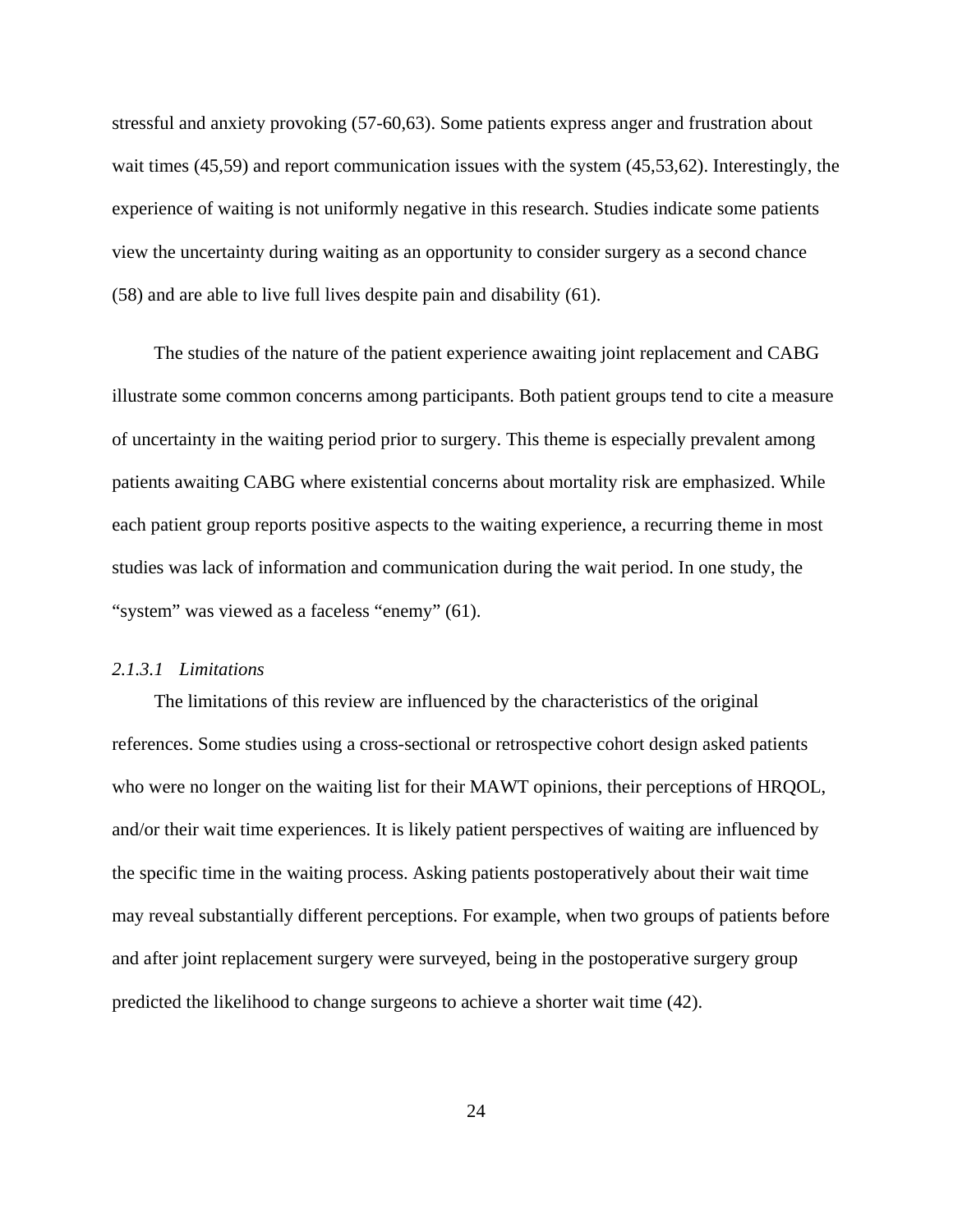stressful and anxiety provoking (57-60,63). Some patients express anger and frustration about wait times (45,59) and report communication issues with the system (45,53,62). Interestingly, the experience of waiting is not uniformly negative in this research. Studies indicate some patients view the uncertainty during waiting as an opportunity to consider surgery as a second chance (58) and are able to live full lives despite pain and disability (61).

The studies of the nature of the patient experience awaiting joint replacement and CABG illustrate some common concerns among participants. Both patient groups tend to cite a measure of uncertainty in the waiting period prior to surgery. This theme is especially prevalent among patients awaiting CABG where existential concerns about mortality risk are emphasized. While each patient group reports positive aspects to the waiting experience, a recurring theme in most studies was lack of information and communication during the wait period. In one study, the "system" was viewed as a faceless "enemy" (61).

# *2.1.3.1 Limitations*

The limitations of this review are influenced by the characteristics of the original references. Some studies using a cross-sectional or retrospective cohort design asked patients who were no longer on the waiting list for their MAWT opinions, their perceptions of HRQOL, and/or their wait time experiences. It is likely patient perspectives of waiting are influenced by the specific time in the waiting process. Asking patients postoperatively about their wait time may reveal substantially different perceptions. For example, when two groups of patients before and after joint replacement surgery were surveyed, being in the postoperative surgery group predicted the likelihood to change surgeons to achieve a shorter wait time (42).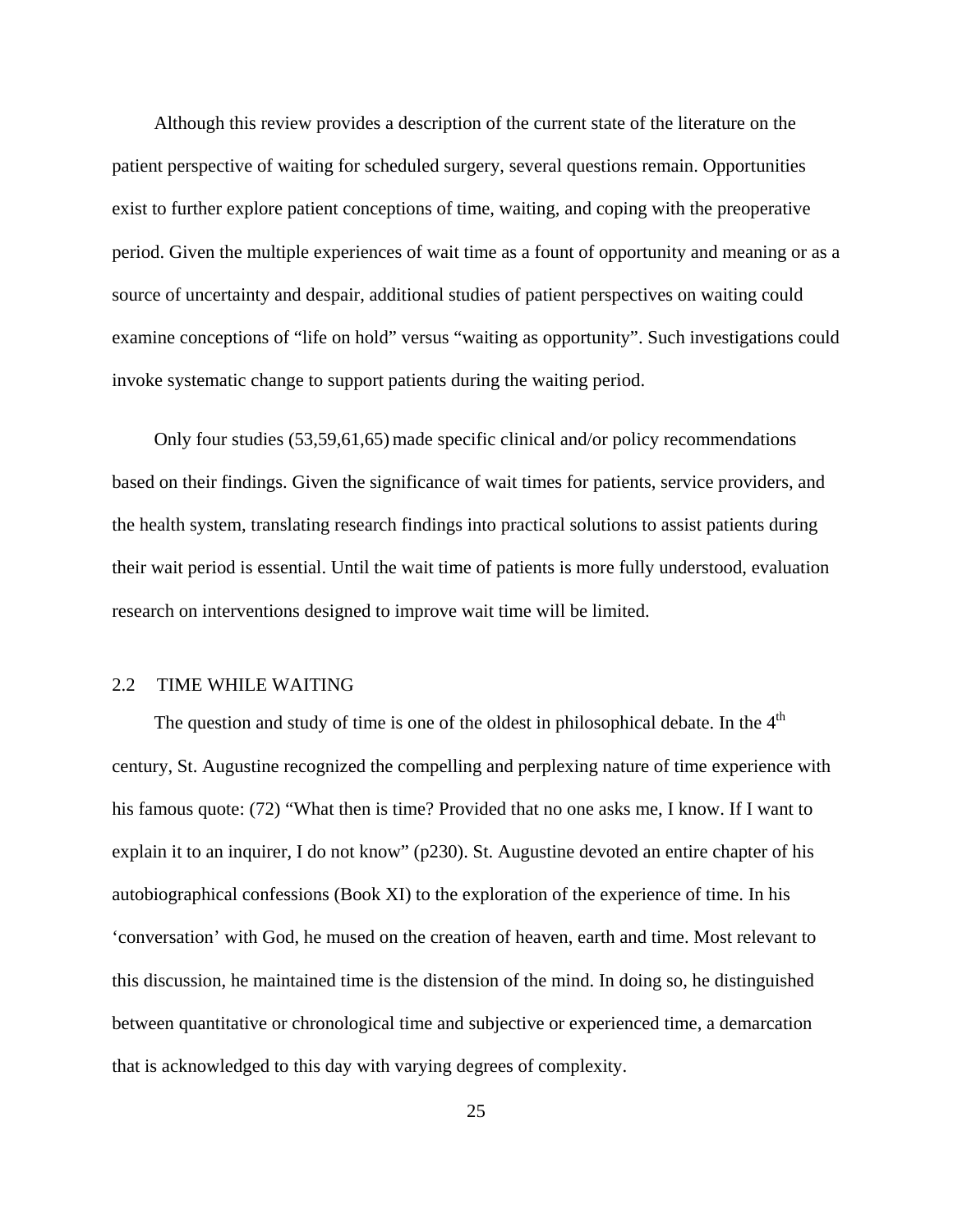Although this review provides a description of the current state of the literature on the patient perspective of waiting for scheduled surgery, several questions remain. Opportunities exist to further explore patient conceptions of time, waiting, and coping with the preoperative period. Given the multiple experiences of wait time as a fount of opportunity and meaning or as a source of uncertainty and despair, additional studies of patient perspectives on waiting could examine conceptions of "life on hold" versus "waiting as opportunity". Such investigations could invoke systematic change to support patients during the waiting period.

Only four studies (53,59,61,65) made specific clinical and/or policy recommendations based on their findings. Given the significance of wait times for patients, service providers, and the health system, translating research findings into practical solutions to assist patients during their wait period is essential. Until the wait time of patients is more fully understood, evaluation research on interventions designed to improve wait time will be limited.

## 2.2 TIME WHILE WAITING

The question and study of time is one of the oldest in philosophical debate. In the  $4<sup>th</sup>$ century, St. Augustine recognized the compelling and perplexing nature of time experience with his famous quote: (72) "What then is time? Provided that no one asks me, I know. If I want to explain it to an inquirer, I do not know" (p230). St. Augustine devoted an entire chapter of his autobiographical confessions (Book XI) to the exploration of the experience of time. In his 'conversation' with God, he mused on the creation of heaven, earth and time. Most relevant to this discussion, he maintained time is the distension of the mind. In doing so, he distinguished between quantitative or chronological time and subjective or experienced time, a demarcation that is acknowledged to this day with varying degrees of complexity.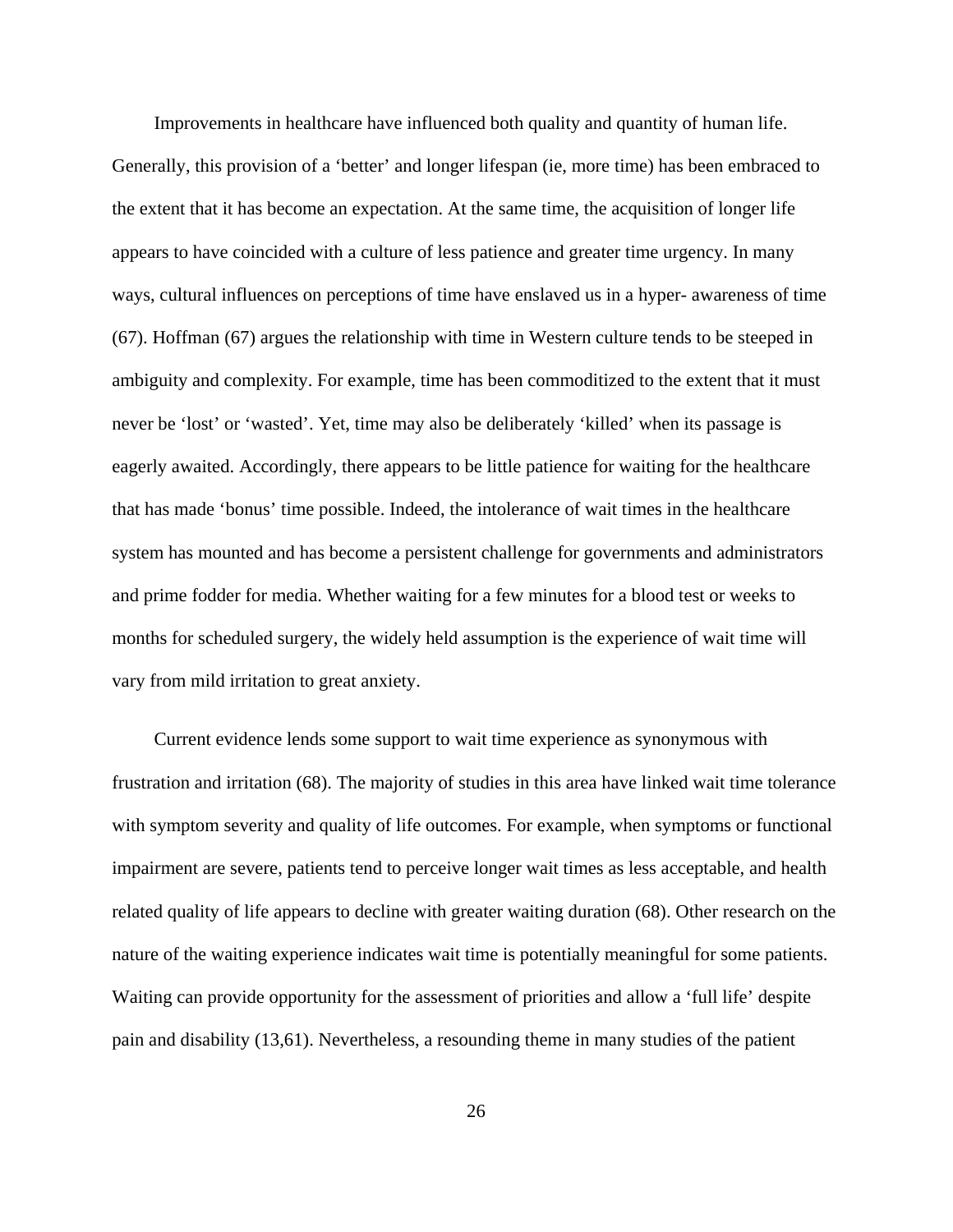Improvements in healthcare have influenced both quality and quantity of human life. Generally, this provision of a 'better' and longer lifespan (ie, more time) has been embraced to the extent that it has become an expectation. At the same time, the acquisition of longer life appears to have coincided with a culture of less patience and greater time urgency. In many ways, cultural influences on perceptions of time have enslaved us in a hyper- awareness of time (67). Hoffman (67) argues the relationship with time in Western culture tends to be steeped in ambiguity and complexity. For example, time has been commoditized to the extent that it must never be 'lost' or 'wasted'. Yet, time may also be deliberately 'killed' when its passage is eagerly awaited. Accordingly, there appears to be little patience for waiting for the healthcare that has made 'bonus' time possible. Indeed, the intolerance of wait times in the healthcare system has mounted and has become a persistent challenge for governments and administrators and prime fodder for media. Whether waiting for a few minutes for a blood test or weeks to months for scheduled surgery, the widely held assumption is the experience of wait time will vary from mild irritation to great anxiety.

Current evidence lends some support to wait time experience as synonymous with frustration and irritation (68). The majority of studies in this area have linked wait time tolerance with symptom severity and quality of life outcomes. For example, when symptoms or functional impairment are severe, patients tend to perceive longer wait times as less acceptable, and health related quality of life appears to decline with greater waiting duration (68). Other research on the nature of the waiting experience indicates wait time is potentially meaningful for some patients. Waiting can provide opportunity for the assessment of priorities and allow a 'full life' despite pain and disability (13,61). Nevertheless, a resounding theme in many studies of the patient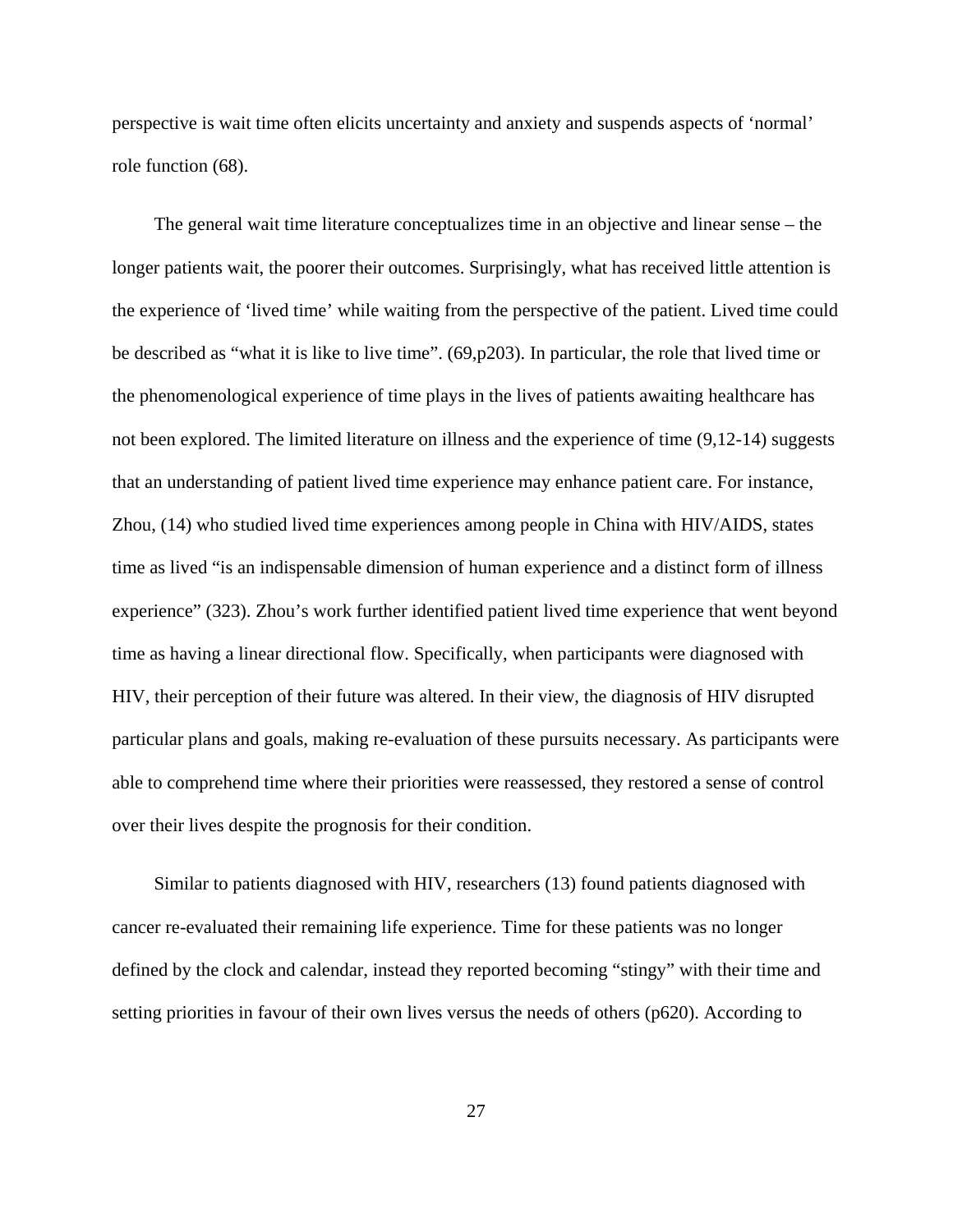perspective is wait time often elicits uncertainty and anxiety and suspends aspects of 'normal' role function (68).

The general wait time literature conceptualizes time in an objective and linear sense – the longer patients wait, the poorer their outcomes. Surprisingly, what has received little attention is the experience of 'lived time' while waiting from the perspective of the patient. Lived time could be described as "what it is like to live time". (69,p203). In particular, the role that lived time or the phenomenological experience of time plays in the lives of patients awaiting healthcare has not been explored. The limited literature on illness and the experience of time (9,12-14) suggests that an understanding of patient lived time experience may enhance patient care. For instance, Zhou, (14) who studied lived time experiences among people in China with HIV/AIDS, states time as lived "is an indispensable dimension of human experience and a distinct form of illness experience" (323). Zhou's work further identified patient lived time experience that went beyond time as having a linear directional flow. Specifically, when participants were diagnosed with HIV, their perception of their future was altered. In their view, the diagnosis of HIV disrupted particular plans and goals, making re-evaluation of these pursuits necessary. As participants were able to comprehend time where their priorities were reassessed, they restored a sense of control over their lives despite the prognosis for their condition.

Similar to patients diagnosed with HIV, researchers (13) found patients diagnosed with cancer re-evaluated their remaining life experience. Time for these patients was no longer defined by the clock and calendar, instead they reported becoming "stingy" with their time and setting priorities in favour of their own lives versus the needs of others (p620). According to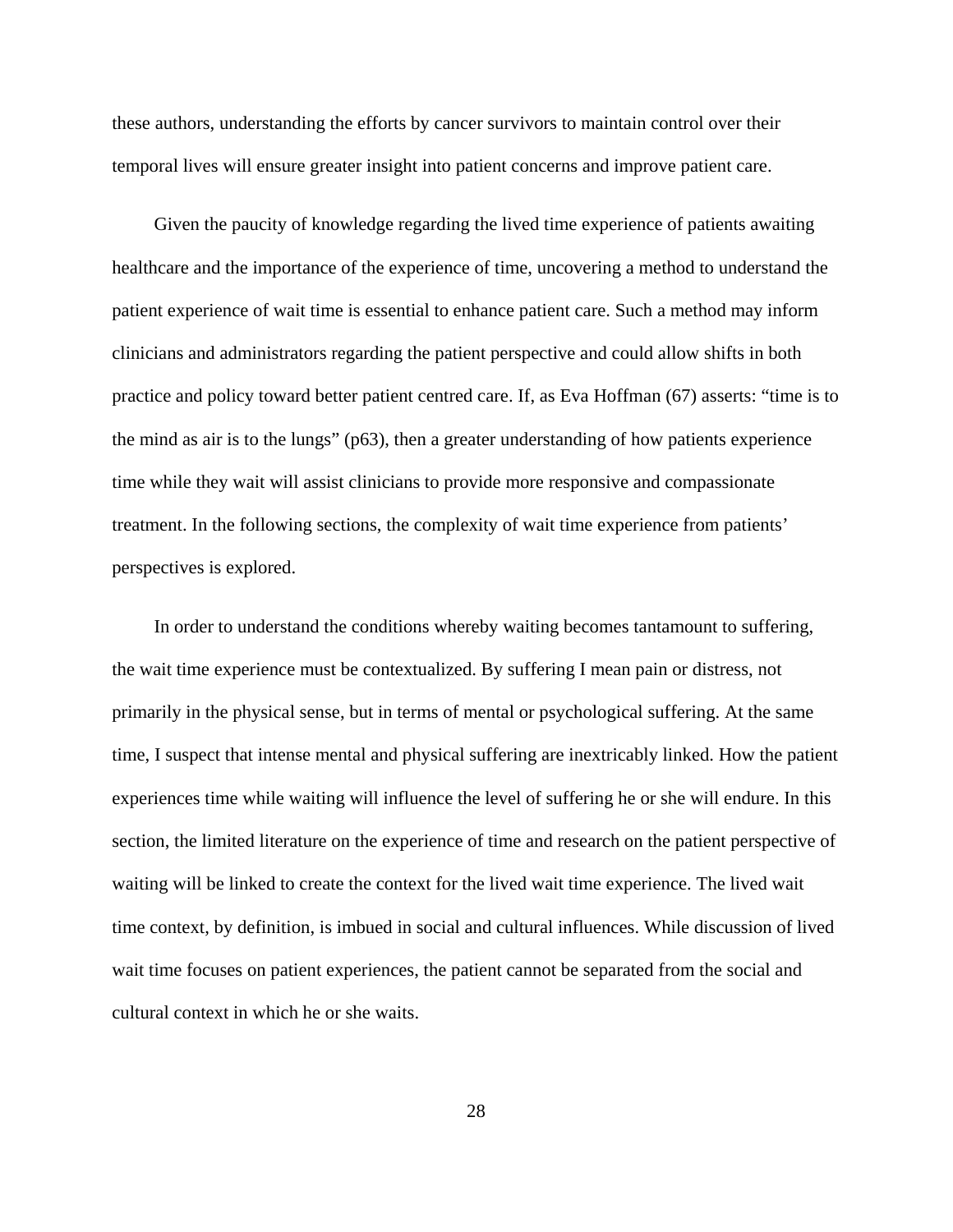these authors, understanding the efforts by cancer survivors to maintain control over their temporal lives will ensure greater insight into patient concerns and improve patient care.

Given the paucity of knowledge regarding the lived time experience of patients awaiting healthcare and the importance of the experience of time, uncovering a method to understand the patient experience of wait time is essential to enhance patient care. Such a method may inform clinicians and administrators regarding the patient perspective and could allow shifts in both practice and policy toward better patient centred care. If, as Eva Hoffman (67) asserts: "time is to the mind as air is to the lungs" (p63), then a greater understanding of how patients experience time while they wait will assist clinicians to provide more responsive and compassionate treatment. In the following sections, the complexity of wait time experience from patients' perspectives is explored.

In order to understand the conditions whereby waiting becomes tantamount to suffering, the wait time experience must be contextualized. By suffering I mean pain or distress, not primarily in the physical sense, but in terms of mental or psychological suffering. At the same time, I suspect that intense mental and physical suffering are inextricably linked. How the patient experiences time while waiting will influence the level of suffering he or she will endure. In this section, the limited literature on the experience of time and research on the patient perspective of waiting will be linked to create the context for the lived wait time experience. The lived wait time context, by definition, is imbued in social and cultural influences. While discussion of lived wait time focuses on patient experiences, the patient cannot be separated from the social and cultural context in which he or she waits.

28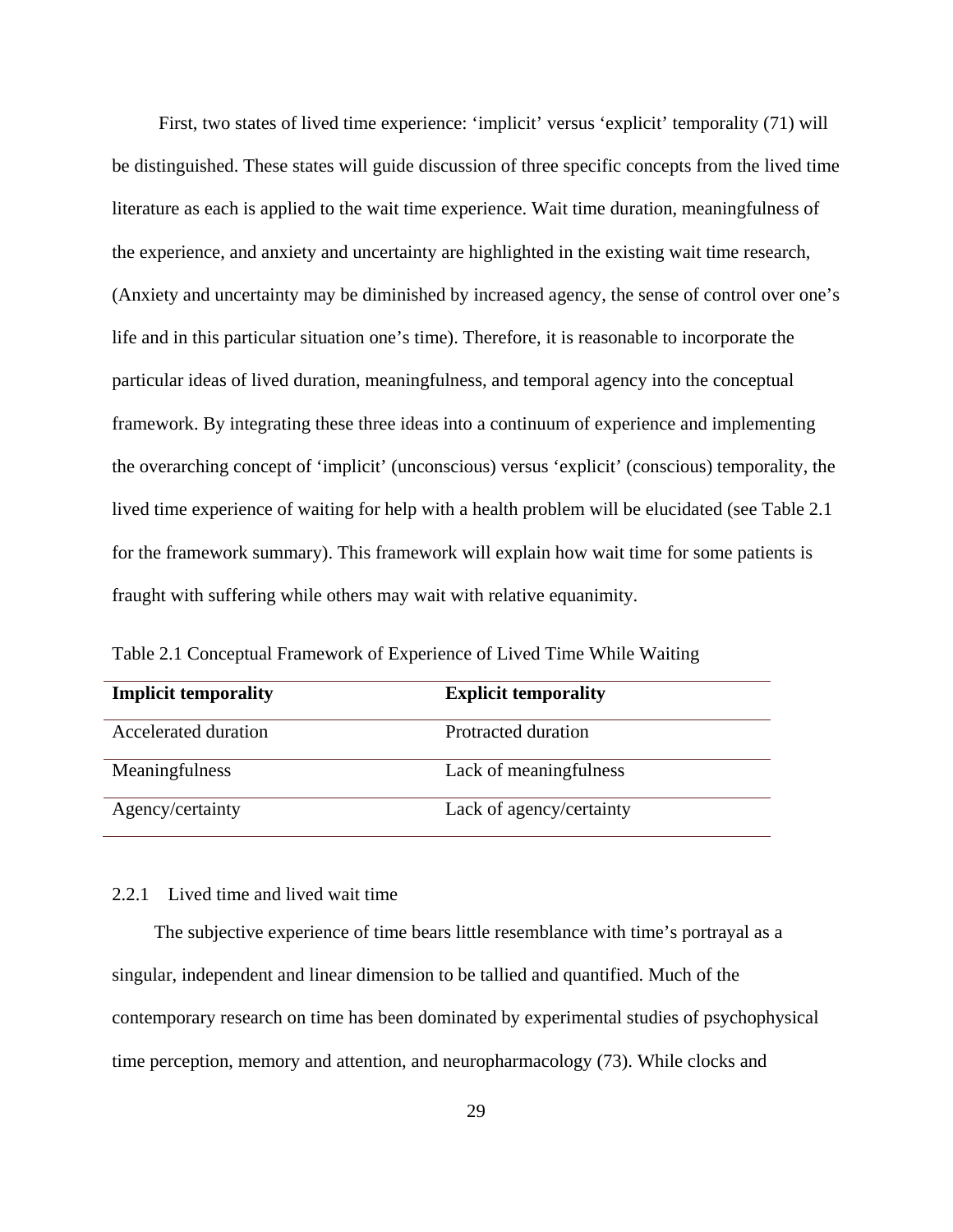First, two states of lived time experience: 'implicit' versus 'explicit' temporality (71) will be distinguished. These states will guide discussion of three specific concepts from the lived time literature as each is applied to the wait time experience. Wait time duration, meaningfulness of the experience, and anxiety and uncertainty are highlighted in the existing wait time research, (Anxiety and uncertainty may be diminished by increased agency, the sense of control over one's life and in this particular situation one's time). Therefore, it is reasonable to incorporate the particular ideas of lived duration, meaningfulness, and temporal agency into the conceptual framework. By integrating these three ideas into a continuum of experience and implementing the overarching concept of 'implicit' (unconscious) versus 'explicit' (conscious) temporality, the lived time experience of waiting for help with a health problem will be elucidated (see Table 2.1 for the framework summary). This framework will explain how wait time for some patients is fraught with suffering while others may wait with relative equanimity.

| <b>Implicit temporality</b> | <b>Explicit temporality</b> |
|-----------------------------|-----------------------------|
| Accelerated duration        | Protracted duration         |
| Meaningfulness              | Lack of meaningfulness      |
| Agency/certainty            | Lack of agency/certainty    |

Table 2.1 Conceptual Framework of Experience of Lived Time While Waiting

# 2.2.1 Lived time and lived wait time

The subjective experience of time bears little resemblance with time's portrayal as a singular, independent and linear dimension to be tallied and quantified. Much of the contemporary research on time has been dominated by experimental studies of psychophysical time perception, memory and attention, and neuropharmacology (73). While clocks and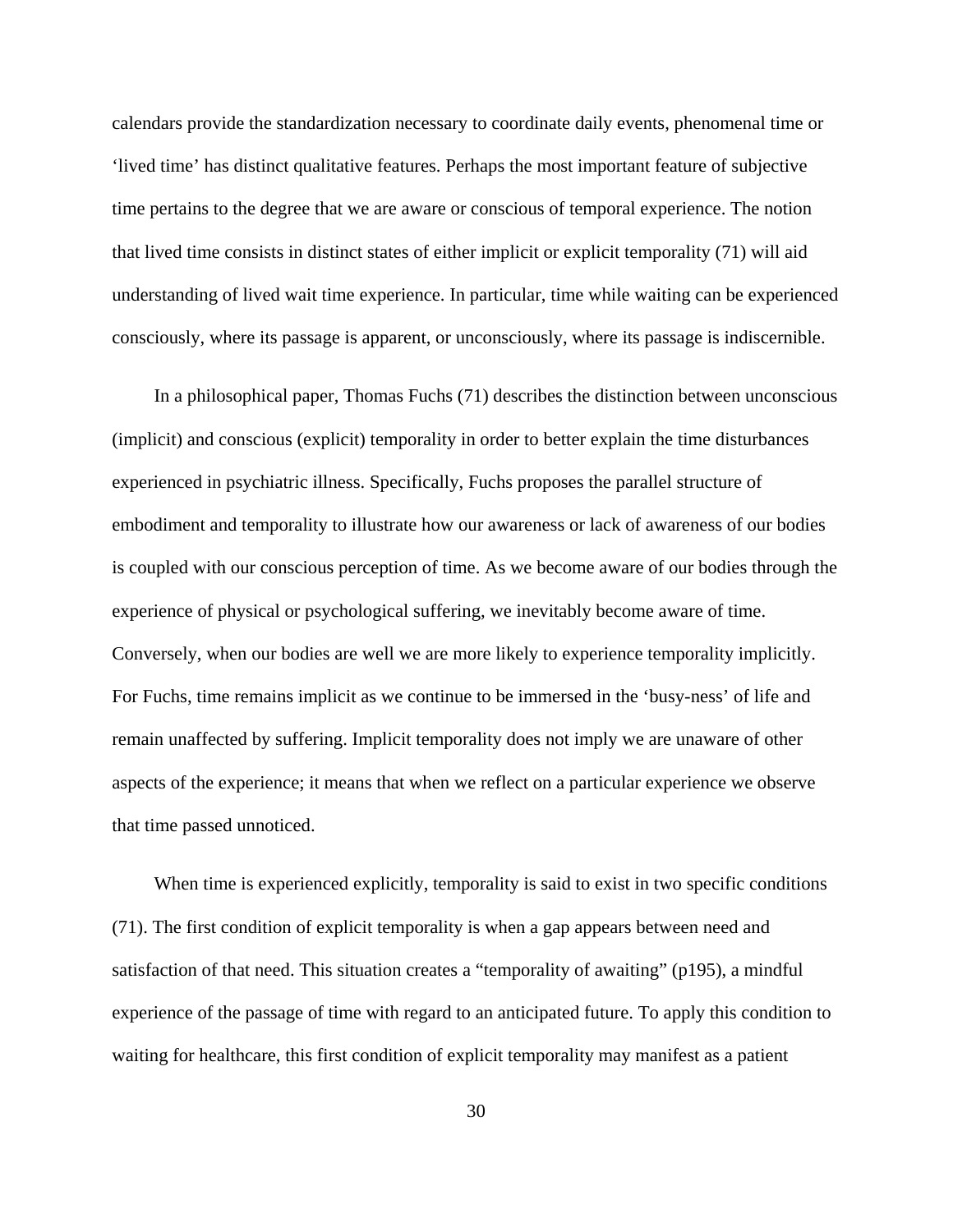calendars provide the standardization necessary to coordinate daily events, phenomenal time or 'lived time' has distinct qualitative features. Perhaps the most important feature of subjective time pertains to the degree that we are aware or conscious of temporal experience. The notion that lived time consists in distinct states of either implicit or explicit temporality (71) will aid understanding of lived wait time experience. In particular, time while waiting can be experienced consciously, where its passage is apparent, or unconsciously, where its passage is indiscernible.

In a philosophical paper, Thomas Fuchs (71) describes the distinction between unconscious (implicit) and conscious (explicit) temporality in order to better explain the time disturbances experienced in psychiatric illness. Specifically, Fuchs proposes the parallel structure of embodiment and temporality to illustrate how our awareness or lack of awareness of our bodies is coupled with our conscious perception of time. As we become aware of our bodies through the experience of physical or psychological suffering, we inevitably become aware of time. Conversely, when our bodies are well we are more likely to experience temporality implicitly. For Fuchs, time remains implicit as we continue to be immersed in the 'busy-ness' of life and remain unaffected by suffering. Implicit temporality does not imply we are unaware of other aspects of the experience; it means that when we reflect on a particular experience we observe that time passed unnoticed.

When time is experienced explicitly, temporality is said to exist in two specific conditions (71). The first condition of explicit temporality is when a gap appears between need and satisfaction of that need. This situation creates a "temporality of awaiting" (p195), a mindful experience of the passage of time with regard to an anticipated future. To apply this condition to waiting for healthcare, this first condition of explicit temporality may manifest as a patient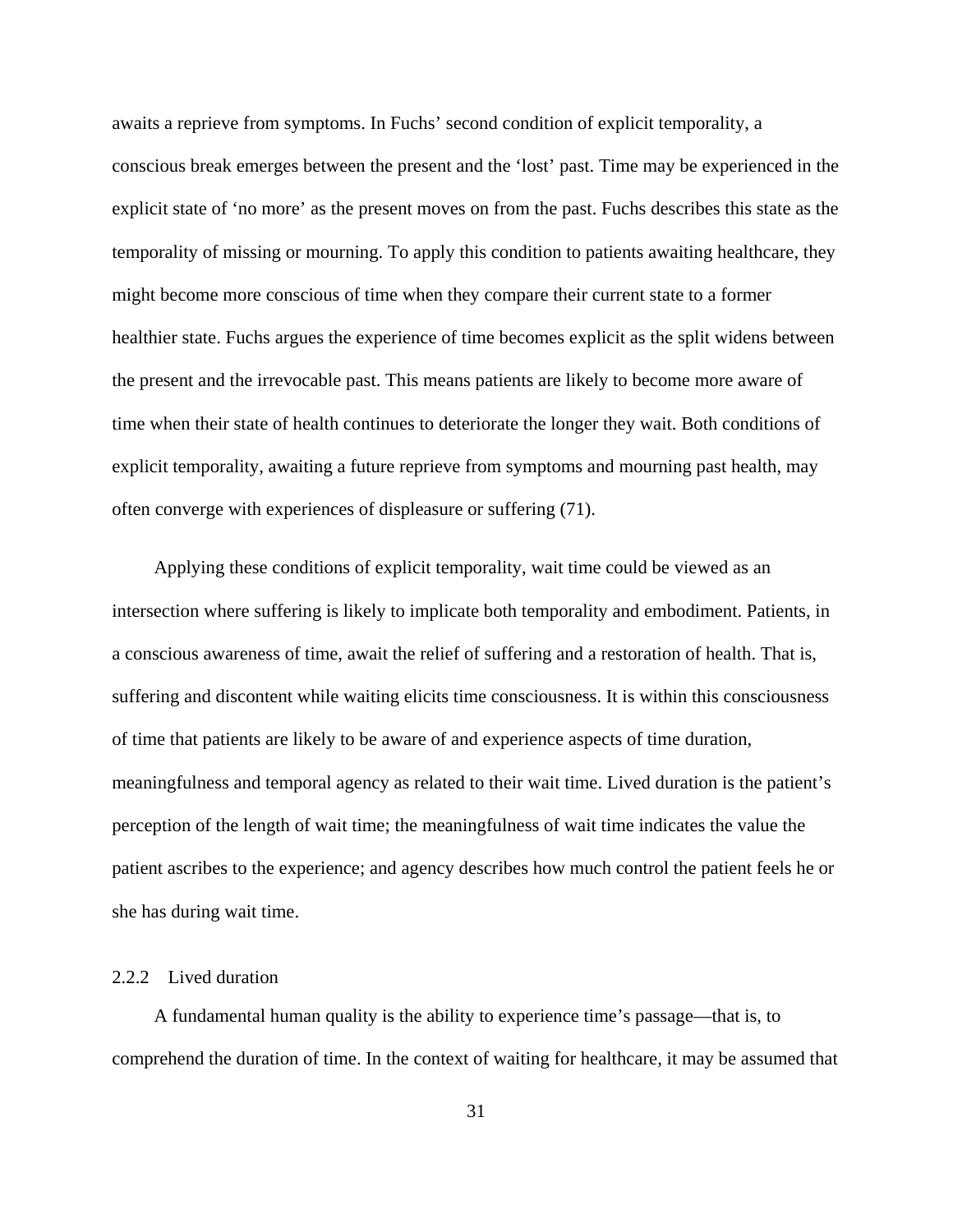awaits a reprieve from symptoms. In Fuchs' second condition of explicit temporality, a conscious break emerges between the present and the 'lost' past. Time may be experienced in the explicit state of 'no more' as the present moves on from the past. Fuchs describes this state as the temporality of missing or mourning. To apply this condition to patients awaiting healthcare, they might become more conscious of time when they compare their current state to a former healthier state. Fuchs argues the experience of time becomes explicit as the split widens between the present and the irrevocable past. This means patients are likely to become more aware of time when their state of health continues to deteriorate the longer they wait. Both conditions of explicit temporality, awaiting a future reprieve from symptoms and mourning past health, may often converge with experiences of displeasure or suffering (71).

Applying these conditions of explicit temporality, wait time could be viewed as an intersection where suffering is likely to implicate both temporality and embodiment. Patients, in a conscious awareness of time, await the relief of suffering and a restoration of health. That is, suffering and discontent while waiting elicits time consciousness. It is within this consciousness of time that patients are likely to be aware of and experience aspects of time duration, meaningfulness and temporal agency as related to their wait time. Lived duration is the patient's perception of the length of wait time; the meaningfulness of wait time indicates the value the patient ascribes to the experience; and agency describes how much control the patient feels he or she has during wait time.

## 2.2.2 Lived duration

A fundamental human quality is the ability to experience time's passage—that is, to comprehend the duration of time. In the context of waiting for healthcare, it may be assumed that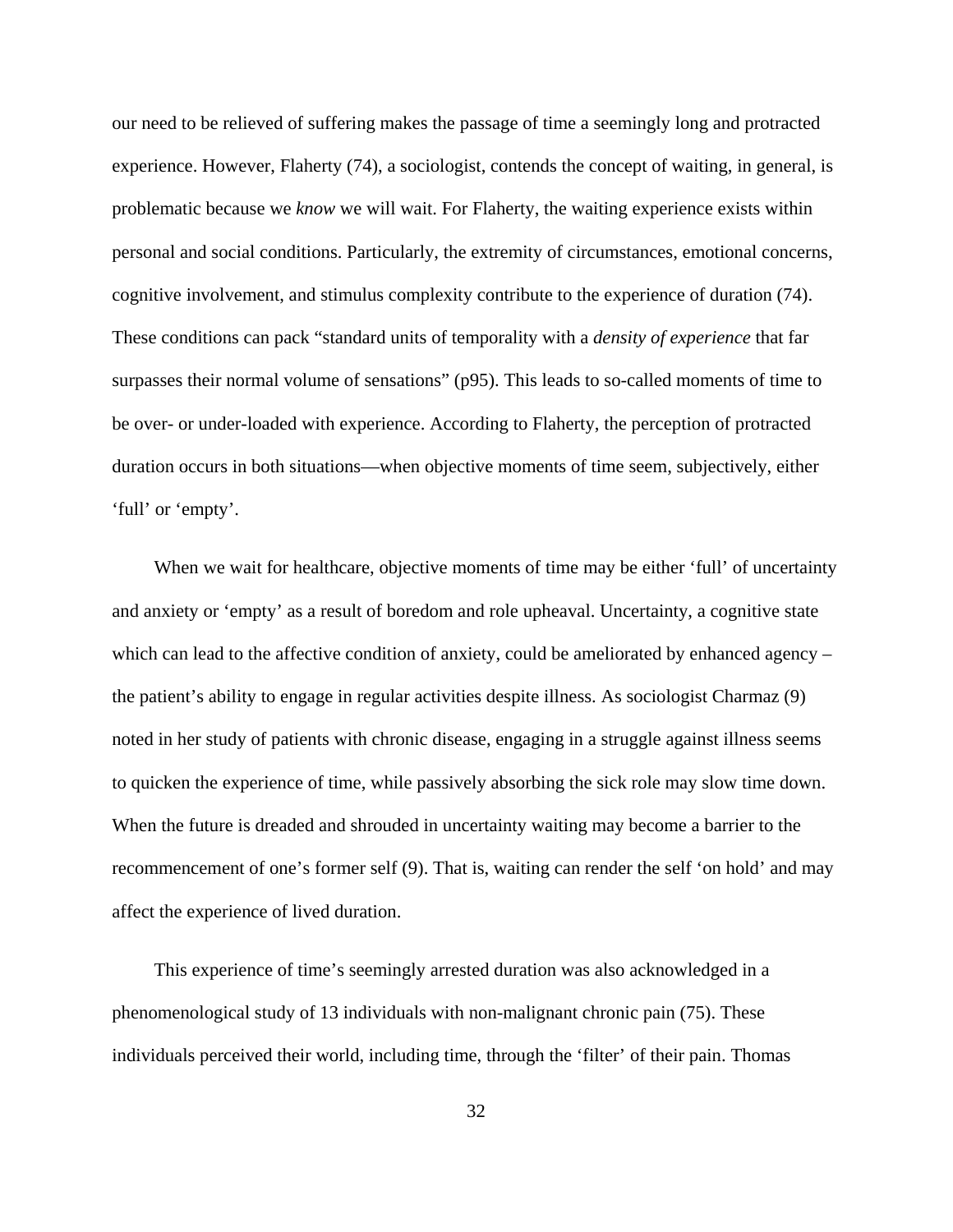our need to be relieved of suffering makes the passage of time a seemingly long and protracted experience. However, Flaherty (74), a sociologist, contends the concept of waiting, in general, is problematic because we *know* we will wait. For Flaherty, the waiting experience exists within personal and social conditions. Particularly, the extremity of circumstances, emotional concerns, cognitive involvement, and stimulus complexity contribute to the experience of duration (74). These conditions can pack "standard units of temporality with a *density of experience* that far surpasses their normal volume of sensations" (p95). This leads to so-called moments of time to be over- or under-loaded with experience. According to Flaherty, the perception of protracted duration occurs in both situations—when objective moments of time seem, subjectively, either 'full' or 'empty'.

When we wait for healthcare, objective moments of time may be either 'full' of uncertainty and anxiety or 'empty' as a result of boredom and role upheaval. Uncertainty, a cognitive state which can lead to the affective condition of anxiety, could be ameliorated by enhanced agency – the patient's ability to engage in regular activities despite illness. As sociologist Charmaz (9) noted in her study of patients with chronic disease, engaging in a struggle against illness seems to quicken the experience of time, while passively absorbing the sick role may slow time down. When the future is dreaded and shrouded in uncertainty waiting may become a barrier to the recommencement of one's former self (9). That is, waiting can render the self 'on hold' and may affect the experience of lived duration.

This experience of time's seemingly arrested duration was also acknowledged in a phenomenological study of 13 individuals with non-malignant chronic pain (75). These individuals perceived their world, including time, through the 'filter' of their pain. Thomas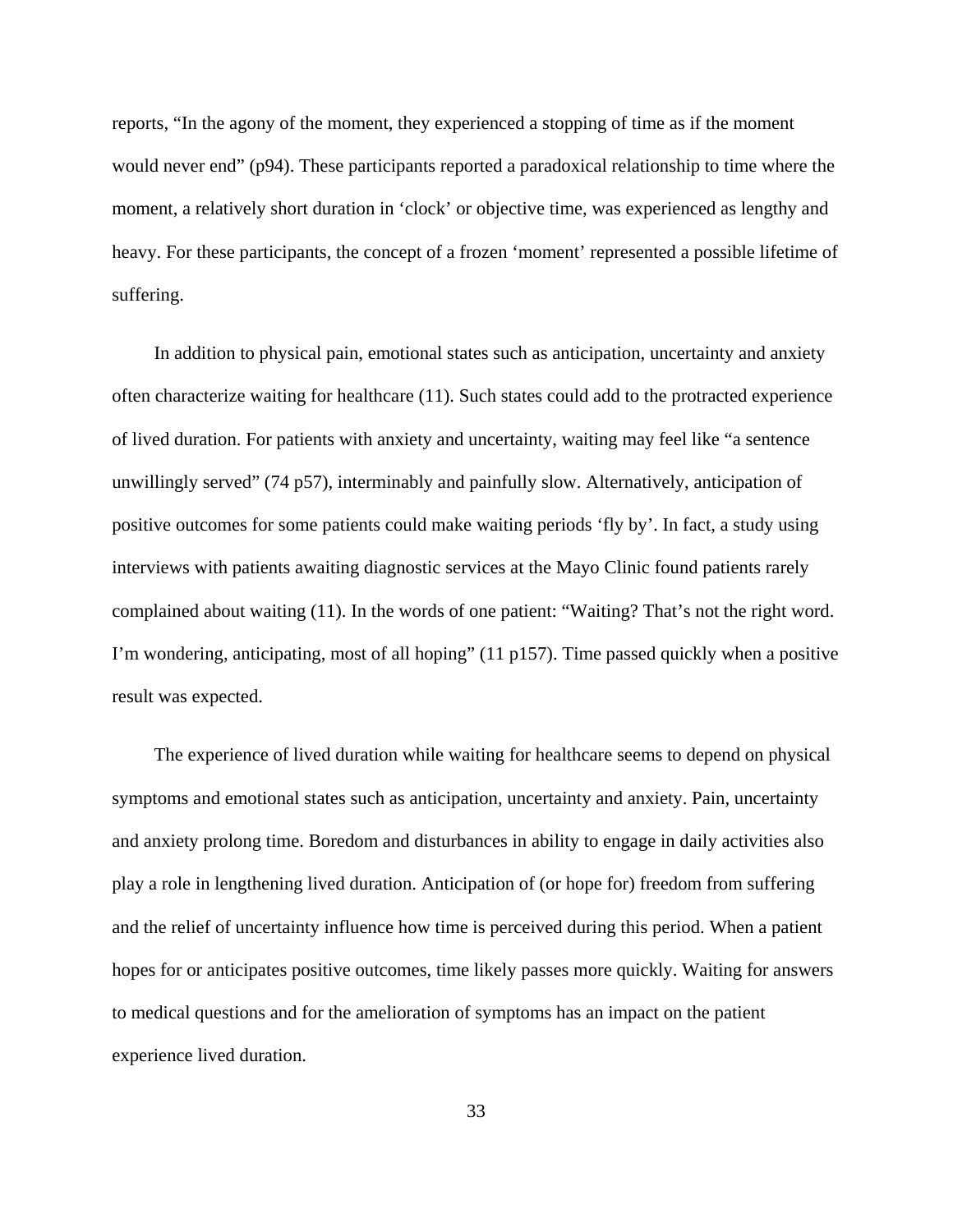reports, "In the agony of the moment, they experienced a stopping of time as if the moment would never end" (p94). These participants reported a paradoxical relationship to time where the moment, a relatively short duration in 'clock' or objective time, was experienced as lengthy and heavy. For these participants, the concept of a frozen 'moment' represented a possible lifetime of suffering.

In addition to physical pain, emotional states such as anticipation, uncertainty and anxiety often characterize waiting for healthcare (11). Such states could add to the protracted experience of lived duration. For patients with anxiety and uncertainty, waiting may feel like "a sentence unwillingly served" (74 p57), interminably and painfully slow. Alternatively, anticipation of positive outcomes for some patients could make waiting periods 'fly by'. In fact, a study using interviews with patients awaiting diagnostic services at the Mayo Clinic found patients rarely complained about waiting (11). In the words of one patient: "Waiting? That's not the right word. I'm wondering, anticipating, most of all hoping" (11 p157). Time passed quickly when a positive result was expected.

The experience of lived duration while waiting for healthcare seems to depend on physical symptoms and emotional states such as anticipation, uncertainty and anxiety. Pain, uncertainty and anxiety prolong time. Boredom and disturbances in ability to engage in daily activities also play a role in lengthening lived duration. Anticipation of (or hope for) freedom from suffering and the relief of uncertainty influence how time is perceived during this period. When a patient hopes for or anticipates positive outcomes, time likely passes more quickly. Waiting for answers to medical questions and for the amelioration of symptoms has an impact on the patient experience lived duration.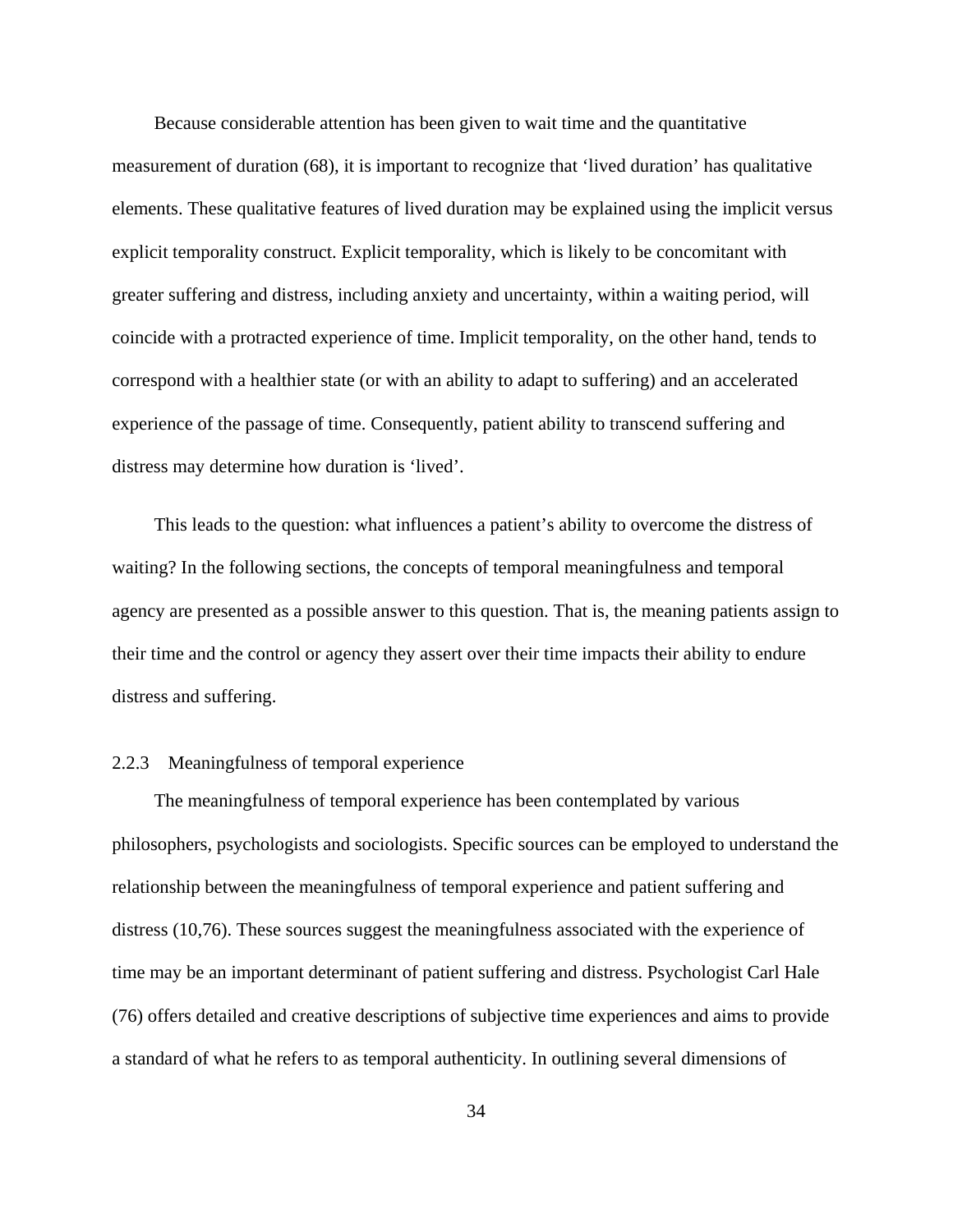Because considerable attention has been given to wait time and the quantitative measurement of duration (68), it is important to recognize that 'lived duration' has qualitative elements. These qualitative features of lived duration may be explained using the implicit versus explicit temporality construct. Explicit temporality, which is likely to be concomitant with greater suffering and distress, including anxiety and uncertainty, within a waiting period, will coincide with a protracted experience of time. Implicit temporality, on the other hand, tends to correspond with a healthier state (or with an ability to adapt to suffering) and an accelerated experience of the passage of time. Consequently, patient ability to transcend suffering and distress may determine how duration is 'lived'.

This leads to the question: what influences a patient's ability to overcome the distress of waiting? In the following sections, the concepts of temporal meaningfulness and temporal agency are presented as a possible answer to this question. That is, the meaning patients assign to their time and the control or agency they assert over their time impacts their ability to endure distress and suffering.

## 2.2.3 Meaningfulness of temporal experience

The meaningfulness of temporal experience has been contemplated by various philosophers, psychologists and sociologists. Specific sources can be employed to understand the relationship between the meaningfulness of temporal experience and patient suffering and distress (10,76). These sources suggest the meaningfulness associated with the experience of time may be an important determinant of patient suffering and distress. Psychologist Carl Hale (76) offers detailed and creative descriptions of subjective time experiences and aims to provide a standard of what he refers to as temporal authenticity. In outlining several dimensions of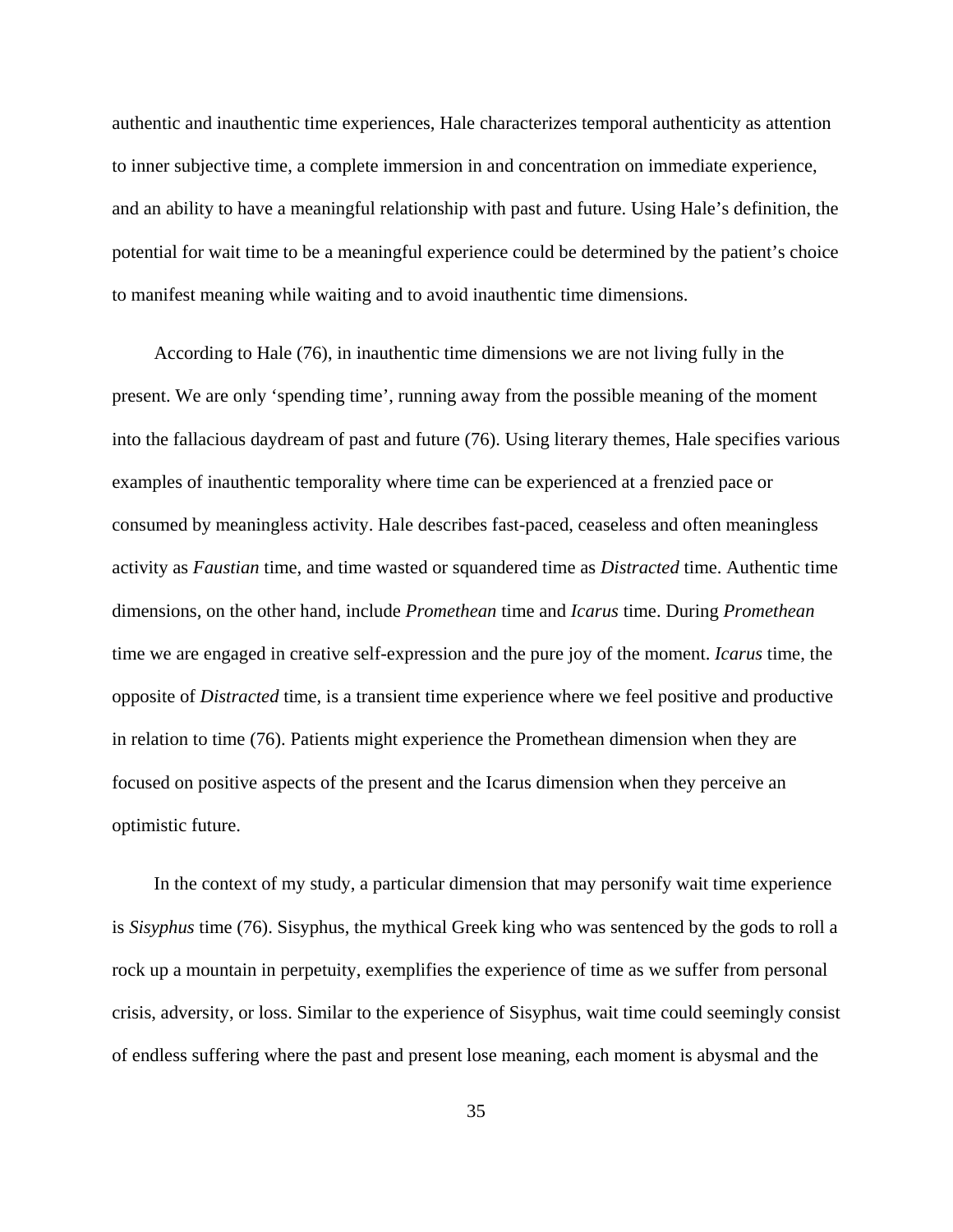authentic and inauthentic time experiences, Hale characterizes temporal authenticity as attention to inner subjective time, a complete immersion in and concentration on immediate experience, and an ability to have a meaningful relationship with past and future. Using Hale's definition, the potential for wait time to be a meaningful experience could be determined by the patient's choice to manifest meaning while waiting and to avoid inauthentic time dimensions.

According to Hale (76), in inauthentic time dimensions we are not living fully in the present. We are only 'spending time', running away from the possible meaning of the moment into the fallacious daydream of past and future (76). Using literary themes, Hale specifies various examples of inauthentic temporality where time can be experienced at a frenzied pace or consumed by meaningless activity. Hale describes fast-paced, ceaseless and often meaningless activity as *Faustian* time, and time wasted or squandered time as *Distracted* time. Authentic time dimensions, on the other hand, include *Promethean* time and *Icarus* time. During *Promethean* time we are engaged in creative self-expression and the pure joy of the moment. *Icarus* time, the opposite of *Distracted* time, is a transient time experience where we feel positive and productive in relation to time (76). Patients might experience the Promethean dimension when they are focused on positive aspects of the present and the Icarus dimension when they perceive an optimistic future.

In the context of my study, a particular dimension that may personify wait time experience is *Sisyphus* time (76). Sisyphus, the mythical Greek king who was sentenced by the gods to roll a rock up a mountain in perpetuity, exemplifies the experience of time as we suffer from personal crisis, adversity, or loss. Similar to the experience of Sisyphus, wait time could seemingly consist of endless suffering where the past and present lose meaning, each moment is abysmal and the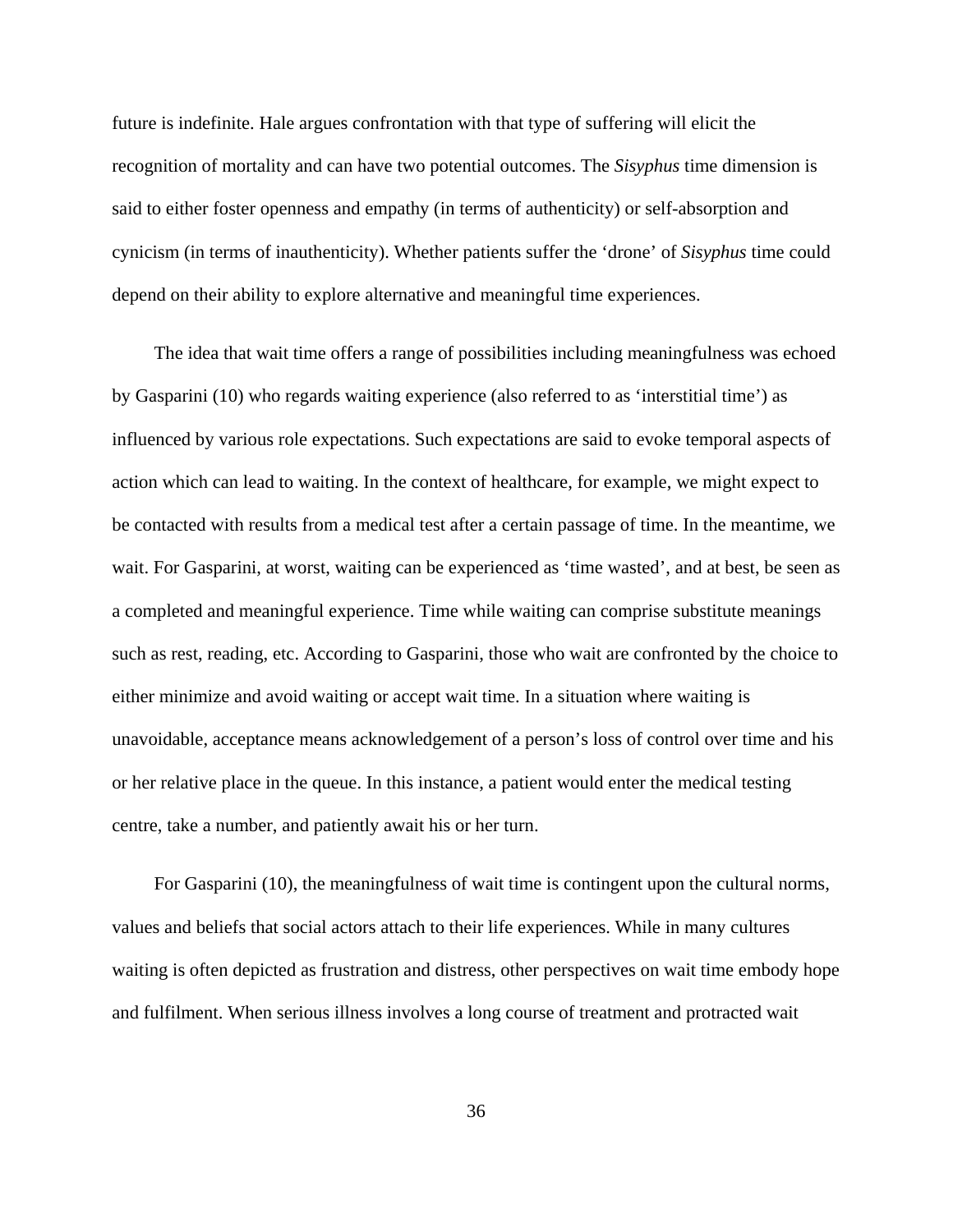future is indefinite. Hale argues confrontation with that type of suffering will elicit the recognition of mortality and can have two potential outcomes. The *Sisyphus* time dimension is said to either foster openness and empathy (in terms of authenticity) or self-absorption and cynicism (in terms of inauthenticity). Whether patients suffer the 'drone' of *Sisyphus* time could depend on their ability to explore alternative and meaningful time experiences.

The idea that wait time offers a range of possibilities including meaningfulness was echoed by Gasparini (10) who regards waiting experience (also referred to as 'interstitial time') as influenced by various role expectations. Such expectations are said to evoke temporal aspects of action which can lead to waiting. In the context of healthcare, for example, we might expect to be contacted with results from a medical test after a certain passage of time. In the meantime, we wait. For Gasparini, at worst, waiting can be experienced as 'time wasted', and at best, be seen as a completed and meaningful experience. Time while waiting can comprise substitute meanings such as rest, reading, etc. According to Gasparini, those who wait are confronted by the choice to either minimize and avoid waiting or accept wait time. In a situation where waiting is unavoidable, acceptance means acknowledgement of a person's loss of control over time and his or her relative place in the queue. In this instance, a patient would enter the medical testing centre, take a number, and patiently await his or her turn.

For Gasparini (10), the meaningfulness of wait time is contingent upon the cultural norms, values and beliefs that social actors attach to their life experiences. While in many cultures waiting is often depicted as frustration and distress, other perspectives on wait time embody hope and fulfilment. When serious illness involves a long course of treatment and protracted wait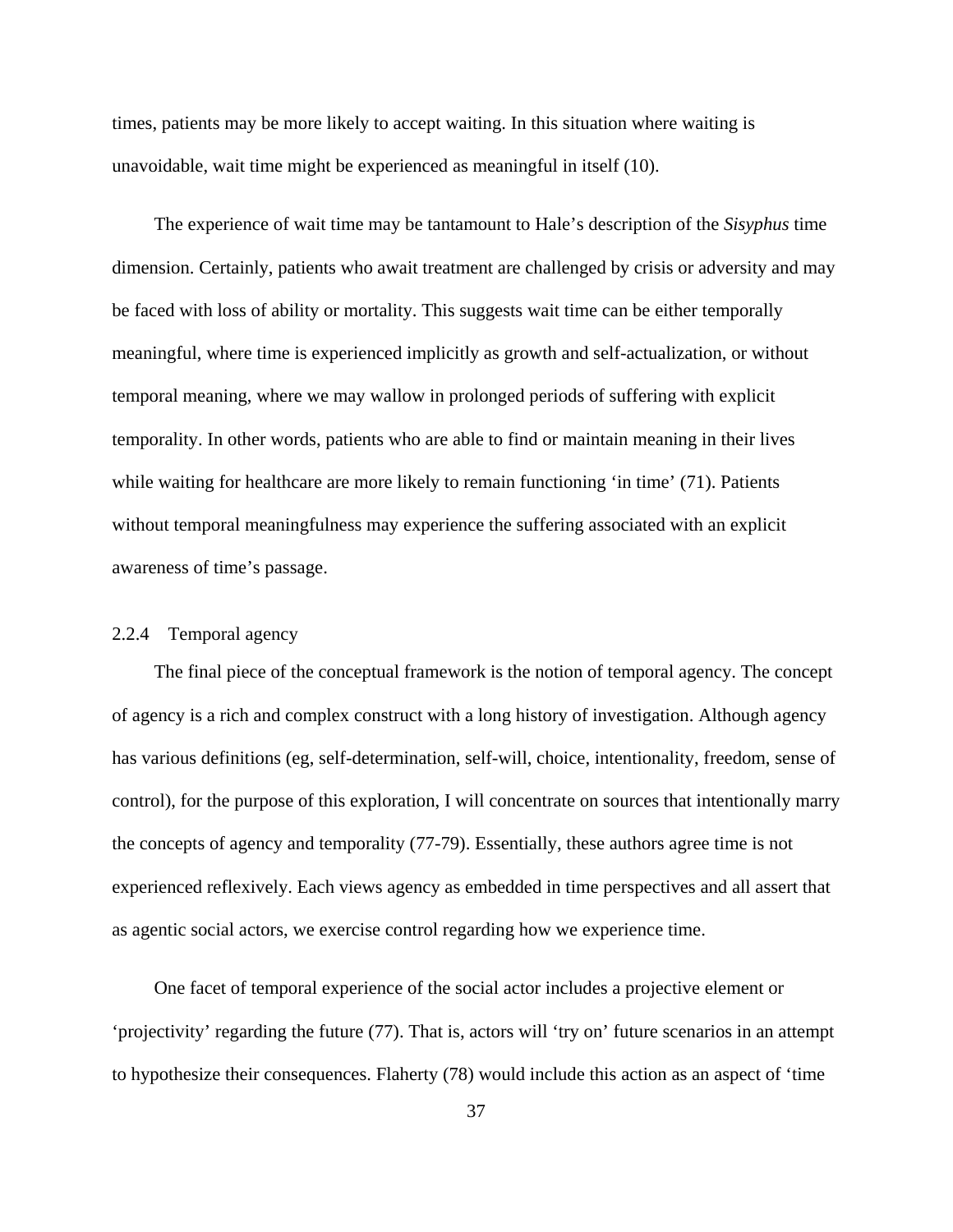times, patients may be more likely to accept waiting. In this situation where waiting is unavoidable, wait time might be experienced as meaningful in itself (10).

The experience of wait time may be tantamount to Hale's description of the *Sisyphus* time dimension. Certainly, patients who await treatment are challenged by crisis or adversity and may be faced with loss of ability or mortality. This suggests wait time can be either temporally meaningful, where time is experienced implicitly as growth and self-actualization, or without temporal meaning, where we may wallow in prolonged periods of suffering with explicit temporality. In other words, patients who are able to find or maintain meaning in their lives while waiting for healthcare are more likely to remain functioning 'in time' (71). Patients without temporal meaningfulness may experience the suffering associated with an explicit awareness of time's passage.

## 2.2.4 Temporal agency

The final piece of the conceptual framework is the notion of temporal agency. The concept of agency is a rich and complex construct with a long history of investigation. Although agency has various definitions (eg, self-determination, self-will, choice, intentionality, freedom, sense of control), for the purpose of this exploration, I will concentrate on sources that intentionally marry the concepts of agency and temporality (77-79). Essentially, these authors agree time is not experienced reflexively. Each views agency as embedded in time perspectives and all assert that as agentic social actors, we exercise control regarding how we experience time.

One facet of temporal experience of the social actor includes a projective element or 'projectivity' regarding the future (77). That is, actors will 'try on' future scenarios in an attempt to hypothesize their consequences. Flaherty (78) would include this action as an aspect of 'time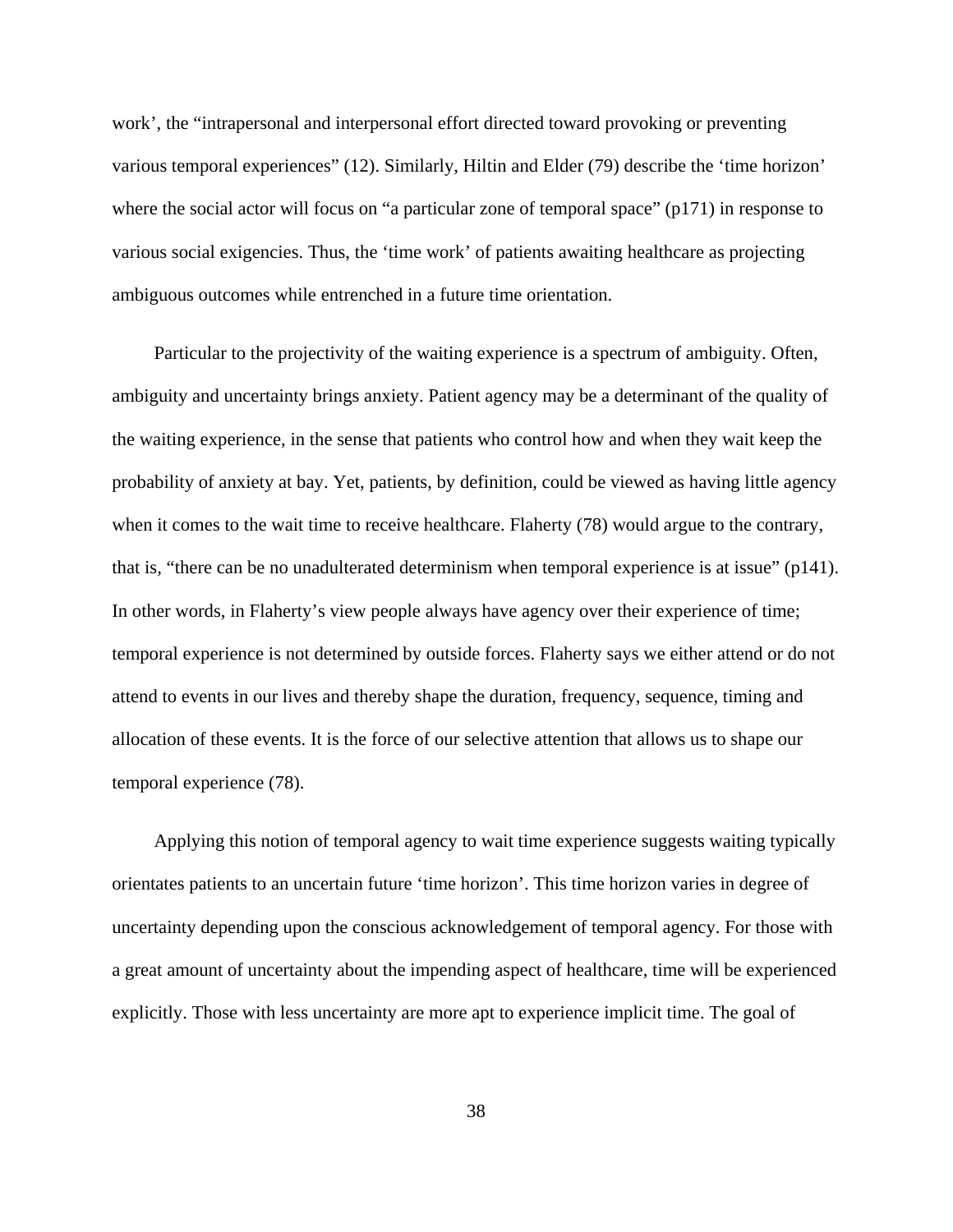work', the "intrapersonal and interpersonal effort directed toward provoking or preventing various temporal experiences" (12). Similarly, Hiltin and Elder (79) describe the 'time horizon' where the social actor will focus on "a particular zone of temporal space" (p171) in response to various social exigencies. Thus, the 'time work' of patients awaiting healthcare as projecting ambiguous outcomes while entrenched in a future time orientation.

Particular to the projectivity of the waiting experience is a spectrum of ambiguity. Often, ambiguity and uncertainty brings anxiety. Patient agency may be a determinant of the quality of the waiting experience, in the sense that patients who control how and when they wait keep the probability of anxiety at bay. Yet, patients, by definition, could be viewed as having little agency when it comes to the wait time to receive healthcare. Flaherty (78) would argue to the contrary, that is, "there can be no unadulterated determinism when temporal experience is at issue" (p141). In other words, in Flaherty's view people always have agency over their experience of time; temporal experience is not determined by outside forces. Flaherty says we either attend or do not attend to events in our lives and thereby shape the duration, frequency, sequence, timing and allocation of these events. It is the force of our selective attention that allows us to shape our temporal experience (78).

Applying this notion of temporal agency to wait time experience suggests waiting typically orientates patients to an uncertain future 'time horizon'. This time horizon varies in degree of uncertainty depending upon the conscious acknowledgement of temporal agency. For those with a great amount of uncertainty about the impending aspect of healthcare, time will be experienced explicitly. Those with less uncertainty are more apt to experience implicit time. The goal of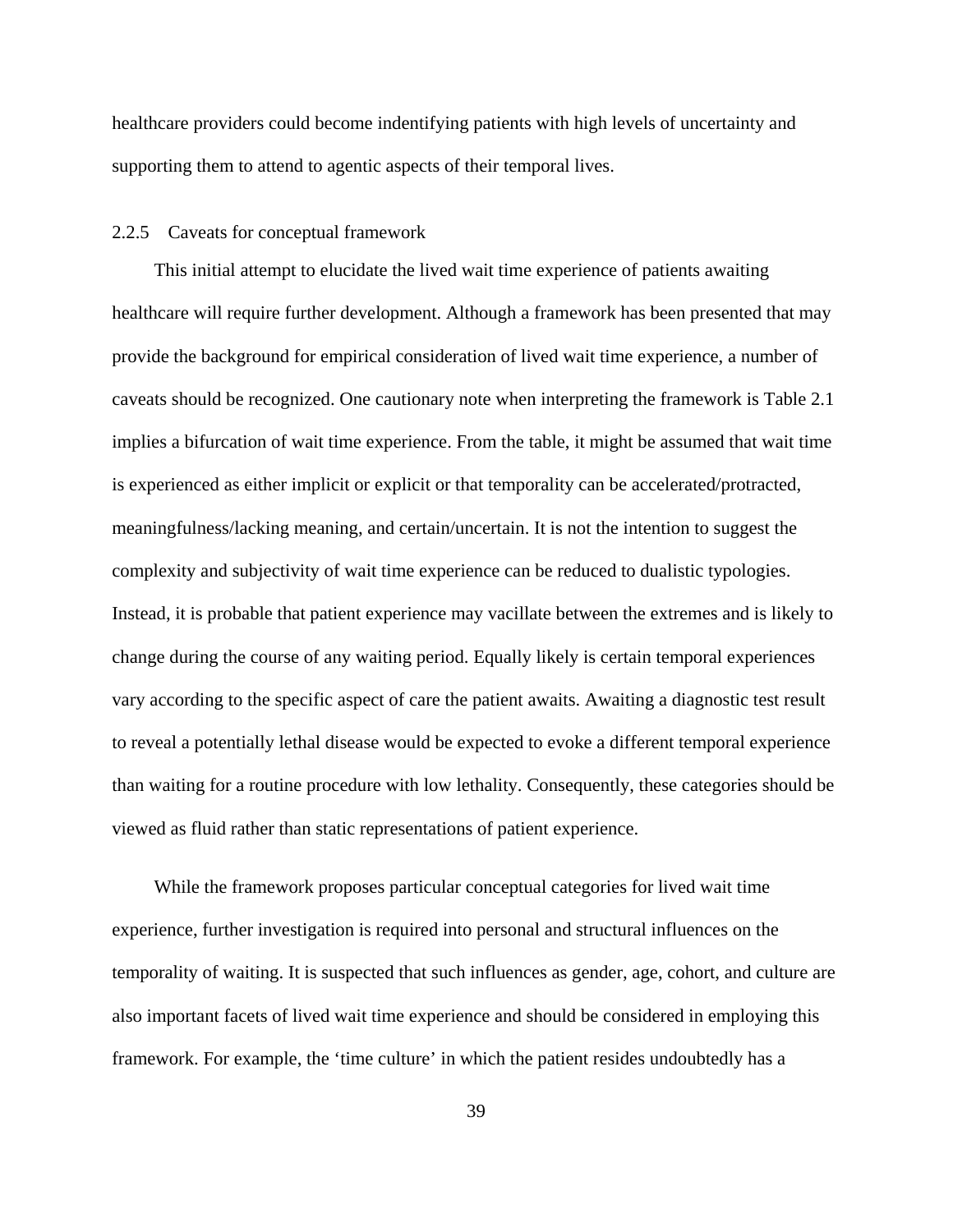healthcare providers could become indentifying patients with high levels of uncertainty and supporting them to attend to agentic aspects of their temporal lives.

## 2.2.5 Caveats for conceptual framework

This initial attempt to elucidate the lived wait time experience of patients awaiting healthcare will require further development. Although a framework has been presented that may provide the background for empirical consideration of lived wait time experience, a number of caveats should be recognized. One cautionary note when interpreting the framework is Table 2.1 implies a bifurcation of wait time experience. From the table, it might be assumed that wait time is experienced as either implicit or explicit or that temporality can be accelerated/protracted, meaningfulness/lacking meaning, and certain/uncertain. It is not the intention to suggest the complexity and subjectivity of wait time experience can be reduced to dualistic typologies. Instead, it is probable that patient experience may vacillate between the extremes and is likely to change during the course of any waiting period. Equally likely is certain temporal experiences vary according to the specific aspect of care the patient awaits. Awaiting a diagnostic test result to reveal a potentially lethal disease would be expected to evoke a different temporal experience than waiting for a routine procedure with low lethality. Consequently, these categories should be viewed as fluid rather than static representations of patient experience.

While the framework proposes particular conceptual categories for lived wait time experience, further investigation is required into personal and structural influences on the temporality of waiting. It is suspected that such influences as gender, age, cohort, and culture are also important facets of lived wait time experience and should be considered in employing this framework. For example, the 'time culture' in which the patient resides undoubtedly has a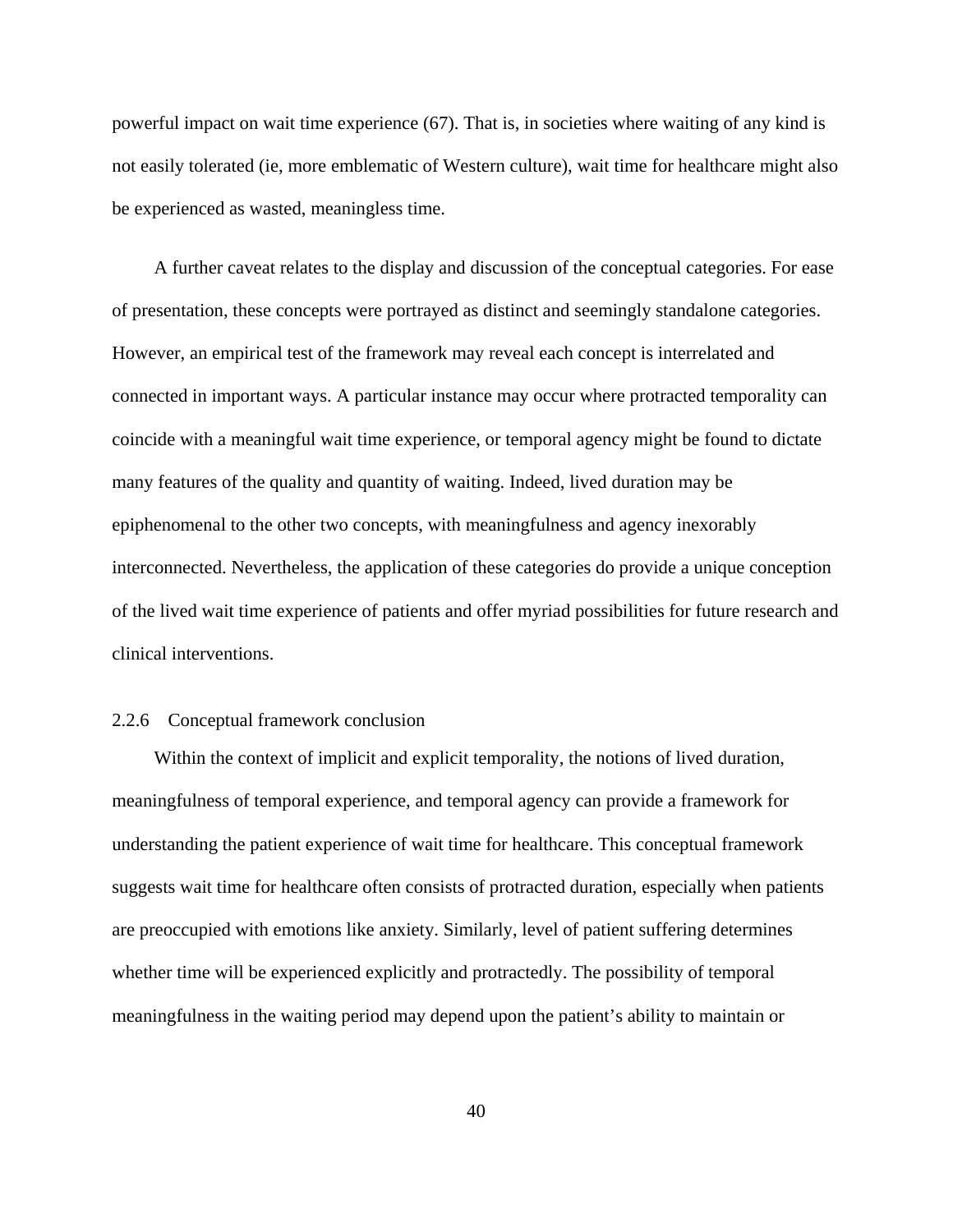powerful impact on wait time experience (67). That is, in societies where waiting of any kind is not easily tolerated (ie, more emblematic of Western culture), wait time for healthcare might also be experienced as wasted, meaningless time.

A further caveat relates to the display and discussion of the conceptual categories. For ease of presentation, these concepts were portrayed as distinct and seemingly standalone categories. However, an empirical test of the framework may reveal each concept is interrelated and connected in important ways. A particular instance may occur where protracted temporality can coincide with a meaningful wait time experience, or temporal agency might be found to dictate many features of the quality and quantity of waiting. Indeed, lived duration may be epiphenomenal to the other two concepts, with meaningfulness and agency inexorably interconnected. Nevertheless, the application of these categories do provide a unique conception of the lived wait time experience of patients and offer myriad possibilities for future research and clinical interventions.

#### 2.2.6 Conceptual framework conclusion

Within the context of implicit and explicit temporality, the notions of lived duration, meaningfulness of temporal experience, and temporal agency can provide a framework for understanding the patient experience of wait time for healthcare. This conceptual framework suggests wait time for healthcare often consists of protracted duration, especially when patients are preoccupied with emotions like anxiety. Similarly, level of patient suffering determines whether time will be experienced explicitly and protractedly. The possibility of temporal meaningfulness in the waiting period may depend upon the patient's ability to maintain or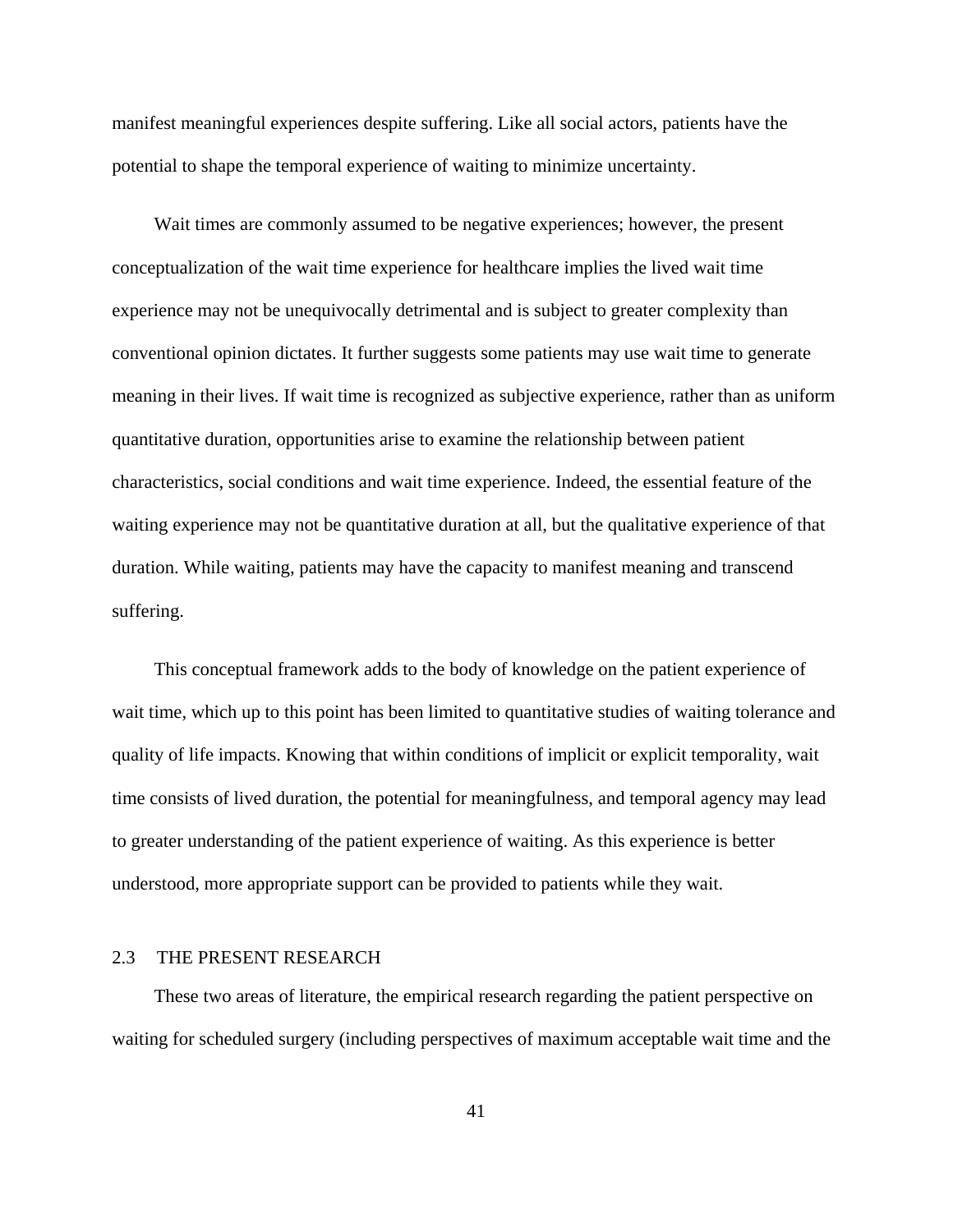manifest meaningful experiences despite suffering. Like all social actors, patients have the potential to shape the temporal experience of waiting to minimize uncertainty.

Wait times are commonly assumed to be negative experiences; however, the present conceptualization of the wait time experience for healthcare implies the lived wait time experience may not be unequivocally detrimental and is subject to greater complexity than conventional opinion dictates. It further suggests some patients may use wait time to generate meaning in their lives. If wait time is recognized as subjective experience, rather than as uniform quantitative duration, opportunities arise to examine the relationship between patient characteristics, social conditions and wait time experience. Indeed, the essential feature of the waiting experience may not be quantitative duration at all, but the qualitative experience of that duration. While waiting, patients may have the capacity to manifest meaning and transcend suffering.

This conceptual framework adds to the body of knowledge on the patient experience of wait time, which up to this point has been limited to quantitative studies of waiting tolerance and quality of life impacts. Knowing that within conditions of implicit or explicit temporality, wait time consists of lived duration, the potential for meaningfulness, and temporal agency may lead to greater understanding of the patient experience of waiting. As this experience is better understood, more appropriate support can be provided to patients while they wait.

### 2.3 THE PRESENT RESEARCH

These two areas of literature, the empirical research regarding the patient perspective on waiting for scheduled surgery (including perspectives of maximum acceptable wait time and the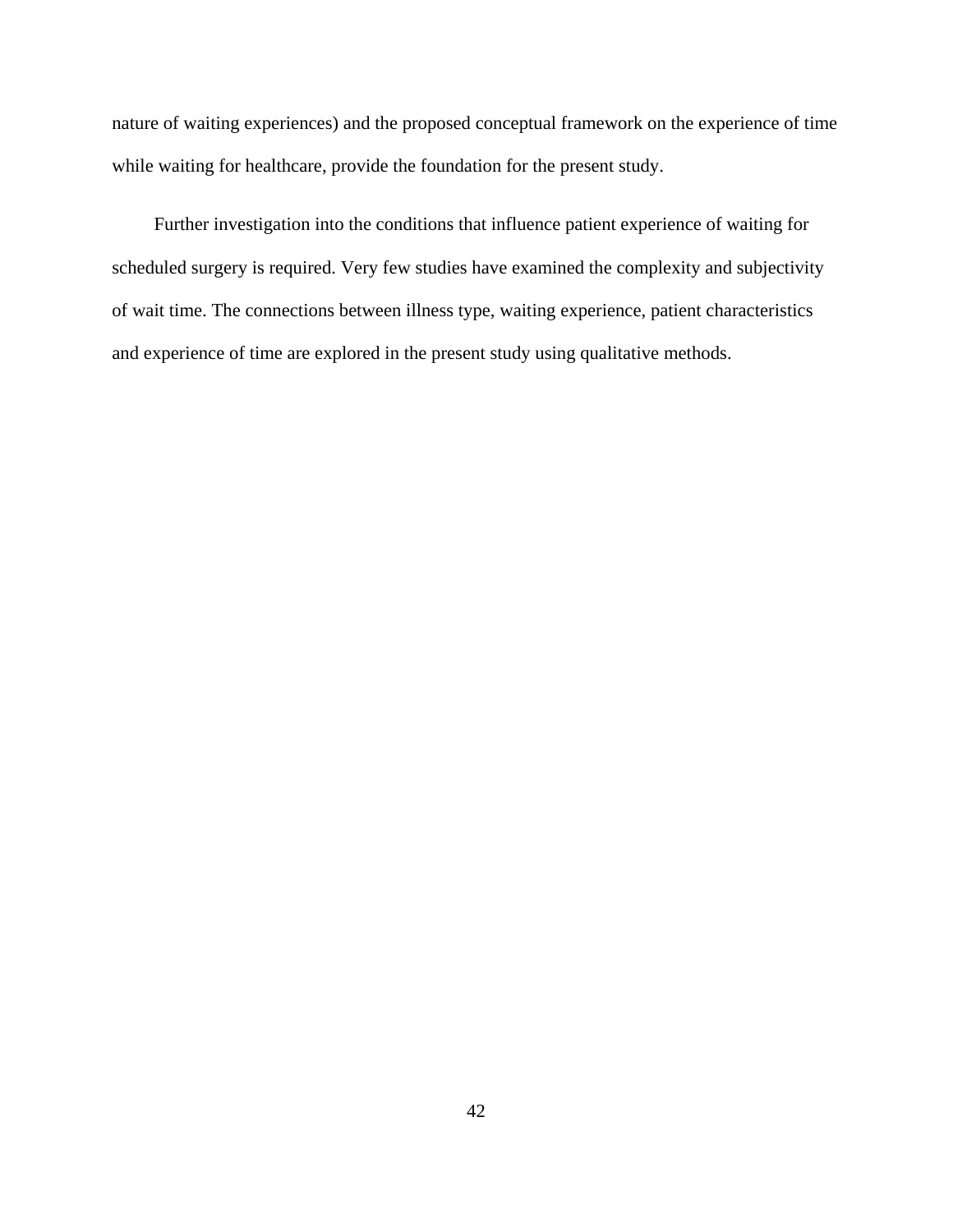nature of waiting experiences) and the proposed conceptual framework on the experience of time while waiting for healthcare, provide the foundation for the present study.

Further investigation into the conditions that influence patient experience of waiting for scheduled surgery is required. Very few studies have examined the complexity and subjectivity of wait time. The connections between illness type, waiting experience, patient characteristics and experience of time are explored in the present study using qualitative methods.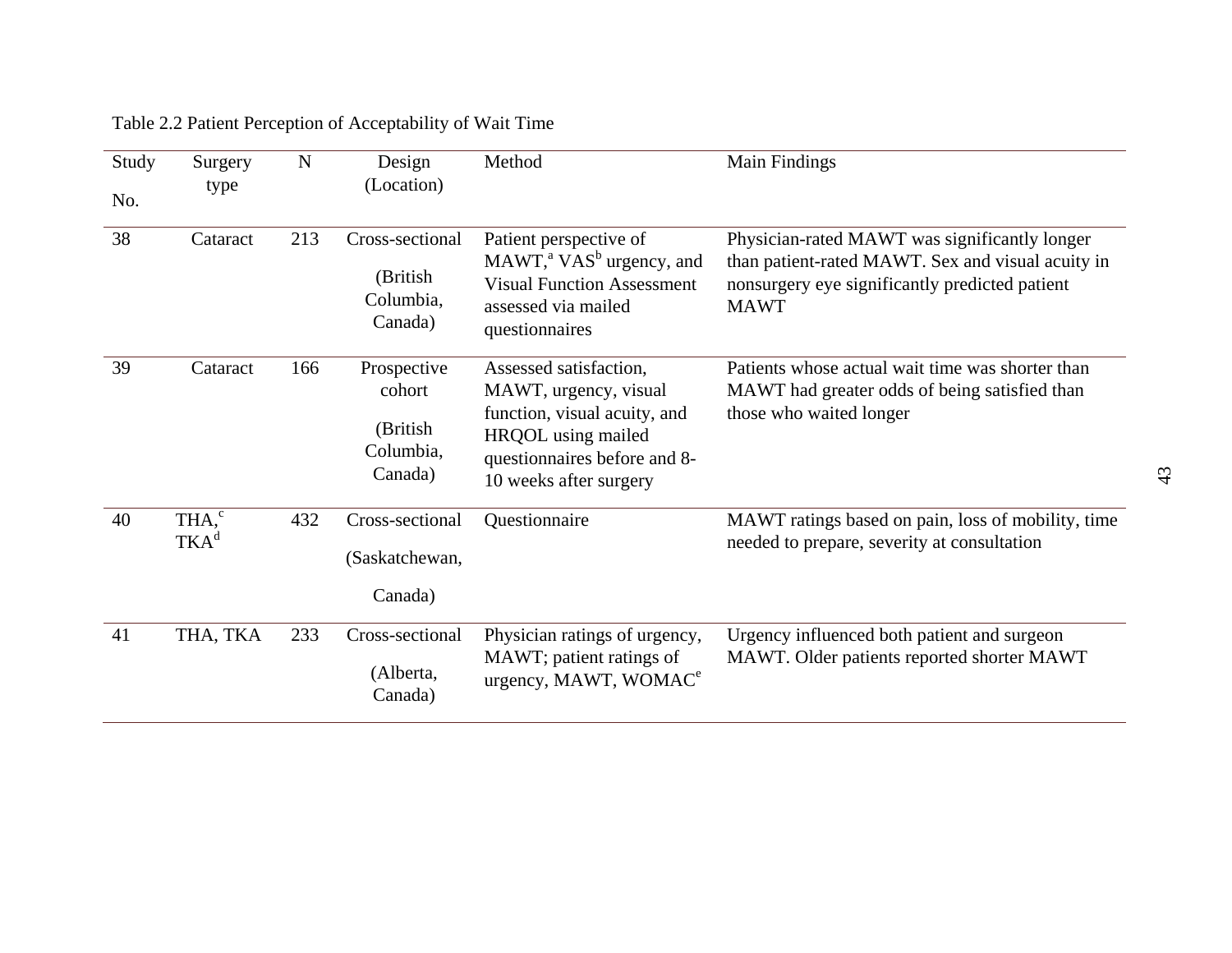| Study<br>No. | Surgery<br>type                       | $\mathbf N$ | Design<br>(Location)                                      | Method                                                                                                                                                          | Main Findings                                                                                                                                                       |
|--------------|---------------------------------------|-------------|-----------------------------------------------------------|-----------------------------------------------------------------------------------------------------------------------------------------------------------------|---------------------------------------------------------------------------------------------------------------------------------------------------------------------|
| 38           | Cataract                              | 213         | Cross-sectional<br>(British<br>Columbia,<br>Canada)       | Patient perspective of<br>$MAWTa VASb$ urgency, and<br><b>Visual Function Assessment</b><br>assessed via mailed<br>questionnaires                               | Physician-rated MAWT was significantly longer<br>than patient-rated MAWT. Sex and visual acuity in<br>nonsurgery eye significantly predicted patient<br><b>MAWT</b> |
| 39           | Cataract                              | 166         | Prospective<br>cohort<br>(British<br>Columbia,<br>Canada) | Assessed satisfaction,<br>MAWT, urgency, visual<br>function, visual acuity, and<br>HRQOL using mailed<br>questionnaires before and 8-<br>10 weeks after surgery | Patients whose actual wait time was shorter than<br>MAWT had greater odds of being satisfied than<br>those who waited longer                                        |
| 40           | THA, <sup>c</sup><br>TKA <sup>d</sup> | 432         | Cross-sectional<br>(Saskatchewan,<br>Canada)              | Questionnaire                                                                                                                                                   | MAWT ratings based on pain, loss of mobility, time<br>needed to prepare, severity at consultation                                                                   |
| 41           | THA, TKA                              | 233         | Cross-sectional<br>(Alberta,<br>Canada)                   | Physician ratings of urgency,<br>MAWT; patient ratings of<br>urgency, MAWT, WOMAC <sup>e</sup>                                                                  | Urgency influenced both patient and surgeon<br>MAWT. Older patients reported shorter MAWT                                                                           |

# Table 2.2 Patient Perception of Acceptability of Wait Time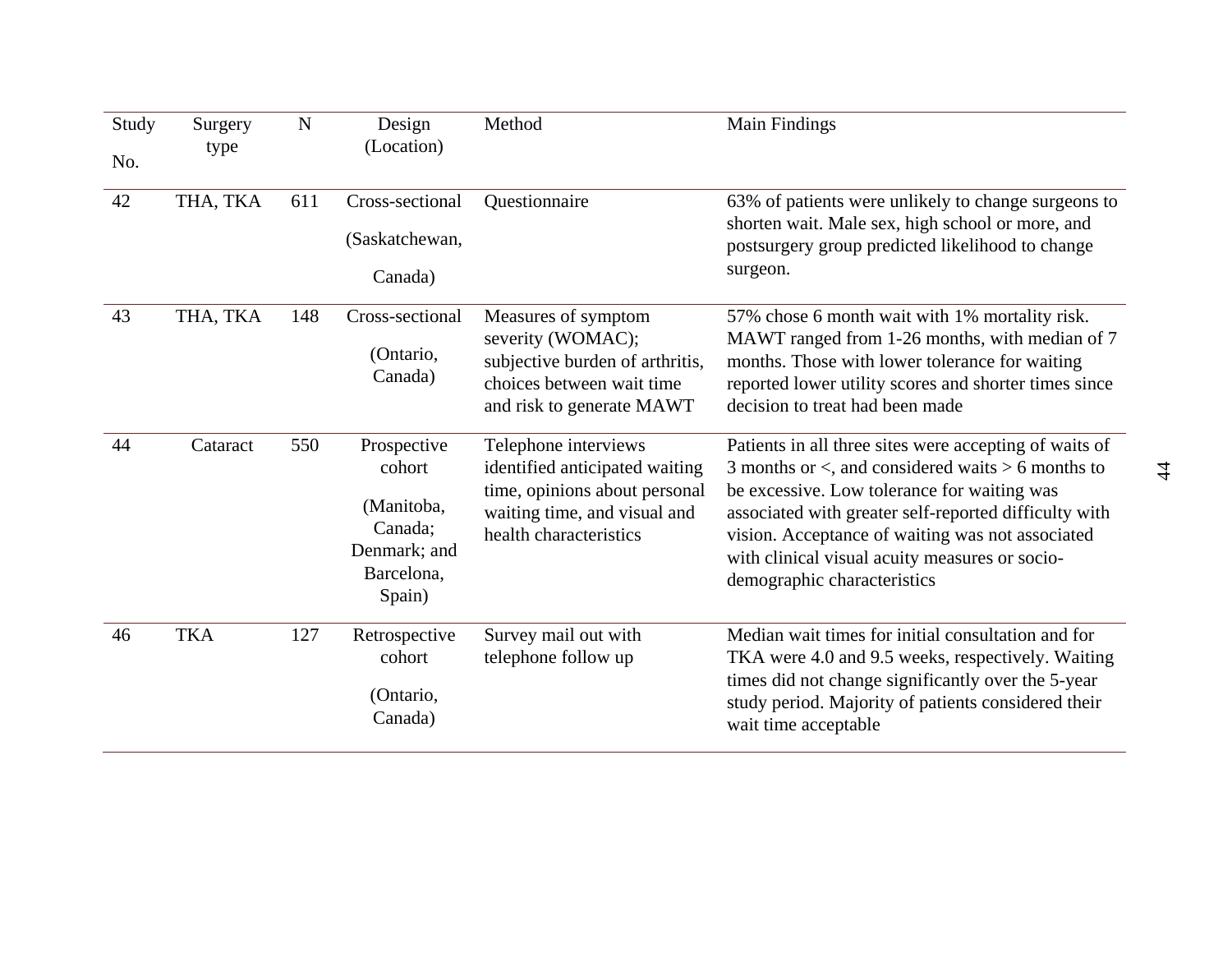| Study<br>No. | Surgery<br>type | N   | Design<br>(Location)                                                                   | Method                                                                                                                                            | Main Findings                                                                                                                                                                                                                                                                                                                                                   |
|--------------|-----------------|-----|----------------------------------------------------------------------------------------|---------------------------------------------------------------------------------------------------------------------------------------------------|-----------------------------------------------------------------------------------------------------------------------------------------------------------------------------------------------------------------------------------------------------------------------------------------------------------------------------------------------------------------|
| 42           | THA, TKA        | 611 | Cross-sectional<br>(Saskatchewan,<br>Canada)                                           | Questionnaire                                                                                                                                     | 63% of patients were unlikely to change surgeons to<br>shorten wait. Male sex, high school or more, and<br>postsurgery group predicted likelihood to change<br>surgeon.                                                                                                                                                                                         |
| 43           | THA, TKA        | 148 | Cross-sectional<br>(Ontario,<br>Canada)                                                | Measures of symptom<br>severity (WOMAC);<br>subjective burden of arthritis,<br>choices between wait time<br>and risk to generate MAWT             | 57% chose 6 month wait with 1% mortality risk.<br>MAWT ranged from 1-26 months, with median of 7<br>months. Those with lower tolerance for waiting<br>reported lower utility scores and shorter times since<br>decision to treat had been made                                                                                                                  |
| 44           | Cataract        | 550 | Prospective<br>cohort<br>(Manitoba,<br>Canada;<br>Denmark; and<br>Barcelona,<br>Spain) | Telephone interviews<br>identified anticipated waiting<br>time, opinions about personal<br>waiting time, and visual and<br>health characteristics | Patients in all three sites were accepting of waits of<br>3 months or $\lt$ , and considered waits $> 6$ months to<br>be excessive. Low tolerance for waiting was<br>associated with greater self-reported difficulty with<br>vision. Acceptance of waiting was not associated<br>with clinical visual acuity measures or socio-<br>demographic characteristics |
| 46           | <b>TKA</b>      | 127 | Retrospective<br>cohort<br>(Ontario,<br>Canada)                                        | Survey mail out with<br>telephone follow up                                                                                                       | Median wait times for initial consultation and for<br>TKA were 4.0 and 9.5 weeks, respectively. Waiting<br>times did not change significantly over the 5-year<br>study period. Majority of patients considered their<br>wait time acceptable                                                                                                                    |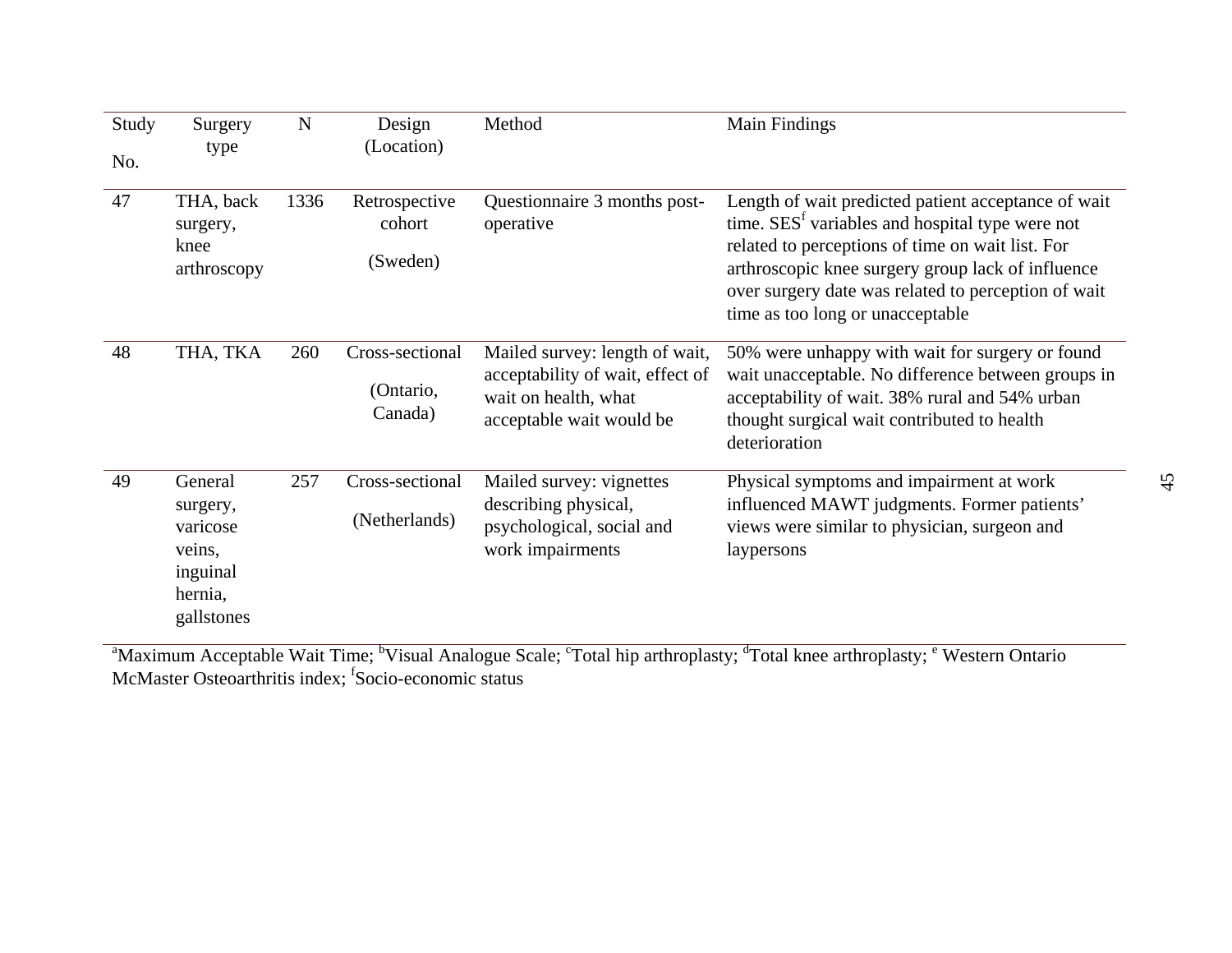| Study<br>No. | Surgery<br>type                                                                | N    | Design<br>(Location)                    | Method                                                                                                                 | Main Findings                                                                                                                                                                                                                                                                                                          |
|--------------|--------------------------------------------------------------------------------|------|-----------------------------------------|------------------------------------------------------------------------------------------------------------------------|------------------------------------------------------------------------------------------------------------------------------------------------------------------------------------------------------------------------------------------------------------------------------------------------------------------------|
| 47           | THA, back<br>surgery,<br>knee<br>arthroscopy                                   | 1336 | Retrospective<br>cohort<br>(Sweden)     | Questionnaire 3 months post-<br>operative                                                                              | Length of wait predicted patient acceptance of wait<br>time. SES <sup>f</sup> variables and hospital type were not<br>related to perceptions of time on wait list. For<br>arthroscopic knee surgery group lack of influence<br>over surgery date was related to perception of wait<br>time as too long or unacceptable |
| 48           | THA, TKA                                                                       | 260  | Cross-sectional<br>(Ontario,<br>Canada) | Mailed survey: length of wait,<br>acceptability of wait, effect of<br>wait on health, what<br>acceptable wait would be | 50% were unhappy with wait for surgery or found<br>wait unacceptable. No difference between groups in<br>acceptability of wait. 38% rural and 54% urban<br>thought surgical wait contributed to health<br>deterioration                                                                                                |
| 49           | General<br>surgery,<br>varicose<br>veins,<br>inguinal<br>hernia,<br>gallstones | 257  | Cross-sectional<br>(Netherlands)        | Mailed survey: vignettes<br>describing physical,<br>psychological, social and<br>work impairments                      | Physical symptoms and impairment at work<br>influenced MAWT judgments. Former patients'<br>views were similar to physician, surgeon and<br>laypersons                                                                                                                                                                  |

<sup>a</sup>Maximum Acceptable Wait Time; <sup>b</sup>Visual Analogue Scale; <sup>c</sup>Total hip arthroplasty; <sup>d</sup>Total knee arthroplasty; <sup>e</sup> Western Ontario McMaster Osteoarthritis index; <sup>f</sup>Socio-economic status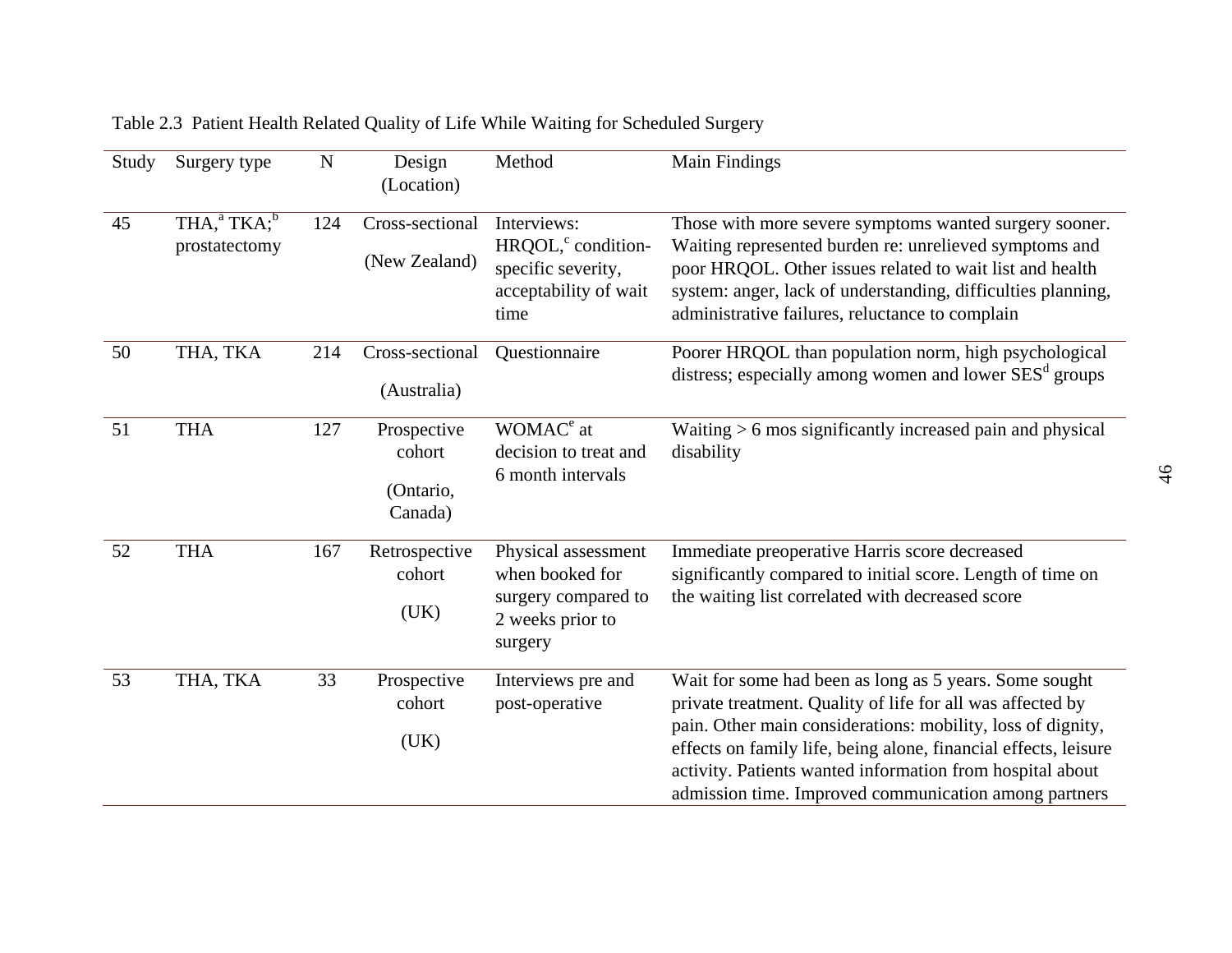| Study | Surgery type                      | ${\bf N}$ | Design<br>(Location)                          | Method                                                                                               | Main Findings                                                                                                                                                                                                                                                                                                                                                                |
|-------|-----------------------------------|-----------|-----------------------------------------------|------------------------------------------------------------------------------------------------------|------------------------------------------------------------------------------------------------------------------------------------------------------------------------------------------------------------------------------------------------------------------------------------------------------------------------------------------------------------------------------|
| 45    | $THA, ^aTKA; ^b$<br>prostatectomy | 124       | Cross-sectional<br>(New Zealand)              | Interviews:<br>HRQOL, <sup>c</sup> condition-<br>specific severity,<br>acceptability of wait<br>time | Those with more severe symptoms wanted surgery sooner.<br>Waiting represented burden re: unrelieved symptoms and<br>poor HRQOL. Other issues related to wait list and health<br>system: anger, lack of understanding, difficulties planning,<br>administrative failures, reluctance to complain                                                                              |
| 50    | THA, TKA                          | 214       | Cross-sectional<br>(Australia)                | Questionnaire                                                                                        | Poorer HRQOL than population norm, high psychological<br>distress; especially among women and lower SES <sup>d</sup> groups                                                                                                                                                                                                                                                  |
| 51    | <b>THA</b>                        | 127       | Prospective<br>cohort<br>(Ontario,<br>Canada) | WOMAC <sup>e</sup> at<br>decision to treat and<br>6 month intervals                                  | Waiting $> 6$ mos significantly increased pain and physical<br>disability                                                                                                                                                                                                                                                                                                    |
| 52    | <b>THA</b>                        | 167       | Retrospective<br>cohort<br>(UK)               | Physical assessment<br>when booked for<br>surgery compared to<br>2 weeks prior to<br>surgery         | Immediate preoperative Harris score decreased<br>significantly compared to initial score. Length of time on<br>the waiting list correlated with decreased score                                                                                                                                                                                                              |
| 53    | THA, TKA                          | 33        | Prospective<br>cohort<br>(UK)                 | Interviews pre and<br>post-operative                                                                 | Wait for some had been as long as 5 years. Some sought<br>private treatment. Quality of life for all was affected by<br>pain. Other main considerations: mobility, loss of dignity,<br>effects on family life, being alone, financial effects, leisure<br>activity. Patients wanted information from hospital about<br>admission time. Improved communication among partners |

Table 2.3 Patient Health Related Quality of Life While Waiting for Scheduled Surgery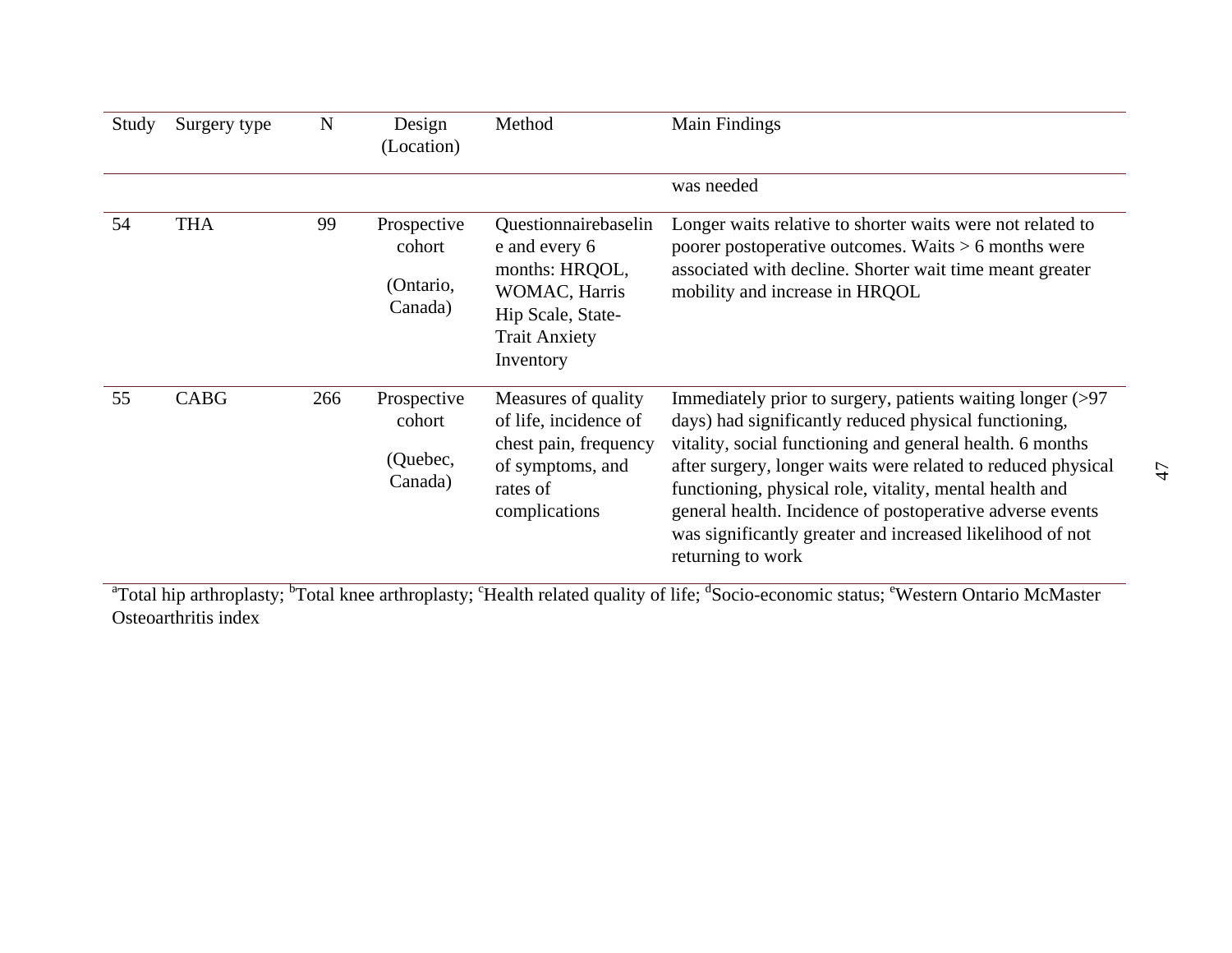| Study | Surgery type | $\mathbf N$ | Design<br>(Location)                          | Method                                                                                                                             | Main Findings                                                                                                                                                                                                                                                                                                                                                                                                                                              |
|-------|--------------|-------------|-----------------------------------------------|------------------------------------------------------------------------------------------------------------------------------------|------------------------------------------------------------------------------------------------------------------------------------------------------------------------------------------------------------------------------------------------------------------------------------------------------------------------------------------------------------------------------------------------------------------------------------------------------------|
|       |              |             |                                               |                                                                                                                                    | was needed                                                                                                                                                                                                                                                                                                                                                                                                                                                 |
| 54    | <b>THA</b>   | 99          | Prospective<br>cohort<br>(Ontario,<br>Canada) | Questionnairebaselin<br>e and every 6<br>months: HRQOL,<br>WOMAC, Harris<br>Hip Scale, State-<br><b>Trait Anxiety</b><br>Inventory | Longer waits relative to shorter waits were not related to<br>poorer postoperative outcomes. Waits $> 6$ months were<br>associated with decline. Shorter wait time meant greater<br>mobility and increase in HRQOL                                                                                                                                                                                                                                         |
| 55    | <b>CABG</b>  | 266         | Prospective<br>cohort<br>(Quebec,<br>Canada)  | Measures of quality<br>of life, incidence of<br>chest pain, frequency<br>of symptoms, and<br>rates of<br>complications             | Immediately prior to surgery, patients waiting longer (>97<br>days) had significantly reduced physical functioning,<br>vitality, social functioning and general health. 6 months<br>after surgery, longer waits were related to reduced physical<br>functioning, physical role, vitality, mental health and<br>general health. Incidence of postoperative adverse events<br>was significantly greater and increased likelihood of not<br>returning to work |

<sup>a</sup>Total hip arthroplasty; <sup>b</sup>Total knee arthroplasty; <sup>c</sup>Health related quality of life; <sup>d</sup>Socio-economic status; <sup>e</sup>Western Ontario McMaster Osteoarthritis index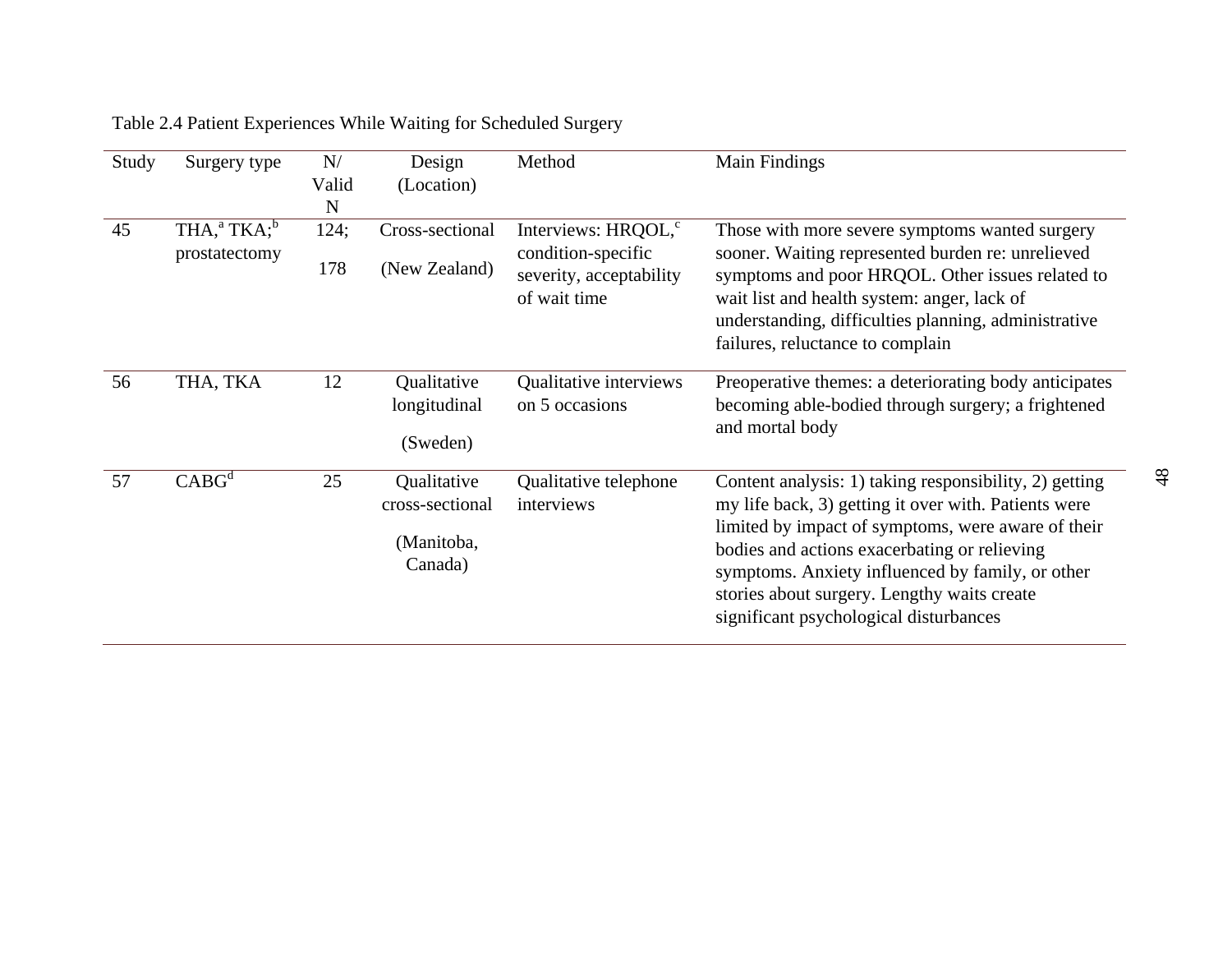| Study | Surgery type                                             | N/<br>Valid<br>N | Design<br>(Location)                                    | Method                                                                                           | Main Findings                                                                                                                                                                                                                                                                                                                                                     |
|-------|----------------------------------------------------------|------------------|---------------------------------------------------------|--------------------------------------------------------------------------------------------------|-------------------------------------------------------------------------------------------------------------------------------------------------------------------------------------------------------------------------------------------------------------------------------------------------------------------------------------------------------------------|
| 45    | $THA$ <sup>a</sup> , $TKA$ <sup>b</sup><br>prostatectomy | 124;<br>178      | Cross-sectional<br>(New Zealand)                        | Interviews: HRQOL, <sup>c</sup><br>condition-specific<br>severity, acceptability<br>of wait time | Those with more severe symptoms wanted surgery<br>sooner. Waiting represented burden re: unrelieved<br>symptoms and poor HRQOL. Other issues related to<br>wait list and health system: anger, lack of<br>understanding, difficulties planning, administrative<br>failures, reluctance to complain                                                                |
| 56    | THA, TKA                                                 | 12               | Qualitative<br>longitudinal<br>(Sweden)                 | Qualitative interviews<br>on 5 occasions                                                         | Preoperative themes: a deteriorating body anticipates<br>becoming able-bodied through surgery; a frightened<br>and mortal body                                                                                                                                                                                                                                    |
| 57    | $CABG^d$                                                 | 25               | Qualitative<br>cross-sectional<br>(Manitoba,<br>Canada) | Qualitative telephone<br>interviews                                                              | Content analysis: 1) taking responsibility, 2) getting<br>my life back, 3) getting it over with. Patients were<br>limited by impact of symptoms, were aware of their<br>bodies and actions exacerbating or relieving<br>symptoms. Anxiety influenced by family, or other<br>stories about surgery. Lengthy waits create<br>significant psychological disturbances |

# Table 2.4 Patient Experiences While Waiting for Scheduled Surgery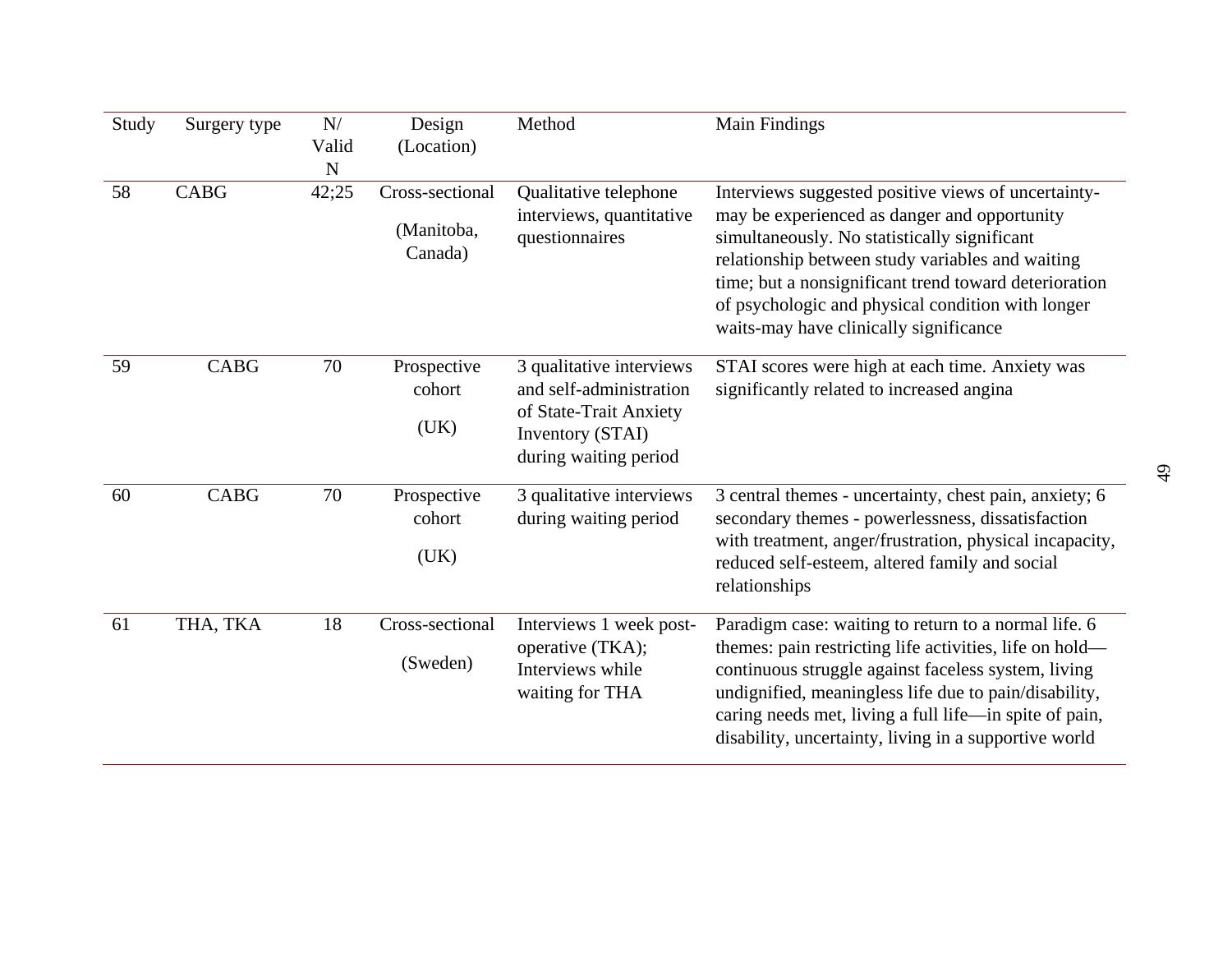| Study | Surgery type | N/<br>Valid<br>${\bf N}$ | Design<br>(Location)                     | Method                                                                                                                     | Main Findings                                                                                                                                                                                                                                                                                                                                                   |
|-------|--------------|--------------------------|------------------------------------------|----------------------------------------------------------------------------------------------------------------------------|-----------------------------------------------------------------------------------------------------------------------------------------------------------------------------------------------------------------------------------------------------------------------------------------------------------------------------------------------------------------|
| 58    | <b>CABG</b>  | 42;25                    | Cross-sectional<br>(Manitoba,<br>Canada) | Qualitative telephone<br>interviews, quantitative<br>questionnaires                                                        | Interviews suggested positive views of uncertainty-<br>may be experienced as danger and opportunity<br>simultaneously. No statistically significant<br>relationship between study variables and waiting<br>time; but a nonsignificant trend toward deterioration<br>of psychologic and physical condition with longer<br>waits-may have clinically significance |
| 59    | <b>CABG</b>  | 70                       | Prospective<br>cohort<br>(UK)            | 3 qualitative interviews<br>and self-administration<br>of State-Trait Anxiety<br>Inventory (STAI)<br>during waiting period | STAI scores were high at each time. Anxiety was<br>significantly related to increased angina                                                                                                                                                                                                                                                                    |
| 60    | <b>CABG</b>  | 70                       | Prospective<br>cohort<br>(UK)            | 3 qualitative interviews<br>during waiting period                                                                          | 3 central themes - uncertainty, chest pain, anxiety; 6<br>secondary themes - powerlessness, dissatisfaction<br>with treatment, anger/frustration, physical incapacity,<br>reduced self-esteem, altered family and social<br>relationships                                                                                                                       |
| 61    | THA, TKA     | 18                       | Cross-sectional<br>(Sweden)              | Interviews 1 week post-<br>operative (TKA);<br>Interviews while<br>waiting for THA                                         | Paradigm case: waiting to return to a normal life. 6<br>themes: pain restricting life activities, life on hold—<br>continuous struggle against faceless system, living<br>undignified, meaningless life due to pain/disability,<br>caring needs met, living a full life—in spite of pain,<br>disability, uncertainty, living in a supportive world              |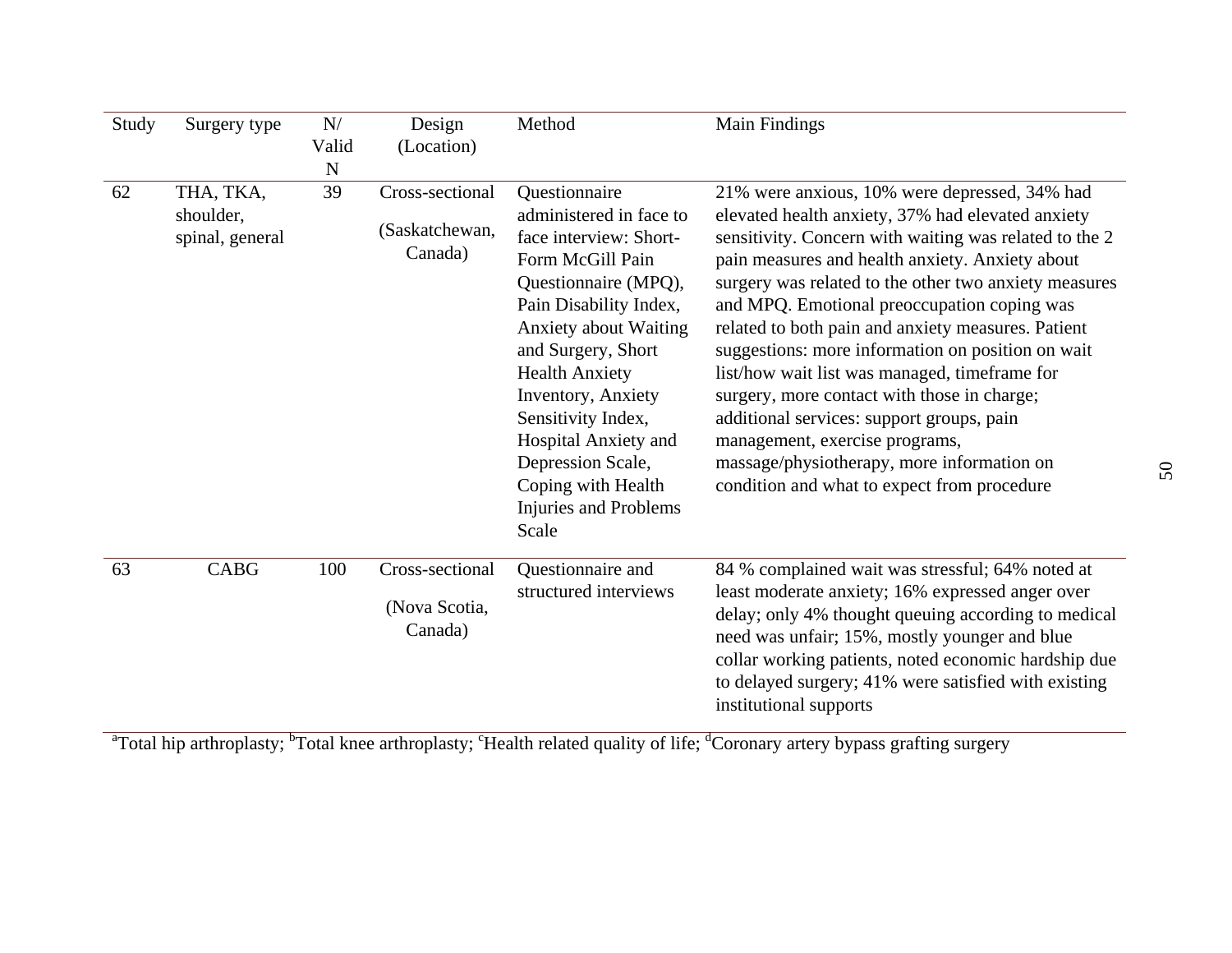| Study | Surgery type                              | N/<br>Valid<br>$\mathbf N$ | Design<br>(Location)                         | Method                                                                                                                                                                                                                                                                                                                                                                   | Main Findings                                                                                                                                                                                                                                                                                                                                                                                                                                                                                                                                                                                                                                                                                                  |
|-------|-------------------------------------------|----------------------------|----------------------------------------------|--------------------------------------------------------------------------------------------------------------------------------------------------------------------------------------------------------------------------------------------------------------------------------------------------------------------------------------------------------------------------|----------------------------------------------------------------------------------------------------------------------------------------------------------------------------------------------------------------------------------------------------------------------------------------------------------------------------------------------------------------------------------------------------------------------------------------------------------------------------------------------------------------------------------------------------------------------------------------------------------------------------------------------------------------------------------------------------------------|
| 62    | THA, TKA,<br>shoulder,<br>spinal, general | 39                         | Cross-sectional<br>(Saskatchewan,<br>Canada) | Questionnaire<br>administered in face to<br>face interview: Short-<br>Form McGill Pain<br>Questionnaire (MPQ),<br>Pain Disability Index,<br><b>Anxiety about Waiting</b><br>and Surgery, Short<br><b>Health Anxiety</b><br>Inventory, Anxiety<br>Sensitivity Index,<br>Hospital Anxiety and<br>Depression Scale,<br>Coping with Health<br>Injuries and Problems<br>Scale | 21% were anxious, 10% were depressed, 34% had<br>elevated health anxiety, 37% had elevated anxiety<br>sensitivity. Concern with waiting was related to the 2<br>pain measures and health anxiety. Anxiety about<br>surgery was related to the other two anxiety measures<br>and MPQ. Emotional preoccupation coping was<br>related to both pain and anxiety measures. Patient<br>suggestions: more information on position on wait<br>list/how wait list was managed, timeframe for<br>surgery, more contact with those in charge;<br>additional services: support groups, pain<br>management, exercise programs,<br>massage/physiotherapy, more information on<br>condition and what to expect from procedure |
| 63    | <b>CABG</b>                               | 100                        | Cross-sectional<br>(Nova Scotia,<br>Canada)  | Questionnaire and<br>structured interviews                                                                                                                                                                                                                                                                                                                               | 84 % complained wait was stressful; 64% noted at<br>least moderate anxiety; 16% expressed anger over<br>delay; only 4% thought queuing according to medical<br>need was unfair; 15%, mostly younger and blue<br>collar working patients, noted economic hardship due<br>to delayed surgery; 41% were satisfied with existing<br>institutional supports                                                                                                                                                                                                                                                                                                                                                         |

<sup>a</sup>Total hip arthroplasty; <sup>b</sup>Total knee arthroplasty; <sup>c</sup>Health related quality of life; <sup>d</sup>Coronary artery bypass grafting surgery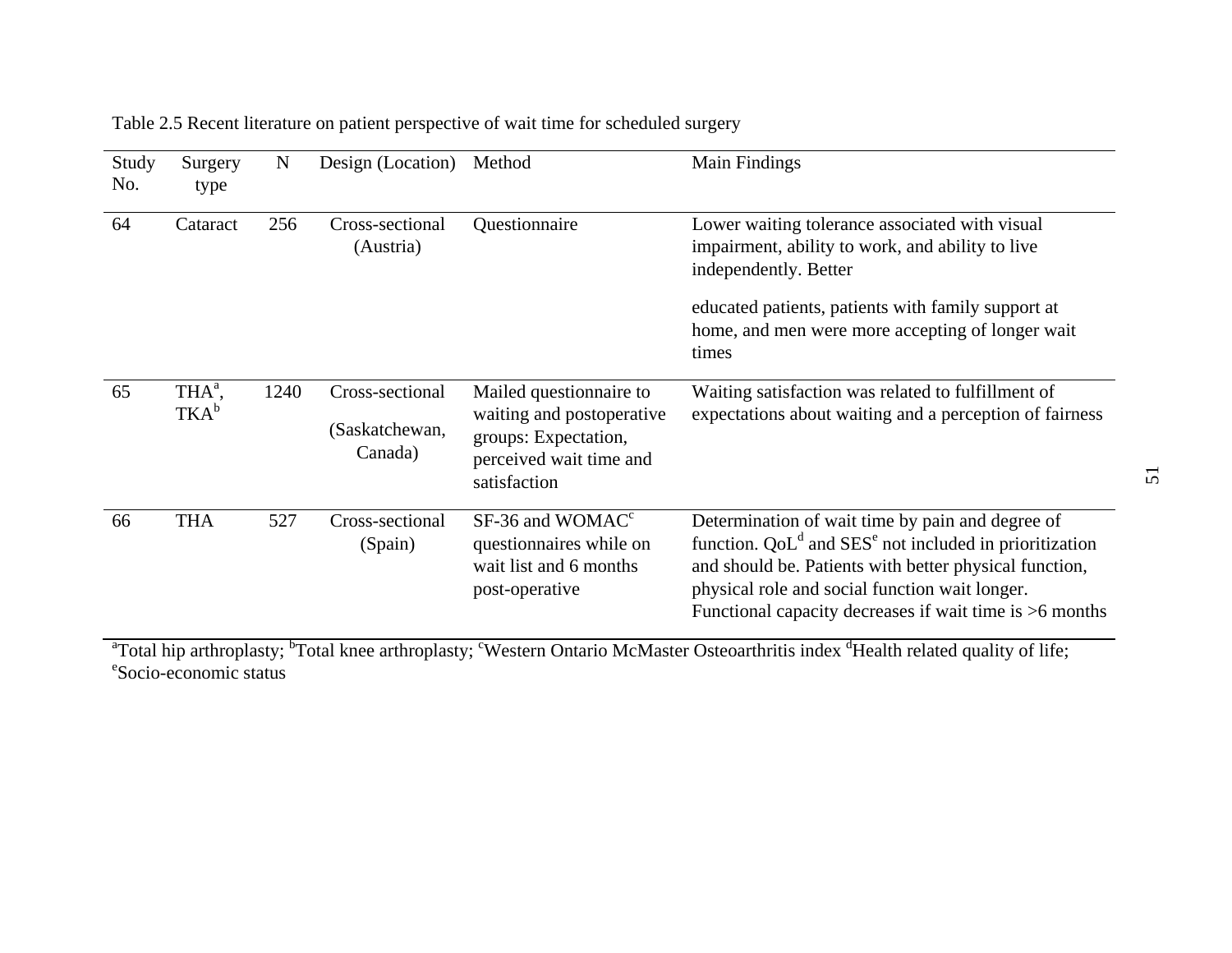| Study<br>No. | Surgery<br>type               | $\mathbf N$ | Design (Location)                            | Method                                                                                                                  | Main Findings                                                                                                                                                                                                                                                                                     |
|--------------|-------------------------------|-------------|----------------------------------------------|-------------------------------------------------------------------------------------------------------------------------|---------------------------------------------------------------------------------------------------------------------------------------------------------------------------------------------------------------------------------------------------------------------------------------------------|
| 64           | Cataract                      | 256         | Cross-sectional<br>(Austria)                 | Questionnaire                                                                                                           | Lower waiting tolerance associated with visual<br>impairment, ability to work, and ability to live<br>independently. Better                                                                                                                                                                       |
|              |                               |             |                                              |                                                                                                                         | educated patients, patients with family support at<br>home, and men were more accepting of longer wait<br>times                                                                                                                                                                                   |
| 65           | THA <sup>a</sup> ,<br>$TKA^b$ | 1240        | Cross-sectional<br>(Saskatchewan,<br>Canada) | Mailed questionnaire to<br>waiting and postoperative<br>groups: Expectation,<br>perceived wait time and<br>satisfaction | Waiting satisfaction was related to fulfillment of<br>expectations about waiting and a perception of fairness                                                                                                                                                                                     |
| 66           | <b>THA</b>                    | 527         | Cross-sectional<br>(Spain)                   | $SF-36$ and WOMAC <sup>c</sup><br>questionnaires while on<br>wait list and 6 months<br>post-operative                   | Determination of wait time by pain and degree of<br>function. $QoLd$ and SES <sup>e</sup> not included in prioritization<br>and should be. Patients with better physical function,<br>physical role and social function wait longer.<br>Functional capacity decreases if wait time is $>6$ months |

Table 2.5 Recent literature on patient perspective of wait time for scheduled surgery

<sup>a</sup>Total hip arthroplasty; <sup>b</sup>Total knee arthroplasty; <sup>c</sup>Western Ontario McMaster Osteoarthritis index <sup>d</sup>Health related quality of life; eSocio-economic status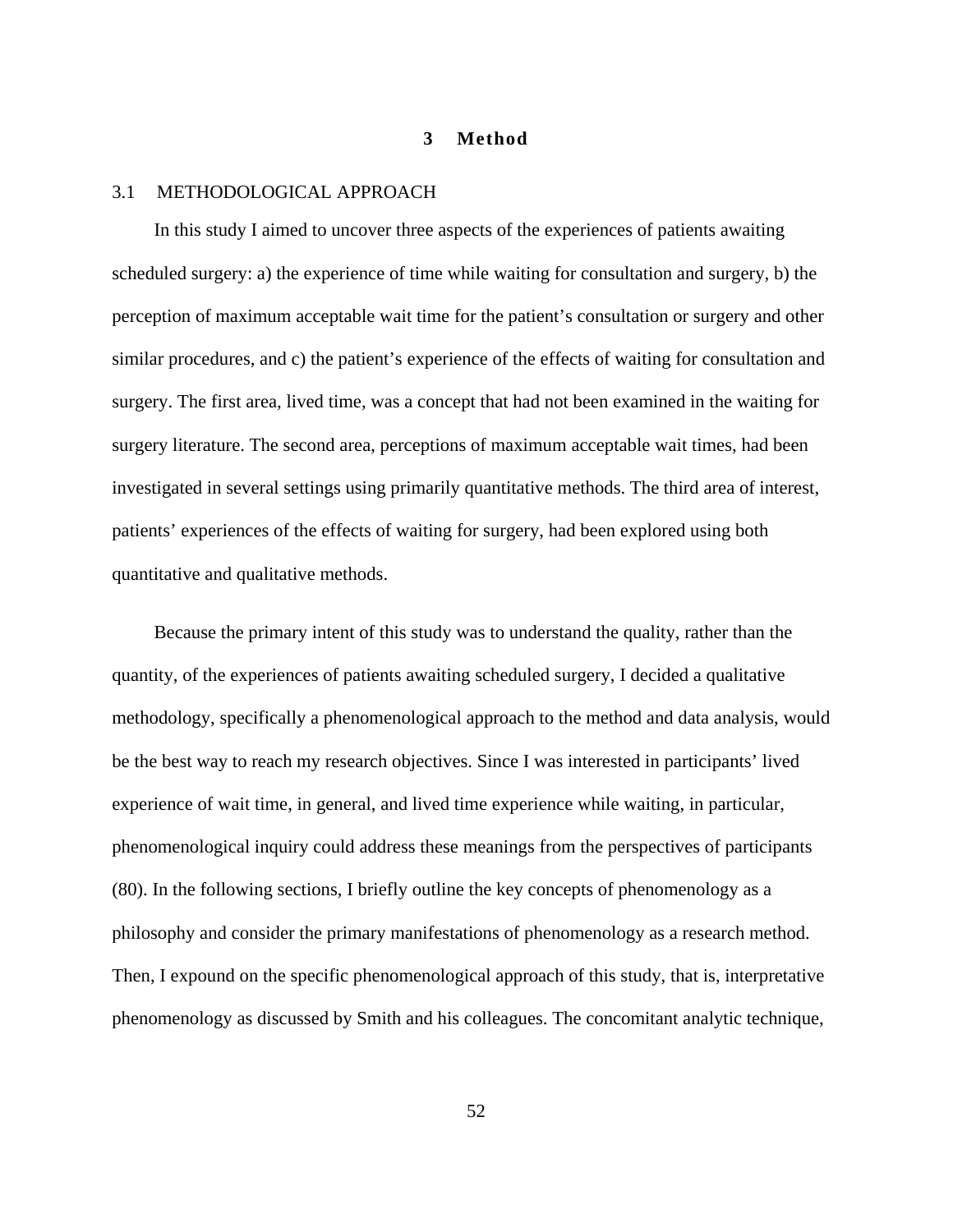#### **3 Method**

### 3.1 METHODOLOGICAL APPROACH

In this study I aimed to uncover three aspects of the experiences of patients awaiting scheduled surgery: a) the experience of time while waiting for consultation and surgery, b) the perception of maximum acceptable wait time for the patient's consultation or surgery and other similar procedures, and c) the patient's experience of the effects of waiting for consultation and surgery. The first area, lived time, was a concept that had not been examined in the waiting for surgery literature. The second area, perceptions of maximum acceptable wait times, had been investigated in several settings using primarily quantitative methods. The third area of interest, patients' experiences of the effects of waiting for surgery, had been explored using both quantitative and qualitative methods.

Because the primary intent of this study was to understand the quality, rather than the quantity, of the experiences of patients awaiting scheduled surgery, I decided a qualitative methodology, specifically a phenomenological approach to the method and data analysis, would be the best way to reach my research objectives. Since I was interested in participants' lived experience of wait time, in general, and lived time experience while waiting, in particular, phenomenological inquiry could address these meanings from the perspectives of participants (80). In the following sections, I briefly outline the key concepts of phenomenology as a philosophy and consider the primary manifestations of phenomenology as a research method. Then, I expound on the specific phenomenological approach of this study, that is, interpretative phenomenology as discussed by Smith and his colleagues. The concomitant analytic technique,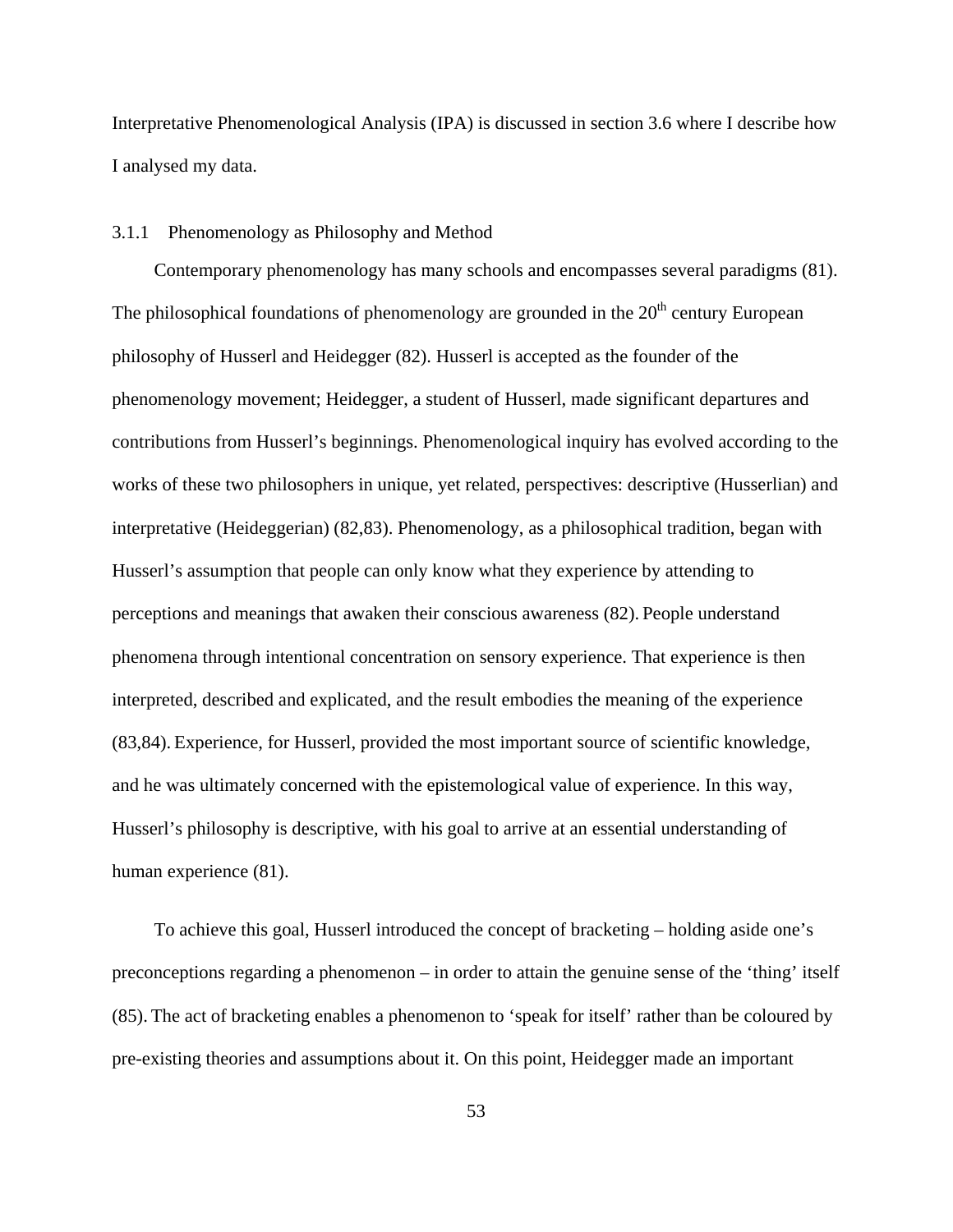Interpretative Phenomenological Analysis (IPA) is discussed in section 3.6 where I describe how I analysed my data.

### 3.1.1 Phenomenology as Philosophy and Method

Contemporary phenomenology has many schools and encompasses several paradigms (81). The philosophical foundations of phenomenology are grounded in the  $20<sup>th</sup>$  century European philosophy of Husserl and Heidegger (82). Husserl is accepted as the founder of the phenomenology movement; Heidegger, a student of Husserl, made significant departures and contributions from Husserl's beginnings. Phenomenological inquiry has evolved according to the works of these two philosophers in unique, yet related, perspectives: descriptive (Husserlian) and interpretative (Heideggerian) (82,83). Phenomenology, as a philosophical tradition, began with Husserl's assumption that people can only know what they experience by attending to perceptions and meanings that awaken their conscious awareness (82). People understand phenomena through intentional concentration on sensory experience. That experience is then interpreted, described and explicated, and the result embodies the meaning of the experience (83,84). Experience, for Husserl, provided the most important source of scientific knowledge, and he was ultimately concerned with the epistemological value of experience. In this way, Husserl's philosophy is descriptive, with his goal to arrive at an essential understanding of human experience (81).

To achieve this goal, Husserl introduced the concept of bracketing – holding aside one's preconceptions regarding a phenomenon – in order to attain the genuine sense of the 'thing' itself (85). The act of bracketing enables a phenomenon to 'speak for itself' rather than be coloured by pre-existing theories and assumptions about it. On this point, Heidegger made an important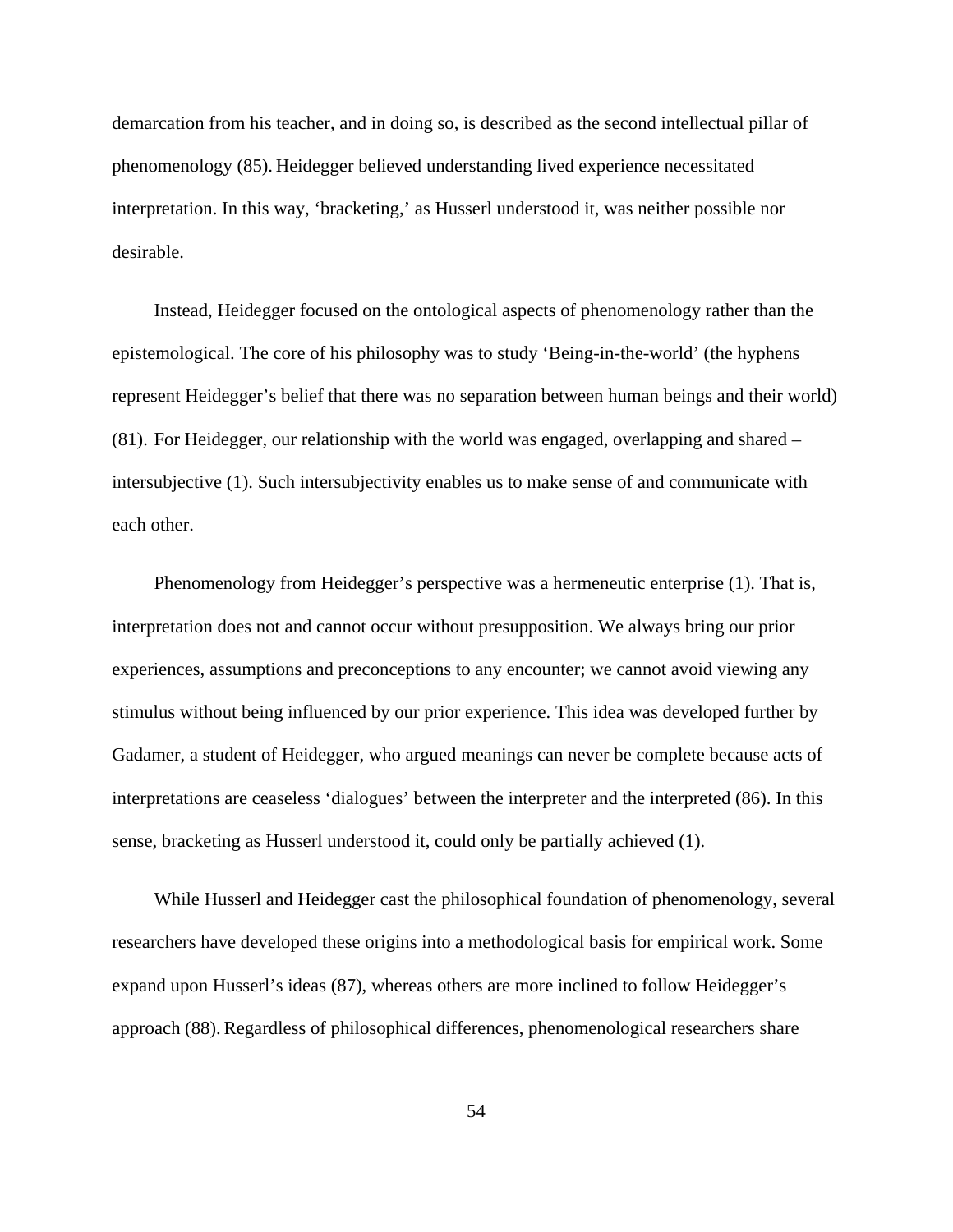demarcation from his teacher, and in doing so, is described as the second intellectual pillar of phenomenology (85). Heidegger believed understanding lived experience necessitated interpretation. In this way, 'bracketing,' as Husserl understood it, was neither possible nor desirable.

Instead, Heidegger focused on the ontological aspects of phenomenology rather than the epistemological. The core of his philosophy was to study 'Being-in-the-world' (the hyphens represent Heidegger's belief that there was no separation between human beings and their world) (81). For Heidegger, our relationship with the world was engaged, overlapping and shared – intersubjective (1). Such intersubjectivity enables us to make sense of and communicate with each other.

Phenomenology from Heidegger's perspective was a hermeneutic enterprise (1). That is, interpretation does not and cannot occur without presupposition. We always bring our prior experiences, assumptions and preconceptions to any encounter; we cannot avoid viewing any stimulus without being influenced by our prior experience. This idea was developed further by Gadamer, a student of Heidegger, who argued meanings can never be complete because acts of interpretations are ceaseless 'dialogues' between the interpreter and the interpreted (86). In this sense, bracketing as Husserl understood it, could only be partially achieved (1).

While Husserl and Heidegger cast the philosophical foundation of phenomenology, several researchers have developed these origins into a methodological basis for empirical work. Some expand upon Husserl's ideas (87), whereas others are more inclined to follow Heidegger's approach (88). Regardless of philosophical differences, phenomenological researchers share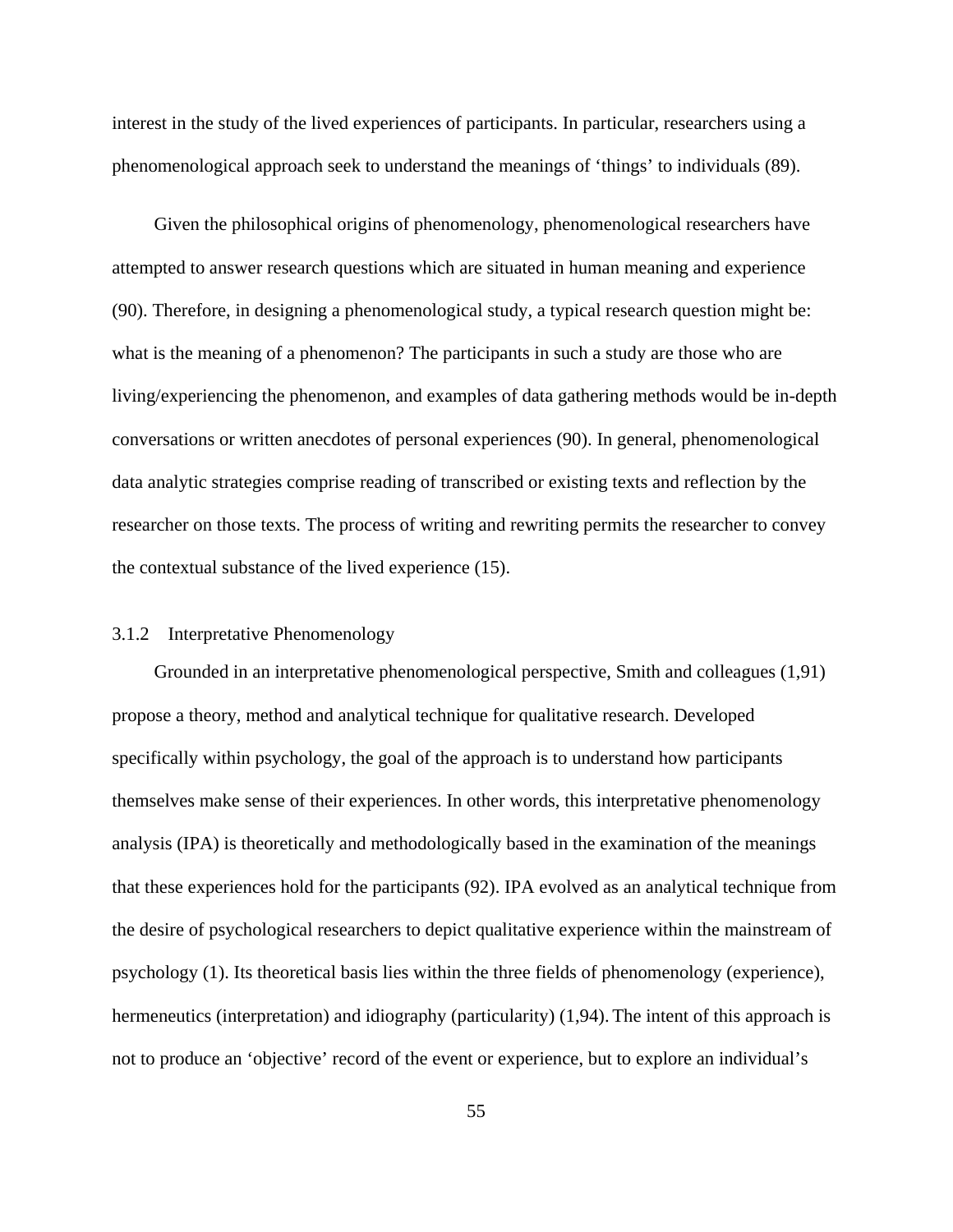interest in the study of the lived experiences of participants. In particular, researchers using a phenomenological approach seek to understand the meanings of 'things' to individuals (89).

Given the philosophical origins of phenomenology, phenomenological researchers have attempted to answer research questions which are situated in human meaning and experience (90). Therefore, in designing a phenomenological study, a typical research question might be: what is the meaning of a phenomenon? The participants in such a study are those who are living/experiencing the phenomenon, and examples of data gathering methods would be in-depth conversations or written anecdotes of personal experiences (90). In general, phenomenological data analytic strategies comprise reading of transcribed or existing texts and reflection by the researcher on those texts. The process of writing and rewriting permits the researcher to convey the contextual substance of the lived experience (15).

## 3.1.2 Interpretative Phenomenology

Grounded in an interpretative phenomenological perspective, Smith and colleagues (1,91) propose a theory, method and analytical technique for qualitative research. Developed specifically within psychology, the goal of the approach is to understand how participants themselves make sense of their experiences. In other words, this interpretative phenomenology analysis (IPA) is theoretically and methodologically based in the examination of the meanings that these experiences hold for the participants (92). IPA evolved as an analytical technique from the desire of psychological researchers to depict qualitative experience within the mainstream of psychology (1). Its theoretical basis lies within the three fields of phenomenology (experience), hermeneutics (interpretation) and idiography (particularity) (1,94). The intent of this approach is not to produce an 'objective' record of the event or experience, but to explore an individual's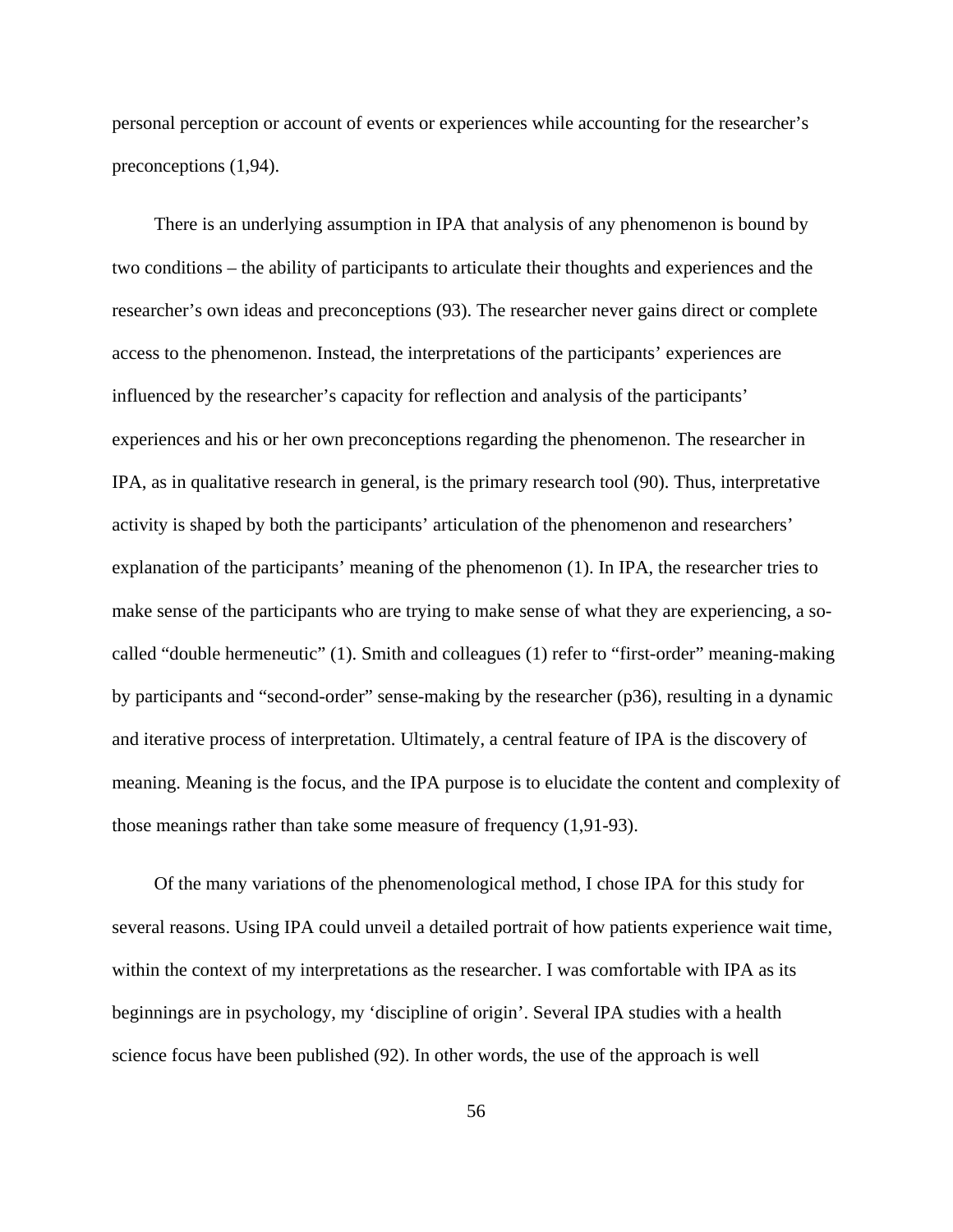personal perception or account of events or experiences while accounting for the researcher's preconceptions (1,94).

There is an underlying assumption in IPA that analysis of any phenomenon is bound by two conditions – the ability of participants to articulate their thoughts and experiences and the researcher's own ideas and preconceptions (93). The researcher never gains direct or complete access to the phenomenon. Instead, the interpretations of the participants' experiences are influenced by the researcher's capacity for reflection and analysis of the participants' experiences and his or her own preconceptions regarding the phenomenon. The researcher in IPA, as in qualitative research in general, is the primary research tool (90). Thus, interpretative activity is shaped by both the participants' articulation of the phenomenon and researchers' explanation of the participants' meaning of the phenomenon (1). In IPA, the researcher tries to make sense of the participants who are trying to make sense of what they are experiencing, a socalled "double hermeneutic" (1). Smith and colleagues (1) refer to "first-order" meaning-making by participants and "second-order" sense-making by the researcher (p36), resulting in a dynamic and iterative process of interpretation. Ultimately, a central feature of IPA is the discovery of meaning. Meaning is the focus, and the IPA purpose is to elucidate the content and complexity of those meanings rather than take some measure of frequency (1,91-93).

Of the many variations of the phenomenological method, I chose IPA for this study for several reasons. Using IPA could unveil a detailed portrait of how patients experience wait time, within the context of my interpretations as the researcher. I was comfortable with IPA as its beginnings are in psychology, my 'discipline of origin'. Several IPA studies with a health science focus have been published (92). In other words, the use of the approach is well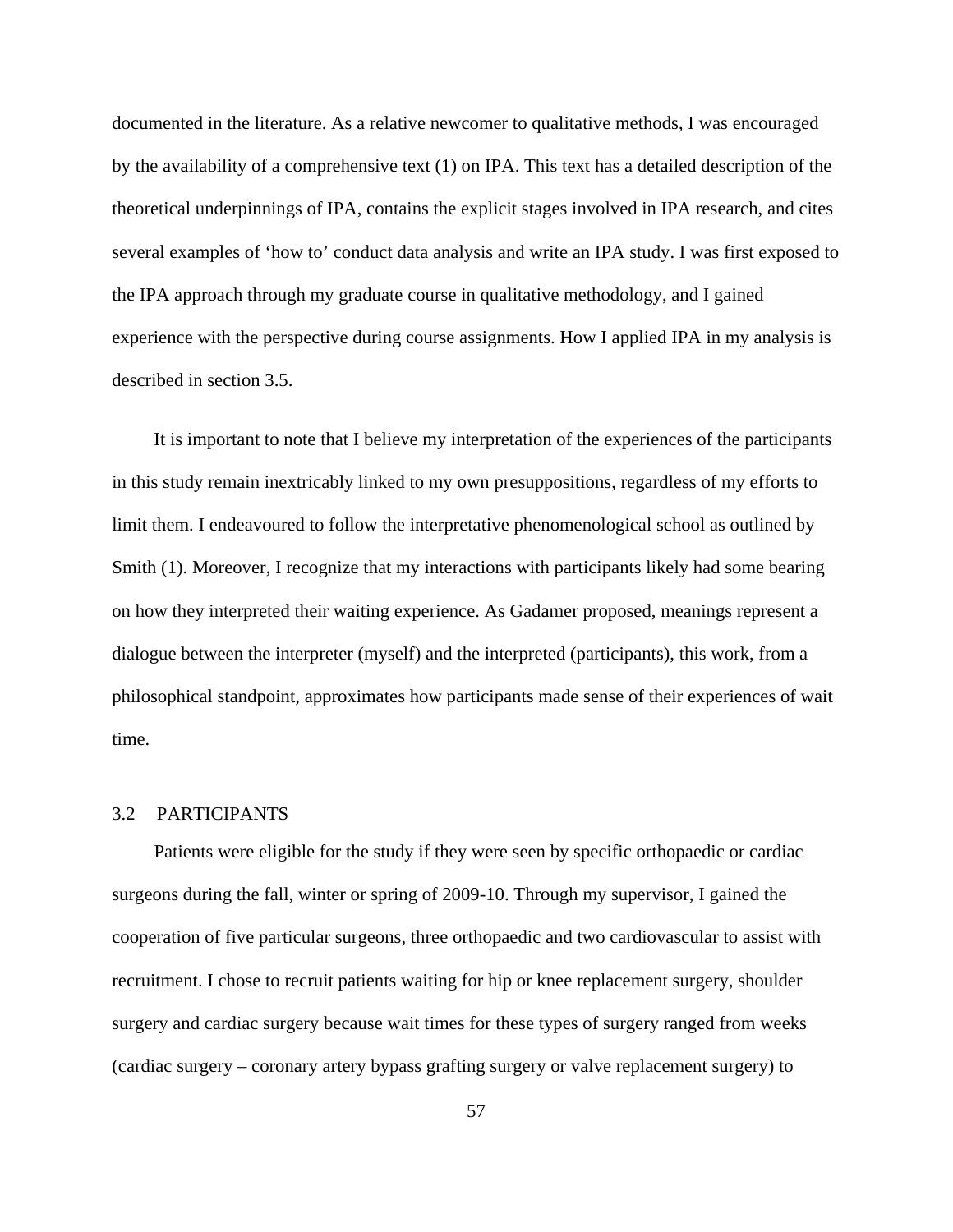documented in the literature. As a relative newcomer to qualitative methods, I was encouraged by the availability of a comprehensive text (1) on IPA. This text has a detailed description of the theoretical underpinnings of IPA, contains the explicit stages involved in IPA research, and cites several examples of 'how to' conduct data analysis and write an IPA study. I was first exposed to the IPA approach through my graduate course in qualitative methodology, and I gained experience with the perspective during course assignments. How I applied IPA in my analysis is described in section 3.5.

It is important to note that I believe my interpretation of the experiences of the participants in this study remain inextricably linked to my own presuppositions, regardless of my efforts to limit them. I endeavoured to follow the interpretative phenomenological school as outlined by Smith (1). Moreover, I recognize that my interactions with participants likely had some bearing on how they interpreted their waiting experience. As Gadamer proposed, meanings represent a dialogue between the interpreter (myself) and the interpreted (participants), this work, from a philosophical standpoint, approximates how participants made sense of their experiences of wait time.

### 3.2 PARTICIPANTS

Patients were eligible for the study if they were seen by specific orthopaedic or cardiac surgeons during the fall, winter or spring of 2009-10. Through my supervisor, I gained the cooperation of five particular surgeons, three orthopaedic and two cardiovascular to assist with recruitment. I chose to recruit patients waiting for hip or knee replacement surgery, shoulder surgery and cardiac surgery because wait times for these types of surgery ranged from weeks (cardiac surgery – coronary artery bypass grafting surgery or valve replacement surgery) to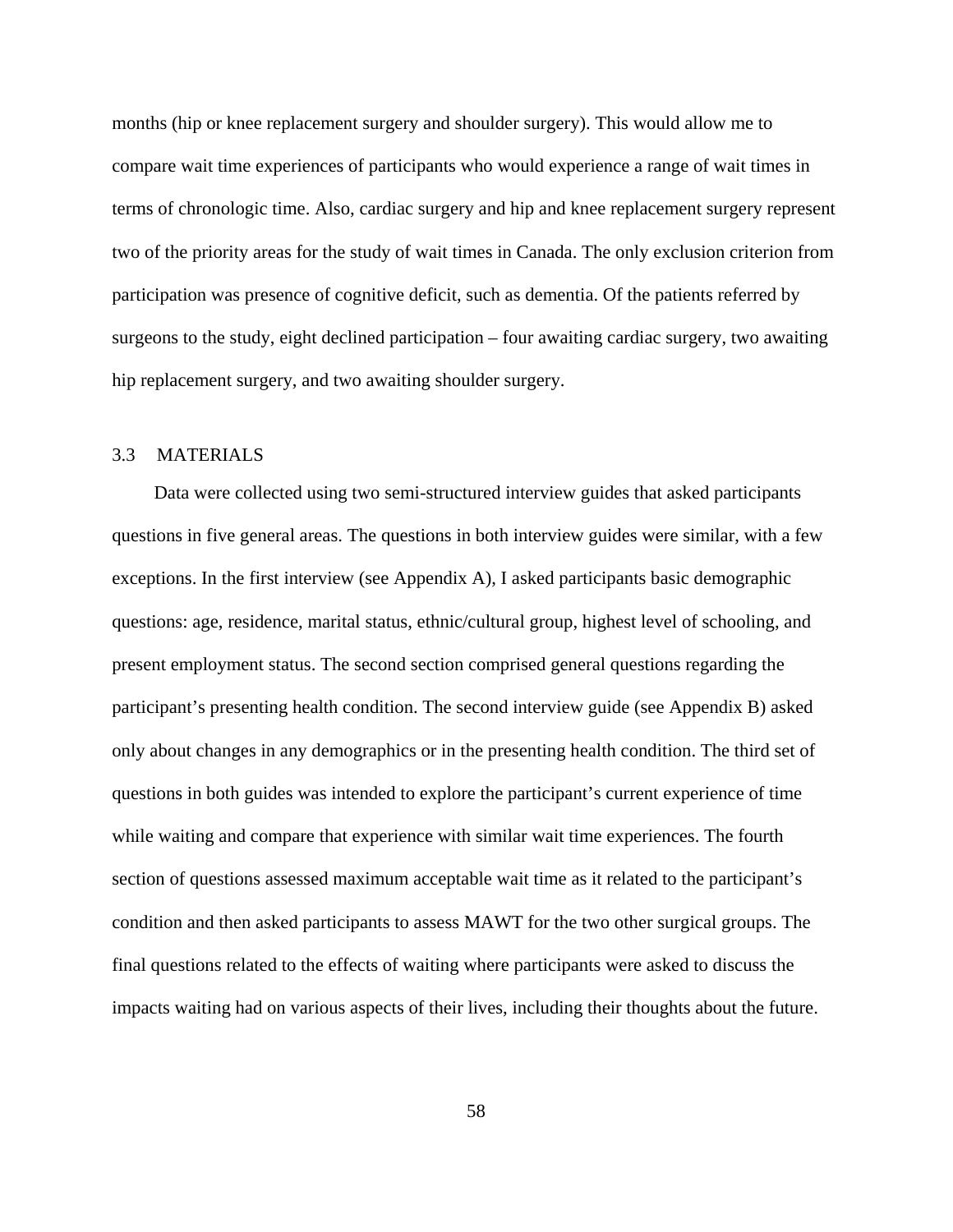months (hip or knee replacement surgery and shoulder surgery). This would allow me to compare wait time experiences of participants who would experience a range of wait times in terms of chronologic time. Also, cardiac surgery and hip and knee replacement surgery represent two of the priority areas for the study of wait times in Canada. The only exclusion criterion from participation was presence of cognitive deficit, such as dementia. Of the patients referred by surgeons to the study, eight declined participation – four awaiting cardiac surgery, two awaiting hip replacement surgery, and two awaiting shoulder surgery.

## 3.3 MATERIALS

Data were collected using two semi-structured interview guides that asked participants questions in five general areas. The questions in both interview guides were similar, with a few exceptions. In the first interview (see Appendix A), I asked participants basic demographic questions: age, residence, marital status, ethnic/cultural group, highest level of schooling, and present employment status. The second section comprised general questions regarding the participant's presenting health condition. The second interview guide (see Appendix B) asked only about changes in any demographics or in the presenting health condition. The third set of questions in both guides was intended to explore the participant's current experience of time while waiting and compare that experience with similar wait time experiences. The fourth section of questions assessed maximum acceptable wait time as it related to the participant's condition and then asked participants to assess MAWT for the two other surgical groups. The final questions related to the effects of waiting where participants were asked to discuss the impacts waiting had on various aspects of their lives, including their thoughts about the future.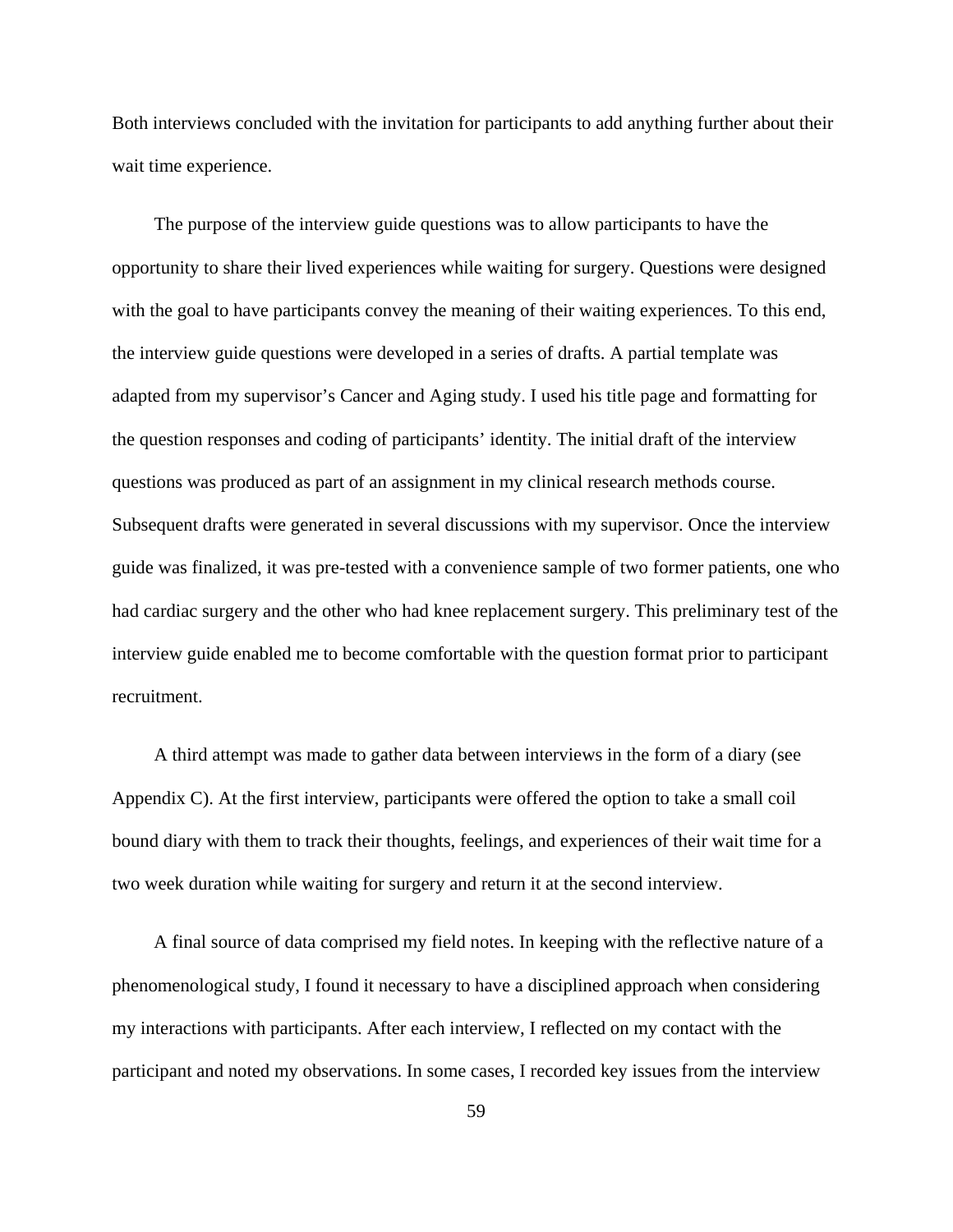Both interviews concluded with the invitation for participants to add anything further about their wait time experience.

The purpose of the interview guide questions was to allow participants to have the opportunity to share their lived experiences while waiting for surgery. Questions were designed with the goal to have participants convey the meaning of their waiting experiences. To this end, the interview guide questions were developed in a series of drafts. A partial template was adapted from my supervisor's Cancer and Aging study. I used his title page and formatting for the question responses and coding of participants' identity. The initial draft of the interview questions was produced as part of an assignment in my clinical research methods course. Subsequent drafts were generated in several discussions with my supervisor. Once the interview guide was finalized, it was pre-tested with a convenience sample of two former patients, one who had cardiac surgery and the other who had knee replacement surgery. This preliminary test of the interview guide enabled me to become comfortable with the question format prior to participant recruitment.

A third attempt was made to gather data between interviews in the form of a diary (see Appendix C). At the first interview, participants were offered the option to take a small coil bound diary with them to track their thoughts, feelings, and experiences of their wait time for a two week duration while waiting for surgery and return it at the second interview.

A final source of data comprised my field notes. In keeping with the reflective nature of a phenomenological study, I found it necessary to have a disciplined approach when considering my interactions with participants. After each interview, I reflected on my contact with the participant and noted my observations. In some cases, I recorded key issues from the interview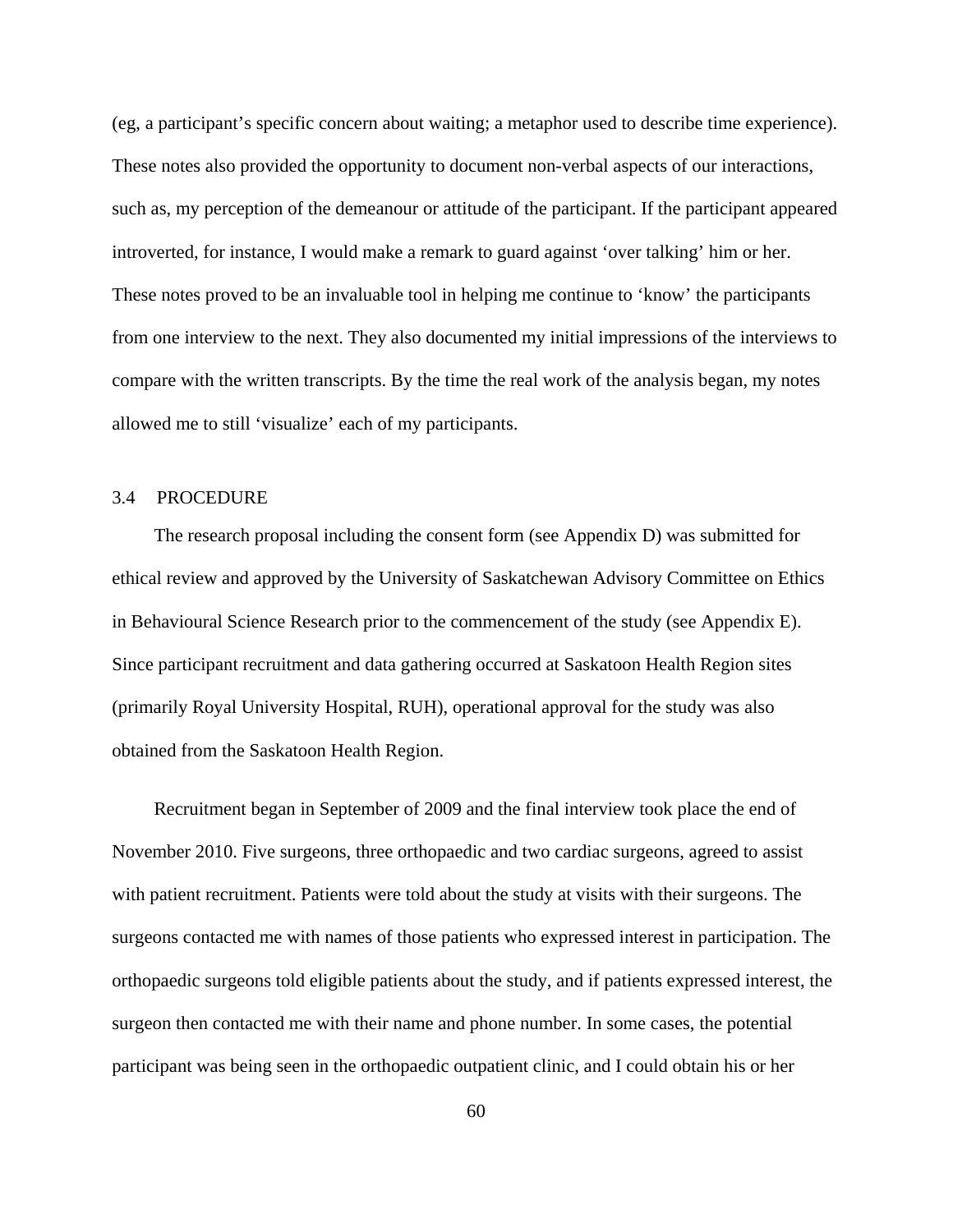(eg, a participant's specific concern about waiting; a metaphor used to describe time experience). These notes also provided the opportunity to document non-verbal aspects of our interactions, such as, my perception of the demeanour or attitude of the participant. If the participant appeared introverted, for instance, I would make a remark to guard against 'over talking' him or her. These notes proved to be an invaluable tool in helping me continue to 'know' the participants from one interview to the next. They also documented my initial impressions of the interviews to compare with the written transcripts. By the time the real work of the analysis began, my notes allowed me to still 'visualize' each of my participants.

## 3.4 PROCEDURE

The research proposal including the consent form (see Appendix D) was submitted for ethical review and approved by the University of Saskatchewan Advisory Committee on Ethics in Behavioural Science Research prior to the commencement of the study (see Appendix E). Since participant recruitment and data gathering occurred at Saskatoon Health Region sites (primarily Royal University Hospital, RUH), operational approval for the study was also obtained from the Saskatoon Health Region.

Recruitment began in September of 2009 and the final interview took place the end of November 2010. Five surgeons, three orthopaedic and two cardiac surgeons, agreed to assist with patient recruitment. Patients were told about the study at visits with their surgeons. The surgeons contacted me with names of those patients who expressed interest in participation. The orthopaedic surgeons told eligible patients about the study, and if patients expressed interest, the surgeon then contacted me with their name and phone number. In some cases, the potential participant was being seen in the orthopaedic outpatient clinic, and I could obtain his or her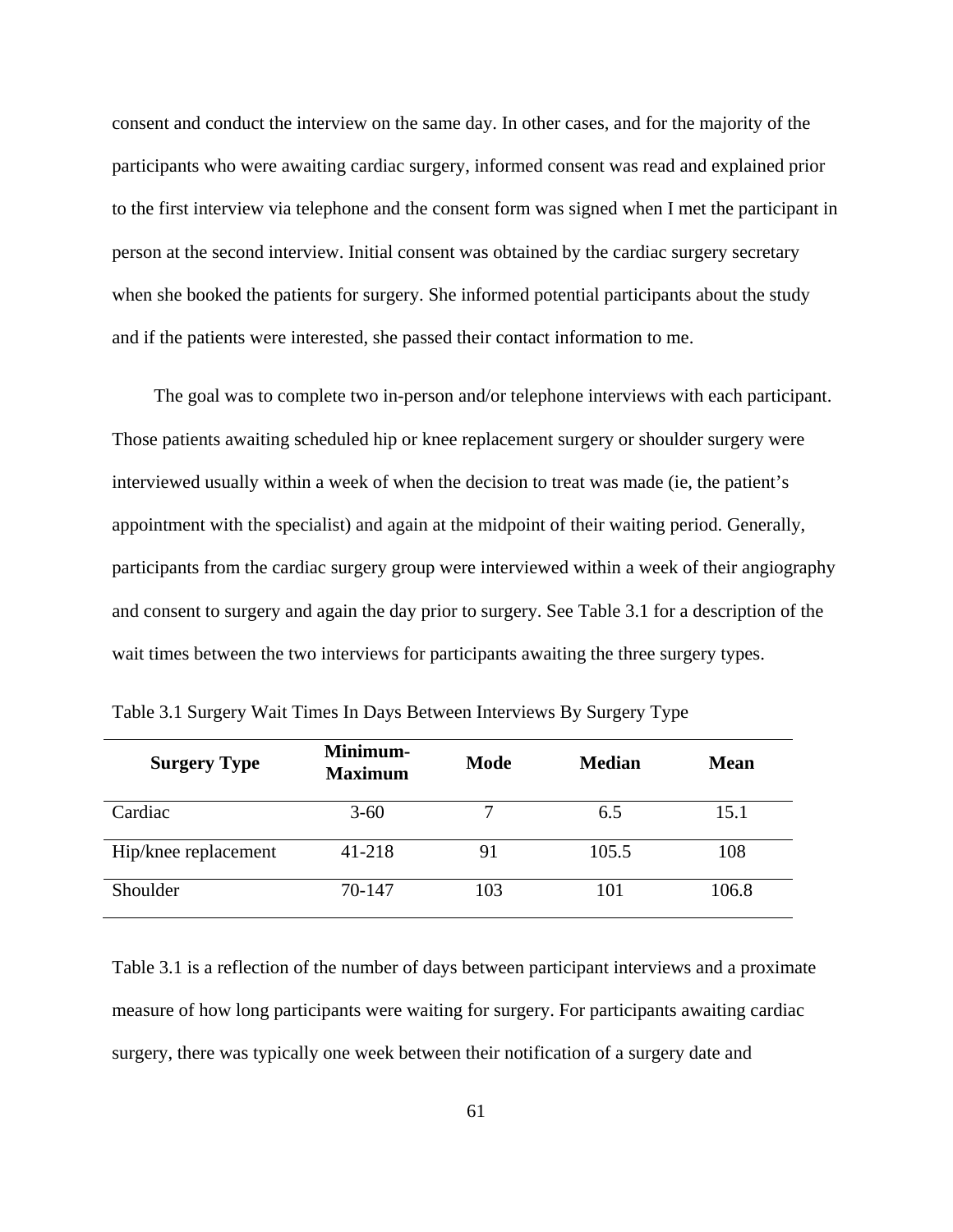consent and conduct the interview on the same day. In other cases, and for the majority of the participants who were awaiting cardiac surgery, informed consent was read and explained prior to the first interview via telephone and the consent form was signed when I met the participant in person at the second interview. Initial consent was obtained by the cardiac surgery secretary when she booked the patients for surgery. She informed potential participants about the study and if the patients were interested, she passed their contact information to me.

The goal was to complete two in-person and/or telephone interviews with each participant. Those patients awaiting scheduled hip or knee replacement surgery or shoulder surgery were interviewed usually within a week of when the decision to treat was made (ie, the patient's appointment with the specialist) and again at the midpoint of their waiting period. Generally, participants from the cardiac surgery group were interviewed within a week of their angiography and consent to surgery and again the day prior to surgery. See Table 3.1 for a description of the wait times between the two interviews for participants awaiting the three surgery types.

| <b>Surgery Type</b>  | Minimum-<br><b>Maximum</b> | <b>Mode</b> | <b>Median</b> | <b>Mean</b> |  |
|----------------------|----------------------------|-------------|---------------|-------------|--|
| Cardiac              | $3 - 60$                   |             | 6.5           | 15.1        |  |
| Hip/knee replacement | 41-218                     | 91          | 105.5         | 108         |  |
| Shoulder             | 70-147                     | 103         | 101           | 106.8       |  |

Table 3.1 Surgery Wait Times In Days Between Interviews By Surgery Type

Table 3.1 is a reflection of the number of days between participant interviews and a proximate measure of how long participants were waiting for surgery. For participants awaiting cardiac surgery, there was typically one week between their notification of a surgery date and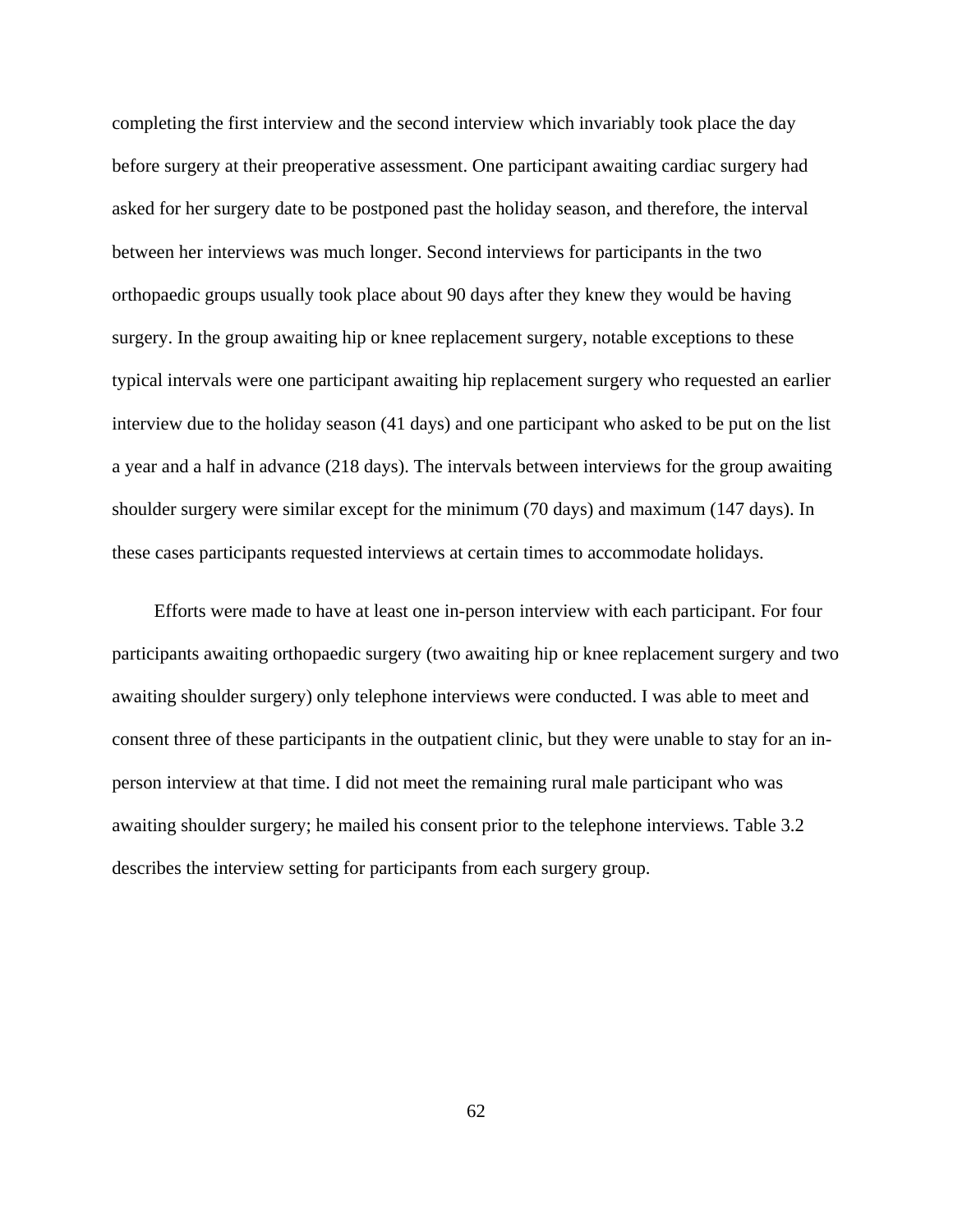completing the first interview and the second interview which invariably took place the day before surgery at their preoperative assessment. One participant awaiting cardiac surgery had asked for her surgery date to be postponed past the holiday season, and therefore, the interval between her interviews was much longer. Second interviews for participants in the two orthopaedic groups usually took place about 90 days after they knew they would be having surgery. In the group awaiting hip or knee replacement surgery, notable exceptions to these typical intervals were one participant awaiting hip replacement surgery who requested an earlier interview due to the holiday season (41 days) and one participant who asked to be put on the list a year and a half in advance (218 days). The intervals between interviews for the group awaiting shoulder surgery were similar except for the minimum (70 days) and maximum (147 days). In these cases participants requested interviews at certain times to accommodate holidays.

Efforts were made to have at least one in-person interview with each participant. For four participants awaiting orthopaedic surgery (two awaiting hip or knee replacement surgery and two awaiting shoulder surgery) only telephone interviews were conducted. I was able to meet and consent three of these participants in the outpatient clinic, but they were unable to stay for an inperson interview at that time. I did not meet the remaining rural male participant who was awaiting shoulder surgery; he mailed his consent prior to the telephone interviews. Table 3.2 describes the interview setting for participants from each surgery group.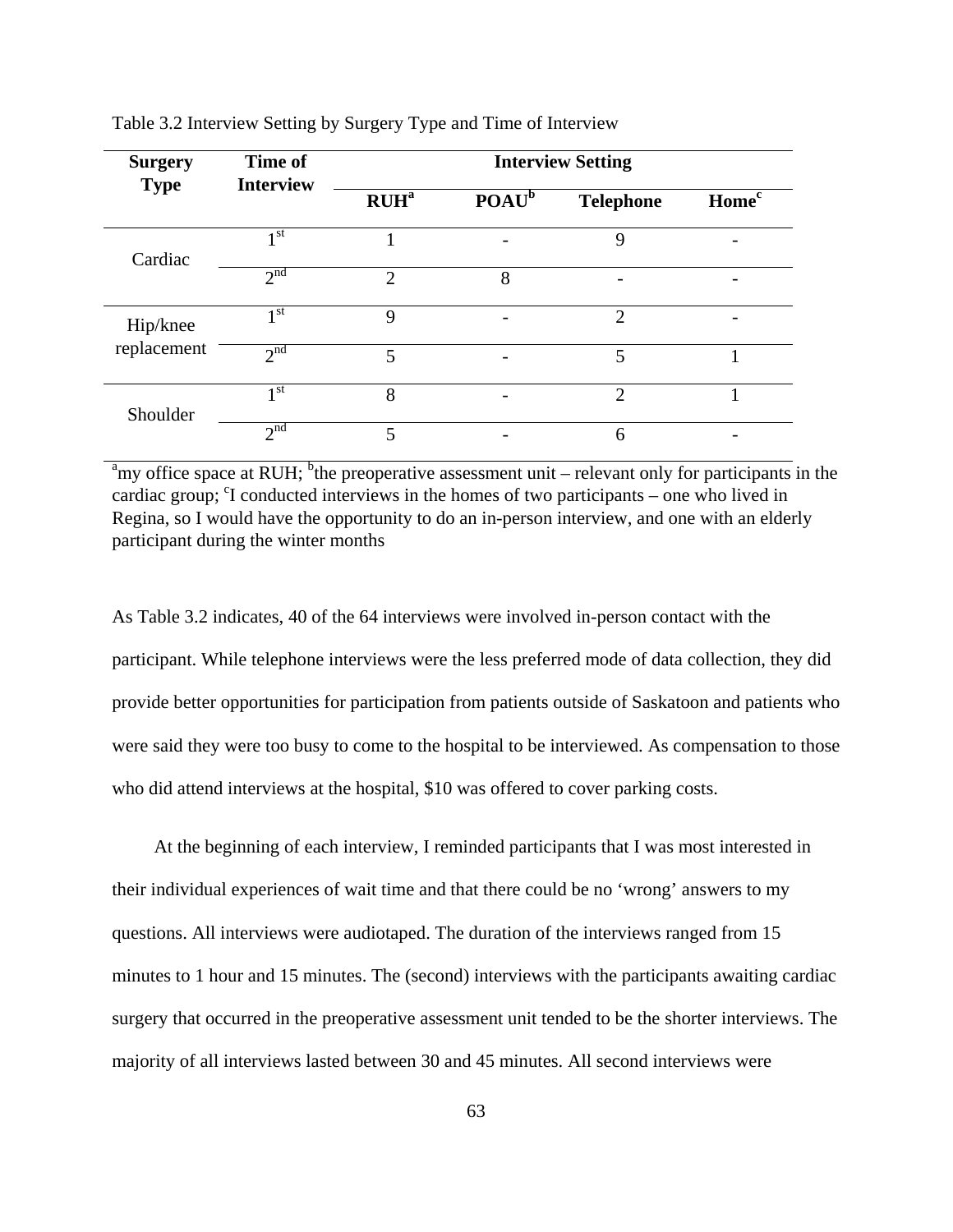| <b>Surgery</b>          | Time of<br><b>Interview</b> | <b>Interview Setting</b>    |                 |                       |                   |
|-------------------------|-----------------------------|-----------------------------|-----------------|-----------------------|-------------------|
| <b>Type</b>             |                             | RUH <sup>a</sup>            | $\text{POAU}^b$ | <b>Telephone</b>      | Home <sup>c</sup> |
| Cardiac                 | 1 <sup>st</sup>             |                             |                 | 9                     |                   |
|                         | 2 <sup>nd</sup>             | $\mathcal{D}_{\mathcal{L}}$ | 8               |                       |                   |
| Hip/knee<br>replacement | 1 <sup>st</sup>             | 9                           |                 | 2                     |                   |
|                         | 2 <sub>nd</sub>             | 5                           |                 | 5                     |                   |
| Shoulder                | 1 <sup>st</sup>             | 8                           |                 | $\mathcal{D}_{\cdot}$ |                   |
|                         | 2 <sup>nd</sup>             | 5                           |                 | 6                     |                   |

Table 3.2 Interview Setting by Surgery Type and Time of Interview

<sup>a</sup>my office space at RUH; <sup>b</sup>the preoperative assessment unit – relevant only for participants in the cardiac group; <sup>c</sup>I conducted interviews in the homes of two participants – one who lived in Regina, so I would have the opportunity to do an in-person interview, and one with an elderly participant during the winter months

As Table 3.2 indicates, 40 of the 64 interviews were involved in-person contact with the participant. While telephone interviews were the less preferred mode of data collection, they did provide better opportunities for participation from patients outside of Saskatoon and patients who were said they were too busy to come to the hospital to be interviewed. As compensation to those who did attend interviews at the hospital, \$10 was offered to cover parking costs.

At the beginning of each interview, I reminded participants that I was most interested in their individual experiences of wait time and that there could be no 'wrong' answers to my questions. All interviews were audiotaped. The duration of the interviews ranged from 15 minutes to 1 hour and 15 minutes. The (second) interviews with the participants awaiting cardiac surgery that occurred in the preoperative assessment unit tended to be the shorter interviews. The majority of all interviews lasted between 30 and 45 minutes. All second interviews were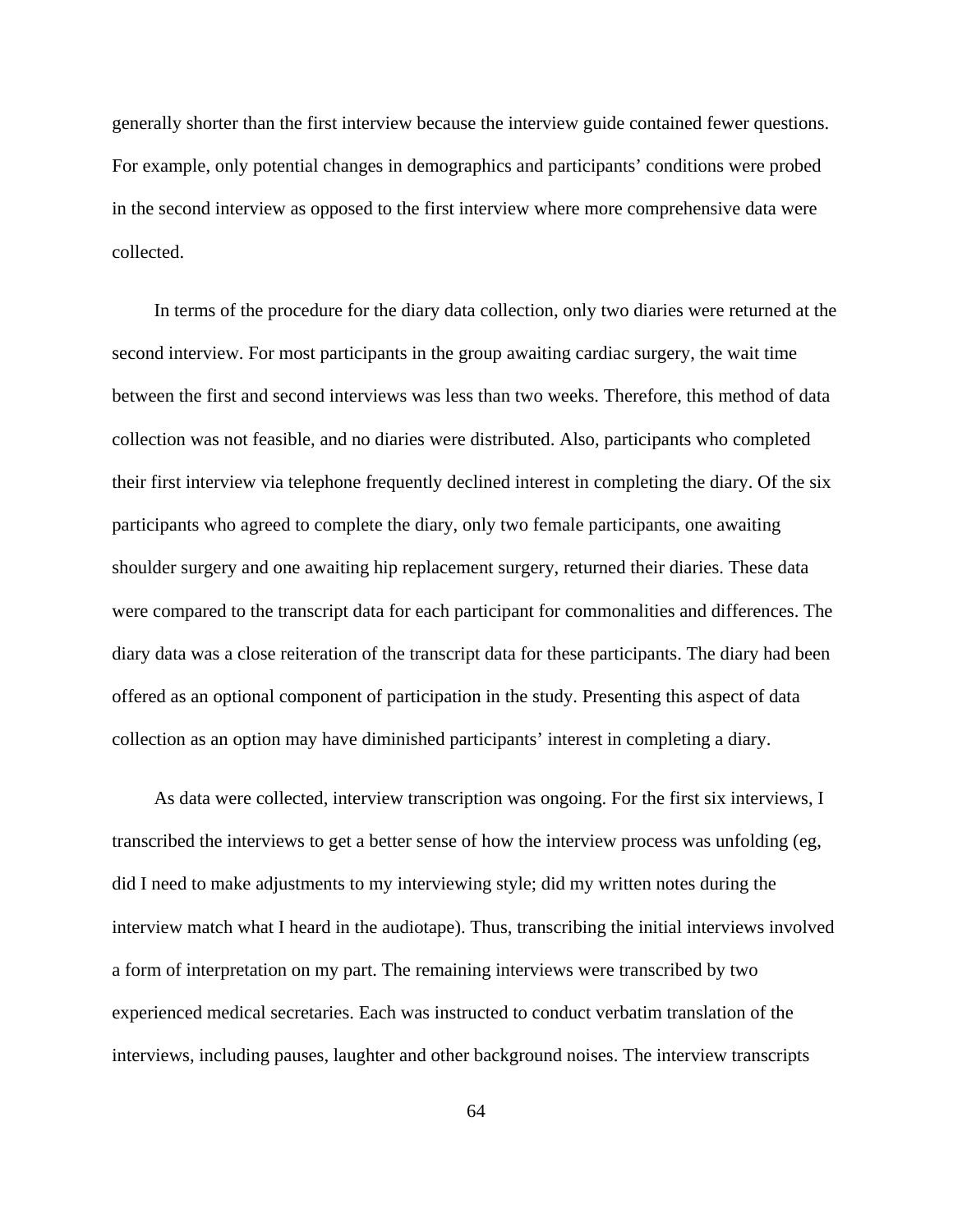generally shorter than the first interview because the interview guide contained fewer questions. For example, only potential changes in demographics and participants' conditions were probed in the second interview as opposed to the first interview where more comprehensive data were collected.

In terms of the procedure for the diary data collection, only two diaries were returned at the second interview. For most participants in the group awaiting cardiac surgery, the wait time between the first and second interviews was less than two weeks. Therefore, this method of data collection was not feasible, and no diaries were distributed. Also, participants who completed their first interview via telephone frequently declined interest in completing the diary. Of the six participants who agreed to complete the diary, only two female participants, one awaiting shoulder surgery and one awaiting hip replacement surgery, returned their diaries. These data were compared to the transcript data for each participant for commonalities and differences. The diary data was a close reiteration of the transcript data for these participants. The diary had been offered as an optional component of participation in the study. Presenting this aspect of data collection as an option may have diminished participants' interest in completing a diary.

As data were collected, interview transcription was ongoing. For the first six interviews, I transcribed the interviews to get a better sense of how the interview process was unfolding (eg, did I need to make adjustments to my interviewing style; did my written notes during the interview match what I heard in the audiotape). Thus, transcribing the initial interviews involved a form of interpretation on my part. The remaining interviews were transcribed by two experienced medical secretaries. Each was instructed to conduct verbatim translation of the interviews, including pauses, laughter and other background noises. The interview transcripts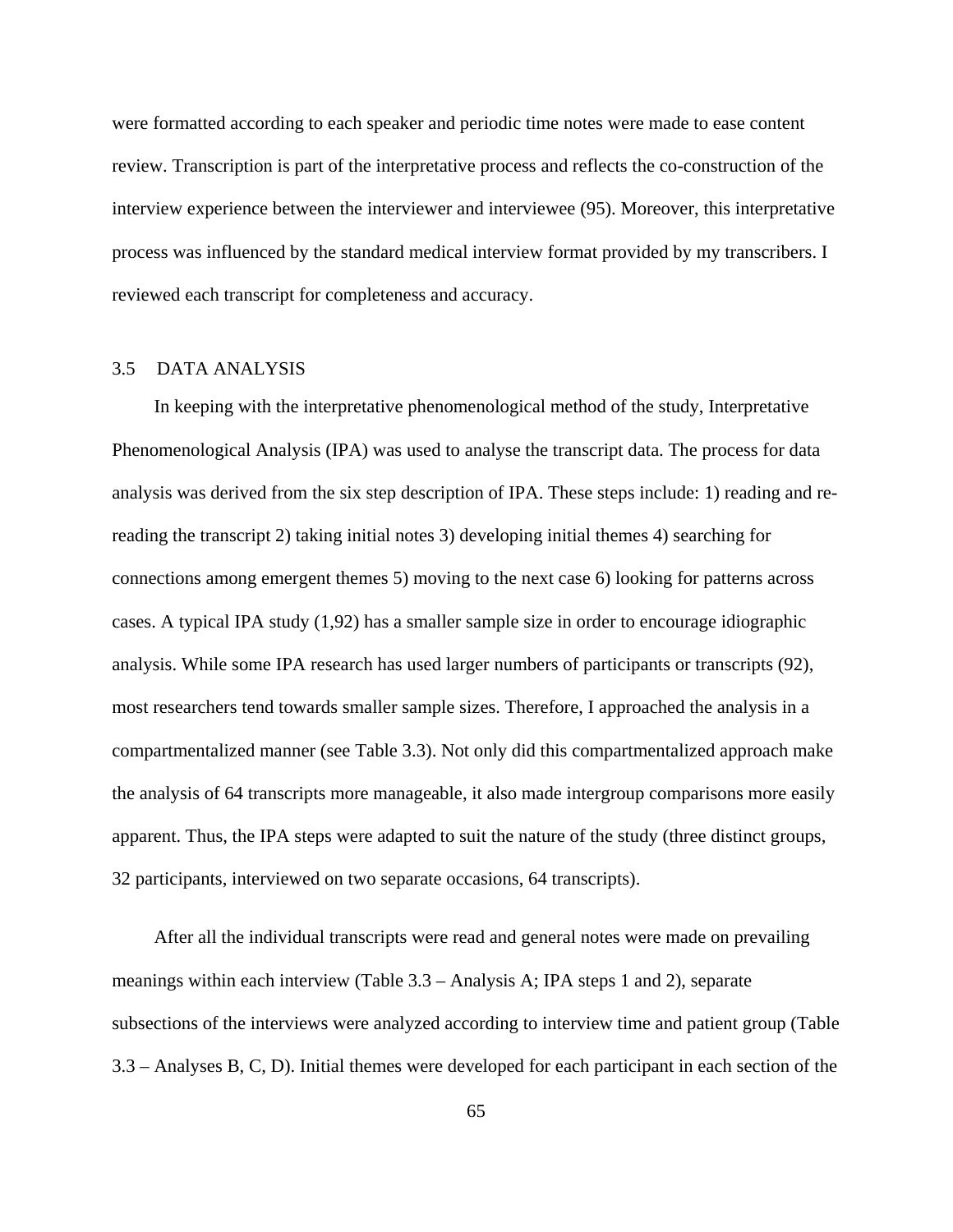were formatted according to each speaker and periodic time notes were made to ease content review. Transcription is part of the interpretative process and reflects the co-construction of the interview experience between the interviewer and interviewee (95). Moreover, this interpretative process was influenced by the standard medical interview format provided by my transcribers. I reviewed each transcript for completeness and accuracy.

# 3.5 DATA ANALYSIS

In keeping with the interpretative phenomenological method of the study, Interpretative Phenomenological Analysis (IPA) was used to analyse the transcript data. The process for data analysis was derived from the six step description of IPA. These steps include: 1) reading and rereading the transcript 2) taking initial notes 3) developing initial themes 4) searching for connections among emergent themes 5) moving to the next case 6) looking for patterns across cases. A typical IPA study (1,92) has a smaller sample size in order to encourage idiographic analysis. While some IPA research has used larger numbers of participants or transcripts (92), most researchers tend towards smaller sample sizes. Therefore, I approached the analysis in a compartmentalized manner (see Table 3.3). Not only did this compartmentalized approach make the analysis of 64 transcripts more manageable, it also made intergroup comparisons more easily apparent. Thus, the IPA steps were adapted to suit the nature of the study (three distinct groups, 32 participants, interviewed on two separate occasions, 64 transcripts).

After all the individual transcripts were read and general notes were made on prevailing meanings within each interview (Table 3.3 – Analysis A; IPA steps 1 and 2), separate subsections of the interviews were analyzed according to interview time and patient group (Table 3.3 – Analyses B, C, D). Initial themes were developed for each participant in each section of the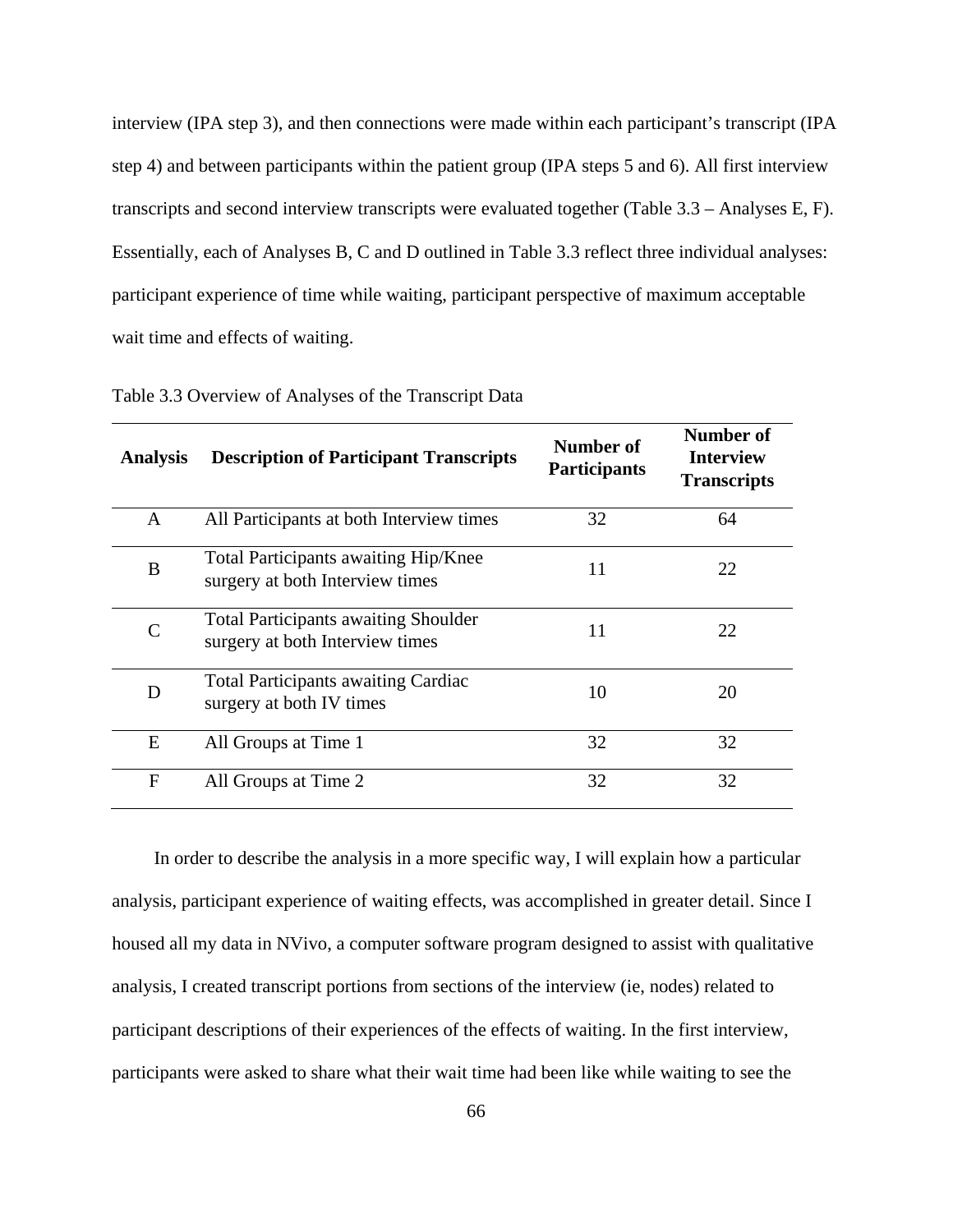interview (IPA step 3), and then connections were made within each participant's transcript (IPA step 4) and between participants within the patient group (IPA steps 5 and 6). All first interview transcripts and second interview transcripts were evaluated together (Table 3.3 – Analyses E, F). Essentially, each of Analyses B, C and D outlined in Table 3.3 reflect three individual analyses: participant experience of time while waiting, participant perspective of maximum acceptable wait time and effects of waiting.

| <b>Analysis</b> | <b>Description of Participant Transcripts</b>                                  | Number of<br><b>Participants</b> | Number of<br><b>Interview</b><br><b>Transcripts</b> |
|-----------------|--------------------------------------------------------------------------------|----------------------------------|-----------------------------------------------------|
| A               | All Participants at both Interview times                                       | 32                               | 64                                                  |
| B               | Total Participants awaiting Hip/Knee<br>surgery at both Interview times        | 11                               | 22                                                  |
| $\subset$       | <b>Total Participants awaiting Shoulder</b><br>surgery at both Interview times | 11                               | 22                                                  |
| D               | <b>Total Participants awaiting Cardiac</b><br>surgery at both IV times         | 10                               | 20                                                  |
| E               | All Groups at Time 1                                                           | 32                               | 32                                                  |
| F               | All Groups at Time 2                                                           | 32                               | 32                                                  |

Table 3.3 Overview of Analyses of the Transcript Data

In order to describe the analysis in a more specific way, I will explain how a particular analysis, participant experience of waiting effects, was accomplished in greater detail. Since I housed all my data in NVivo, a computer software program designed to assist with qualitative analysis, I created transcript portions from sections of the interview (ie, nodes) related to participant descriptions of their experiences of the effects of waiting. In the first interview, participants were asked to share what their wait time had been like while waiting to see the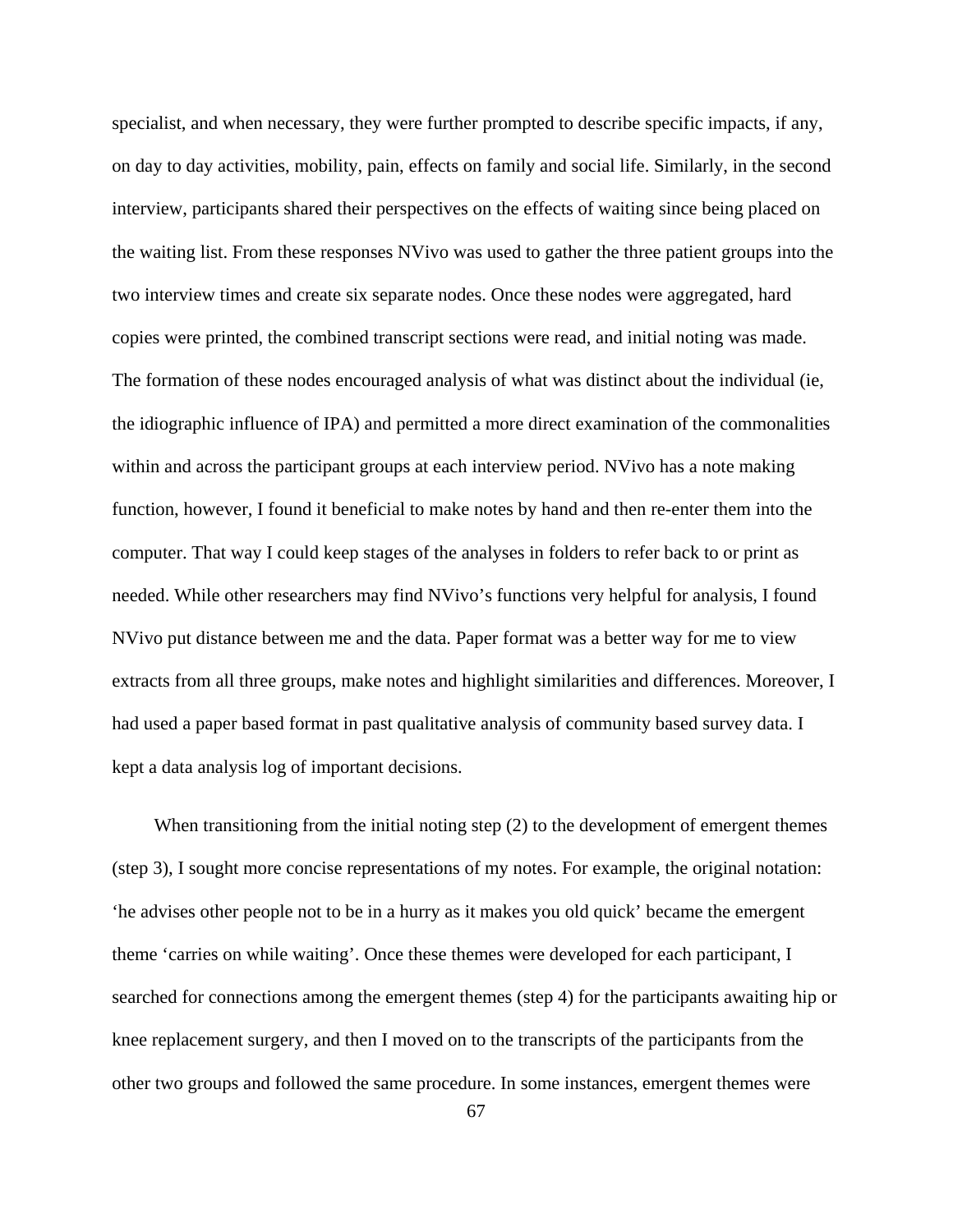specialist, and when necessary, they were further prompted to describe specific impacts, if any, on day to day activities, mobility, pain, effects on family and social life. Similarly, in the second interview, participants shared their perspectives on the effects of waiting since being placed on the waiting list. From these responses NVivo was used to gather the three patient groups into the two interview times and create six separate nodes. Once these nodes were aggregated, hard copies were printed, the combined transcript sections were read, and initial noting was made. The formation of these nodes encouraged analysis of what was distinct about the individual (ie, the idiographic influence of IPA) and permitted a more direct examination of the commonalities within and across the participant groups at each interview period. NVivo has a note making function, however, I found it beneficial to make notes by hand and then re-enter them into the computer. That way I could keep stages of the analyses in folders to refer back to or print as needed. While other researchers may find NVivo's functions very helpful for analysis, I found NVivo put distance between me and the data. Paper format was a better way for me to view extracts from all three groups, make notes and highlight similarities and differences. Moreover, I had used a paper based format in past qualitative analysis of community based survey data. I kept a data analysis log of important decisions.

When transitioning from the initial noting step (2) to the development of emergent themes (step 3), I sought more concise representations of my notes. For example, the original notation: 'he advises other people not to be in a hurry as it makes you old quick' became the emergent theme 'carries on while waiting'. Once these themes were developed for each participant, I searched for connections among the emergent themes (step 4) for the participants awaiting hip or knee replacement surgery, and then I moved on to the transcripts of the participants from the other two groups and followed the same procedure. In some instances, emergent themes were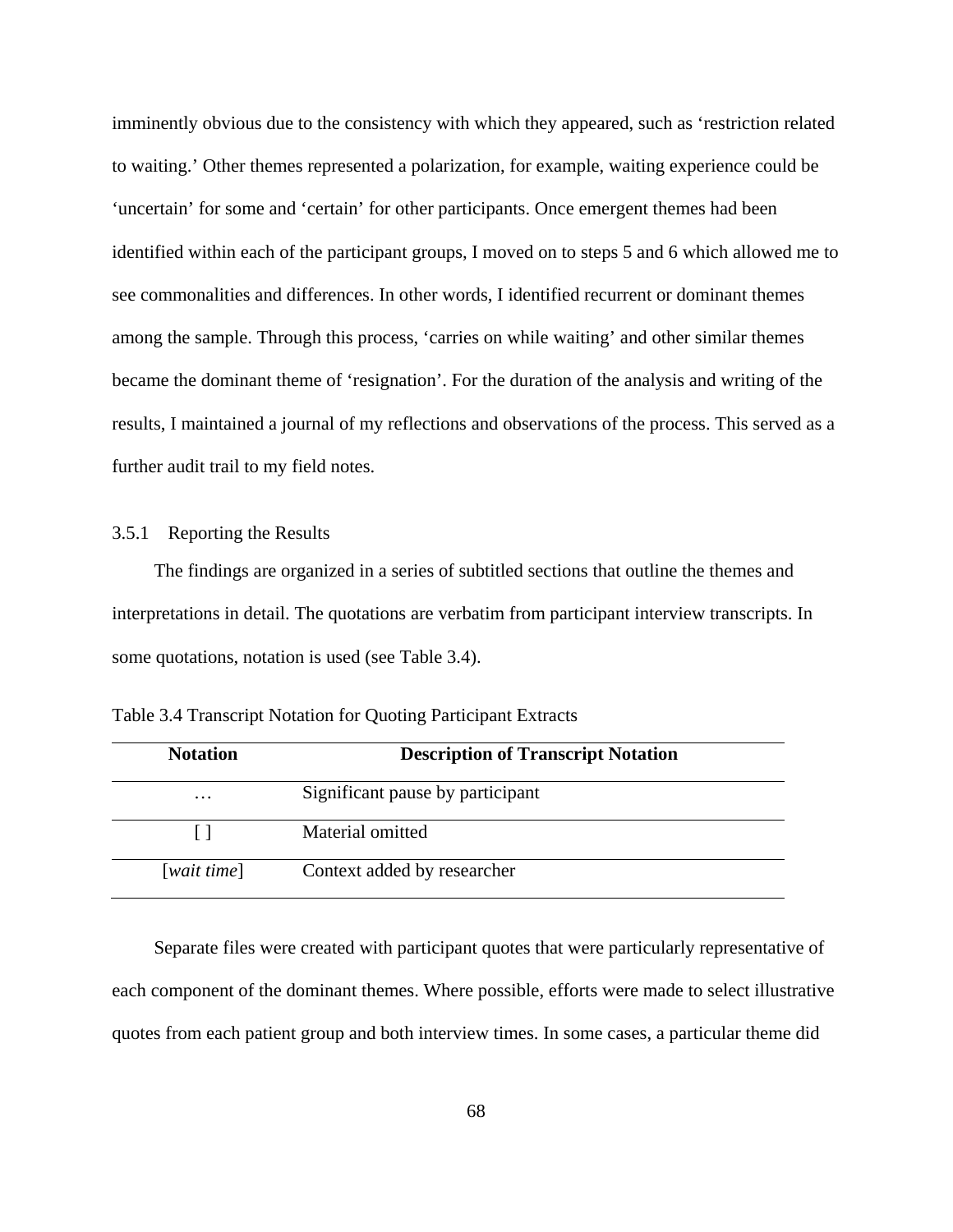imminently obvious due to the consistency with which they appeared, such as 'restriction related to waiting.' Other themes represented a polarization, for example, waiting experience could be 'uncertain' for some and 'certain' for other participants. Once emergent themes had been identified within each of the participant groups, I moved on to steps 5 and 6 which allowed me to see commonalities and differences. In other words, I identified recurrent or dominant themes among the sample. Through this process, 'carries on while waiting' and other similar themes became the dominant theme of 'resignation'. For the duration of the analysis and writing of the results, I maintained a journal of my reflections and observations of the process. This served as a further audit trail to my field notes.

### 3.5.1 Reporting the Results

The findings are organized in a series of subtitled sections that outline the themes and interpretations in detail. The quotations are verbatim from participant interview transcripts. In some quotations, notation is used (see Table 3.4).

| <b>Notation</b>   | <b>Description of Transcript Notation</b> |
|-------------------|-------------------------------------------|
| $\cdot\cdot\cdot$ | Significant pause by participant          |
|                   | Material omitted                          |
| [wait time]       | Context added by researcher               |

Table 3.4 Transcript Notation for Quoting Participant Extracts

Separate files were created with participant quotes that were particularly representative of each component of the dominant themes. Where possible, efforts were made to select illustrative quotes from each patient group and both interview times. In some cases, a particular theme did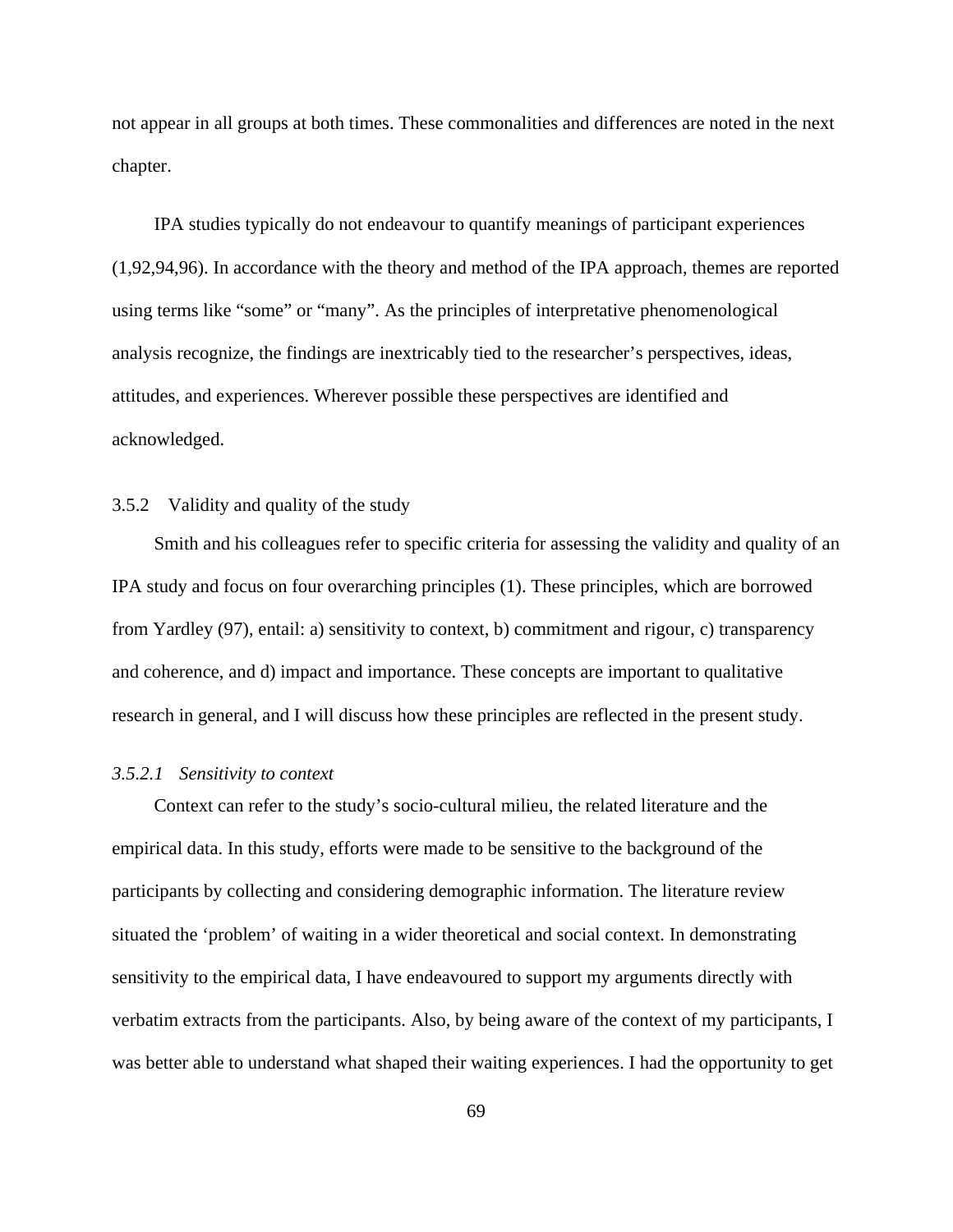not appear in all groups at both times. These commonalities and differences are noted in the next chapter.

IPA studies typically do not endeavour to quantify meanings of participant experiences (1,92,94,96). In accordance with the theory and method of the IPA approach, themes are reported using terms like "some" or "many". As the principles of interpretative phenomenological analysis recognize, the findings are inextricably tied to the researcher's perspectives, ideas, attitudes, and experiences. Wherever possible these perspectives are identified and acknowledged.

# 3.5.2 Validity and quality of the study

Smith and his colleagues refer to specific criteria for assessing the validity and quality of an IPA study and focus on four overarching principles (1). These principles, which are borrowed from Yardley (97), entail: a) sensitivity to context, b) commitment and rigour, c) transparency and coherence, and d) impact and importance. These concepts are important to qualitative research in general, and I will discuss how these principles are reflected in the present study.

### *3.5.2.1 Sensitivity to context*

Context can refer to the study's socio-cultural milieu, the related literature and the empirical data. In this study, efforts were made to be sensitive to the background of the participants by collecting and considering demographic information. The literature review situated the 'problem' of waiting in a wider theoretical and social context. In demonstrating sensitivity to the empirical data, I have endeavoured to support my arguments directly with verbatim extracts from the participants. Also, by being aware of the context of my participants, I was better able to understand what shaped their waiting experiences. I had the opportunity to get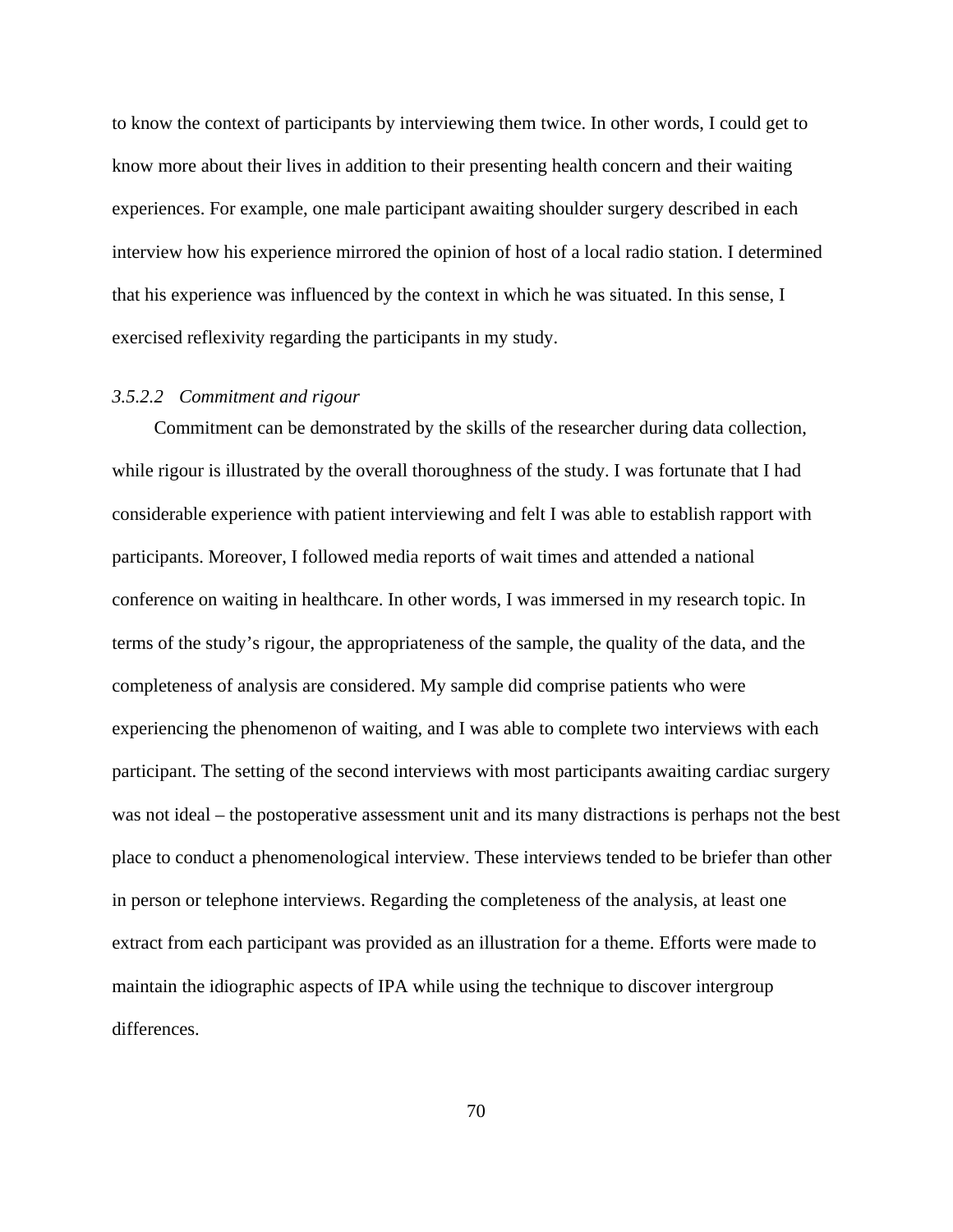to know the context of participants by interviewing them twice. In other words, I could get to know more about their lives in addition to their presenting health concern and their waiting experiences. For example, one male participant awaiting shoulder surgery described in each interview how his experience mirrored the opinion of host of a local radio station. I determined that his experience was influenced by the context in which he was situated. In this sense, I exercised reflexivity regarding the participants in my study.

## *3.5.2.2 Commitment and rigour*

Commitment can be demonstrated by the skills of the researcher during data collection, while rigour is illustrated by the overall thoroughness of the study. I was fortunate that I had considerable experience with patient interviewing and felt I was able to establish rapport with participants. Moreover, I followed media reports of wait times and attended a national conference on waiting in healthcare. In other words, I was immersed in my research topic. In terms of the study's rigour, the appropriateness of the sample, the quality of the data, and the completeness of analysis are considered. My sample did comprise patients who were experiencing the phenomenon of waiting, and I was able to complete two interviews with each participant. The setting of the second interviews with most participants awaiting cardiac surgery was not ideal – the postoperative assessment unit and its many distractions is perhaps not the best place to conduct a phenomenological interview. These interviews tended to be briefer than other in person or telephone interviews. Regarding the completeness of the analysis, at least one extract from each participant was provided as an illustration for a theme. Efforts were made to maintain the idiographic aspects of IPA while using the technique to discover intergroup differences.

70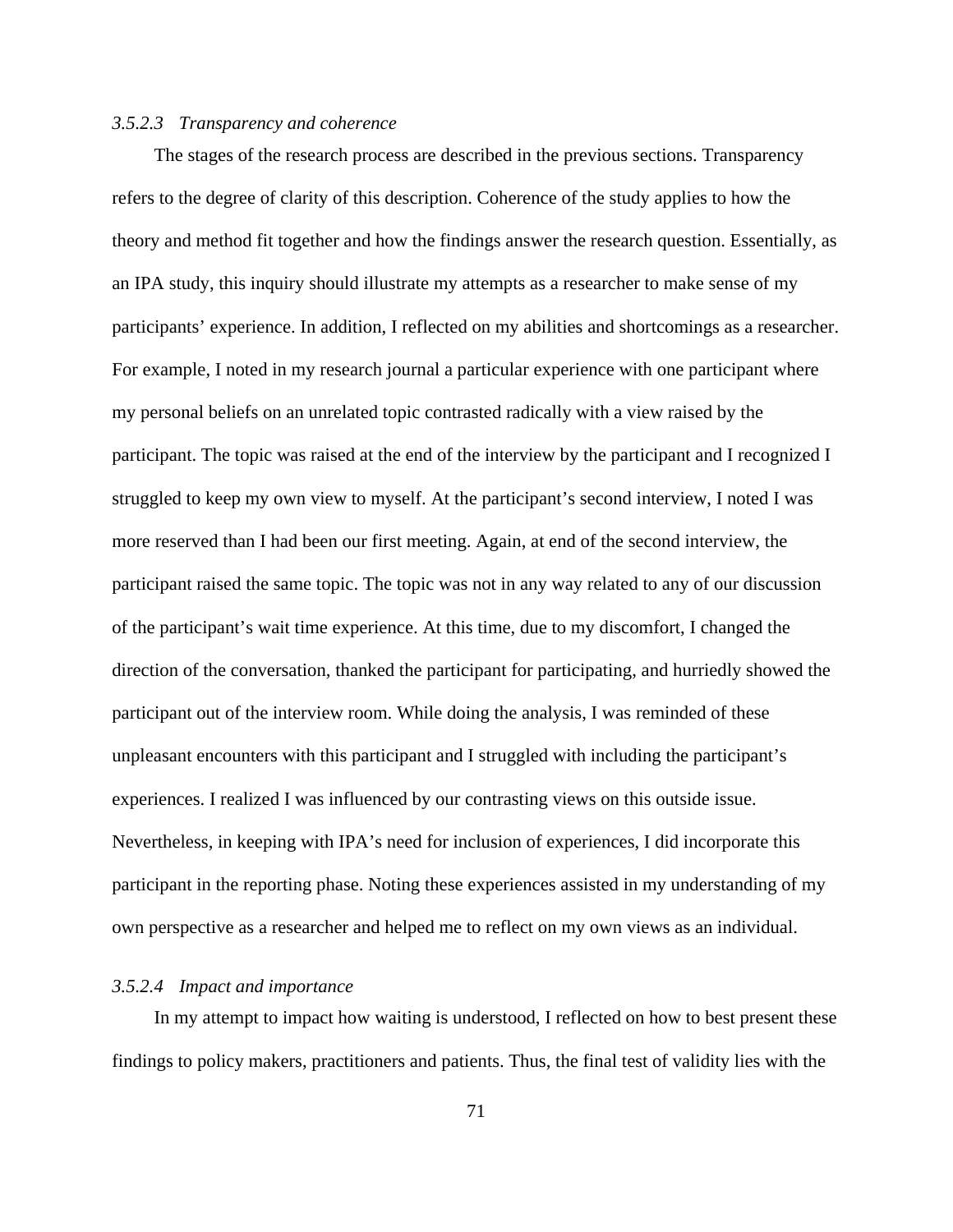## *3.5.2.3 Transparency and coherence*

The stages of the research process are described in the previous sections. Transparency refers to the degree of clarity of this description. Coherence of the study applies to how the theory and method fit together and how the findings answer the research question. Essentially, as an IPA study, this inquiry should illustrate my attempts as a researcher to make sense of my participants' experience. In addition, I reflected on my abilities and shortcomings as a researcher. For example, I noted in my research journal a particular experience with one participant where my personal beliefs on an unrelated topic contrasted radically with a view raised by the participant. The topic was raised at the end of the interview by the participant and I recognized I struggled to keep my own view to myself. At the participant's second interview, I noted I was more reserved than I had been our first meeting. Again, at end of the second interview, the participant raised the same topic. The topic was not in any way related to any of our discussion of the participant's wait time experience. At this time, due to my discomfort, I changed the direction of the conversation, thanked the participant for participating, and hurriedly showed the participant out of the interview room. While doing the analysis, I was reminded of these unpleasant encounters with this participant and I struggled with including the participant's experiences. I realized I was influenced by our contrasting views on this outside issue. Nevertheless, in keeping with IPA's need for inclusion of experiences, I did incorporate this participant in the reporting phase. Noting these experiences assisted in my understanding of my own perspective as a researcher and helped me to reflect on my own views as an individual.

#### *3.5.2.4 Impact and importance*

In my attempt to impact how waiting is understood, I reflected on how to best present these findings to policy makers, practitioners and patients. Thus, the final test of validity lies with the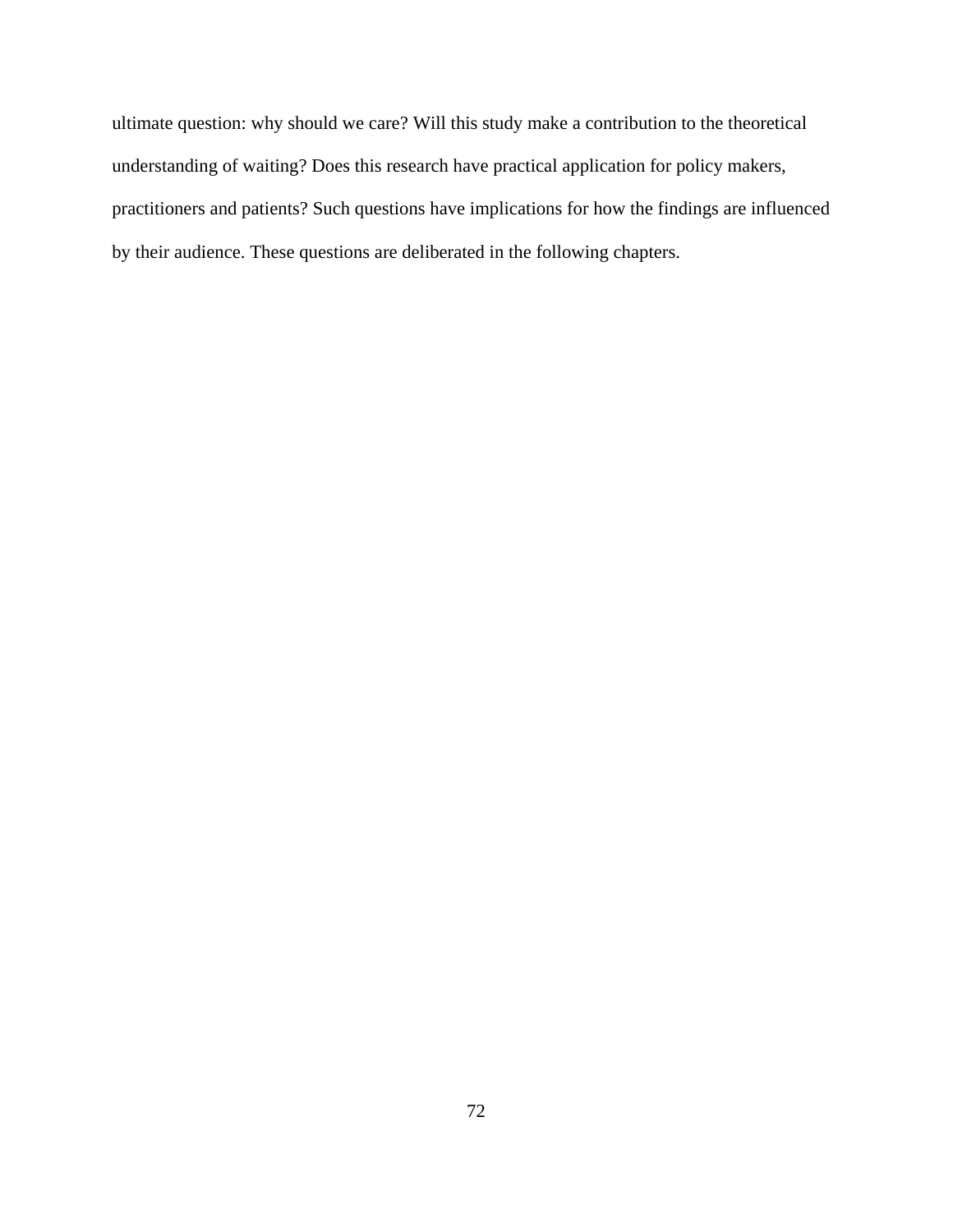ultimate question: why should we care? Will this study make a contribution to the theoretical understanding of waiting? Does this research have practical application for policy makers, practitioners and patients? Such questions have implications for how the findings are influenced by their audience. These questions are deliberated in the following chapters.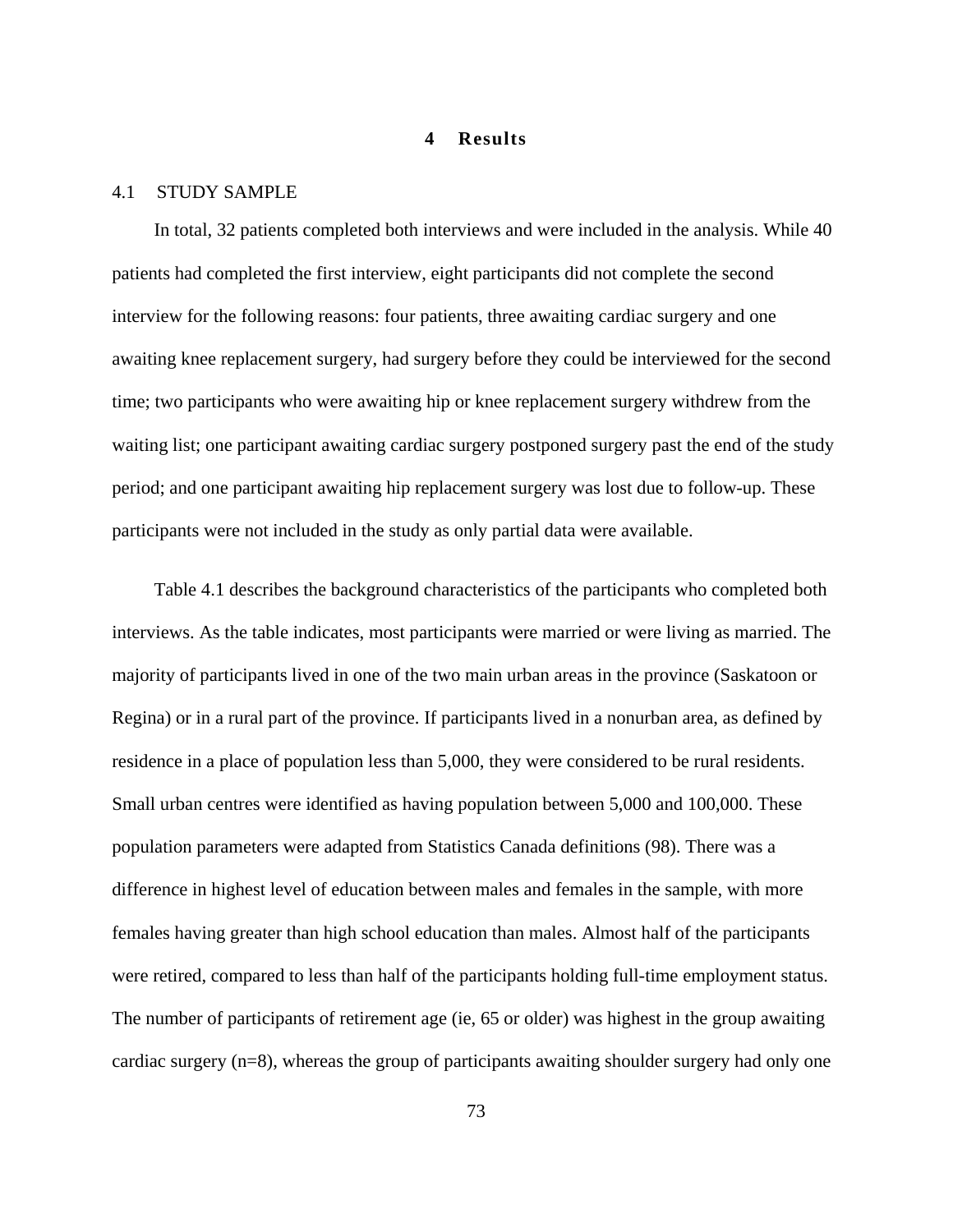## **4 Results**

## 4.1 STUDY SAMPLE

In total, 32 patients completed both interviews and were included in the analysis. While 40 patients had completed the first interview, eight participants did not complete the second interview for the following reasons: four patients, three awaiting cardiac surgery and one awaiting knee replacement surgery, had surgery before they could be interviewed for the second time; two participants who were awaiting hip or knee replacement surgery withdrew from the waiting list; one participant awaiting cardiac surgery postponed surgery past the end of the study period; and one participant awaiting hip replacement surgery was lost due to follow-up. These participants were not included in the study as only partial data were available.

Table 4.1 describes the background characteristics of the participants who completed both interviews. As the table indicates, most participants were married or were living as married. The majority of participants lived in one of the two main urban areas in the province (Saskatoon or Regina) or in a rural part of the province. If participants lived in a nonurban area, as defined by residence in a place of population less than 5,000, they were considered to be rural residents. Small urban centres were identified as having population between 5,000 and 100,000. These population parameters were adapted from Statistics Canada definitions (98). There was a difference in highest level of education between males and females in the sample, with more females having greater than high school education than males. Almost half of the participants were retired, compared to less than half of the participants holding full-time employment status. The number of participants of retirement age (ie, 65 or older) was highest in the group awaiting cardiac surgery (n=8), whereas the group of participants awaiting shoulder surgery had only one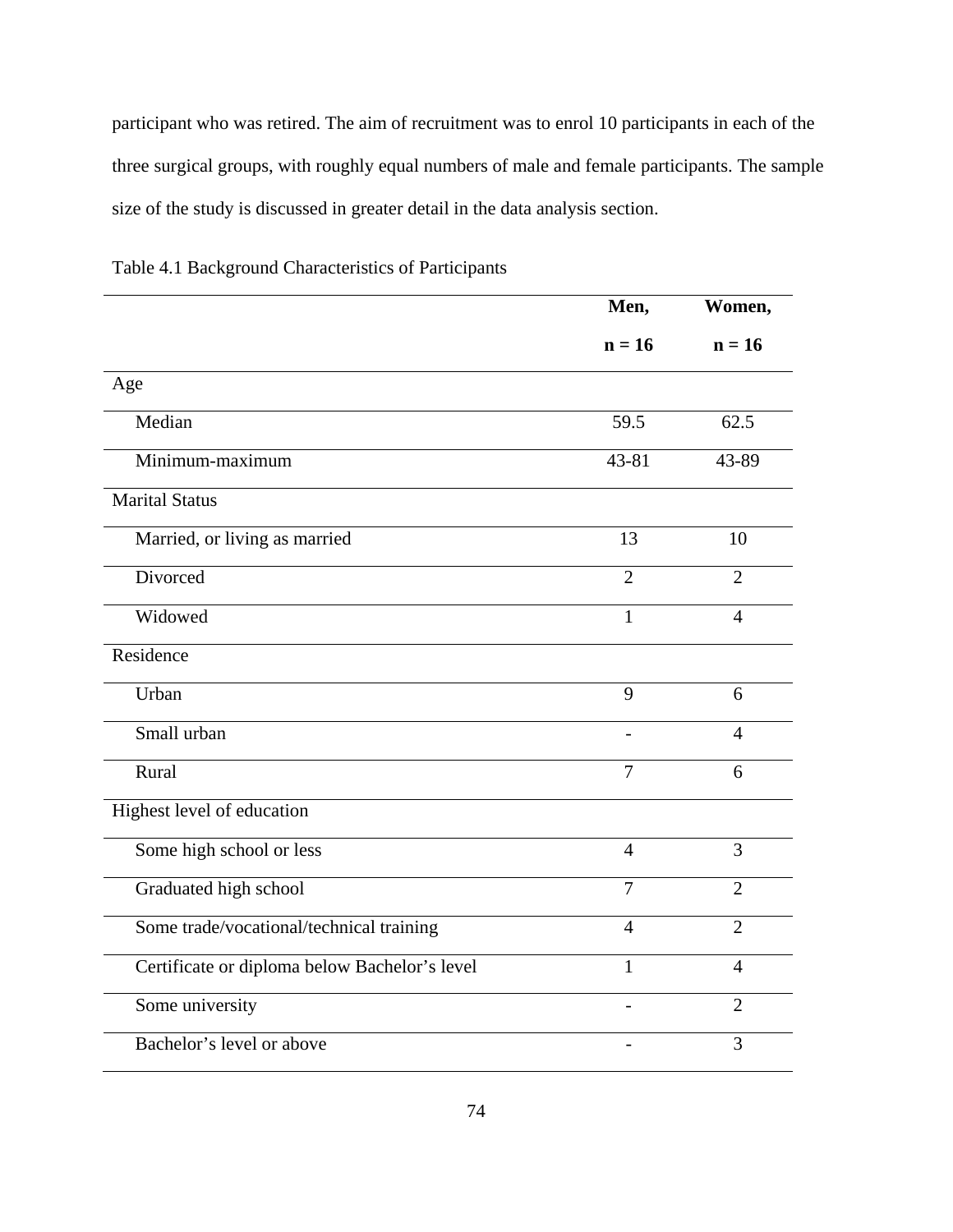participant who was retired. The aim of recruitment was to enrol 10 participants in each of the three surgical groups, with roughly equal numbers of male and female participants. The sample size of the study is discussed in greater detail in the data analysis section.

|                                               | Men,           | Women,         |
|-----------------------------------------------|----------------|----------------|
|                                               | $n = 16$       | $n = 16$       |
| Age                                           |                |                |
| Median                                        | 59.5           | 62.5           |
| Minimum-maximum                               | 43-81          | 43-89          |
| <b>Marital Status</b>                         |                |                |
| Married, or living as married                 | 13             | 10             |
| Divorced                                      | $\overline{2}$ | $\overline{2}$ |
| Widowed                                       | $\mathbf{1}$   | $\overline{4}$ |
| Residence                                     |                |                |
| Urban                                         | 9              | 6              |
| Small urban                                   |                | 4              |
| Rural                                         | $\overline{7}$ | 6              |
| Highest level of education                    |                |                |
| Some high school or less                      | $\overline{4}$ | $\overline{3}$ |
| Graduated high school                         | $\overline{7}$ | $\overline{2}$ |
| Some trade/vocational/technical training      | $\overline{4}$ | $\overline{2}$ |
| Certificate or diploma below Bachelor's level | 1              | $\overline{4}$ |
| Some university                               |                | $\overline{2}$ |
| Bachelor's level or above                     |                | 3              |

Table 4.1 Background Characteristics of Participants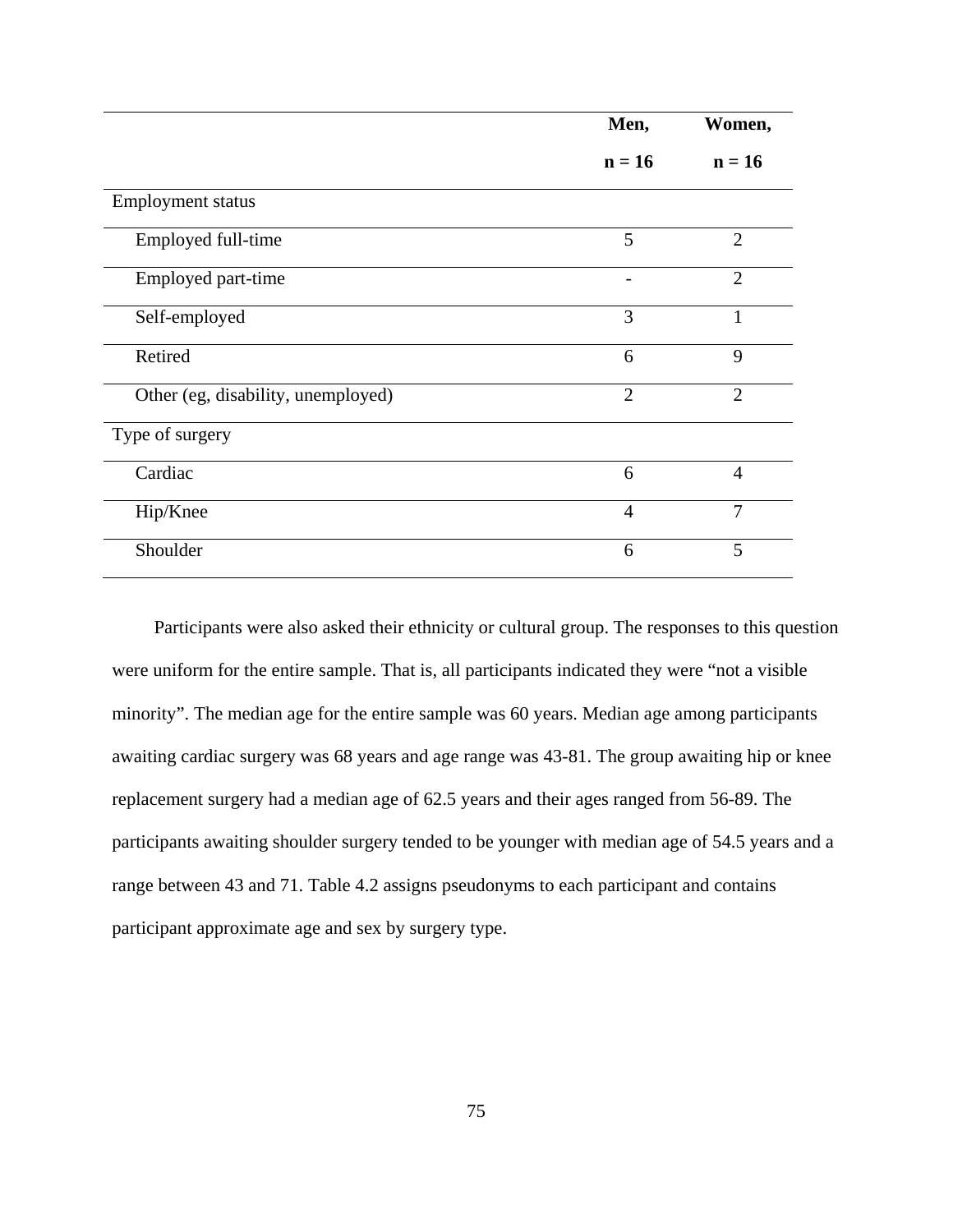|                                    | Men,           | Women,         |
|------------------------------------|----------------|----------------|
|                                    | $n = 16$       | $n = 16$       |
| <b>Employment status</b>           |                |                |
| Employed full-time                 | 5              | $\overline{2}$ |
| Employed part-time                 |                | $\overline{2}$ |
| Self-employed                      | 3              | 1              |
| Retired                            | 6              | 9              |
| Other (eg, disability, unemployed) | $\overline{2}$ | $\overline{2}$ |
| Type of surgery                    |                |                |
| Cardiac                            | 6              | $\overline{4}$ |
| Hip/Knee                           | $\overline{4}$ | $\overline{7}$ |
| Shoulder                           | 6              | 5              |

Participants were also asked their ethnicity or cultural group. The responses to this question were uniform for the entire sample. That is, all participants indicated they were "not a visible minority". The median age for the entire sample was 60 years. Median age among participants awaiting cardiac surgery was 68 years and age range was 43-81. The group awaiting hip or knee replacement surgery had a median age of 62.5 years and their ages ranged from 56-89. The participants awaiting shoulder surgery tended to be younger with median age of 54.5 years and a range between 43 and 71. Table 4.2 assigns pseudonyms to each participant and contains participant approximate age and sex by surgery type.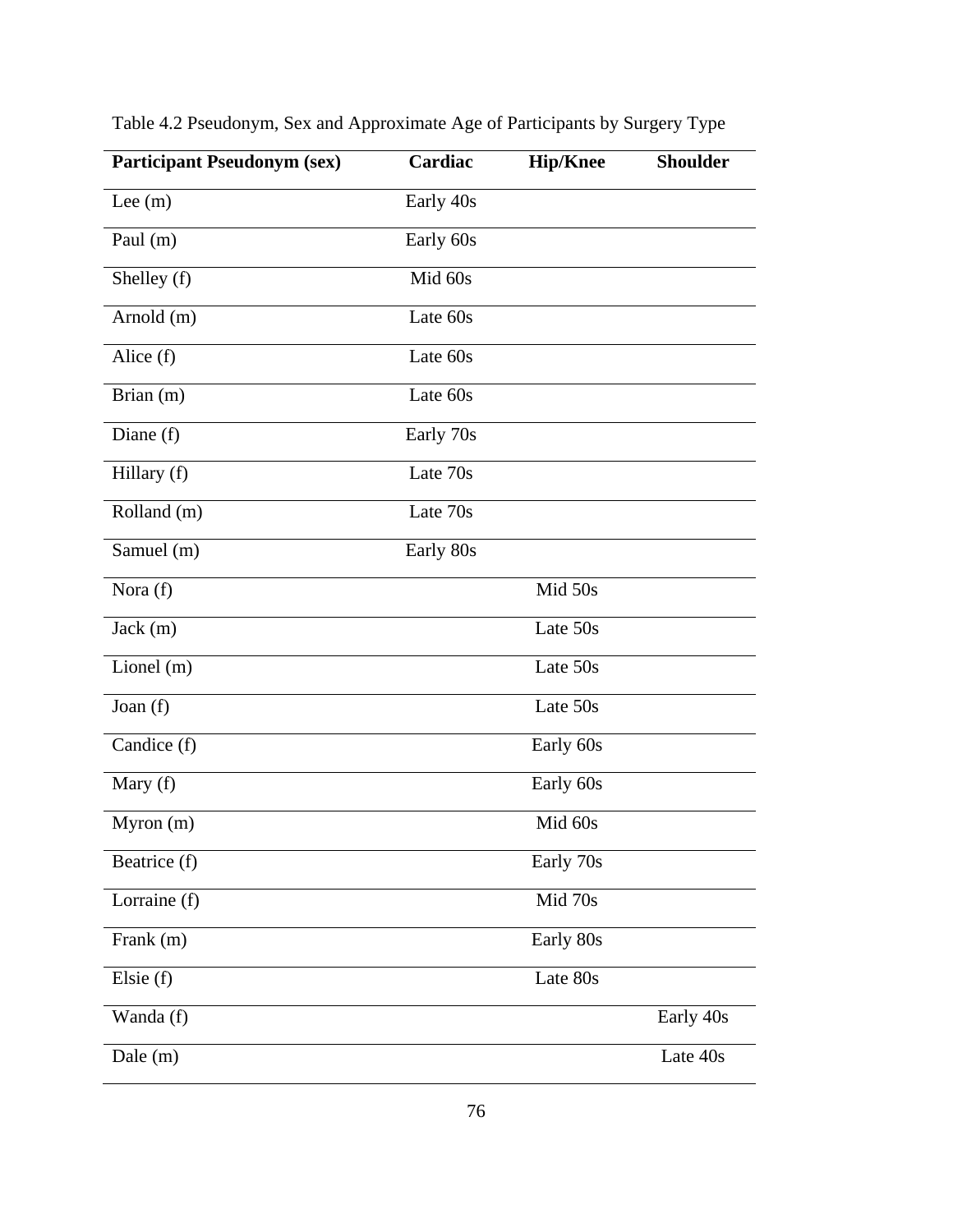| <b>Participant Pseudonym (sex)</b> | Cardiac   | <b>Hip/Knee</b> | <b>Shoulder</b> |
|------------------------------------|-----------|-----------------|-----------------|
| Lee $(m)$                          | Early 40s |                 |                 |
| Paul (m)                           | Early 60s |                 |                 |
| Shelley (f)                        | Mid 60s   |                 |                 |
| Arnold (m)                         | Late 60s  |                 |                 |
| Alice (f)                          | Late 60s  |                 |                 |
| Brian (m)                          | Late 60s  |                 |                 |
| Diane $(f)$                        | Early 70s |                 |                 |
| Hillary (f)                        | Late 70s  |                 |                 |
| Rolland (m)                        | Late 70s  |                 |                 |
| Samuel (m)                         | Early 80s |                 |                 |
| Nora (f)                           |           | Mid 50s         |                 |
| Jack(m)                            |           | Late 50s        |                 |
| Lionel $(m)$                       |           | Late 50s        |                 |
| Joan (f)                           |           | Late 50s        |                 |
| Candice (f)                        |           | Early 60s       |                 |
| Mary (f)                           |           | Early 60s       |                 |
| Myron(m)                           |           | Mid 60s         |                 |
| Beatrice (f)                       |           | Early 70s       |                 |
| Lorraine (f)                       |           | Mid 70s         |                 |
| Frank (m)                          |           | Early 80s       |                 |
| Elsie $(f)$                        |           | Late 80s        |                 |
| Wanda (f)                          |           |                 | Early 40s       |
| Dale (m)                           |           |                 | Late 40s        |

Table 4.2 Pseudonym, Sex and Approximate Age of Participants by Surgery Type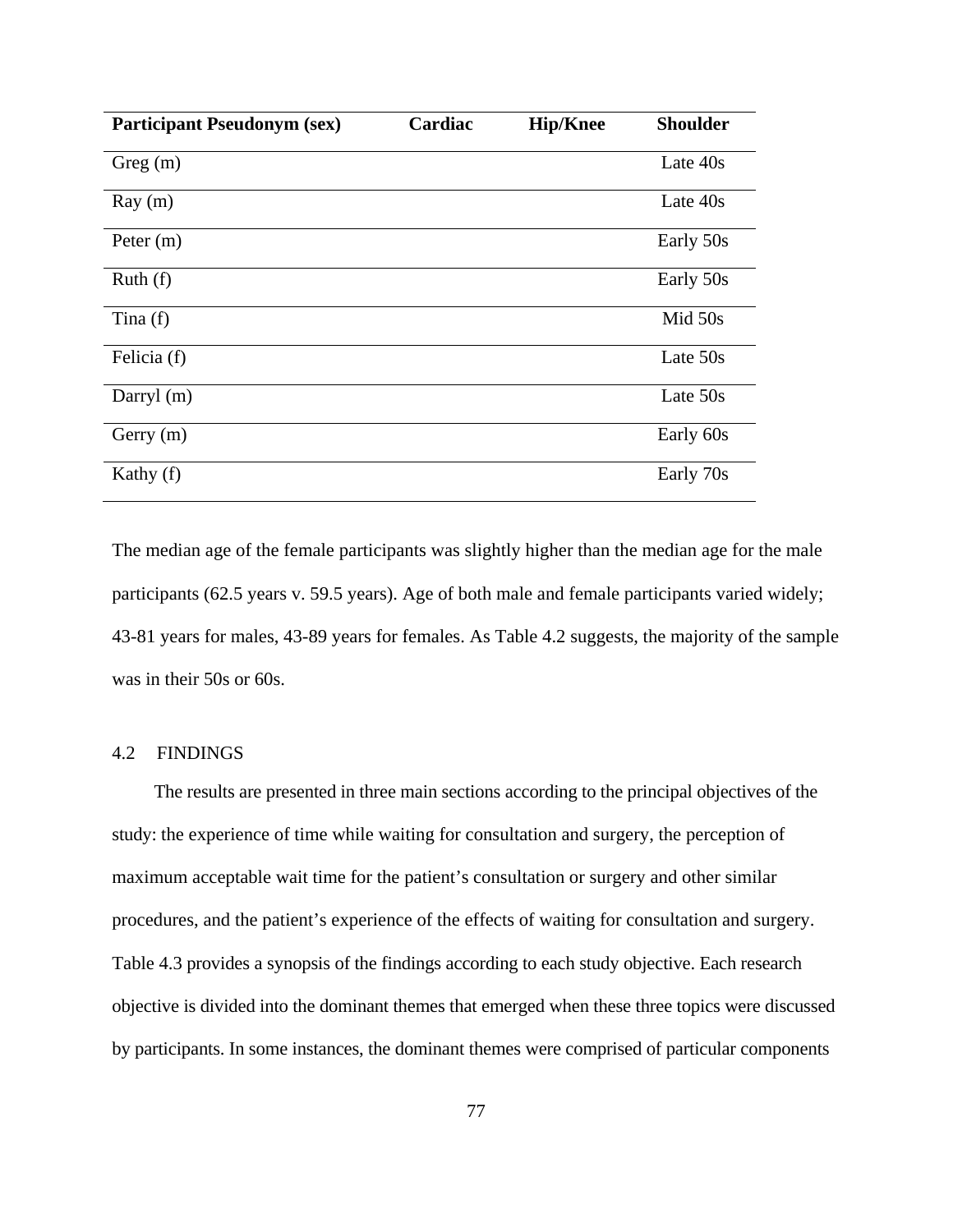| <b>Participant Pseudonym (sex)</b> | Cardiac | <b>Hip/Knee</b> | <b>Shoulder</b> |
|------------------------------------|---------|-----------------|-----------------|
| Greg(m)                            |         |                 | Late 40s        |
| Ray(m)                             |         |                 | Late 40s        |
| Peter $(m)$                        |         |                 | Early 50s       |
| Ruth(f)                            |         |                 | Early 50s       |
| Tina $(f)$                         |         |                 | Mid 50s         |
| Felicia (f)                        |         |                 | Late 50s        |
| Darryl (m)                         |         |                 | Late 50s        |
| Gerry (m)                          |         |                 | Early 60s       |
| Kathy (f)                          |         |                 | Early 70s       |

The median age of the female participants was slightly higher than the median age for the male participants (62.5 years v. 59.5 years). Age of both male and female participants varied widely; 43-81 years for males, 43-89 years for females. As Table 4.2 suggests, the majority of the sample was in their 50s or 60s.

# 4.2 FINDINGS

The results are presented in three main sections according to the principal objectives of the study: the experience of time while waiting for consultation and surgery, the perception of maximum acceptable wait time for the patient's consultation or surgery and other similar procedures, and the patient's experience of the effects of waiting for consultation and surgery. Table 4.3 provides a synopsis of the findings according to each study objective. Each research objective is divided into the dominant themes that emerged when these three topics were discussed by participants. In some instances, the dominant themes were comprised of particular components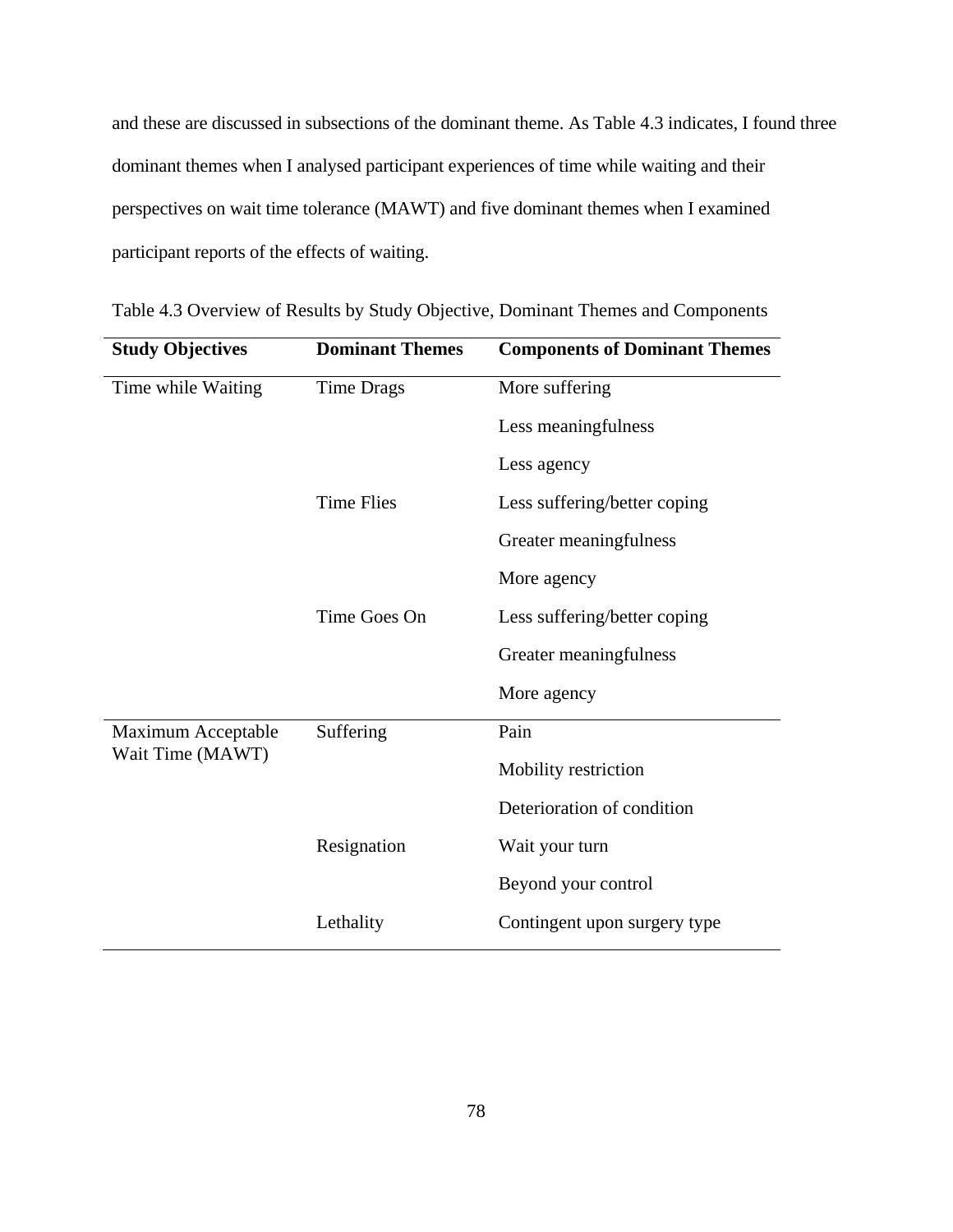and these are discussed in subsections of the dominant theme. As Table 4.3 indicates, I found three dominant themes when I analysed participant experiences of time while waiting and their perspectives on wait time tolerance (MAWT) and five dominant themes when I examined participant reports of the effects of waiting.

| <b>Study Objectives</b> | <b>Dominant Themes</b> | <b>Components of Dominant Themes</b> |
|-------------------------|------------------------|--------------------------------------|
| Time while Waiting      | <b>Time Drags</b>      | More suffering                       |
|                         |                        | Less meaningfulness                  |
|                         |                        | Less agency                          |
|                         | <b>Time Flies</b>      | Less suffering/better coping         |
|                         |                        | Greater meaningfulness               |
|                         |                        | More agency                          |
|                         | Time Goes On           | Less suffering/better coping         |
|                         |                        | Greater meaningfulness               |
|                         |                        | More agency                          |
| Maximum Acceptable      | Suffering              | Pain                                 |
| Wait Time (MAWT)        |                        | Mobility restriction                 |
|                         |                        | Deterioration of condition           |
|                         | Resignation            | Wait your turn                       |
|                         |                        | Beyond your control                  |
|                         | Lethality              | Contingent upon surgery type         |

Table 4.3 Overview of Results by Study Objective, Dominant Themes and Components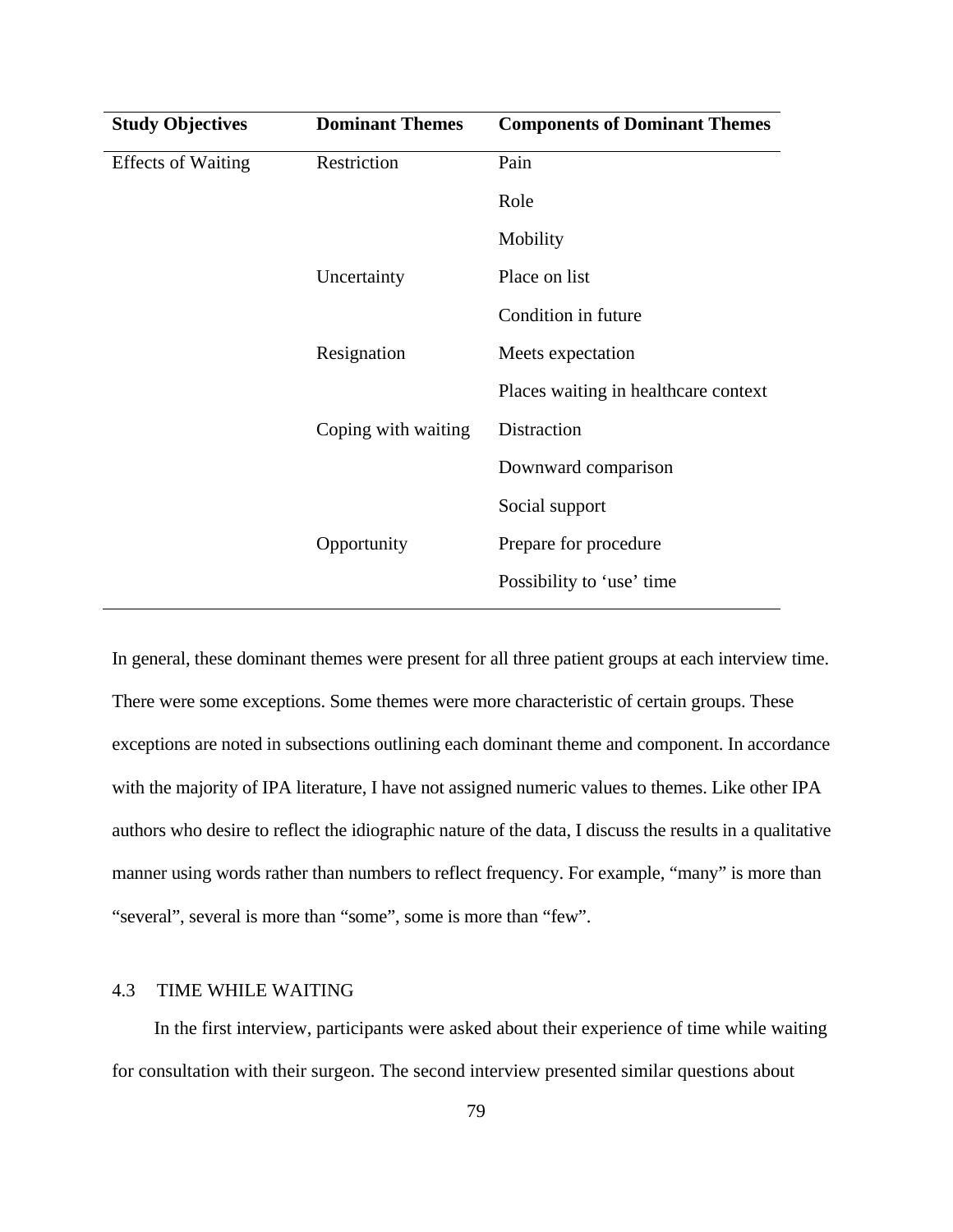| <b>Dominant Themes</b> | <b>Components of Dominant Themes</b> |
|------------------------|--------------------------------------|
| Restriction            | Pain                                 |
|                        | Role                                 |
|                        | Mobility                             |
| Uncertainty            | Place on list                        |
|                        | Condition in future                  |
| Resignation            | Meets expectation                    |
|                        | Places waiting in healthcare context |
| Coping with waiting    | Distraction                          |
|                        | Downward comparison                  |
|                        | Social support                       |
| Opportunity            | Prepare for procedure                |
|                        | Possibility to 'use' time            |
|                        |                                      |

In general, these dominant themes were present for all three patient groups at each interview time. There were some exceptions. Some themes were more characteristic of certain groups. These exceptions are noted in subsections outlining each dominant theme and component. In accordance with the majority of IPA literature, I have not assigned numeric values to themes. Like other IPA authors who desire to reflect the idiographic nature of the data, I discuss the results in a qualitative manner using words rather than numbers to reflect frequency. For example, "many" is more than "several", several is more than "some", some is more than "few".

## 4.3 TIME WHILE WAITING

In the first interview, participants were asked about their experience of time while waiting for consultation with their surgeon. The second interview presented similar questions about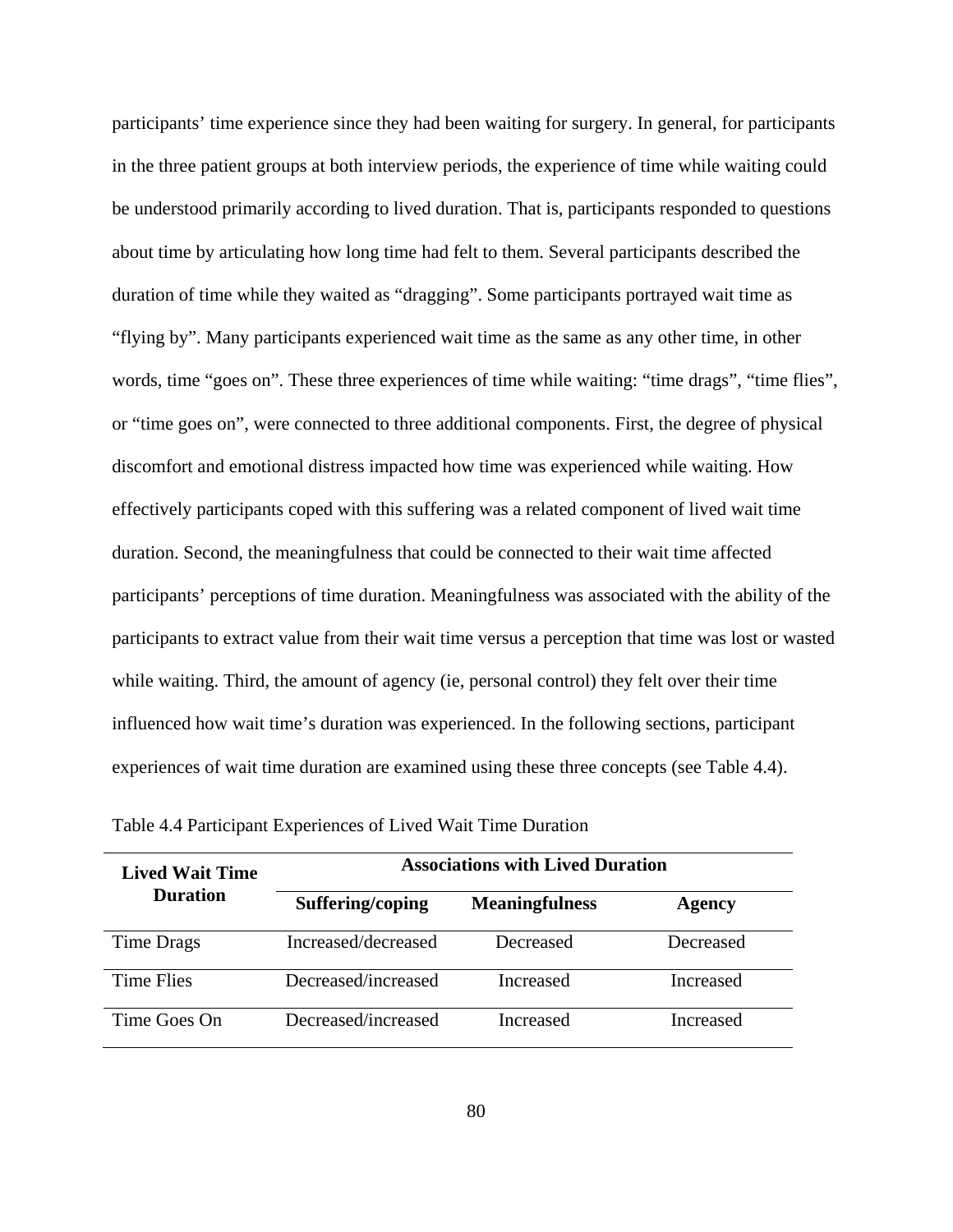participants' time experience since they had been waiting for surgery. In general, for participants in the three patient groups at both interview periods, the experience of time while waiting could be understood primarily according to lived duration. That is, participants responded to questions about time by articulating how long time had felt to them. Several participants described the duration of time while they waited as "dragging". Some participants portrayed wait time as "flying by". Many participants experienced wait time as the same as any other time, in other words, time "goes on". These three experiences of time while waiting: "time drags", "time flies", or "time goes on", were connected to three additional components. First, the degree of physical discomfort and emotional distress impacted how time was experienced while waiting. How effectively participants coped with this suffering was a related component of lived wait time duration. Second, the meaningfulness that could be connected to their wait time affected participants' perceptions of time duration. Meaningfulness was associated with the ability of the participants to extract value from their wait time versus a perception that time was lost or wasted while waiting. Third, the amount of agency (ie, personal control) they felt over their time influenced how wait time's duration was experienced. In the following sections, participant experiences of wait time duration are examined using these three concepts (see Table 4.4).

| <b>Lived Wait Time</b> | <b>Associations with Lived Duration</b> |                       |               |  |
|------------------------|-----------------------------------------|-----------------------|---------------|--|
| <b>Duration</b>        | Suffering/coping                        | <b>Meaningfulness</b> | <b>Agency</b> |  |
| Time Drags             | Increased/decreased                     | Decreased             | Decreased     |  |
| Time Flies             | Decreased/increased                     | Increased             | Increased     |  |
| Time Goes On           | Decreased/increased                     | Increased             | Increased     |  |

Table 4.4 Participant Experiences of Lived Wait Time Duration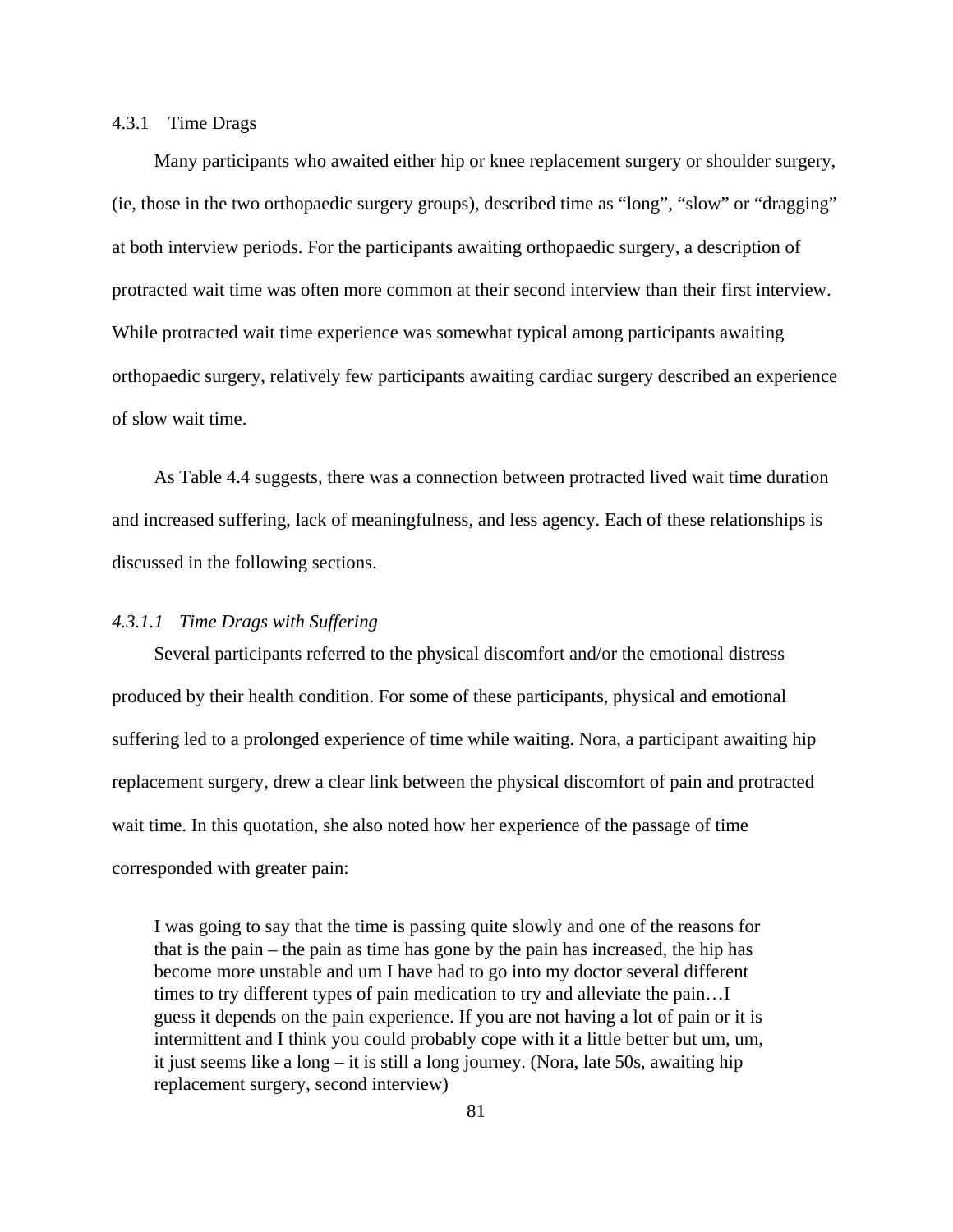## 4.3.1 Time Drags

Many participants who awaited either hip or knee replacement surgery or shoulder surgery, (ie, those in the two orthopaedic surgery groups), described time as "long", "slow" or "dragging" at both interview periods. For the participants awaiting orthopaedic surgery, a description of protracted wait time was often more common at their second interview than their first interview. While protracted wait time experience was somewhat typical among participants awaiting orthopaedic surgery, relatively few participants awaiting cardiac surgery described an experience of slow wait time.

As Table 4.4 suggests, there was a connection between protracted lived wait time duration and increased suffering, lack of meaningfulness, and less agency. Each of these relationships is discussed in the following sections.

## *4.3.1.1 Time Drags with Suffering*

Several participants referred to the physical discomfort and/or the emotional distress produced by their health condition. For some of these participants, physical and emotional suffering led to a prolonged experience of time while waiting. Nora, a participant awaiting hip replacement surgery, drew a clear link between the physical discomfort of pain and protracted wait time. In this quotation, she also noted how her experience of the passage of time corresponded with greater pain:

I was going to say that the time is passing quite slowly and one of the reasons for that is the pain – the pain as time has gone by the pain has increased, the hip has become more unstable and um I have had to go into my doctor several different times to try different types of pain medication to try and alleviate the pain…I guess it depends on the pain experience. If you are not having a lot of pain or it is intermittent and I think you could probably cope with it a little better but um, um, it just seems like a long – it is still a long journey. (Nora, late 50s, awaiting hip replacement surgery, second interview)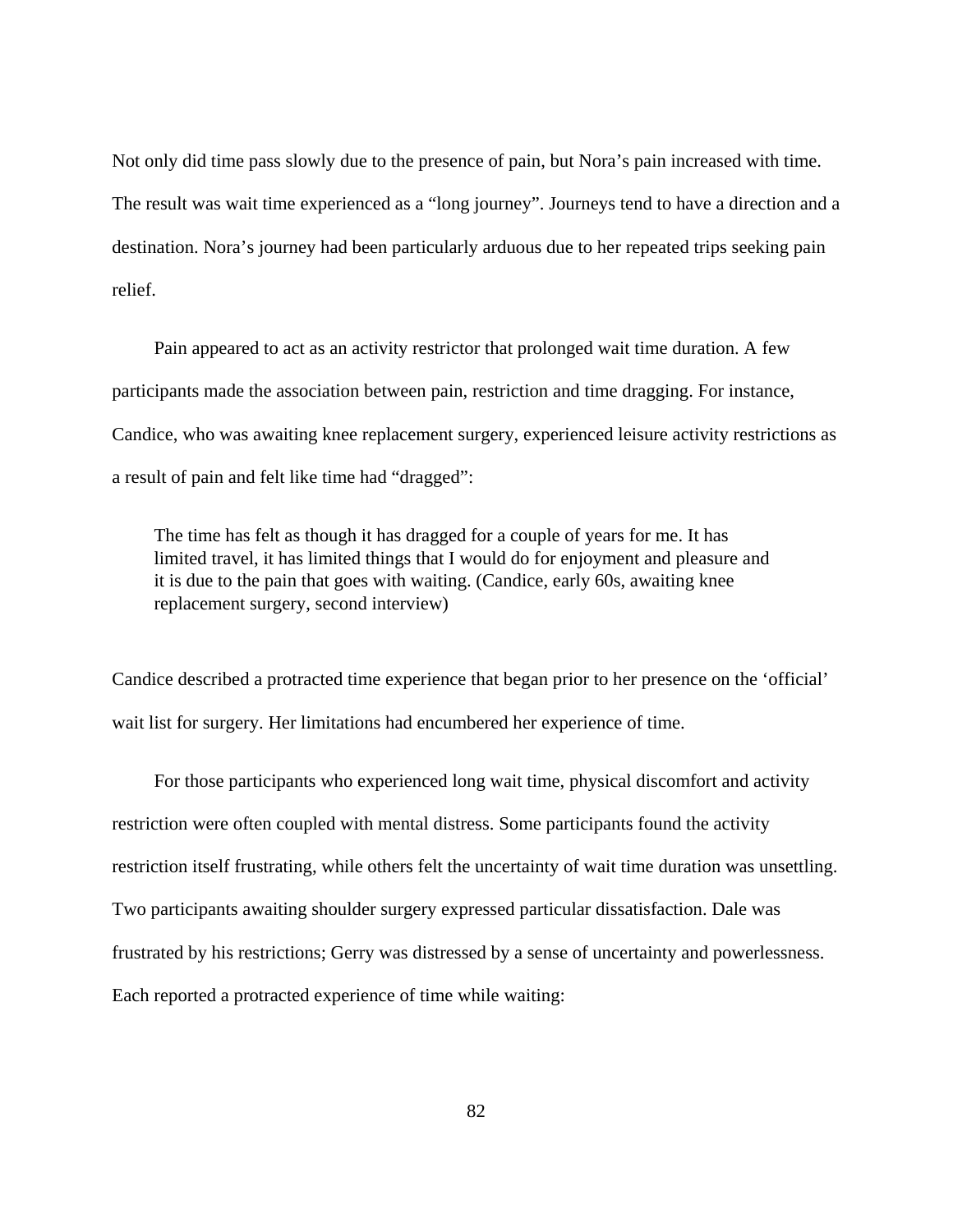Not only did time pass slowly due to the presence of pain, but Nora's pain increased with time. The result was wait time experienced as a "long journey". Journeys tend to have a direction and a destination. Nora's journey had been particularly arduous due to her repeated trips seeking pain relief.

Pain appeared to act as an activity restrictor that prolonged wait time duration. A few participants made the association between pain, restriction and time dragging. For instance, Candice, who was awaiting knee replacement surgery, experienced leisure activity restrictions as a result of pain and felt like time had "dragged":

The time has felt as though it has dragged for a couple of years for me. It has limited travel, it has limited things that I would do for enjoyment and pleasure and it is due to the pain that goes with waiting. (Candice, early 60s, awaiting knee replacement surgery, second interview)

Candice described a protracted time experience that began prior to her presence on the 'official' wait list for surgery. Her limitations had encumbered her experience of time.

For those participants who experienced long wait time, physical discomfort and activity restriction were often coupled with mental distress. Some participants found the activity restriction itself frustrating, while others felt the uncertainty of wait time duration was unsettling. Two participants awaiting shoulder surgery expressed particular dissatisfaction. Dale was frustrated by his restrictions; Gerry was distressed by a sense of uncertainty and powerlessness. Each reported a protracted experience of time while waiting: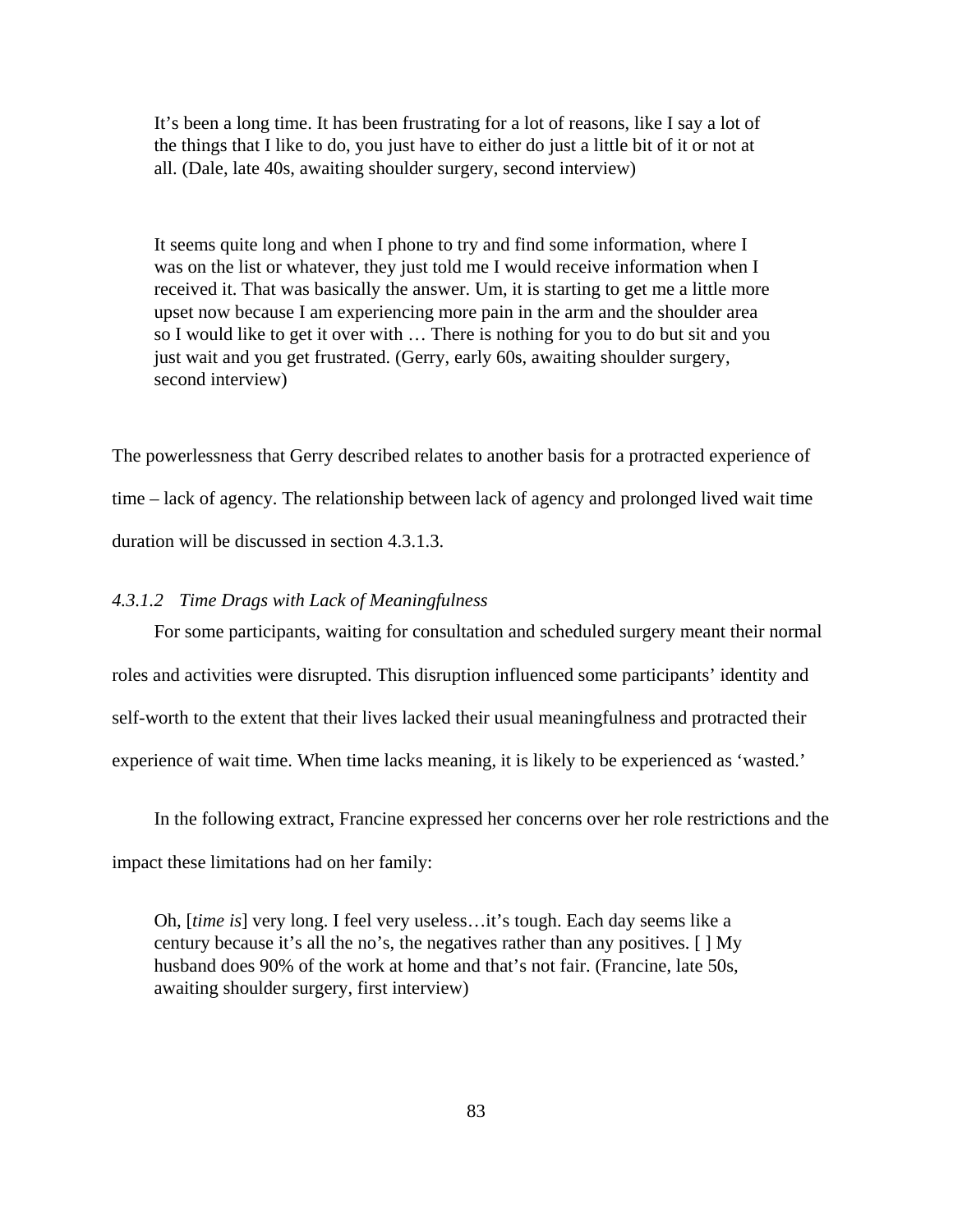It's been a long time. It has been frustrating for a lot of reasons, like I say a lot of the things that I like to do, you just have to either do just a little bit of it or not at all. (Dale, late 40s, awaiting shoulder surgery, second interview)

It seems quite long and when I phone to try and find some information, where I was on the list or whatever, they just told me I would receive information when I received it. That was basically the answer. Um, it is starting to get me a little more upset now because I am experiencing more pain in the arm and the shoulder area so I would like to get it over with … There is nothing for you to do but sit and you just wait and you get frustrated. (Gerry, early 60s, awaiting shoulder surgery, second interview)

The powerlessness that Gerry described relates to another basis for a protracted experience of time – lack of agency. The relationship between lack of agency and prolonged lived wait time duration will be discussed in section 4.3.1.3.

### *4.3.1.2 Time Drags with Lack of Meaningfulness*

For some participants, waiting for consultation and scheduled surgery meant their normal roles and activities were disrupted. This disruption influenced some participants' identity and self-worth to the extent that their lives lacked their usual meaningfulness and protracted their experience of wait time. When time lacks meaning, it is likely to be experienced as 'wasted.'

In the following extract, Francine expressed her concerns over her role restrictions and the impact these limitations had on her family:

Oh, [*time is*] very long. I feel very useless…it's tough. Each day seems like a century because it's all the no's, the negatives rather than any positives. [ ] My husband does 90% of the work at home and that's not fair. (Francine, late 50s, awaiting shoulder surgery, first interview)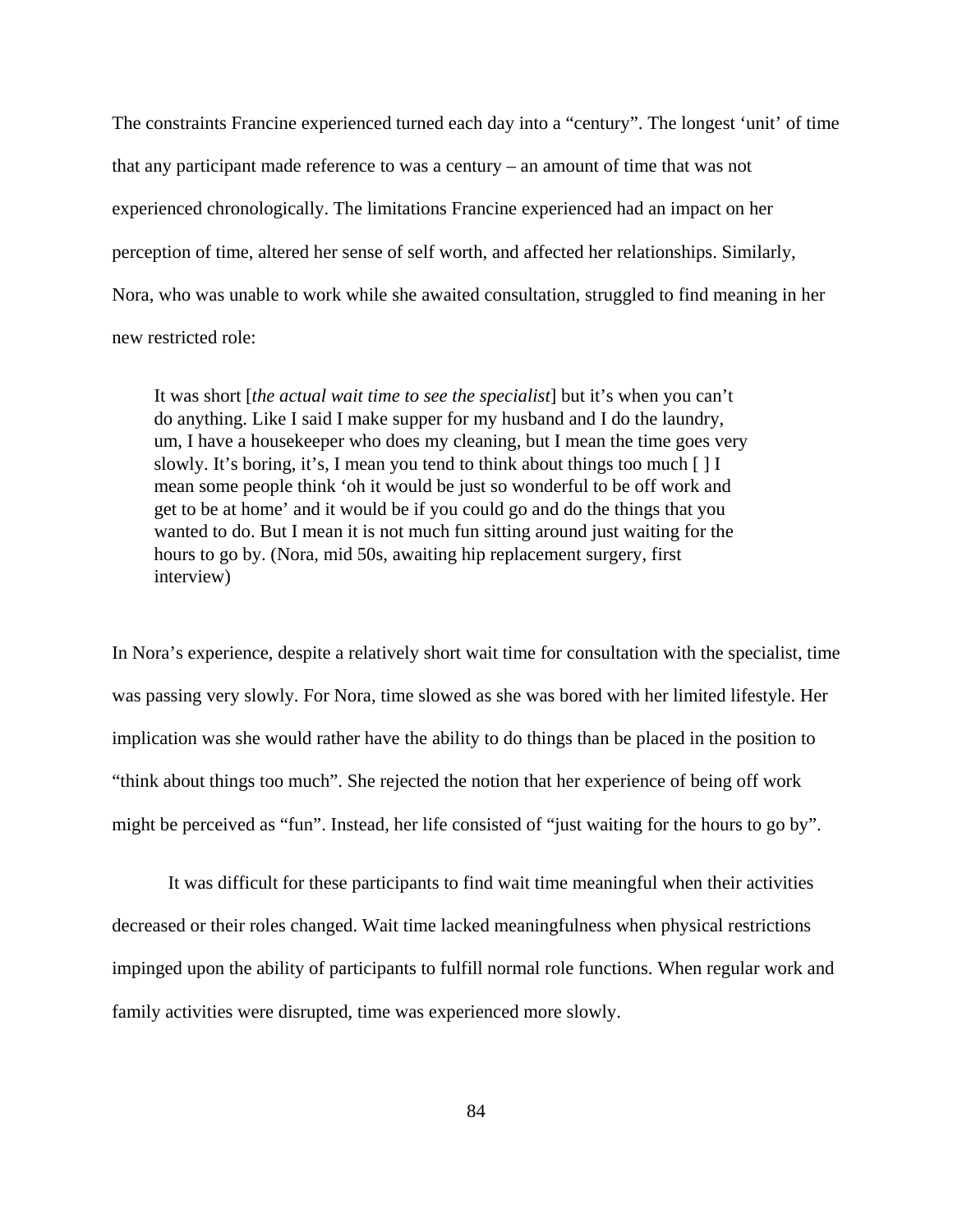The constraints Francine experienced turned each day into a "century". The longest 'unit' of time that any participant made reference to was a century – an amount of time that was not experienced chronologically. The limitations Francine experienced had an impact on her perception of time, altered her sense of self worth, and affected her relationships. Similarly, Nora, who was unable to work while she awaited consultation, struggled to find meaning in her new restricted role:

It was short [*the actual wait time to see the specialist*] but it's when you can't do anything. Like I said I make supper for my husband and I do the laundry, um, I have a housekeeper who does my cleaning, but I mean the time goes very slowly. It's boring, it's, I mean you tend to think about things too much  $[ \ ] I$ mean some people think 'oh it would be just so wonderful to be off work and get to be at home' and it would be if you could go and do the things that you wanted to do. But I mean it is not much fun sitting around just waiting for the hours to go by. (Nora, mid 50s, awaiting hip replacement surgery, first interview)

In Nora's experience, despite a relatively short wait time for consultation with the specialist, time was passing very slowly. For Nora, time slowed as she was bored with her limited lifestyle. Her implication was she would rather have the ability to do things than be placed in the position to "think about things too much". She rejected the notion that her experience of being off work might be perceived as "fun". Instead, her life consisted of "just waiting for the hours to go by".

 It was difficult for these participants to find wait time meaningful when their activities decreased or their roles changed. Wait time lacked meaningfulness when physical restrictions impinged upon the ability of participants to fulfill normal role functions. When regular work and family activities were disrupted, time was experienced more slowly.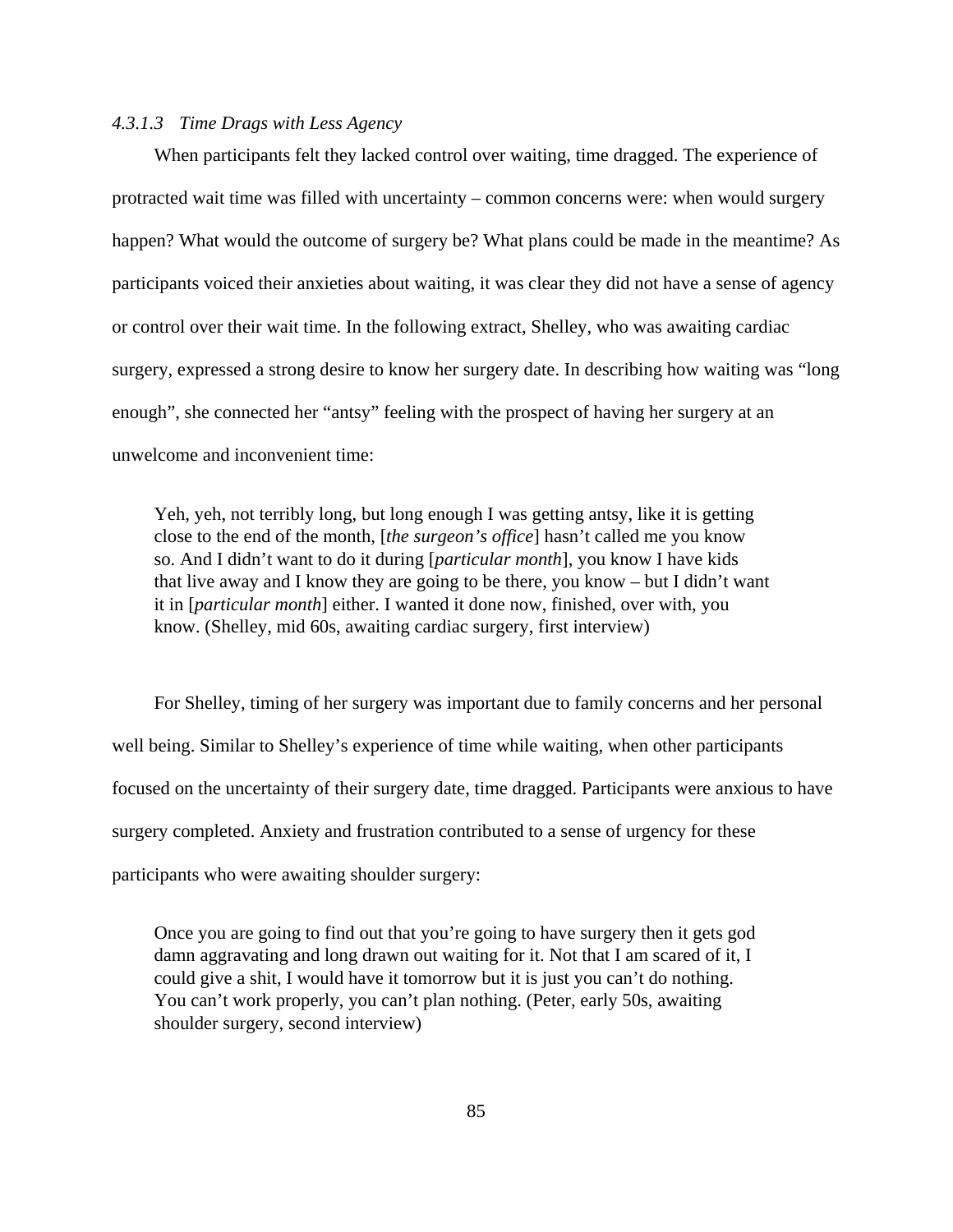## *4.3.1.3 Time Drags with Less Agency*

When participants felt they lacked control over waiting, time dragged. The experience of protracted wait time was filled with uncertainty – common concerns were: when would surgery happen? What would the outcome of surgery be? What plans could be made in the meantime? As participants voiced their anxieties about waiting, it was clear they did not have a sense of agency or control over their wait time. In the following extract, Shelley, who was awaiting cardiac surgery, expressed a strong desire to know her surgery date. In describing how waiting was "long enough", she connected her "antsy" feeling with the prospect of having her surgery at an unwelcome and inconvenient time:

Yeh, yeh, not terribly long, but long enough I was getting antsy, like it is getting close to the end of the month, [*the surgeon's office*] hasn't called me you know so. And I didn't want to do it during [*particular month*], you know I have kids that live away and I know they are going to be there, you know – but I didn't want it in [*particular month*] either. I wanted it done now, finished, over with, you know. (Shelley, mid 60s, awaiting cardiac surgery, first interview)

For Shelley, timing of her surgery was important due to family concerns and her personal well being. Similar to Shelley's experience of time while waiting, when other participants focused on the uncertainty of their surgery date, time dragged. Participants were anxious to have surgery completed. Anxiety and frustration contributed to a sense of urgency for these participants who were awaiting shoulder surgery:

Once you are going to find out that you're going to have surgery then it gets god damn aggravating and long drawn out waiting for it. Not that I am scared of it, I could give a shit, I would have it tomorrow but it is just you can't do nothing. You can't work properly, you can't plan nothing. (Peter, early 50s, awaiting shoulder surgery, second interview)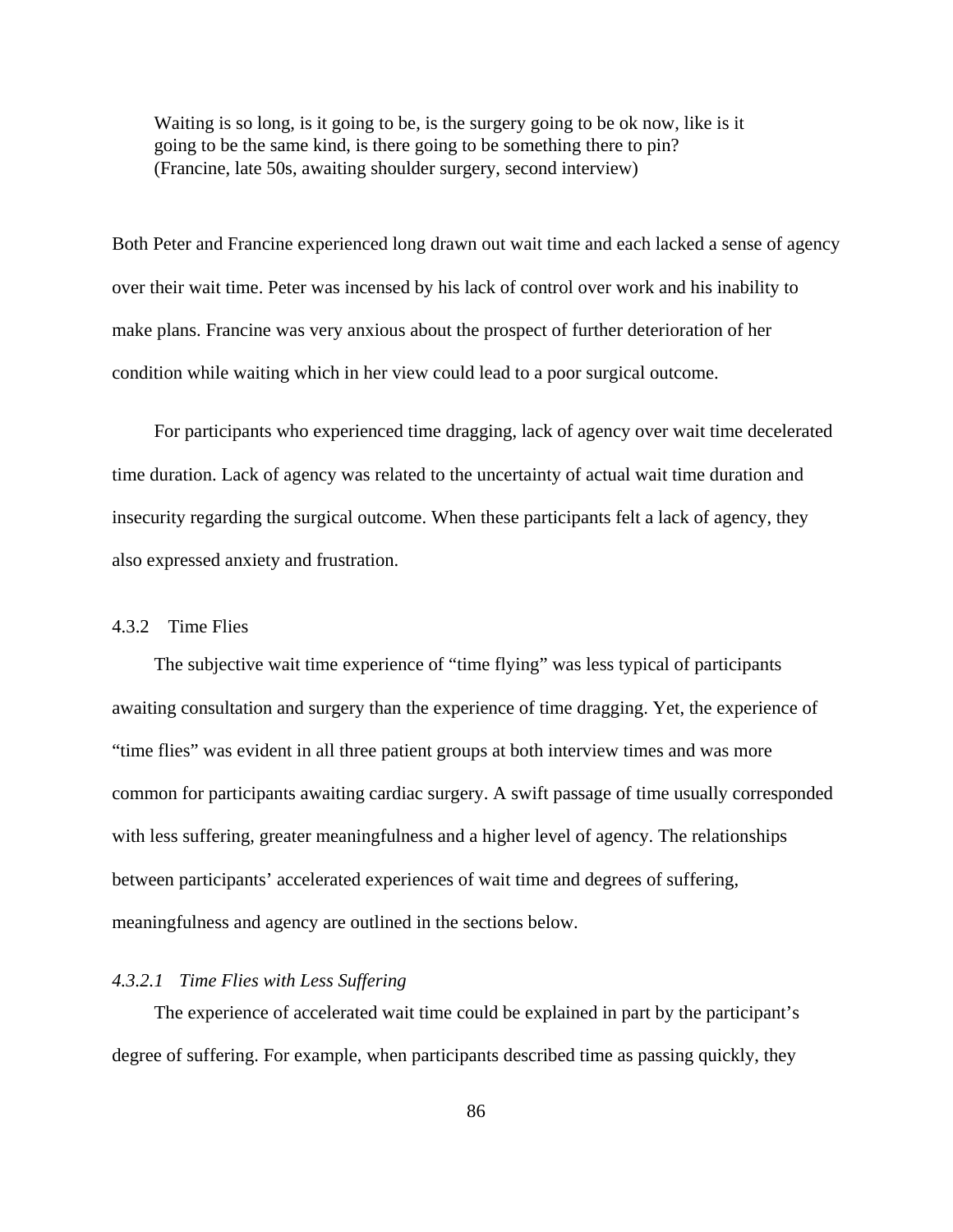Waiting is so long, is it going to be, is the surgery going to be ok now, like is it going to be the same kind, is there going to be something there to pin? (Francine, late 50s, awaiting shoulder surgery, second interview)

Both Peter and Francine experienced long drawn out wait time and each lacked a sense of agency over their wait time. Peter was incensed by his lack of control over work and his inability to make plans. Francine was very anxious about the prospect of further deterioration of her condition while waiting which in her view could lead to a poor surgical outcome.

For participants who experienced time dragging, lack of agency over wait time decelerated time duration. Lack of agency was related to the uncertainty of actual wait time duration and insecurity regarding the surgical outcome. When these participants felt a lack of agency, they also expressed anxiety and frustration.

## 4.3.2 Time Flies

The subjective wait time experience of "time flying" was less typical of participants awaiting consultation and surgery than the experience of time dragging. Yet, the experience of "time flies" was evident in all three patient groups at both interview times and was more common for participants awaiting cardiac surgery. A swift passage of time usually corresponded with less suffering, greater meaningfulness and a higher level of agency. The relationships between participants' accelerated experiences of wait time and degrees of suffering, meaningfulness and agency are outlined in the sections below.

#### *4.3.2.1 Time Flies with Less Suffering*

The experience of accelerated wait time could be explained in part by the participant's degree of suffering. For example, when participants described time as passing quickly, they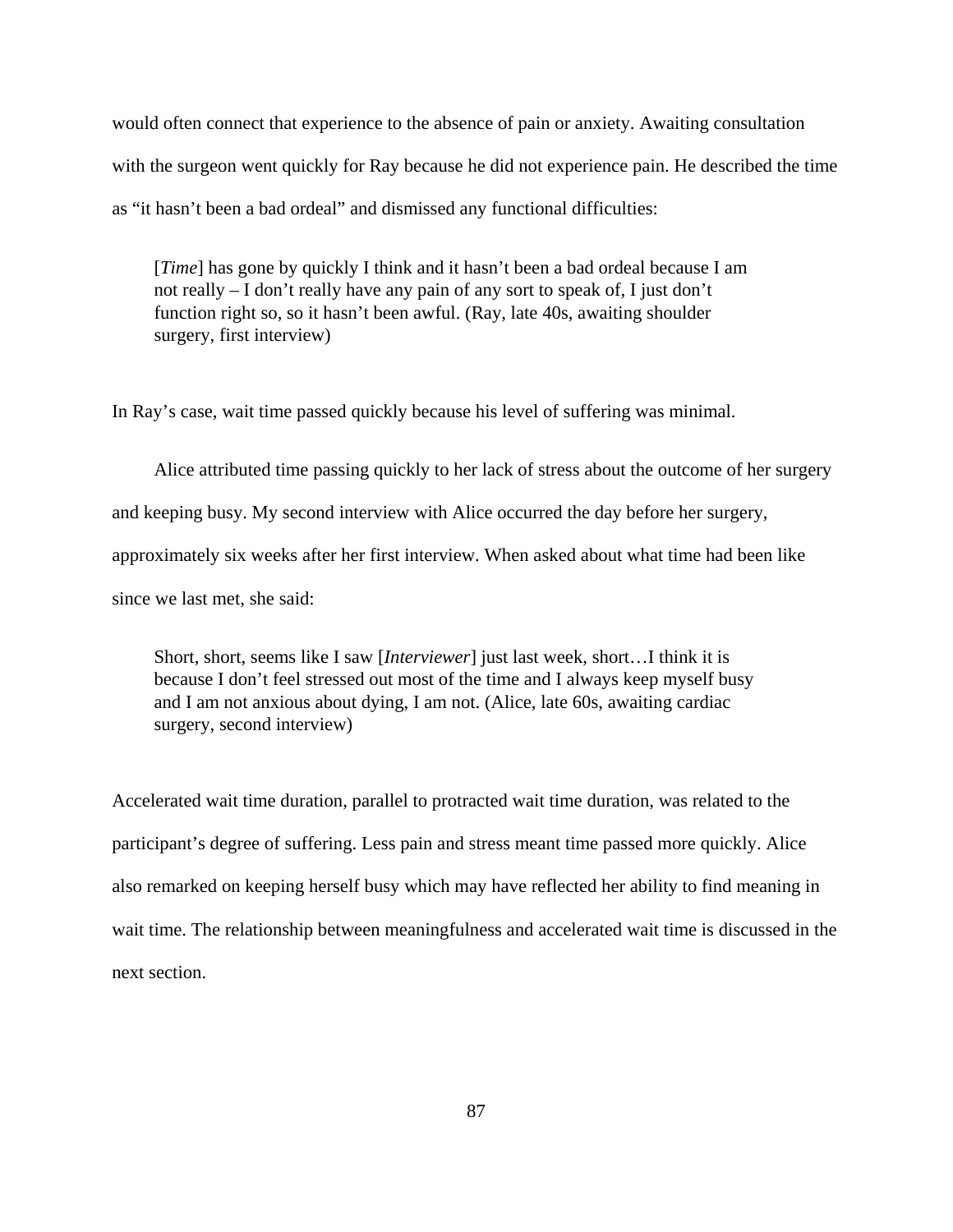would often connect that experience to the absence of pain or anxiety. Awaiting consultation with the surgeon went quickly for Ray because he did not experience pain. He described the time as "it hasn't been a bad ordeal" and dismissed any functional difficulties:

[*Time*] has gone by quickly I think and it hasn't been a bad ordeal because I am not really – I don't really have any pain of any sort to speak of, I just don't function right so, so it hasn't been awful. (Ray, late 40s, awaiting shoulder surgery, first interview)

In Ray's case, wait time passed quickly because his level of suffering was minimal.

Alice attributed time passing quickly to her lack of stress about the outcome of her surgery and keeping busy. My second interview with Alice occurred the day before her surgery, approximately six weeks after her first interview. When asked about what time had been like since we last met, she said:

Short, short, seems like I saw [*Interviewer*] just last week, short…I think it is because I don't feel stressed out most of the time and I always keep myself busy and I am not anxious about dying, I am not. (Alice, late 60s, awaiting cardiac surgery, second interview)

Accelerated wait time duration, parallel to protracted wait time duration, was related to the participant's degree of suffering. Less pain and stress meant time passed more quickly. Alice also remarked on keeping herself busy which may have reflected her ability to find meaning in wait time. The relationship between meaningfulness and accelerated wait time is discussed in the next section.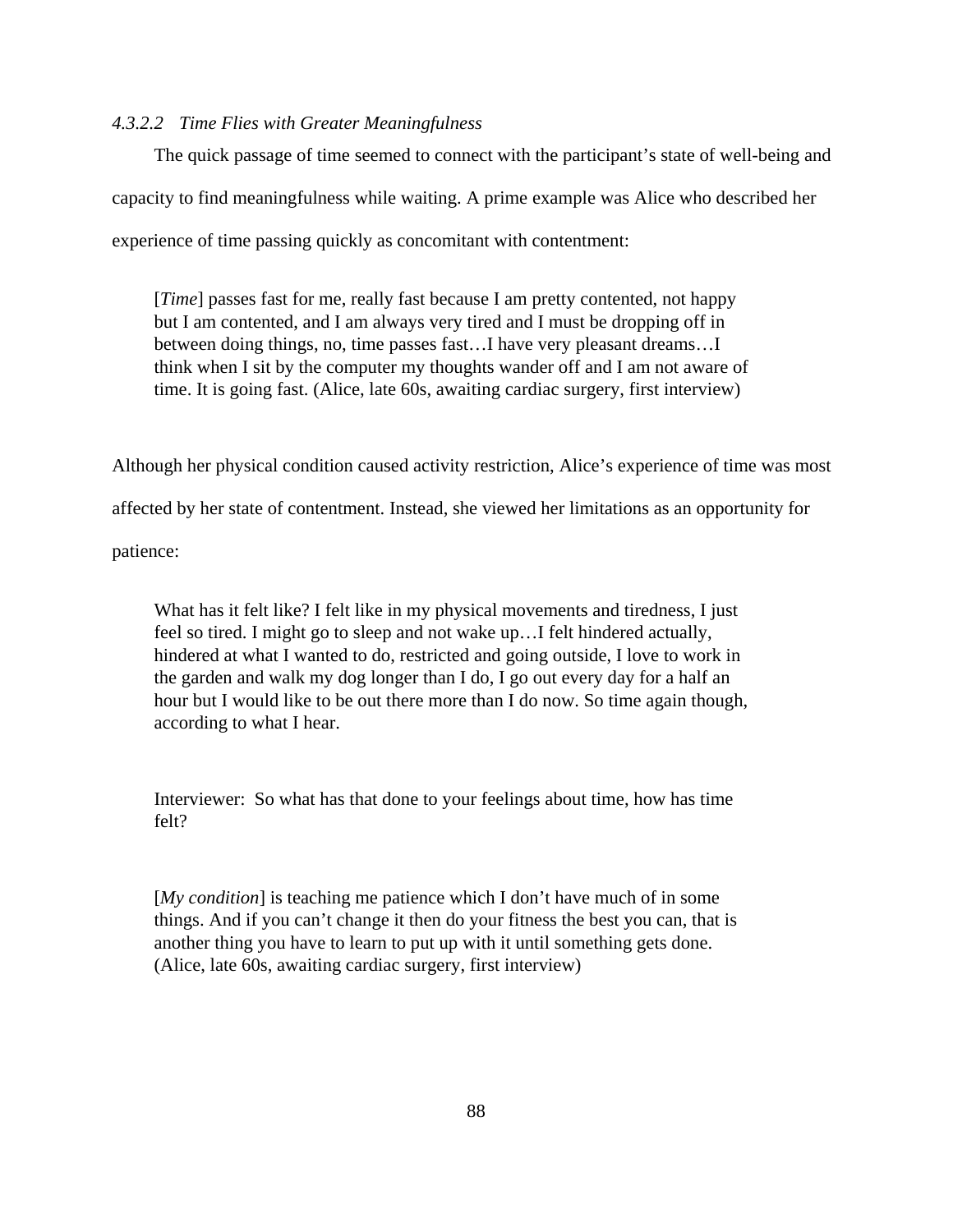## *4.3.2.2 Time Flies with Greater Meaningfulness*

The quick passage of time seemed to connect with the participant's state of well-being and capacity to find meaningfulness while waiting. A prime example was Alice who described her experience of time passing quickly as concomitant with contentment:

[*Time*] passes fast for me, really fast because I am pretty contented, not happy but I am contented, and I am always very tired and I must be dropping off in between doing things, no, time passes fast…I have very pleasant dreams…I think when I sit by the computer my thoughts wander off and I am not aware of time. It is going fast. (Alice, late 60s, awaiting cardiac surgery, first interview)

Although her physical condition caused activity restriction, Alice's experience of time was most

affected by her state of contentment. Instead, she viewed her limitations as an opportunity for

patience:

What has it felt like? I felt like in my physical movements and tiredness, I just feel so tired. I might go to sleep and not wake up…I felt hindered actually, hindered at what I wanted to do, restricted and going outside, I love to work in the garden and walk my dog longer than I do, I go out every day for a half an hour but I would like to be out there more than I do now. So time again though, according to what I hear.

Interviewer: So what has that done to your feelings about time, how has time felt?

[*My condition*] is teaching me patience which I don't have much of in some things. And if you can't change it then do your fitness the best you can, that is another thing you have to learn to put up with it until something gets done. (Alice, late 60s, awaiting cardiac surgery, first interview)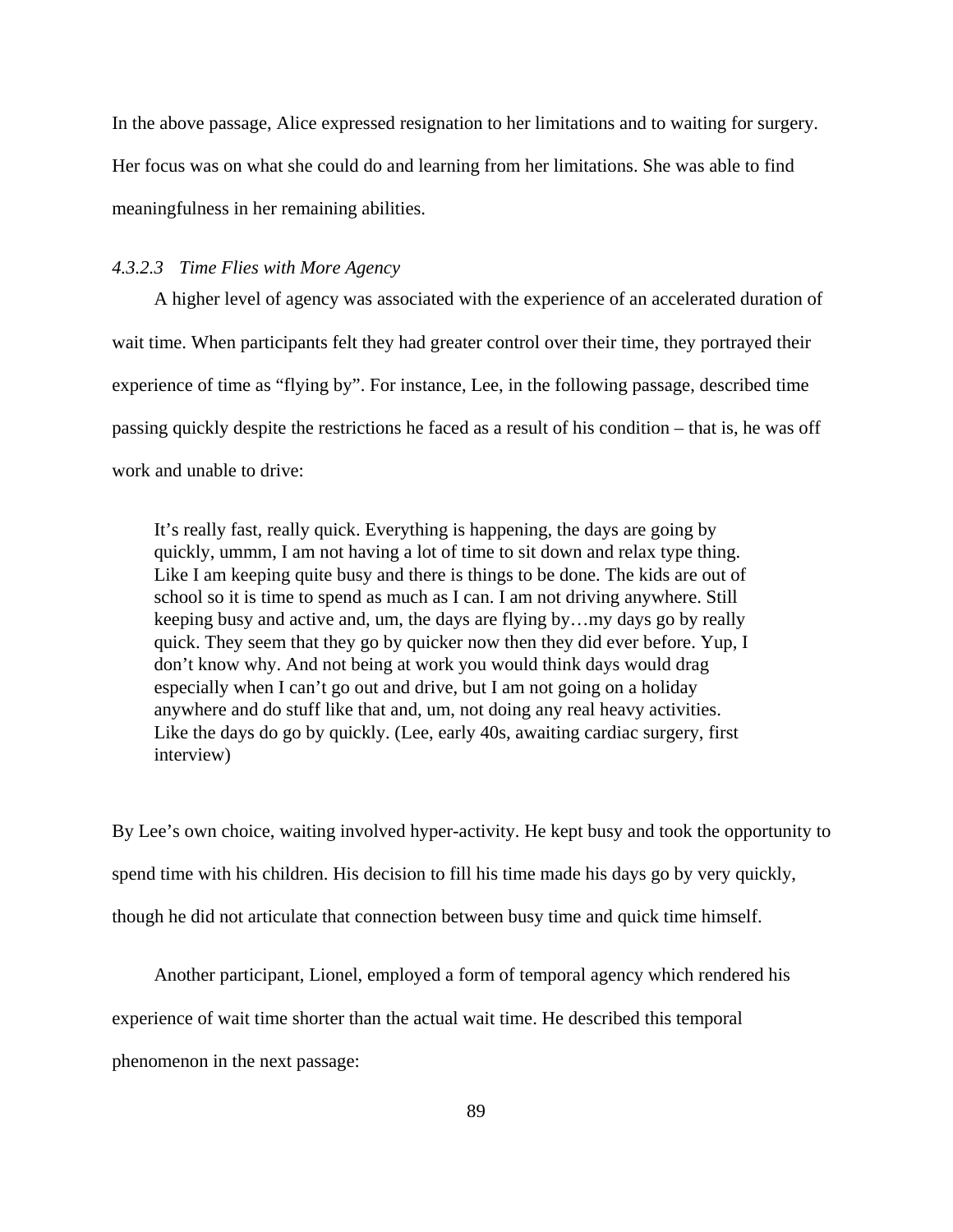In the above passage, Alice expressed resignation to her limitations and to waiting for surgery. Her focus was on what she could do and learning from her limitations. She was able to find meaningfulness in her remaining abilities.

## *4.3.2.3 Time Flies with More Agency*

A higher level of agency was associated with the experience of an accelerated duration of wait time. When participants felt they had greater control over their time, they portrayed their experience of time as "flying by". For instance, Lee, in the following passage, described time passing quickly despite the restrictions he faced as a result of his condition – that is, he was off work and unable to drive:

It's really fast, really quick. Everything is happening, the days are going by quickly, ummm, I am not having a lot of time to sit down and relax type thing. Like I am keeping quite busy and there is things to be done. The kids are out of school so it is time to spend as much as I can. I am not driving anywhere. Still keeping busy and active and, um, the days are flying by…my days go by really quick. They seem that they go by quicker now then they did ever before. Yup, I don't know why. And not being at work you would think days would drag especially when I can't go out and drive, but I am not going on a holiday anywhere and do stuff like that and, um, not doing any real heavy activities. Like the days do go by quickly. (Lee, early 40s, awaiting cardiac surgery, first interview)

By Lee's own choice, waiting involved hyper-activity. He kept busy and took the opportunity to spend time with his children. His decision to fill his time made his days go by very quickly, though he did not articulate that connection between busy time and quick time himself.

Another participant, Lionel, employed a form of temporal agency which rendered his experience of wait time shorter than the actual wait time. He described this temporal phenomenon in the next passage: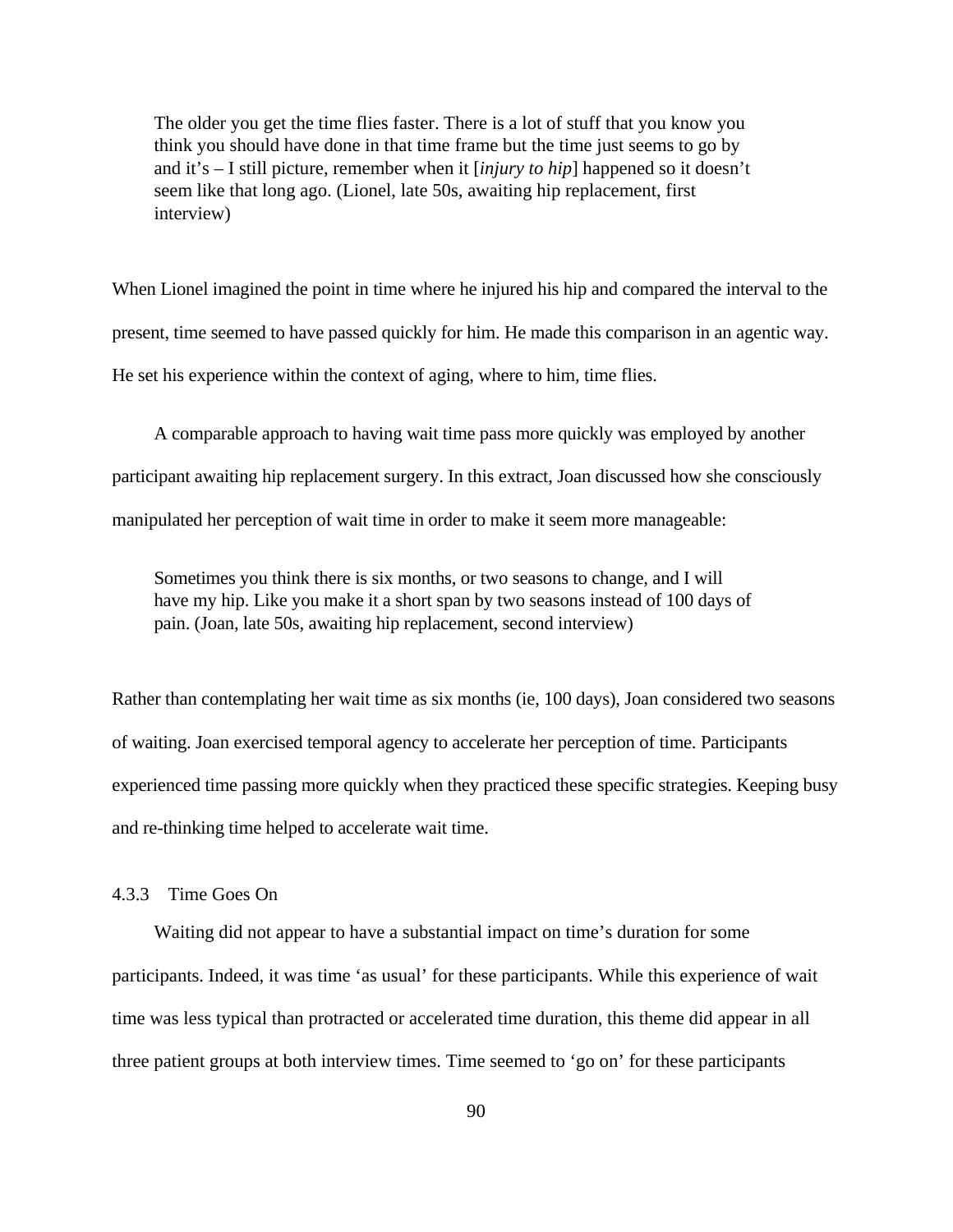The older you get the time flies faster. There is a lot of stuff that you know you think you should have done in that time frame but the time just seems to go by and it's – I still picture, remember when it [*injury to hip*] happened so it doesn't seem like that long ago. (Lionel, late 50s, awaiting hip replacement, first interview)

When Lionel imagined the point in time where he injured his hip and compared the interval to the present, time seemed to have passed quickly for him. He made this comparison in an agentic way. He set his experience within the context of aging, where to him, time flies.

A comparable approach to having wait time pass more quickly was employed by another participant awaiting hip replacement surgery. In this extract, Joan discussed how she consciously manipulated her perception of wait time in order to make it seem more manageable:

Sometimes you think there is six months, or two seasons to change, and I will have my hip. Like you make it a short span by two seasons instead of 100 days of pain. (Joan, late 50s, awaiting hip replacement, second interview)

Rather than contemplating her wait time as six months (ie, 100 days), Joan considered two seasons of waiting. Joan exercised temporal agency to accelerate her perception of time. Participants experienced time passing more quickly when they practiced these specific strategies. Keeping busy and re-thinking time helped to accelerate wait time.

# 4.3.3 Time Goes On

Waiting did not appear to have a substantial impact on time's duration for some participants. Indeed, it was time 'as usual' for these participants. While this experience of wait time was less typical than protracted or accelerated time duration, this theme did appear in all three patient groups at both interview times. Time seemed to 'go on' for these participants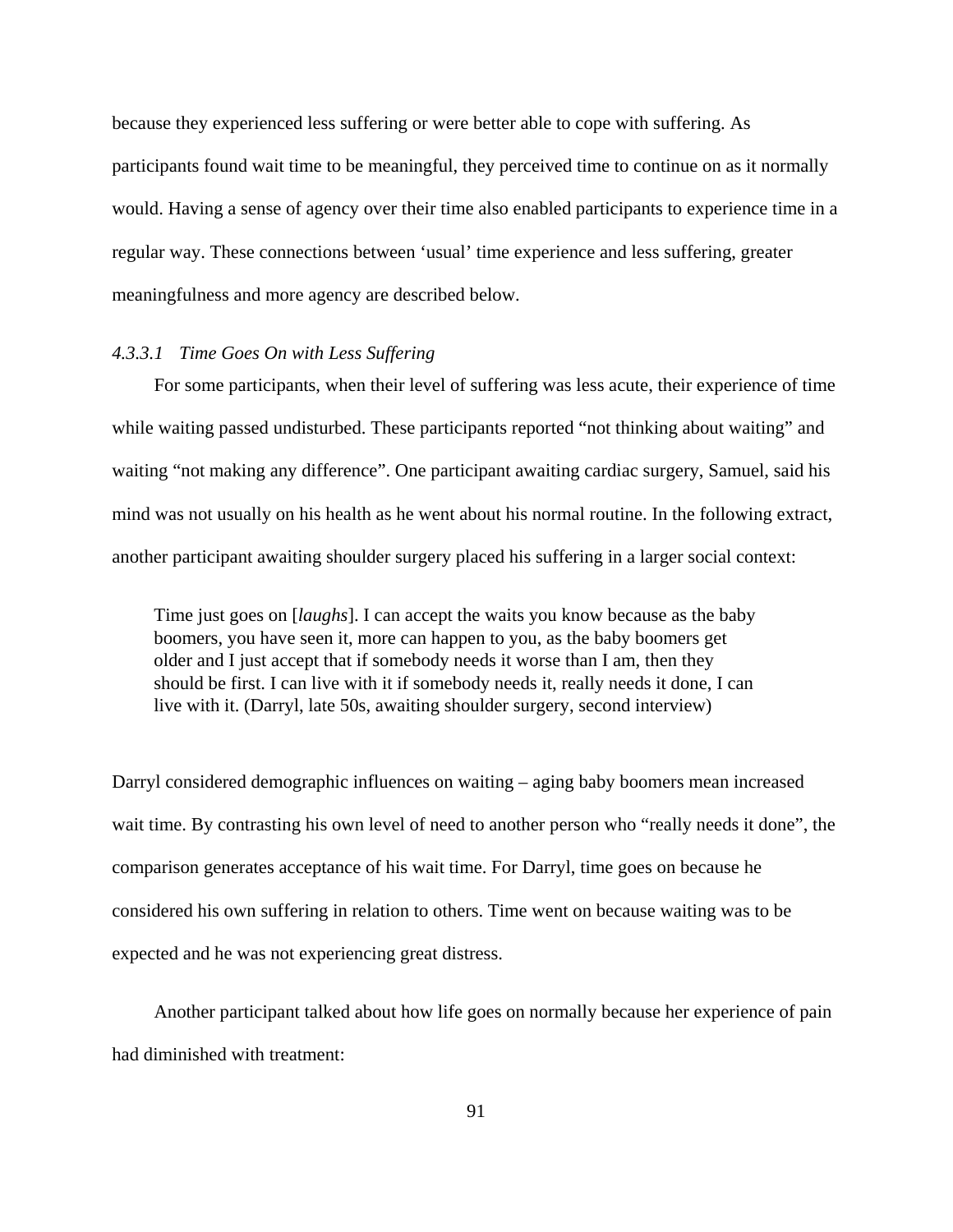because they experienced less suffering or were better able to cope with suffering. As participants found wait time to be meaningful, they perceived time to continue on as it normally would. Having a sense of agency over their time also enabled participants to experience time in a regular way. These connections between 'usual' time experience and less suffering, greater meaningfulness and more agency are described below.

#### *4.3.3.1 Time Goes On with Less Suffering*

For some participants, when their level of suffering was less acute, their experience of time while waiting passed undisturbed. These participants reported "not thinking about waiting" and waiting "not making any difference". One participant awaiting cardiac surgery, Samuel, said his mind was not usually on his health as he went about his normal routine. In the following extract, another participant awaiting shoulder surgery placed his suffering in a larger social context:

Time just goes on [*laughs*]. I can accept the waits you know because as the baby boomers, you have seen it, more can happen to you, as the baby boomers get older and I just accept that if somebody needs it worse than I am, then they should be first. I can live with it if somebody needs it, really needs it done, I can live with it. (Darryl, late 50s, awaiting shoulder surgery, second interview)

Darryl considered demographic influences on waiting – aging baby boomers mean increased wait time. By contrasting his own level of need to another person who "really needs it done", the comparison generates acceptance of his wait time. For Darryl, time goes on because he considered his own suffering in relation to others. Time went on because waiting was to be expected and he was not experiencing great distress.

Another participant talked about how life goes on normally because her experience of pain had diminished with treatment: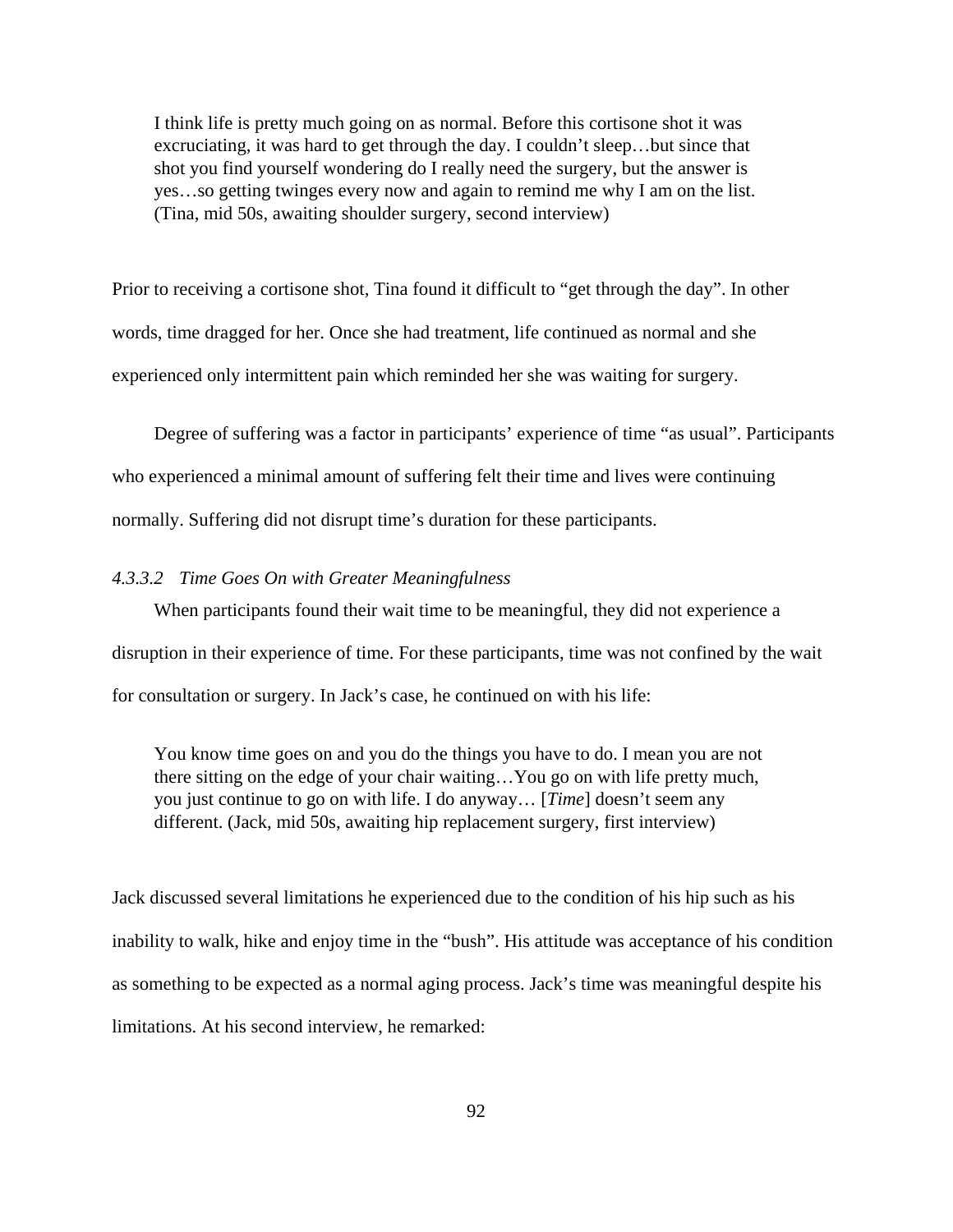I think life is pretty much going on as normal. Before this cortisone shot it was excruciating, it was hard to get through the day. I couldn't sleep…but since that shot you find yourself wondering do I really need the surgery, but the answer is yes…so getting twinges every now and again to remind me why I am on the list. (Tina, mid 50s, awaiting shoulder surgery, second interview)

Prior to receiving a cortisone shot, Tina found it difficult to "get through the day". In other words, time dragged for her. Once she had treatment, life continued as normal and she experienced only intermittent pain which reminded her she was waiting for surgery.

Degree of suffering was a factor in participants' experience of time "as usual". Participants who experienced a minimal amount of suffering felt their time and lives were continuing normally. Suffering did not disrupt time's duration for these participants.

### *4.3.3.2 Time Goes On with Greater Meaningfulness*

When participants found their wait time to be meaningful, they did not experience a disruption in their experience of time. For these participants, time was not confined by the wait for consultation or surgery. In Jack's case, he continued on with his life:

You know time goes on and you do the things you have to do. I mean you are not there sitting on the edge of your chair waiting…You go on with life pretty much, you just continue to go on with life. I do anyway… [*Time*] doesn't seem any different. (Jack, mid 50s, awaiting hip replacement surgery, first interview)

Jack discussed several limitations he experienced due to the condition of his hip such as his inability to walk, hike and enjoy time in the "bush". His attitude was acceptance of his condition as something to be expected as a normal aging process. Jack's time was meaningful despite his limitations. At his second interview, he remarked: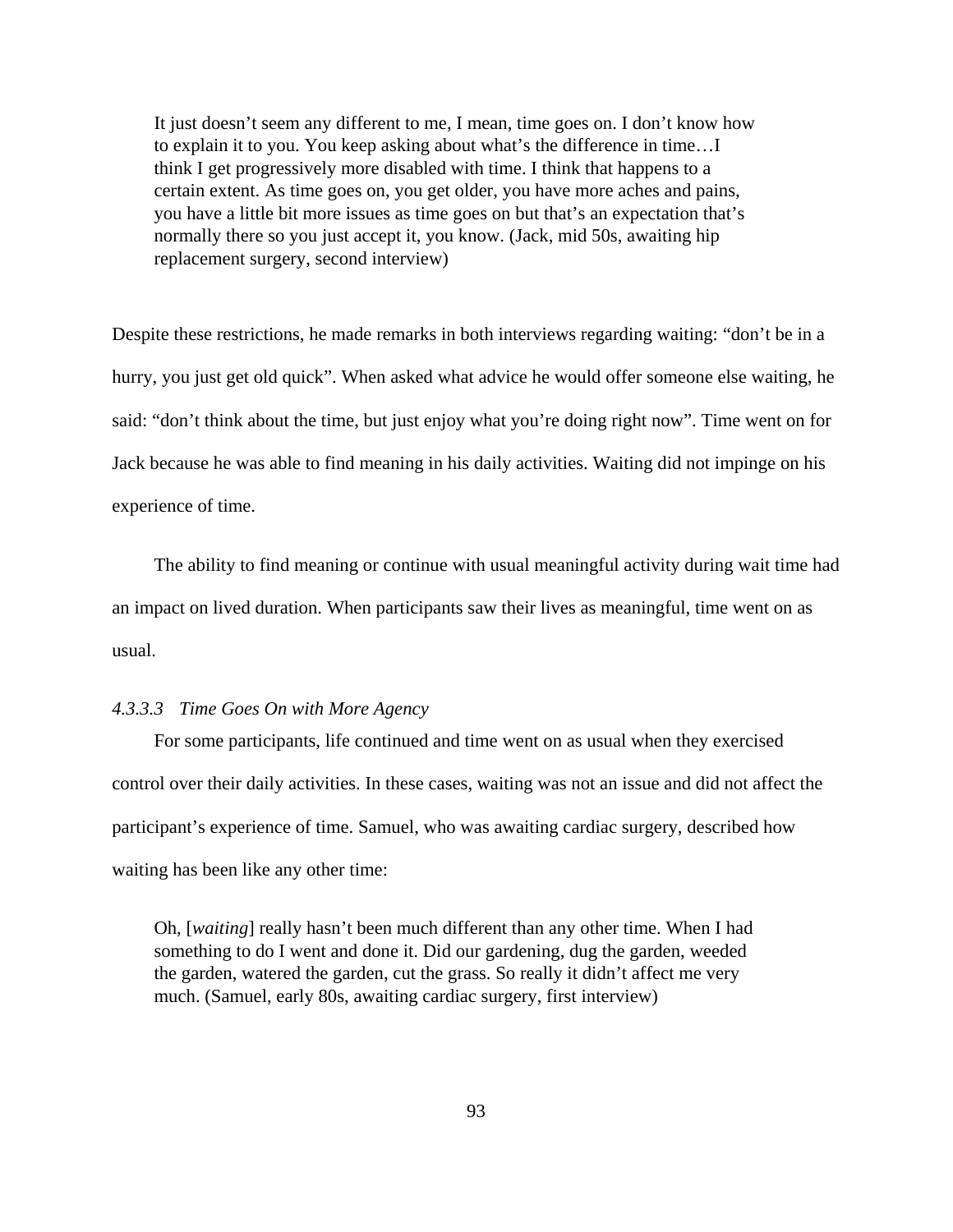It just doesn't seem any different to me, I mean, time goes on. I don't know how to explain it to you. You keep asking about what's the difference in time…I think I get progressively more disabled with time. I think that happens to a certain extent. As time goes on, you get older, you have more aches and pains, you have a little bit more issues as time goes on but that's an expectation that's normally there so you just accept it, you know. (Jack, mid 50s, awaiting hip replacement surgery, second interview)

Despite these restrictions, he made remarks in both interviews regarding waiting: "don't be in a hurry, you just get old quick". When asked what advice he would offer someone else waiting, he said: "don't think about the time, but just enjoy what you're doing right now". Time went on for Jack because he was able to find meaning in his daily activities. Waiting did not impinge on his experience of time.

The ability to find meaning or continue with usual meaningful activity during wait time had an impact on lived duration. When participants saw their lives as meaningful, time went on as usual.

## *4.3.3.3 Time Goes On with More Agency*

For some participants, life continued and time went on as usual when they exercised control over their daily activities. In these cases, waiting was not an issue and did not affect the participant's experience of time. Samuel, who was awaiting cardiac surgery, described how waiting has been like any other time:

Oh, [*waiting*] really hasn't been much different than any other time. When I had something to do I went and done it. Did our gardening, dug the garden, weeded the garden, watered the garden, cut the grass. So really it didn't affect me very much. (Samuel, early 80s, awaiting cardiac surgery, first interview)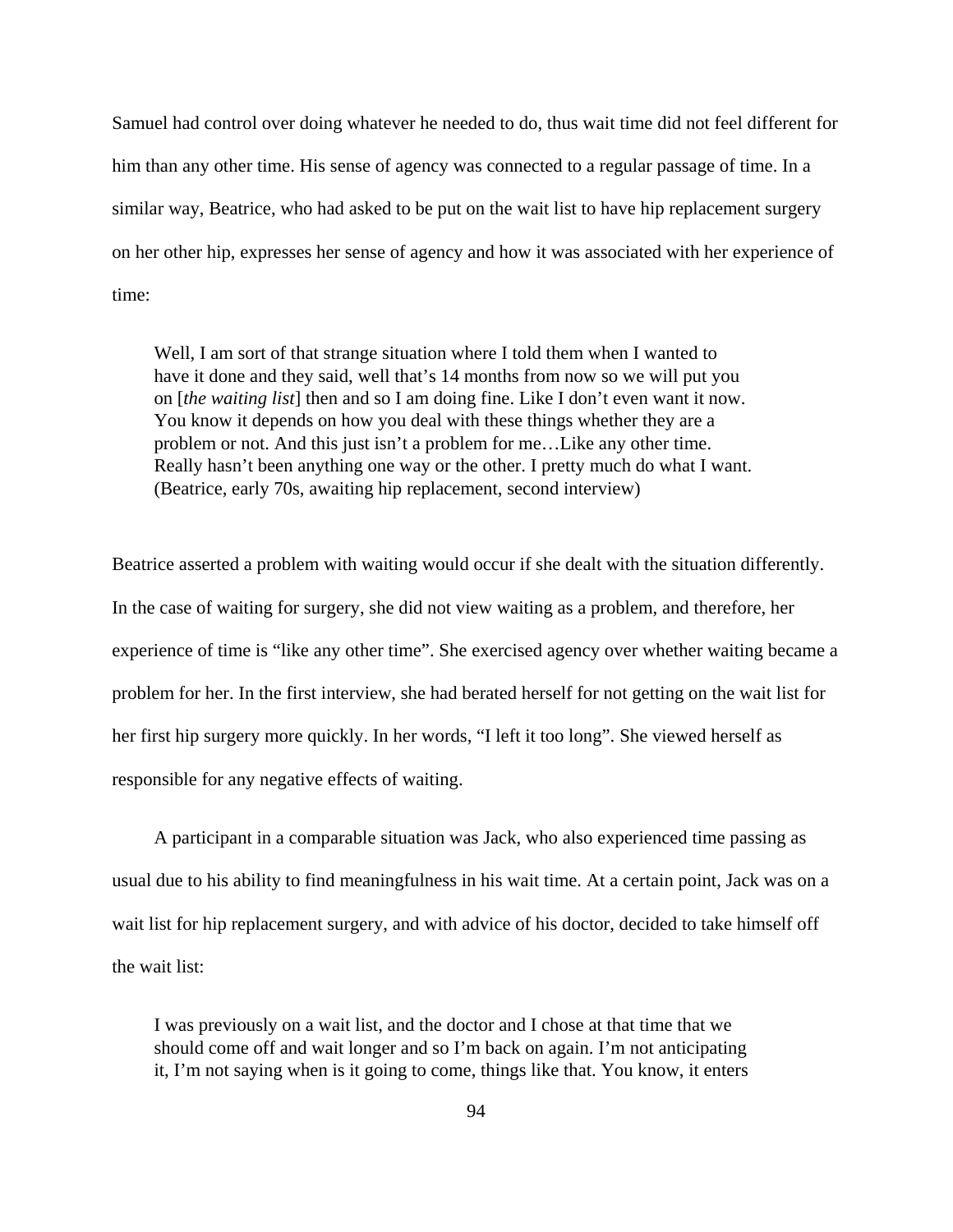Samuel had control over doing whatever he needed to do, thus wait time did not feel different for him than any other time. His sense of agency was connected to a regular passage of time. In a similar way, Beatrice, who had asked to be put on the wait list to have hip replacement surgery on her other hip, expresses her sense of agency and how it was associated with her experience of time:

Well, I am sort of that strange situation where I told them when I wanted to have it done and they said, well that's 14 months from now so we will put you on [*the waiting list*] then and so I am doing fine. Like I don't even want it now. You know it depends on how you deal with these things whether they are a problem or not. And this just isn't a problem for me…Like any other time. Really hasn't been anything one way or the other. I pretty much do what I want. (Beatrice, early 70s, awaiting hip replacement, second interview)

Beatrice asserted a problem with waiting would occur if she dealt with the situation differently. In the case of waiting for surgery, she did not view waiting as a problem, and therefore, her experience of time is "like any other time". She exercised agency over whether waiting became a problem for her. In the first interview, she had berated herself for not getting on the wait list for her first hip surgery more quickly. In her words, "I left it too long". She viewed herself as responsible for any negative effects of waiting.

A participant in a comparable situation was Jack, who also experienced time passing as usual due to his ability to find meaningfulness in his wait time. At a certain point, Jack was on a wait list for hip replacement surgery, and with advice of his doctor, decided to take himself off the wait list:

I was previously on a wait list, and the doctor and I chose at that time that we should come off and wait longer and so I'm back on again. I'm not anticipating it, I'm not saying when is it going to come, things like that. You know, it enters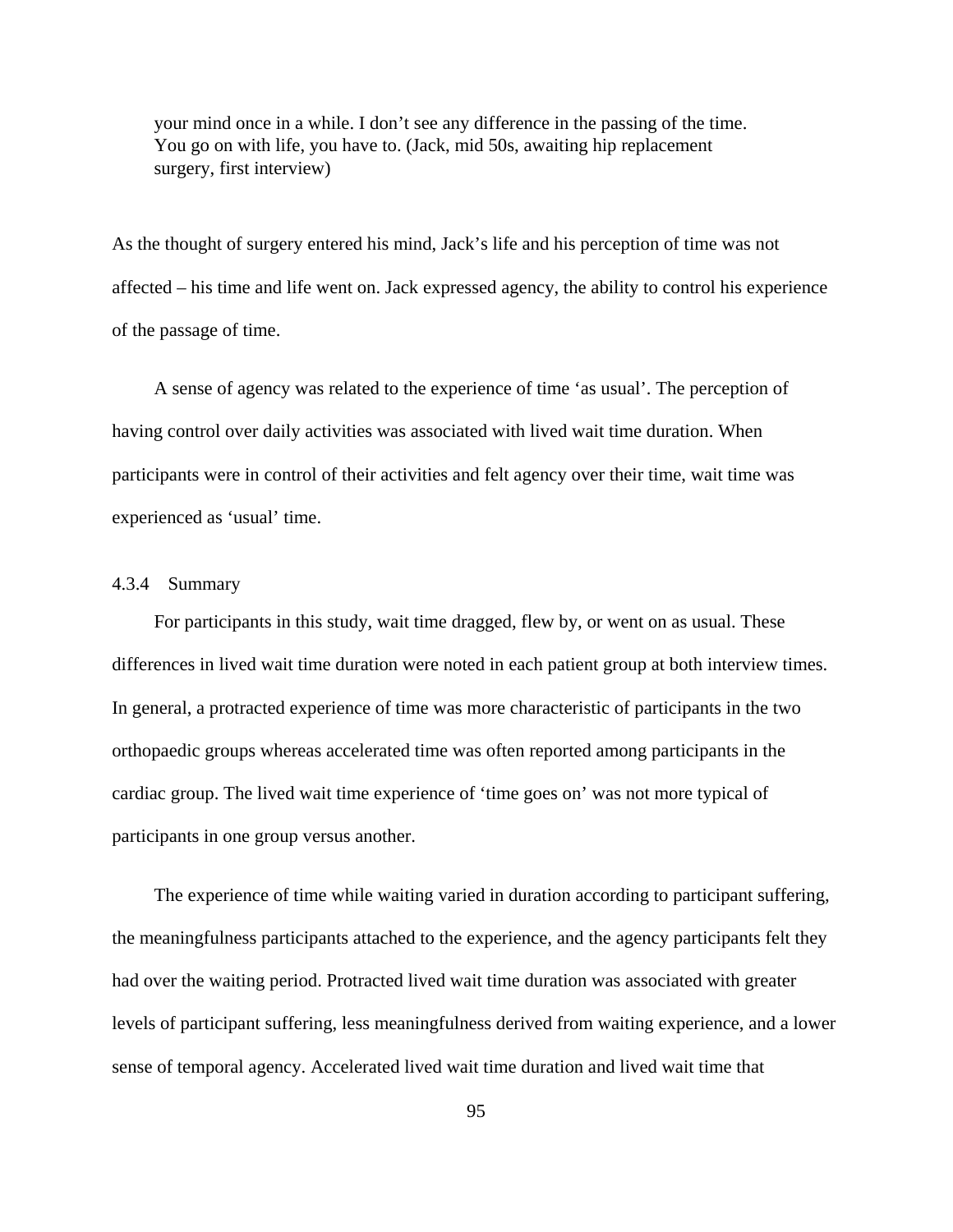your mind once in a while. I don't see any difference in the passing of the time. You go on with life, you have to. (Jack, mid 50s, awaiting hip replacement surgery, first interview)

As the thought of surgery entered his mind, Jack's life and his perception of time was not affected – his time and life went on. Jack expressed agency, the ability to control his experience of the passage of time.

A sense of agency was related to the experience of time 'as usual'. The perception of having control over daily activities was associated with lived wait time duration. When participants were in control of their activities and felt agency over their time, wait time was experienced as 'usual' time.

## 4.3.4 Summary

For participants in this study, wait time dragged, flew by, or went on as usual. These differences in lived wait time duration were noted in each patient group at both interview times. In general, a protracted experience of time was more characteristic of participants in the two orthopaedic groups whereas accelerated time was often reported among participants in the cardiac group. The lived wait time experience of 'time goes on' was not more typical of participants in one group versus another.

The experience of time while waiting varied in duration according to participant suffering, the meaningfulness participants attached to the experience, and the agency participants felt they had over the waiting period. Protracted lived wait time duration was associated with greater levels of participant suffering, less meaningfulness derived from waiting experience, and a lower sense of temporal agency. Accelerated lived wait time duration and lived wait time that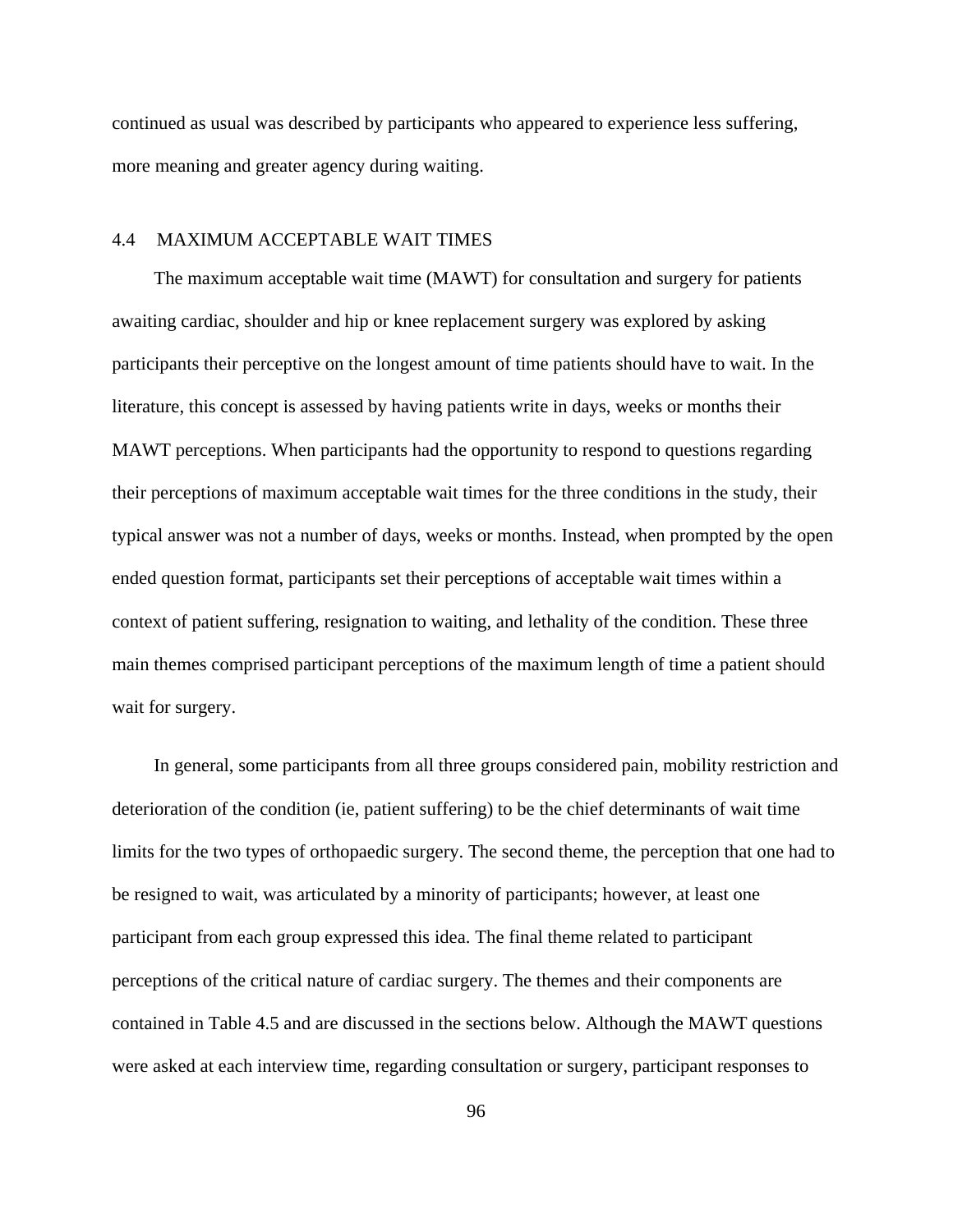continued as usual was described by participants who appeared to experience less suffering, more meaning and greater agency during waiting.

## 4.4 MAXIMUM ACCEPTABLE WAIT TIMES

The maximum acceptable wait time (MAWT) for consultation and surgery for patients awaiting cardiac, shoulder and hip or knee replacement surgery was explored by asking participants their perceptive on the longest amount of time patients should have to wait. In the literature, this concept is assessed by having patients write in days, weeks or months their MAWT perceptions. When participants had the opportunity to respond to questions regarding their perceptions of maximum acceptable wait times for the three conditions in the study, their typical answer was not a number of days, weeks or months. Instead, when prompted by the open ended question format, participants set their perceptions of acceptable wait times within a context of patient suffering, resignation to waiting, and lethality of the condition. These three main themes comprised participant perceptions of the maximum length of time a patient should wait for surgery.

In general, some participants from all three groups considered pain, mobility restriction and deterioration of the condition (ie, patient suffering) to be the chief determinants of wait time limits for the two types of orthopaedic surgery. The second theme, the perception that one had to be resigned to wait, was articulated by a minority of participants; however, at least one participant from each group expressed this idea. The final theme related to participant perceptions of the critical nature of cardiac surgery. The themes and their components are contained in Table 4.5 and are discussed in the sections below. Although the MAWT questions were asked at each interview time, regarding consultation or surgery, participant responses to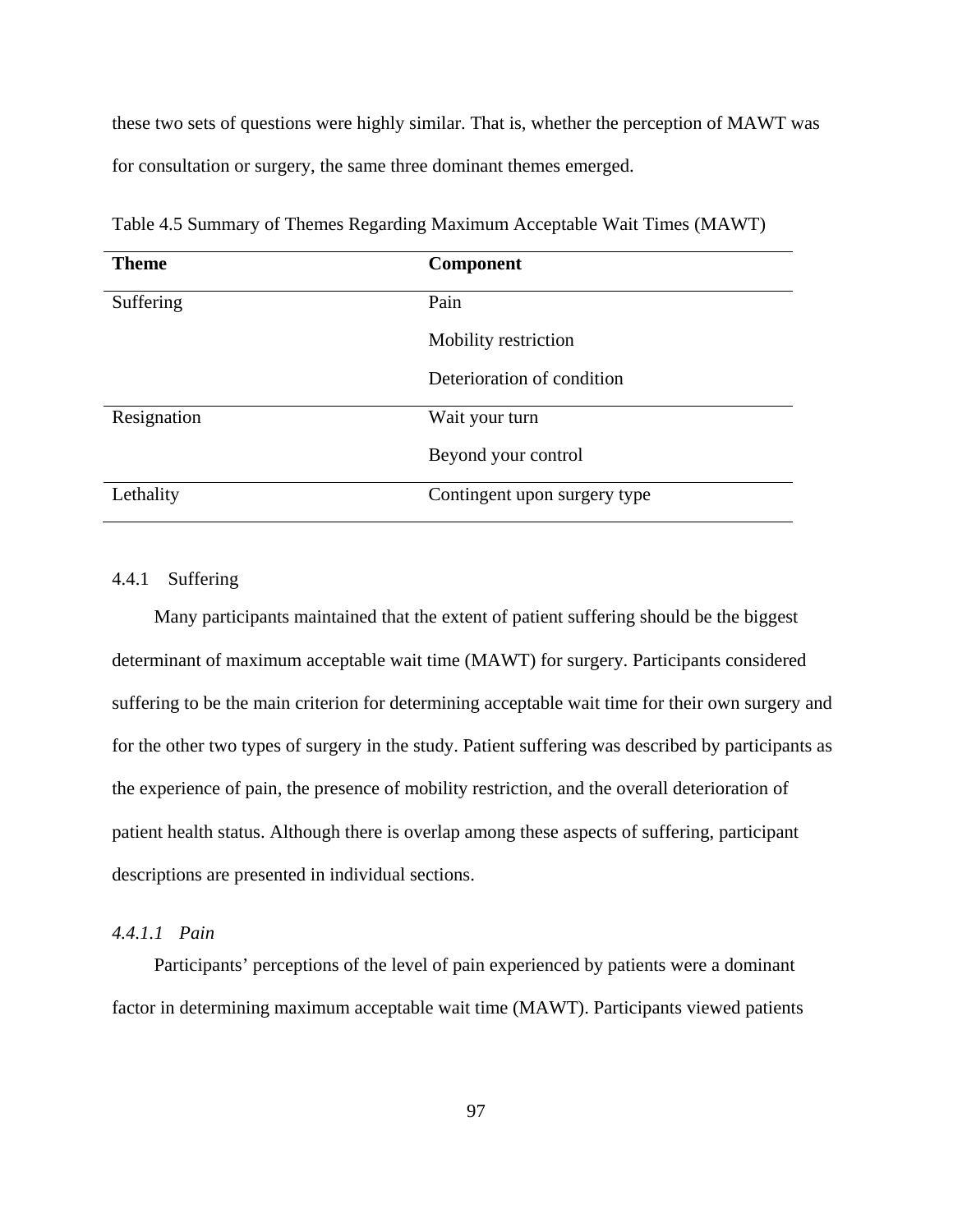these two sets of questions were highly similar. That is, whether the perception of MAWT was for consultation or surgery, the same three dominant themes emerged.

| <b>Theme</b> | <b>Component</b>             |
|--------------|------------------------------|
| Suffering    | Pain                         |
|              | Mobility restriction         |
|              | Deterioration of condition   |
| Resignation  | Wait your turn               |
|              | Beyond your control          |
| Lethality    | Contingent upon surgery type |

Table 4.5 Summary of Themes Regarding Maximum Acceptable Wait Times (MAWT)

### 4.4.1 Suffering

Many participants maintained that the extent of patient suffering should be the biggest determinant of maximum acceptable wait time (MAWT) for surgery. Participants considered suffering to be the main criterion for determining acceptable wait time for their own surgery and for the other two types of surgery in the study. Patient suffering was described by participants as the experience of pain, the presence of mobility restriction, and the overall deterioration of patient health status. Although there is overlap among these aspects of suffering, participant descriptions are presented in individual sections.

# *4.4.1.1 Pain*

Participants' perceptions of the level of pain experienced by patients were a dominant factor in determining maximum acceptable wait time (MAWT). Participants viewed patients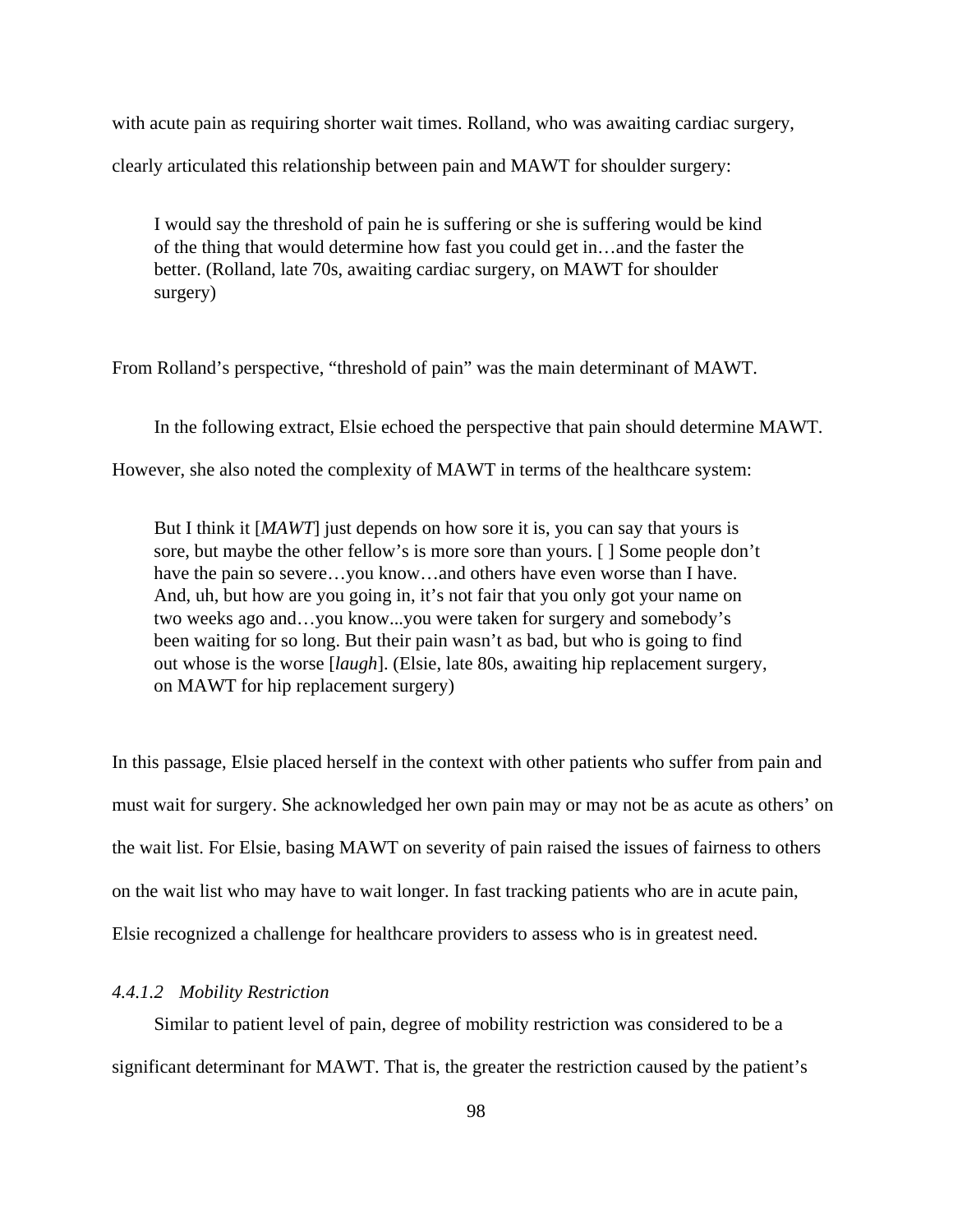with acute pain as requiring shorter wait times. Rolland, who was awaiting cardiac surgery, clearly articulated this relationship between pain and MAWT for shoulder surgery:

I would say the threshold of pain he is suffering or she is suffering would be kind of the thing that would determine how fast you could get in…and the faster the better. (Rolland, late 70s, awaiting cardiac surgery, on MAWT for shoulder surgery)

From Rolland's perspective, "threshold of pain" was the main determinant of MAWT.

In the following extract, Elsie echoed the perspective that pain should determine MAWT.

However, she also noted the complexity of MAWT in terms of the healthcare system:

But I think it [*MAWT*] just depends on how sore it is, you can say that yours is sore, but maybe the other fellow's is more sore than yours. [ ] Some people don't have the pain so severe...you know...and others have even worse than I have. And, uh, but how are you going in, it's not fair that you only got your name on two weeks ago and…you know...you were taken for surgery and somebody's been waiting for so long. But their pain wasn't as bad, but who is going to find out whose is the worse [*laugh*]. (Elsie, late 80s, awaiting hip replacement surgery, on MAWT for hip replacement surgery)

In this passage, Elsie placed herself in the context with other patients who suffer from pain and must wait for surgery. She acknowledged her own pain may or may not be as acute as others' on the wait list. For Elsie, basing MAWT on severity of pain raised the issues of fairness to others on the wait list who may have to wait longer. In fast tracking patients who are in acute pain, Elsie recognized a challenge for healthcare providers to assess who is in greatest need.

## *4.4.1.2 Mobility Restriction*

Similar to patient level of pain, degree of mobility restriction was considered to be a significant determinant for MAWT. That is, the greater the restriction caused by the patient's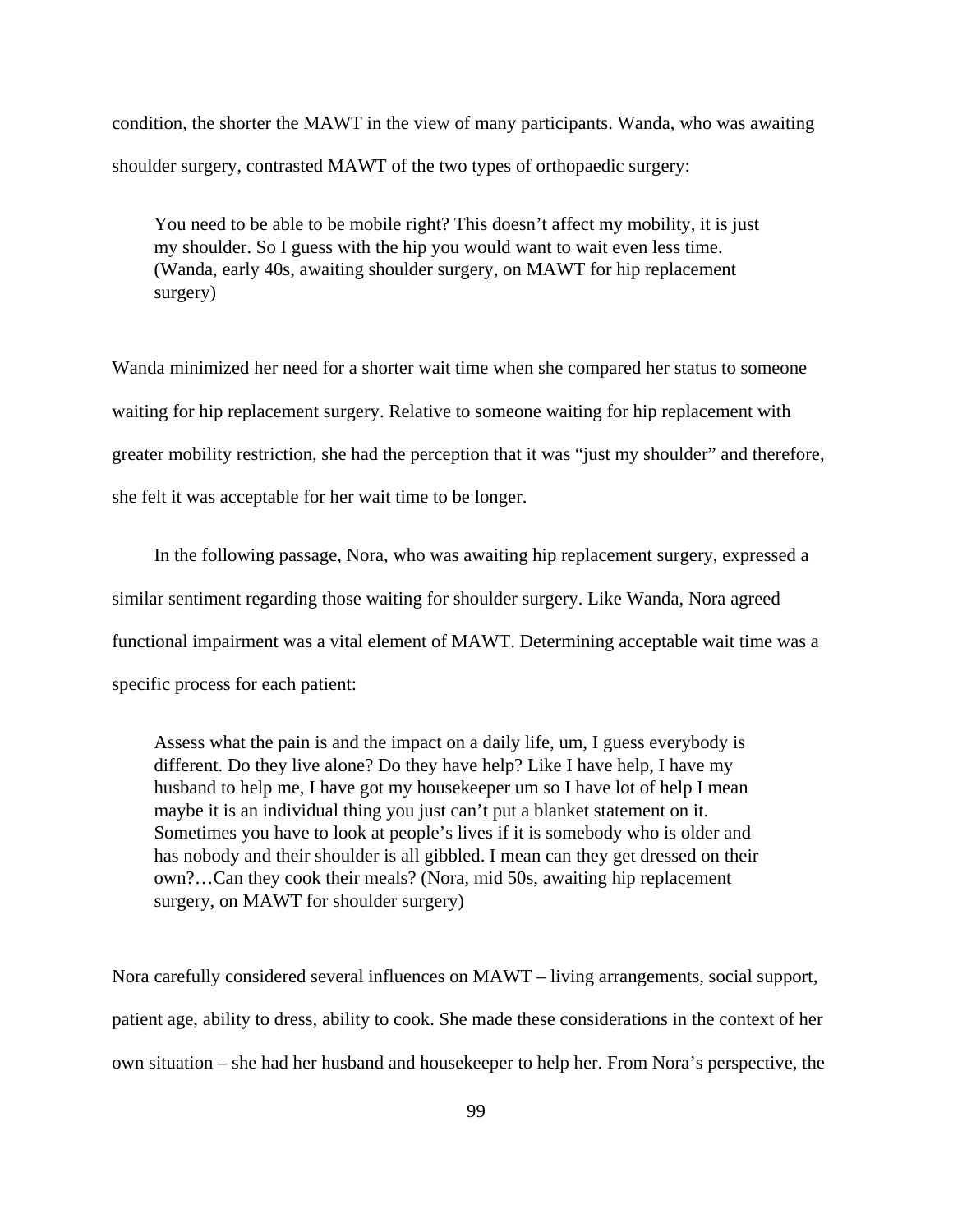condition, the shorter the MAWT in the view of many participants. Wanda, who was awaiting shoulder surgery, contrasted MAWT of the two types of orthopaedic surgery:

You need to be able to be mobile right? This doesn't affect my mobility, it is just my shoulder. So I guess with the hip you would want to wait even less time. (Wanda, early 40s, awaiting shoulder surgery, on MAWT for hip replacement surgery)

Wanda minimized her need for a shorter wait time when she compared her status to someone waiting for hip replacement surgery. Relative to someone waiting for hip replacement with greater mobility restriction, she had the perception that it was "just my shoulder" and therefore, she felt it was acceptable for her wait time to be longer.

In the following passage, Nora, who was awaiting hip replacement surgery, expressed a similar sentiment regarding those waiting for shoulder surgery. Like Wanda, Nora agreed functional impairment was a vital element of MAWT. Determining acceptable wait time was a specific process for each patient:

Assess what the pain is and the impact on a daily life, um, I guess everybody is different. Do they live alone? Do they have help? Like I have help, I have my husband to help me, I have got my housekeeper um so I have lot of help I mean maybe it is an individual thing you just can't put a blanket statement on it. Sometimes you have to look at people's lives if it is somebody who is older and has nobody and their shoulder is all gibbled. I mean can they get dressed on their own?…Can they cook their meals? (Nora, mid 50s, awaiting hip replacement surgery, on MAWT for shoulder surgery)

Nora carefully considered several influences on MAWT – living arrangements, social support, patient age, ability to dress, ability to cook. She made these considerations in the context of her own situation – she had her husband and housekeeper to help her. From Nora's perspective, the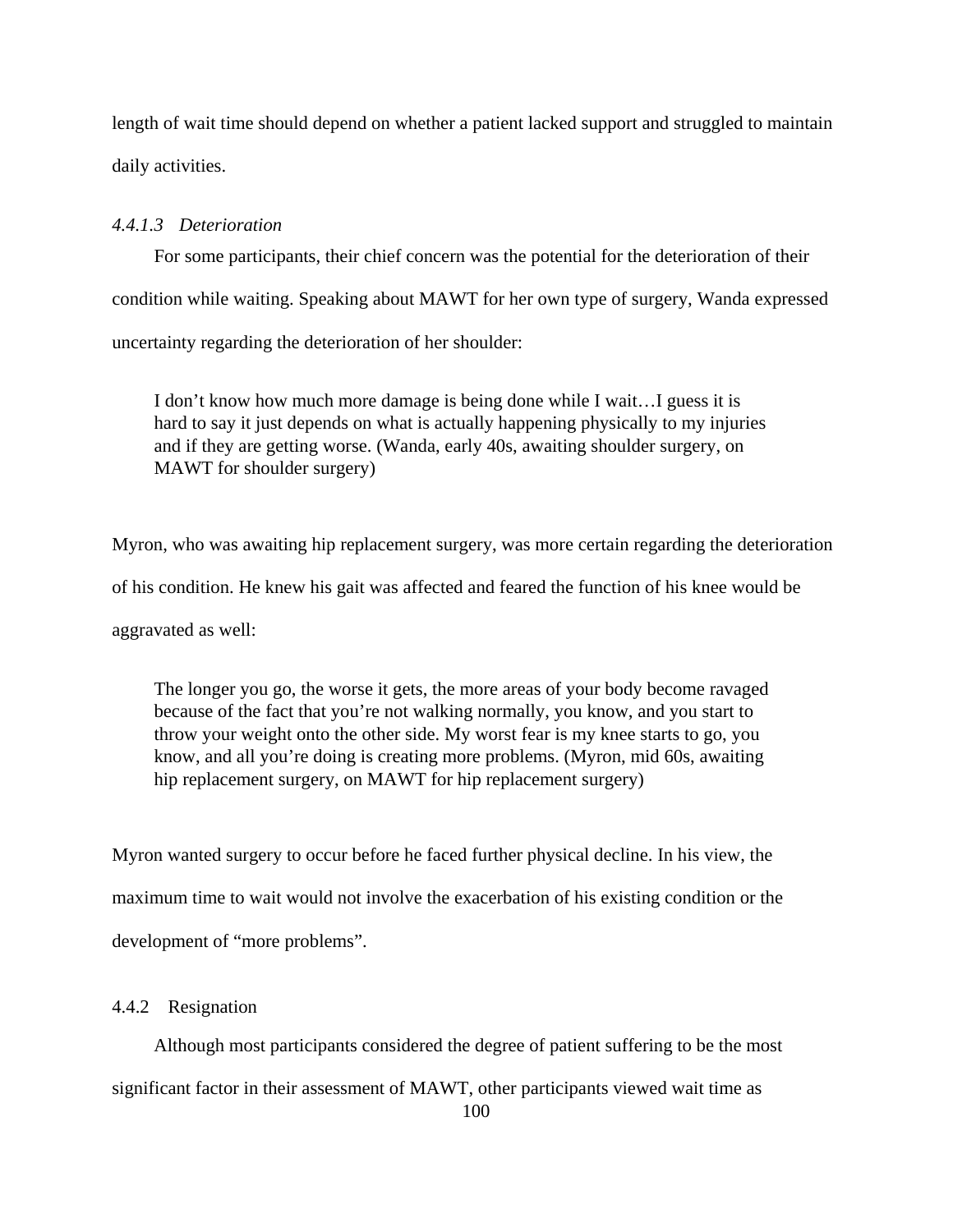length of wait time should depend on whether a patient lacked support and struggled to maintain daily activities.

# *4.4.1.3 Deterioration*

For some participants, their chief concern was the potential for the deterioration of their condition while waiting. Speaking about MAWT for her own type of surgery, Wanda expressed uncertainty regarding the deterioration of her shoulder:

I don't know how much more damage is being done while I wait…I guess it is hard to say it just depends on what is actually happening physically to my injuries and if they are getting worse. (Wanda, early 40s, awaiting shoulder surgery, on MAWT for shoulder surgery)

Myron, who was awaiting hip replacement surgery, was more certain regarding the deterioration

of his condition. He knew his gait was affected and feared the function of his knee would be

aggravated as well:

The longer you go, the worse it gets, the more areas of your body become ravaged because of the fact that you're not walking normally, you know, and you start to throw your weight onto the other side. My worst fear is my knee starts to go, you know, and all you're doing is creating more problems. (Myron, mid 60s, awaiting hip replacement surgery, on MAWT for hip replacement surgery)

Myron wanted surgery to occur before he faced further physical decline. In his view, the maximum time to wait would not involve the exacerbation of his existing condition or the development of "more problems".

#### 4.4.2 Resignation

Although most participants considered the degree of patient suffering to be the most significant factor in their assessment of MAWT, other participants viewed wait time as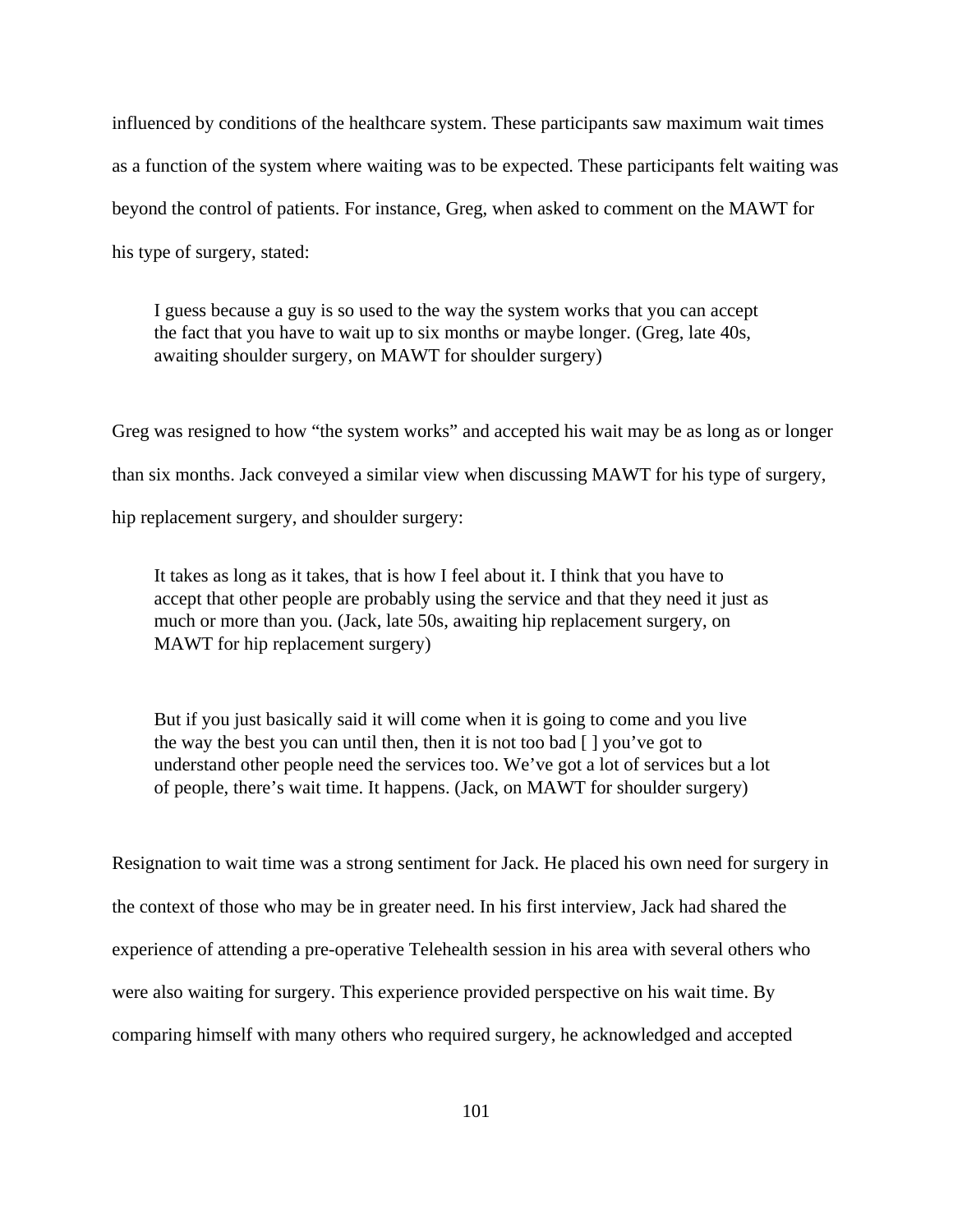influenced by conditions of the healthcare system. These participants saw maximum wait times as a function of the system where waiting was to be expected. These participants felt waiting was beyond the control of patients. For instance, Greg, when asked to comment on the MAWT for his type of surgery, stated:

I guess because a guy is so used to the way the system works that you can accept the fact that you have to wait up to six months or maybe longer. (Greg, late 40s, awaiting shoulder surgery, on MAWT for shoulder surgery)

Greg was resigned to how "the system works" and accepted his wait may be as long as or longer than six months. Jack conveyed a similar view when discussing MAWT for his type of surgery, hip replacement surgery, and shoulder surgery:

It takes as long as it takes, that is how I feel about it. I think that you have to accept that other people are probably using the service and that they need it just as much or more than you. (Jack, late 50s, awaiting hip replacement surgery, on MAWT for hip replacement surgery)

But if you just basically said it will come when it is going to come and you live the way the best you can until then, then it is not too bad  $\lceil \cdot \rceil$  you've got to understand other people need the services too. We've got a lot of services but a lot of people, there's wait time. It happens. (Jack, on MAWT for shoulder surgery)

Resignation to wait time was a strong sentiment for Jack. He placed his own need for surgery in the context of those who may be in greater need. In his first interview, Jack had shared the experience of attending a pre-operative Telehealth session in his area with several others who were also waiting for surgery. This experience provided perspective on his wait time. By comparing himself with many others who required surgery, he acknowledged and accepted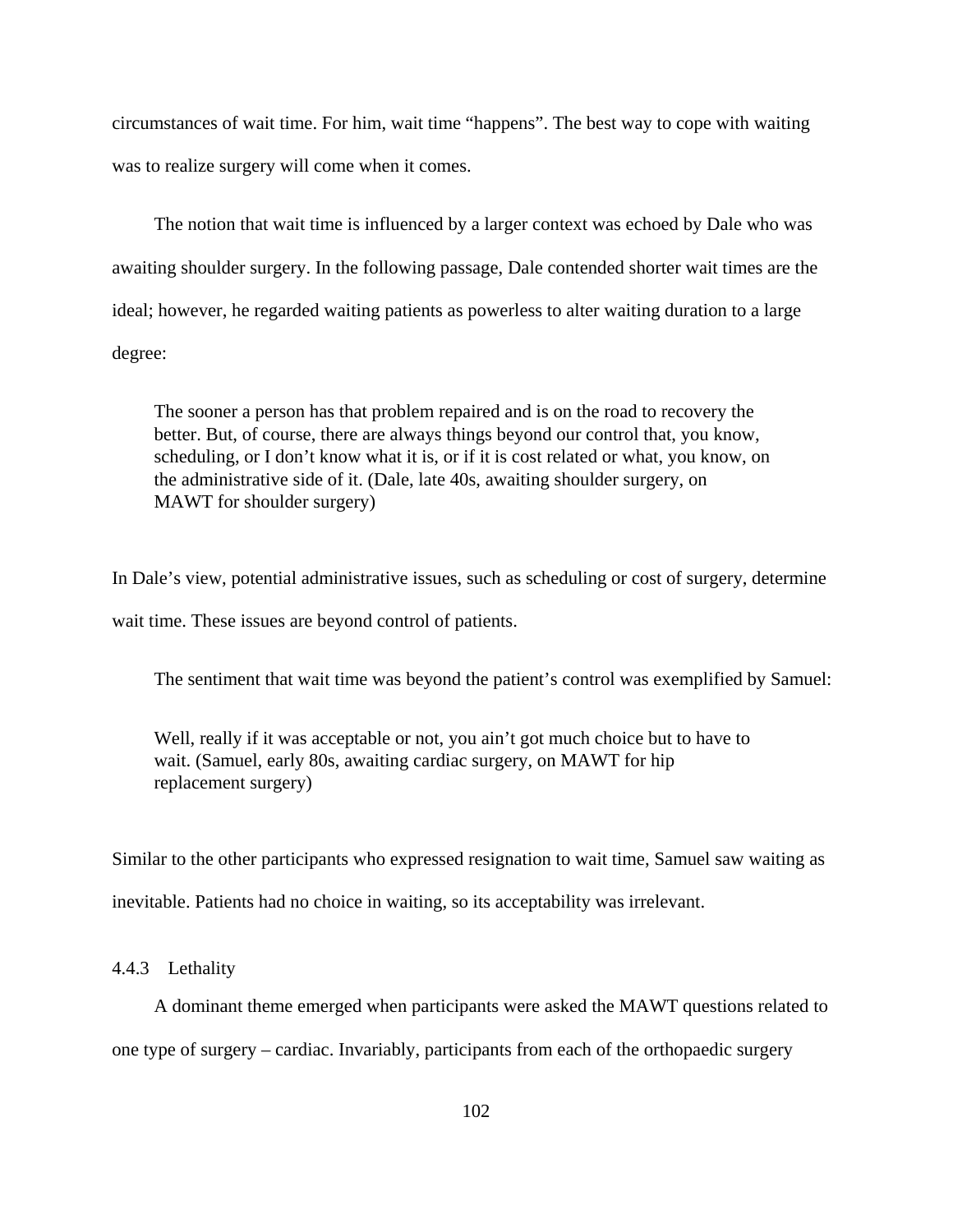circumstances of wait time. For him, wait time "happens". The best way to cope with waiting was to realize surgery will come when it comes.

The notion that wait time is influenced by a larger context was echoed by Dale who was awaiting shoulder surgery. In the following passage, Dale contended shorter wait times are the ideal; however, he regarded waiting patients as powerless to alter waiting duration to a large degree:

The sooner a person has that problem repaired and is on the road to recovery the better. But, of course, there are always things beyond our control that, you know, scheduling, or I don't know what it is, or if it is cost related or what, you know, on the administrative side of it. (Dale, late 40s, awaiting shoulder surgery, on MAWT for shoulder surgery)

In Dale's view, potential administrative issues, such as scheduling or cost of surgery, determine wait time. These issues are beyond control of patients.

The sentiment that wait time was beyond the patient's control was exemplified by Samuel:

Well, really if it was acceptable or not, you ain't got much choice but to have to wait. (Samuel, early 80s, awaiting cardiac surgery, on MAWT for hip replacement surgery)

Similar to the other participants who expressed resignation to wait time, Samuel saw waiting as inevitable. Patients had no choice in waiting, so its acceptability was irrelevant.

4.4.3 Lethality

A dominant theme emerged when participants were asked the MAWT questions related to one type of surgery – cardiac. Invariably, participants from each of the orthopaedic surgery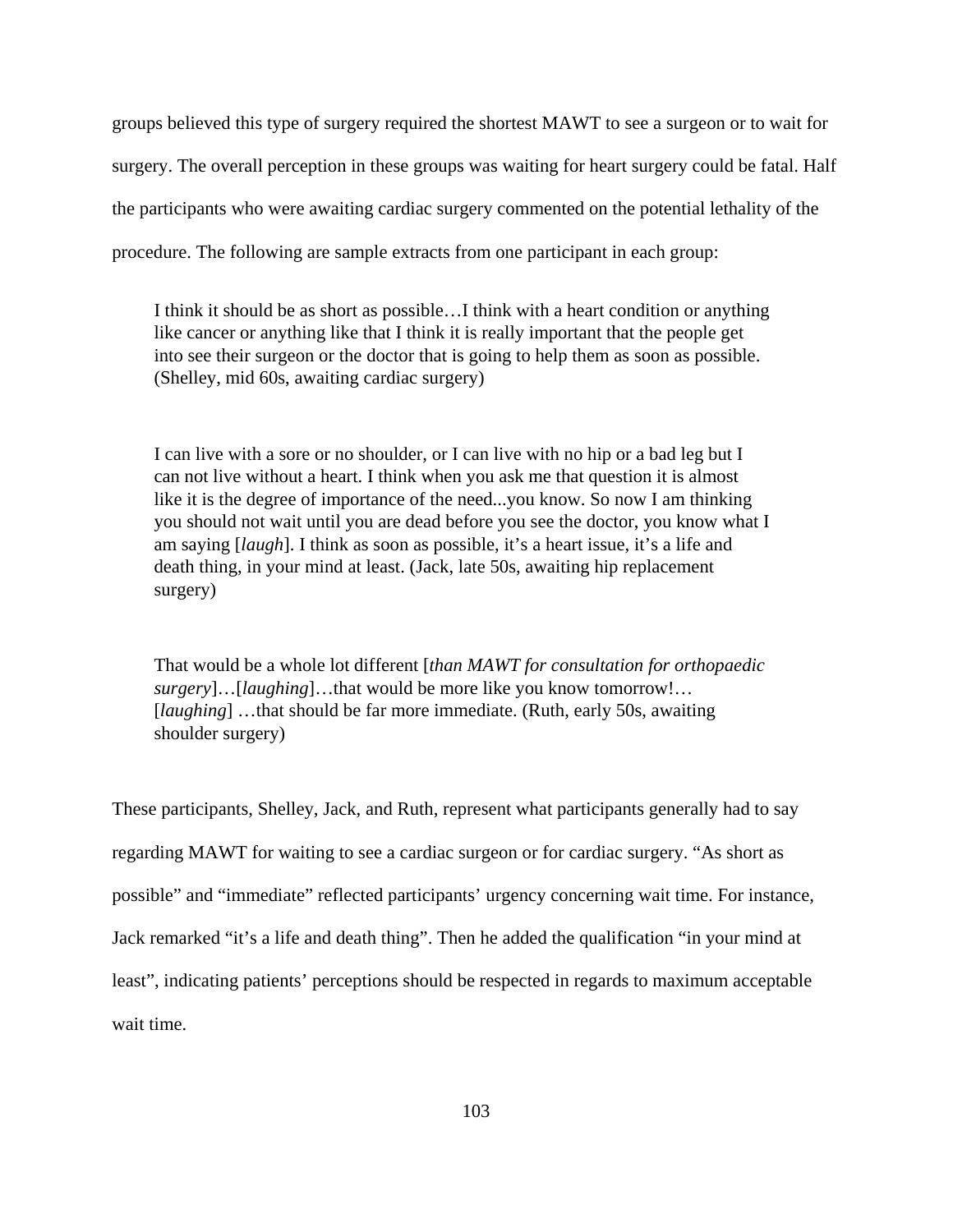groups believed this type of surgery required the shortest MAWT to see a surgeon or to wait for surgery. The overall perception in these groups was waiting for heart surgery could be fatal. Half the participants who were awaiting cardiac surgery commented on the potential lethality of the procedure. The following are sample extracts from one participant in each group:

I think it should be as short as possible…I think with a heart condition or anything like cancer or anything like that I think it is really important that the people get into see their surgeon or the doctor that is going to help them as soon as possible. (Shelley, mid 60s, awaiting cardiac surgery)

I can live with a sore or no shoulder, or I can live with no hip or a bad leg but I can not live without a heart. I think when you ask me that question it is almost like it is the degree of importance of the need...you know. So now I am thinking you should not wait until you are dead before you see the doctor, you know what I am saying [*laugh*]. I think as soon as possible, it's a heart issue, it's a life and death thing, in your mind at least. (Jack, late 50s, awaiting hip replacement surgery)

That would be a whole lot different [*than MAWT for consultation for orthopaedic surgery*]…[*laughing*]…that would be more like you know tomorrow!… [*laughing*] …that should be far more immediate. (Ruth, early 50s, awaiting shoulder surgery)

These participants, Shelley, Jack, and Ruth, represent what participants generally had to say regarding MAWT for waiting to see a cardiac surgeon or for cardiac surgery. "As short as possible" and "immediate" reflected participants' urgency concerning wait time. For instance, Jack remarked "it's a life and death thing". Then he added the qualification "in your mind at least", indicating patients' perceptions should be respected in regards to maximum acceptable wait time.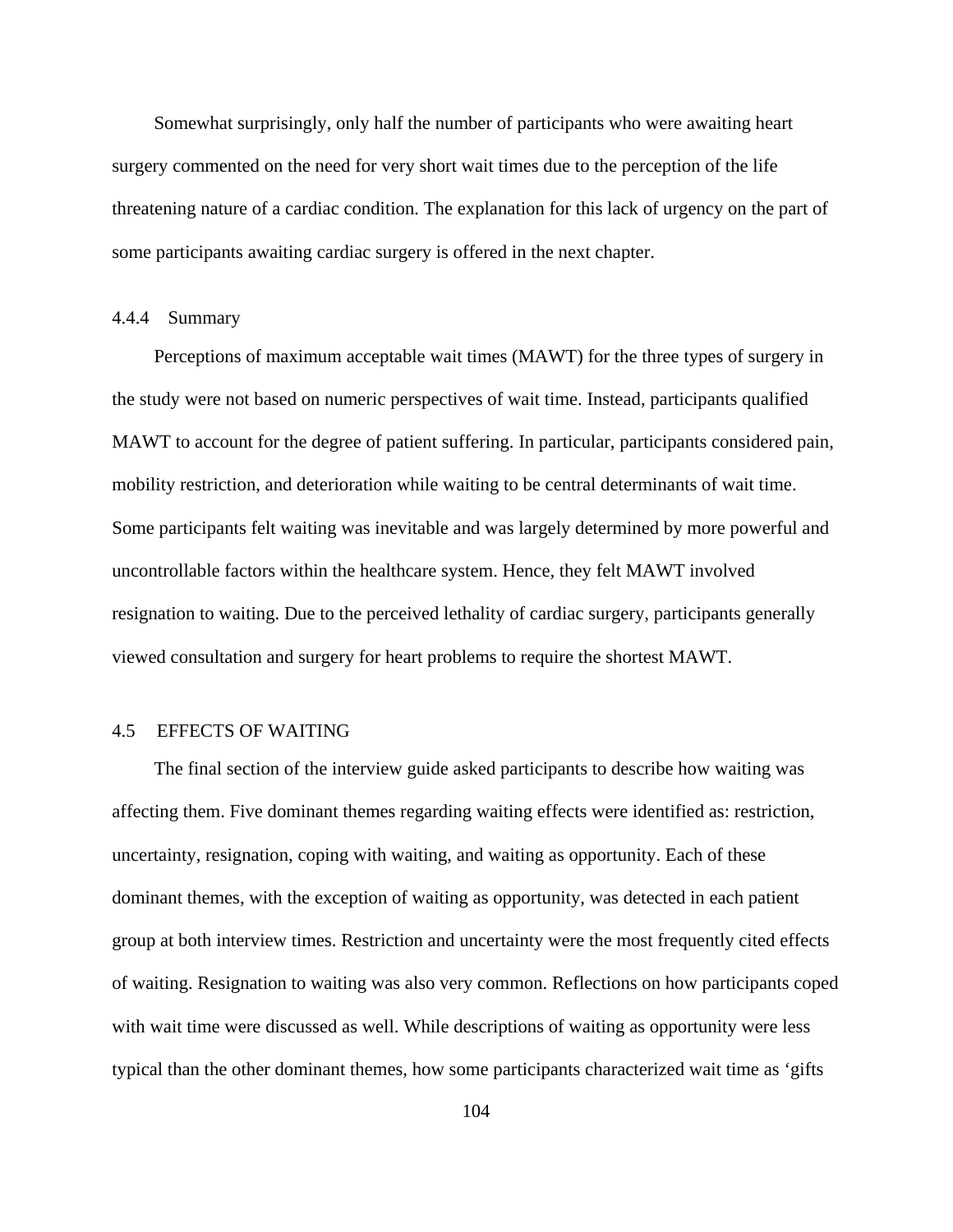Somewhat surprisingly, only half the number of participants who were awaiting heart surgery commented on the need for very short wait times due to the perception of the life threatening nature of a cardiac condition. The explanation for this lack of urgency on the part of some participants awaiting cardiac surgery is offered in the next chapter.

## 4.4.4 Summary

Perceptions of maximum acceptable wait times (MAWT) for the three types of surgery in the study were not based on numeric perspectives of wait time. Instead, participants qualified MAWT to account for the degree of patient suffering. In particular, participants considered pain, mobility restriction, and deterioration while waiting to be central determinants of wait time. Some participants felt waiting was inevitable and was largely determined by more powerful and uncontrollable factors within the healthcare system. Hence, they felt MAWT involved resignation to waiting. Due to the perceived lethality of cardiac surgery, participants generally viewed consultation and surgery for heart problems to require the shortest MAWT.

# 4.5 EFFECTS OF WAITING

The final section of the interview guide asked participants to describe how waiting was affecting them. Five dominant themes regarding waiting effects were identified as: restriction, uncertainty, resignation, coping with waiting, and waiting as opportunity. Each of these dominant themes, with the exception of waiting as opportunity, was detected in each patient group at both interview times. Restriction and uncertainty were the most frequently cited effects of waiting. Resignation to waiting was also very common. Reflections on how participants coped with wait time were discussed as well. While descriptions of waiting as opportunity were less typical than the other dominant themes, how some participants characterized wait time as 'gifts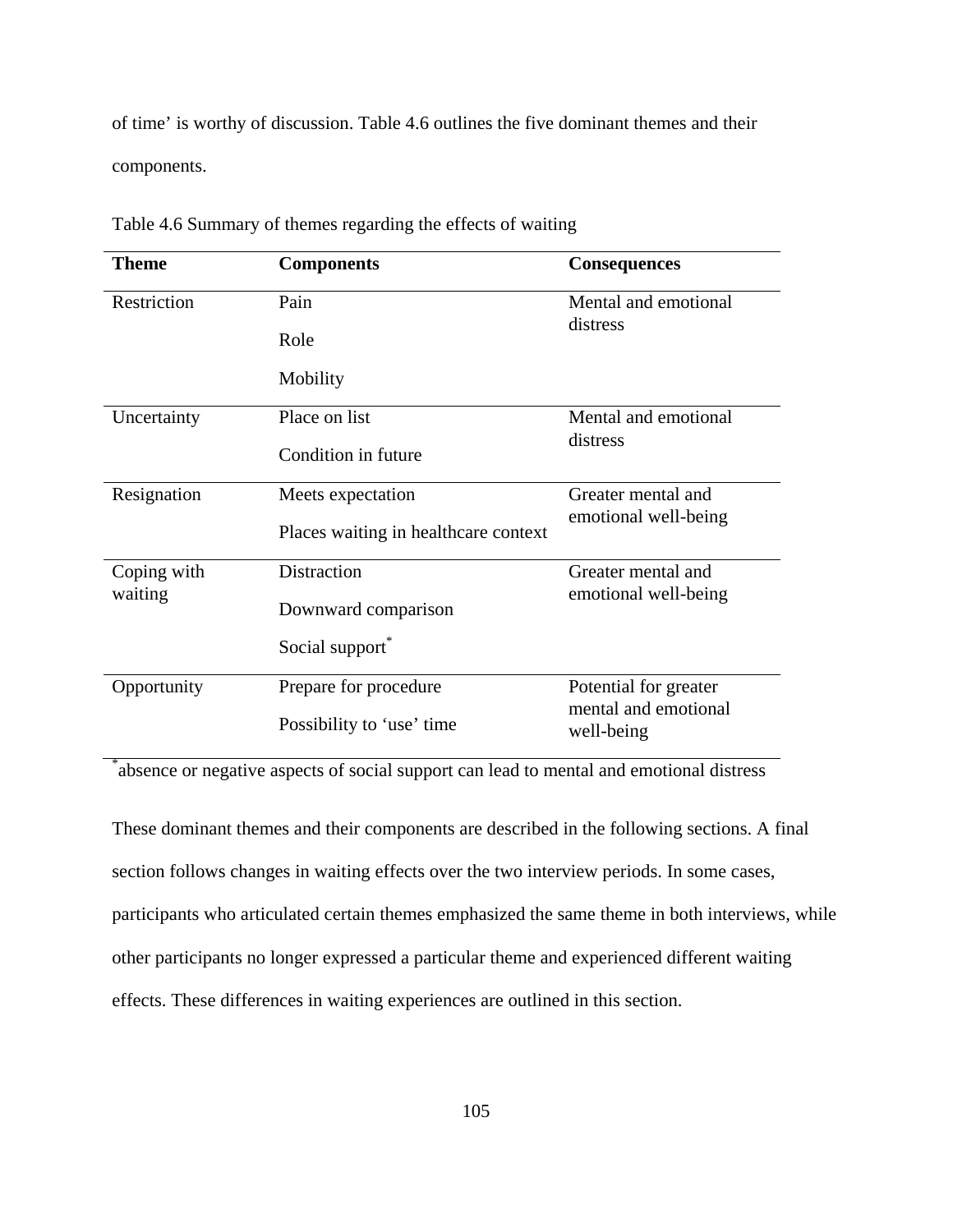of time' is worthy of discussion. Table 4.6 outlines the five dominant themes and their components.

| <b>Theme</b>           | <b>Components</b>                    | <b>Consequences</b>                |
|------------------------|--------------------------------------|------------------------------------|
| Restriction            | Pain                                 | Mental and emotional<br>distress   |
|                        | Role                                 |                                    |
|                        | Mobility                             |                                    |
| Uncertainty            | Place on list                        | Mental and emotional               |
|                        | Condition in future                  | distress                           |
| Resignation            | Meets expectation                    | Greater mental and                 |
|                        | Places waiting in healthcare context | emotional well-being               |
| Coping with<br>waiting | <b>Distraction</b>                   | Greater mental and                 |
|                        | Downward comparison                  | emotional well-being               |
|                        | Social support*                      |                                    |
| Opportunity            | Prepare for procedure                | Potential for greater              |
|                        | Possibility to 'use' time            | mental and emotional<br>well-being |

Table 4.6 Summary of themes regarding the effects of waiting

\* absence or negative aspects of social support can lead to mental and emotional distress

These dominant themes and their components are described in the following sections. A final section follows changes in waiting effects over the two interview periods. In some cases, participants who articulated certain themes emphasized the same theme in both interviews, while other participants no longer expressed a particular theme and experienced different waiting effects. These differences in waiting experiences are outlined in this section.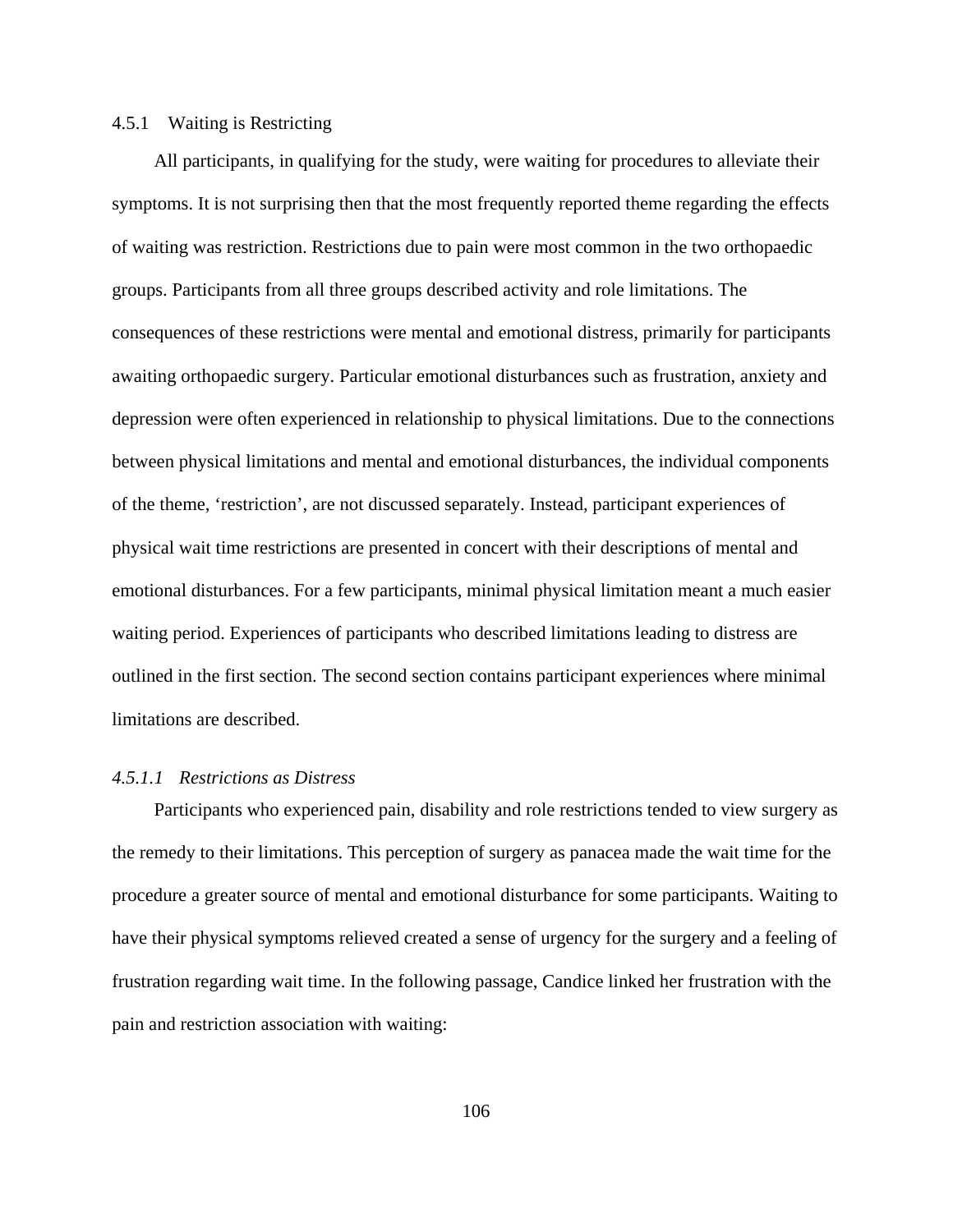## 4.5.1 Waiting is Restricting

All participants, in qualifying for the study, were waiting for procedures to alleviate their symptoms. It is not surprising then that the most frequently reported theme regarding the effects of waiting was restriction. Restrictions due to pain were most common in the two orthopaedic groups. Participants from all three groups described activity and role limitations. The consequences of these restrictions were mental and emotional distress, primarily for participants awaiting orthopaedic surgery. Particular emotional disturbances such as frustration, anxiety and depression were often experienced in relationship to physical limitations. Due to the connections between physical limitations and mental and emotional disturbances, the individual components of the theme, 'restriction', are not discussed separately. Instead, participant experiences of physical wait time restrictions are presented in concert with their descriptions of mental and emotional disturbances. For a few participants, minimal physical limitation meant a much easier waiting period. Experiences of participants who described limitations leading to distress are outlined in the first section. The second section contains participant experiences where minimal limitations are described.

#### *4.5.1.1 Restrictions as Distress*

Participants who experienced pain, disability and role restrictions tended to view surgery as the remedy to their limitations. This perception of surgery as panacea made the wait time for the procedure a greater source of mental and emotional disturbance for some participants. Waiting to have their physical symptoms relieved created a sense of urgency for the surgery and a feeling of frustration regarding wait time. In the following passage, Candice linked her frustration with the pain and restriction association with waiting: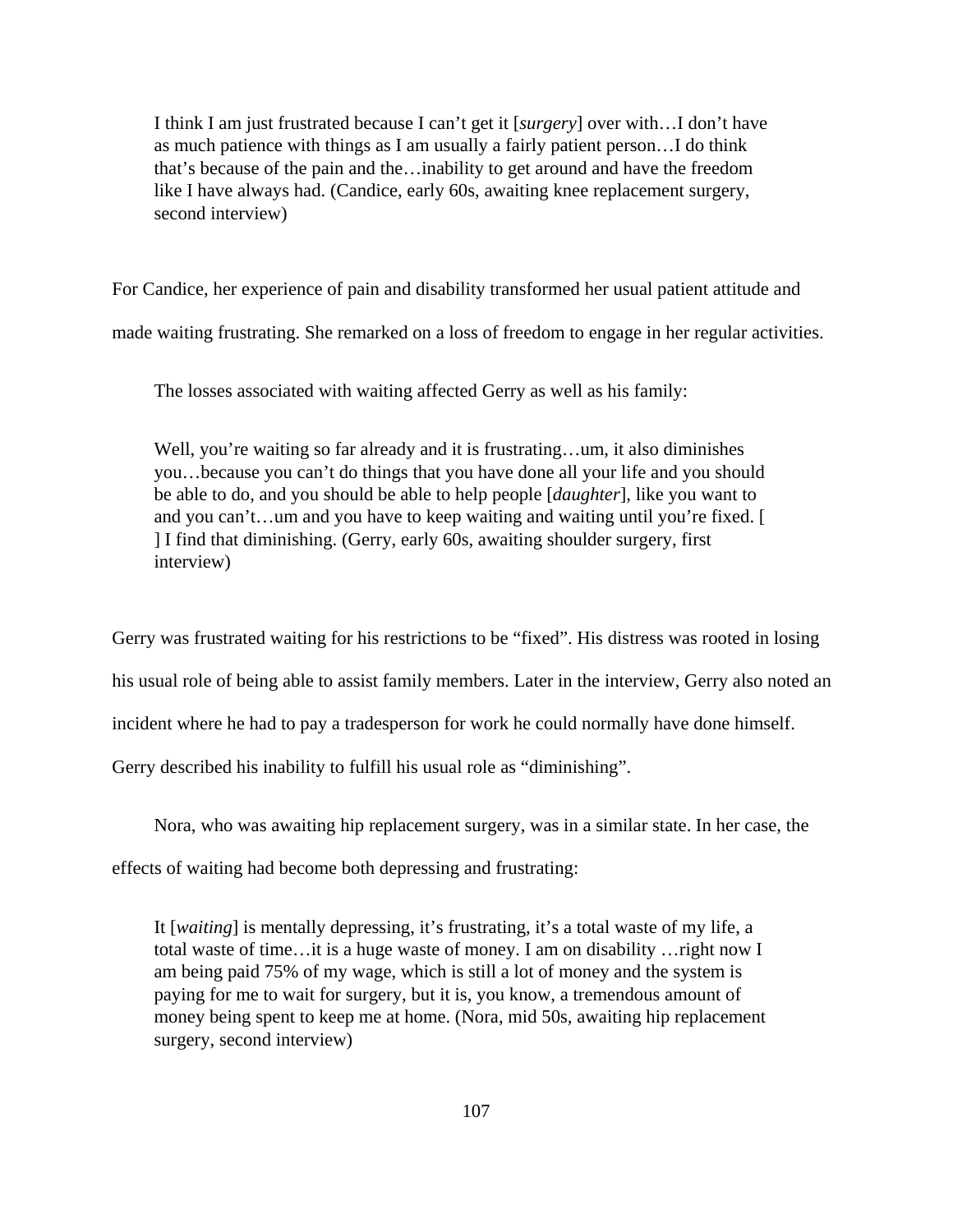I think I am just frustrated because I can't get it [*surgery*] over with…I don't have as much patience with things as I am usually a fairly patient person…I do think that's because of the pain and the…inability to get around and have the freedom like I have always had. (Candice, early 60s, awaiting knee replacement surgery, second interview)

For Candice, her experience of pain and disability transformed her usual patient attitude and

made waiting frustrating. She remarked on a loss of freedom to engage in her regular activities.

The losses associated with waiting affected Gerry as well as his family:

Well, you're waiting so far already and it is frustrating...um, it also diminishes you…because you can't do things that you have done all your life and you should be able to do, and you should be able to help people [*daughter*], like you want to and you can't…um and you have to keep waiting and waiting until you're fixed. [ ] I find that diminishing. (Gerry, early 60s, awaiting shoulder surgery, first interview)

Gerry was frustrated waiting for his restrictions to be "fixed". His distress was rooted in losing his usual role of being able to assist family members. Later in the interview, Gerry also noted an incident where he had to pay a tradesperson for work he could normally have done himself. Gerry described his inability to fulfill his usual role as "diminishing".

Nora, who was awaiting hip replacement surgery, was in a similar state. In her case, the

effects of waiting had become both depressing and frustrating:

It [*waiting*] is mentally depressing, it's frustrating, it's a total waste of my life, a total waste of time…it is a huge waste of money. I am on disability …right now I am being paid 75% of my wage, which is still a lot of money and the system is paying for me to wait for surgery, but it is, you know, a tremendous amount of money being spent to keep me at home. (Nora, mid 50s, awaiting hip replacement surgery, second interview)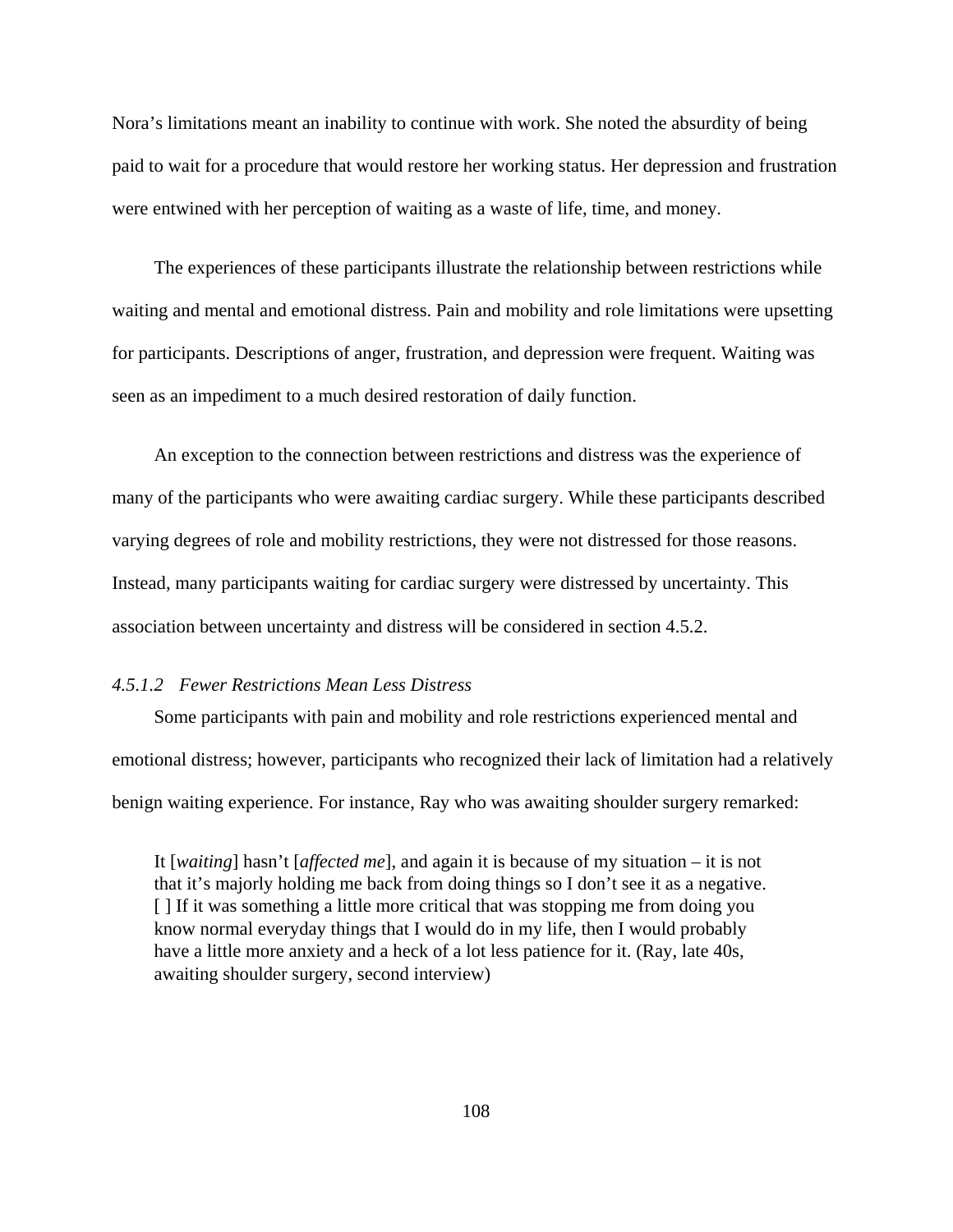Nora's limitations meant an inability to continue with work. She noted the absurdity of being paid to wait for a procedure that would restore her working status. Her depression and frustration were entwined with her perception of waiting as a waste of life, time, and money.

The experiences of these participants illustrate the relationship between restrictions while waiting and mental and emotional distress. Pain and mobility and role limitations were upsetting for participants. Descriptions of anger, frustration, and depression were frequent. Waiting was seen as an impediment to a much desired restoration of daily function.

An exception to the connection between restrictions and distress was the experience of many of the participants who were awaiting cardiac surgery. While these participants described varying degrees of role and mobility restrictions, they were not distressed for those reasons. Instead, many participants waiting for cardiac surgery were distressed by uncertainty. This association between uncertainty and distress will be considered in section 4.5.2.

## *4.5.1.2 Fewer Restrictions Mean Less Distress*

Some participants with pain and mobility and role restrictions experienced mental and emotional distress; however, participants who recognized their lack of limitation had a relatively benign waiting experience. For instance, Ray who was awaiting shoulder surgery remarked:

It [*waiting*] hasn't [*affected me*], and again it is because of my situation – it is not that it's majorly holding me back from doing things so I don't see it as a negative. [ ] If it was something a little more critical that was stopping me from doing you know normal everyday things that I would do in my life, then I would probably have a little more anxiety and a heck of a lot less patience for it. (Ray, late 40s, awaiting shoulder surgery, second interview)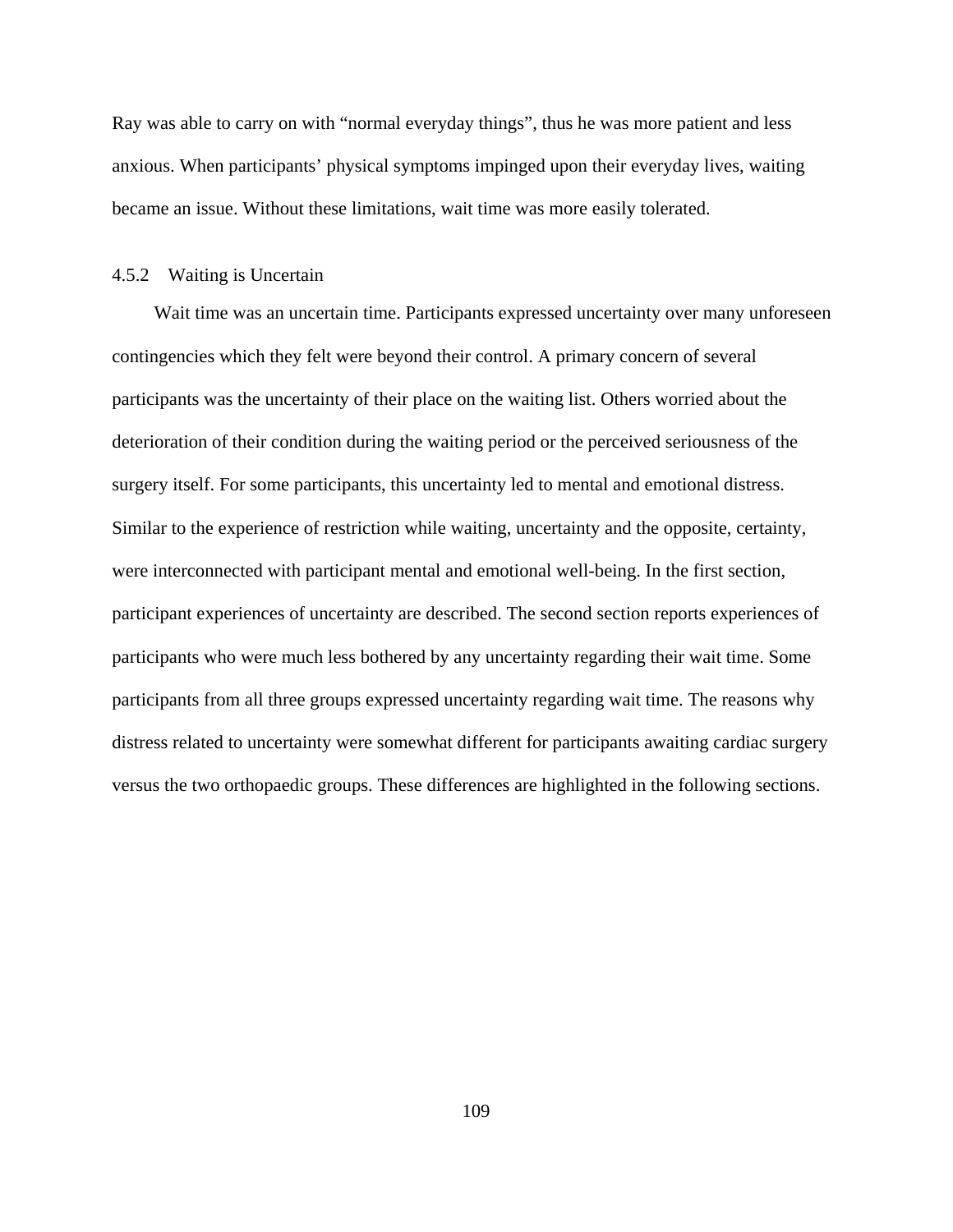Ray was able to carry on with "normal everyday things", thus he was more patient and less anxious. When participants' physical symptoms impinged upon their everyday lives, waiting became an issue. Without these limitations, wait time was more easily tolerated.

## 4.5.2 Waiting is Uncertain

Wait time was an uncertain time. Participants expressed uncertainty over many unforeseen contingencies which they felt were beyond their control. A primary concern of several participants was the uncertainty of their place on the waiting list. Others worried about the deterioration of their condition during the waiting period or the perceived seriousness of the surgery itself. For some participants, this uncertainty led to mental and emotional distress. Similar to the experience of restriction while waiting, uncertainty and the opposite, certainty, were interconnected with participant mental and emotional well-being. In the first section, participant experiences of uncertainty are described. The second section reports experiences of participants who were much less bothered by any uncertainty regarding their wait time. Some participants from all three groups expressed uncertainty regarding wait time. The reasons why distress related to uncertainty were somewhat different for participants awaiting cardiac surgery versus the two orthopaedic groups. These differences are highlighted in the following sections.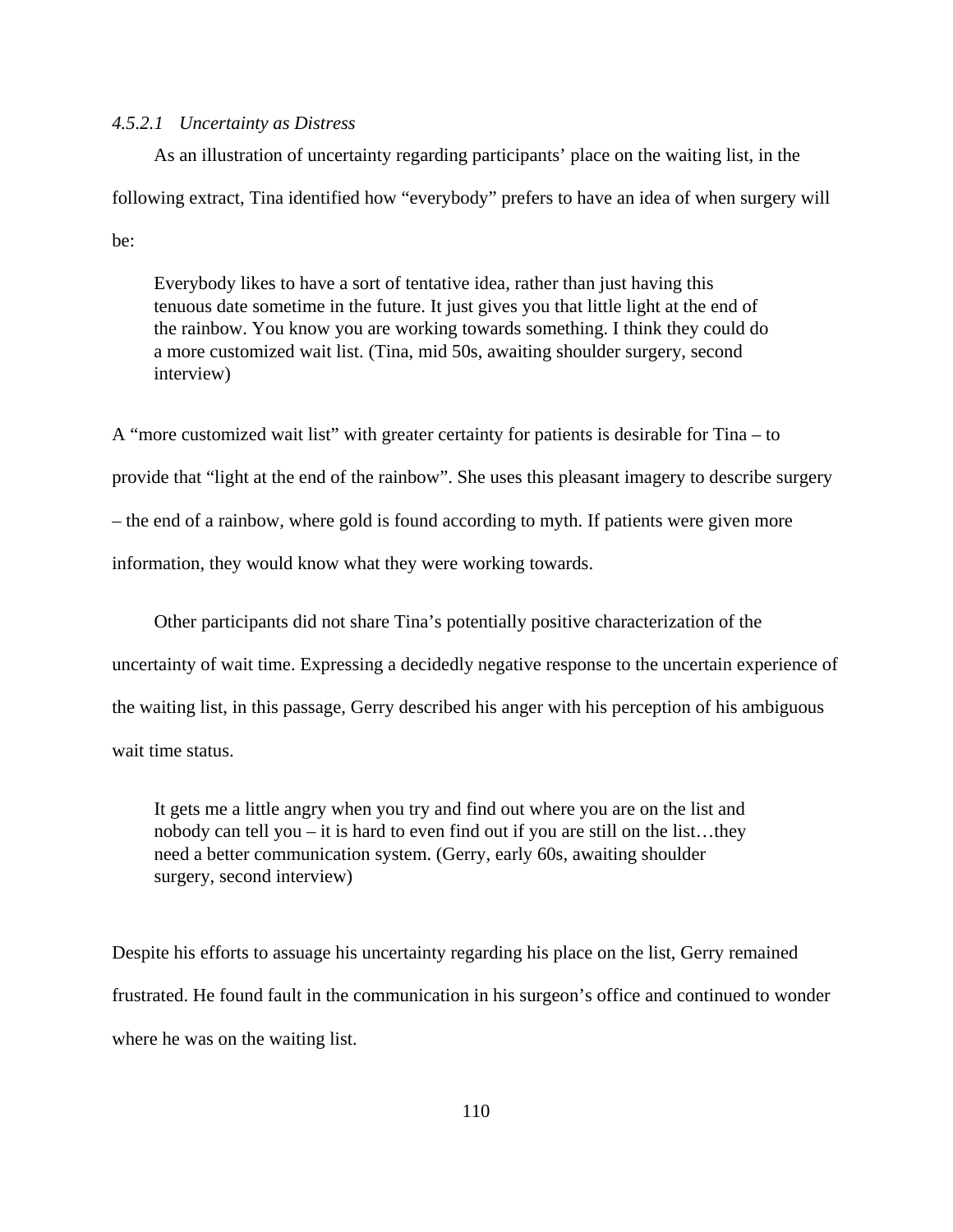#### *4.5.2.1 Uncertainty as Distress*

As an illustration of uncertainty regarding participants' place on the waiting list, in the following extract, Tina identified how "everybody" prefers to have an idea of when surgery will be:

Everybody likes to have a sort of tentative idea, rather than just having this tenuous date sometime in the future. It just gives you that little light at the end of the rainbow. You know you are working towards something. I think they could do a more customized wait list. (Tina, mid 50s, awaiting shoulder surgery, second interview)

A "more customized wait list" with greater certainty for patients is desirable for Tina – to provide that "light at the end of the rainbow". She uses this pleasant imagery to describe surgery – the end of a rainbow, where gold is found according to myth. If patients were given more information, they would know what they were working towards.

Other participants did not share Tina's potentially positive characterization of the uncertainty of wait time. Expressing a decidedly negative response to the uncertain experience of the waiting list, in this passage, Gerry described his anger with his perception of his ambiguous wait time status.

It gets me a little angry when you try and find out where you are on the list and nobody can tell you – it is hard to even find out if you are still on the list…they need a better communication system. (Gerry, early 60s, awaiting shoulder surgery, second interview)

Despite his efforts to assuage his uncertainty regarding his place on the list, Gerry remained frustrated. He found fault in the communication in his surgeon's office and continued to wonder where he was on the waiting list.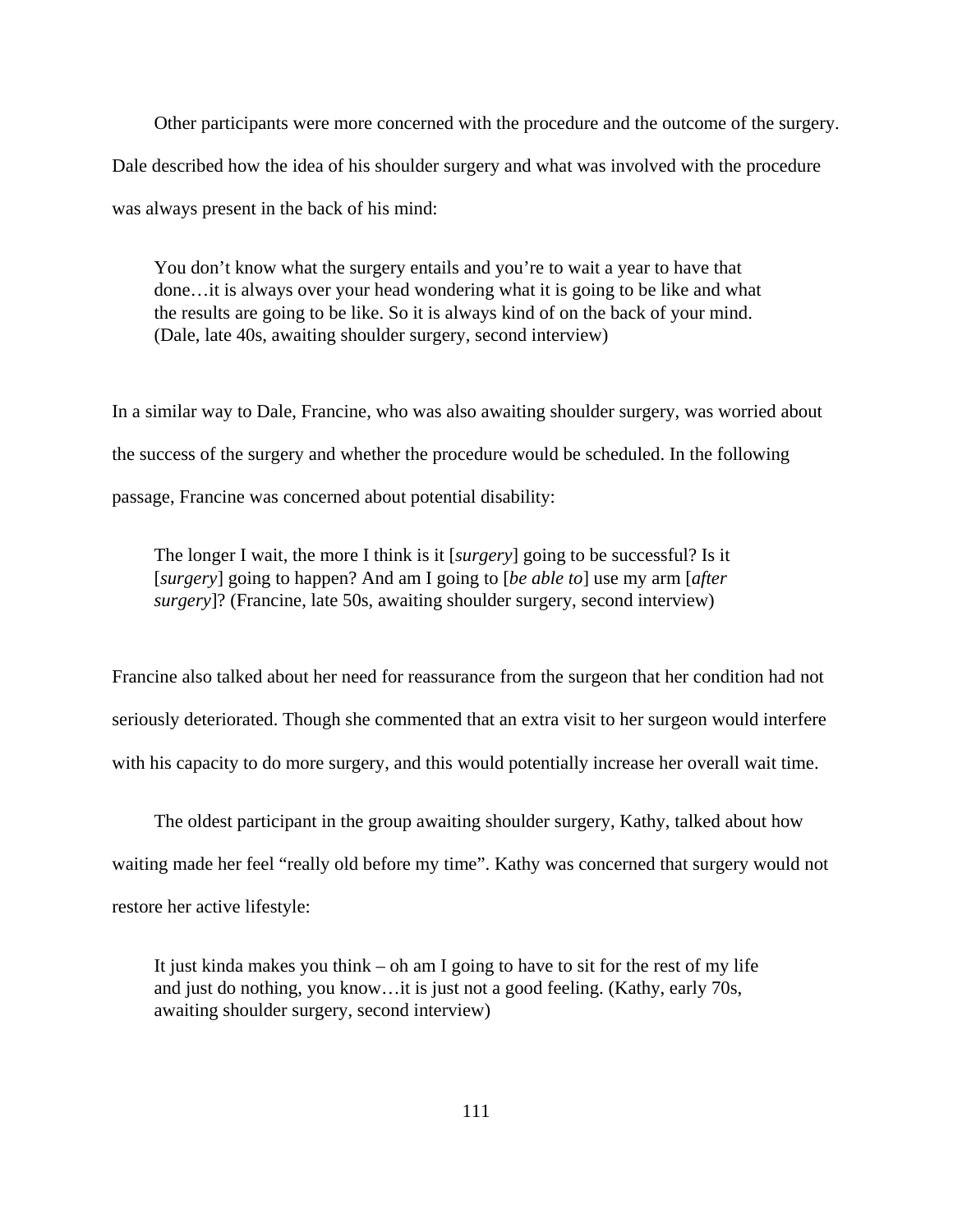Other participants were more concerned with the procedure and the outcome of the surgery. Dale described how the idea of his shoulder surgery and what was involved with the procedure was always present in the back of his mind:

You don't know what the surgery entails and you're to wait a year to have that done…it is always over your head wondering what it is going to be like and what the results are going to be like. So it is always kind of on the back of your mind. (Dale, late 40s, awaiting shoulder surgery, second interview)

In a similar way to Dale, Francine, who was also awaiting shoulder surgery, was worried about the success of the surgery and whether the procedure would be scheduled. In the following passage, Francine was concerned about potential disability:

The longer I wait, the more I think is it [*surgery*] going to be successful? Is it [*surgery*] going to happen? And am I going to [*be able to*] use my arm [*after surgery*]? (Francine, late 50s, awaiting shoulder surgery, second interview)

Francine also talked about her need for reassurance from the surgeon that her condition had not seriously deteriorated. Though she commented that an extra visit to her surgeon would interfere with his capacity to do more surgery, and this would potentially increase her overall wait time.

The oldest participant in the group awaiting shoulder surgery, Kathy, talked about how waiting made her feel "really old before my time". Kathy was concerned that surgery would not restore her active lifestyle:

It just kinda makes you think – oh am I going to have to sit for the rest of my life and just do nothing, you know…it is just not a good feeling. (Kathy, early 70s, awaiting shoulder surgery, second interview)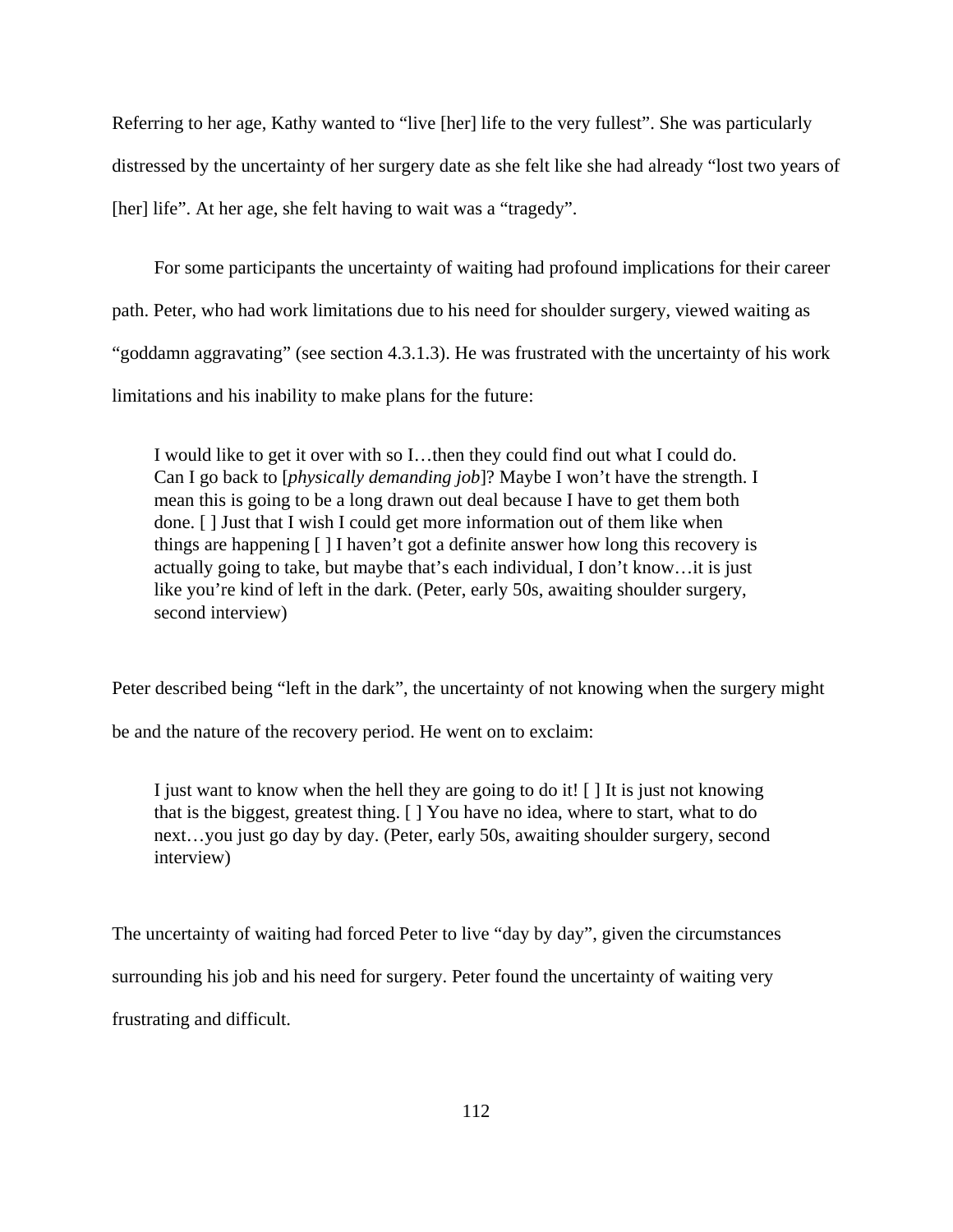Referring to her age, Kathy wanted to "live [her] life to the very fullest". She was particularly distressed by the uncertainty of her surgery date as she felt like she had already "lost two years of [her] life". At her age, she felt having to wait was a "tragedy".

For some participants the uncertainty of waiting had profound implications for their career path. Peter, who had work limitations due to his need for shoulder surgery, viewed waiting as "goddamn aggravating" (see section 4.3.1.3). He was frustrated with the uncertainty of his work limitations and his inability to make plans for the future:

I would like to get it over with so I…then they could find out what I could do. Can I go back to [*physically demanding job*]? Maybe I won't have the strength. I mean this is going to be a long drawn out deal because I have to get them both done. [ ] Just that I wish I could get more information out of them like when things are happening [ ] I haven't got a definite answer how long this recovery is actually going to take, but maybe that's each individual, I don't know…it is just like you're kind of left in the dark. (Peter, early 50s, awaiting shoulder surgery, second interview)

Peter described being "left in the dark", the uncertainty of not knowing when the surgery might

be and the nature of the recovery period. He went on to exclaim:

I just want to know when the hell they are going to do it! [ ] It is just not knowing that is the biggest, greatest thing. [ ] You have no idea, where to start, what to do next…you just go day by day. (Peter, early 50s, awaiting shoulder surgery, second interview)

The uncertainty of waiting had forced Peter to live "day by day", given the circumstances surrounding his job and his need for surgery. Peter found the uncertainty of waiting very frustrating and difficult.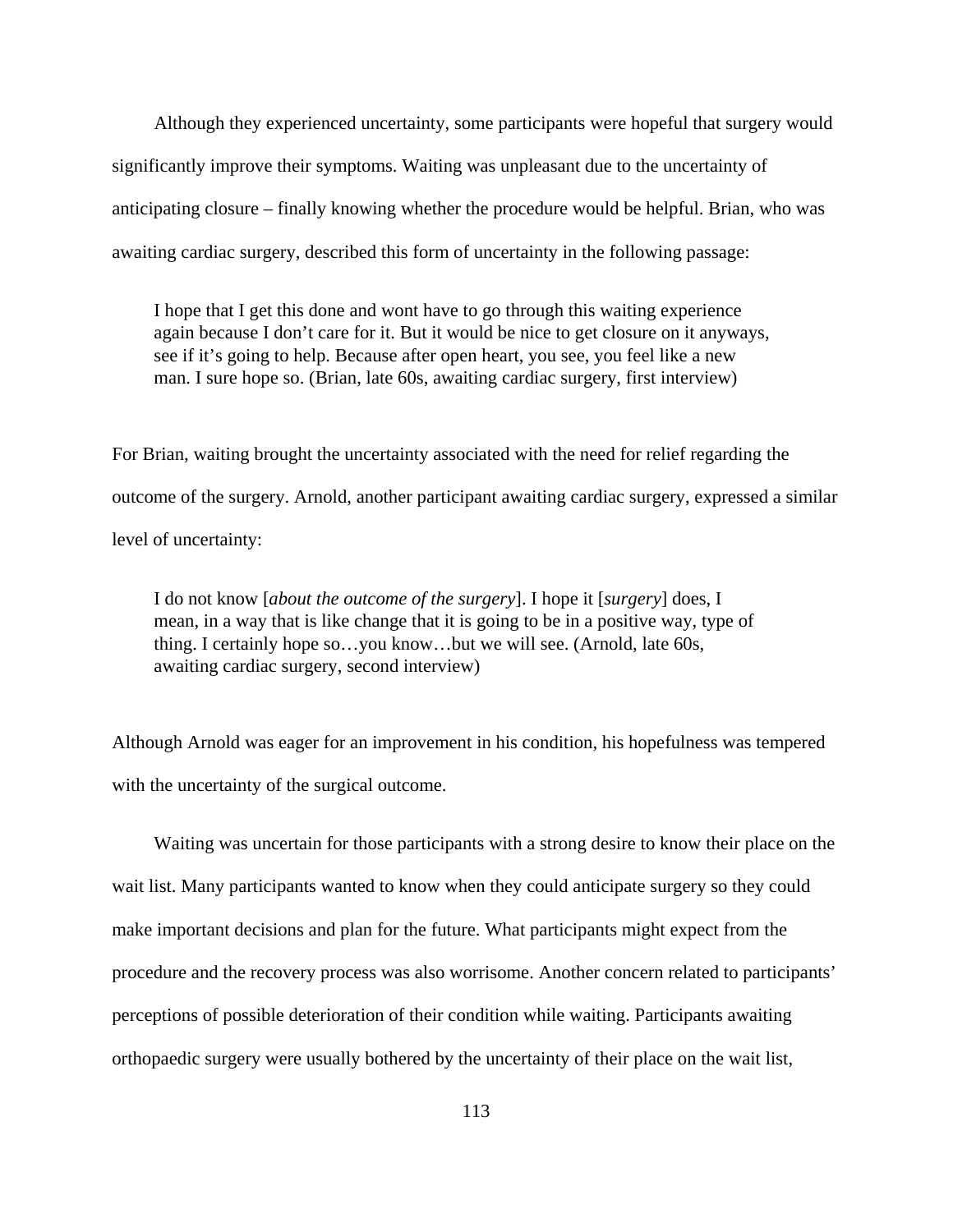Although they experienced uncertainty, some participants were hopeful that surgery would significantly improve their symptoms. Waiting was unpleasant due to the uncertainty of anticipating closure – finally knowing whether the procedure would be helpful. Brian, who was awaiting cardiac surgery, described this form of uncertainty in the following passage:

I hope that I get this done and wont have to go through this waiting experience again because I don't care for it. But it would be nice to get closure on it anyways, see if it's going to help. Because after open heart, you see, you feel like a new man. I sure hope so. (Brian, late 60s, awaiting cardiac surgery, first interview)

For Brian, waiting brought the uncertainty associated with the need for relief regarding the outcome of the surgery. Arnold, another participant awaiting cardiac surgery, expressed a similar level of uncertainty:

I do not know [*about the outcome of the surgery*]. I hope it [*surgery*] does, I mean, in a way that is like change that it is going to be in a positive way, type of thing. I certainly hope so…you know…but we will see. (Arnold, late 60s, awaiting cardiac surgery, second interview)

Although Arnold was eager for an improvement in his condition, his hopefulness was tempered with the uncertainty of the surgical outcome.

Waiting was uncertain for those participants with a strong desire to know their place on the wait list. Many participants wanted to know when they could anticipate surgery so they could make important decisions and plan for the future. What participants might expect from the procedure and the recovery process was also worrisome. Another concern related to participants' perceptions of possible deterioration of their condition while waiting. Participants awaiting orthopaedic surgery were usually bothered by the uncertainty of their place on the wait list,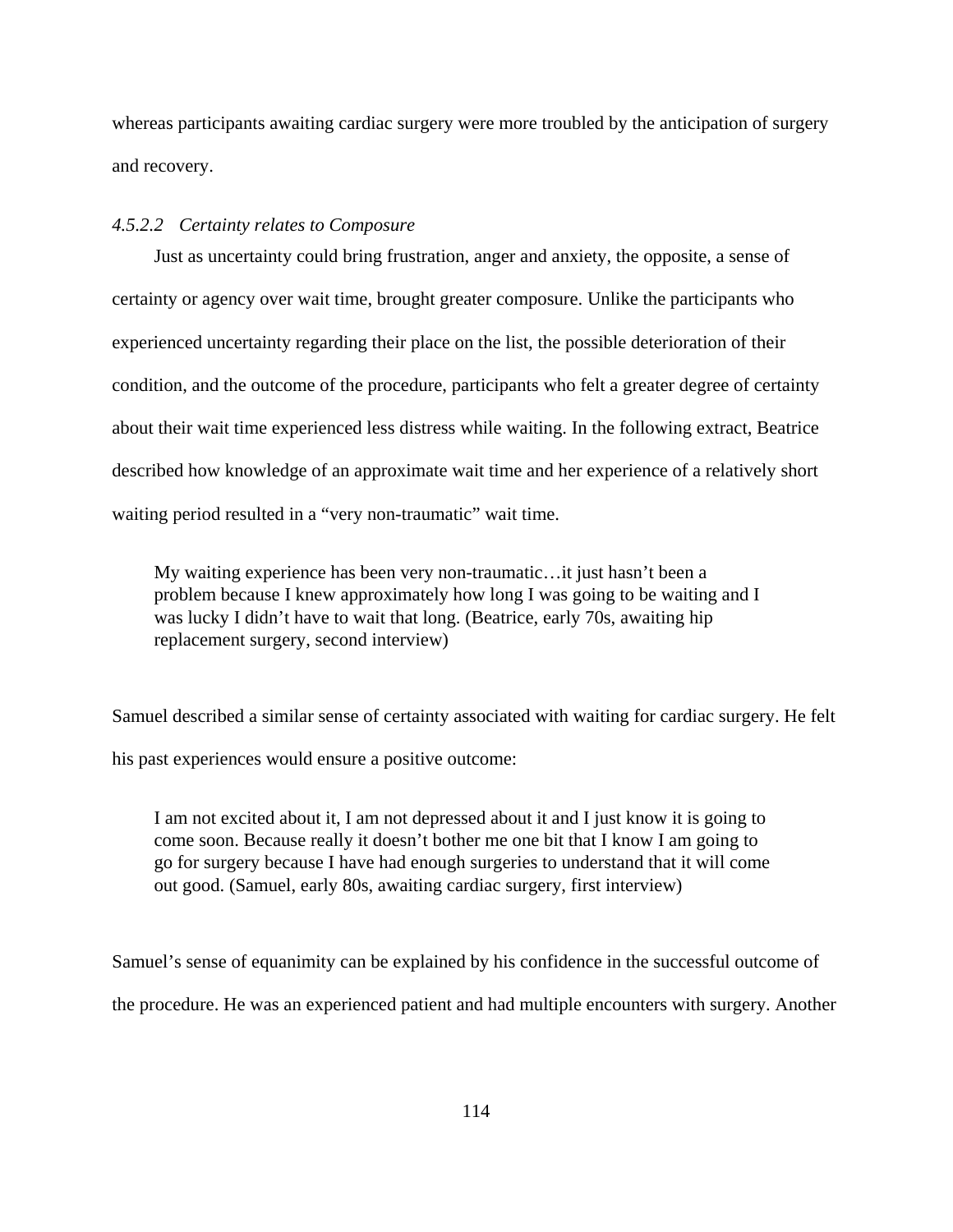whereas participants awaiting cardiac surgery were more troubled by the anticipation of surgery and recovery.

#### *4.5.2.2 Certainty relates to Composure*

Just as uncertainty could bring frustration, anger and anxiety, the opposite, a sense of certainty or agency over wait time, brought greater composure. Unlike the participants who experienced uncertainty regarding their place on the list, the possible deterioration of their condition, and the outcome of the procedure, participants who felt a greater degree of certainty about their wait time experienced less distress while waiting. In the following extract, Beatrice described how knowledge of an approximate wait time and her experience of a relatively short waiting period resulted in a "very non-traumatic" wait time.

My waiting experience has been very non-traumatic…it just hasn't been a problem because I knew approximately how long I was going to be waiting and I was lucky I didn't have to wait that long. (Beatrice, early 70s, awaiting hip replacement surgery, second interview)

Samuel described a similar sense of certainty associated with waiting for cardiac surgery. He felt his past experiences would ensure a positive outcome:

I am not excited about it, I am not depressed about it and I just know it is going to come soon. Because really it doesn't bother me one bit that I know I am going to go for surgery because I have had enough surgeries to understand that it will come out good. (Samuel, early 80s, awaiting cardiac surgery, first interview)

Samuel's sense of equanimity can be explained by his confidence in the successful outcome of the procedure. He was an experienced patient and had multiple encounters with surgery. Another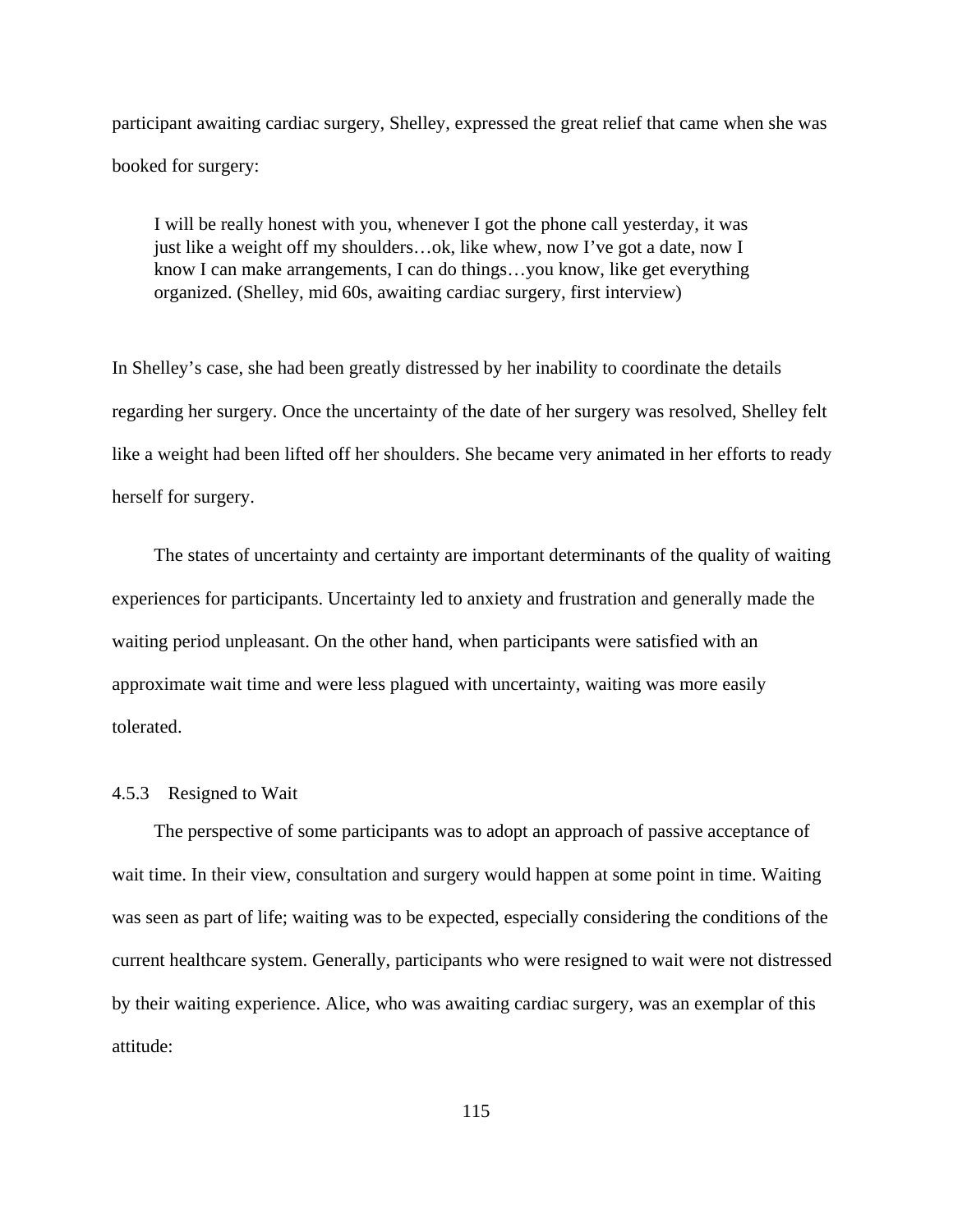participant awaiting cardiac surgery, Shelley, expressed the great relief that came when she was booked for surgery:

I will be really honest with you, whenever I got the phone call yesterday, it was just like a weight off my shoulders…ok, like whew, now I've got a date, now I know I can make arrangements, I can do things…you know, like get everything organized. (Shelley, mid 60s, awaiting cardiac surgery, first interview)

In Shelley's case, she had been greatly distressed by her inability to coordinate the details regarding her surgery. Once the uncertainty of the date of her surgery was resolved, Shelley felt like a weight had been lifted off her shoulders. She became very animated in her efforts to ready herself for surgery.

The states of uncertainty and certainty are important determinants of the quality of waiting experiences for participants. Uncertainty led to anxiety and frustration and generally made the waiting period unpleasant. On the other hand, when participants were satisfied with an approximate wait time and were less plagued with uncertainty, waiting was more easily tolerated.

#### 4.5.3 Resigned to Wait

The perspective of some participants was to adopt an approach of passive acceptance of wait time. In their view, consultation and surgery would happen at some point in time. Waiting was seen as part of life; waiting was to be expected, especially considering the conditions of the current healthcare system. Generally, participants who were resigned to wait were not distressed by their waiting experience. Alice, who was awaiting cardiac surgery, was an exemplar of this attitude: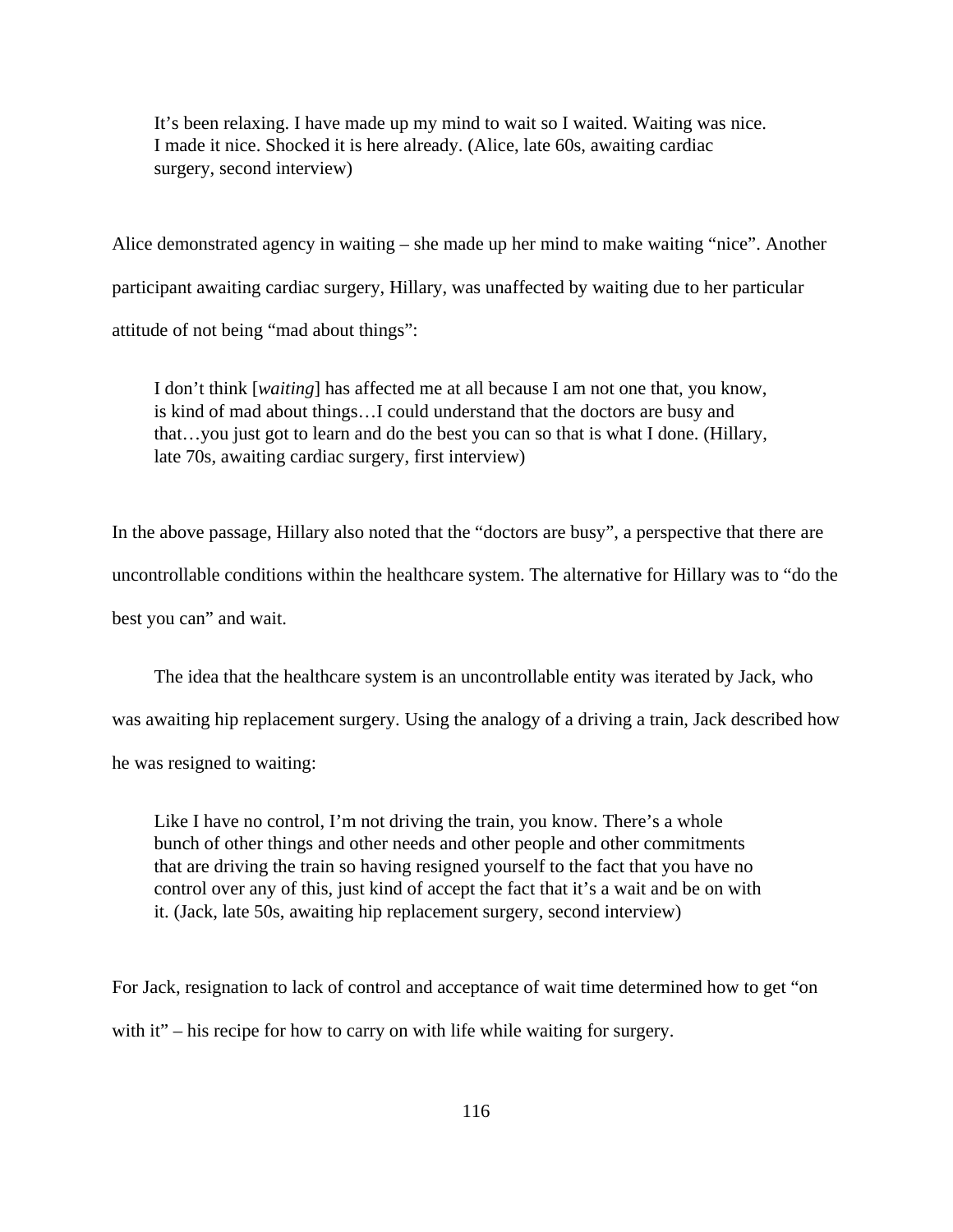It's been relaxing. I have made up my mind to wait so I waited. Waiting was nice. I made it nice. Shocked it is here already. (Alice, late 60s, awaiting cardiac surgery, second interview)

Alice demonstrated agency in waiting – she made up her mind to make waiting "nice". Another participant awaiting cardiac surgery, Hillary, was unaffected by waiting due to her particular attitude of not being "mad about things":

I don't think [*waiting*] has affected me at all because I am not one that, you know, is kind of mad about things…I could understand that the doctors are busy and that…you just got to learn and do the best you can so that is what I done. (Hillary, late 70s, awaiting cardiac surgery, first interview)

In the above passage, Hillary also noted that the "doctors are busy", a perspective that there are uncontrollable conditions within the healthcare system. The alternative for Hillary was to "do the best you can" and wait.

The idea that the healthcare system is an uncontrollable entity was iterated by Jack, who was awaiting hip replacement surgery. Using the analogy of a driving a train, Jack described how he was resigned to waiting:

Like I have no control, I'm not driving the train, you know. There's a whole bunch of other things and other needs and other people and other commitments that are driving the train so having resigned yourself to the fact that you have no control over any of this, just kind of accept the fact that it's a wait and be on with it. (Jack, late 50s, awaiting hip replacement surgery, second interview)

For Jack, resignation to lack of control and acceptance of wait time determined how to get "on with it" – his recipe for how to carry on with life while waiting for surgery.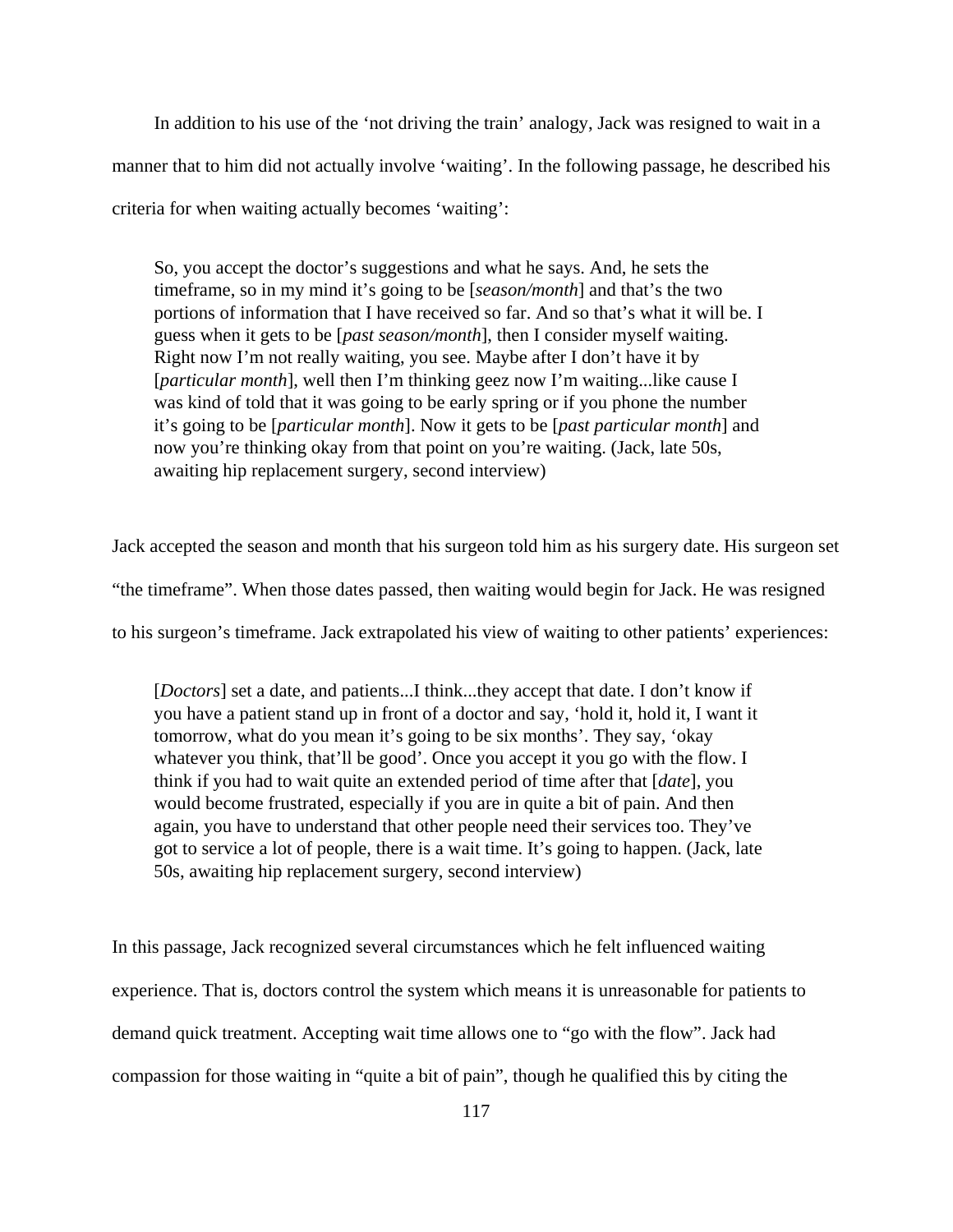In addition to his use of the 'not driving the train' analogy, Jack was resigned to wait in a manner that to him did not actually involve 'waiting'. In the following passage, he described his criteria for when waiting actually becomes 'waiting':

So, you accept the doctor's suggestions and what he says. And, he sets the timeframe, so in my mind it's going to be [*season/month*] and that's the two portions of information that I have received so far. And so that's what it will be. I guess when it gets to be [*past season/month*], then I consider myself waiting. Right now I'm not really waiting, you see. Maybe after I don't have it by [*particular month*], well then I'm thinking geez now I'm waiting...like cause I was kind of told that it was going to be early spring or if you phone the number it's going to be [*particular month*]. Now it gets to be [*past particular month*] and now you're thinking okay from that point on you're waiting. (Jack, late 50s, awaiting hip replacement surgery, second interview)

Jack accepted the season and month that his surgeon told him as his surgery date. His surgeon set "the timeframe". When those dates passed, then waiting would begin for Jack. He was resigned to his surgeon's timeframe. Jack extrapolated his view of waiting to other patients' experiences:

[*Doctors*] set a date, and patients...I think...they accept that date. I don't know if you have a patient stand up in front of a doctor and say, 'hold it, hold it, I want it tomorrow, what do you mean it's going to be six months'. They say, 'okay whatever you think, that'll be good'. Once you accept it you go with the flow. I think if you had to wait quite an extended period of time after that [*date*], you would become frustrated, especially if you are in quite a bit of pain. And then again, you have to understand that other people need their services too. They've got to service a lot of people, there is a wait time. It's going to happen. (Jack, late 50s, awaiting hip replacement surgery, second interview)

In this passage, Jack recognized several circumstances which he felt influenced waiting experience. That is, doctors control the system which means it is unreasonable for patients to demand quick treatment. Accepting wait time allows one to "go with the flow". Jack had compassion for those waiting in "quite a bit of pain", though he qualified this by citing the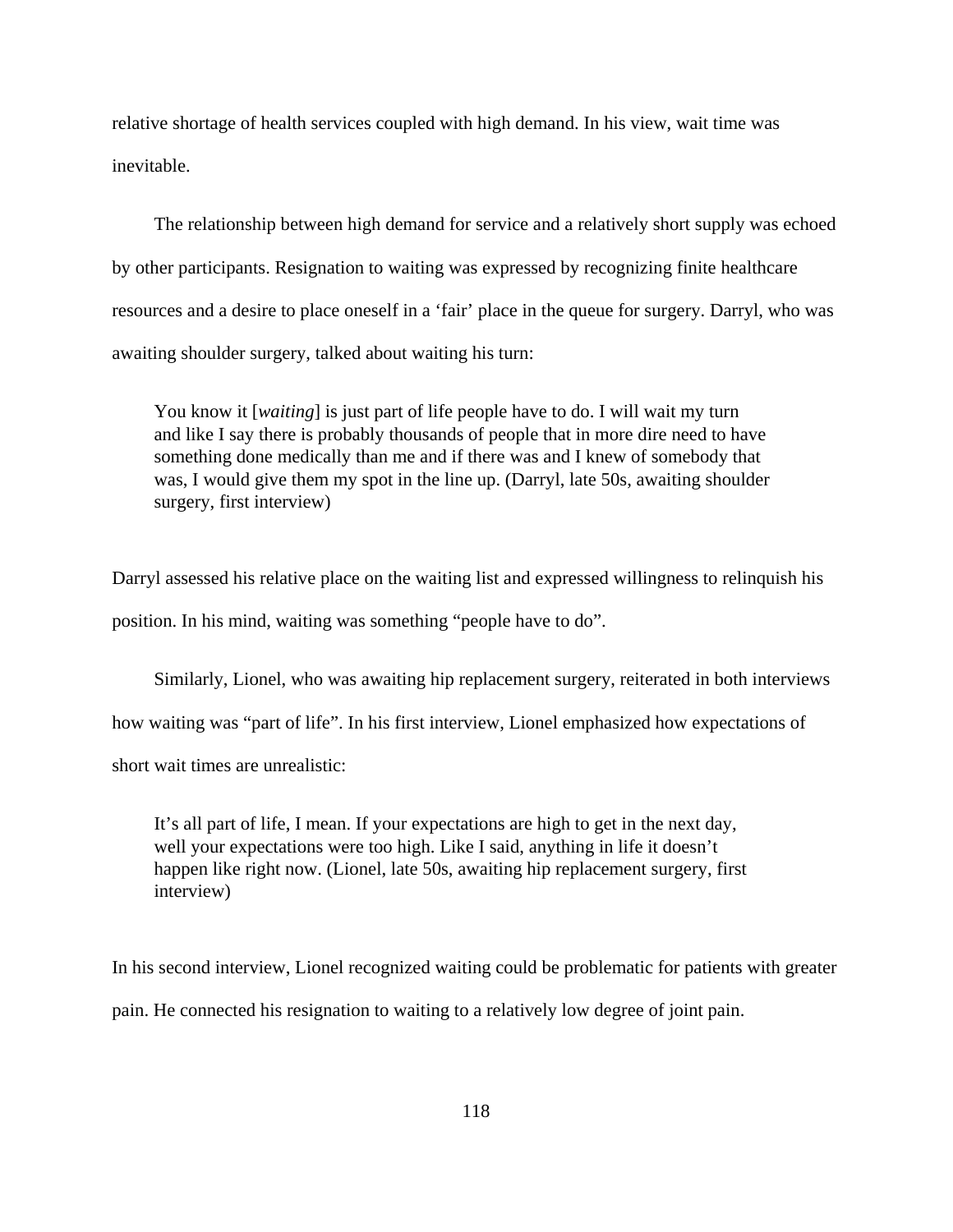relative shortage of health services coupled with high demand. In his view, wait time was inevitable.

The relationship between high demand for service and a relatively short supply was echoed by other participants. Resignation to waiting was expressed by recognizing finite healthcare resources and a desire to place oneself in a 'fair' place in the queue for surgery. Darryl, who was awaiting shoulder surgery, talked about waiting his turn:

You know it [*waiting*] is just part of life people have to do. I will wait my turn and like I say there is probably thousands of people that in more dire need to have something done medically than me and if there was and I knew of somebody that was, I would give them my spot in the line up. (Darryl, late 50s, awaiting shoulder surgery, first interview)

Darryl assessed his relative place on the waiting list and expressed willingness to relinquish his position. In his mind, waiting was something "people have to do".

Similarly, Lionel, who was awaiting hip replacement surgery, reiterated in both interviews how waiting was "part of life". In his first interview, Lionel emphasized how expectations of short wait times are unrealistic:

It's all part of life, I mean. If your expectations are high to get in the next day, well your expectations were too high. Like I said, anything in life it doesn't happen like right now. (Lionel, late 50s, awaiting hip replacement surgery, first interview)

In his second interview, Lionel recognized waiting could be problematic for patients with greater pain. He connected his resignation to waiting to a relatively low degree of joint pain.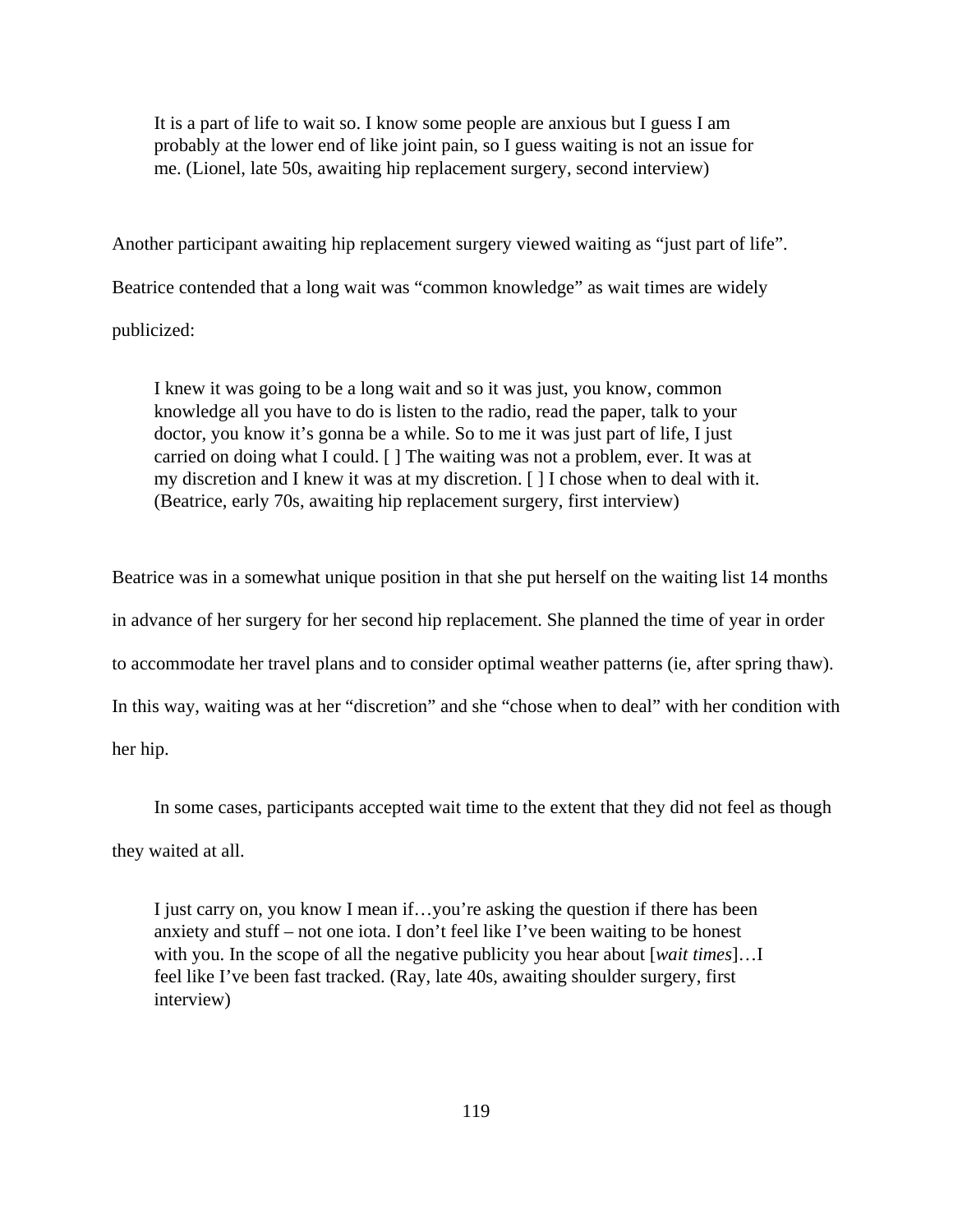It is a part of life to wait so. I know some people are anxious but I guess I am probably at the lower end of like joint pain, so I guess waiting is not an issue for me. (Lionel, late 50s, awaiting hip replacement surgery, second interview)

Another participant awaiting hip replacement surgery viewed waiting as "just part of life". Beatrice contended that a long wait was "common knowledge" as wait times are widely publicized:

I knew it was going to be a long wait and so it was just, you know, common knowledge all you have to do is listen to the radio, read the paper, talk to your doctor, you know it's gonna be a while. So to me it was just part of life, I just carried on doing what I could. [ ] The waiting was not a problem, ever. It was at my discretion and I knew it was at my discretion. [ ] I chose when to deal with it. (Beatrice, early 70s, awaiting hip replacement surgery, first interview)

Beatrice was in a somewhat unique position in that she put herself on the waiting list 14 months in advance of her surgery for her second hip replacement. She planned the time of year in order to accommodate her travel plans and to consider optimal weather patterns (ie, after spring thaw). In this way, waiting was at her "discretion" and she "chose when to deal" with her condition with her hip.

In some cases, participants accepted wait time to the extent that they did not feel as though they waited at all.

I just carry on, you know I mean if…you're asking the question if there has been anxiety and stuff – not one iota. I don't feel like I've been waiting to be honest with you. In the scope of all the negative publicity you hear about [*wait times*]…I feel like I've been fast tracked. (Ray, late 40s, awaiting shoulder surgery, first interview)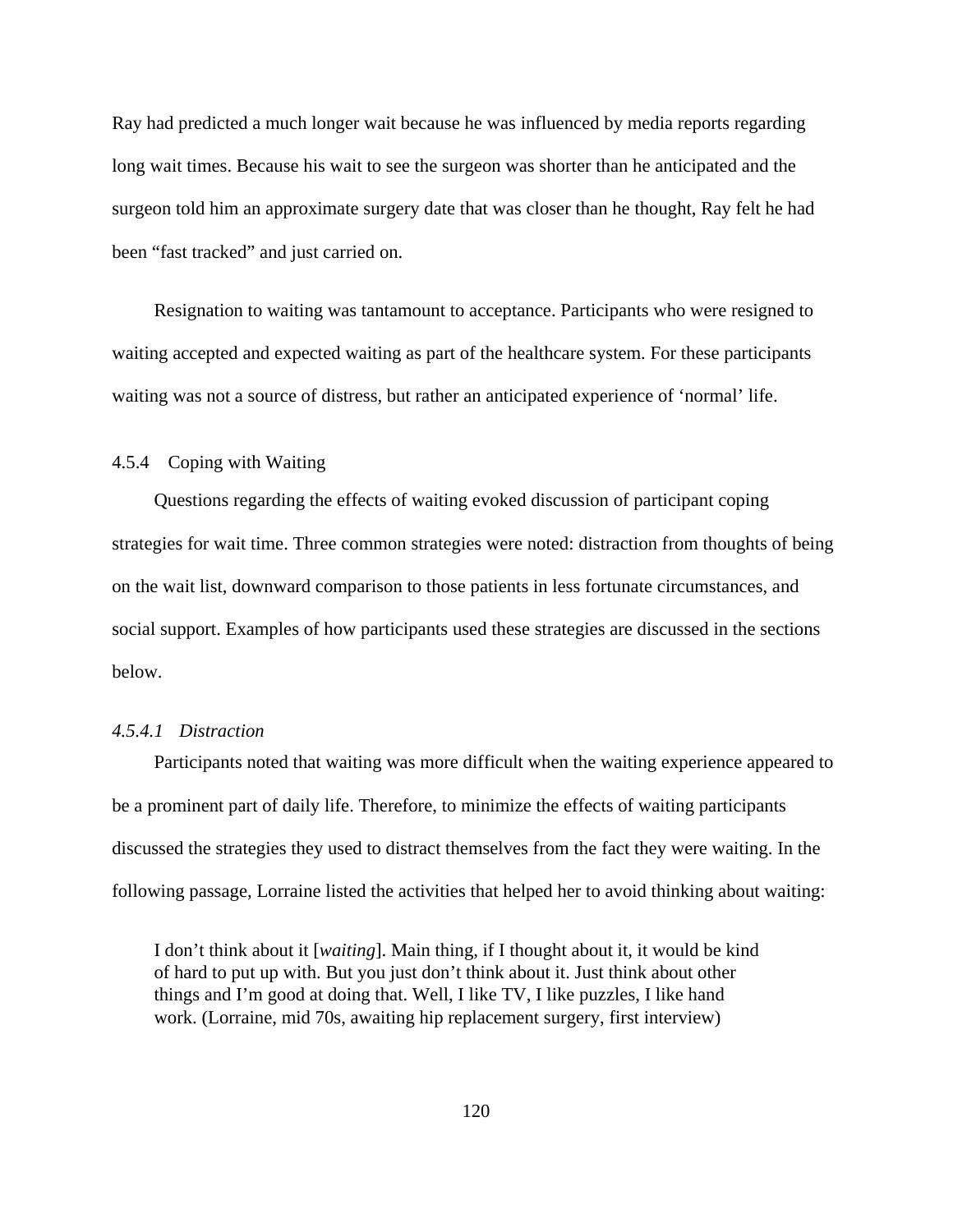Ray had predicted a much longer wait because he was influenced by media reports regarding long wait times. Because his wait to see the surgeon was shorter than he anticipated and the surgeon told him an approximate surgery date that was closer than he thought, Ray felt he had been "fast tracked" and just carried on.

Resignation to waiting was tantamount to acceptance. Participants who were resigned to waiting accepted and expected waiting as part of the healthcare system. For these participants waiting was not a source of distress, but rather an anticipated experience of 'normal' life.

# 4.5.4 Coping with Waiting

Questions regarding the effects of waiting evoked discussion of participant coping strategies for wait time. Three common strategies were noted: distraction from thoughts of being on the wait list, downward comparison to those patients in less fortunate circumstances, and social support. Examples of how participants used these strategies are discussed in the sections below.

# *4.5.4.1 Distraction*

Participants noted that waiting was more difficult when the waiting experience appeared to be a prominent part of daily life. Therefore, to minimize the effects of waiting participants discussed the strategies they used to distract themselves from the fact they were waiting. In the following passage, Lorraine listed the activities that helped her to avoid thinking about waiting:

I don't think about it [*waiting*]. Main thing, if I thought about it, it would be kind of hard to put up with. But you just don't think about it. Just think about other things and I'm good at doing that. Well, I like TV, I like puzzles, I like hand work. (Lorraine, mid 70s, awaiting hip replacement surgery, first interview)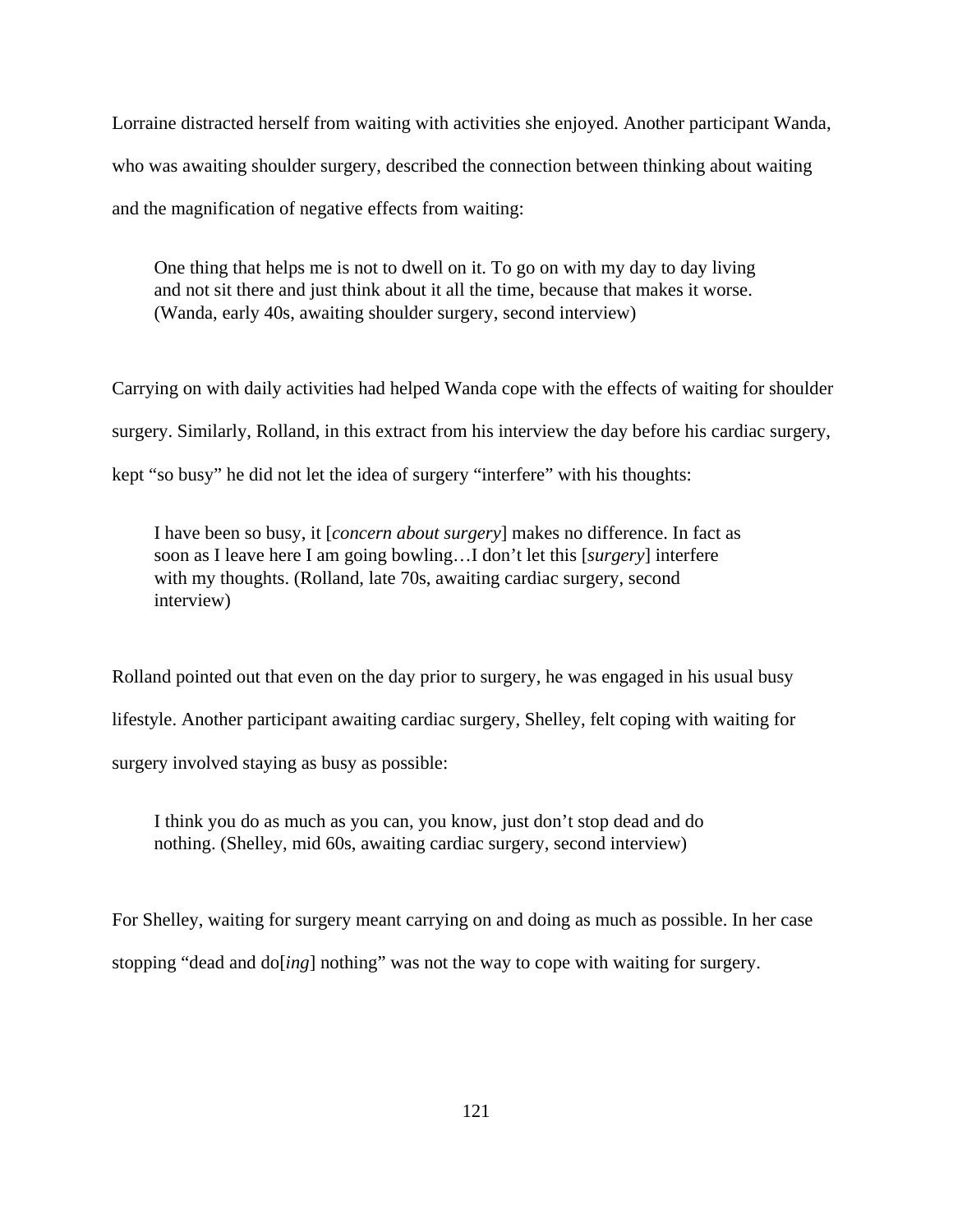Lorraine distracted herself from waiting with activities she enjoyed. Another participant Wanda, who was awaiting shoulder surgery, described the connection between thinking about waiting and the magnification of negative effects from waiting:

One thing that helps me is not to dwell on it. To go on with my day to day living and not sit there and just think about it all the time, because that makes it worse. (Wanda, early 40s, awaiting shoulder surgery, second interview)

Carrying on with daily activities had helped Wanda cope with the effects of waiting for shoulder surgery. Similarly, Rolland, in this extract from his interview the day before his cardiac surgery, kept "so busy" he did not let the idea of surgery "interfere" with his thoughts:

I have been so busy, it [*concern about surgery*] makes no difference. In fact as soon as I leave here I am going bowling…I don't let this [*surgery*] interfere with my thoughts. (Rolland, late 70s, awaiting cardiac surgery, second interview)

Rolland pointed out that even on the day prior to surgery, he was engaged in his usual busy lifestyle. Another participant awaiting cardiac surgery, Shelley, felt coping with waiting for surgery involved staying as busy as possible:

I think you do as much as you can, you know, just don't stop dead and do nothing. (Shelley, mid 60s, awaiting cardiac surgery, second interview)

For Shelley, waiting for surgery meant carrying on and doing as much as possible. In her case stopping "dead and do[*ing*] nothing" was not the way to cope with waiting for surgery.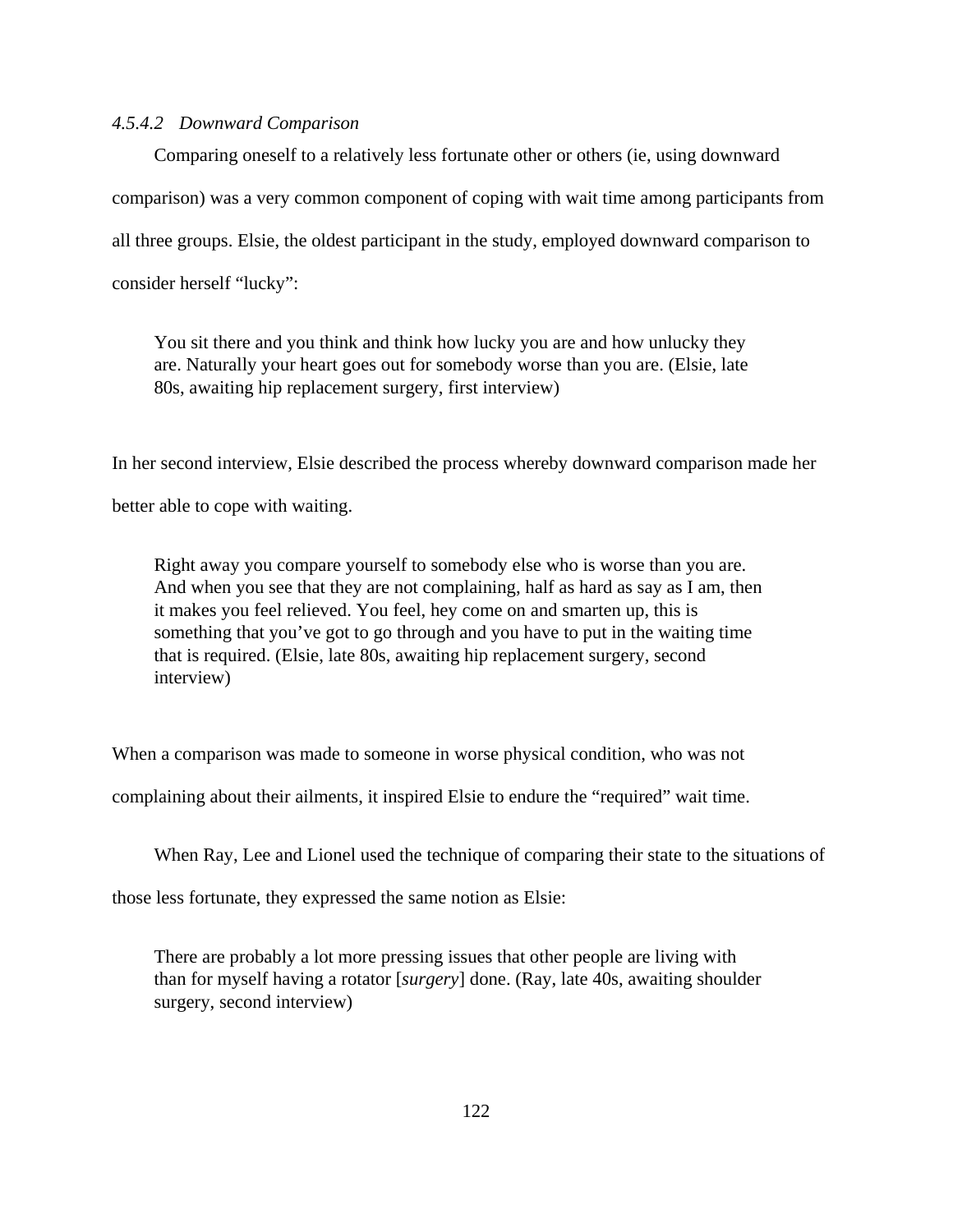## *4.5.4.2 Downward Comparison*

Comparing oneself to a relatively less fortunate other or others (ie, using downward comparison) was a very common component of coping with wait time among participants from all three groups. Elsie, the oldest participant in the study, employed downward comparison to consider herself "lucky":

You sit there and you think and think how lucky you are and how unlucky they are. Naturally your heart goes out for somebody worse than you are. (Elsie, late 80s, awaiting hip replacement surgery, first interview)

In her second interview, Elsie described the process whereby downward comparison made her

better able to cope with waiting.

Right away you compare yourself to somebody else who is worse than you are. And when you see that they are not complaining, half as hard as say as I am, then it makes you feel relieved. You feel, hey come on and smarten up, this is something that you've got to go through and you have to put in the waiting time that is required. (Elsie, late 80s, awaiting hip replacement surgery, second interview)

When a comparison was made to someone in worse physical condition, who was not

complaining about their ailments, it inspired Elsie to endure the "required" wait time.

When Ray, Lee and Lionel used the technique of comparing their state to the situations of

those less fortunate, they expressed the same notion as Elsie:

There are probably a lot more pressing issues that other people are living with than for myself having a rotator [*surgery*] done. (Ray, late 40s, awaiting shoulder surgery, second interview)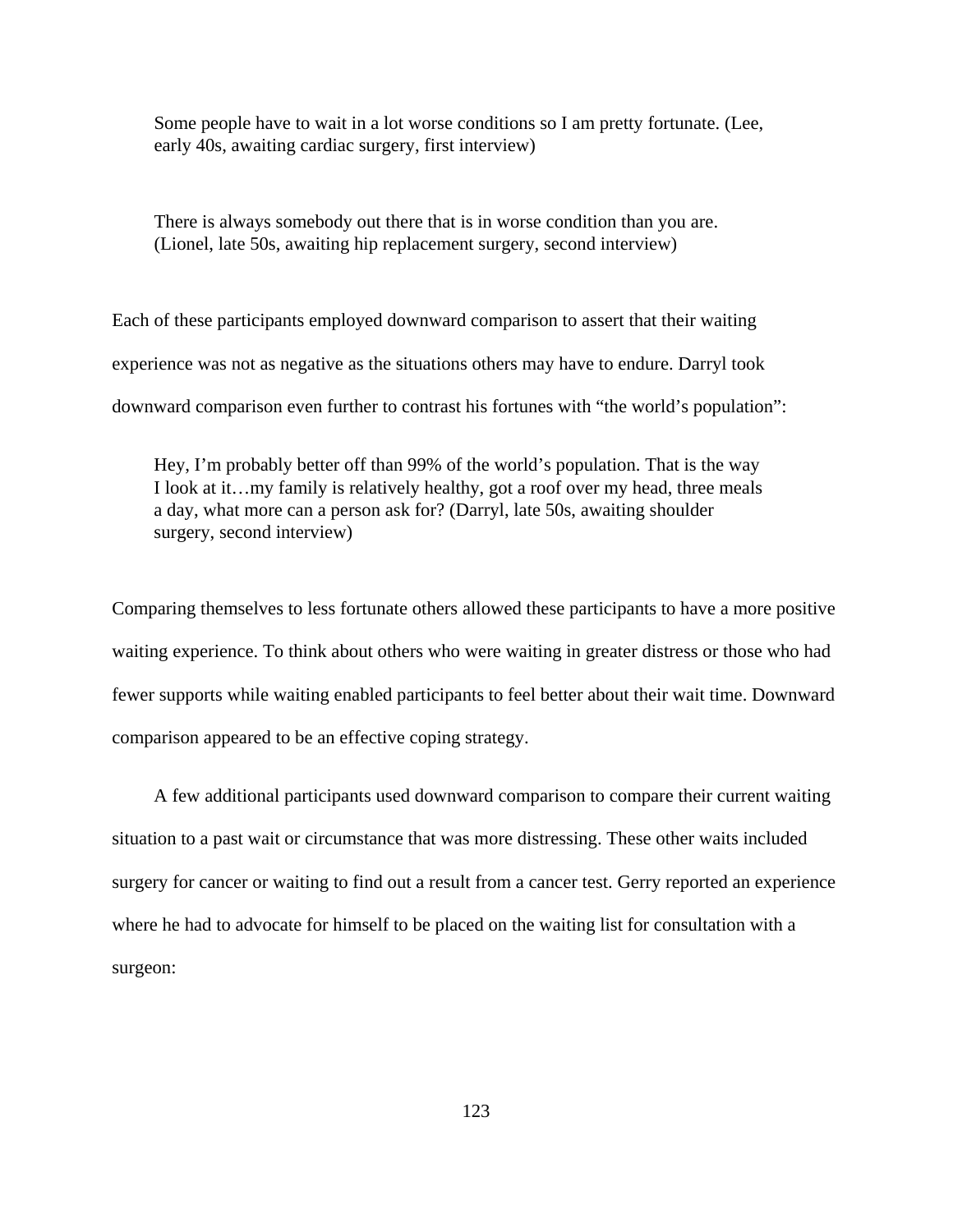Some people have to wait in a lot worse conditions so I am pretty fortunate. (Lee, early 40s, awaiting cardiac surgery, first interview)

There is always somebody out there that is in worse condition than you are. (Lionel, late 50s, awaiting hip replacement surgery, second interview)

Each of these participants employed downward comparison to assert that their waiting experience was not as negative as the situations others may have to endure. Darryl took downward comparison even further to contrast his fortunes with "the world's population":

Hey, I'm probably better off than 99% of the world's population. That is the way I look at it…my family is relatively healthy, got a roof over my head, three meals a day, what more can a person ask for? (Darryl, late 50s, awaiting shoulder surgery, second interview)

Comparing themselves to less fortunate others allowed these participants to have a more positive waiting experience. To think about others who were waiting in greater distress or those who had fewer supports while waiting enabled participants to feel better about their wait time. Downward comparison appeared to be an effective coping strategy.

A few additional participants used downward comparison to compare their current waiting situation to a past wait or circumstance that was more distressing. These other waits included surgery for cancer or waiting to find out a result from a cancer test. Gerry reported an experience where he had to advocate for himself to be placed on the waiting list for consultation with a surgeon: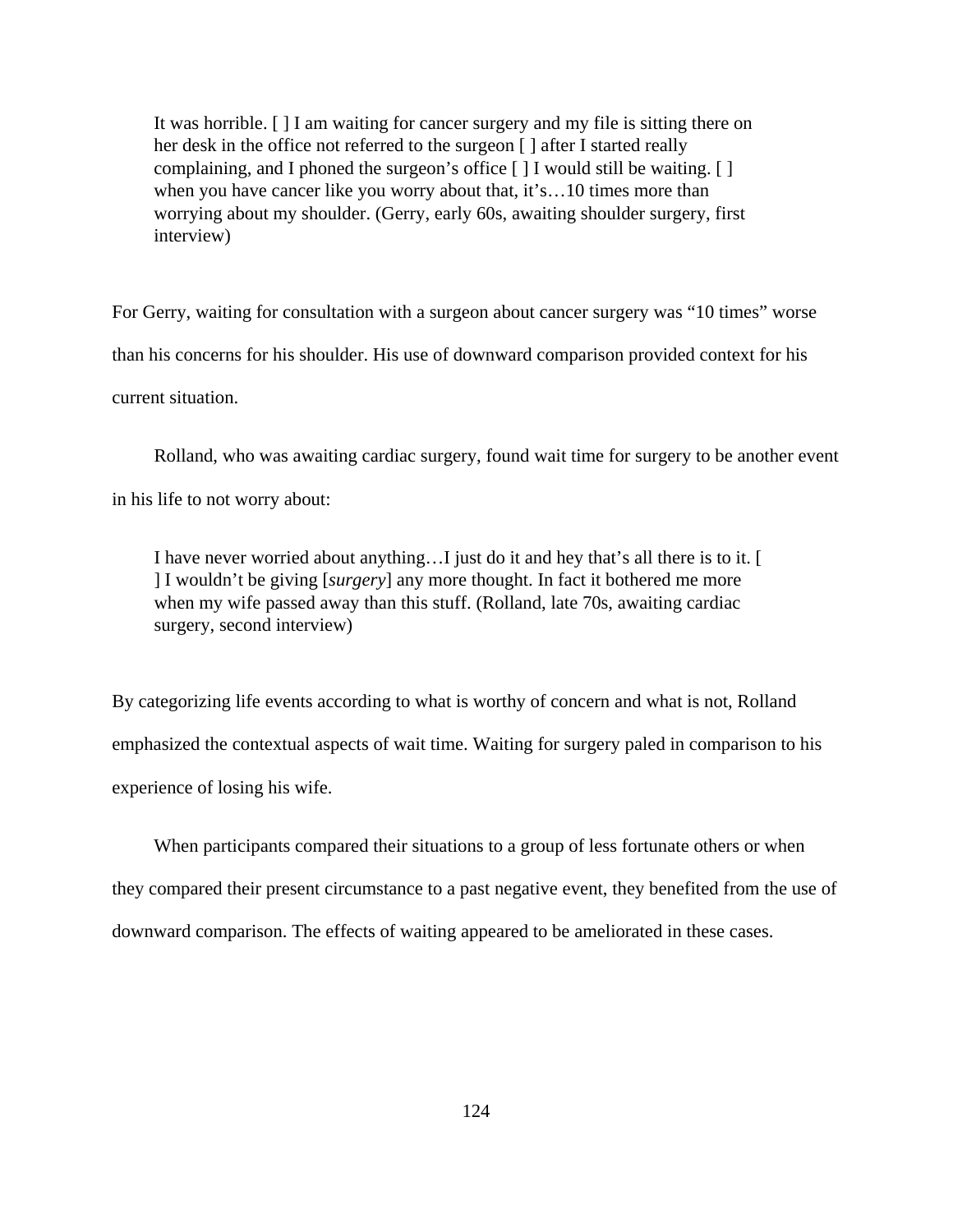It was horrible. [ ] I am waiting for cancer surgery and my file is sitting there on her desk in the office not referred to the surgeon [ ] after I started really complaining, and I phoned the surgeon's office [ ] I would still be waiting. [ ] when you have cancer like you worry about that, it's...10 times more than worrying about my shoulder. (Gerry, early 60s, awaiting shoulder surgery, first interview)

For Gerry, waiting for consultation with a surgeon about cancer surgery was "10 times" worse than his concerns for his shoulder. His use of downward comparison provided context for his current situation.

Rolland, who was awaiting cardiac surgery, found wait time for surgery to be another event in his life to not worry about:

I have never worried about anything…I just do it and hey that's all there is to it. [ ] I wouldn't be giving [*surgery*] any more thought. In fact it bothered me more when my wife passed away than this stuff. (Rolland, late 70s, awaiting cardiac surgery, second interview)

By categorizing life events according to what is worthy of concern and what is not, Rolland emphasized the contextual aspects of wait time. Waiting for surgery paled in comparison to his experience of losing his wife.

When participants compared their situations to a group of less fortunate others or when they compared their present circumstance to a past negative event, they benefited from the use of downward comparison. The effects of waiting appeared to be ameliorated in these cases.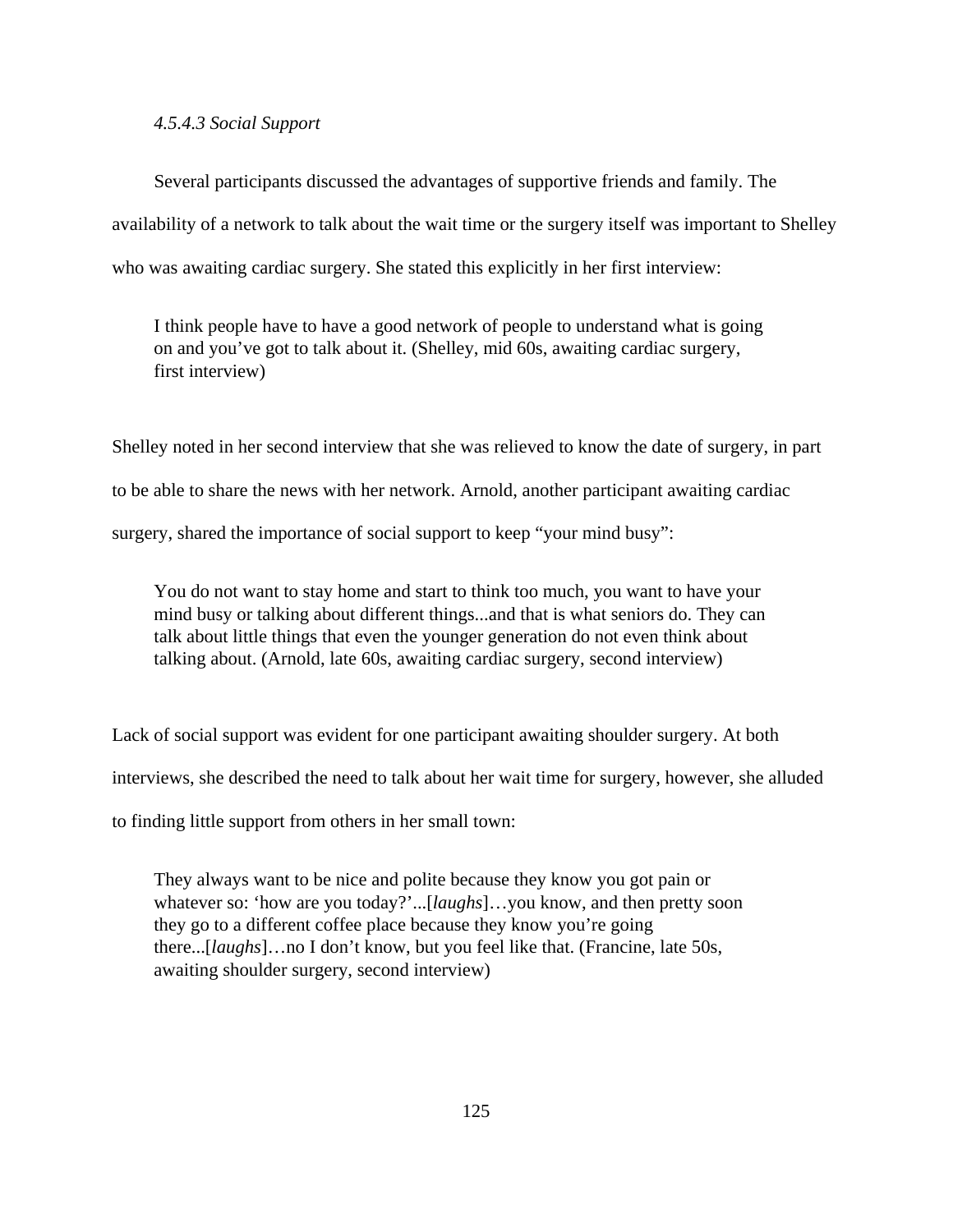## *4.5.4.3 Social Support*

Several participants discussed the advantages of supportive friends and family. The availability of a network to talk about the wait time or the surgery itself was important to Shelley who was awaiting cardiac surgery. She stated this explicitly in her first interview:

I think people have to have a good network of people to understand what is going on and you've got to talk about it. (Shelley, mid 60s, awaiting cardiac surgery, first interview)

Shelley noted in her second interview that she was relieved to know the date of surgery, in part to be able to share the news with her network. Arnold, another participant awaiting cardiac surgery, shared the importance of social support to keep "your mind busy":

You do not want to stay home and start to think too much, you want to have your mind busy or talking about different things...and that is what seniors do. They can talk about little things that even the younger generation do not even think about talking about. (Arnold, late 60s, awaiting cardiac surgery, second interview)

Lack of social support was evident for one participant awaiting shoulder surgery. At both

interviews, she described the need to talk about her wait time for surgery, however, she alluded

to finding little support from others in her small town:

They always want to be nice and polite because they know you got pain or whatever so: 'how are you today?'...[*laughs*]…you know, and then pretty soon they go to a different coffee place because they know you're going there...[*laughs*]…no I don't know, but you feel like that. (Francine, late 50s, awaiting shoulder surgery, second interview)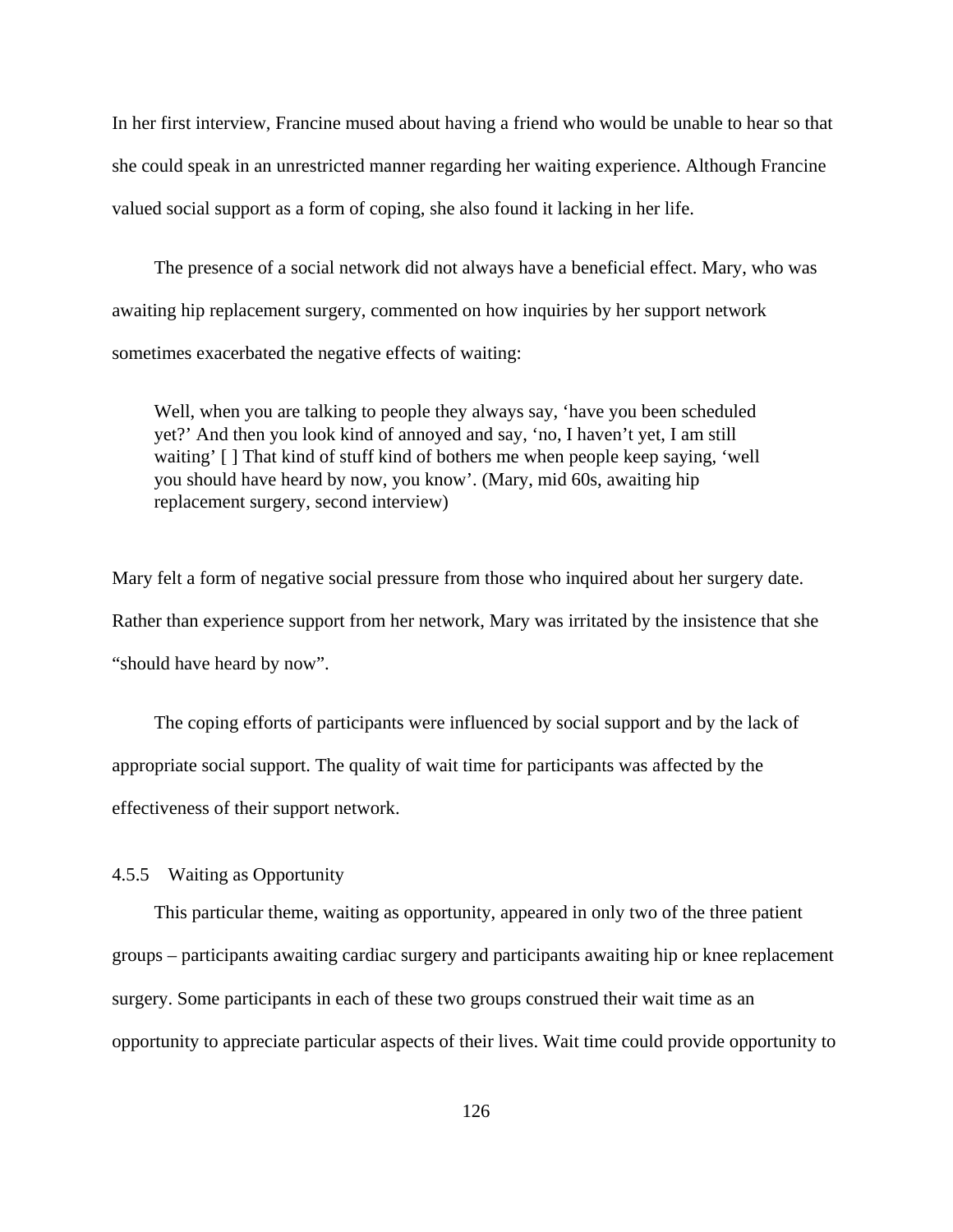In her first interview, Francine mused about having a friend who would be unable to hear so that she could speak in an unrestricted manner regarding her waiting experience. Although Francine valued social support as a form of coping, she also found it lacking in her life.

The presence of a social network did not always have a beneficial effect. Mary, who was awaiting hip replacement surgery, commented on how inquiries by her support network sometimes exacerbated the negative effects of waiting:

Well, when you are talking to people they always say, 'have you been scheduled yet?' And then you look kind of annoyed and say, 'no, I haven't yet, I am still waiting' [ ] That kind of stuff kind of bothers me when people keep saying, 'well you should have heard by now, you know'. (Mary, mid 60s, awaiting hip replacement surgery, second interview)

Mary felt a form of negative social pressure from those who inquired about her surgery date. Rather than experience support from her network, Mary was irritated by the insistence that she "should have heard by now".

The coping efforts of participants were influenced by social support and by the lack of appropriate social support. The quality of wait time for participants was affected by the effectiveness of their support network.

## 4.5.5 Waiting as Opportunity

This particular theme, waiting as opportunity, appeared in only two of the three patient groups – participants awaiting cardiac surgery and participants awaiting hip or knee replacement surgery. Some participants in each of these two groups construed their wait time as an opportunity to appreciate particular aspects of their lives. Wait time could provide opportunity to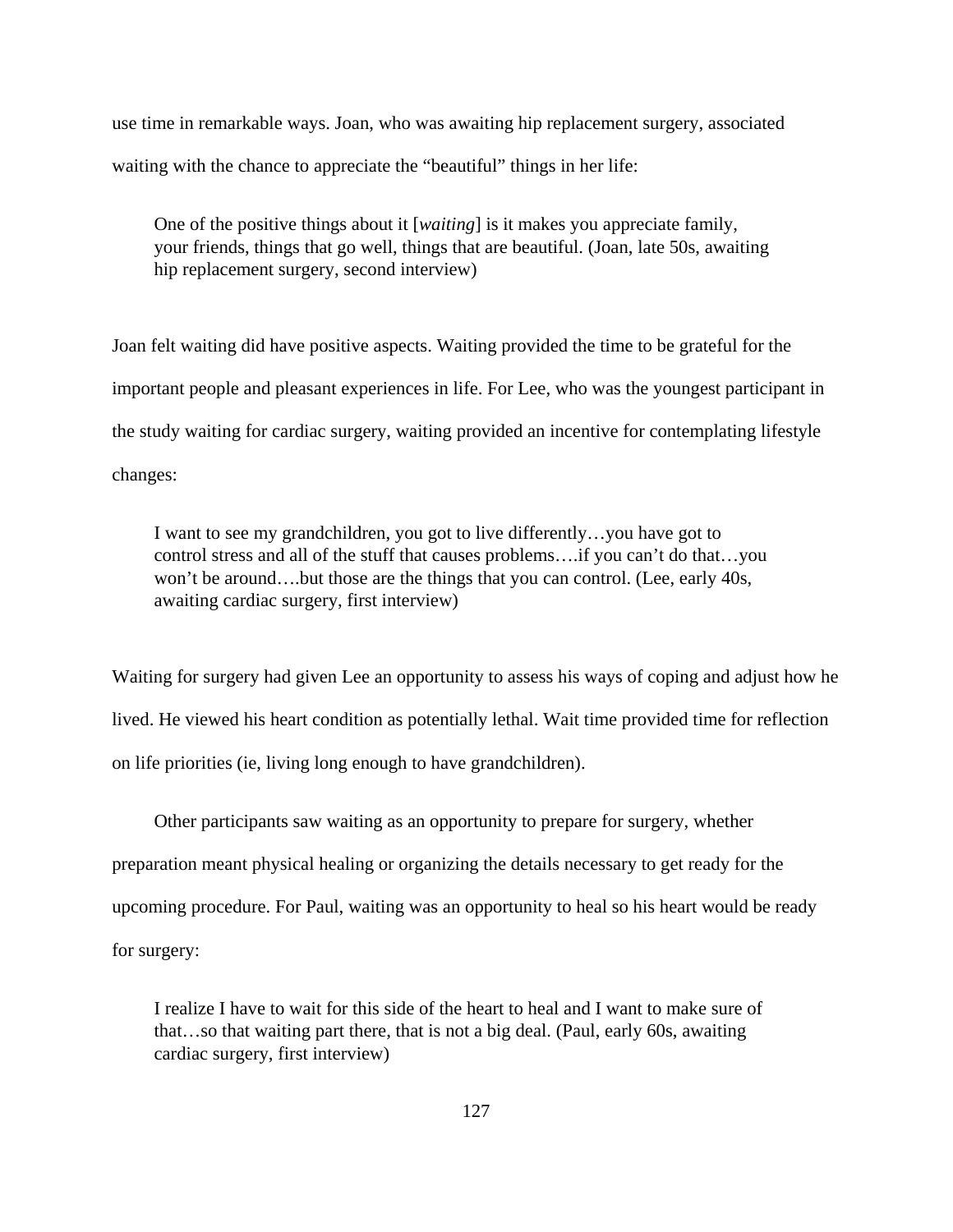use time in remarkable ways. Joan, who was awaiting hip replacement surgery, associated waiting with the chance to appreciate the "beautiful" things in her life:

One of the positive things about it [*waiting*] is it makes you appreciate family, your friends, things that go well, things that are beautiful. (Joan, late 50s, awaiting hip replacement surgery, second interview)

Joan felt waiting did have positive aspects. Waiting provided the time to be grateful for the important people and pleasant experiences in life. For Lee, who was the youngest participant in the study waiting for cardiac surgery, waiting provided an incentive for contemplating lifestyle changes:

I want to see my grandchildren, you got to live differently…you have got to control stress and all of the stuff that causes problems….if you can't do that…you won't be around….but those are the things that you can control. (Lee, early 40s, awaiting cardiac surgery, first interview)

Waiting for surgery had given Lee an opportunity to assess his ways of coping and adjust how he lived. He viewed his heart condition as potentially lethal. Wait time provided time for reflection on life priorities (ie, living long enough to have grandchildren).

Other participants saw waiting as an opportunity to prepare for surgery, whether preparation meant physical healing or organizing the details necessary to get ready for the upcoming procedure. For Paul, waiting was an opportunity to heal so his heart would be ready for surgery:

I realize I have to wait for this side of the heart to heal and I want to make sure of that…so that waiting part there, that is not a big deal. (Paul, early 60s, awaiting cardiac surgery, first interview)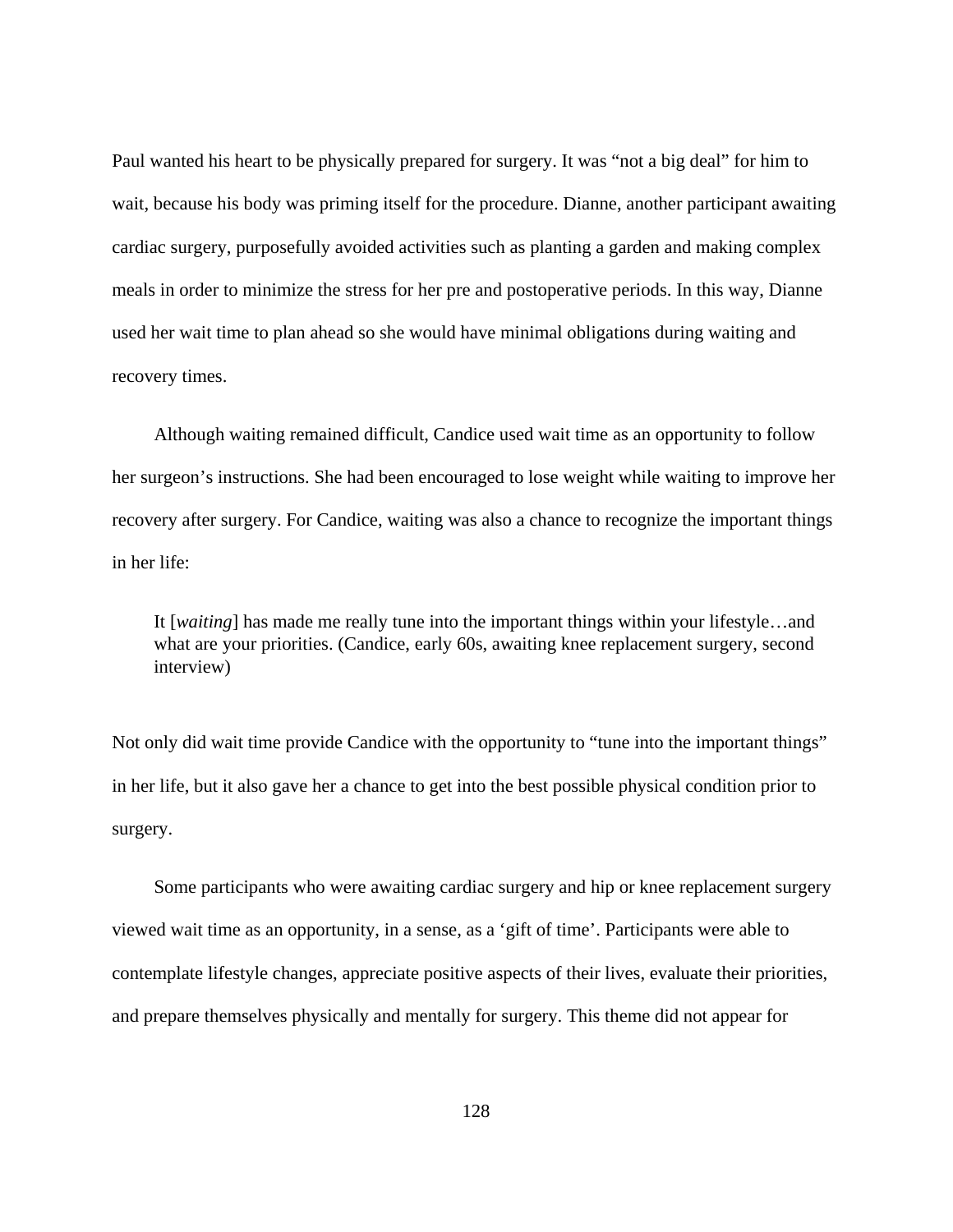Paul wanted his heart to be physically prepared for surgery. It was "not a big deal" for him to wait, because his body was priming itself for the procedure. Dianne, another participant awaiting cardiac surgery, purposefully avoided activities such as planting a garden and making complex meals in order to minimize the stress for her pre and postoperative periods. In this way, Dianne used her wait time to plan ahead so she would have minimal obligations during waiting and recovery times.

Although waiting remained difficult, Candice used wait time as an opportunity to follow her surgeon's instructions. She had been encouraged to lose weight while waiting to improve her recovery after surgery. For Candice, waiting was also a chance to recognize the important things in her life:

It [*waiting*] has made me really tune into the important things within your lifestyle…and what are your priorities. (Candice, early 60s, awaiting knee replacement surgery, second interview)

Not only did wait time provide Candice with the opportunity to "tune into the important things" in her life, but it also gave her a chance to get into the best possible physical condition prior to surgery.

Some participants who were awaiting cardiac surgery and hip or knee replacement surgery viewed wait time as an opportunity, in a sense, as a 'gift of time'. Participants were able to contemplate lifestyle changes, appreciate positive aspects of their lives, evaluate their priorities, and prepare themselves physically and mentally for surgery. This theme did not appear for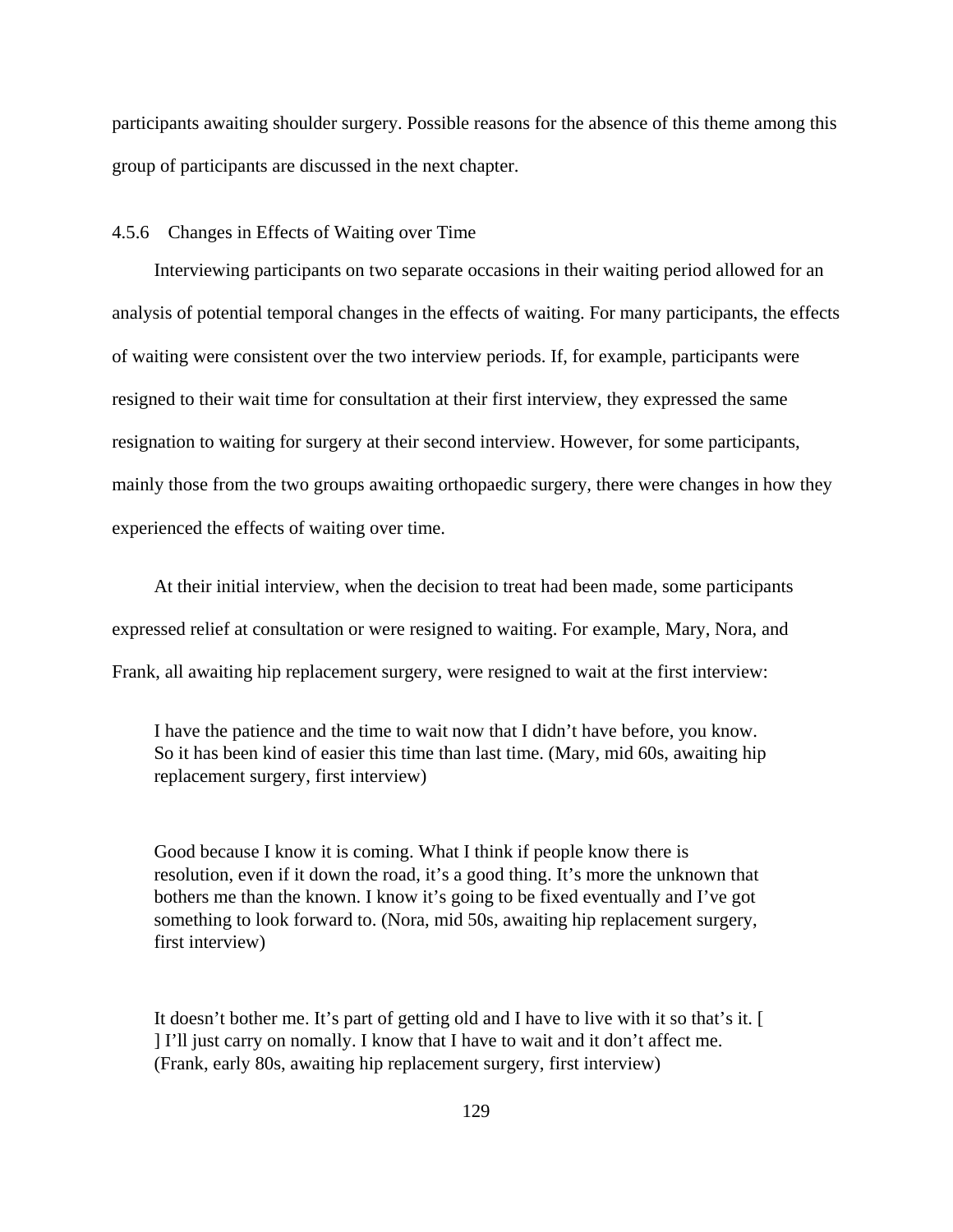participants awaiting shoulder surgery. Possible reasons for the absence of this theme among this group of participants are discussed in the next chapter.

4.5.6 Changes in Effects of Waiting over Time

Interviewing participants on two separate occasions in their waiting period allowed for an analysis of potential temporal changes in the effects of waiting. For many participants, the effects of waiting were consistent over the two interview periods. If, for example, participants were resigned to their wait time for consultation at their first interview, they expressed the same resignation to waiting for surgery at their second interview. However, for some participants, mainly those from the two groups awaiting orthopaedic surgery, there were changes in how they experienced the effects of waiting over time.

At their initial interview, when the decision to treat had been made, some participants expressed relief at consultation or were resigned to waiting. For example, Mary, Nora, and Frank, all awaiting hip replacement surgery, were resigned to wait at the first interview:

I have the patience and the time to wait now that I didn't have before, you know. So it has been kind of easier this time than last time. (Mary, mid 60s, awaiting hip replacement surgery, first interview)

Good because I know it is coming. What I think if people know there is resolution, even if it down the road, it's a good thing. It's more the unknown that bothers me than the known. I know it's going to be fixed eventually and I've got something to look forward to. (Nora, mid 50s, awaiting hip replacement surgery, first interview)

It doesn't bother me. It's part of getting old and I have to live with it so that's it. [ ] I'll just carry on nomally. I know that I have to wait and it don't affect me. (Frank, early 80s, awaiting hip replacement surgery, first interview)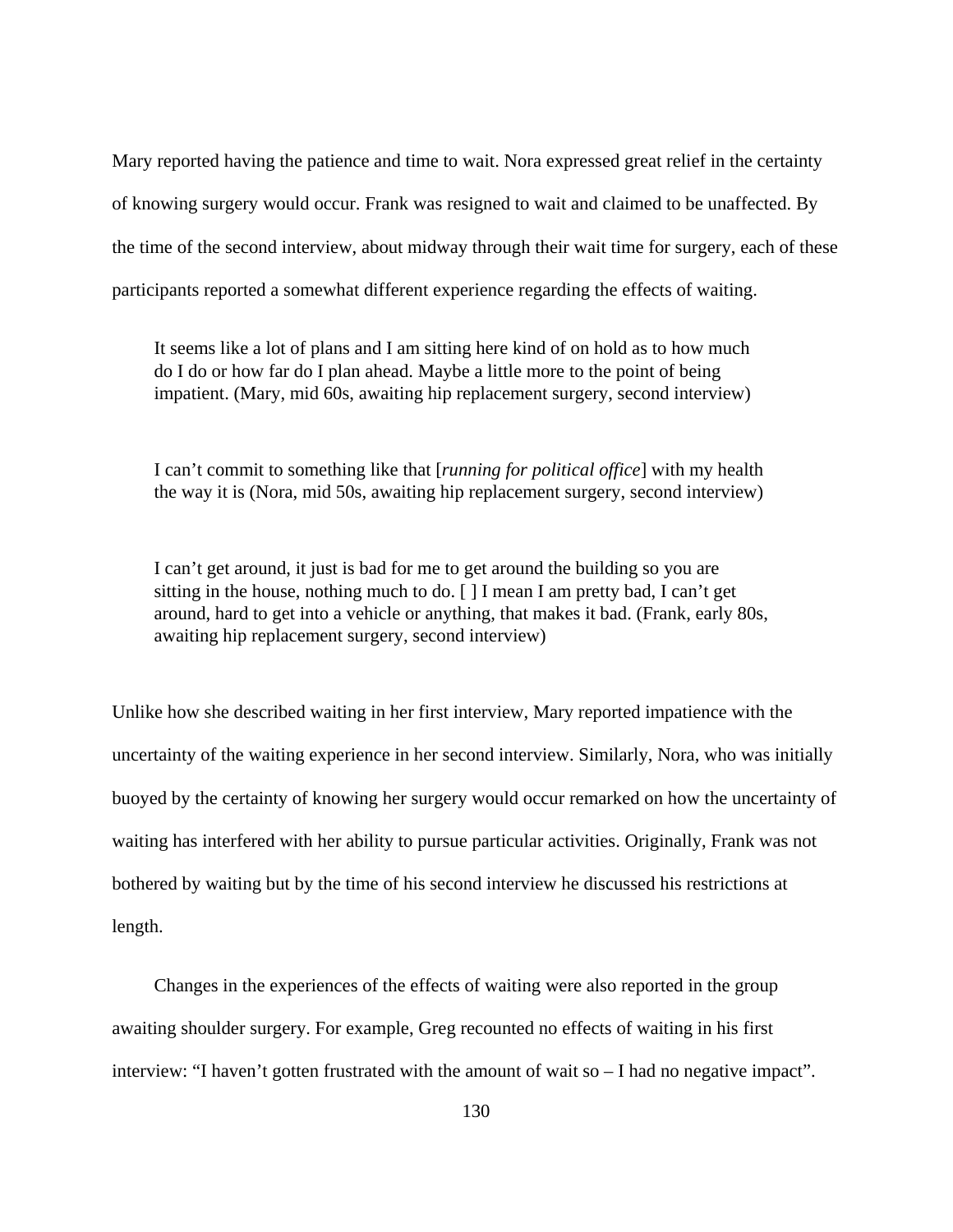Mary reported having the patience and time to wait. Nora expressed great relief in the certainty of knowing surgery would occur. Frank was resigned to wait and claimed to be unaffected. By the time of the second interview, about midway through their wait time for surgery, each of these participants reported a somewhat different experience regarding the effects of waiting.

It seems like a lot of plans and I am sitting here kind of on hold as to how much do I do or how far do I plan ahead. Maybe a little more to the point of being impatient. (Mary, mid 60s, awaiting hip replacement surgery, second interview)

I can't commit to something like that [*running for political office*] with my health the way it is (Nora, mid 50s, awaiting hip replacement surgery, second interview)

I can't get around, it just is bad for me to get around the building so you are sitting in the house, nothing much to do. [ ] I mean I am pretty bad, I can't get around, hard to get into a vehicle or anything, that makes it bad. (Frank, early 80s, awaiting hip replacement surgery, second interview)

Unlike how she described waiting in her first interview, Mary reported impatience with the uncertainty of the waiting experience in her second interview. Similarly, Nora, who was initially buoyed by the certainty of knowing her surgery would occur remarked on how the uncertainty of waiting has interfered with her ability to pursue particular activities. Originally, Frank was not bothered by waiting but by the time of his second interview he discussed his restrictions at length.

Changes in the experiences of the effects of waiting were also reported in the group awaiting shoulder surgery. For example, Greg recounted no effects of waiting in his first interview: "I haven't gotten frustrated with the amount of wait so – I had no negative impact".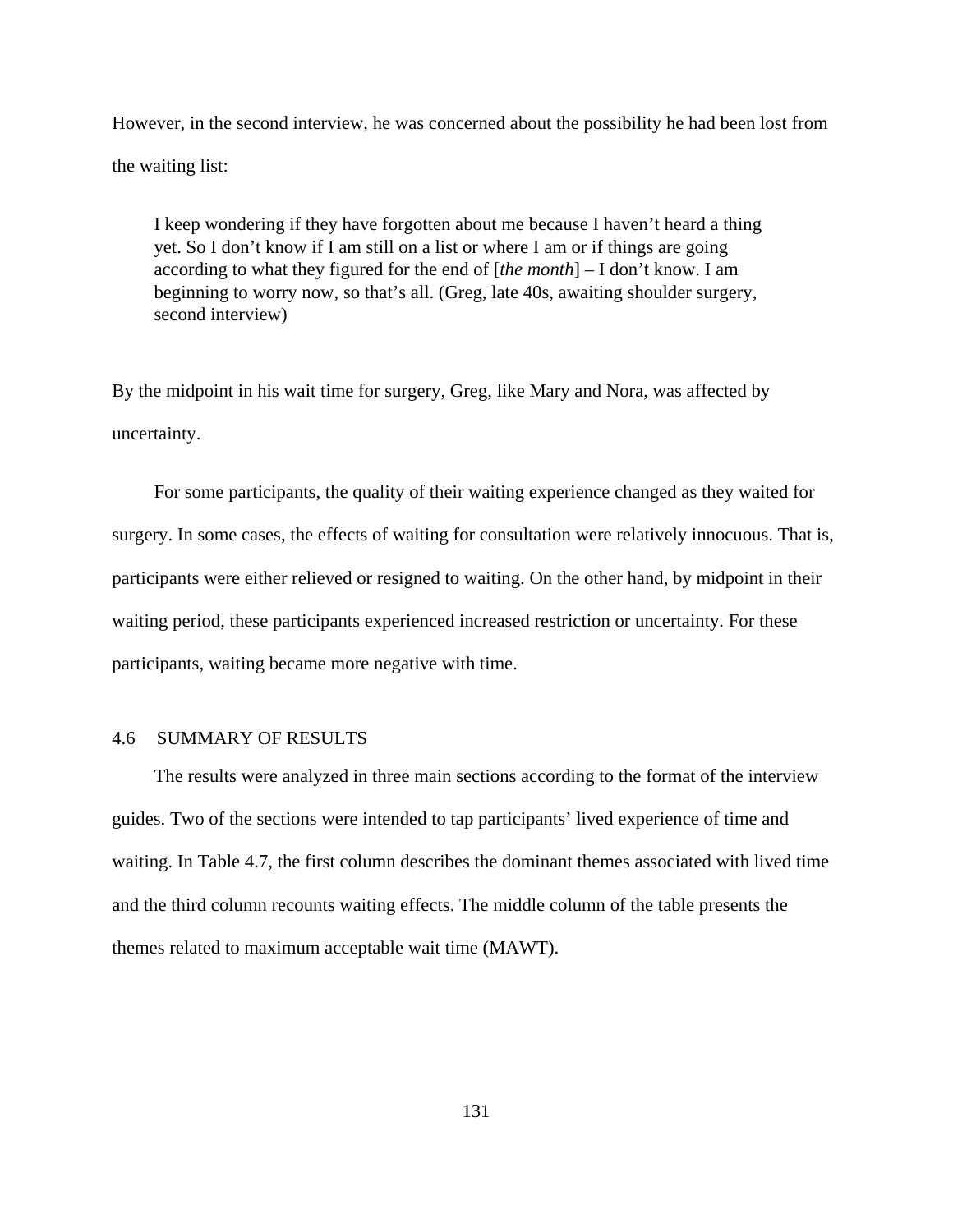However, in the second interview, he was concerned about the possibility he had been lost from the waiting list:

I keep wondering if they have forgotten about me because I haven't heard a thing yet. So I don't know if I am still on a list or where I am or if things are going according to what they figured for the end of [*the month*] – I don't know. I am beginning to worry now, so that's all. (Greg, late 40s, awaiting shoulder surgery, second interview)

By the midpoint in his wait time for surgery, Greg, like Mary and Nora, was affected by uncertainty.

For some participants, the quality of their waiting experience changed as they waited for surgery. In some cases, the effects of waiting for consultation were relatively innocuous. That is, participants were either relieved or resigned to waiting. On the other hand, by midpoint in their waiting period, these participants experienced increased restriction or uncertainty. For these participants, waiting became more negative with time.

## 4.6 SUMMARY OF RESULTS

The results were analyzed in three main sections according to the format of the interview guides. Two of the sections were intended to tap participants' lived experience of time and waiting. In Table 4.7, the first column describes the dominant themes associated with lived time and the third column recounts waiting effects. The middle column of the table presents the themes related to maximum acceptable wait time (MAWT).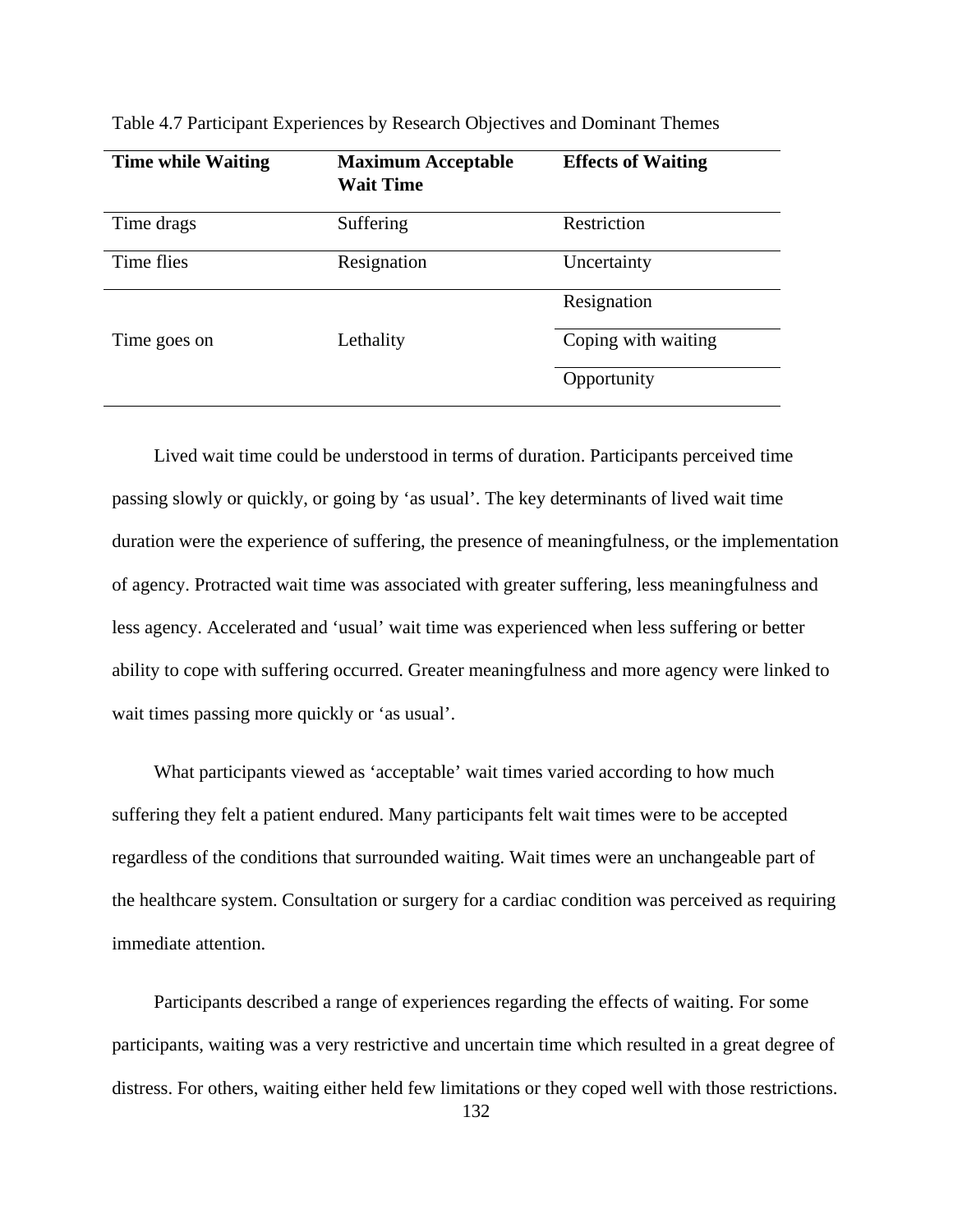| <b>Time while Waiting</b> | <b>Maximum Acceptable</b><br><b>Wait Time</b> | <b>Effects of Waiting</b> |
|---------------------------|-----------------------------------------------|---------------------------|
| Time drags                | Suffering                                     | Restriction               |
| Time flies                | Resignation                                   | Uncertainty               |
|                           |                                               | Resignation               |
| Time goes on              | Lethality                                     | Coping with waiting       |
|                           |                                               | Opportunity               |

Table 4.7 Participant Experiences by Research Objectives and Dominant Themes

Lived wait time could be understood in terms of duration. Participants perceived time passing slowly or quickly, or going by 'as usual'. The key determinants of lived wait time duration were the experience of suffering, the presence of meaningfulness, or the implementation of agency. Protracted wait time was associated with greater suffering, less meaningfulness and less agency. Accelerated and 'usual' wait time was experienced when less suffering or better ability to cope with suffering occurred. Greater meaningfulness and more agency were linked to wait times passing more quickly or 'as usual'.

What participants viewed as 'acceptable' wait times varied according to how much suffering they felt a patient endured. Many participants felt wait times were to be accepted regardless of the conditions that surrounded waiting. Wait times were an unchangeable part of the healthcare system. Consultation or surgery for a cardiac condition was perceived as requiring immediate attention.

Participants described a range of experiences regarding the effects of waiting. For some participants, waiting was a very restrictive and uncertain time which resulted in a great degree of distress. For others, waiting either held few limitations or they coped well with those restrictions.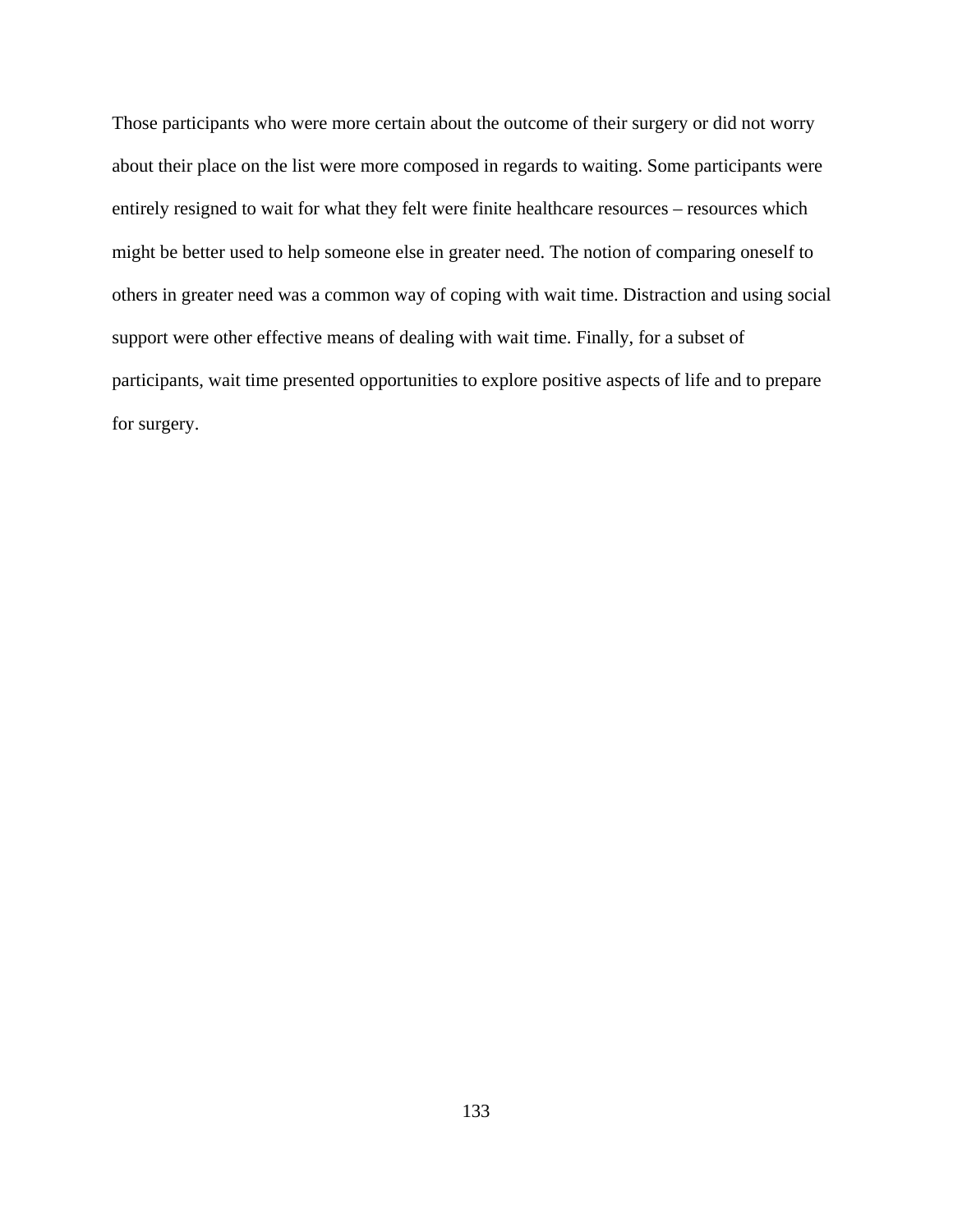Those participants who were more certain about the outcome of their surgery or did not worry about their place on the list were more composed in regards to waiting. Some participants were entirely resigned to wait for what they felt were finite healthcare resources – resources which might be better used to help someone else in greater need. The notion of comparing oneself to others in greater need was a common way of coping with wait time. Distraction and using social support were other effective means of dealing with wait time. Finally, for a subset of participants, wait time presented opportunities to explore positive aspects of life and to prepare for surgery.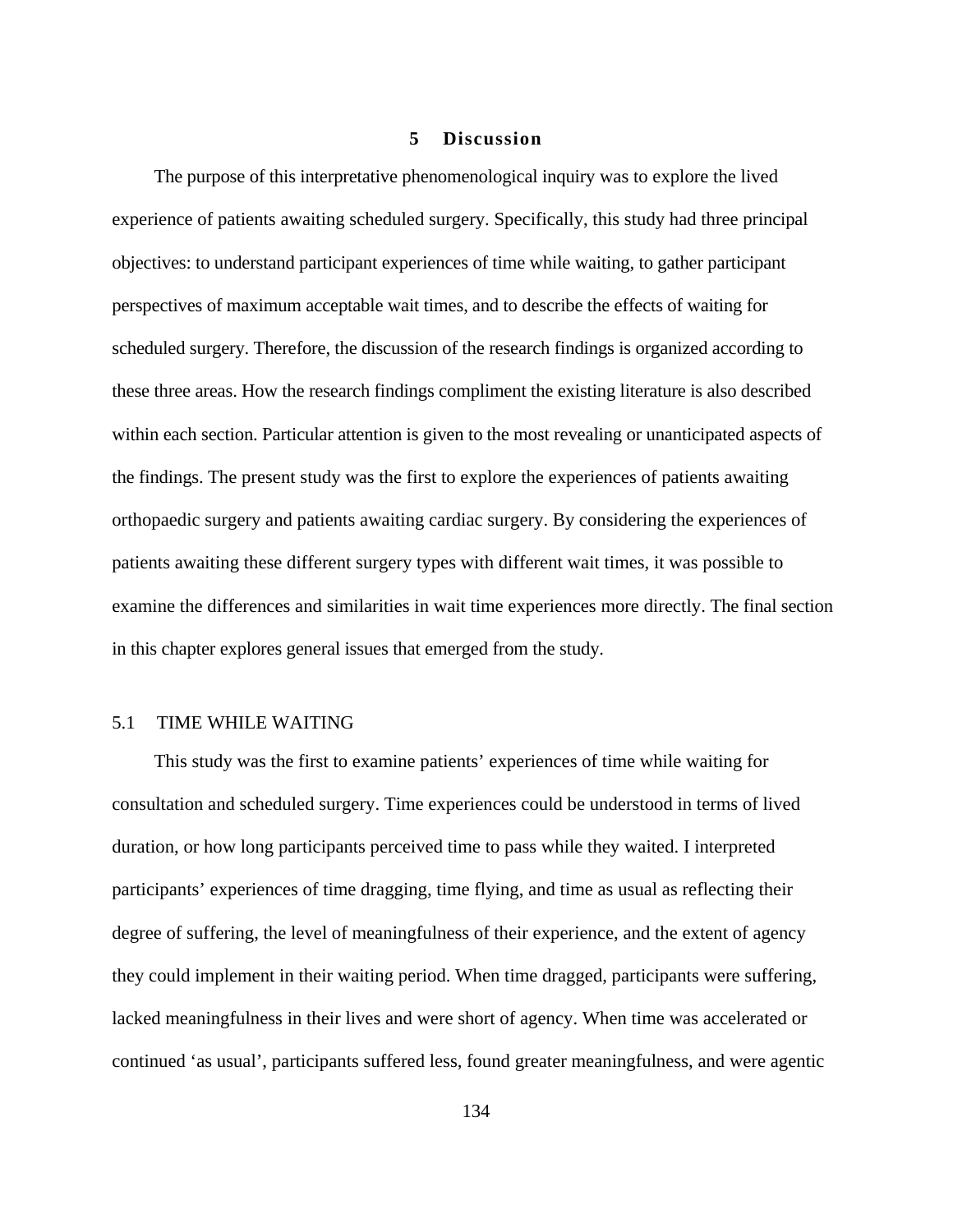## **5 Discussion**

The purpose of this interpretative phenomenological inquiry was to explore the lived experience of patients awaiting scheduled surgery. Specifically, this study had three principal objectives: to understand participant experiences of time while waiting, to gather participant perspectives of maximum acceptable wait times, and to describe the effects of waiting for scheduled surgery. Therefore, the discussion of the research findings is organized according to these three areas. How the research findings compliment the existing literature is also described within each section. Particular attention is given to the most revealing or unanticipated aspects of the findings. The present study was the first to explore the experiences of patients awaiting orthopaedic surgery and patients awaiting cardiac surgery. By considering the experiences of patients awaiting these different surgery types with different wait times, it was possible to examine the differences and similarities in wait time experiences more directly. The final section in this chapter explores general issues that emerged from the study.

## 5.1 TIME WHILE WAITING

This study was the first to examine patients' experiences of time while waiting for consultation and scheduled surgery. Time experiences could be understood in terms of lived duration, or how long participants perceived time to pass while they waited. I interpreted participants' experiences of time dragging, time flying, and time as usual as reflecting their degree of suffering, the level of meaningfulness of their experience, and the extent of agency they could implement in their waiting period. When time dragged, participants were suffering, lacked meaningfulness in their lives and were short of agency. When time was accelerated or continued 'as usual', participants suffered less, found greater meaningfulness, and were agentic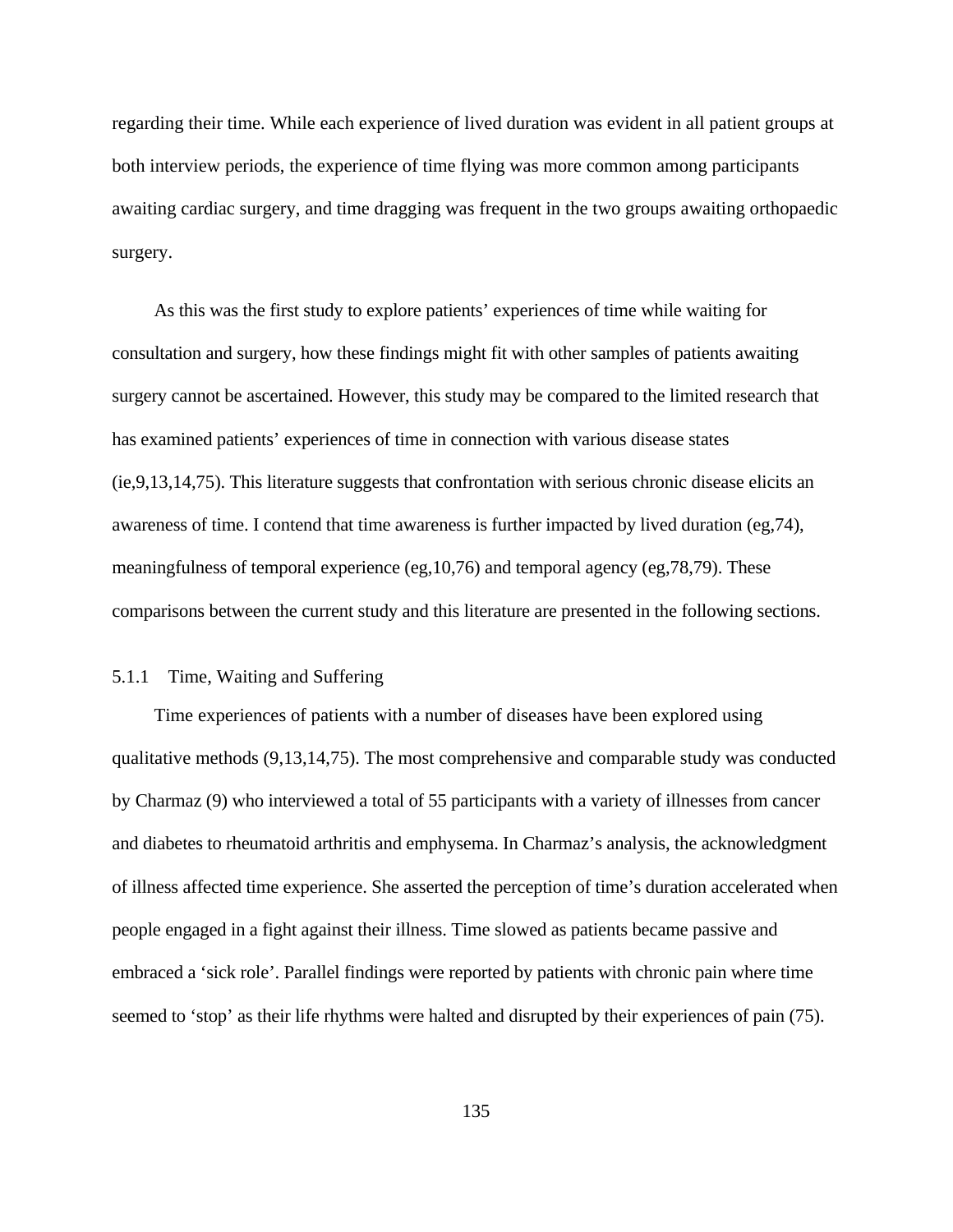regarding their time. While each experience of lived duration was evident in all patient groups at both interview periods, the experience of time flying was more common among participants awaiting cardiac surgery, and time dragging was frequent in the two groups awaiting orthopaedic surgery.

As this was the first study to explore patients' experiences of time while waiting for consultation and surgery, how these findings might fit with other samples of patients awaiting surgery cannot be ascertained. However, this study may be compared to the limited research that has examined patients' experiences of time in connection with various disease states (ie,9,13,14,75). This literature suggests that confrontation with serious chronic disease elicits an awareness of time. I contend that time awareness is further impacted by lived duration (eg,74), meaningfulness of temporal experience (eg,10,76) and temporal agency (eg,78,79). These comparisons between the current study and this literature are presented in the following sections.

## 5.1.1 Time, Waiting and Suffering

Time experiences of patients with a number of diseases have been explored using qualitative methods (9,13,14,75). The most comprehensive and comparable study was conducted by Charmaz (9) who interviewed a total of 55 participants with a variety of illnesses from cancer and diabetes to rheumatoid arthritis and emphysema. In Charmaz's analysis, the acknowledgment of illness affected time experience. She asserted the perception of time's duration accelerated when people engaged in a fight against their illness. Time slowed as patients became passive and embraced a 'sick role'. Parallel findings were reported by patients with chronic pain where time seemed to 'stop' as their life rhythms were halted and disrupted by their experiences of pain (75).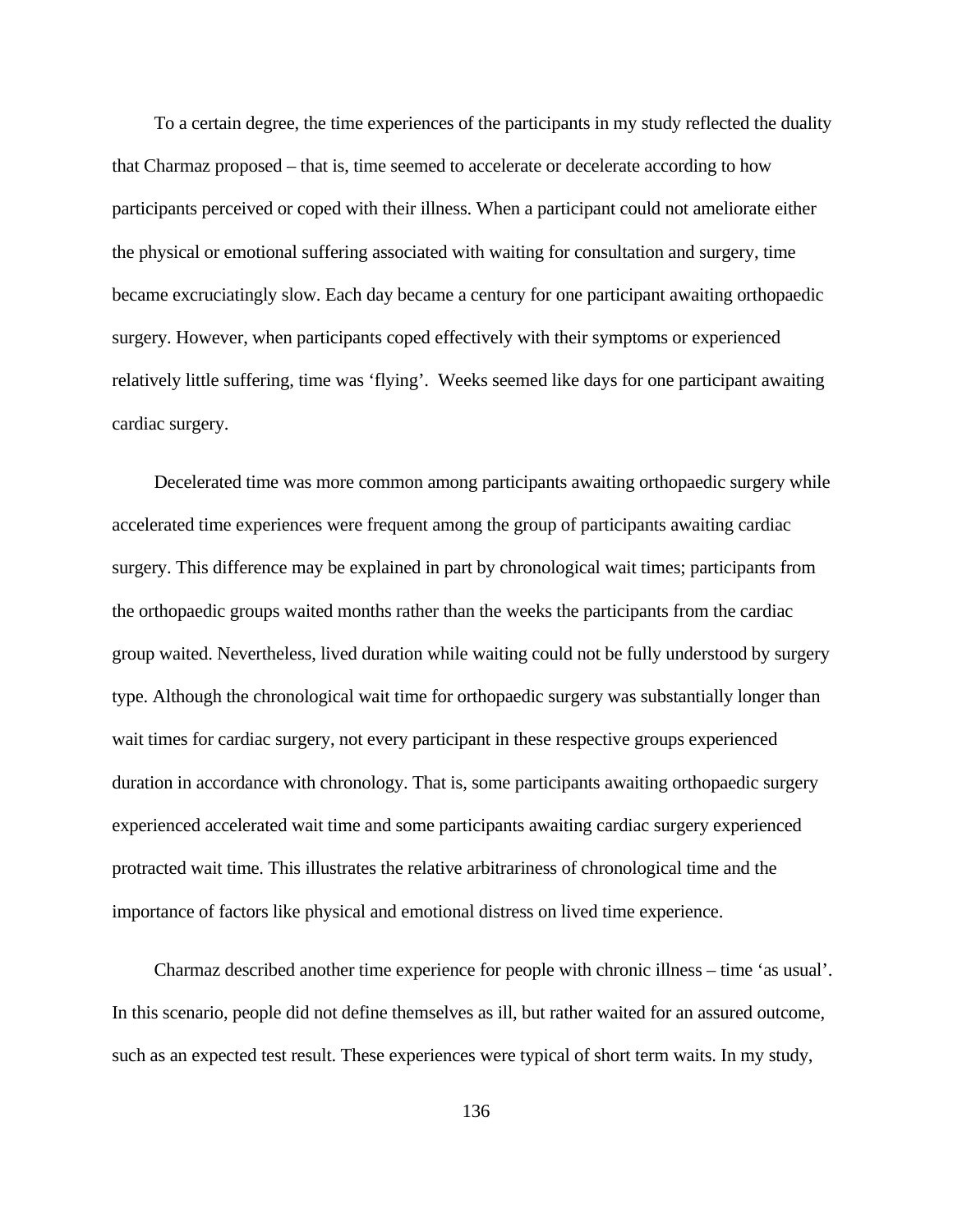To a certain degree, the time experiences of the participants in my study reflected the duality that Charmaz proposed – that is, time seemed to accelerate or decelerate according to how participants perceived or coped with their illness. When a participant could not ameliorate either the physical or emotional suffering associated with waiting for consultation and surgery, time became excruciatingly slow. Each day became a century for one participant awaiting orthopaedic surgery. However, when participants coped effectively with their symptoms or experienced relatively little suffering, time was 'flying'. Weeks seemed like days for one participant awaiting cardiac surgery.

Decelerated time was more common among participants awaiting orthopaedic surgery while accelerated time experiences were frequent among the group of participants awaiting cardiac surgery. This difference may be explained in part by chronological wait times; participants from the orthopaedic groups waited months rather than the weeks the participants from the cardiac group waited. Nevertheless, lived duration while waiting could not be fully understood by surgery type. Although the chronological wait time for orthopaedic surgery was substantially longer than wait times for cardiac surgery, not every participant in these respective groups experienced duration in accordance with chronology. That is, some participants awaiting orthopaedic surgery experienced accelerated wait time and some participants awaiting cardiac surgery experienced protracted wait time. This illustrates the relative arbitrariness of chronological time and the importance of factors like physical and emotional distress on lived time experience.

Charmaz described another time experience for people with chronic illness – time 'as usual'. In this scenario, people did not define themselves as ill, but rather waited for an assured outcome, such as an expected test result. These experiences were typical of short term waits. In my study,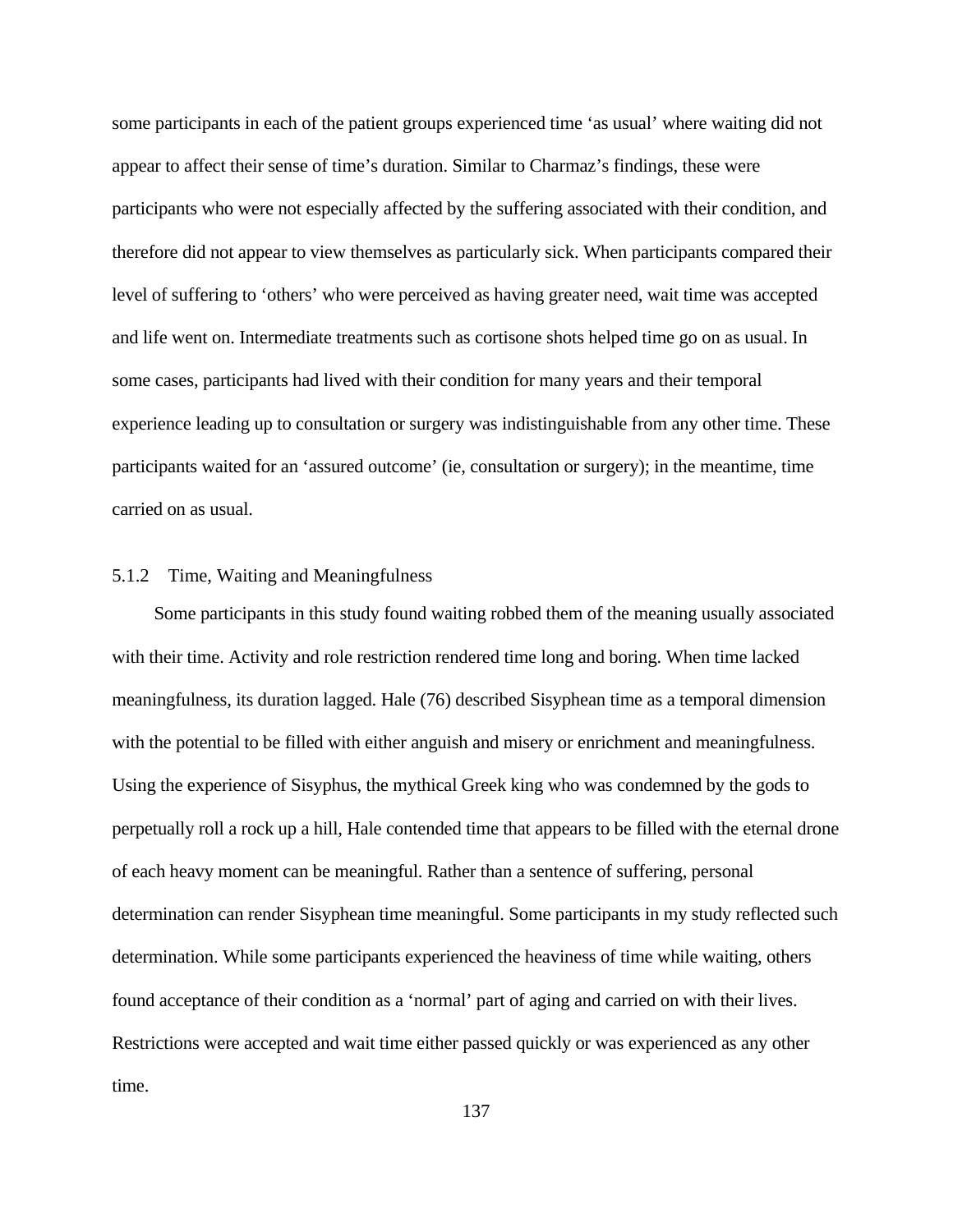some participants in each of the patient groups experienced time 'as usual' where waiting did not appear to affect their sense of time's duration. Similar to Charmaz's findings, these were participants who were not especially affected by the suffering associated with their condition, and therefore did not appear to view themselves as particularly sick. When participants compared their level of suffering to 'others' who were perceived as having greater need, wait time was accepted and life went on. Intermediate treatments such as cortisone shots helped time go on as usual. In some cases, participants had lived with their condition for many years and their temporal experience leading up to consultation or surgery was indistinguishable from any other time. These participants waited for an 'assured outcome' (ie, consultation or surgery); in the meantime, time carried on as usual.

## 5.1.2 Time, Waiting and Meaningfulness

Some participants in this study found waiting robbed them of the meaning usually associated with their time. Activity and role restriction rendered time long and boring. When time lacked meaningfulness, its duration lagged. Hale (76) described Sisyphean time as a temporal dimension with the potential to be filled with either anguish and misery or enrichment and meaningfulness. Using the experience of Sisyphus, the mythical Greek king who was condemned by the gods to perpetually roll a rock up a hill, Hale contended time that appears to be filled with the eternal drone of each heavy moment can be meaningful. Rather than a sentence of suffering, personal determination can render Sisyphean time meaningful. Some participants in my study reflected such determination. While some participants experienced the heaviness of time while waiting, others found acceptance of their condition as a 'normal' part of aging and carried on with their lives. Restrictions were accepted and wait time either passed quickly or was experienced as any other time.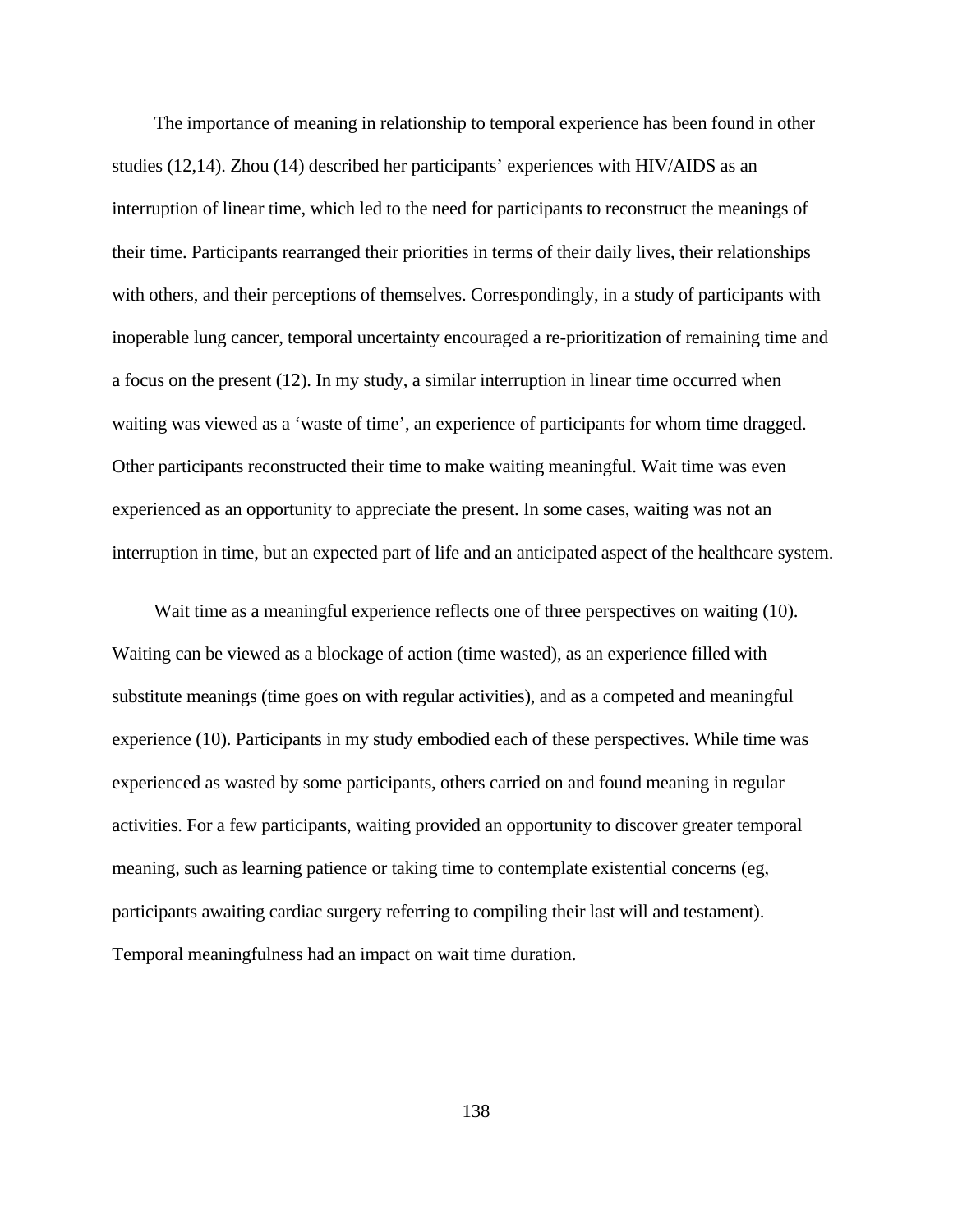The importance of meaning in relationship to temporal experience has been found in other studies (12,14). Zhou (14) described her participants' experiences with HIV/AIDS as an interruption of linear time, which led to the need for participants to reconstruct the meanings of their time. Participants rearranged their priorities in terms of their daily lives, their relationships with others, and their perceptions of themselves. Correspondingly, in a study of participants with inoperable lung cancer, temporal uncertainty encouraged a re-prioritization of remaining time and a focus on the present (12). In my study, a similar interruption in linear time occurred when waiting was viewed as a 'waste of time', an experience of participants for whom time dragged. Other participants reconstructed their time to make waiting meaningful. Wait time was even experienced as an opportunity to appreciate the present. In some cases, waiting was not an interruption in time, but an expected part of life and an anticipated aspect of the healthcare system.

Wait time as a meaningful experience reflects one of three perspectives on waiting (10). Waiting can be viewed as a blockage of action (time wasted), as an experience filled with substitute meanings (time goes on with regular activities), and as a competed and meaningful experience (10). Participants in my study embodied each of these perspectives. While time was experienced as wasted by some participants, others carried on and found meaning in regular activities. For a few participants, waiting provided an opportunity to discover greater temporal meaning, such as learning patience or taking time to contemplate existential concerns (eg, participants awaiting cardiac surgery referring to compiling their last will and testament). Temporal meaningfulness had an impact on wait time duration.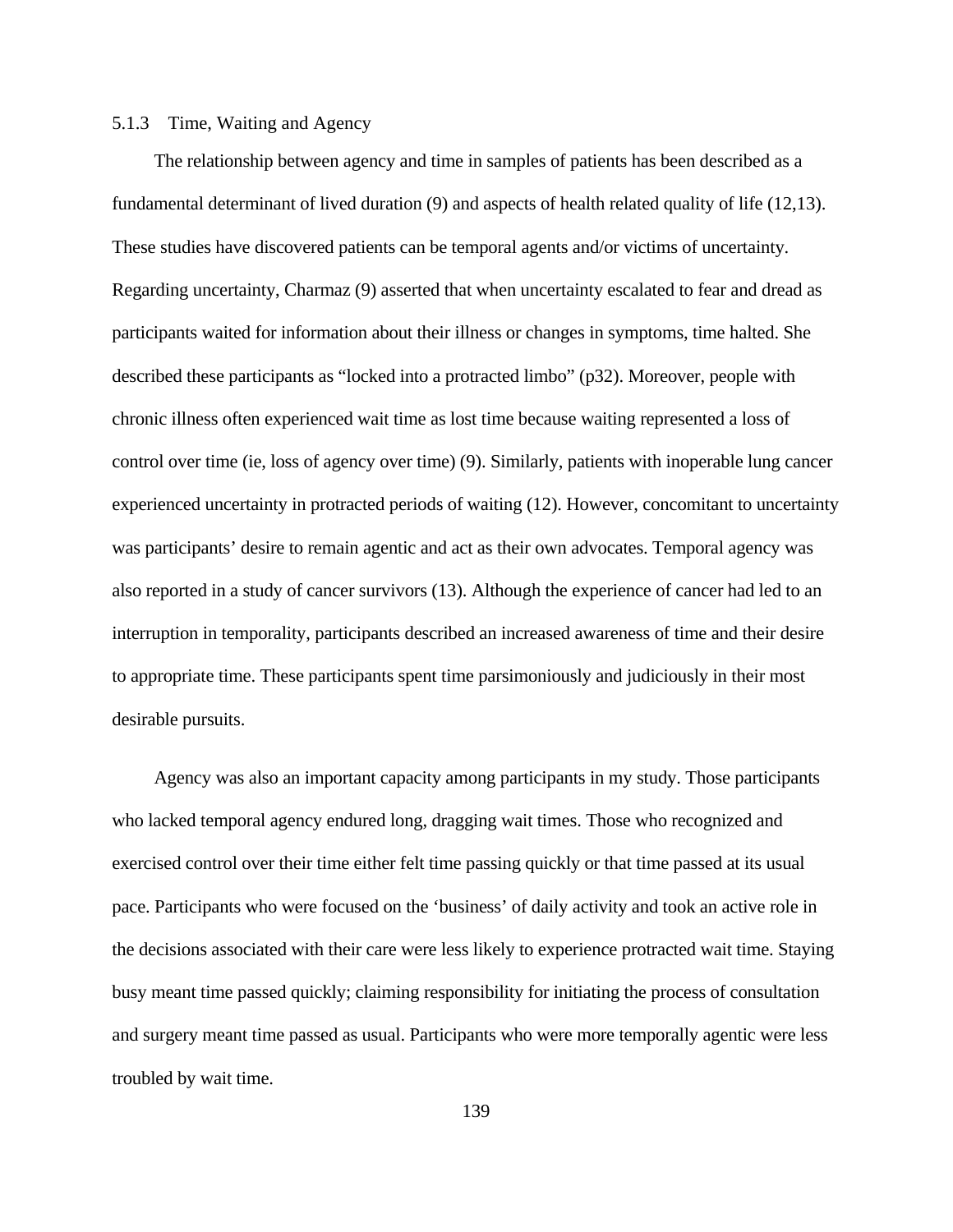## 5.1.3 Time, Waiting and Agency

The relationship between agency and time in samples of patients has been described as a fundamental determinant of lived duration (9) and aspects of health related quality of life (12,13). These studies have discovered patients can be temporal agents and/or victims of uncertainty. Regarding uncertainty, Charmaz (9) asserted that when uncertainty escalated to fear and dread as participants waited for information about their illness or changes in symptoms, time halted. She described these participants as "locked into a protracted limbo" (p32). Moreover, people with chronic illness often experienced wait time as lost time because waiting represented a loss of control over time (ie, loss of agency over time) (9). Similarly, patients with inoperable lung cancer experienced uncertainty in protracted periods of waiting (12). However, concomitant to uncertainty was participants' desire to remain agentic and act as their own advocates. Temporal agency was also reported in a study of cancer survivors (13). Although the experience of cancer had led to an interruption in temporality, participants described an increased awareness of time and their desire to appropriate time. These participants spent time parsimoniously and judiciously in their most desirable pursuits.

Agency was also an important capacity among participants in my study. Those participants who lacked temporal agency endured long, dragging wait times. Those who recognized and exercised control over their time either felt time passing quickly or that time passed at its usual pace. Participants who were focused on the 'business' of daily activity and took an active role in the decisions associated with their care were less likely to experience protracted wait time. Staying busy meant time passed quickly; claiming responsibility for initiating the process of consultation and surgery meant time passed as usual. Participants who were more temporally agentic were less troubled by wait time.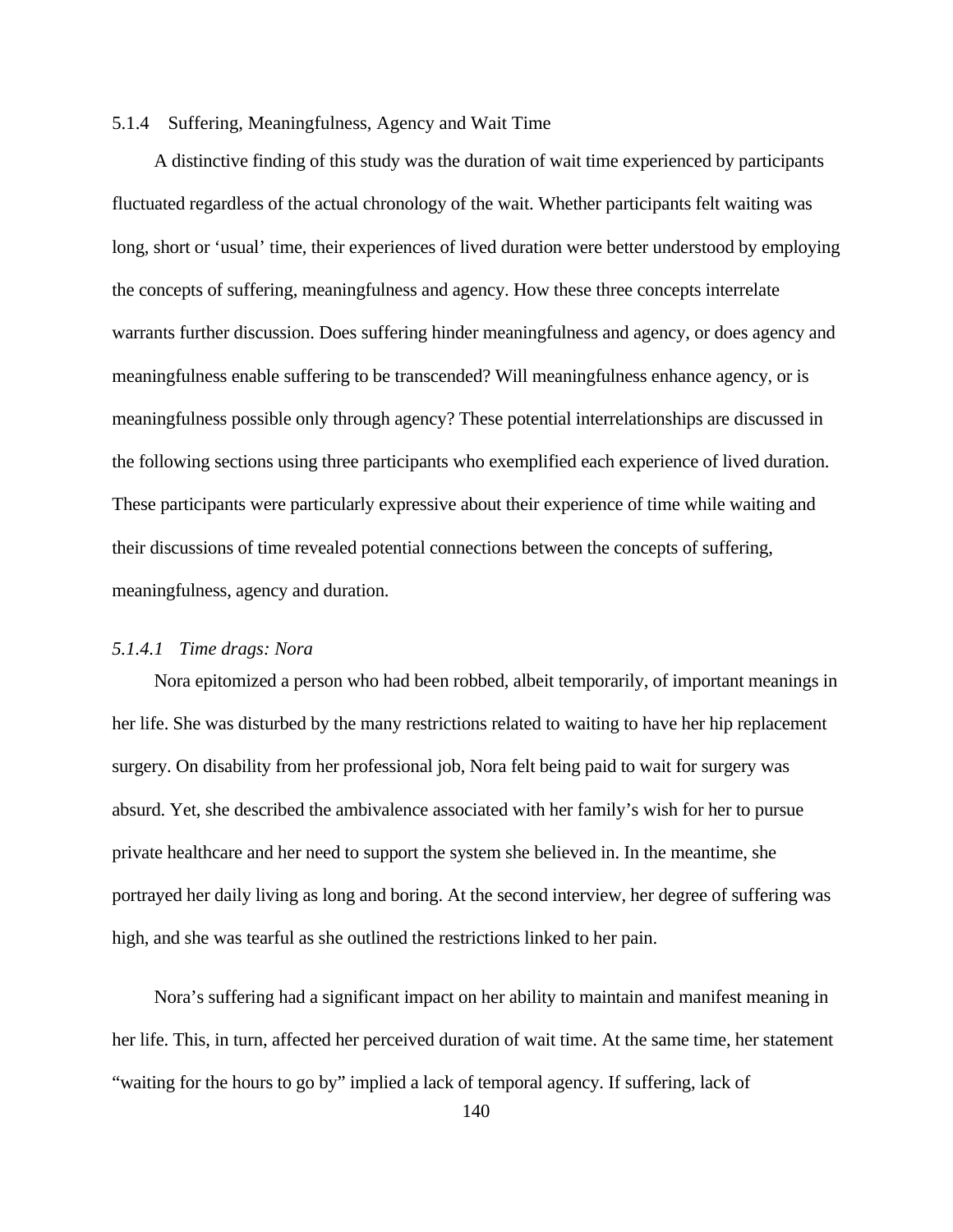### 5.1.4 Suffering, Meaningfulness, Agency and Wait Time

A distinctive finding of this study was the duration of wait time experienced by participants fluctuated regardless of the actual chronology of the wait. Whether participants felt waiting was long, short or 'usual' time, their experiences of lived duration were better understood by employing the concepts of suffering, meaningfulness and agency. How these three concepts interrelate warrants further discussion. Does suffering hinder meaningfulness and agency, or does agency and meaningfulness enable suffering to be transcended? Will meaningfulness enhance agency, or is meaningfulness possible only through agency? These potential interrelationships are discussed in the following sections using three participants who exemplified each experience of lived duration. These participants were particularly expressive about their experience of time while waiting and their discussions of time revealed potential connections between the concepts of suffering, meaningfulness, agency and duration.

### *5.1.4.1 Time drags: Nora*

Nora epitomized a person who had been robbed, albeit temporarily, of important meanings in her life. She was disturbed by the many restrictions related to waiting to have her hip replacement surgery. On disability from her professional job, Nora felt being paid to wait for surgery was absurd. Yet, she described the ambivalence associated with her family's wish for her to pursue private healthcare and her need to support the system she believed in. In the meantime, she portrayed her daily living as long and boring. At the second interview, her degree of suffering was high, and she was tearful as she outlined the restrictions linked to her pain.

Nora's suffering had a significant impact on her ability to maintain and manifest meaning in her life. This, in turn, affected her perceived duration of wait time. At the same time, her statement "waiting for the hours to go by" implied a lack of temporal agency. If suffering, lack of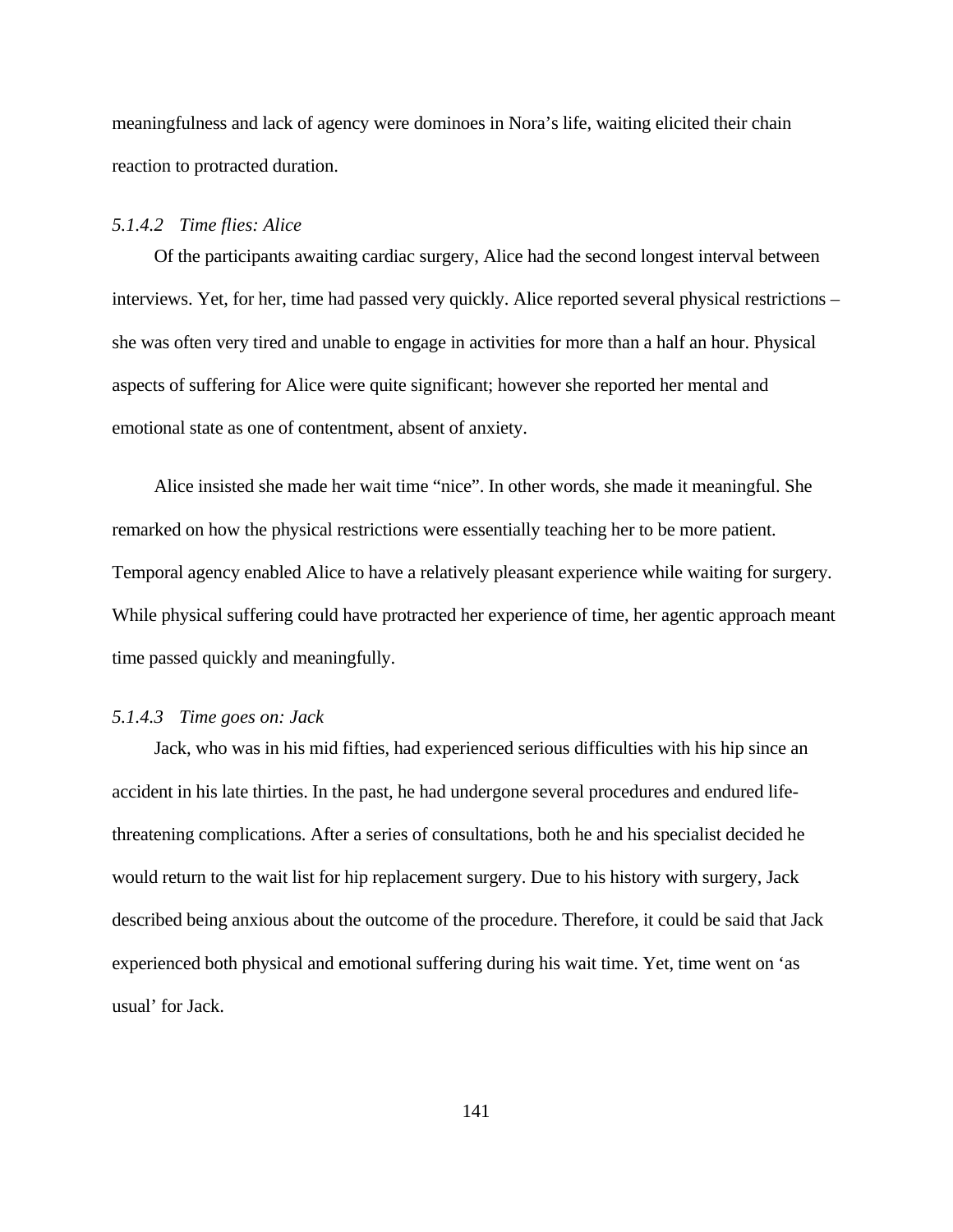meaningfulness and lack of agency were dominoes in Nora's life, waiting elicited their chain reaction to protracted duration.

#### *5.1.4.2 Time flies: Alice*

Of the participants awaiting cardiac surgery, Alice had the second longest interval between interviews. Yet, for her, time had passed very quickly. Alice reported several physical restrictions – she was often very tired and unable to engage in activities for more than a half an hour. Physical aspects of suffering for Alice were quite significant; however she reported her mental and emotional state as one of contentment, absent of anxiety.

Alice insisted she made her wait time "nice". In other words, she made it meaningful. She remarked on how the physical restrictions were essentially teaching her to be more patient. Temporal agency enabled Alice to have a relatively pleasant experience while waiting for surgery. While physical suffering could have protracted her experience of time, her agentic approach meant time passed quickly and meaningfully.

### *5.1.4.3 Time goes on: Jack*

Jack, who was in his mid fifties, had experienced serious difficulties with his hip since an accident in his late thirties. In the past, he had undergone several procedures and endured lifethreatening complications. After a series of consultations, both he and his specialist decided he would return to the wait list for hip replacement surgery. Due to his history with surgery, Jack described being anxious about the outcome of the procedure. Therefore, it could be said that Jack experienced both physical and emotional suffering during his wait time. Yet, time went on 'as usual' for Jack.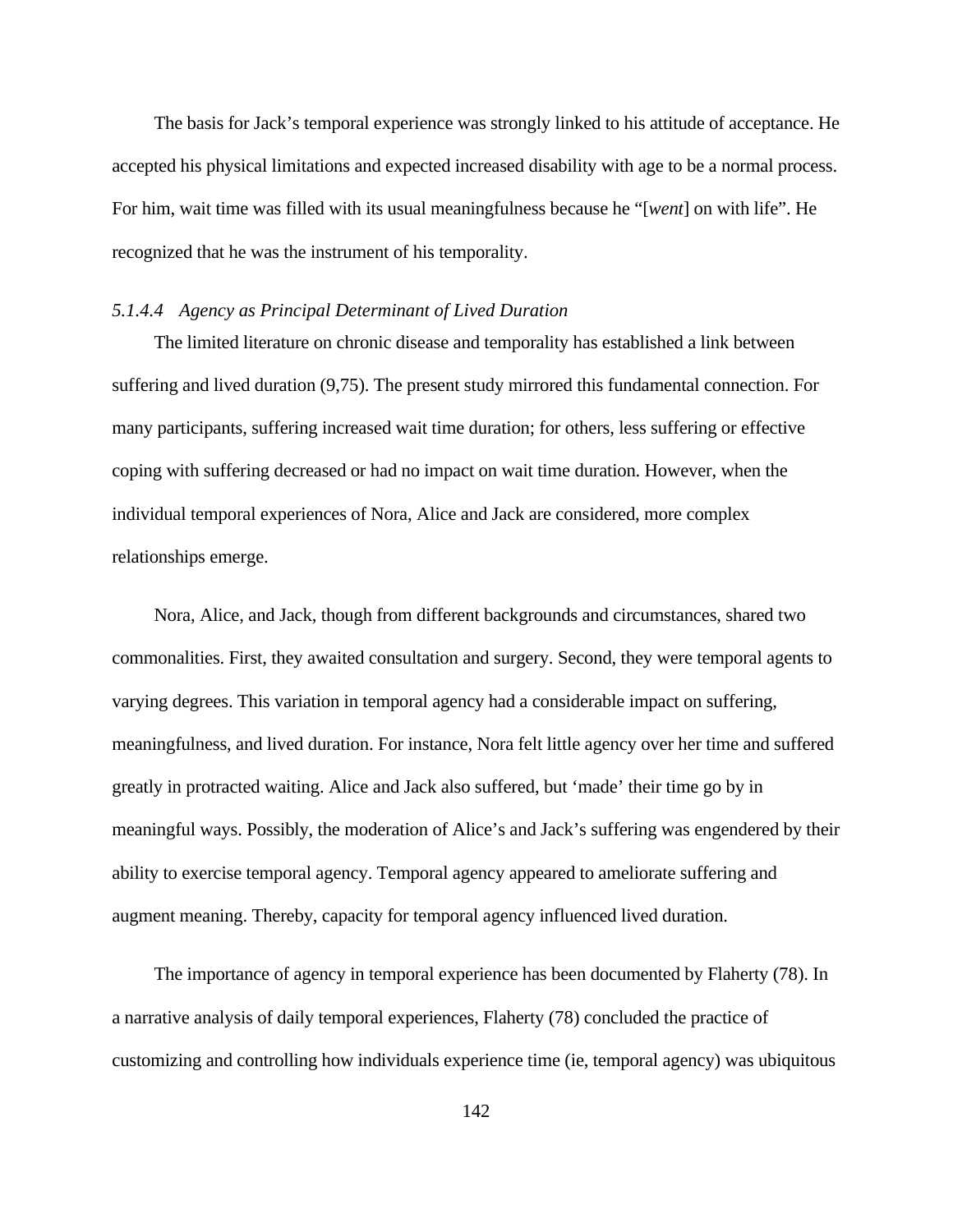The basis for Jack's temporal experience was strongly linked to his attitude of acceptance. He accepted his physical limitations and expected increased disability with age to be a normal process. For him, wait time was filled with its usual meaningfulness because he "[*went*] on with life". He recognized that he was the instrument of his temporality.

#### *5.1.4.4 Agency as Principal Determinant of Lived Duration*

The limited literature on chronic disease and temporality has established a link between suffering and lived duration (9,75). The present study mirrored this fundamental connection. For many participants, suffering increased wait time duration; for others, less suffering or effective coping with suffering decreased or had no impact on wait time duration. However, when the individual temporal experiences of Nora, Alice and Jack are considered, more complex relationships emerge.

Nora, Alice, and Jack, though from different backgrounds and circumstances, shared two commonalities. First, they awaited consultation and surgery. Second, they were temporal agents to varying degrees. This variation in temporal agency had a considerable impact on suffering, meaningfulness, and lived duration. For instance, Nora felt little agency over her time and suffered greatly in protracted waiting. Alice and Jack also suffered, but 'made' their time go by in meaningful ways. Possibly, the moderation of Alice's and Jack's suffering was engendered by their ability to exercise temporal agency. Temporal agency appeared to ameliorate suffering and augment meaning. Thereby, capacity for temporal agency influenced lived duration.

The importance of agency in temporal experience has been documented by Flaherty (78). In a narrative analysis of daily temporal experiences, Flaherty (78) concluded the practice of customizing and controlling how individuals experience time (ie, temporal agency) was ubiquitous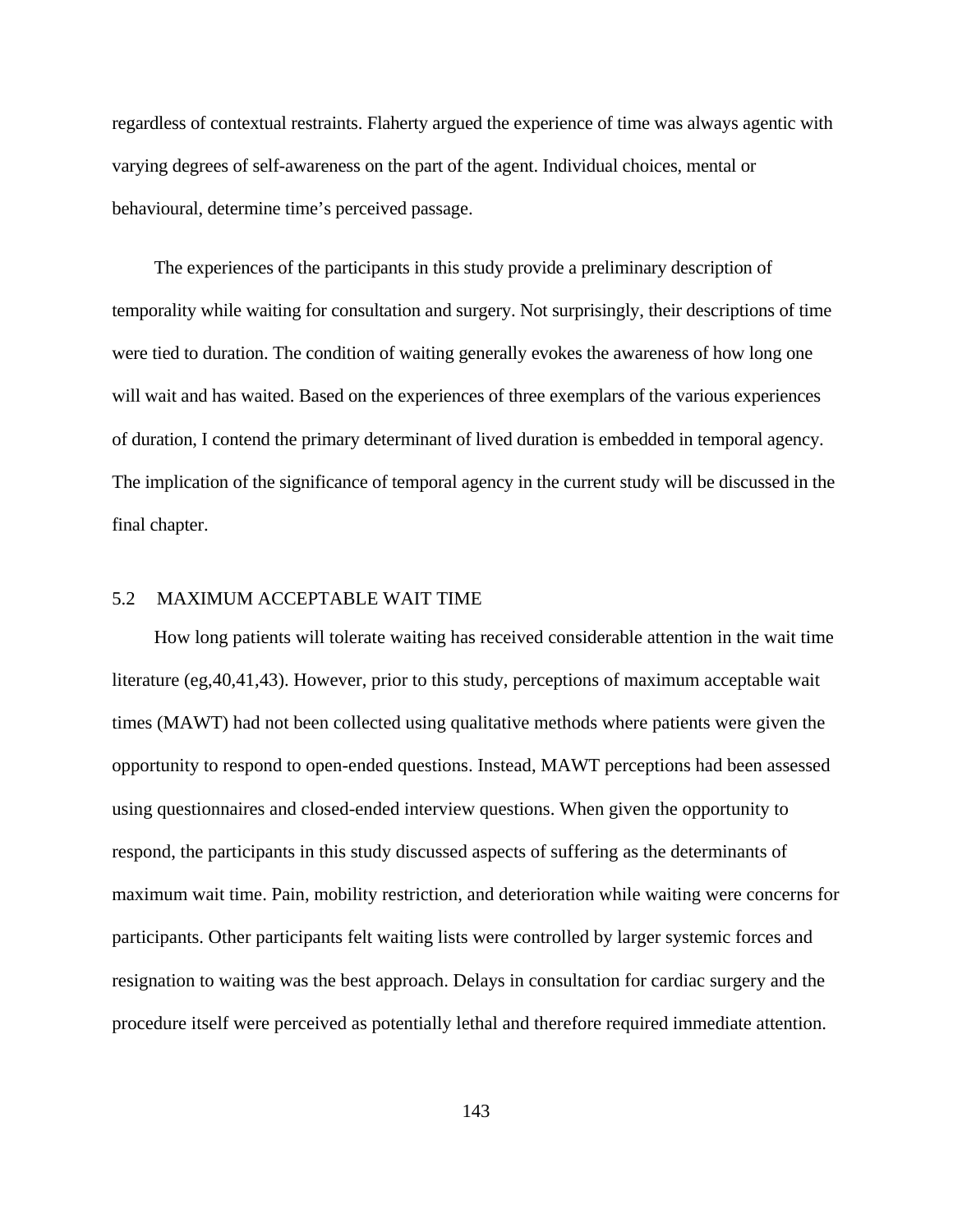regardless of contextual restraints. Flaherty argued the experience of time was always agentic with varying degrees of self-awareness on the part of the agent. Individual choices, mental or behavioural, determine time's perceived passage.

The experiences of the participants in this study provide a preliminary description of temporality while waiting for consultation and surgery. Not surprisingly, their descriptions of time were tied to duration. The condition of waiting generally evokes the awareness of how long one will wait and has waited. Based on the experiences of three exemplars of the various experiences of duration, I contend the primary determinant of lived duration is embedded in temporal agency. The implication of the significance of temporal agency in the current study will be discussed in the final chapter.

# 5.2 MAXIMUM ACCEPTABLE WAIT TIME

How long patients will tolerate waiting has received considerable attention in the wait time literature (eg,40,41,43). However, prior to this study, perceptions of maximum acceptable wait times (MAWT) had not been collected using qualitative methods where patients were given the opportunity to respond to open-ended questions. Instead, MAWT perceptions had been assessed using questionnaires and closed-ended interview questions. When given the opportunity to respond, the participants in this study discussed aspects of suffering as the determinants of maximum wait time. Pain, mobility restriction, and deterioration while waiting were concerns for participants. Other participants felt waiting lists were controlled by larger systemic forces and resignation to waiting was the best approach. Delays in consultation for cardiac surgery and the procedure itself were perceived as potentially lethal and therefore required immediate attention.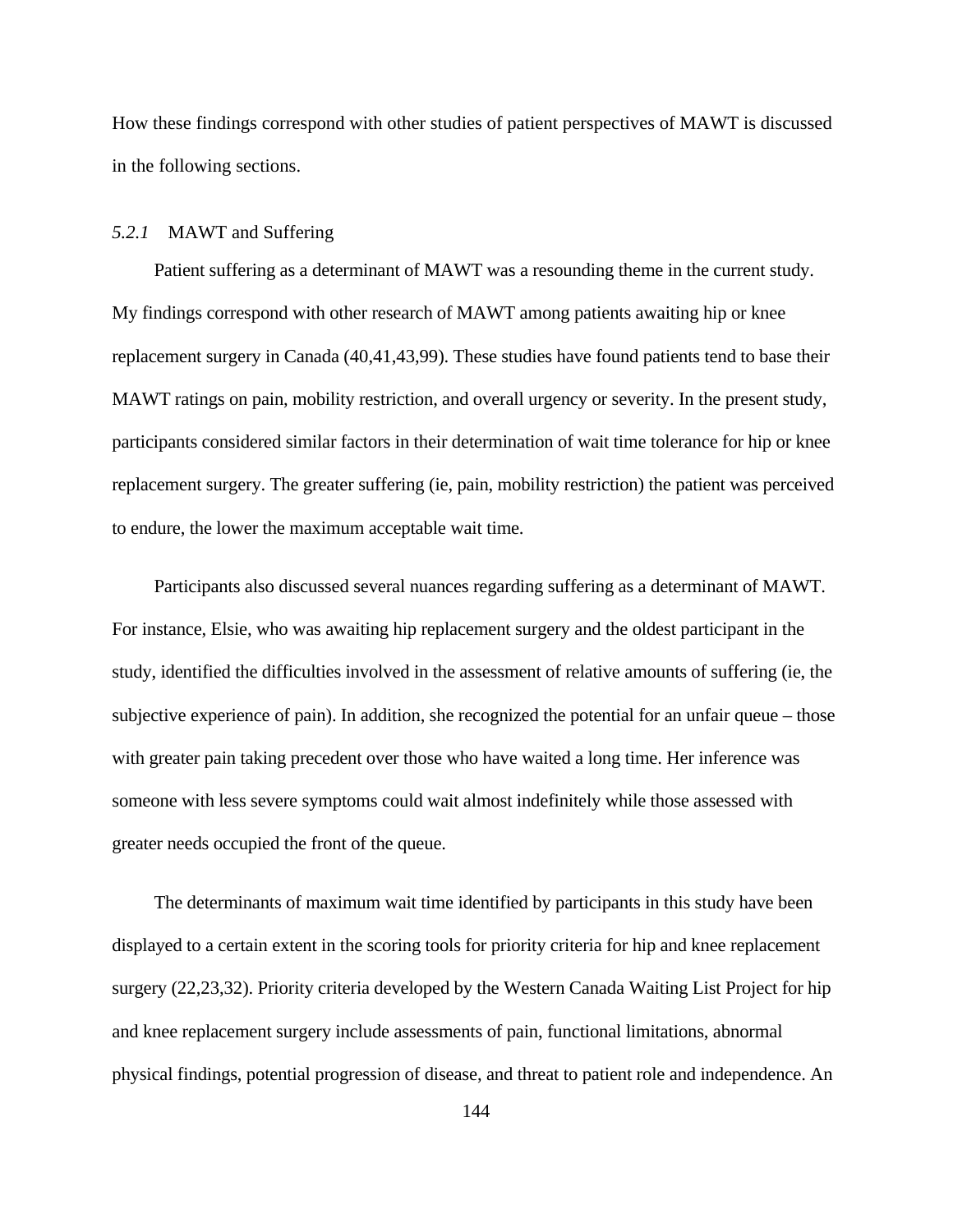How these findings correspond with other studies of patient perspectives of MAWT is discussed in the following sections.

## *5.2.1* MAWT and Suffering

Patient suffering as a determinant of MAWT was a resounding theme in the current study. My findings correspond with other research of MAWT among patients awaiting hip or knee replacement surgery in Canada (40,41,43,99). These studies have found patients tend to base their MAWT ratings on pain, mobility restriction, and overall urgency or severity. In the present study, participants considered similar factors in their determination of wait time tolerance for hip or knee replacement surgery. The greater suffering (ie, pain, mobility restriction) the patient was perceived to endure, the lower the maximum acceptable wait time.

Participants also discussed several nuances regarding suffering as a determinant of MAWT. For instance, Elsie, who was awaiting hip replacement surgery and the oldest participant in the study, identified the difficulties involved in the assessment of relative amounts of suffering (ie, the subjective experience of pain). In addition, she recognized the potential for an unfair queue – those with greater pain taking precedent over those who have waited a long time. Her inference was someone with less severe symptoms could wait almost indefinitely while those assessed with greater needs occupied the front of the queue.

The determinants of maximum wait time identified by participants in this study have been displayed to a certain extent in the scoring tools for priority criteria for hip and knee replacement surgery (22,23,32). Priority criteria developed by the Western Canada Waiting List Project for hip and knee replacement surgery include assessments of pain, functional limitations, abnormal physical findings, potential progression of disease, and threat to patient role and independence. An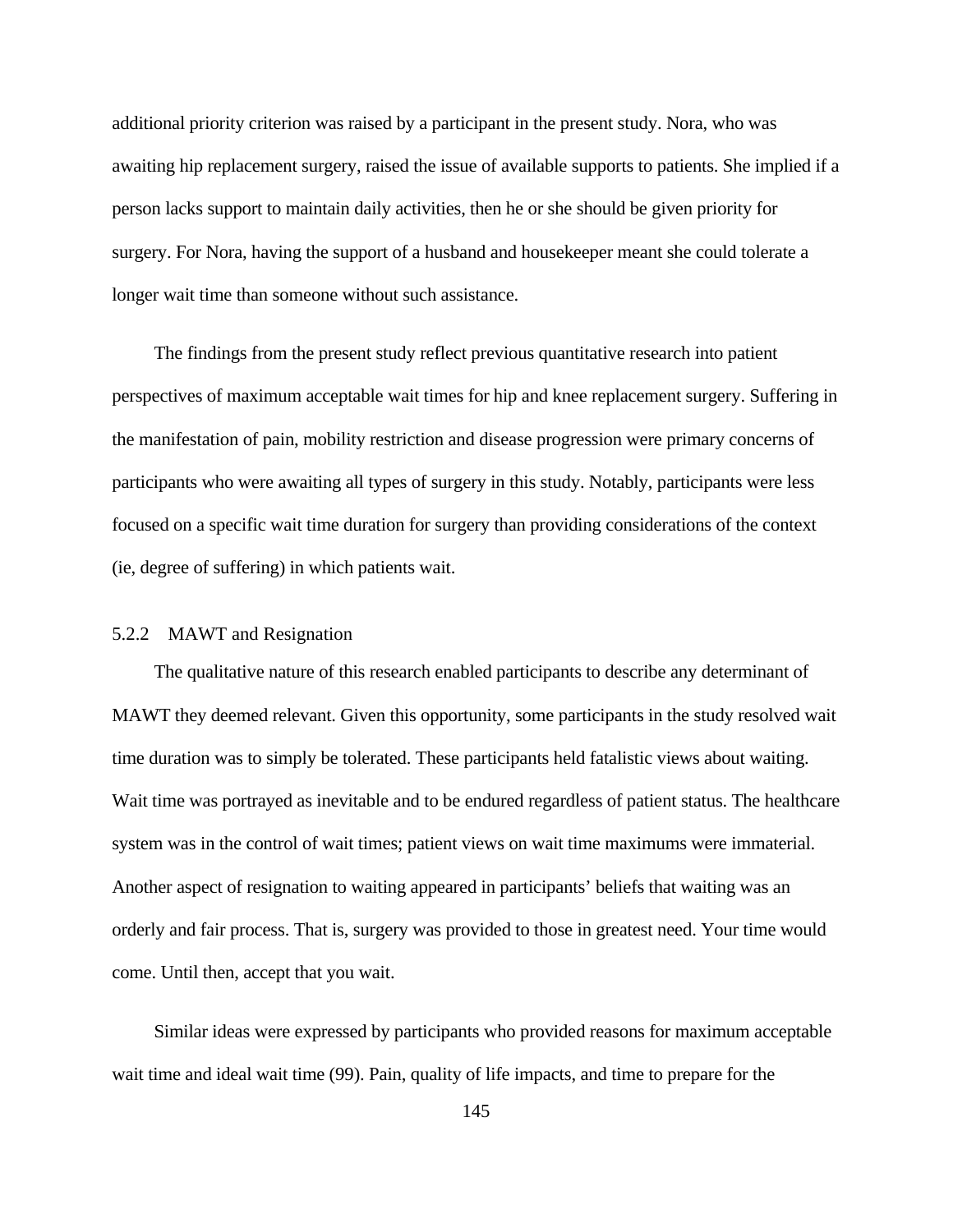additional priority criterion was raised by a participant in the present study. Nora, who was awaiting hip replacement surgery, raised the issue of available supports to patients. She implied if a person lacks support to maintain daily activities, then he or she should be given priority for surgery. For Nora, having the support of a husband and housekeeper meant she could tolerate a longer wait time than someone without such assistance.

The findings from the present study reflect previous quantitative research into patient perspectives of maximum acceptable wait times for hip and knee replacement surgery. Suffering in the manifestation of pain, mobility restriction and disease progression were primary concerns of participants who were awaiting all types of surgery in this study. Notably, participants were less focused on a specific wait time duration for surgery than providing considerations of the context (ie, degree of suffering) in which patients wait.

### 5.2.2 MAWT and Resignation

The qualitative nature of this research enabled participants to describe any determinant of MAWT they deemed relevant. Given this opportunity, some participants in the study resolved wait time duration was to simply be tolerated. These participants held fatalistic views about waiting. Wait time was portrayed as inevitable and to be endured regardless of patient status. The healthcare system was in the control of wait times; patient views on wait time maximums were immaterial. Another aspect of resignation to waiting appeared in participants' beliefs that waiting was an orderly and fair process. That is, surgery was provided to those in greatest need. Your time would come. Until then, accept that you wait.

Similar ideas were expressed by participants who provided reasons for maximum acceptable wait time and ideal wait time (99). Pain, quality of life impacts, and time to prepare for the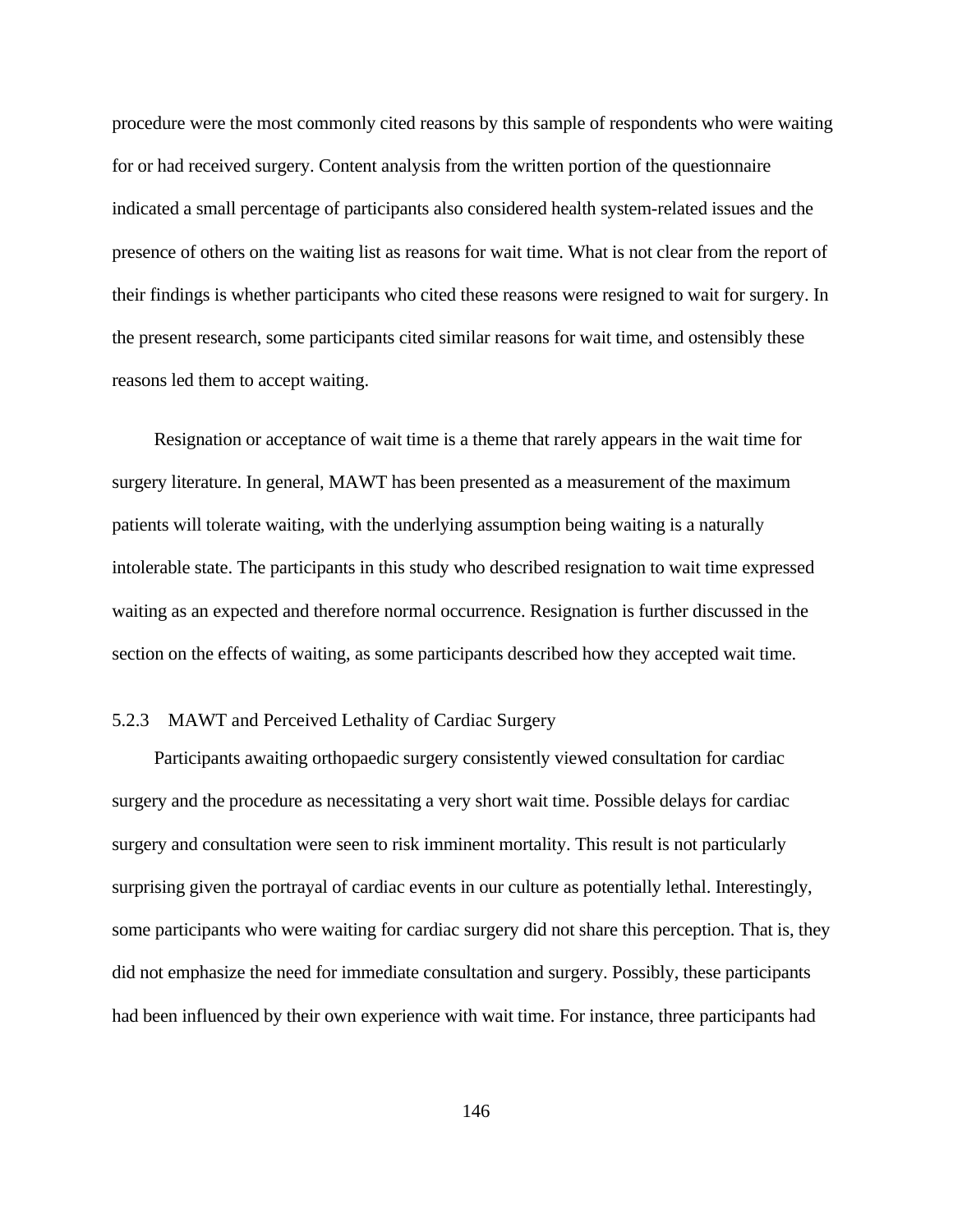procedure were the most commonly cited reasons by this sample of respondents who were waiting for or had received surgery. Content analysis from the written portion of the questionnaire indicated a small percentage of participants also considered health system-related issues and the presence of others on the waiting list as reasons for wait time. What is not clear from the report of their findings is whether participants who cited these reasons were resigned to wait for surgery. In the present research, some participants cited similar reasons for wait time, and ostensibly these reasons led them to accept waiting.

Resignation or acceptance of wait time is a theme that rarely appears in the wait time for surgery literature. In general, MAWT has been presented as a measurement of the maximum patients will tolerate waiting, with the underlying assumption being waiting is a naturally intolerable state. The participants in this study who described resignation to wait time expressed waiting as an expected and therefore normal occurrence. Resignation is further discussed in the section on the effects of waiting, as some participants described how they accepted wait time.

# 5.2.3 MAWT and Perceived Lethality of Cardiac Surgery

Participants awaiting orthopaedic surgery consistently viewed consultation for cardiac surgery and the procedure as necessitating a very short wait time. Possible delays for cardiac surgery and consultation were seen to risk imminent mortality. This result is not particularly surprising given the portrayal of cardiac events in our culture as potentially lethal. Interestingly, some participants who were waiting for cardiac surgery did not share this perception. That is, they did not emphasize the need for immediate consultation and surgery. Possibly, these participants had been influenced by their own experience with wait time. For instance, three participants had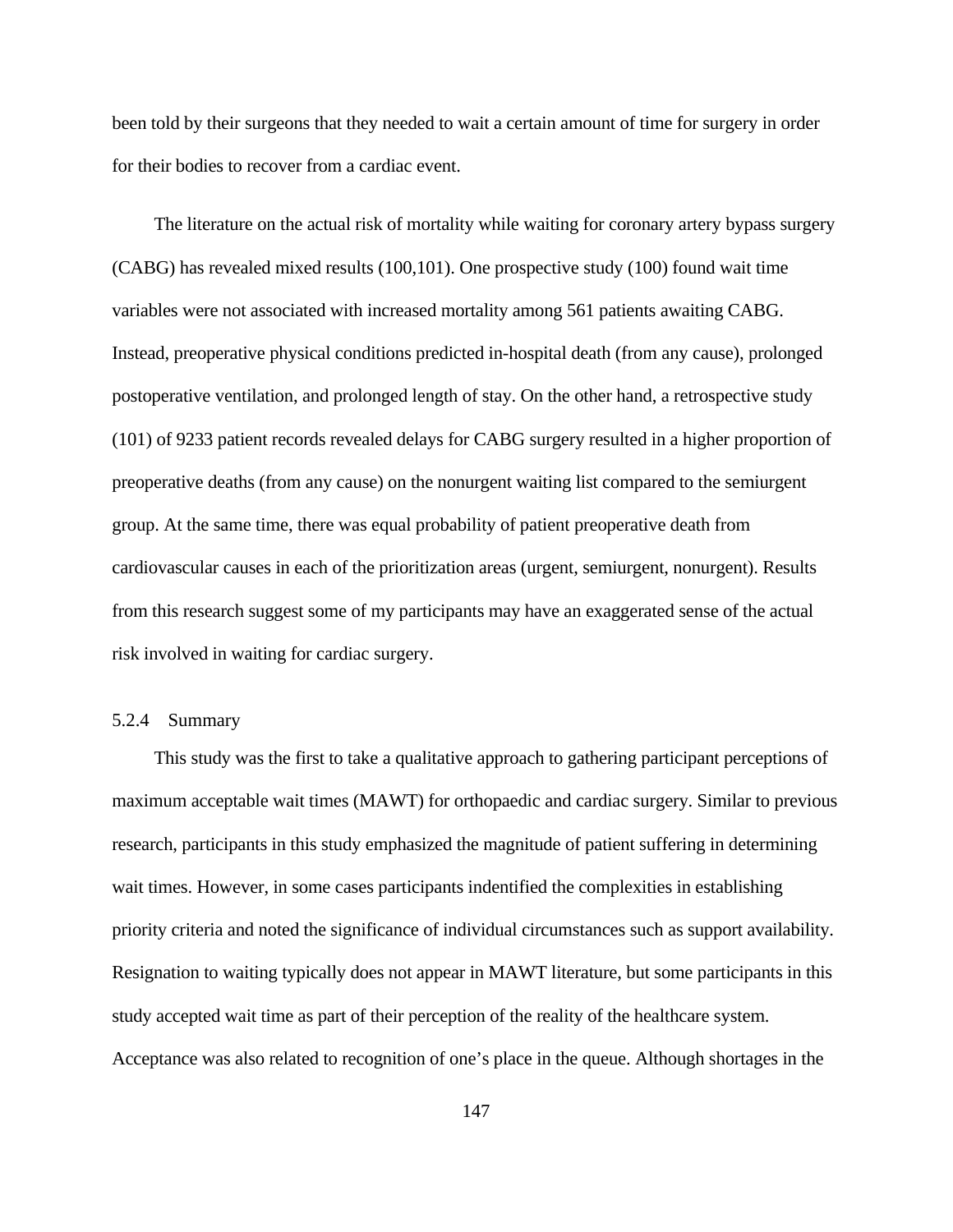been told by their surgeons that they needed to wait a certain amount of time for surgery in order for their bodies to recover from a cardiac event.

The literature on the actual risk of mortality while waiting for coronary artery bypass surgery (CABG) has revealed mixed results (100,101). One prospective study (100) found wait time variables were not associated with increased mortality among 561 patients awaiting CABG. Instead, preoperative physical conditions predicted in-hospital death (from any cause), prolonged postoperative ventilation, and prolonged length of stay. On the other hand, a retrospective study (101) of 9233 patient records revealed delays for CABG surgery resulted in a higher proportion of preoperative deaths (from any cause) on the nonurgent waiting list compared to the semiurgent group. At the same time, there was equal probability of patient preoperative death from cardiovascular causes in each of the prioritization areas (urgent, semiurgent, nonurgent). Results from this research suggest some of my participants may have an exaggerated sense of the actual risk involved in waiting for cardiac surgery.

## 5.2.4 Summary

This study was the first to take a qualitative approach to gathering participant perceptions of maximum acceptable wait times (MAWT) for orthopaedic and cardiac surgery. Similar to previous research, participants in this study emphasized the magnitude of patient suffering in determining wait times. However, in some cases participants indentified the complexities in establishing priority criteria and noted the significance of individual circumstances such as support availability. Resignation to waiting typically does not appear in MAWT literature, but some participants in this study accepted wait time as part of their perception of the reality of the healthcare system. Acceptance was also related to recognition of one's place in the queue. Although shortages in the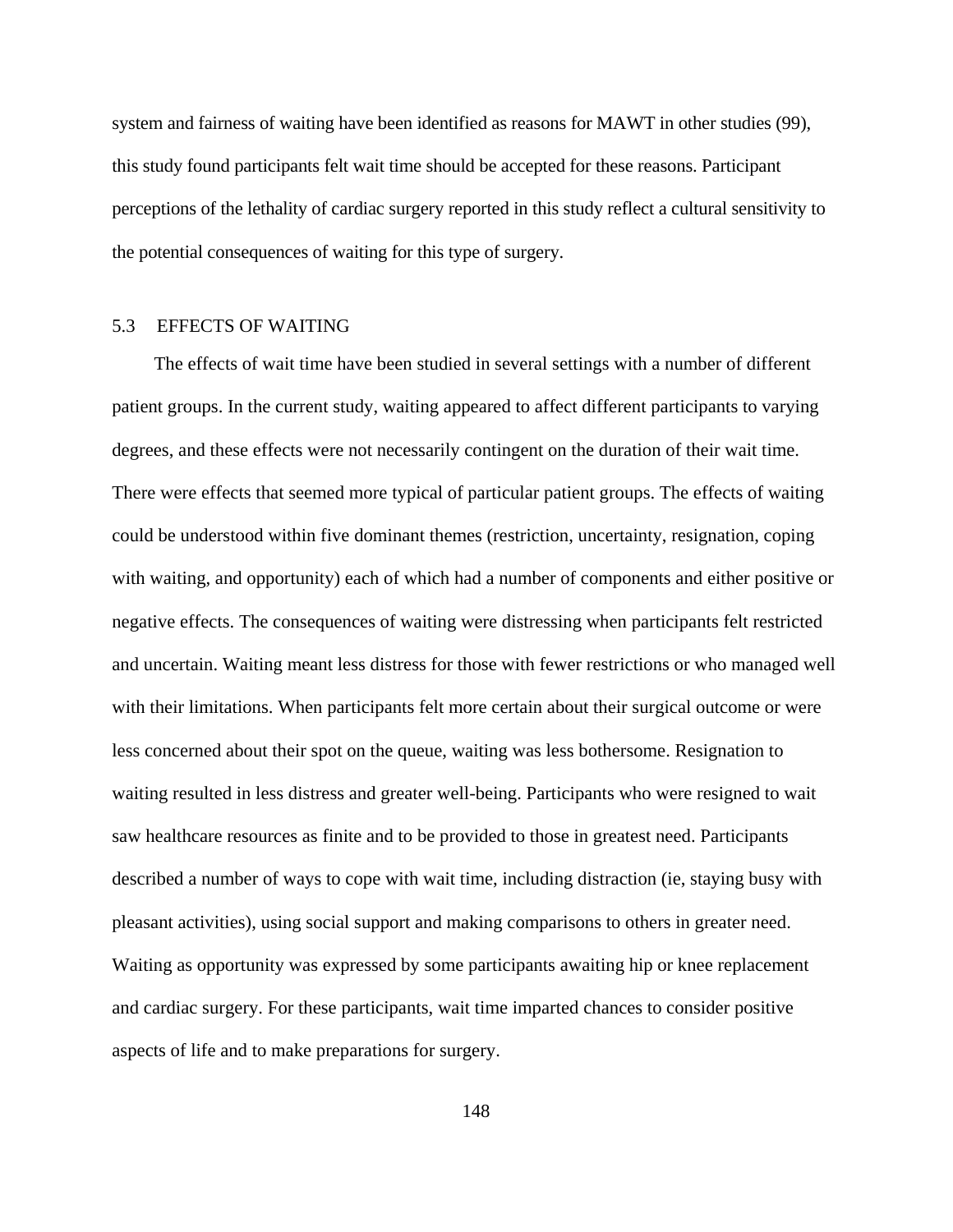system and fairness of waiting have been identified as reasons for MAWT in other studies (99), this study found participants felt wait time should be accepted for these reasons. Participant perceptions of the lethality of cardiac surgery reported in this study reflect a cultural sensitivity to the potential consequences of waiting for this type of surgery.

# 5.3 EFFECTS OF WAITING

The effects of wait time have been studied in several settings with a number of different patient groups. In the current study, waiting appeared to affect different participants to varying degrees, and these effects were not necessarily contingent on the duration of their wait time. There were effects that seemed more typical of particular patient groups. The effects of waiting could be understood within five dominant themes (restriction, uncertainty, resignation, coping with waiting, and opportunity) each of which had a number of components and either positive or negative effects. The consequences of waiting were distressing when participants felt restricted and uncertain. Waiting meant less distress for those with fewer restrictions or who managed well with their limitations. When participants felt more certain about their surgical outcome or were less concerned about their spot on the queue, waiting was less bothersome. Resignation to waiting resulted in less distress and greater well-being. Participants who were resigned to wait saw healthcare resources as finite and to be provided to those in greatest need. Participants described a number of ways to cope with wait time, including distraction (ie, staying busy with pleasant activities), using social support and making comparisons to others in greater need. Waiting as opportunity was expressed by some participants awaiting hip or knee replacement and cardiac surgery. For these participants, wait time imparted chances to consider positive aspects of life and to make preparations for surgery.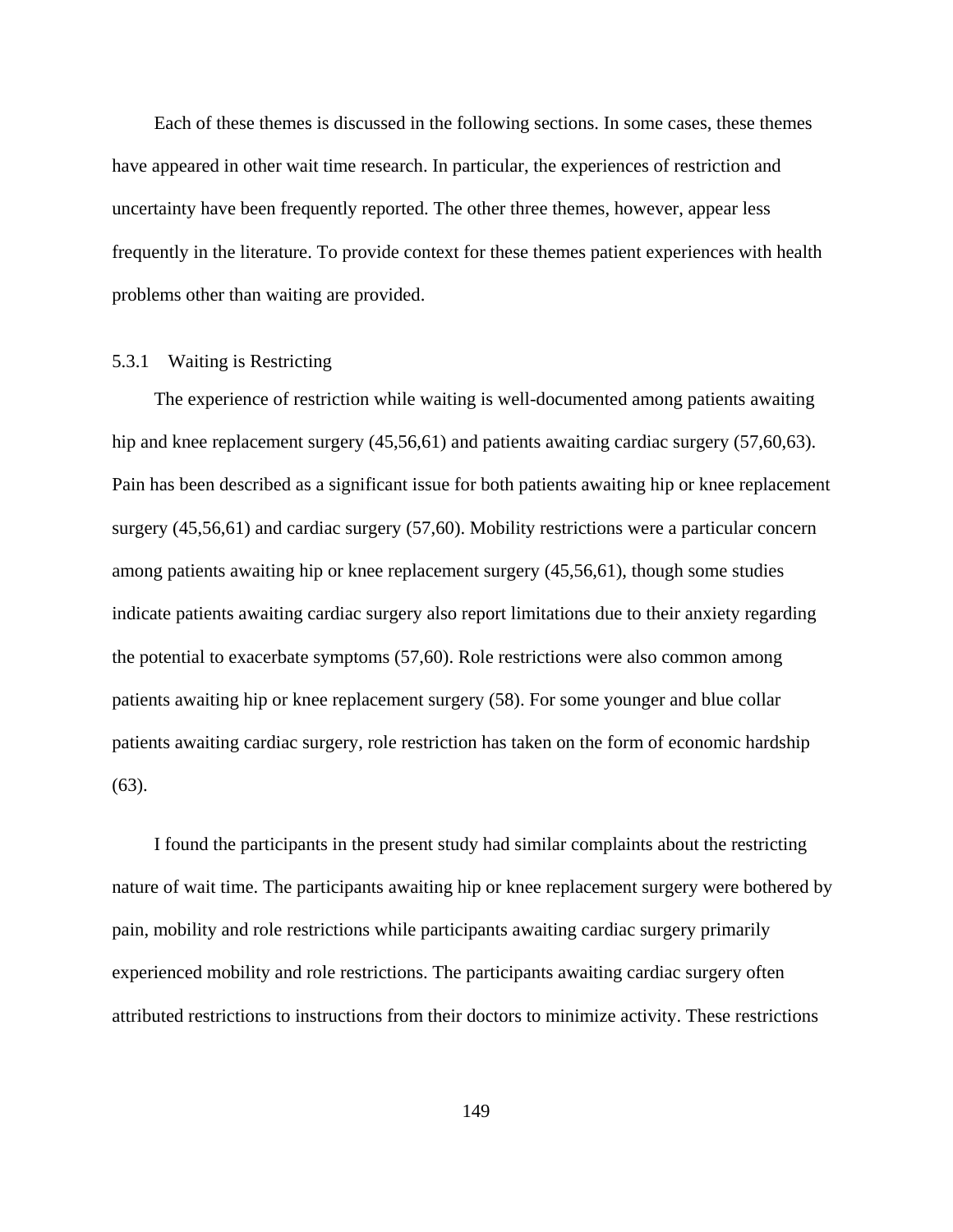Each of these themes is discussed in the following sections. In some cases, these themes have appeared in other wait time research. In particular, the experiences of restriction and uncertainty have been frequently reported. The other three themes, however, appear less frequently in the literature. To provide context for these themes patient experiences with health problems other than waiting are provided.

#### 5.3.1 Waiting is Restricting

The experience of restriction while waiting is well-documented among patients awaiting hip and knee replacement surgery (45,56,61) and patients awaiting cardiac surgery (57,60,63). Pain has been described as a significant issue for both patients awaiting hip or knee replacement surgery (45,56,61) and cardiac surgery (57,60). Mobility restrictions were a particular concern among patients awaiting hip or knee replacement surgery (45,56,61), though some studies indicate patients awaiting cardiac surgery also report limitations due to their anxiety regarding the potential to exacerbate symptoms (57,60). Role restrictions were also common among patients awaiting hip or knee replacement surgery (58). For some younger and blue collar patients awaiting cardiac surgery, role restriction has taken on the form of economic hardship (63).

I found the participants in the present study had similar complaints about the restricting nature of wait time. The participants awaiting hip or knee replacement surgery were bothered by pain, mobility and role restrictions while participants awaiting cardiac surgery primarily experienced mobility and role restrictions. The participants awaiting cardiac surgery often attributed restrictions to instructions from their doctors to minimize activity. These restrictions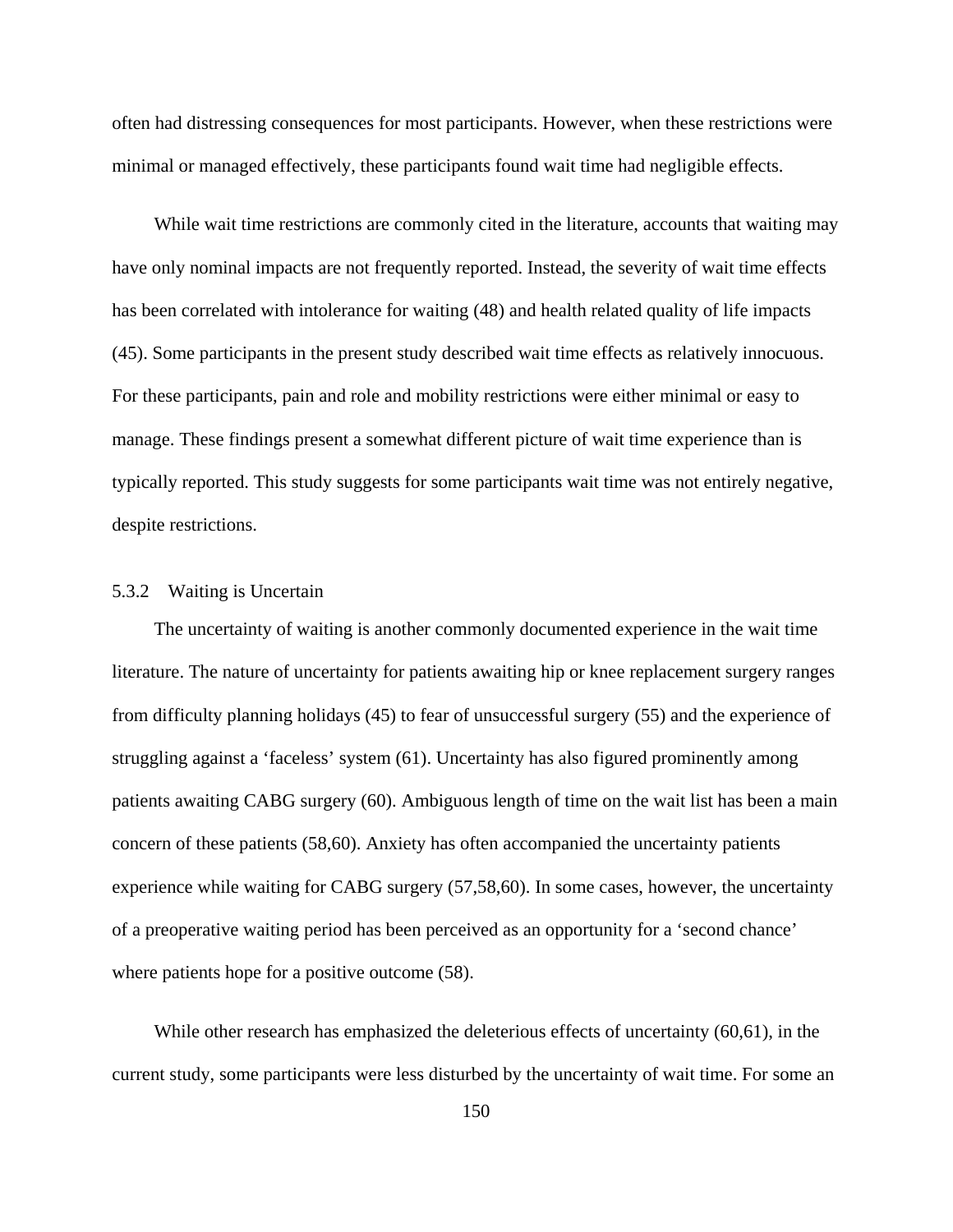often had distressing consequences for most participants. However, when these restrictions were minimal or managed effectively, these participants found wait time had negligible effects.

While wait time restrictions are commonly cited in the literature, accounts that waiting may have only nominal impacts are not frequently reported. Instead, the severity of wait time effects has been correlated with intolerance for waiting (48) and health related quality of life impacts (45). Some participants in the present study described wait time effects as relatively innocuous. For these participants, pain and role and mobility restrictions were either minimal or easy to manage. These findings present a somewhat different picture of wait time experience than is typically reported. This study suggests for some participants wait time was not entirely negative, despite restrictions.

# 5.3.2 Waiting is Uncertain

The uncertainty of waiting is another commonly documented experience in the wait time literature. The nature of uncertainty for patients awaiting hip or knee replacement surgery ranges from difficulty planning holidays (45) to fear of unsuccessful surgery (55) and the experience of struggling against a 'faceless' system (61). Uncertainty has also figured prominently among patients awaiting CABG surgery (60). Ambiguous length of time on the wait list has been a main concern of these patients (58,60). Anxiety has often accompanied the uncertainty patients experience while waiting for CABG surgery (57,58,60). In some cases, however, the uncertainty of a preoperative waiting period has been perceived as an opportunity for a 'second chance' where patients hope for a positive outcome (58).

While other research has emphasized the deleterious effects of uncertainty (60,61), in the current study, some participants were less disturbed by the uncertainty of wait time. For some an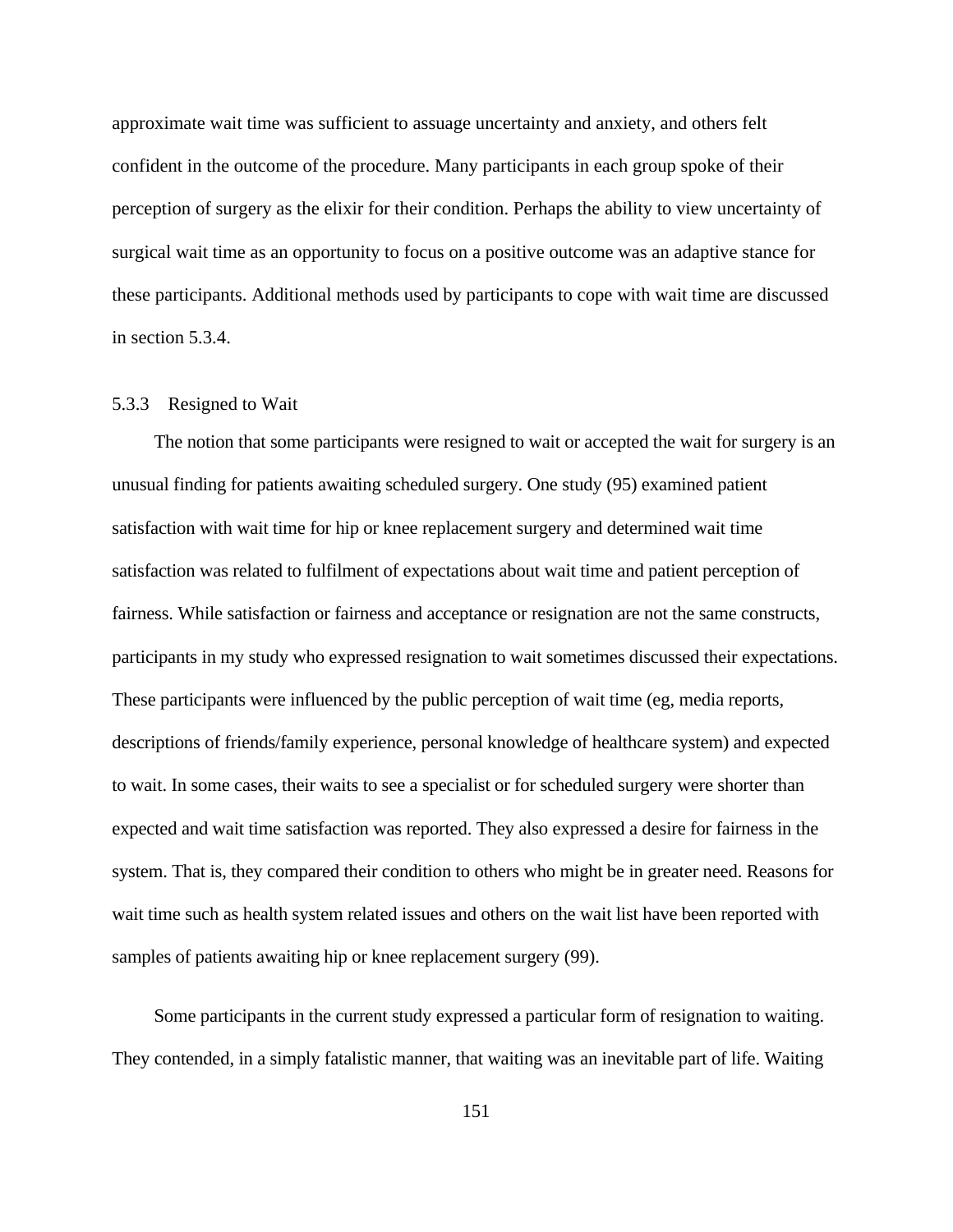approximate wait time was sufficient to assuage uncertainty and anxiety, and others felt confident in the outcome of the procedure. Many participants in each group spoke of their perception of surgery as the elixir for their condition. Perhaps the ability to view uncertainty of surgical wait time as an opportunity to focus on a positive outcome was an adaptive stance for these participants. Additional methods used by participants to cope with wait time are discussed in section 5.3.4.

### 5.3.3 Resigned to Wait

The notion that some participants were resigned to wait or accepted the wait for surgery is an unusual finding for patients awaiting scheduled surgery. One study (95) examined patient satisfaction with wait time for hip or knee replacement surgery and determined wait time satisfaction was related to fulfilment of expectations about wait time and patient perception of fairness. While satisfaction or fairness and acceptance or resignation are not the same constructs, participants in my study who expressed resignation to wait sometimes discussed their expectations. These participants were influenced by the public perception of wait time (eg, media reports, descriptions of friends/family experience, personal knowledge of healthcare system) and expected to wait. In some cases, their waits to see a specialist or for scheduled surgery were shorter than expected and wait time satisfaction was reported. They also expressed a desire for fairness in the system. That is, they compared their condition to others who might be in greater need. Reasons for wait time such as health system related issues and others on the wait list have been reported with samples of patients awaiting hip or knee replacement surgery (99).

Some participants in the current study expressed a particular form of resignation to waiting. They contended, in a simply fatalistic manner, that waiting was an inevitable part of life. Waiting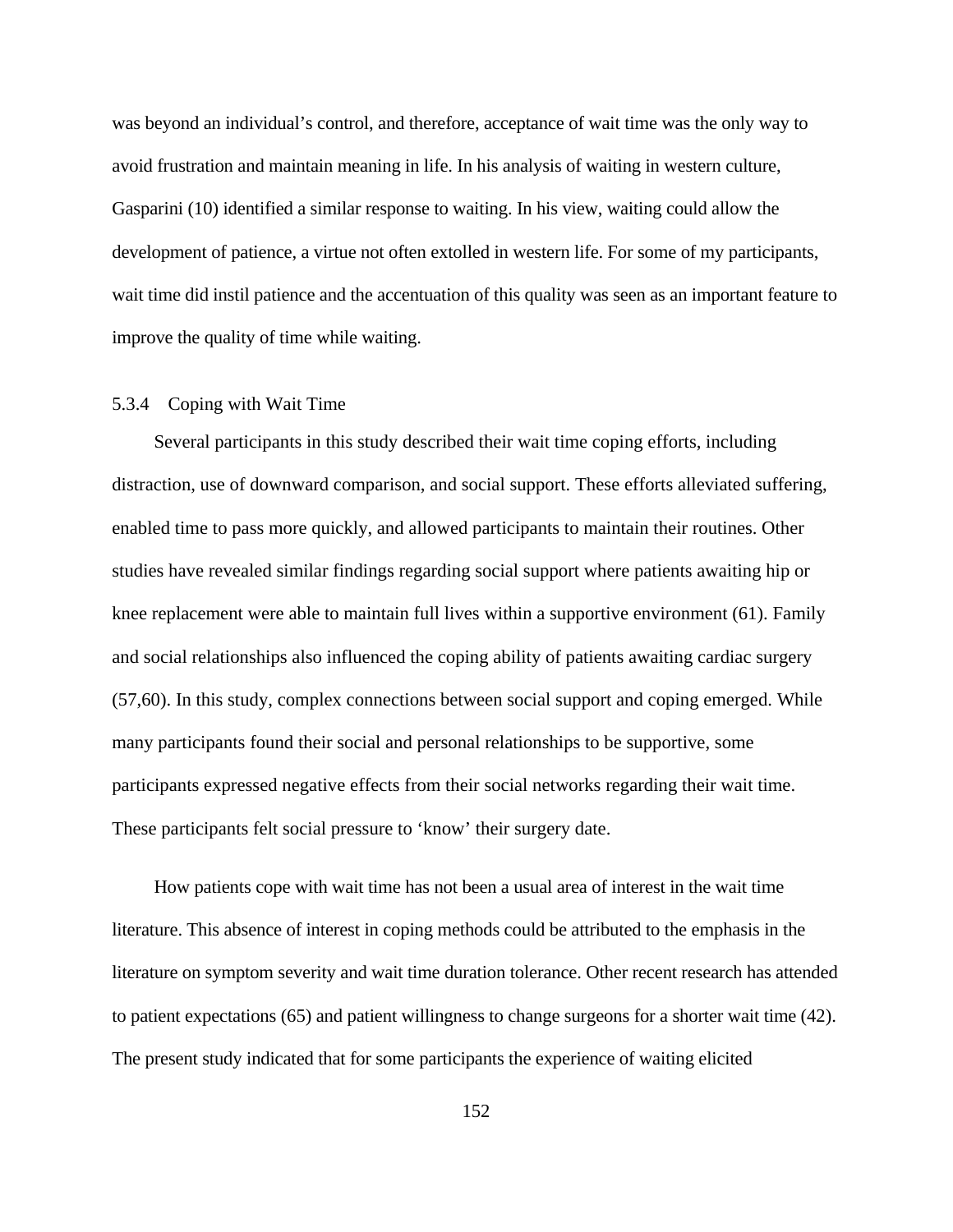was beyond an individual's control, and therefore, acceptance of wait time was the only way to avoid frustration and maintain meaning in life. In his analysis of waiting in western culture, Gasparini (10) identified a similar response to waiting. In his view, waiting could allow the development of patience, a virtue not often extolled in western life. For some of my participants, wait time did instil patience and the accentuation of this quality was seen as an important feature to improve the quality of time while waiting.

#### 5.3.4 Coping with Wait Time

Several participants in this study described their wait time coping efforts, including distraction, use of downward comparison, and social support. These efforts alleviated suffering, enabled time to pass more quickly, and allowed participants to maintain their routines. Other studies have revealed similar findings regarding social support where patients awaiting hip or knee replacement were able to maintain full lives within a supportive environment (61). Family and social relationships also influenced the coping ability of patients awaiting cardiac surgery (57,60). In this study, complex connections between social support and coping emerged. While many participants found their social and personal relationships to be supportive, some participants expressed negative effects from their social networks regarding their wait time. These participants felt social pressure to 'know' their surgery date.

How patients cope with wait time has not been a usual area of interest in the wait time literature. This absence of interest in coping methods could be attributed to the emphasis in the literature on symptom severity and wait time duration tolerance. Other recent research has attended to patient expectations (65) and patient willingness to change surgeons for a shorter wait time (42). The present study indicated that for some participants the experience of waiting elicited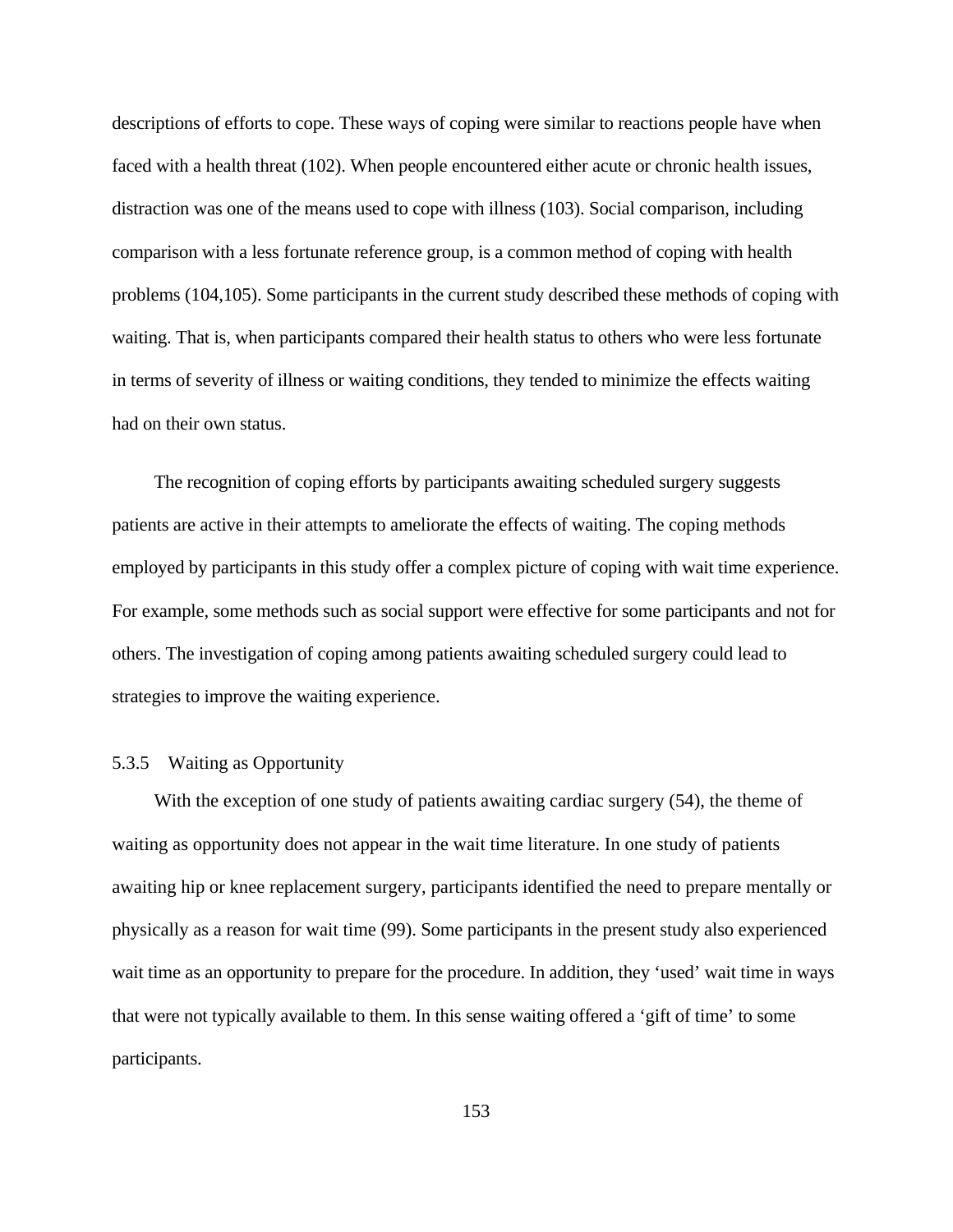descriptions of efforts to cope. These ways of coping were similar to reactions people have when faced with a health threat (102). When people encountered either acute or chronic health issues, distraction was one of the means used to cope with illness (103). Social comparison, including comparison with a less fortunate reference group, is a common method of coping with health problems (104,105). Some participants in the current study described these methods of coping with waiting. That is, when participants compared their health status to others who were less fortunate in terms of severity of illness or waiting conditions, they tended to minimize the effects waiting had on their own status.

The recognition of coping efforts by participants awaiting scheduled surgery suggests patients are active in their attempts to ameliorate the effects of waiting. The coping methods employed by participants in this study offer a complex picture of coping with wait time experience. For example, some methods such as social support were effective for some participants and not for others. The investigation of coping among patients awaiting scheduled surgery could lead to strategies to improve the waiting experience.

### 5.3.5 Waiting as Opportunity

With the exception of one study of patients awaiting cardiac surgery (54), the theme of waiting as opportunity does not appear in the wait time literature. In one study of patients awaiting hip or knee replacement surgery, participants identified the need to prepare mentally or physically as a reason for wait time (99). Some participants in the present study also experienced wait time as an opportunity to prepare for the procedure. In addition, they 'used' wait time in ways that were not typically available to them. In this sense waiting offered a 'gift of time' to some participants.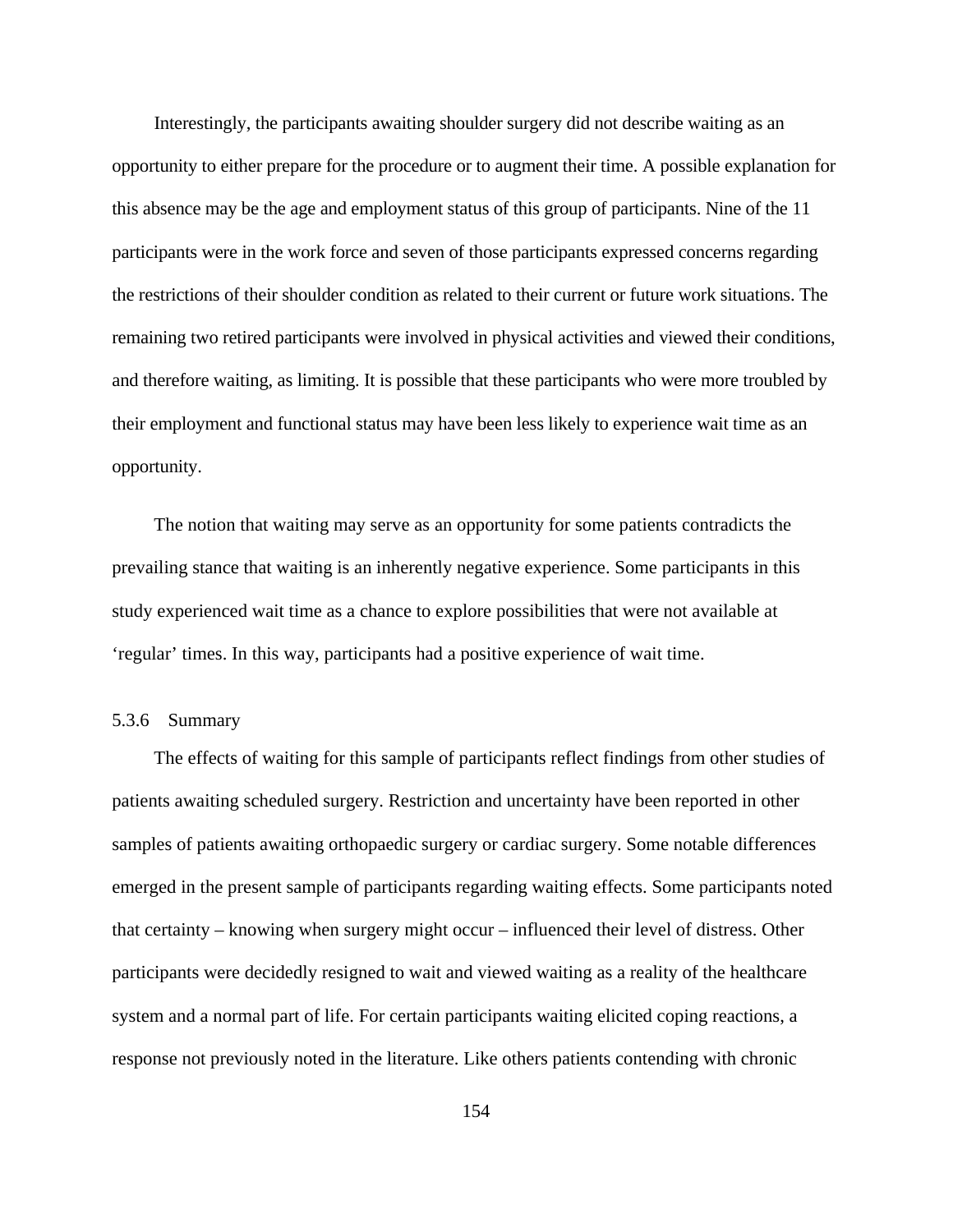Interestingly, the participants awaiting shoulder surgery did not describe waiting as an opportunity to either prepare for the procedure or to augment their time. A possible explanation for this absence may be the age and employment status of this group of participants. Nine of the 11 participants were in the work force and seven of those participants expressed concerns regarding the restrictions of their shoulder condition as related to their current or future work situations. The remaining two retired participants were involved in physical activities and viewed their conditions, and therefore waiting, as limiting. It is possible that these participants who were more troubled by their employment and functional status may have been less likely to experience wait time as an opportunity.

The notion that waiting may serve as an opportunity for some patients contradicts the prevailing stance that waiting is an inherently negative experience. Some participants in this study experienced wait time as a chance to explore possibilities that were not available at 'regular' times. In this way, participants had a positive experience of wait time.

## 5.3.6 Summary

The effects of waiting for this sample of participants reflect findings from other studies of patients awaiting scheduled surgery. Restriction and uncertainty have been reported in other samples of patients awaiting orthopaedic surgery or cardiac surgery. Some notable differences emerged in the present sample of participants regarding waiting effects. Some participants noted that certainty – knowing when surgery might occur – influenced their level of distress. Other participants were decidedly resigned to wait and viewed waiting as a reality of the healthcare system and a normal part of life. For certain participants waiting elicited coping reactions, a response not previously noted in the literature. Like others patients contending with chronic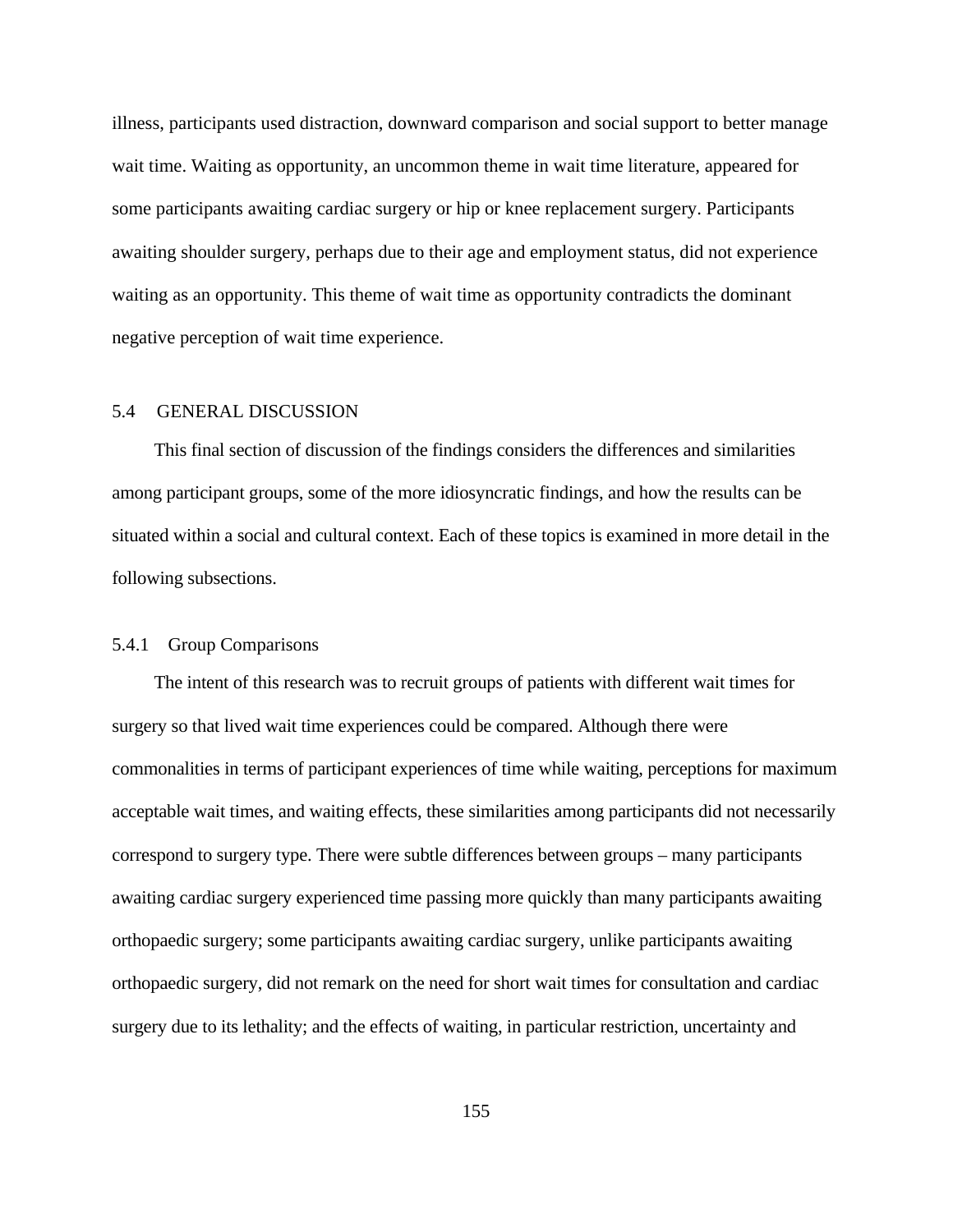illness, participants used distraction, downward comparison and social support to better manage wait time. Waiting as opportunity, an uncommon theme in wait time literature, appeared for some participants awaiting cardiac surgery or hip or knee replacement surgery. Participants awaiting shoulder surgery, perhaps due to their age and employment status, did not experience waiting as an opportunity. This theme of wait time as opportunity contradicts the dominant negative perception of wait time experience.

## 5.4 GENERAL DISCUSSION

This final section of discussion of the findings considers the differences and similarities among participant groups, some of the more idiosyncratic findings, and how the results can be situated within a social and cultural context. Each of these topics is examined in more detail in the following subsections.

### 5.4.1 Group Comparisons

The intent of this research was to recruit groups of patients with different wait times for surgery so that lived wait time experiences could be compared. Although there were commonalities in terms of participant experiences of time while waiting, perceptions for maximum acceptable wait times, and waiting effects, these similarities among participants did not necessarily correspond to surgery type. There were subtle differences between groups – many participants awaiting cardiac surgery experienced time passing more quickly than many participants awaiting orthopaedic surgery; some participants awaiting cardiac surgery, unlike participants awaiting orthopaedic surgery, did not remark on the need for short wait times for consultation and cardiac surgery due to its lethality; and the effects of waiting, in particular restriction, uncertainty and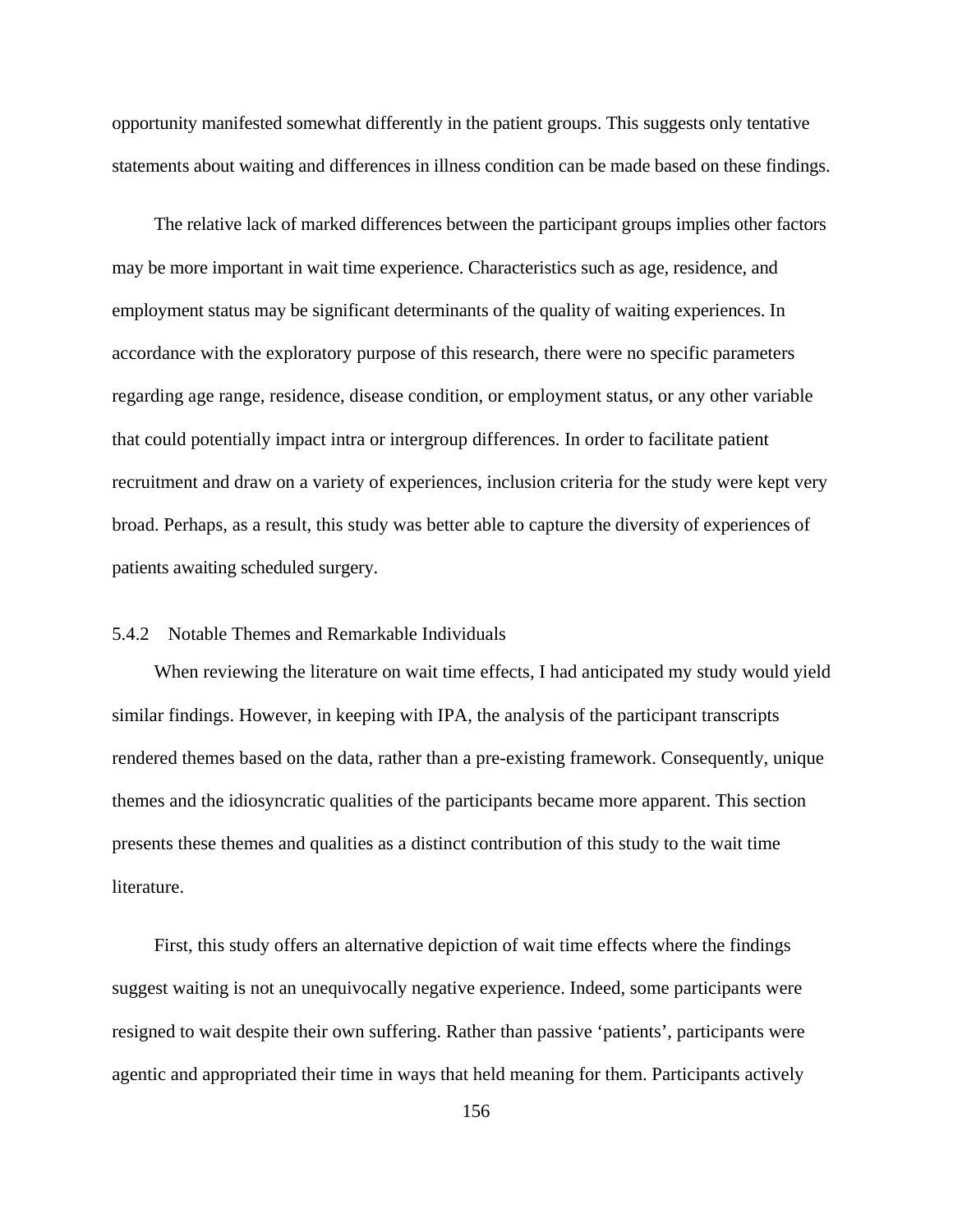opportunity manifested somewhat differently in the patient groups. This suggests only tentative statements about waiting and differences in illness condition can be made based on these findings.

The relative lack of marked differences between the participant groups implies other factors may be more important in wait time experience. Characteristics such as age, residence, and employment status may be significant determinants of the quality of waiting experiences. In accordance with the exploratory purpose of this research, there were no specific parameters regarding age range, residence, disease condition, or employment status, or any other variable that could potentially impact intra or intergroup differences. In order to facilitate patient recruitment and draw on a variety of experiences, inclusion criteria for the study were kept very broad. Perhaps, as a result, this study was better able to capture the diversity of experiences of patients awaiting scheduled surgery.

# 5.4.2 Notable Themes and Remarkable Individuals

When reviewing the literature on wait time effects, I had anticipated my study would yield similar findings. However, in keeping with IPA, the analysis of the participant transcripts rendered themes based on the data, rather than a pre-existing framework. Consequently, unique themes and the idiosyncratic qualities of the participants became more apparent. This section presents these themes and qualities as a distinct contribution of this study to the wait time literature.

First, this study offers an alternative depiction of wait time effects where the findings suggest waiting is not an unequivocally negative experience. Indeed, some participants were resigned to wait despite their own suffering. Rather than passive 'patients', participants were agentic and appropriated their time in ways that held meaning for them. Participants actively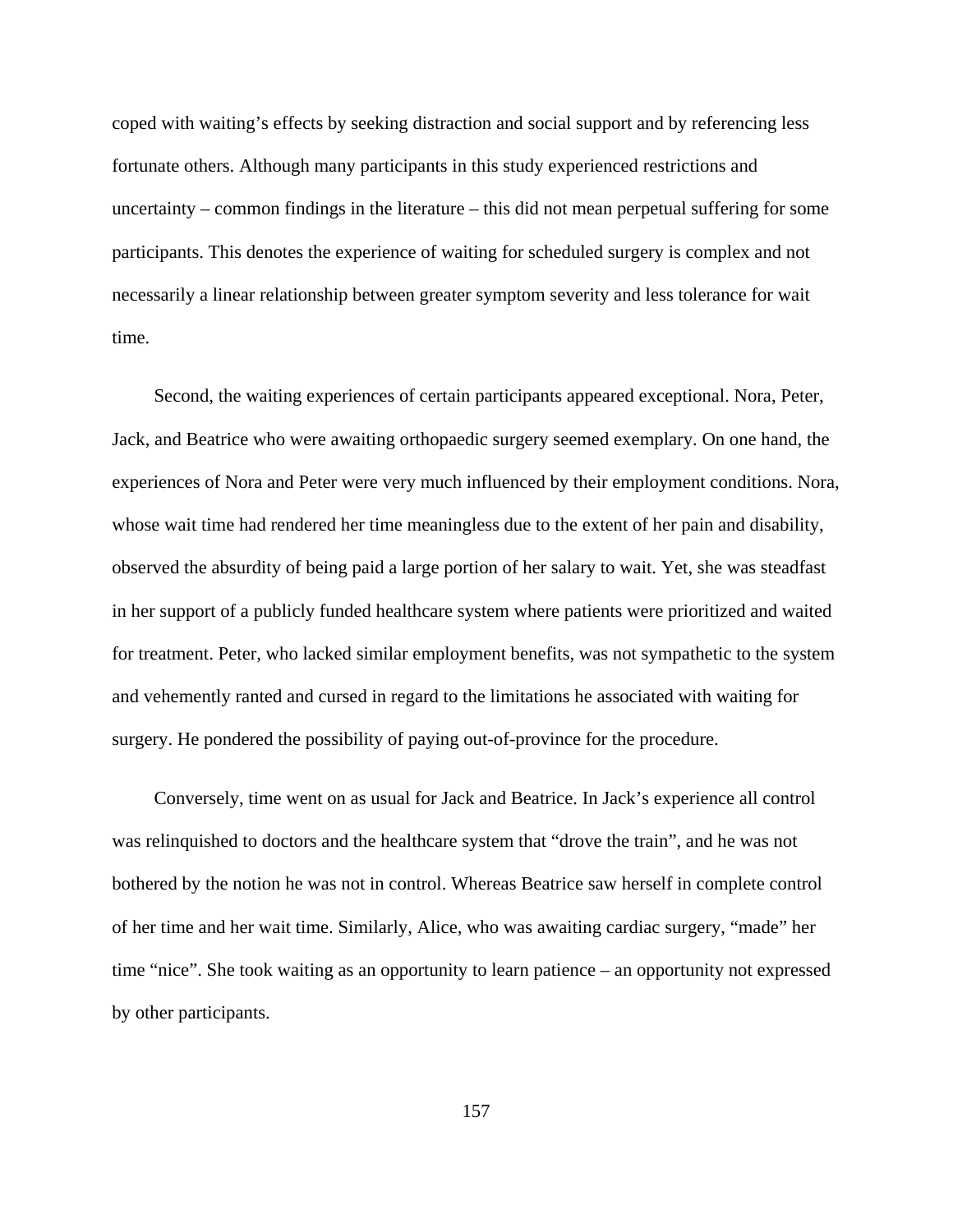coped with waiting's effects by seeking distraction and social support and by referencing less fortunate others. Although many participants in this study experienced restrictions and uncertainty – common findings in the literature – this did not mean perpetual suffering for some participants. This denotes the experience of waiting for scheduled surgery is complex and not necessarily a linear relationship between greater symptom severity and less tolerance for wait time.

Second, the waiting experiences of certain participants appeared exceptional. Nora, Peter, Jack, and Beatrice who were awaiting orthopaedic surgery seemed exemplary. On one hand, the experiences of Nora and Peter were very much influenced by their employment conditions. Nora, whose wait time had rendered her time meaningless due to the extent of her pain and disability, observed the absurdity of being paid a large portion of her salary to wait. Yet, she was steadfast in her support of a publicly funded healthcare system where patients were prioritized and waited for treatment. Peter, who lacked similar employment benefits, was not sympathetic to the system and vehemently ranted and cursed in regard to the limitations he associated with waiting for surgery. He pondered the possibility of paying out-of-province for the procedure.

Conversely, time went on as usual for Jack and Beatrice. In Jack's experience all control was relinquished to doctors and the healthcare system that "drove the train", and he was not bothered by the notion he was not in control. Whereas Beatrice saw herself in complete control of her time and her wait time. Similarly, Alice, who was awaiting cardiac surgery, "made" her time "nice". She took waiting as an opportunity to learn patience – an opportunity not expressed by other participants.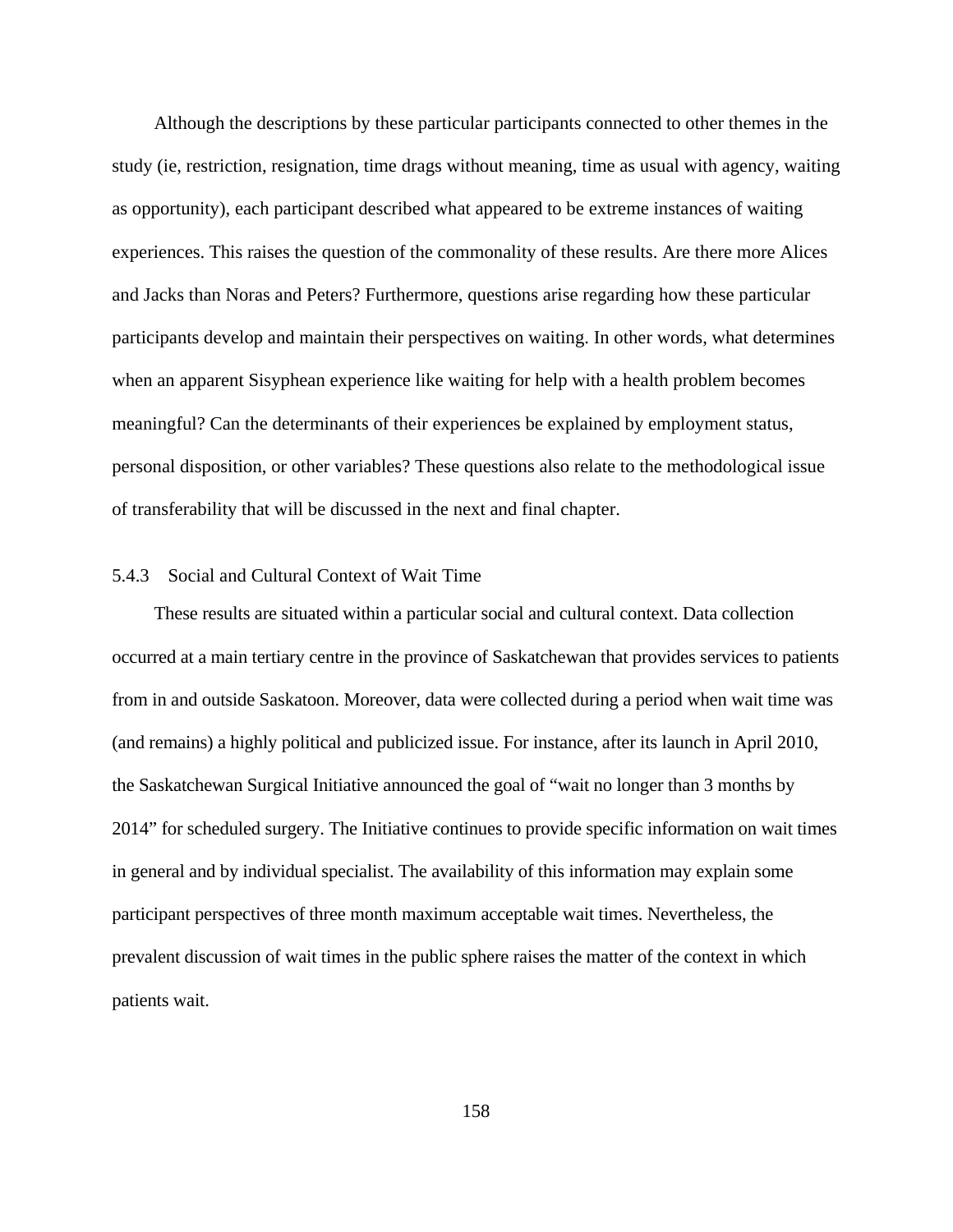Although the descriptions by these particular participants connected to other themes in the study (ie, restriction, resignation, time drags without meaning, time as usual with agency, waiting as opportunity), each participant described what appeared to be extreme instances of waiting experiences. This raises the question of the commonality of these results. Are there more Alices and Jacks than Noras and Peters? Furthermore, questions arise regarding how these particular participants develop and maintain their perspectives on waiting. In other words, what determines when an apparent Sisyphean experience like waiting for help with a health problem becomes meaningful? Can the determinants of their experiences be explained by employment status, personal disposition, or other variables? These questions also relate to the methodological issue of transferability that will be discussed in the next and final chapter.

### 5.4.3 Social and Cultural Context of Wait Time

These results are situated within a particular social and cultural context. Data collection occurred at a main tertiary centre in the province of Saskatchewan that provides services to patients from in and outside Saskatoon. Moreover, data were collected during a period when wait time was (and remains) a highly political and publicized issue. For instance, after its launch in April 2010, the Saskatchewan Surgical Initiative announced the goal of "wait no longer than 3 months by 2014" for scheduled surgery. The Initiative continues to provide specific information on wait times in general and by individual specialist. The availability of this information may explain some participant perspectives of three month maximum acceptable wait times. Nevertheless, the prevalent discussion of wait times in the public sphere raises the matter of the context in which patients wait.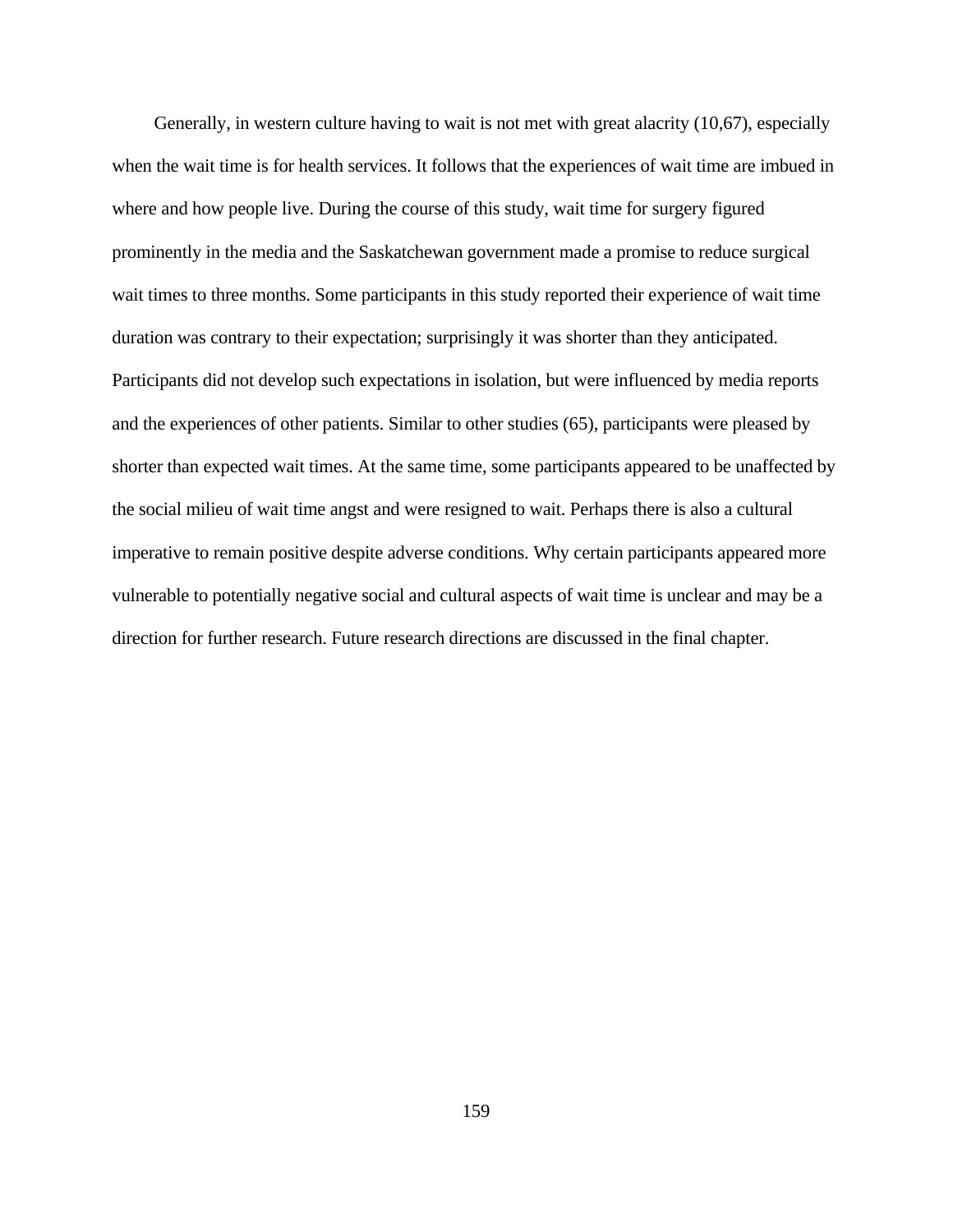Generally, in western culture having to wait is not met with great alacrity (10,67), especially when the wait time is for health services. It follows that the experiences of wait time are imbued in where and how people live. During the course of this study, wait time for surgery figured prominently in the media and the Saskatchewan government made a promise to reduce surgical wait times to three months. Some participants in this study reported their experience of wait time duration was contrary to their expectation; surprisingly it was shorter than they anticipated. Participants did not develop such expectations in isolation, but were influenced by media reports and the experiences of other patients. Similar to other studies (65), participants were pleased by shorter than expected wait times. At the same time, some participants appeared to be unaffected by the social milieu of wait time angst and were resigned to wait. Perhaps there is also a cultural imperative to remain positive despite adverse conditions. Why certain participants appeared more vulnerable to potentially negative social and cultural aspects of wait time is unclear and may be a direction for further research. Future research directions are discussed in the final chapter.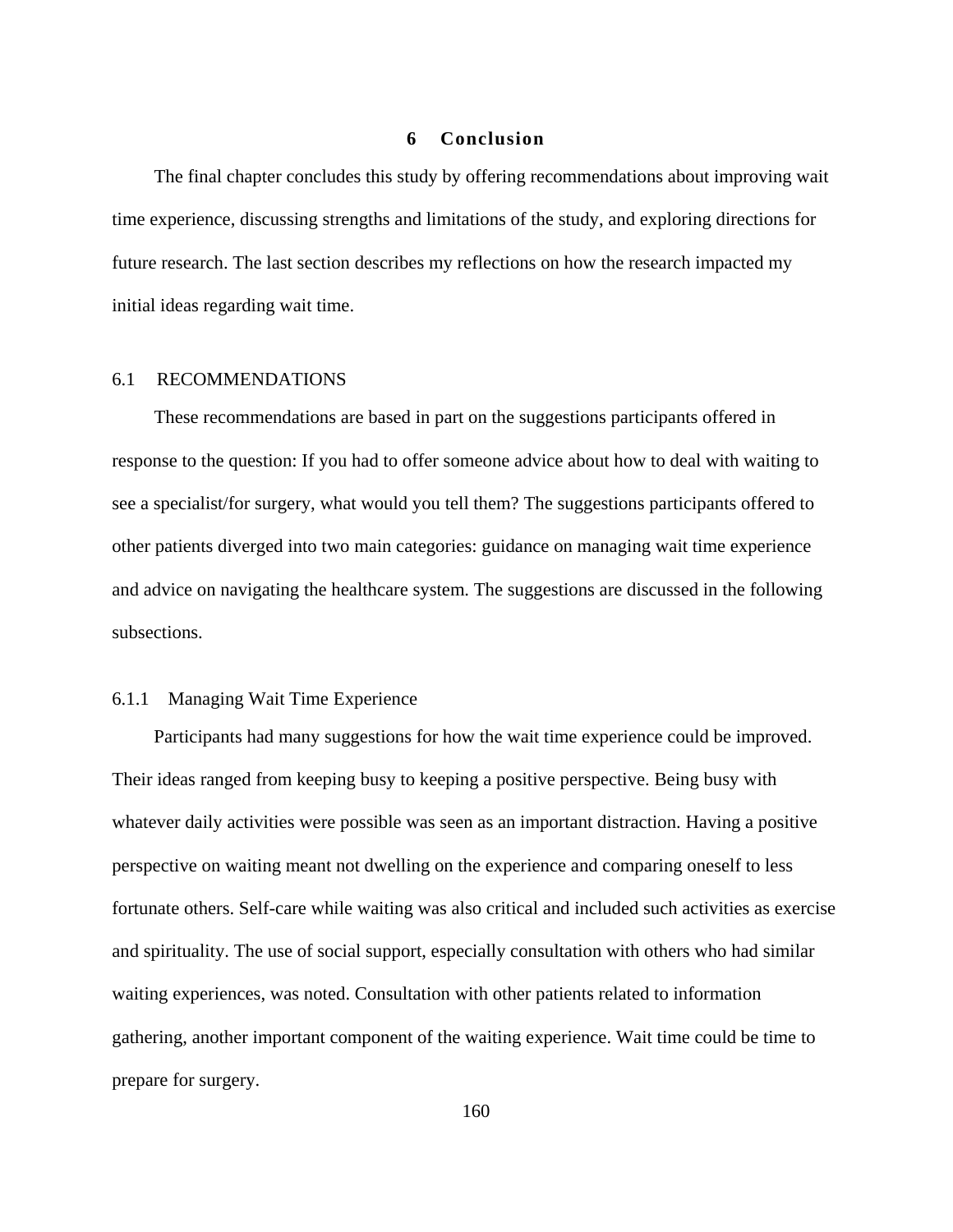### **6 Conclusion**

The final chapter concludes this study by offering recommendations about improving wait time experience, discussing strengths and limitations of the study, and exploring directions for future research. The last section describes my reflections on how the research impacted my initial ideas regarding wait time.

### 6.1 RECOMMENDATIONS

These recommendations are based in part on the suggestions participants offered in response to the question: If you had to offer someone advice about how to deal with waiting to see a specialist/for surgery, what would you tell them? The suggestions participants offered to other patients diverged into two main categories: guidance on managing wait time experience and advice on navigating the healthcare system. The suggestions are discussed in the following subsections.

### 6.1.1 Managing Wait Time Experience

Participants had many suggestions for how the wait time experience could be improved. Their ideas ranged from keeping busy to keeping a positive perspective. Being busy with whatever daily activities were possible was seen as an important distraction. Having a positive perspective on waiting meant not dwelling on the experience and comparing oneself to less fortunate others. Self-care while waiting was also critical and included such activities as exercise and spirituality. The use of social support, especially consultation with others who had similar waiting experiences, was noted. Consultation with other patients related to information gathering, another important component of the waiting experience. Wait time could be time to prepare for surgery.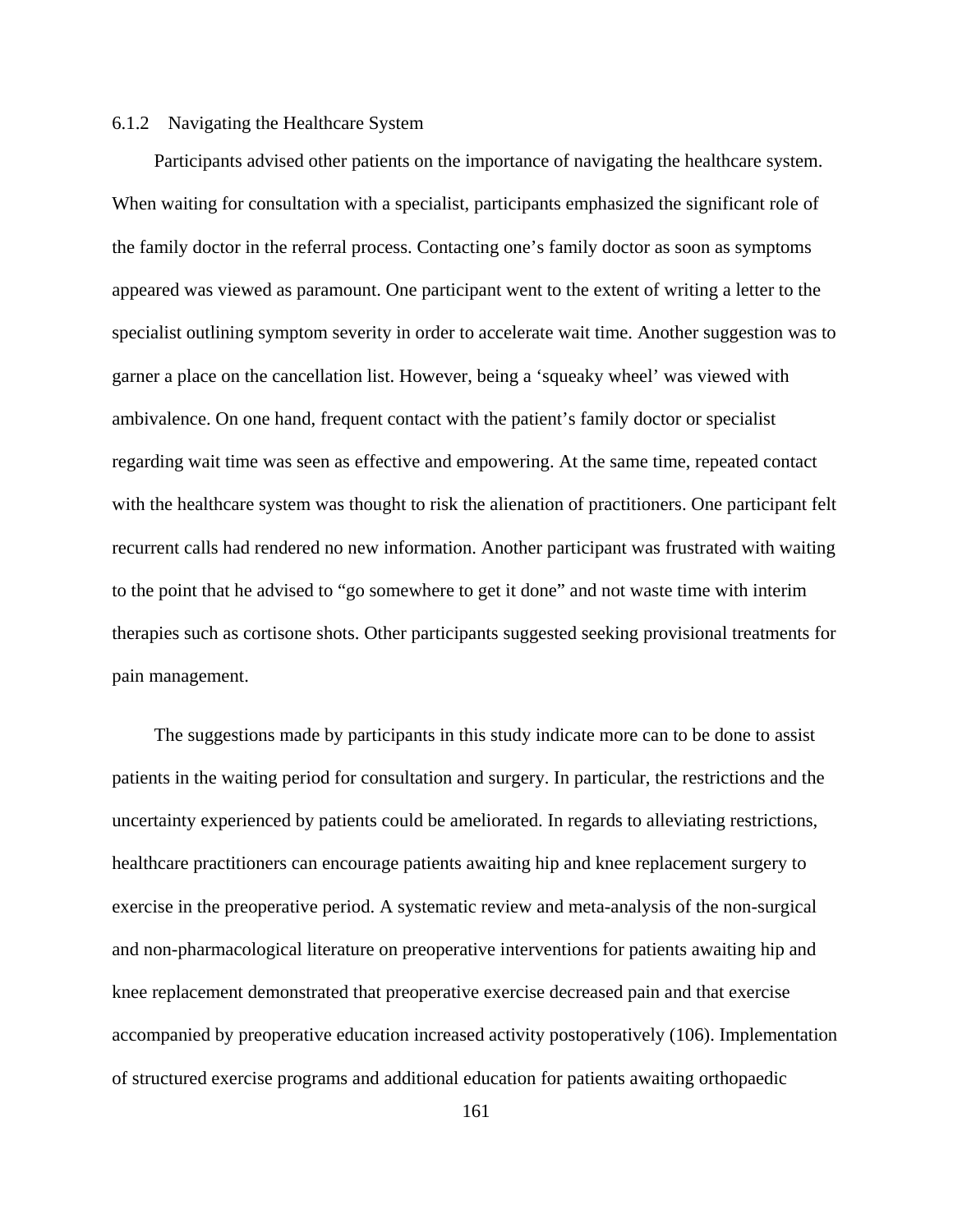## 6.1.2 Navigating the Healthcare System

Participants advised other patients on the importance of navigating the healthcare system. When waiting for consultation with a specialist, participants emphasized the significant role of the family doctor in the referral process. Contacting one's family doctor as soon as symptoms appeared was viewed as paramount. One participant went to the extent of writing a letter to the specialist outlining symptom severity in order to accelerate wait time. Another suggestion was to garner a place on the cancellation list. However, being a 'squeaky wheel' was viewed with ambivalence. On one hand, frequent contact with the patient's family doctor or specialist regarding wait time was seen as effective and empowering. At the same time, repeated contact with the healthcare system was thought to risk the alienation of practitioners. One participant felt recurrent calls had rendered no new information. Another participant was frustrated with waiting to the point that he advised to "go somewhere to get it done" and not waste time with interim therapies such as cortisone shots. Other participants suggested seeking provisional treatments for pain management.

The suggestions made by participants in this study indicate more can to be done to assist patients in the waiting period for consultation and surgery. In particular, the restrictions and the uncertainty experienced by patients could be ameliorated. In regards to alleviating restrictions, healthcare practitioners can encourage patients awaiting hip and knee replacement surgery to exercise in the preoperative period. A systematic review and meta-analysis of the non-surgical and non-pharmacological literature on preoperative interventions for patients awaiting hip and knee replacement demonstrated that preoperative exercise decreased pain and that exercise accompanied by preoperative education increased activity postoperatively (106). Implementation of structured exercise programs and additional education for patients awaiting orthopaedic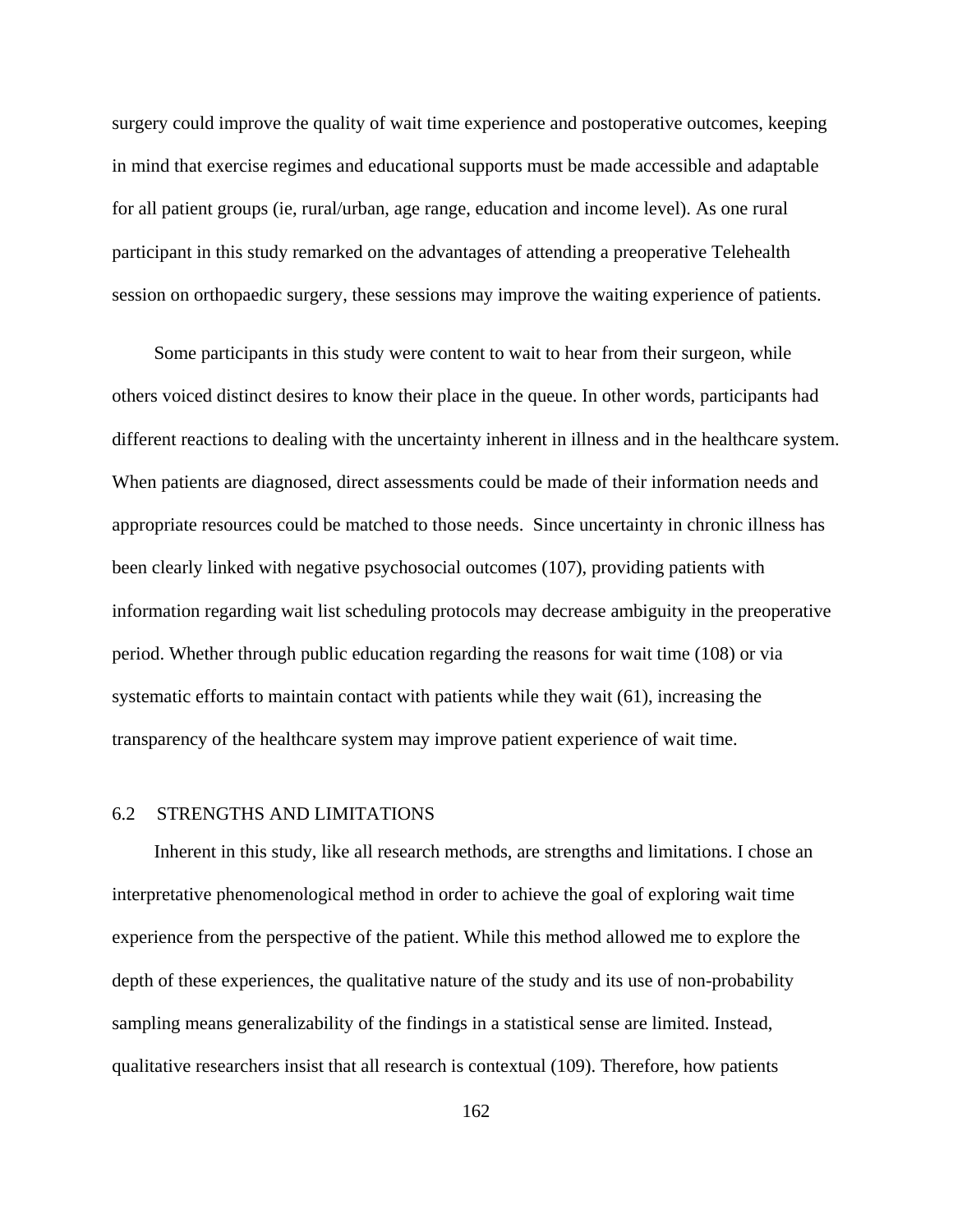surgery could improve the quality of wait time experience and postoperative outcomes, keeping in mind that exercise regimes and educational supports must be made accessible and adaptable for all patient groups (ie, rural/urban, age range, education and income level). As one rural participant in this study remarked on the advantages of attending a preoperative Telehealth session on orthopaedic surgery, these sessions may improve the waiting experience of patients.

Some participants in this study were content to wait to hear from their surgeon, while others voiced distinct desires to know their place in the queue. In other words, participants had different reactions to dealing with the uncertainty inherent in illness and in the healthcare system. When patients are diagnosed, direct assessments could be made of their information needs and appropriate resources could be matched to those needs. Since uncertainty in chronic illness has been clearly linked with negative psychosocial outcomes (107), providing patients with information regarding wait list scheduling protocols may decrease ambiguity in the preoperative period. Whether through public education regarding the reasons for wait time (108) or via systematic efforts to maintain contact with patients while they wait (61), increasing the transparency of the healthcare system may improve patient experience of wait time.

## 6.2 STRENGTHS AND LIMITATIONS

Inherent in this study, like all research methods, are strengths and limitations. I chose an interpretative phenomenological method in order to achieve the goal of exploring wait time experience from the perspective of the patient. While this method allowed me to explore the depth of these experiences, the qualitative nature of the study and its use of non-probability sampling means generalizability of the findings in a statistical sense are limited. Instead, qualitative researchers insist that all research is contextual (109). Therefore, how patients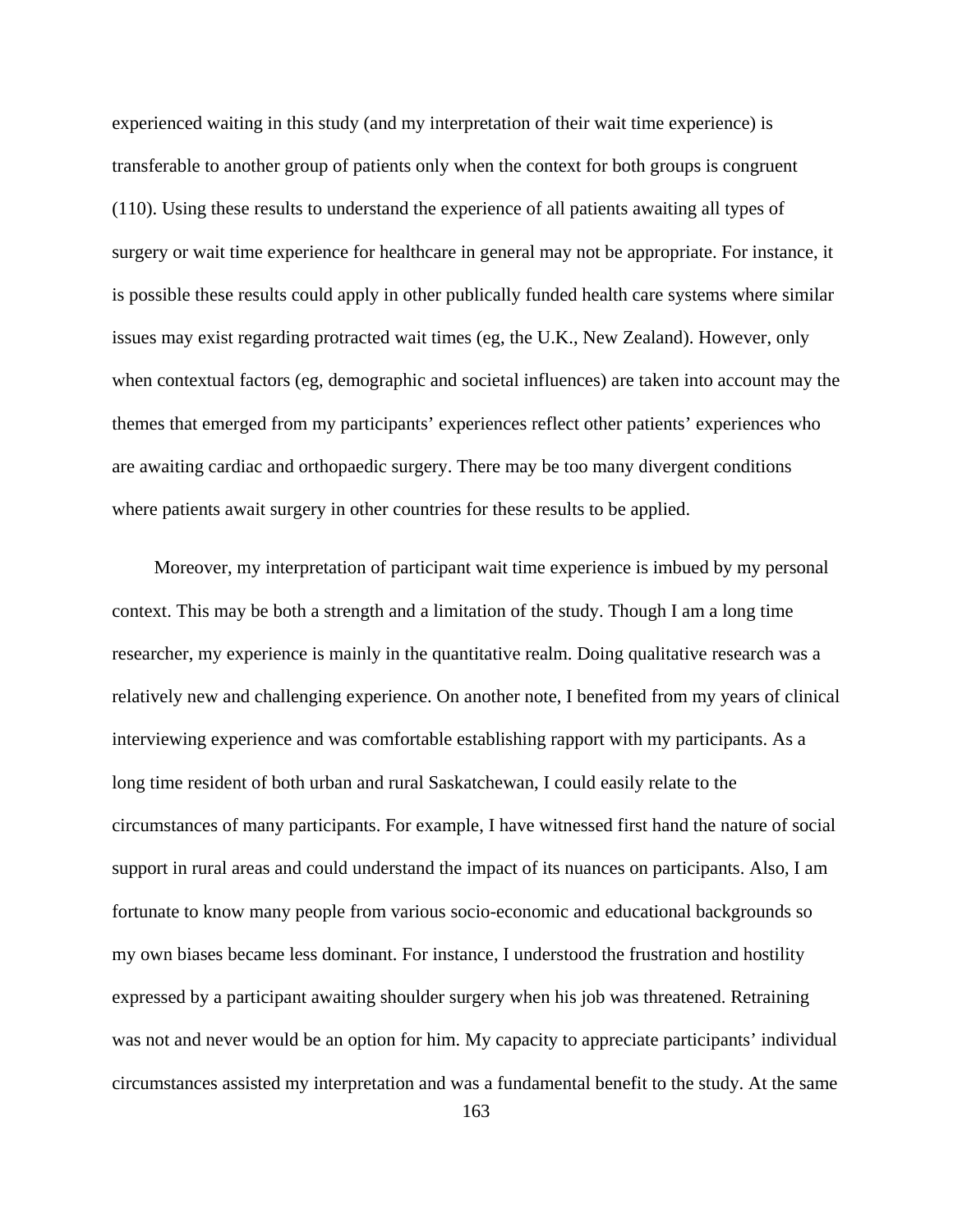experienced waiting in this study (and my interpretation of their wait time experience) is transferable to another group of patients only when the context for both groups is congruent (110). Using these results to understand the experience of all patients awaiting all types of surgery or wait time experience for healthcare in general may not be appropriate. For instance, it is possible these results could apply in other publically funded health care systems where similar issues may exist regarding protracted wait times (eg, the U.K., New Zealand). However, only when contextual factors (eg, demographic and societal influences) are taken into account may the themes that emerged from my participants' experiences reflect other patients' experiences who are awaiting cardiac and orthopaedic surgery. There may be too many divergent conditions where patients await surgery in other countries for these results to be applied.

Moreover, my interpretation of participant wait time experience is imbued by my personal context. This may be both a strength and a limitation of the study. Though I am a long time researcher, my experience is mainly in the quantitative realm. Doing qualitative research was a relatively new and challenging experience. On another note, I benefited from my years of clinical interviewing experience and was comfortable establishing rapport with my participants. As a long time resident of both urban and rural Saskatchewan, I could easily relate to the circumstances of many participants. For example, I have witnessed first hand the nature of social support in rural areas and could understand the impact of its nuances on participants. Also, I am fortunate to know many people from various socio-economic and educational backgrounds so my own biases became less dominant. For instance, I understood the frustration and hostility expressed by a participant awaiting shoulder surgery when his job was threatened. Retraining was not and never would be an option for him. My capacity to appreciate participants' individual circumstances assisted my interpretation and was a fundamental benefit to the study. At the same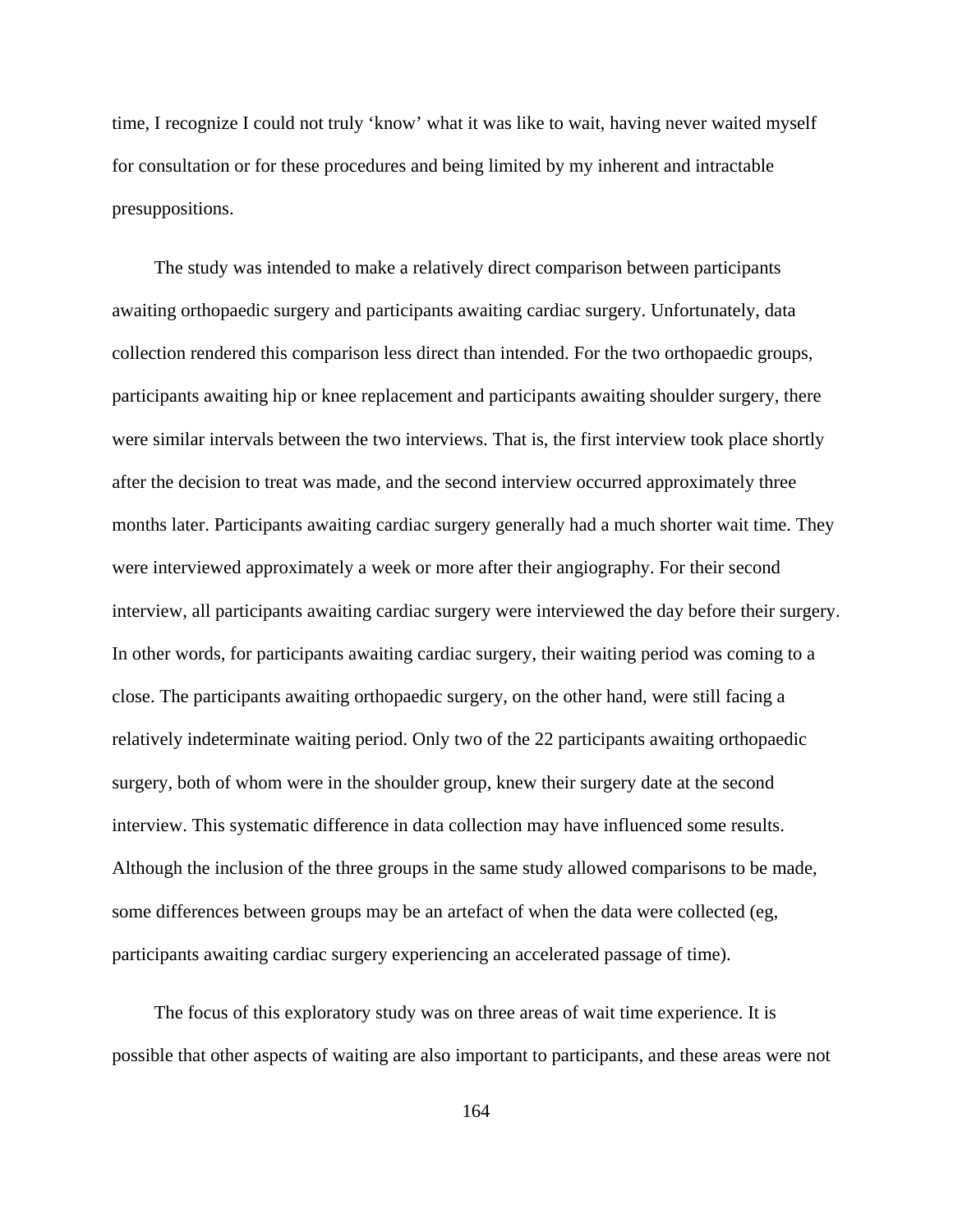time, I recognize I could not truly 'know' what it was like to wait, having never waited myself for consultation or for these procedures and being limited by my inherent and intractable presuppositions.

The study was intended to make a relatively direct comparison between participants awaiting orthopaedic surgery and participants awaiting cardiac surgery. Unfortunately, data collection rendered this comparison less direct than intended. For the two orthopaedic groups, participants awaiting hip or knee replacement and participants awaiting shoulder surgery, there were similar intervals between the two interviews. That is, the first interview took place shortly after the decision to treat was made, and the second interview occurred approximately three months later. Participants awaiting cardiac surgery generally had a much shorter wait time. They were interviewed approximately a week or more after their angiography. For their second interview, all participants awaiting cardiac surgery were interviewed the day before their surgery. In other words, for participants awaiting cardiac surgery, their waiting period was coming to a close. The participants awaiting orthopaedic surgery, on the other hand, were still facing a relatively indeterminate waiting period. Only two of the 22 participants awaiting orthopaedic surgery, both of whom were in the shoulder group, knew their surgery date at the second interview. This systematic difference in data collection may have influenced some results. Although the inclusion of the three groups in the same study allowed comparisons to be made, some differences between groups may be an artefact of when the data were collected (eg, participants awaiting cardiac surgery experiencing an accelerated passage of time).

The focus of this exploratory study was on three areas of wait time experience. It is possible that other aspects of waiting are also important to participants, and these areas were not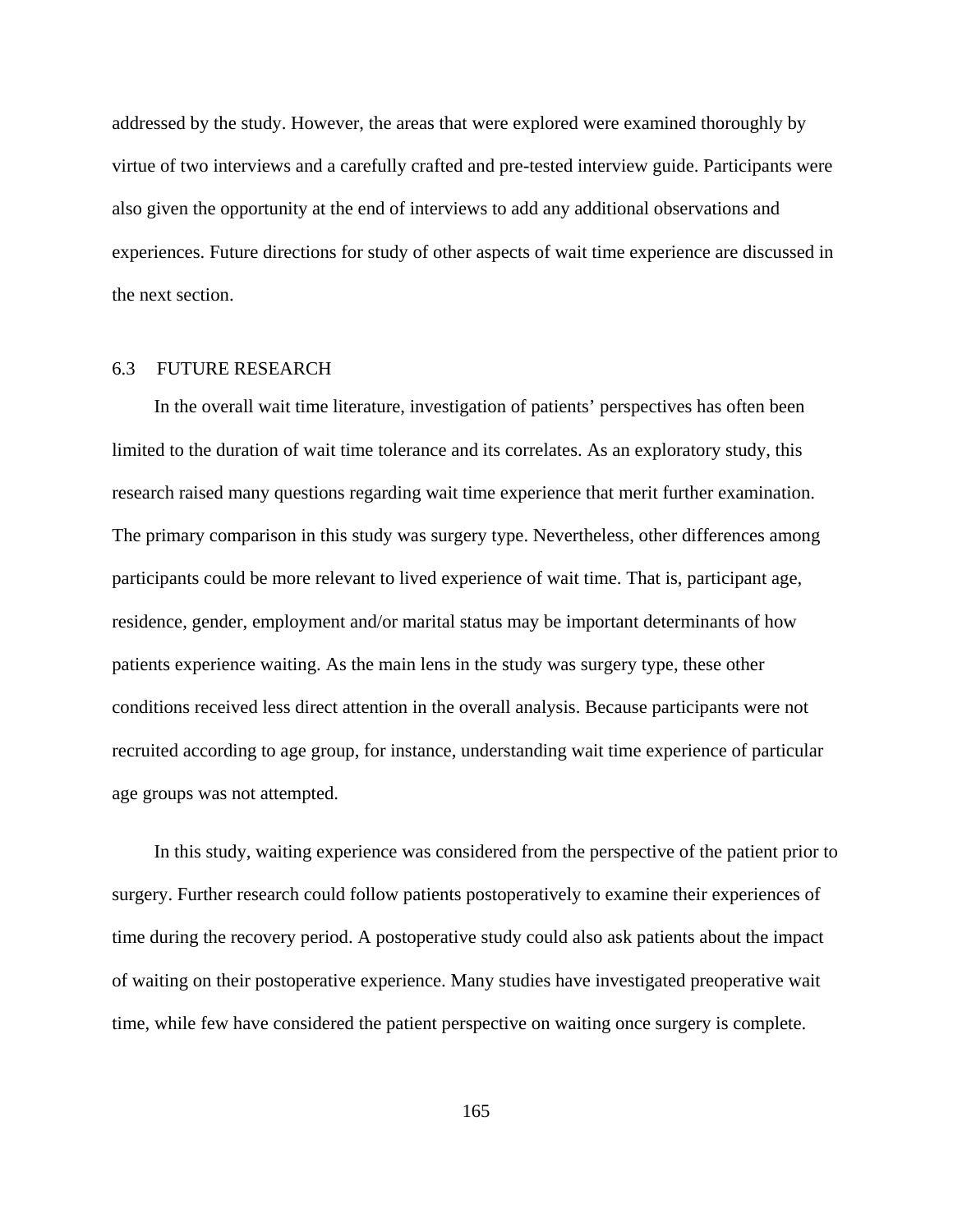addressed by the study. However, the areas that were explored were examined thoroughly by virtue of two interviews and a carefully crafted and pre-tested interview guide. Participants were also given the opportunity at the end of interviews to add any additional observations and experiences. Future directions for study of other aspects of wait time experience are discussed in the next section.

# 6.3 FUTURE RESEARCH

In the overall wait time literature, investigation of patients' perspectives has often been limited to the duration of wait time tolerance and its correlates. As an exploratory study, this research raised many questions regarding wait time experience that merit further examination. The primary comparison in this study was surgery type. Nevertheless, other differences among participants could be more relevant to lived experience of wait time. That is, participant age, residence, gender, employment and/or marital status may be important determinants of how patients experience waiting. As the main lens in the study was surgery type, these other conditions received less direct attention in the overall analysis. Because participants were not recruited according to age group, for instance, understanding wait time experience of particular age groups was not attempted.

In this study, waiting experience was considered from the perspective of the patient prior to surgery. Further research could follow patients postoperatively to examine their experiences of time during the recovery period. A postoperative study could also ask patients about the impact of waiting on their postoperative experience. Many studies have investigated preoperative wait time, while few have considered the patient perspective on waiting once surgery is complete.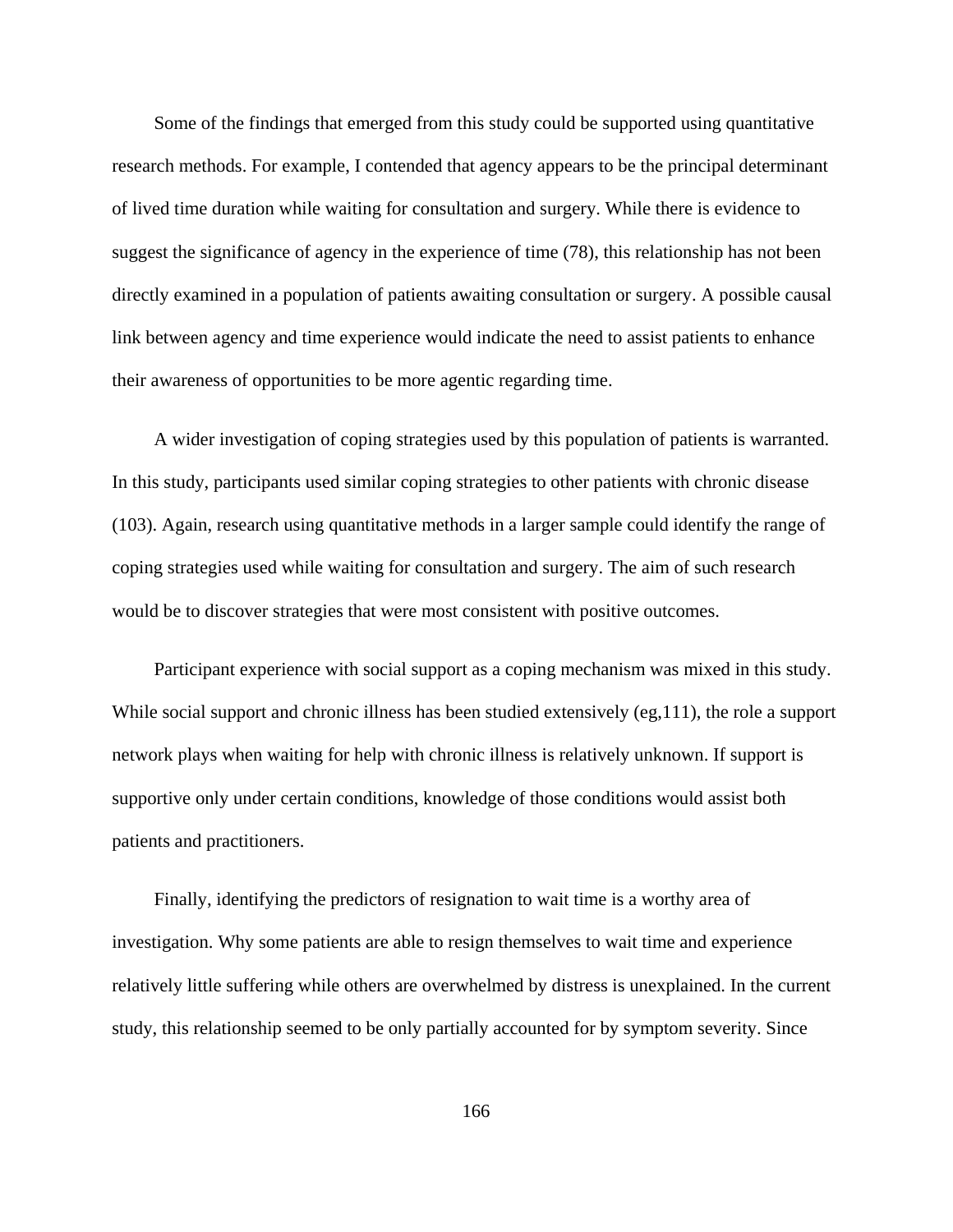Some of the findings that emerged from this study could be supported using quantitative research methods. For example, I contended that agency appears to be the principal determinant of lived time duration while waiting for consultation and surgery. While there is evidence to suggest the significance of agency in the experience of time (78), this relationship has not been directly examined in a population of patients awaiting consultation or surgery. A possible causal link between agency and time experience would indicate the need to assist patients to enhance their awareness of opportunities to be more agentic regarding time.

A wider investigation of coping strategies used by this population of patients is warranted. In this study, participants used similar coping strategies to other patients with chronic disease (103). Again, research using quantitative methods in a larger sample could identify the range of coping strategies used while waiting for consultation and surgery. The aim of such research would be to discover strategies that were most consistent with positive outcomes.

Participant experience with social support as a coping mechanism was mixed in this study. While social support and chronic illness has been studied extensively (eg, 111), the role a support network plays when waiting for help with chronic illness is relatively unknown. If support is supportive only under certain conditions, knowledge of those conditions would assist both patients and practitioners.

Finally, identifying the predictors of resignation to wait time is a worthy area of investigation. Why some patients are able to resign themselves to wait time and experience relatively little suffering while others are overwhelmed by distress is unexplained. In the current study, this relationship seemed to be only partially accounted for by symptom severity. Since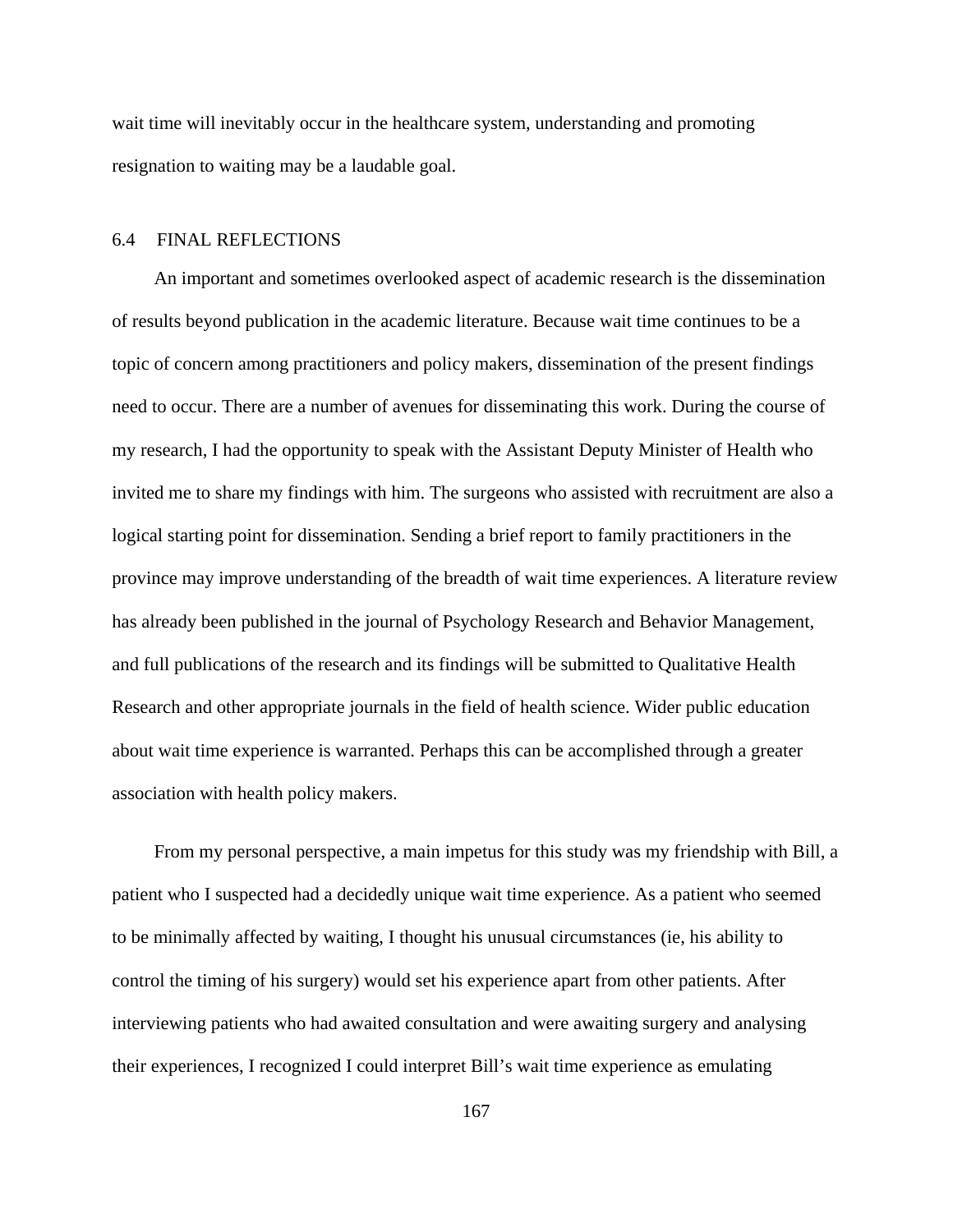wait time will inevitably occur in the healthcare system, understanding and promoting resignation to waiting may be a laudable goal.

# 6.4 FINAL REFLECTIONS

An important and sometimes overlooked aspect of academic research is the dissemination of results beyond publication in the academic literature. Because wait time continues to be a topic of concern among practitioners and policy makers, dissemination of the present findings need to occur. There are a number of avenues for disseminating this work. During the course of my research, I had the opportunity to speak with the Assistant Deputy Minister of Health who invited me to share my findings with him. The surgeons who assisted with recruitment are also a logical starting point for dissemination. Sending a brief report to family practitioners in the province may improve understanding of the breadth of wait time experiences. A literature review has already been published in the journal of Psychology Research and Behavior Management, and full publications of the research and its findings will be submitted to Qualitative Health Research and other appropriate journals in the field of health science. Wider public education about wait time experience is warranted. Perhaps this can be accomplished through a greater association with health policy makers.

From my personal perspective, a main impetus for this study was my friendship with Bill, a patient who I suspected had a decidedly unique wait time experience. As a patient who seemed to be minimally affected by waiting, I thought his unusual circumstances (ie, his ability to control the timing of his surgery) would set his experience apart from other patients. After interviewing patients who had awaited consultation and were awaiting surgery and analysing their experiences, I recognized I could interpret Bill's wait time experience as emulating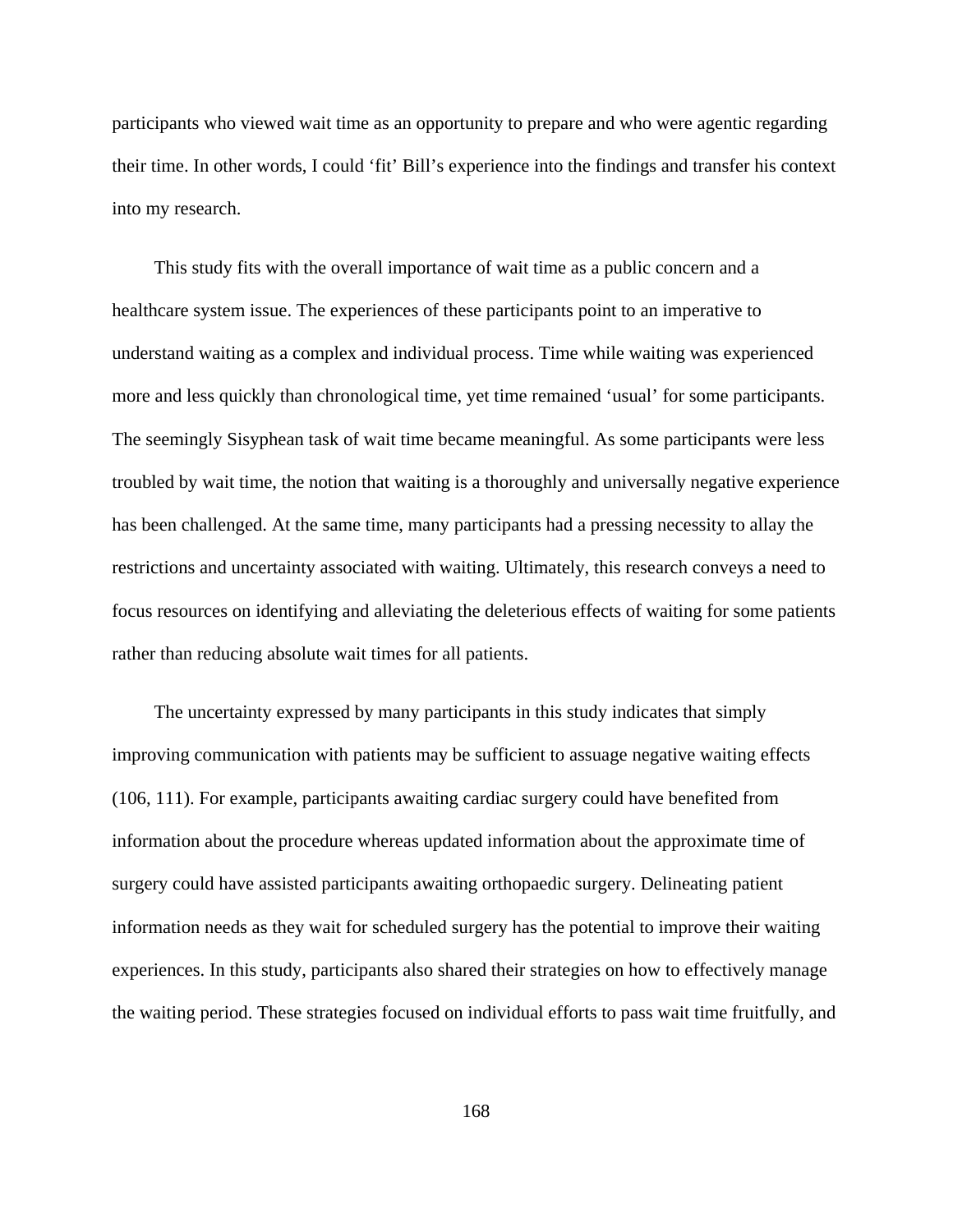participants who viewed wait time as an opportunity to prepare and who were agentic regarding their time. In other words, I could 'fit' Bill's experience into the findings and transfer his context into my research.

This study fits with the overall importance of wait time as a public concern and a healthcare system issue. The experiences of these participants point to an imperative to understand waiting as a complex and individual process. Time while waiting was experienced more and less quickly than chronological time, yet time remained 'usual' for some participants. The seemingly Sisyphean task of wait time became meaningful. As some participants were less troubled by wait time, the notion that waiting is a thoroughly and universally negative experience has been challenged. At the same time, many participants had a pressing necessity to allay the restrictions and uncertainty associated with waiting. Ultimately, this research conveys a need to focus resources on identifying and alleviating the deleterious effects of waiting for some patients rather than reducing absolute wait times for all patients.

The uncertainty expressed by many participants in this study indicates that simply improving communication with patients may be sufficient to assuage negative waiting effects (106, 111). For example, participants awaiting cardiac surgery could have benefited from information about the procedure whereas updated information about the approximate time of surgery could have assisted participants awaiting orthopaedic surgery. Delineating patient information needs as they wait for scheduled surgery has the potential to improve their waiting experiences. In this study, participants also shared their strategies on how to effectively manage the waiting period. These strategies focused on individual efforts to pass wait time fruitfully, and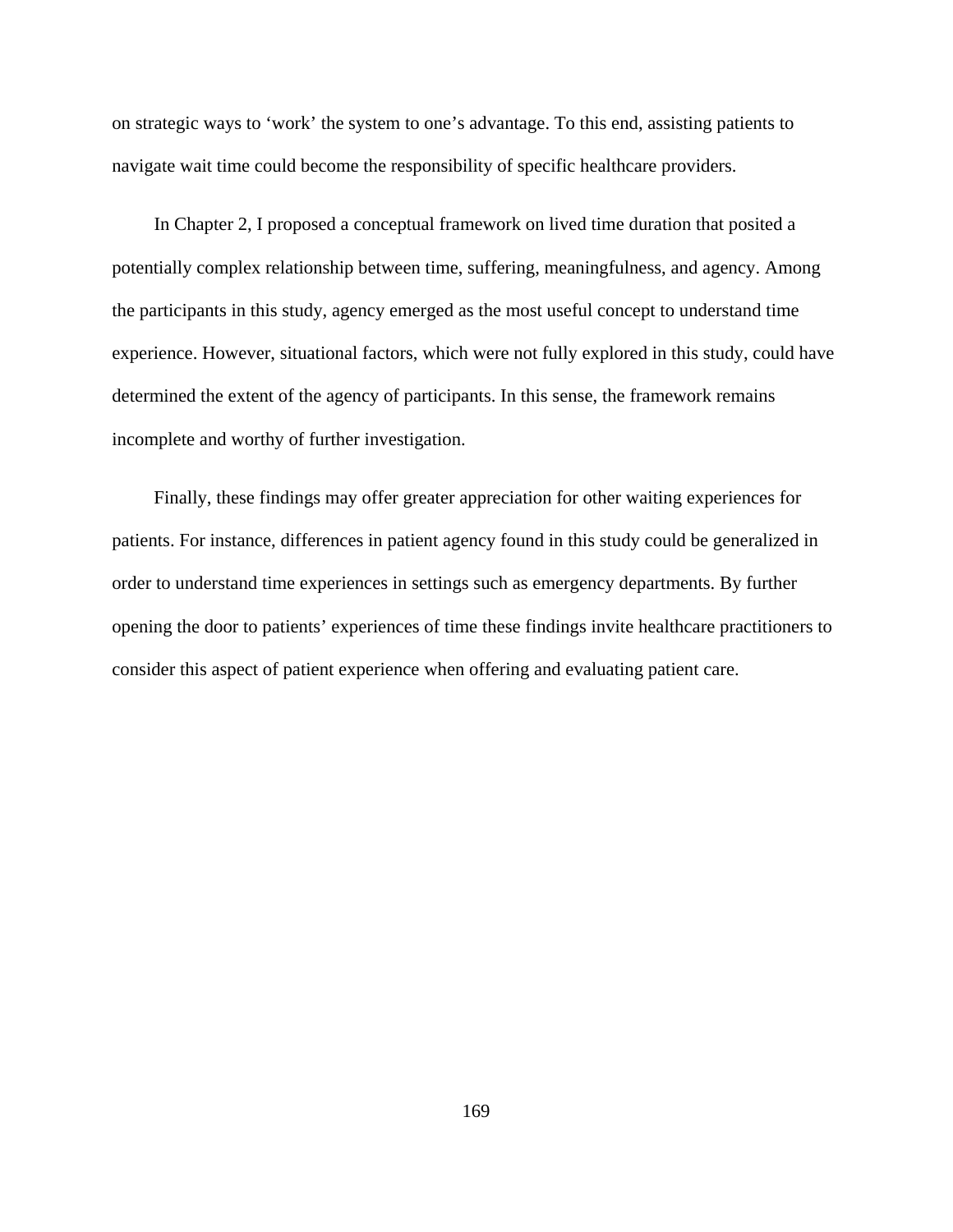on strategic ways to 'work' the system to one's advantage. To this end, assisting patients to navigate wait time could become the responsibility of specific healthcare providers.

In Chapter 2, I proposed a conceptual framework on lived time duration that posited a potentially complex relationship between time, suffering, meaningfulness, and agency. Among the participants in this study, agency emerged as the most useful concept to understand time experience. However, situational factors, which were not fully explored in this study, could have determined the extent of the agency of participants. In this sense, the framework remains incomplete and worthy of further investigation.

Finally, these findings may offer greater appreciation for other waiting experiences for patients. For instance, differences in patient agency found in this study could be generalized in order to understand time experiences in settings such as emergency departments. By further opening the door to patients' experiences of time these findings invite healthcare practitioners to consider this aspect of patient experience when offering and evaluating patient care.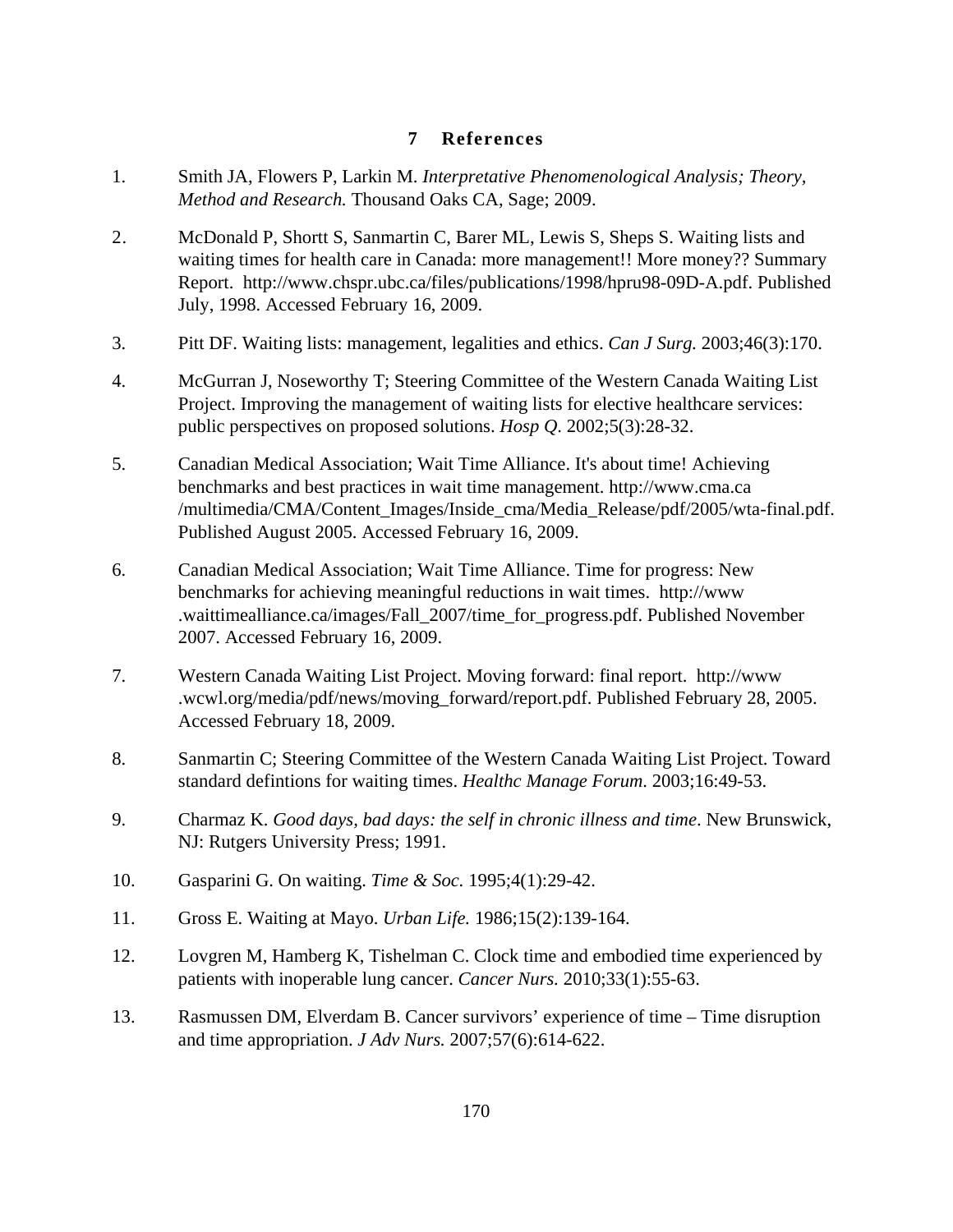# **7 References**

- 1. Smith JA, Flowers P, Larkin M. *Interpretative Phenomenological Analysis; Theory, Method and Research.* Thousand Oaks CA, Sage; 2009.
- 2. McDonald P, Shortt S, Sanmartin C, Barer ML, Lewis S, Sheps S. Waiting lists and waiting times for health care in Canada: more management!! More money?? Summary Report. http://www.chspr.ubc.ca/files/publications/1998/hpru98-09D-A.pdf. Published July, 1998. Accessed February 16, 2009.
- 3. Pitt DF. Waiting lists: management, legalities and ethics. *Can J Surg.* 2003;46(3):170.
- 4. McGurran J, Noseworthy T; Steering Committee of the Western Canada Waiting List Project. Improving the management of waiting lists for elective healthcare services: public perspectives on proposed solutions. *Hosp Q*. 2002;5(3):28-32.
- 5. Canadian Medical Association; Wait Time Alliance. It's about time! Achieving benchmarks and best practices in wait time management. http://www.cma.ca /multimedia/CMA/Content\_Images/Inside\_cma/Media\_Release/pdf/2005/wta-final.pdf. Published August 2005. Accessed February 16, 2009.
- 6. Canadian Medical Association; Wait Time Alliance. Time for progress: New benchmarks for achieving meaningful reductions in wait times. http://www .waittimealliance.ca/images/Fall\_2007/time\_for\_progress.pdf. Published November 2007. Accessed February 16, 2009.
- 7. Western Canada Waiting List Project. Moving forward: final report. http://www .wcwl.org/media/pdf/news/moving\_forward/report.pdf. Published February 28, 2005. Accessed February 18, 2009.
- 8. Sanmartin C; Steering Committee of the Western Canada Waiting List Project. Toward standard defintions for waiting times. *Healthc Manage Forum*. 2003;16:49-53.
- 9. Charmaz K. *Good days, bad days: the self in chronic illness and time*. New Brunswick, NJ: Rutgers University Press; 1991.
- 10. Gasparini G. On waiting. *Time & Soc.* 1995;4(1):29-42.
- 11. Gross E. Waiting at Mayo. *Urban Life.* 1986;15(2):139-164.
- 12. Lovgren M, Hamberg K, Tishelman C. Clock time and embodied time experienced by patients with inoperable lung cancer. *Cancer Nurs.* 2010;33(1):55-63.
- 13. Rasmussen DM, Elverdam B. Cancer survivors' experience of time Time disruption and time appropriation. *J Adv Nurs.* 2007;57(6):614-622.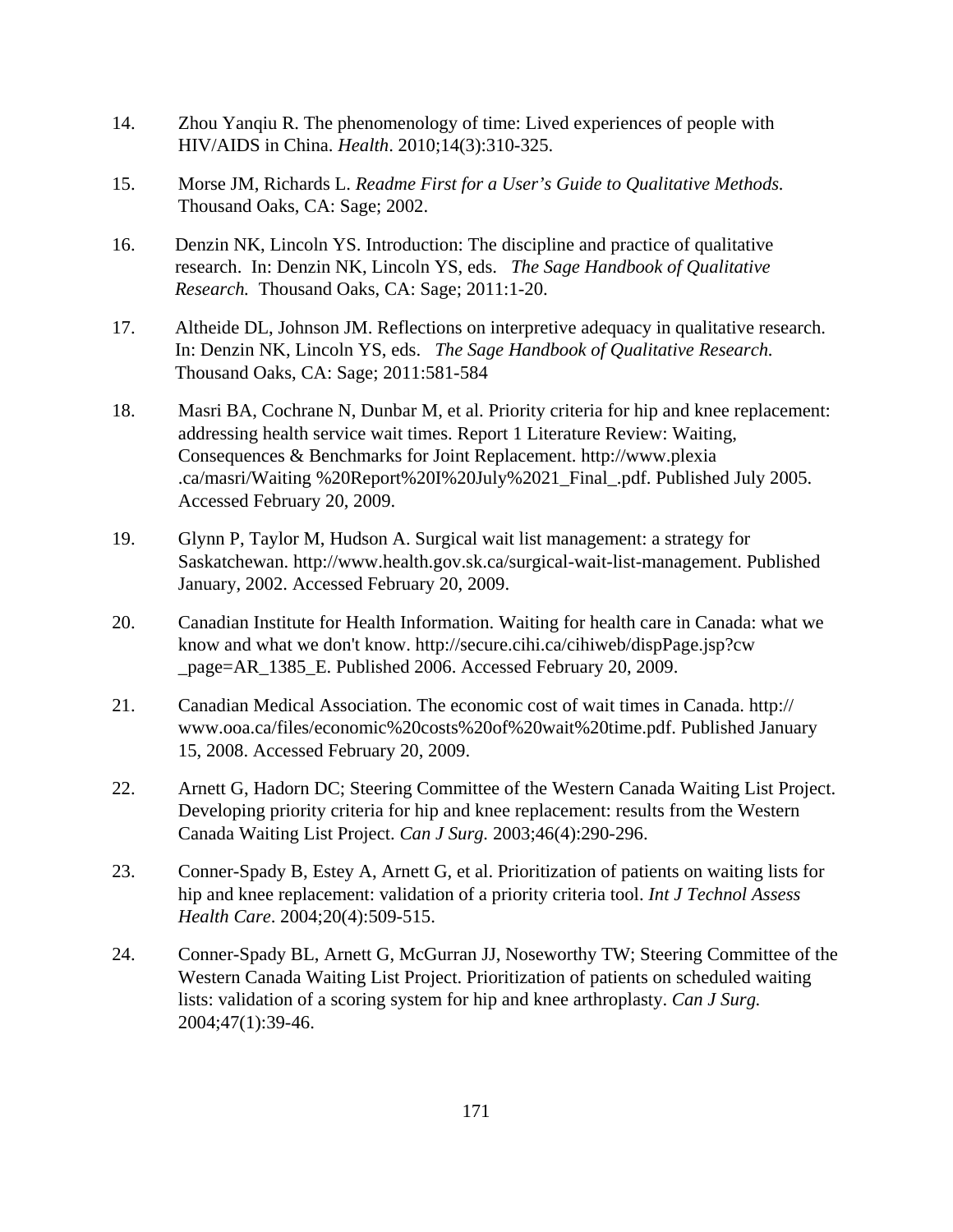- 14. Zhou Yanqiu R. The phenomenology of time: Lived experiences of people with HIV/AIDS in China. *Health*. 2010;14(3):310-325.
- 15. Morse JM, Richards L. *Readme First for a User's Guide to Qualitative Methods.* Thousand Oaks, CA: Sage; 2002.
- 16. Denzin NK, Lincoln YS. Introduction: The discipline and practice of qualitative research. In: Denzin NK, Lincoln YS, eds. *The Sage Handbook of Qualitative Research.* Thousand Oaks, CA: Sage; 2011:1-20.
- 17. Altheide DL, Johnson JM. Reflections on interpretive adequacy in qualitative research. In: Denzin NK, Lincoln YS, eds. *The Sage Handbook of Qualitative Research.* Thousand Oaks, CA: Sage; 2011:581-584
- 18. Masri BA, Cochrane N, Dunbar M, et al. Priority criteria for hip and knee replacement: addressing health service wait times. Report 1 Literature Review: Waiting, Consequences & Benchmarks for Joint Replacement. http://www.plexia .ca/masri/Waiting %20Report%20I%20July%2021\_Final\_.pdf. Published July 2005. Accessed February 20, 2009.
- 19. Glynn P, Taylor M, Hudson A. Surgical wait list management: a strategy for Saskatchewan. http://www.health.gov.sk.ca/surgical-wait-list-management. Published January, 2002. Accessed February 20, 2009.
- 20. Canadian Institute for Health Information. Waiting for health care in Canada: what we know and what we don't know. http://secure.cihi.ca/cihiweb/dispPage.jsp?cw \_page=AR\_1385\_E. Published 2006. Accessed February 20, 2009.
- 21. Canadian Medical Association. The economic cost of wait times in Canada. http:// www.ooa.ca/files/economic%20costs%20of%20wait%20time.pdf. Published January 15, 2008. Accessed February 20, 2009.
- 22. Arnett G, Hadorn DC; Steering Committee of the Western Canada Waiting List Project. Developing priority criteria for hip and knee replacement: results from the Western Canada Waiting List Project. *Can J Surg.* 2003;46(4):290-296.
- 23. Conner-Spady B, Estey A, Arnett G, et al. Prioritization of patients on waiting lists for hip and knee replacement: validation of a priority criteria tool. *Int J Technol Assess Health Care*. 2004;20(4):509-515.
- 24. Conner-Spady BL, Arnett G, McGurran JJ, Noseworthy TW; Steering Committee of the Western Canada Waiting List Project. Prioritization of patients on scheduled waiting lists: validation of a scoring system for hip and knee arthroplasty. *Can J Surg.*  2004;47(1):39-46.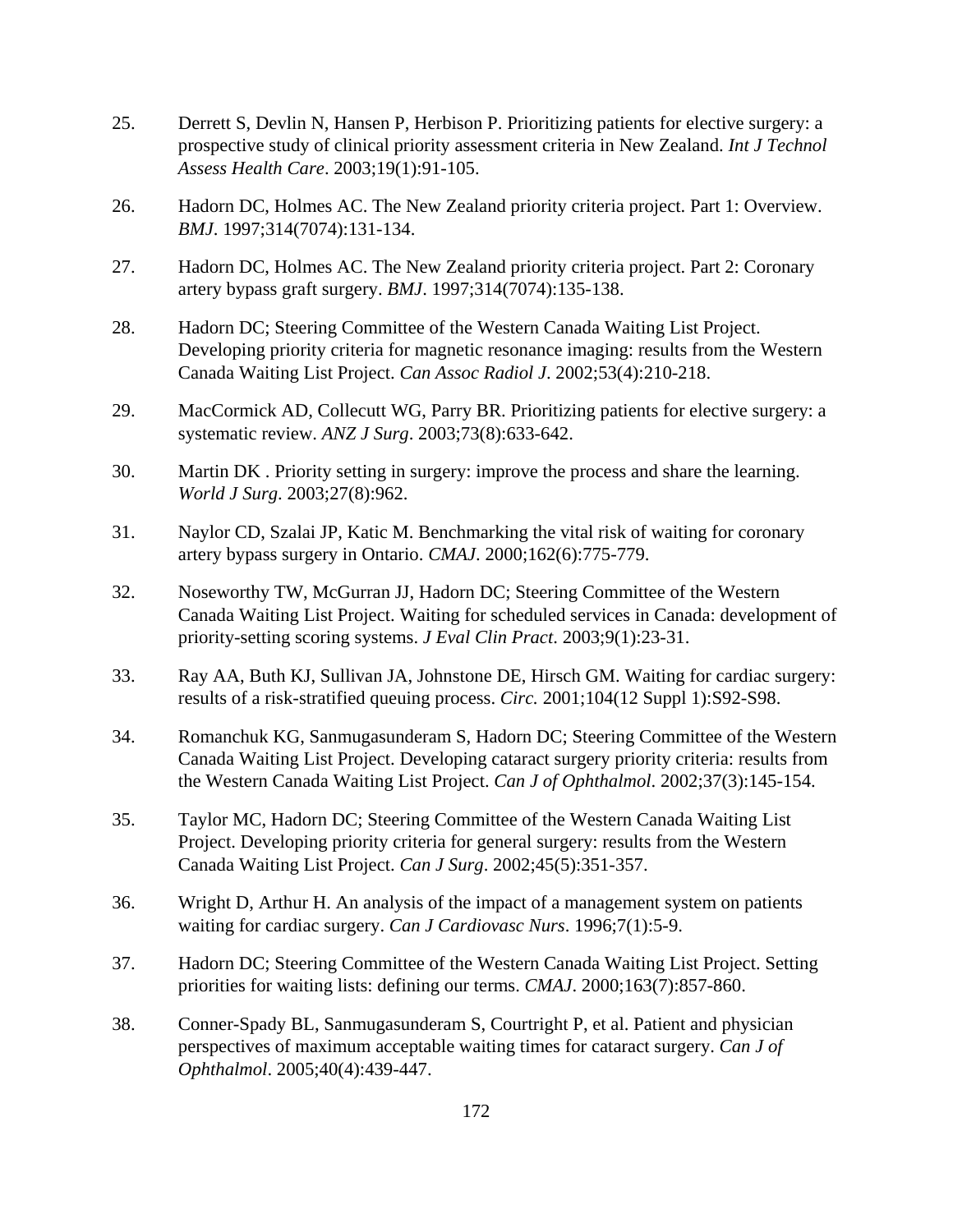- 25. Derrett S, Devlin N, Hansen P, Herbison P. Prioritizing patients for elective surgery: a prospective study of clinical priority assessment criteria in New Zealand. *Int J Technol Assess Health Care*. 2003;19(1):91-105.
- 26. Hadorn DC, Holmes AC. The New Zealand priority criteria project. Part 1: Overview. *BMJ*. 1997;314(7074):131-134.
- 27. Hadorn DC, Holmes AC. The New Zealand priority criteria project. Part 2: Coronary artery bypass graft surgery. *BMJ*. 1997;314(7074):135-138.
- 28. Hadorn DC; Steering Committee of the Western Canada Waiting List Project. Developing priority criteria for magnetic resonance imaging: results from the Western Canada Waiting List Project. *Can Assoc Radiol J*. 2002;53(4):210-218.
- 29. MacCormick AD, Collecutt WG, Parry BR. Prioritizing patients for elective surgery: a systematic review. *ANZ J Surg*. 2003;73(8):633-642.
- 30. Martin DK . Priority setting in surgery: improve the process and share the learning. *World J Surg*. 2003;27(8):962.
- 31. Naylor CD, Szalai JP, Katic M. Benchmarking the vital risk of waiting for coronary artery bypass surgery in Ontario. *CMAJ*. 2000;162(6):775-779.
- 32. Noseworthy TW, McGurran JJ, Hadorn DC; Steering Committee of the Western Canada Waiting List Project. Waiting for scheduled services in Canada: development of priority-setting scoring systems. *J Eval Clin Pract*. 2003;9(1):23-31.
- 33. Ray AA, Buth KJ, Sullivan JA, Johnstone DE, Hirsch GM. Waiting for cardiac surgery: results of a risk-stratified queuing process. *Circ.* 2001;104(12 Suppl 1):S92-S98.
- 34. Romanchuk KG, Sanmugasunderam S, Hadorn DC; Steering Committee of the Western Canada Waiting List Project. Developing cataract surgery priority criteria: results from the Western Canada Waiting List Project. *Can J of Ophthalmol*. 2002;37(3):145-154.
- 35. Taylor MC, Hadorn DC; Steering Committee of the Western Canada Waiting List Project. Developing priority criteria for general surgery: results from the Western Canada Waiting List Project. *Can J Surg*. 2002;45(5):351-357.
- 36. Wright D, Arthur H. An analysis of the impact of a management system on patients waiting for cardiac surgery. *Can J Cardiovasc Nurs*. 1996;7(1):5-9.
- 37. Hadorn DC; Steering Committee of the Western Canada Waiting List Project. Setting priorities for waiting lists: defining our terms. *CMAJ*. 2000;163(7):857-860.
- 38. Conner-Spady BL, Sanmugasunderam S, Courtright P, et al. Patient and physician perspectives of maximum acceptable waiting times for cataract surgery. *Can J of Ophthalmol*. 2005;40(4):439-447.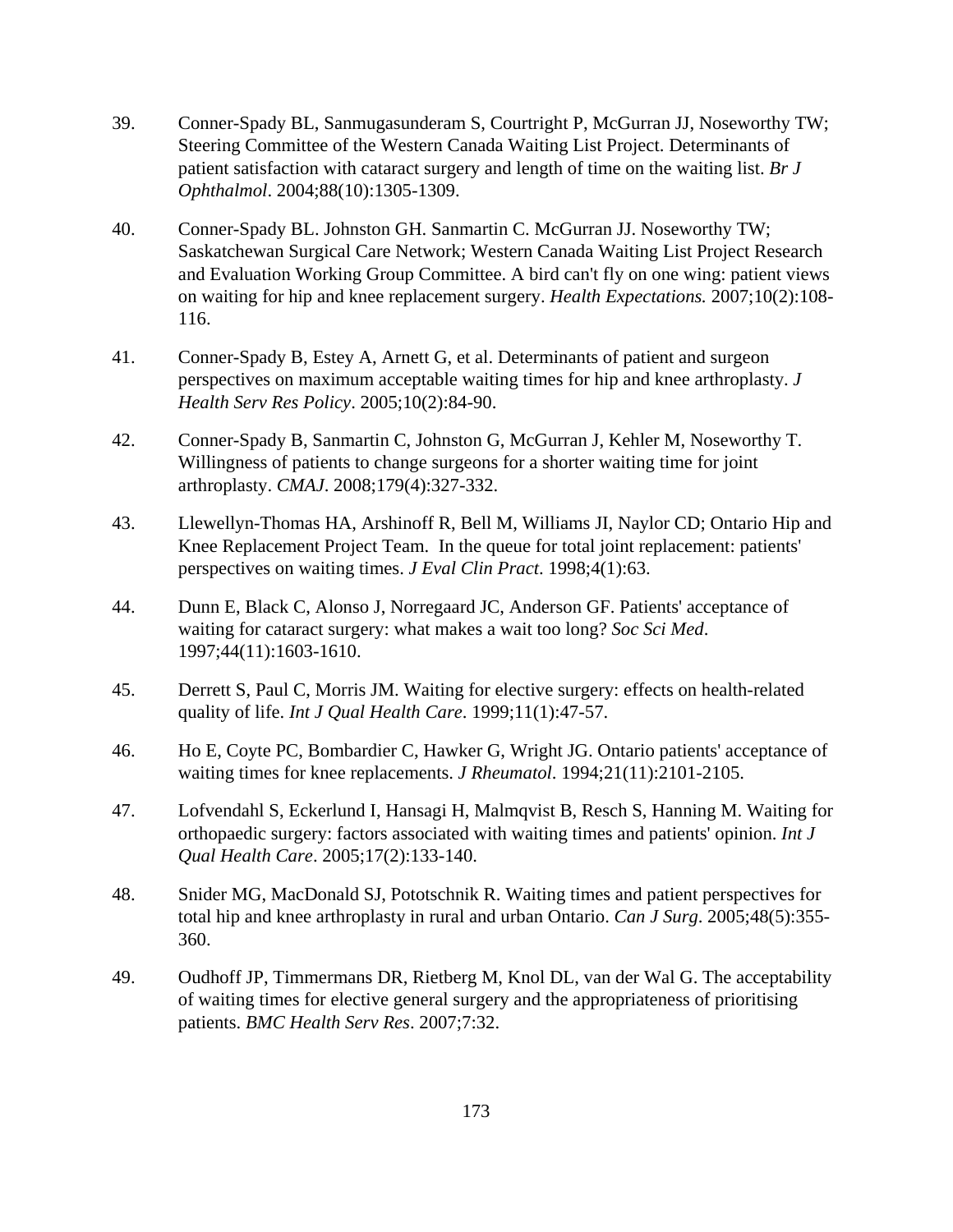- 39. Conner-Spady BL, Sanmugasunderam S, Courtright P, McGurran JJ, Noseworthy TW; Steering Committee of the Western Canada Waiting List Project. Determinants of patient satisfaction with cataract surgery and length of time on the waiting list. *Br J Ophthalmol*. 2004;88(10):1305-1309.
- 40. Conner-Spady BL. Johnston GH. Sanmartin C. McGurran JJ. Noseworthy TW; Saskatchewan Surgical Care Network; Western Canada Waiting List Project Research and Evaluation Working Group Committee. A bird can't fly on one wing: patient views on waiting for hip and knee replacement surgery. *Health Expectations.* 2007;10(2):108- 116.
- 41. Conner-Spady B, Estey A, Arnett G, et al. Determinants of patient and surgeon perspectives on maximum acceptable waiting times for hip and knee arthroplasty. *J Health Serv Res Policy*. 2005;10(2):84-90.
- 42. Conner-Spady B, Sanmartin C, Johnston G, McGurran J, Kehler M, Noseworthy T. Willingness of patients to change surgeons for a shorter waiting time for joint arthroplasty. *CMAJ*. 2008;179(4):327-332.
- 43. Llewellyn-Thomas HA, Arshinoff R, Bell M, Williams JI, Naylor CD; Ontario Hip and Knee Replacement Project Team. In the queue for total joint replacement: patients' perspectives on waiting times. *J Eval Clin Pract*. 1998;4(1):63.
- 44. Dunn E, Black C, Alonso J, Norregaard JC, Anderson GF. Patients' acceptance of waiting for cataract surgery: what makes a wait too long? *Soc Sci Med*. 1997;44(11):1603-1610.
- 45. Derrett S, Paul C, Morris JM. Waiting for elective surgery: effects on health-related quality of life. *Int J Qual Health Care*. 1999;11(1):47-57.
- 46. Ho E, Coyte PC, Bombardier C, Hawker G, Wright JG. Ontario patients' acceptance of waiting times for knee replacements. *J Rheumatol*. 1994;21(11):2101-2105.
- 47. Lofvendahl S, Eckerlund I, Hansagi H, Malmqvist B, Resch S, Hanning M. Waiting for orthopaedic surgery: factors associated with waiting times and patients' opinion. *Int J Qual Health Care*. 2005;17(2):133-140.
- 48. Snider MG, MacDonald SJ, Pototschnik R. Waiting times and patient perspectives for total hip and knee arthroplasty in rural and urban Ontario. *Can J Surg*. 2005;48(5):355- 360.
- 49. Oudhoff JP, Timmermans DR, Rietberg M, Knol DL, van der Wal G. The acceptability of waiting times for elective general surgery and the appropriateness of prioritising patients. *BMC Health Serv Res*. 2007;7:32.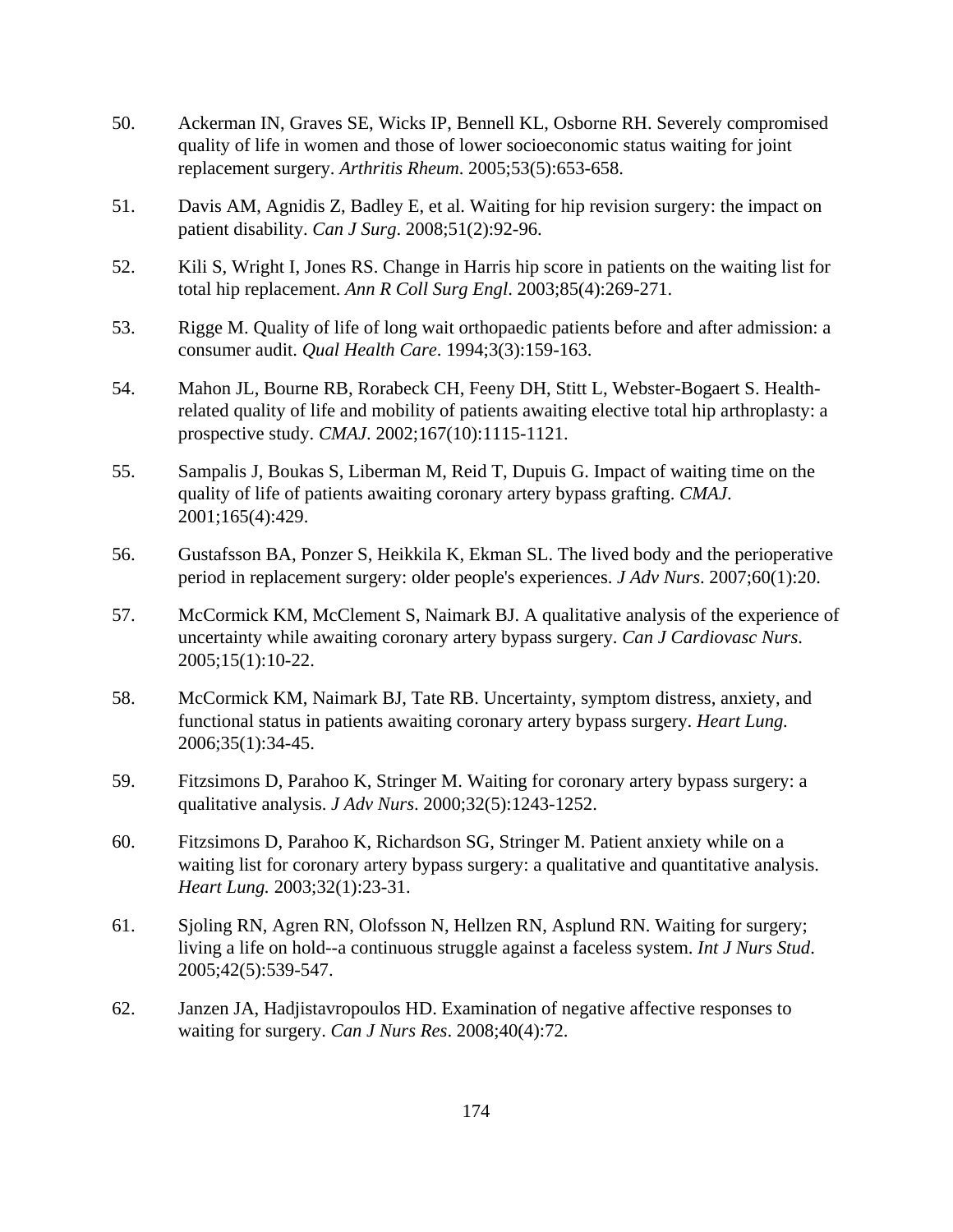- 50. Ackerman IN, Graves SE, Wicks IP, Bennell KL, Osborne RH. Severely compromised quality of life in women and those of lower socioeconomic status waiting for joint replacement surgery. *Arthritis Rheum*. 2005;53(5):653-658.
- 51. Davis AM, Agnidis Z, Badley E, et al. Waiting for hip revision surgery: the impact on patient disability. *Can J Surg*. 2008;51(2):92-96.
- 52. Kili S, Wright I, Jones RS. Change in Harris hip score in patients on the waiting list for total hip replacement. *Ann R Coll Surg Engl*. 2003;85(4):269-271.
- 53. Rigge M. Quality of life of long wait orthopaedic patients before and after admission: a consumer audit. *Qual Health Care*. 1994;3(3):159-163.
- 54. Mahon JL, Bourne RB, Rorabeck CH, Feeny DH, Stitt L, Webster-Bogaert S. Healthrelated quality of life and mobility of patients awaiting elective total hip arthroplasty: a prospective study. *CMAJ*. 2002;167(10):1115-1121.
- 55. Sampalis J, Boukas S, Liberman M, Reid T, Dupuis G. Impact of waiting time on the quality of life of patients awaiting coronary artery bypass grafting. *CMAJ*. 2001;165(4):429.
- 56. Gustafsson BA, Ponzer S, Heikkila K, Ekman SL. The lived body and the perioperative period in replacement surgery: older people's experiences. *J Adv Nurs*. 2007;60(1):20.
- 57. McCormick KM, McClement S, Naimark BJ. A qualitative analysis of the experience of uncertainty while awaiting coronary artery bypass surgery. *Can J Cardiovasc Nurs*. 2005;15(1):10-22.
- 58. McCormick KM, Naimark BJ, Tate RB. Uncertainty, symptom distress, anxiety, and functional status in patients awaiting coronary artery bypass surgery. *Heart Lung.* 2006;35(1):34-45.
- 59. Fitzsimons D, Parahoo K, Stringer M. Waiting for coronary artery bypass surgery: a qualitative analysis. *J Adv Nurs*. 2000;32(5):1243-1252.
- 60. Fitzsimons D, Parahoo K, Richardson SG, Stringer M. Patient anxiety while on a waiting list for coronary artery bypass surgery: a qualitative and quantitative analysis. *Heart Lung.* 2003;32(1):23-31.
- 61. Sjoling RN, Agren RN, Olofsson N, Hellzen RN, Asplund RN. Waiting for surgery; living a life on hold--a continuous struggle against a faceless system. *Int J Nurs Stud*. 2005;42(5):539-547.
- 62. Janzen JA, Hadjistavropoulos HD. Examination of negative affective responses to waiting for surgery. *Can J Nurs Res*. 2008;40(4):72.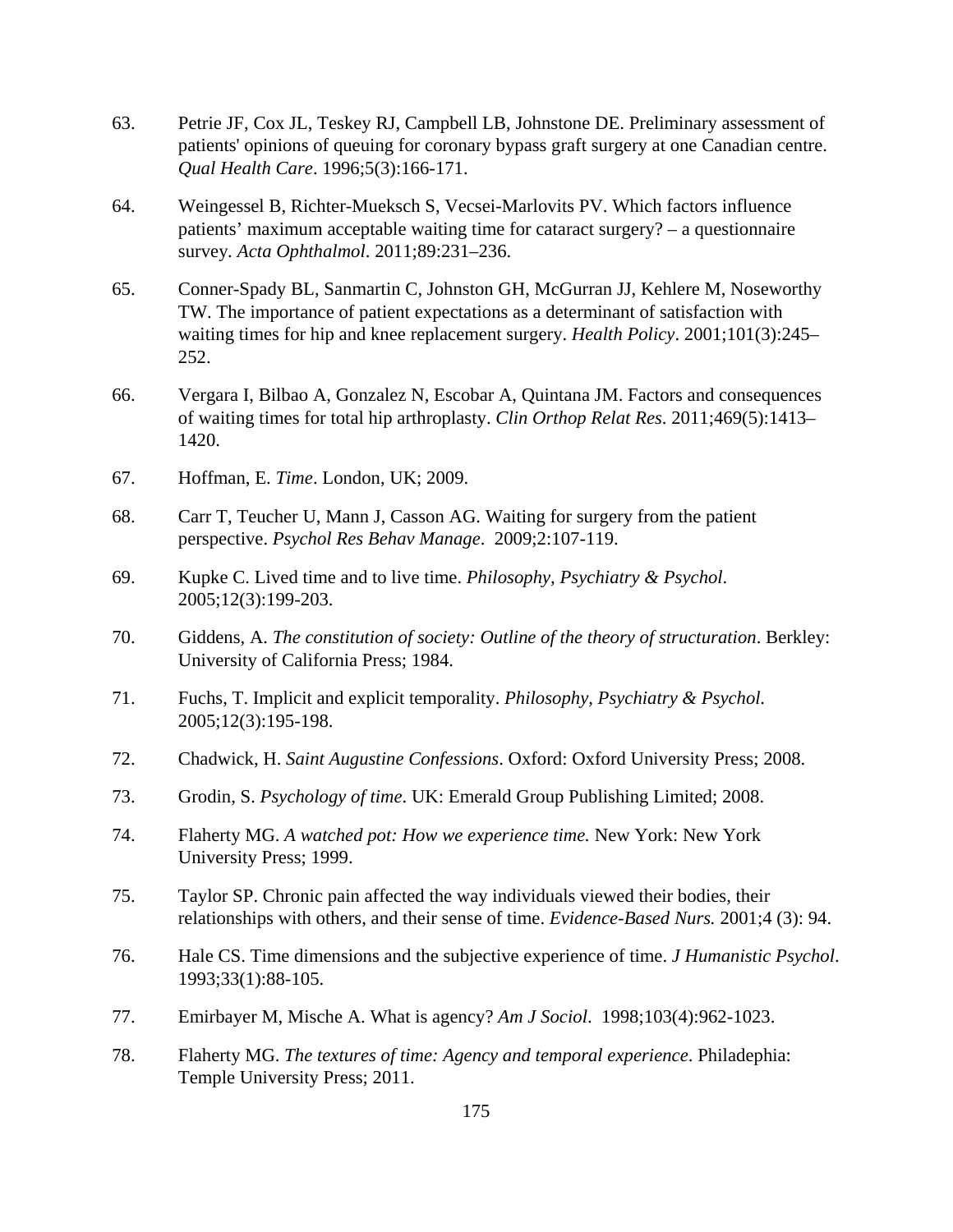- 63. Petrie JF, Cox JL, Teskey RJ, Campbell LB, Johnstone DE. Preliminary assessment of patients' opinions of queuing for coronary bypass graft surgery at one Canadian centre. *Qual Health Care*. 1996;5(3):166-171.
- 64. Weingessel B, Richter-Mueksch S, Vecsei-Marlovits PV. Which factors influence patients' maximum acceptable waiting time for cataract surgery? – a questionnaire survey*. Acta Ophthalmol*. 2011;89:231–236.
- 65. Conner-Spady BL, Sanmartin C, Johnston GH, McGurran JJ, Kehlere M, Noseworthy TW. The importance of patient expectations as a determinant of satisfaction with waiting times for hip and knee replacement surgery. *Health Policy*. 2001;101(3):245– 252.
- 66. Vergara I, Bilbao A, Gonzalez N, Escobar A, Quintana JM. Factors and consequences of waiting times for total hip arthroplasty. *Clin Orthop Relat Res*. 2011;469(5):1413– 1420.
- 67. Hoffman, E. *Time*. London, UK; 2009.
- 68. Carr T, Teucher U, Mann J, Casson AG. Waiting for surgery from the patient perspective. *Psychol Res Behav Manage*. 2009;2:107-119.
- 69. Kupke C. Lived time and to live time. *Philosophy, Psychiatry & Psychol*. 2005;12(3):199-203.
- 70. Giddens, A. *The constitution of society: Outline of the theory of structuration*. Berkley: University of California Press; 1984.
- 71. Fuchs, T. Implicit and explicit temporality. *Philosophy, Psychiatry & Psychol.*  2005;12(3):195-198.
- 72. Chadwick, H. *Saint Augustine Confessions*. Oxford: Oxford University Press; 2008.
- 73. Grodin, S. *Psychology of time*. UK: Emerald Group Publishing Limited; 2008.
- 74. Flaherty MG. *A watched pot: How we experience time.* New York: New York University Press; 1999.
- 75. Taylor SP. Chronic pain affected the way individuals viewed their bodies, their relationships with others, and their sense of time. *Evidence-Based Nurs.* 2001;4 (3): 94.
- 76. Hale CS. Time dimensions and the subjective experience of time. *J Humanistic Psychol*. 1993;33(1):88-105.
- 77. Emirbayer M, Mische A. What is agency? *Am J Sociol*. 1998;103(4):962-1023.
- 78. Flaherty MG. *The textures of time: Agency and temporal experience*. Philadephia: Temple University Press; 2011.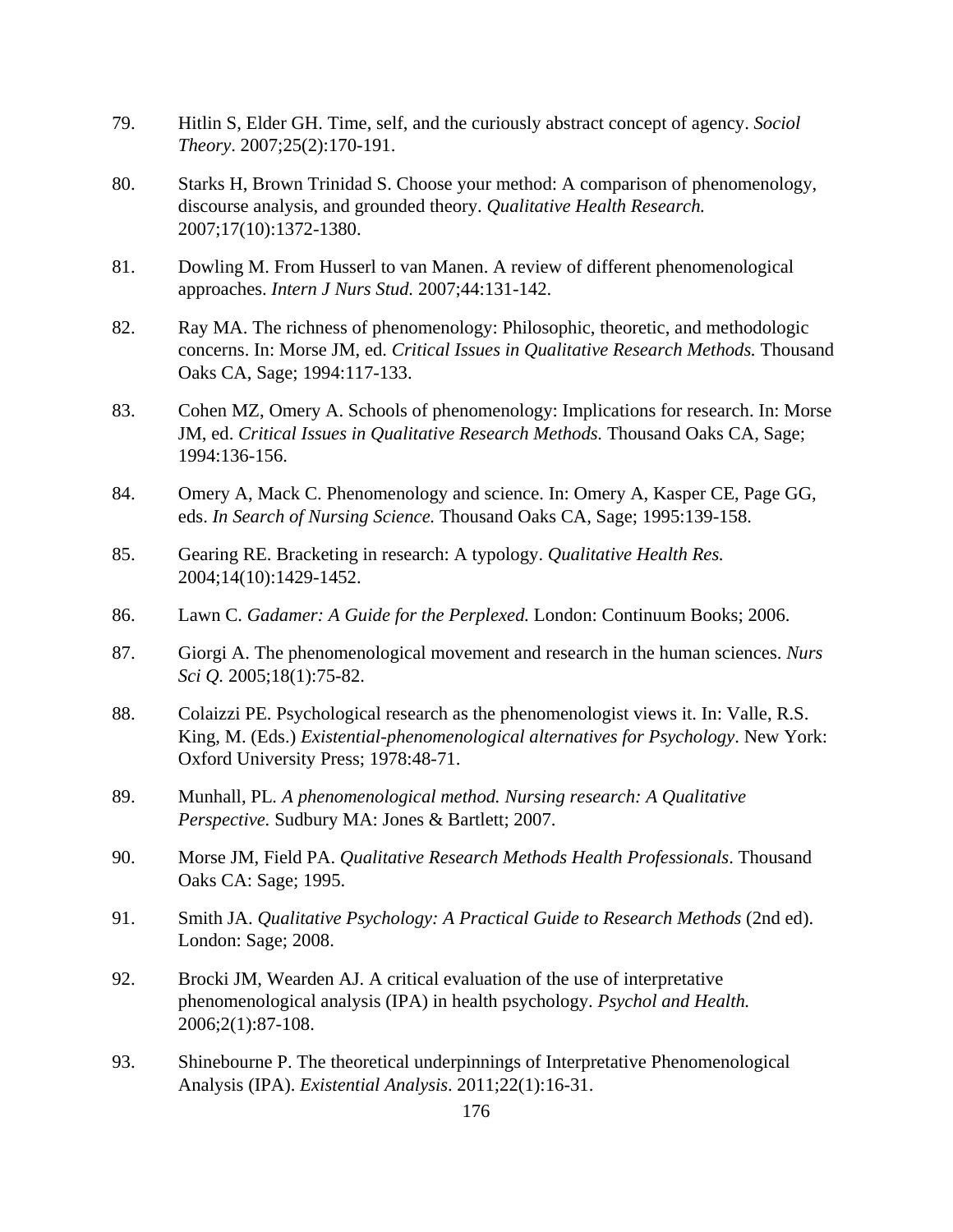- 79. Hitlin S, Elder GH. Time, self, and the curiously abstract concept of agency. *Sociol Theory*. 2007;25(2):170-191.
- 80. Starks H, Brown Trinidad S. Choose your method: A comparison of phenomenology, discourse analysis, and grounded theory. *Qualitative Health Research.*  2007;17(10):1372-1380.
- 81. Dowling M. From Husserl to van Manen. A review of different phenomenological approaches. *Intern J Nurs Stud.* 2007;44:131-142.
- 82. Ray MA. The richness of phenomenology: Philosophic, theoretic, and methodologic concerns. In: Morse JM, ed. *Critical Issues in Qualitative Research Methods.* Thousand Oaks CA, Sage; 1994:117-133.
- 83. Cohen MZ, Omery A. Schools of phenomenology: Implications for research. In: Morse JM, ed. *Critical Issues in Qualitative Research Methods.* Thousand Oaks CA, Sage; 1994:136-156.
- 84. Omery A, Mack C. Phenomenology and science. In: Omery A, Kasper CE, Page GG, eds. *In Search of Nursing Science.* Thousand Oaks CA, Sage; 1995:139-158.
- 85. Gearing RE. Bracketing in research: A typology. *Qualitative Health Res.*  2004;14(10):1429-1452.
- 86. Lawn C. *Gadamer: A Guide for the Perplexed.* London: Continuum Books; 2006.
- 87. Giorgi A. The phenomenological movement and research in the human sciences. *Nurs Sci Q.* 2005;18(1):75-82.
- 88. Colaizzi PE. Psychological research as the phenomenologist views it. In: Valle, R.S. King, M. (Eds.) *Existential-phenomenological alternatives for Psychology*. New York: Oxford University Press; 1978:48-71.
- 89. Munhall, PL*. A phenomenological method. Nursing research: A Qualitative Perspective.* Sudbury MA: Jones & Bartlett; 2007.
- 90. Morse JM, Field PA. *Qualitative Research Methods Health Professionals*. Thousand Oaks CA: Sage; 1995.
- 91. Smith JA. *Qualitative Psychology: A Practical Guide to Research Methods* (2nd ed). London: Sage; 2008.
- 92. Brocki JM, Wearden AJ. A critical evaluation of the use of interpretative phenomenological analysis (IPA) in health psychology. *Psychol and Health.* 2006;2(1):87-108.
- 93. Shinebourne P. The theoretical underpinnings of Interpretative Phenomenological Analysis (IPA). *Existential Analysis*. 2011;22(1):16-31.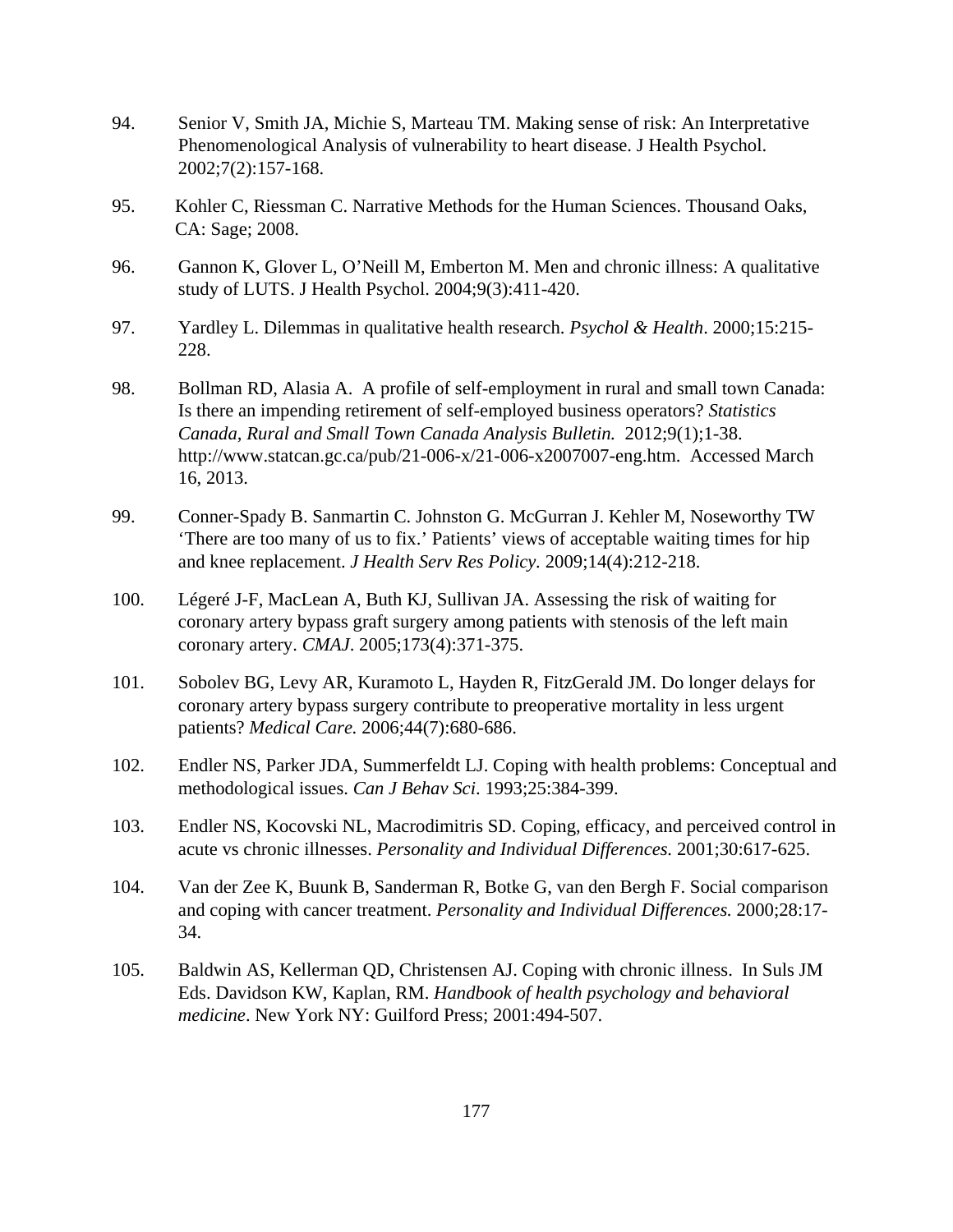- 94. Senior V, Smith JA, Michie S, Marteau TM. Making sense of risk: An Interpretative Phenomenological Analysis of vulnerability to heart disease. J Health Psychol. 2002;7(2):157-168.
- 95. Kohler C, Riessman C. Narrative Methods for the Human Sciences. Thousand Oaks, CA: Sage; 2008.
- 96. Gannon K, Glover L, O'Neill M, Emberton M. Men and chronic illness: A qualitative study of LUTS. J Health Psychol. 2004;9(3):411-420.
- 97. Yardley L. Dilemmas in qualitative health research. *Psychol & Health*. 2000;15:215- 228.
- 98. Bollman RD, Alasia A. A profile of self-employment in rural and small town Canada: Is there an impending retirement of self-employed business operators? *Statistics Canada, Rural and Small Town Canada Analysis Bulletin.* 2012;9(1);1-38. http://www.statcan.gc.ca/pub/21-006-x/21-006-x2007007-eng.htm. Accessed March 16, 2013.
- 99. Conner-Spady B. Sanmartin C. Johnston G. McGurran J. Kehler M, Noseworthy TW 'There are too many of us to fix.' Patients' views of acceptable waiting times for hip and knee replacement. *J Health Serv Res Policy.* 2009;14(4):212-218.
- 100. Légeré J-F, MacLean A, Buth KJ, Sullivan JA. Assessing the risk of waiting for coronary artery bypass graft surgery among patients with stenosis of the left main coronary artery. *CMAJ*. 2005;173(4):371-375.
- 101. Sobolev BG, Levy AR, Kuramoto L, Hayden R, FitzGerald JM. Do longer delays for coronary artery bypass surgery contribute to preoperative mortality in less urgent patients? *Medical Care.* 2006;44(7):680-686.
- 102. Endler NS, Parker JDA, Summerfeldt LJ. Coping with health problems: Conceptual and methodological issues. *Can J Behav Sci*. 1993;25:384-399.
- 103. Endler NS, Kocovski NL, Macrodimitris SD. Coping, efficacy, and perceived control in acute vs chronic illnesses. *Personality and Individual Differences.* 2001;30:617-625.
- 104. Van der Zee K, Buunk B, Sanderman R, Botke G, van den Bergh F. Social comparison and coping with cancer treatment. *Personality and Individual Differences.* 2000;28:17- 34.
- 105. Baldwin AS, Kellerman QD, Christensen AJ. Coping with chronic illness. In Suls JM Eds. Davidson KW, Kaplan, RM. *Handbook of health psychology and behavioral medicine*. New York NY: Guilford Press; 2001:494-507.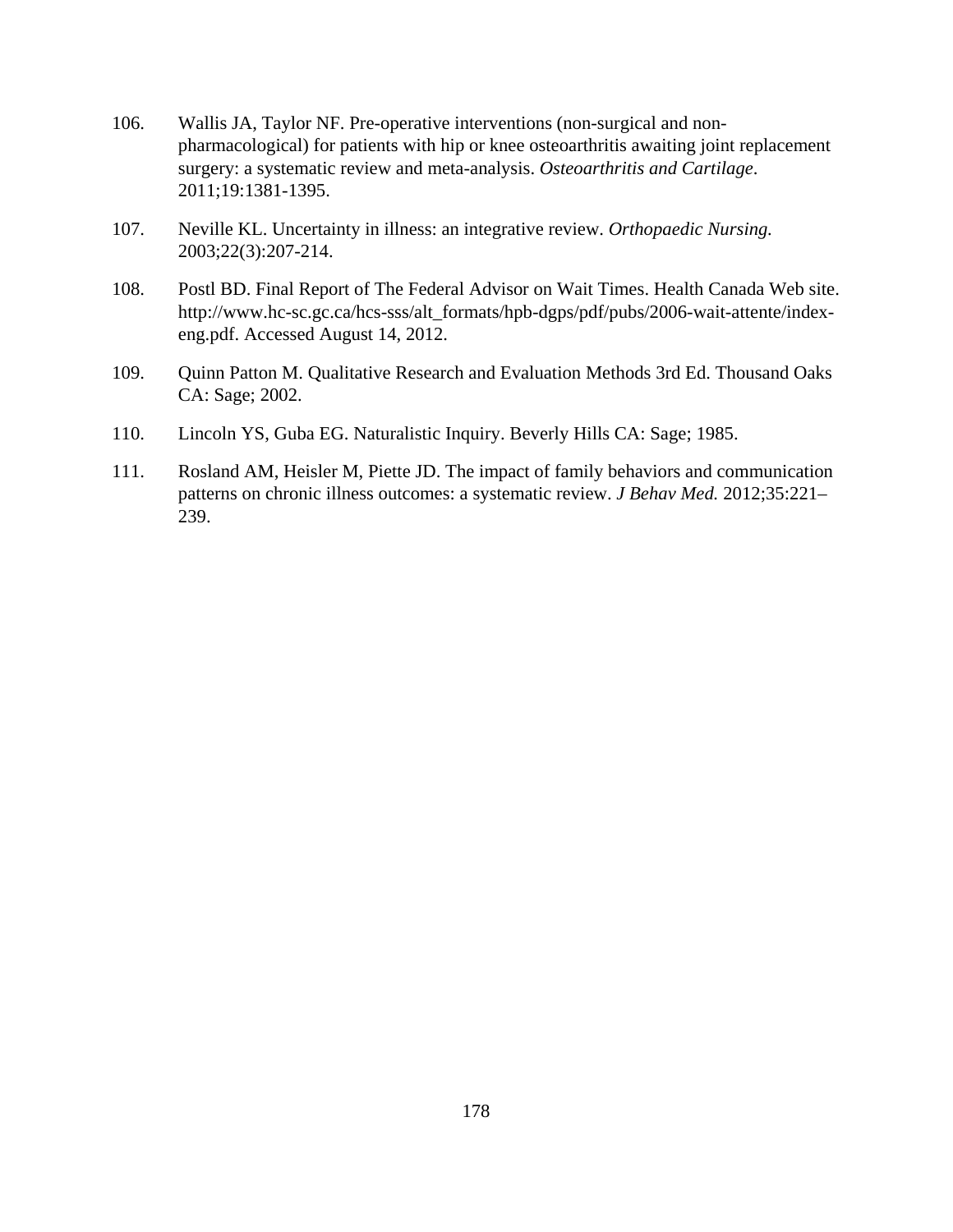- 106. Wallis JA, Taylor NF. Pre-operative interventions (non-surgical and nonpharmacological) for patients with hip or knee osteoarthritis awaiting joint replacement surgery: a systematic review and meta-analysis. *Osteoarthritis and Cartilage*. 2011;19:1381-1395.
- 107. Neville KL. Uncertainty in illness: an integrative review. *Orthopaedic Nursing.* 2003;22(3):207-214.
- 108. Postl BD. Final Report of The Federal Advisor on Wait Times. Health Canada Web site. http://www.hc-sc.gc.ca/hcs-sss/alt\_formats/hpb-dgps/pdf/pubs/2006-wait-attente/indexeng.pdf. Accessed August 14, 2012.
- 109. Quinn Patton M. Qualitative Research and Evaluation Methods 3rd Ed. Thousand Oaks CA: Sage; 2002.
- 110. Lincoln YS, Guba EG. Naturalistic Inquiry. Beverly Hills CA: Sage; 1985.
- 111. Rosland AM, Heisler M, Piette JD. The impact of family behaviors and communication patterns on chronic illness outcomes: a systematic review. *J Behav Med.* 2012;35:221– 239.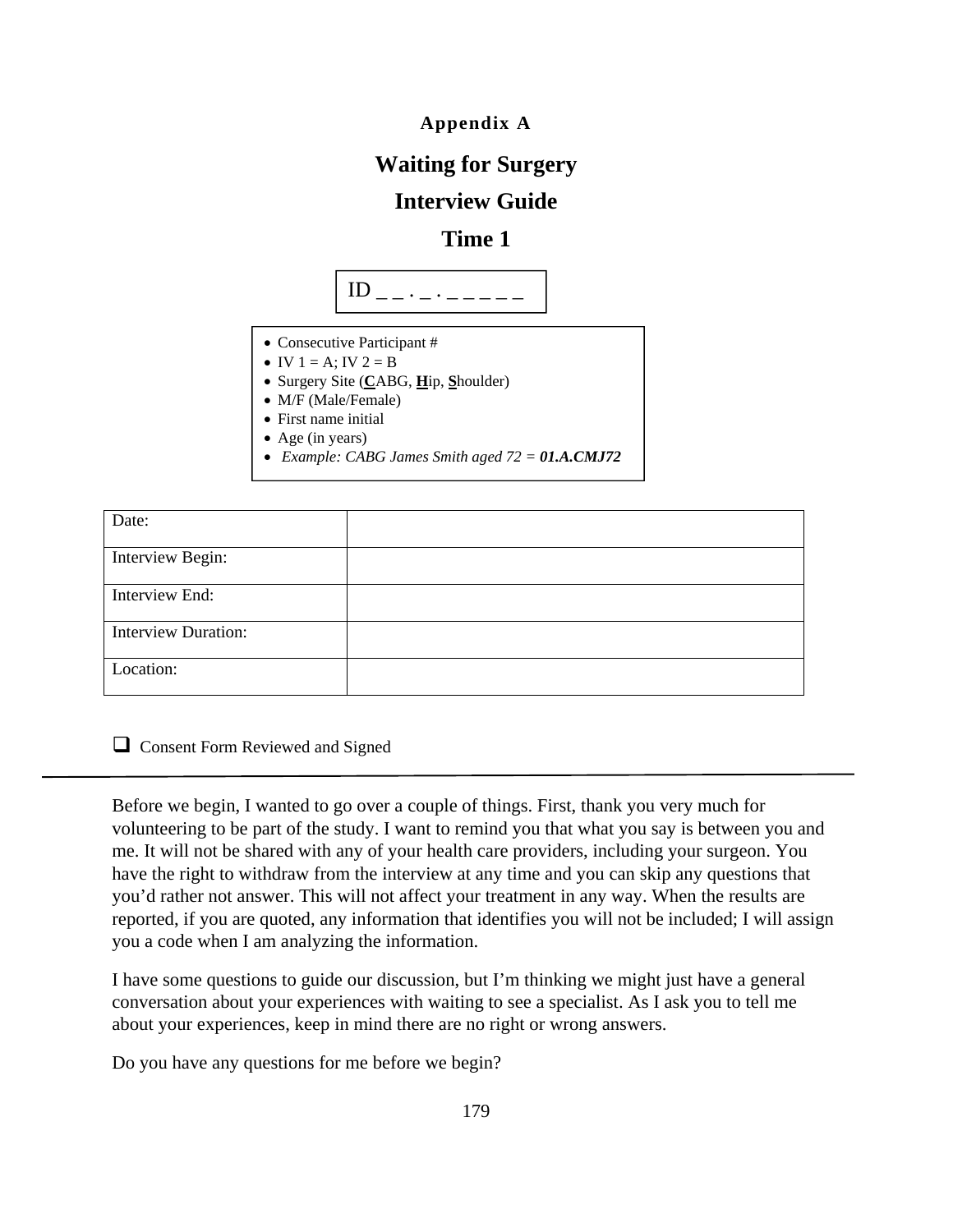**Appendix A**

## **Waiting for Surgery**

## **Interview Guide**

## **Time 1**



- Consecutive Participant #
- IV  $1 = A$ ; IV  $2 = B$
- Surgery Site (**C**ABG, **H**ip, **S**houlder)
- M/F (Male/Female)
- First name initial
- Age (in years)
- *Example: CABG James Smith aged 72 = 01.A.CMJ72*

| Date:                      |  |
|----------------------------|--|
| Interview Begin:           |  |
| Interview End:             |  |
| <b>Interview Duration:</b> |  |
| Location:                  |  |

**Q** Consent Form Reviewed and Signed

Before we begin, I wanted to go over a couple of things. First, thank you very much for volunteering to be part of the study. I want to remind you that what you say is between you and me. It will not be shared with any of your health care providers, including your surgeon. You have the right to withdraw from the interview at any time and you can skip any questions that you'd rather not answer. This will not affect your treatment in any way. When the results are reported, if you are quoted, any information that identifies you will not be included; I will assign you a code when I am analyzing the information.

I have some questions to guide our discussion, but I'm thinking we might just have a general conversation about your experiences with waiting to see a specialist. As I ask you to tell me about your experiences, keep in mind there are no right or wrong answers.

Do you have any questions for me before we begin?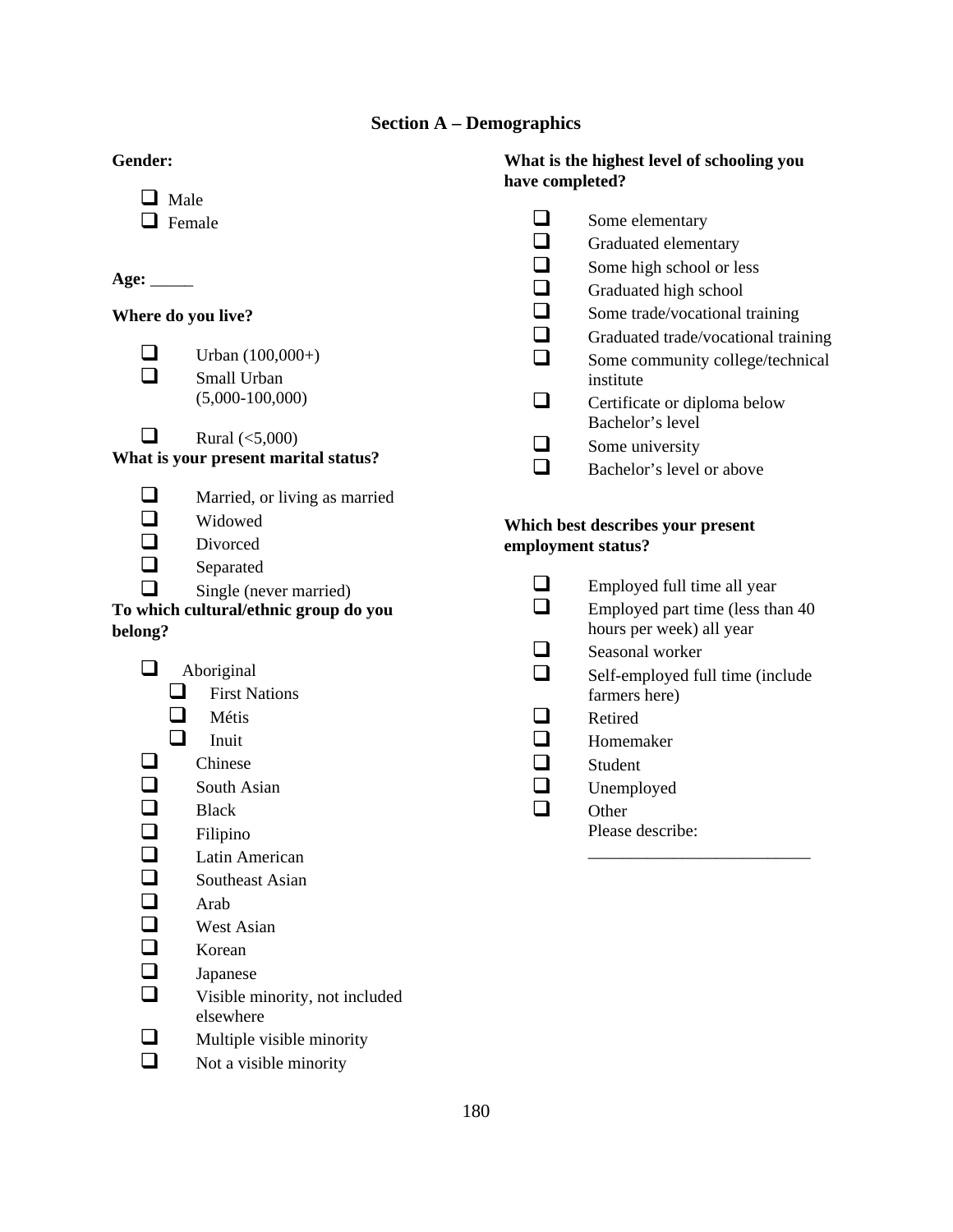## **Section A – Demographics**

| Gender:                  |                                       | have completed? | What is the highest level of schooling you                   |
|--------------------------|---------------------------------------|-----------------|--------------------------------------------------------------|
| $\Box$ Male              |                                       |                 |                                                              |
|                          | Female                                |                 | Some elementary                                              |
|                          |                                       | $\Box$          | Graduated elementary                                         |
|                          |                                       |                 | Some high school or less                                     |
| Age: $\_\_$              |                                       | ⊒               | Graduated high school                                        |
| Where do you live?       |                                       | $\Box$          | Some trade/vocational training                               |
|                          |                                       | $\Box$          | Graduated trade/vocational training                          |
|                          | Urban $(100,000+)$                    | $\Box$          | Some community college/technical                             |
|                          | Small Urban                           |                 | institute                                                    |
|                          | $(5,000-100,000)$                     | ❏               | Certificate or diploma below                                 |
| $\mathcal{L}$            | Rural $(<5,000)$                      |                 | Bachelor's level                                             |
|                          | What is your present marital status?  |                 | Some university                                              |
|                          |                                       | $\Box$          | Bachelor's level or above                                    |
| $\Box$                   | Married, or living as married         |                 |                                                              |
| $\Box$                   | Widowed                               |                 | Which best describes your present                            |
| $\Box$                   | Divorced                              |                 | employment status?                                           |
| $\Box$                   | Separated                             |                 |                                                              |
| П                        | Single (never married)                | $\Box$          | Employed full time all year                                  |
| belong?                  | To which cultural/ethnic group do you | $\Box$          | Employed part time (less than 40<br>hours per week) all year |
|                          |                                       | $\Box$          | Seasonal worker                                              |
| $\Box$                   | Aboriginal                            | $\Box$          | Self-employed full time (include                             |
| ⊔                        | <b>First Nations</b>                  |                 | farmers here)                                                |
| ⊔                        | Métis                                 |                 | Retired                                                      |
| $\Box$                   | Inuit                                 | $\Box$          | Homemaker                                                    |
| $\overline{\phantom{a}}$ | Chinese                               | $\Box$          | Student                                                      |
| $\Box$                   | South Asian                           | $\Box$          | Unemployed                                                   |
|                          | <b>Black</b>                          | $\Box$          | Other                                                        |
| $\Box$                   | Filipino                              |                 | Please describe:                                             |
| ┚                        | Latin American                        |                 |                                                              |
|                          | Southeast Asian                       |                 |                                                              |
| $\Box$                   | Arab                                  |                 |                                                              |
| $\Box$                   | West Asian                            |                 |                                                              |
| $\Box$                   | Korean                                |                 |                                                              |
| $\Box$                   | Japanese                              |                 |                                                              |
|                          | Visible minority, not included        |                 |                                                              |
|                          | elsewhere                             |                 |                                                              |
| ┚                        | Multiple visible minority             |                 |                                                              |
| $\Box$                   | Not a visible minority                |                 |                                                              |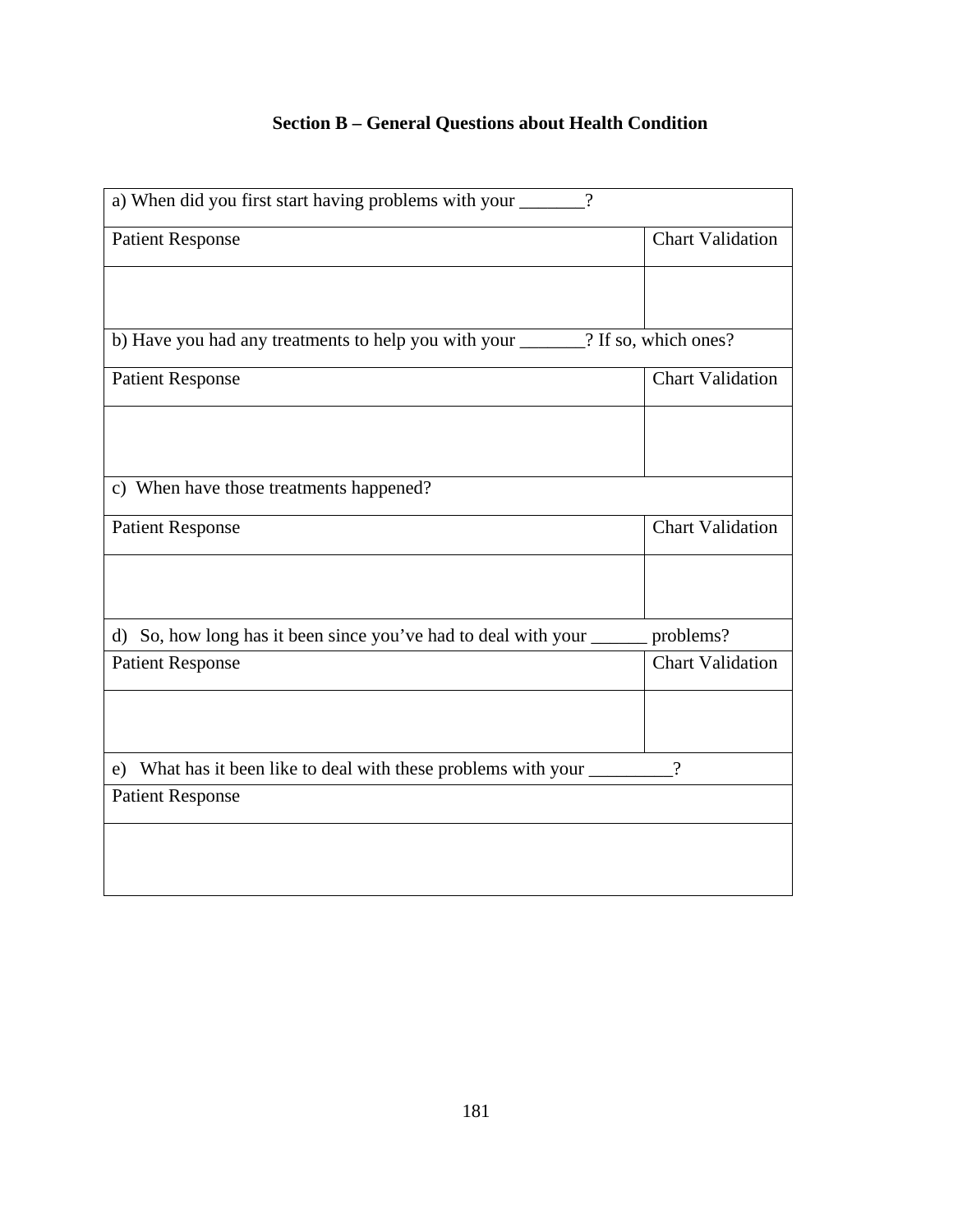## **Section B – General Questions about Health Condition**

| a) When did you first start having problems with your _______?        |                         |
|-----------------------------------------------------------------------|-------------------------|
| <b>Patient Response</b>                                               | <b>Chart Validation</b> |
|                                                                       |                         |
|                                                                       | ? If so, which ones?    |
| <b>Patient Response</b>                                               | <b>Chart Validation</b> |
|                                                                       |                         |
| c) When have those treatments happened?                               |                         |
| <b>Patient Response</b>                                               | <b>Chart Validation</b> |
|                                                                       |                         |
| d)                                                                    | problems?               |
| <b>Patient Response</b>                                               | <b>Chart Validation</b> |
|                                                                       |                         |
| e) What has it been like to deal with these problems with your ______ | $\gamma$                |
| <b>Patient Response</b>                                               |                         |
|                                                                       |                         |
|                                                                       |                         |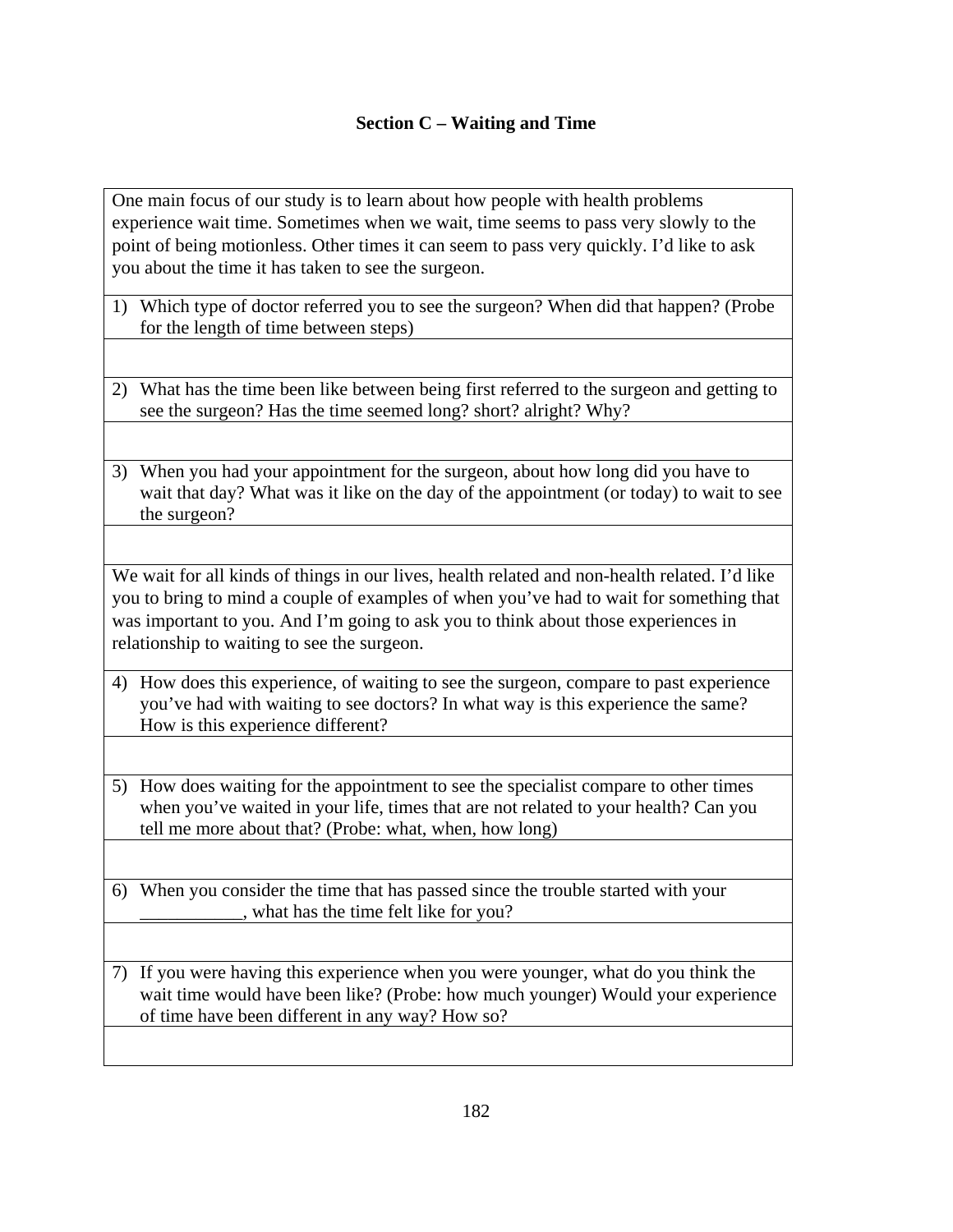## **Section C – Waiting and Time**

One main focus of our study is to learn about how people with health problems experience wait time. Sometimes when we wait, time seems to pass very slowly to the point of being motionless. Other times it can seem to pass very quickly. I'd like to ask you about the time it has taken to see the surgeon.

- 1) Which type of doctor referred you to see the surgeon? When did that happen? (Probe for the length of time between steps)
- 2) What has the time been like between being first referred to the surgeon and getting to see the surgeon? Has the time seemed long? short? alright? Why?
- 3) When you had your appointment for the surgeon, about how long did you have to wait that day? What was it like on the day of the appointment (or today) to wait to see the surgeon?

We wait for all kinds of things in our lives, health related and non-health related. I'd like you to bring to mind a couple of examples of when you've had to wait for something that was important to you. And I'm going to ask you to think about those experiences in relationship to waiting to see the surgeon.

- 4) How does this experience, of waiting to see the surgeon, compare to past experience you've had with waiting to see doctors? In what way is this experience the same? How is this experience different?
- 5) How does waiting for the appointment to see the specialist compare to other times when you've waited in your life, times that are not related to your health? Can you tell me more about that? (Probe: what, when, how long)

6) When you consider the time that has passed since the trouble started with your what has the time felt like for you?

7) If you were having this experience when you were younger, what do you think the wait time would have been like? (Probe: how much younger) Would your experience of time have been different in any way? How so?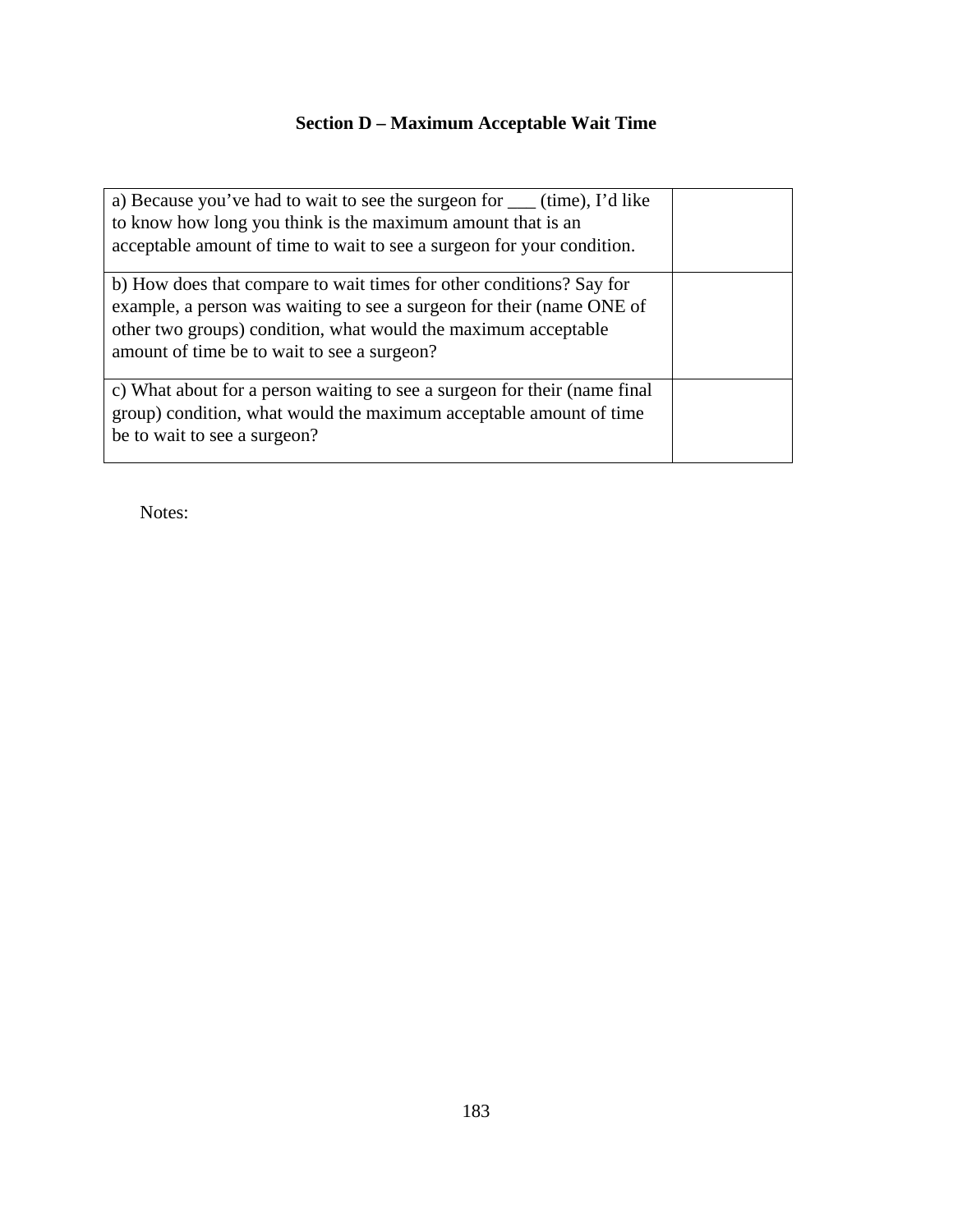## **Section D – Maximum Acceptable Wait Time**

| a) Because you've had to wait to see the surgeon for _____ (time), I'd like<br>to know how long you think is the maximum amount that is an<br>acceptable amount of time to wait to see a surgeon for your condition.                                           |  |
|----------------------------------------------------------------------------------------------------------------------------------------------------------------------------------------------------------------------------------------------------------------|--|
| b) How does that compare to wait times for other conditions? Say for<br>example, a person was waiting to see a surgeon for their (name ONE of<br>other two groups) condition, what would the maximum acceptable<br>amount of time be to wait to see a surgeon? |  |
| c) What about for a person waiting to see a surgeon for their (name final<br>group) condition, what would the maximum acceptable amount of time<br>be to wait to see a surgeon?                                                                                |  |

Notes: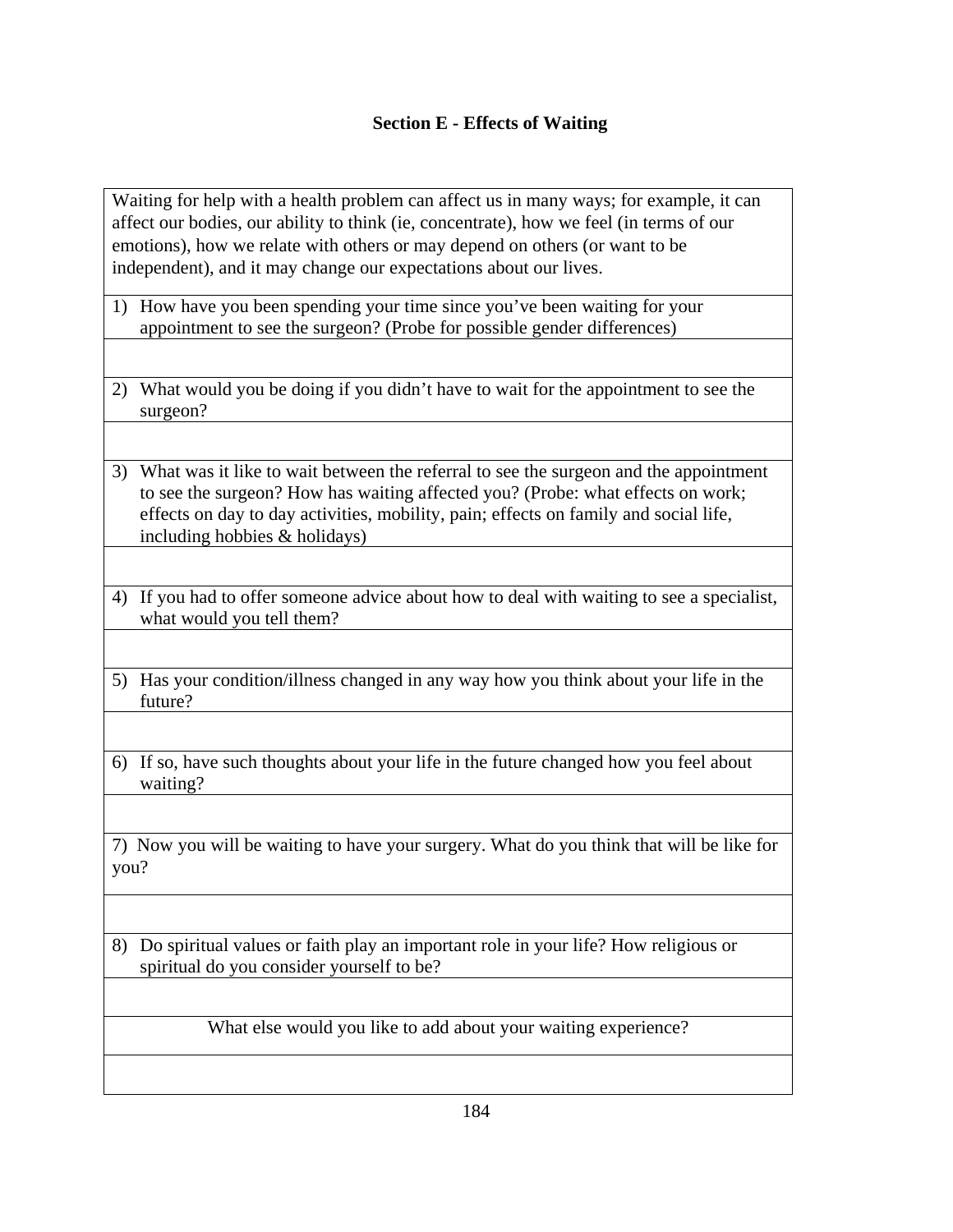## **Section E - Effects of Waiting**

Waiting for help with a health problem can affect us in many ways; for example, it can affect our bodies, our ability to think (ie, concentrate), how we feel (in terms of our emotions), how we relate with others or may depend on others (or want to be independent), and it may change our expectations about our lives.

- 1) How have you been spending your time since you've been waiting for your appointment to see the surgeon? (Probe for possible gender differences)
- 2) What would you be doing if you didn't have to wait for the appointment to see the surgeon?
- 3) What was it like to wait between the referral to see the surgeon and the appointment to see the surgeon? How has waiting affected you? (Probe: what effects on work; effects on day to day activities, mobility, pain; effects on family and social life, including hobbies & holidays)
- 4) If you had to offer someone advice about how to deal with waiting to see a specialist, what would you tell them?
- 5) Has your condition/illness changed in any way how you think about your life in the future?
- 6) If so, have such thoughts about your life in the future changed how you feel about waiting?

7) Now you will be waiting to have your surgery. What do you think that will be like for you?

8) Do spiritual values or faith play an important role in your life? How religious or spiritual do you consider yourself to be?

What else would you like to add about your waiting experience?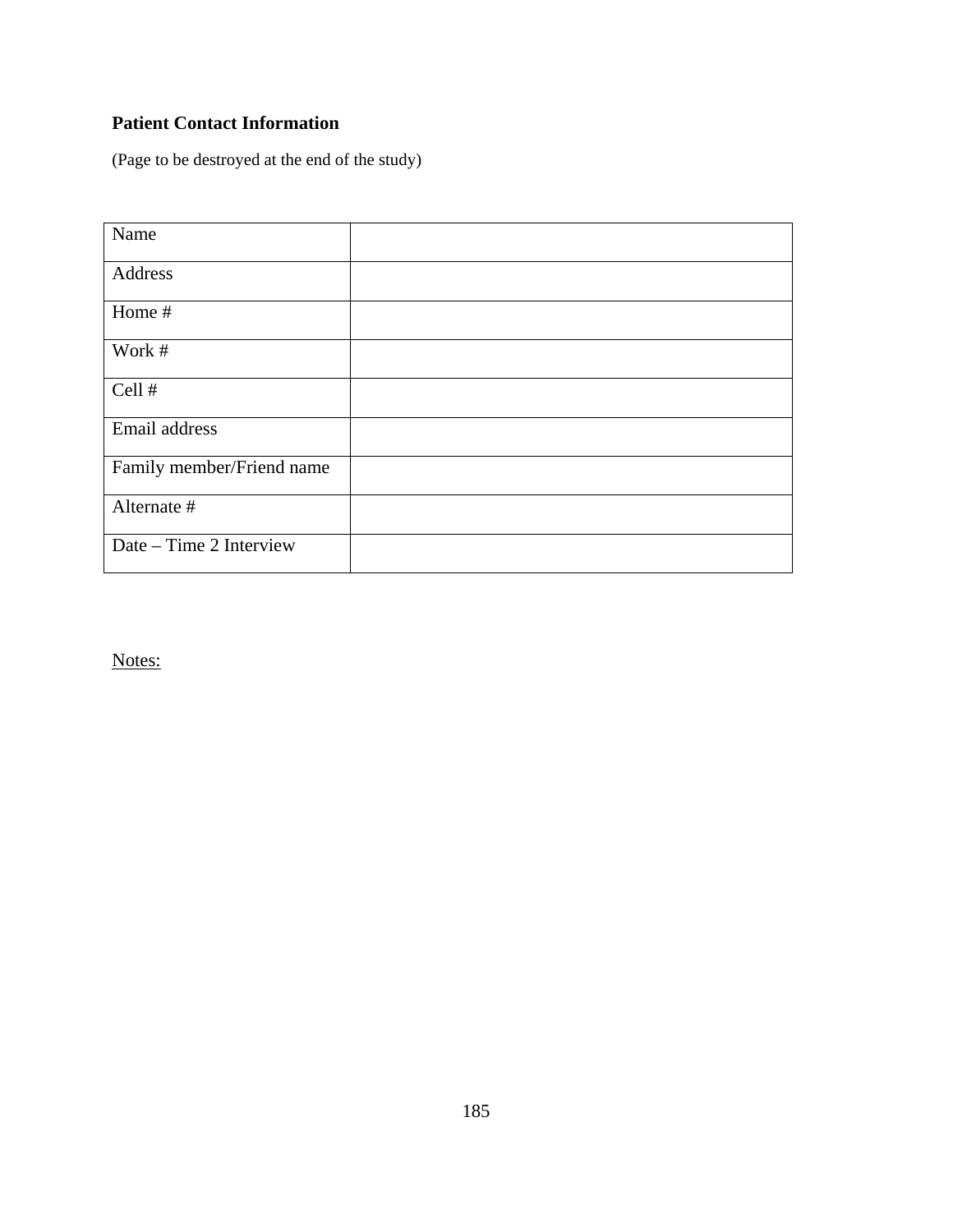## **Patient Contact Information**

(Page to be destroyed at the end of the study)

| Name                      |  |
|---------------------------|--|
| Address                   |  |
| Home #                    |  |
| Work #                    |  |
| Cell #                    |  |
| Email address             |  |
| Family member/Friend name |  |
| Alternate #               |  |
| Date – Time 2 Interview   |  |

Notes: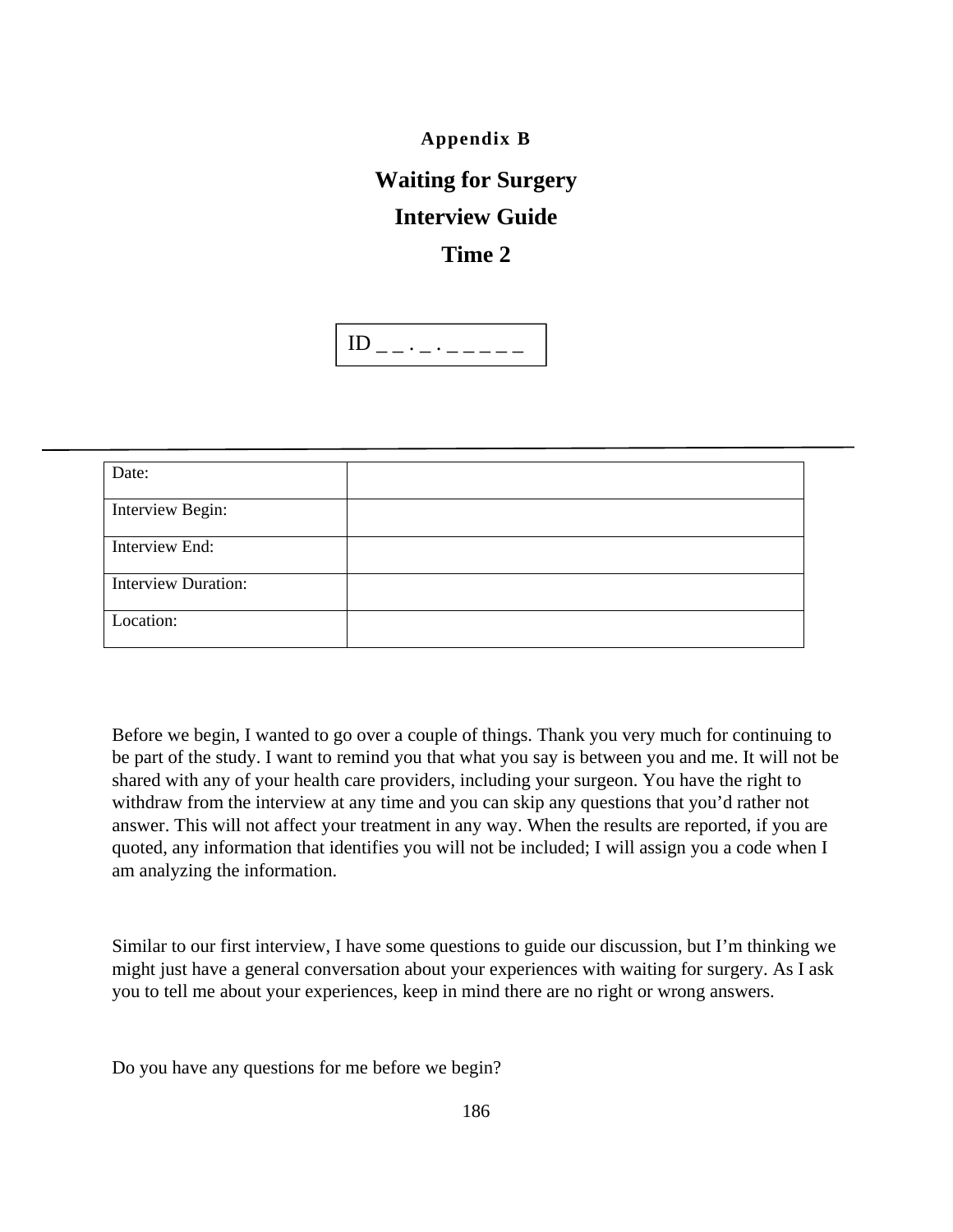**Appendix B** 

# **Waiting for Surgery**

## **Interview Guide**

## **Time 2**



| Date:                      |  |
|----------------------------|--|
| Interview Begin:           |  |
| Interview End:             |  |
| <b>Interview Duration:</b> |  |
| Location:                  |  |

Before we begin, I wanted to go over a couple of things. Thank you very much for continuing to be part of the study. I want to remind you that what you say is between you and me. It will not be shared with any of your health care providers, including your surgeon. You have the right to withdraw from the interview at any time and you can skip any questions that you'd rather not answer. This will not affect your treatment in any way. When the results are reported, if you are quoted, any information that identifies you will not be included; I will assign you a code when I am analyzing the information.

Similar to our first interview, I have some questions to guide our discussion, but I'm thinking we might just have a general conversation about your experiences with waiting for surgery. As I ask you to tell me about your experiences, keep in mind there are no right or wrong answers.

Do you have any questions for me before we begin?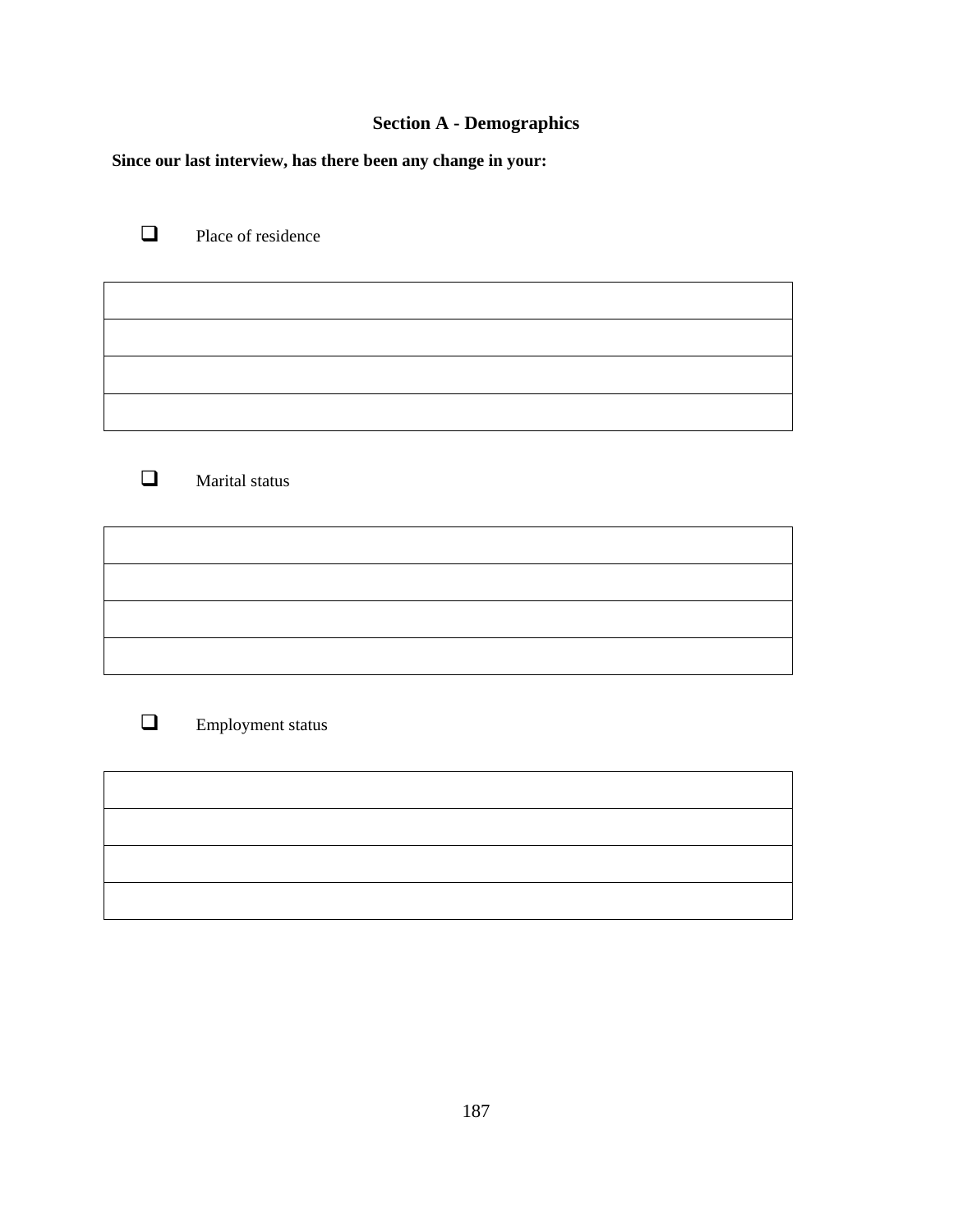## **Section A - Demographics**

**Since our last interview, has there been any change in your:** 

Place of residence

**Marital status** 

**Employment status**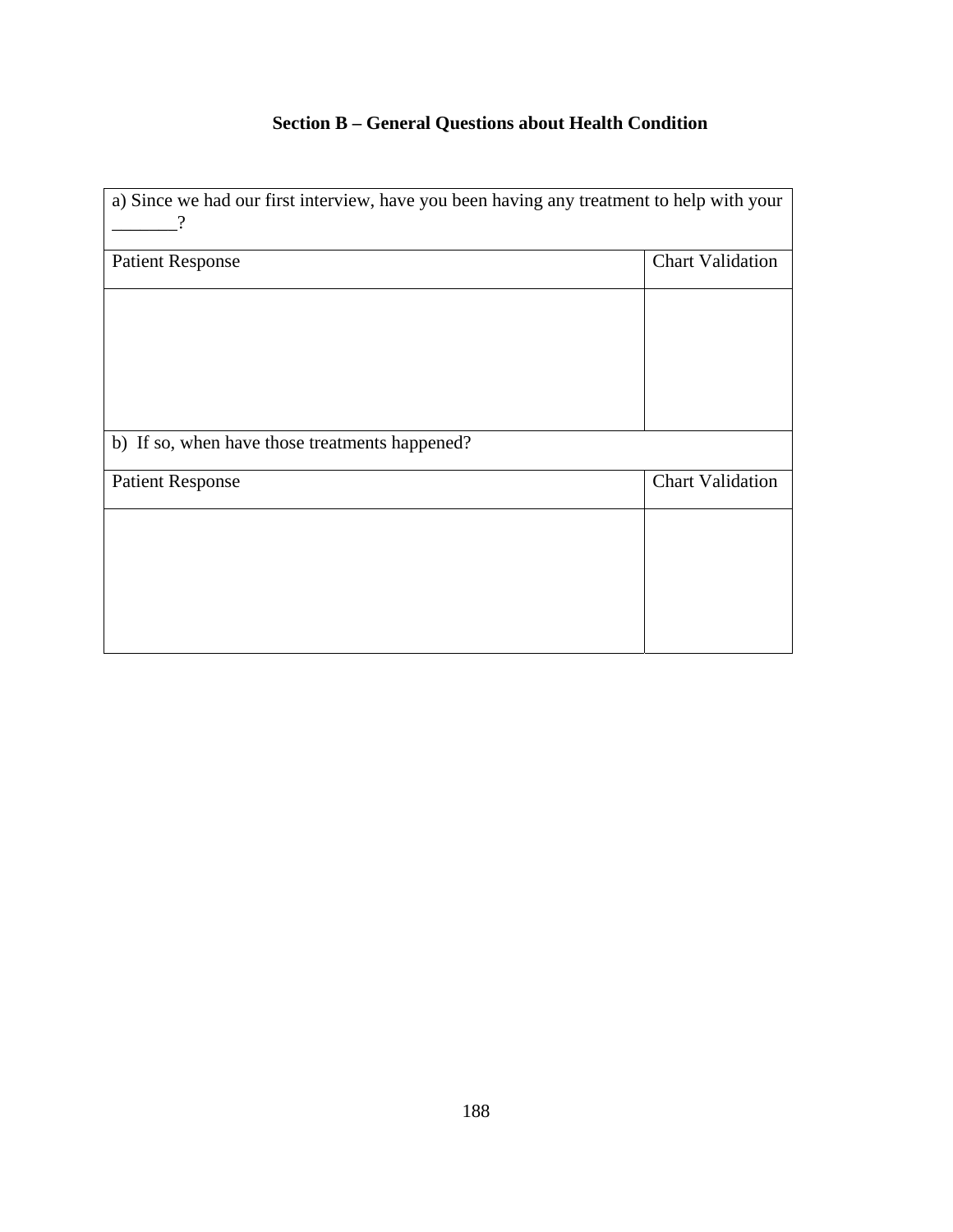## **Section B – General Questions about Health Condition**

| a) Since we had our first interview, have you been having any treatment to help with your |                         |
|-------------------------------------------------------------------------------------------|-------------------------|
| <b>Patient Response</b>                                                                   | <b>Chart Validation</b> |
|                                                                                           |                         |
|                                                                                           |                         |
|                                                                                           |                         |
|                                                                                           |                         |
| b) If so, when have those treatments happened?                                            |                         |
| <b>Patient Response</b>                                                                   | <b>Chart Validation</b> |
|                                                                                           |                         |
|                                                                                           |                         |
|                                                                                           |                         |
|                                                                                           |                         |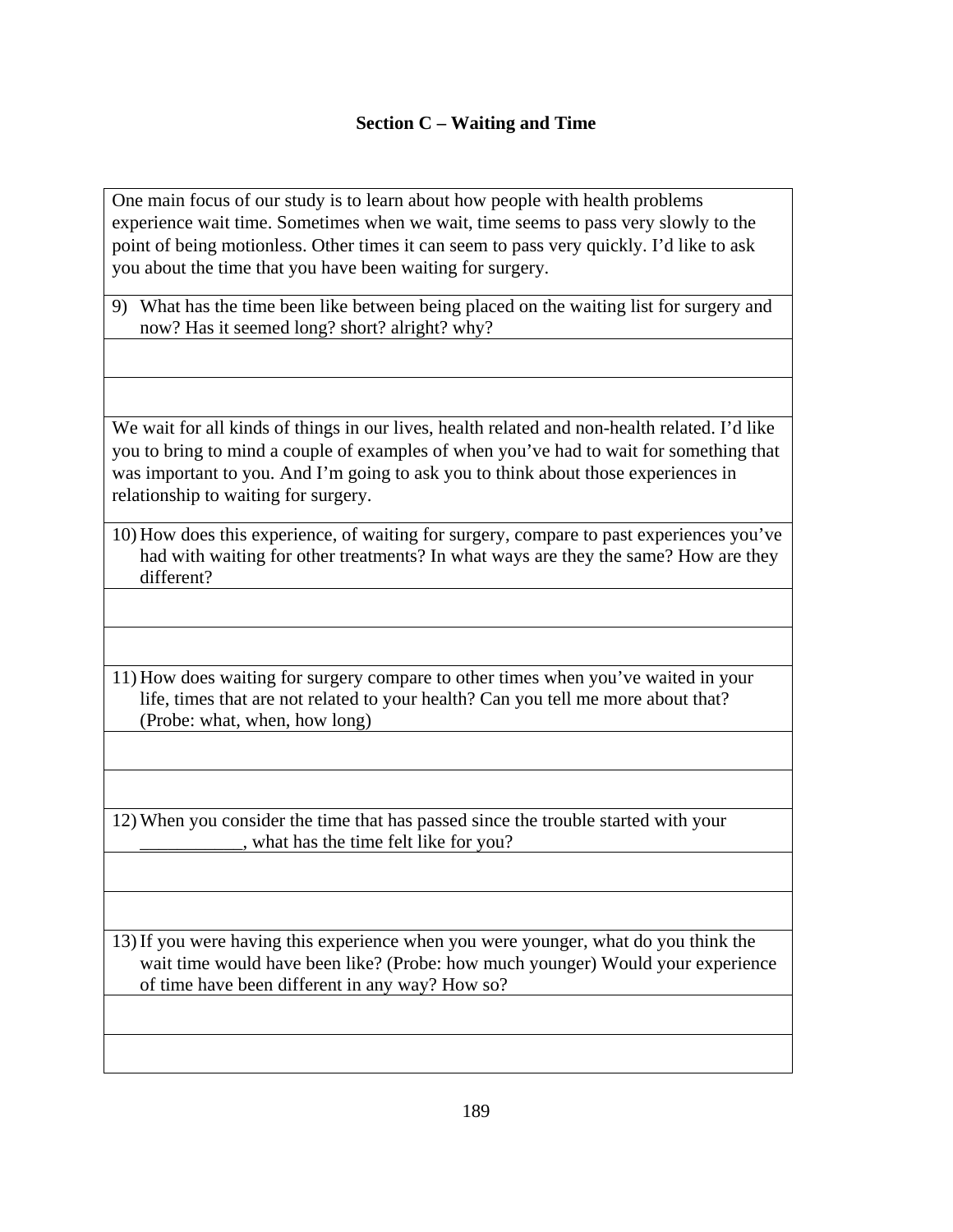#### **Section C – Waiting and Time**

One main focus of our study is to learn about how people with health problems experience wait time. Sometimes when we wait, time seems to pass very slowly to the point of being motionless. Other times it can seem to pass very quickly. I'd like to ask you about the time that you have been waiting for surgery.

9) What has the time been like between being placed on the waiting list for surgery and now? Has it seemed long? short? alright? why?

We wait for all kinds of things in our lives, health related and non-health related. I'd like you to bring to mind a couple of examples of when you've had to wait for something that was important to you. And I'm going to ask you to think about those experiences in relationship to waiting for surgery.

10) How does this experience, of waiting for surgery, compare to past experiences you've had with waiting for other treatments? In what ways are they the same? How are they different?

11) How does waiting for surgery compare to other times when you've waited in your life, times that are not related to your health? Can you tell me more about that? (Probe: what, when, how long)

12) When you consider the time that has passed since the trouble started with your what has the time felt like for you?

13) If you were having this experience when you were younger, what do you think the wait time would have been like? (Probe: how much younger) Would your experience of time have been different in any way? How so?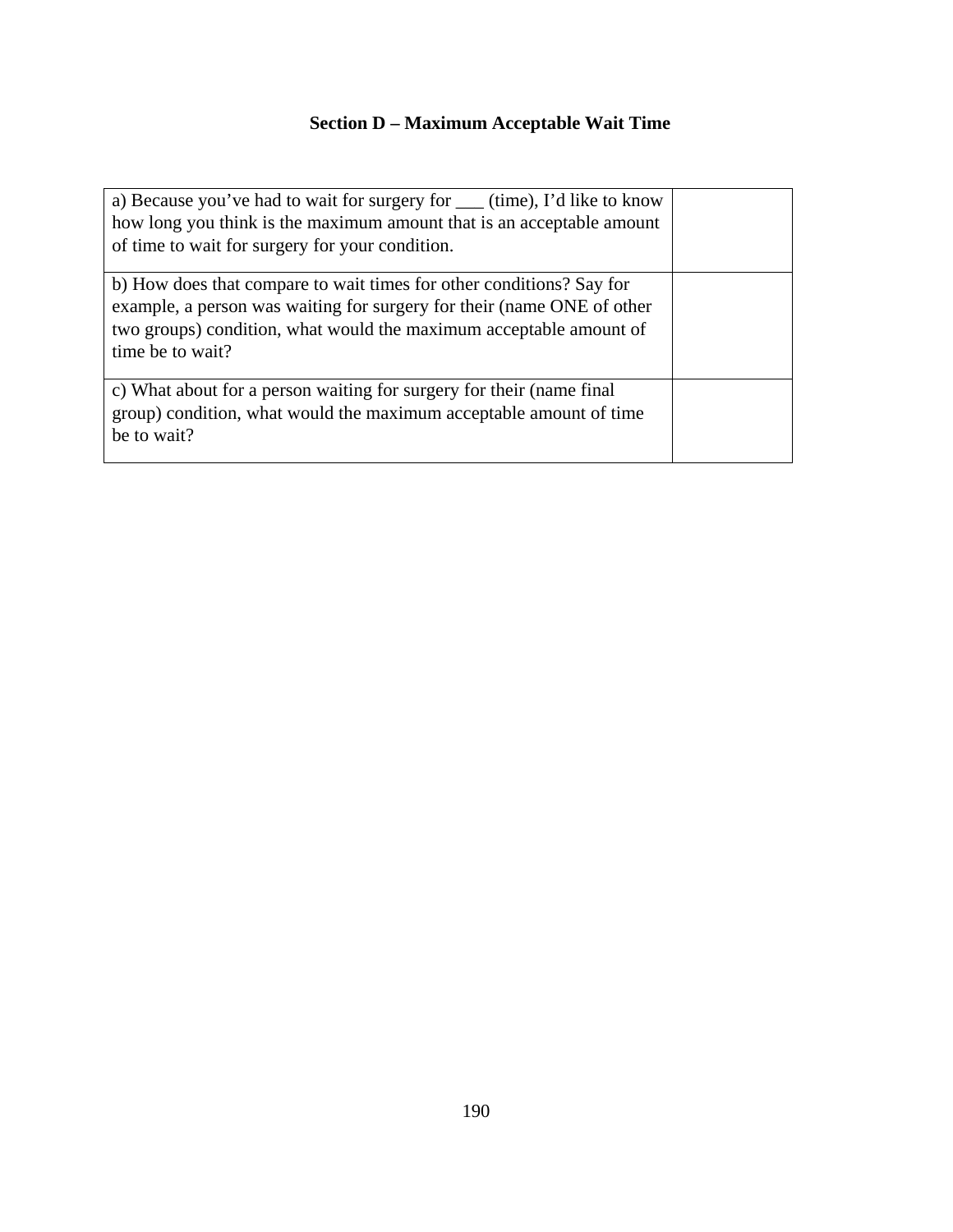## **Section D – Maximum Acceptable Wait Time**

| a) Because you've had to wait for surgery for _____ (time), I'd like to know<br>how long you think is the maximum amount that is an acceptable amount<br>of time to wait for surgery for your condition.                                 |  |
|------------------------------------------------------------------------------------------------------------------------------------------------------------------------------------------------------------------------------------------|--|
| b) How does that compare to wait times for other conditions? Say for<br>example, a person was waiting for surgery for their (name ONE of other<br>two groups) condition, what would the maximum acceptable amount of<br>time be to wait? |  |
| c) What about for a person waiting for surgery for their (name final<br>group) condition, what would the maximum acceptable amount of time<br>be to wait?                                                                                |  |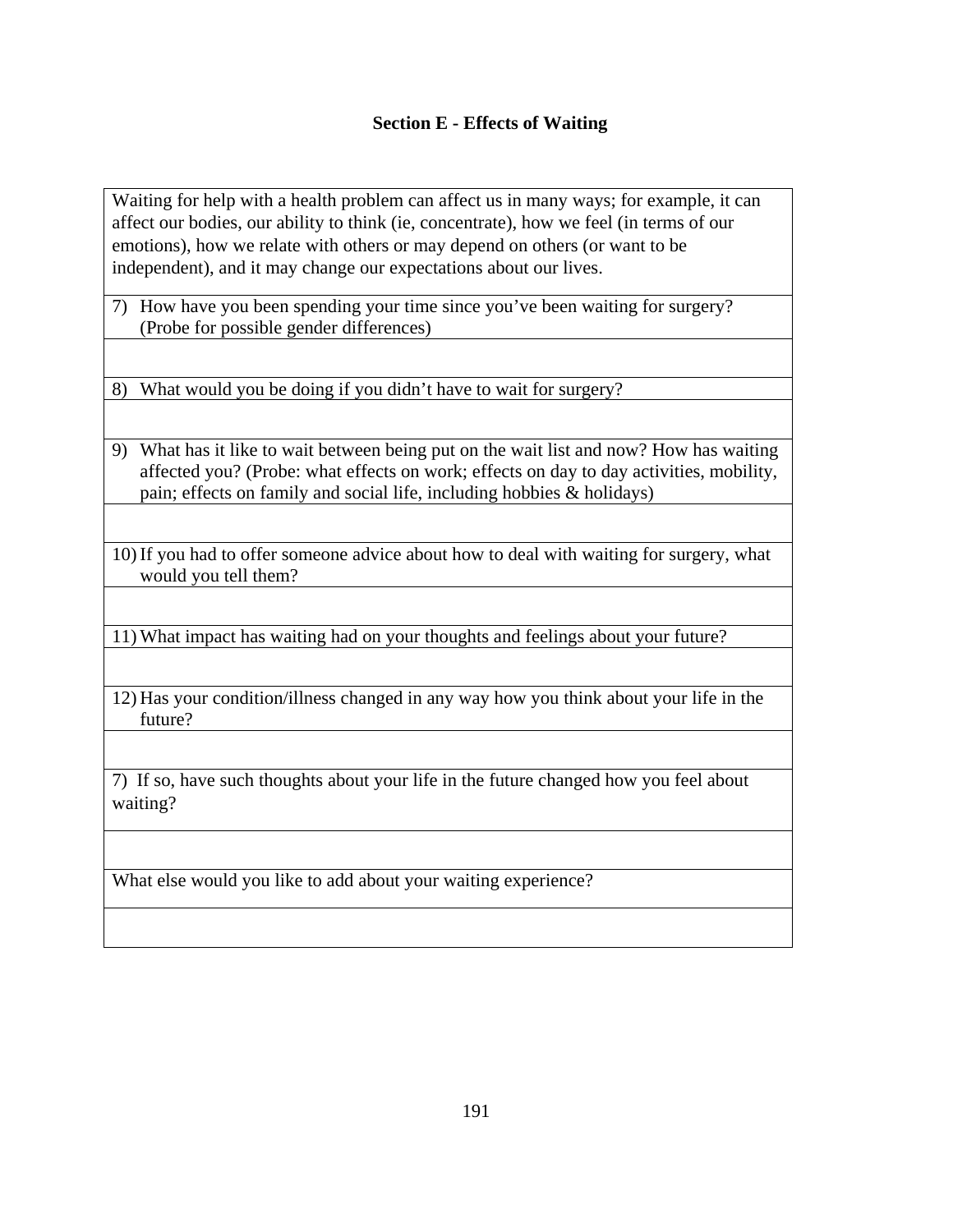#### **Section E - Effects of Waiting**

Waiting for help with a health problem can affect us in many ways; for example, it can affect our bodies, our ability to think (ie, concentrate), how we feel (in terms of our emotions), how we relate with others or may depend on others (or want to be independent), and it may change our expectations about our lives.

7) How have you been spending your time since you've been waiting for surgery? (Probe for possible gender differences)

8) What would you be doing if you didn't have to wait for surgery?

- 9) What has it like to wait between being put on the wait list and now? How has waiting affected you? (Probe: what effects on work; effects on day to day activities, mobility, pain; effects on family and social life, including hobbies & holidays)
- 10) If you had to offer someone advice about how to deal with waiting for surgery, what would you tell them?

11) What impact has waiting had on your thoughts and feelings about your future?

12) Has your condition/illness changed in any way how you think about your life in the future?

7) If so, have such thoughts about your life in the future changed how you feel about waiting?

What else would you like to add about your waiting experience?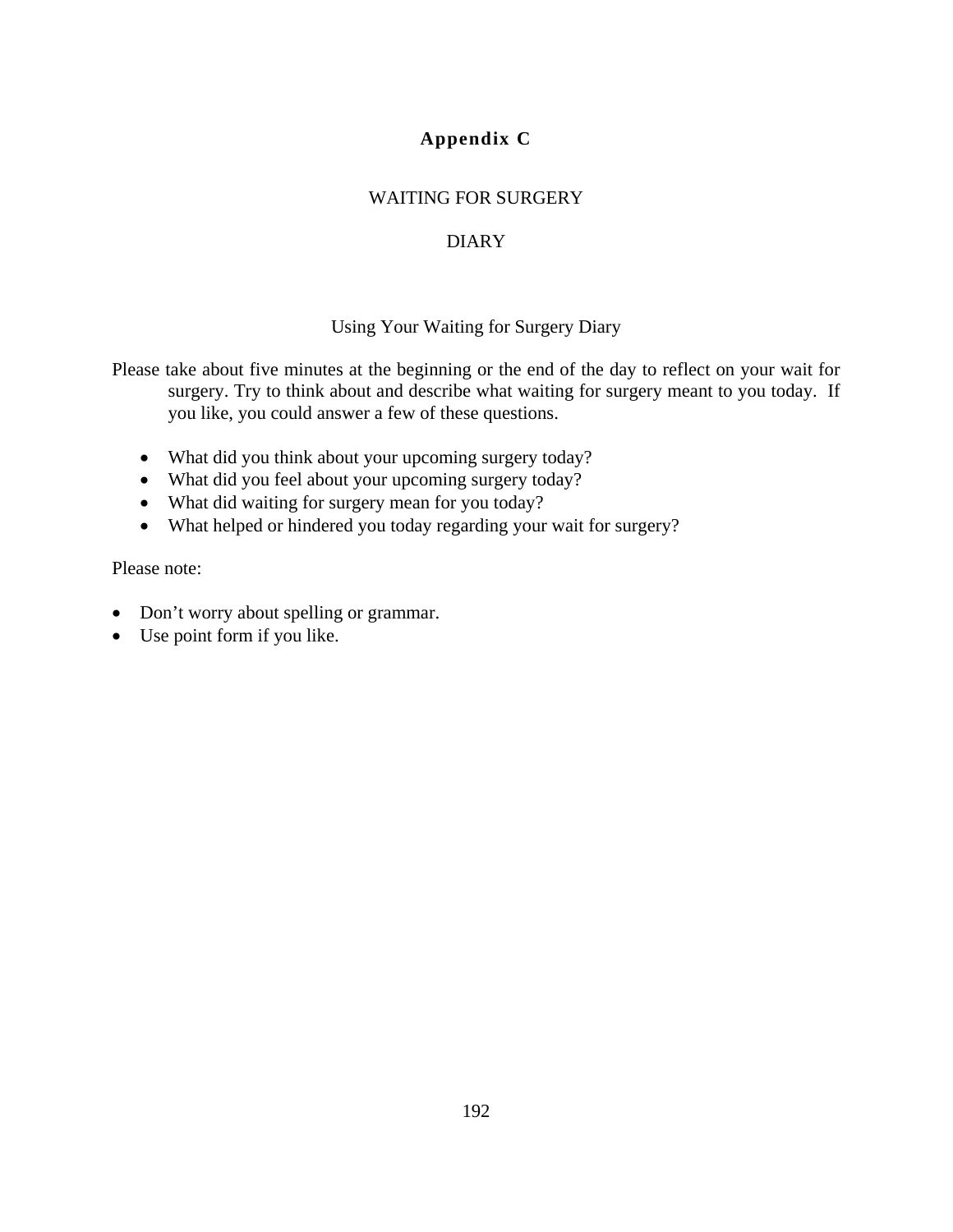## **Appendix C**

#### WAITING FOR SURGERY

## DIARY

#### Using Your Waiting for Surgery Diary

Please take about five minutes at the beginning or the end of the day to reflect on your wait for surgery. Try to think about and describe what waiting for surgery meant to you today. If you like, you could answer a few of these questions.

- What did you think about your upcoming surgery today?
- What did you feel about your upcoming surgery today?
- What did waiting for surgery mean for you today?
- What helped or hindered you today regarding your wait for surgery?

Please note:

- Don't worry about spelling or grammar.
- Use point form if you like.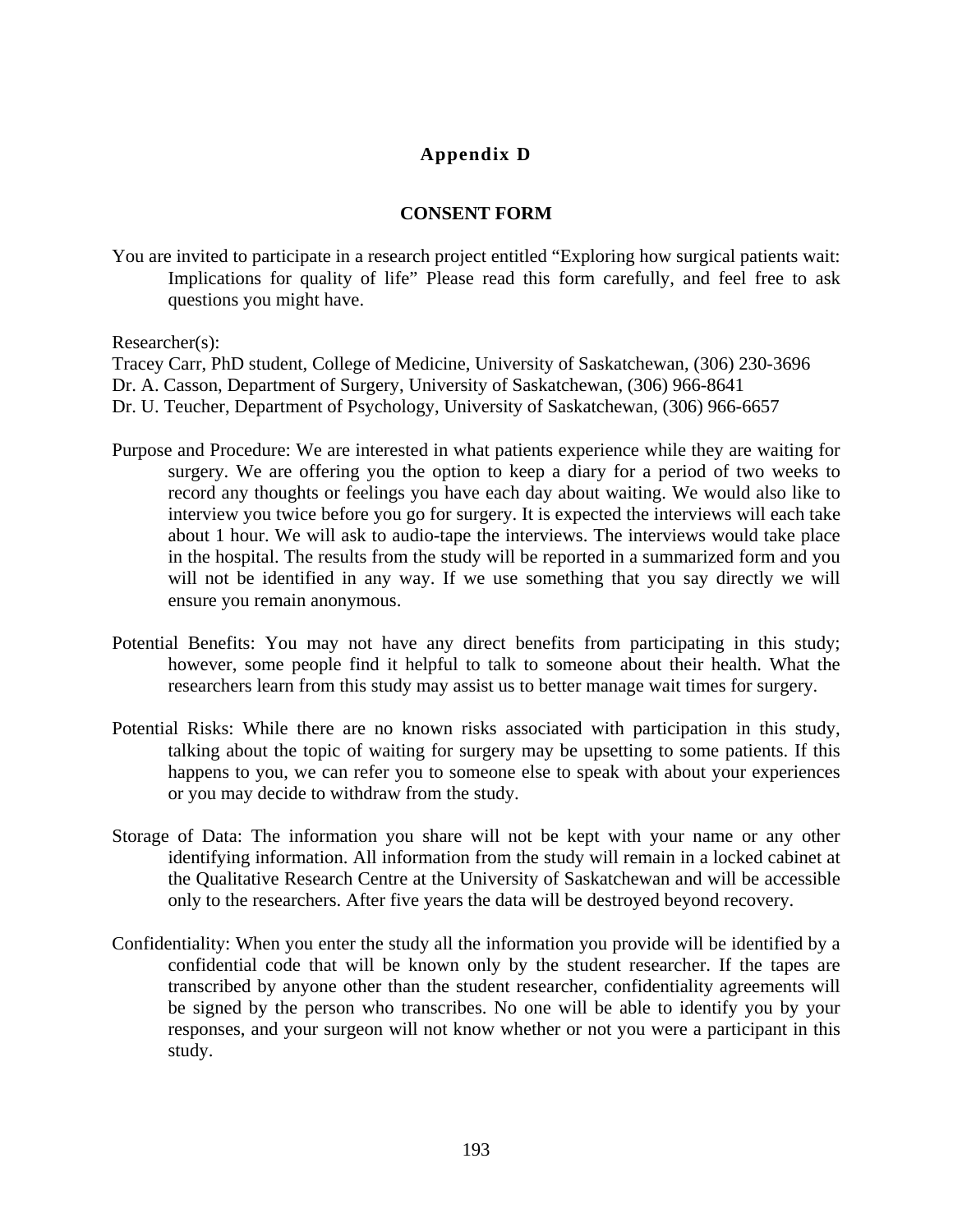## **Appendix D**

#### **CONSENT FORM**

You are invited to participate in a research project entitled "Exploring how surgical patients wait: Implications for quality of life" Please read this form carefully, and feel free to ask questions you might have.

Researcher(s):

Tracey Carr, PhD student, College of Medicine, University of Saskatchewan, (306) 230-3696

Dr. A. Casson, Department of Surgery, University of Saskatchewan, (306) 966-8641

Dr. U. Teucher, Department of Psychology, University of Saskatchewan, (306) 966-6657

- Purpose and Procedure: We are interested in what patients experience while they are waiting for surgery. We are offering you the option to keep a diary for a period of two weeks to record any thoughts or feelings you have each day about waiting. We would also like to interview you twice before you go for surgery. It is expected the interviews will each take about 1 hour. We will ask to audio-tape the interviews. The interviews would take place in the hospital. The results from the study will be reported in a summarized form and you will not be identified in any way. If we use something that you say directly we will ensure you remain anonymous.
- Potential Benefits: You may not have any direct benefits from participating in this study; however, some people find it helpful to talk to someone about their health. What the researchers learn from this study may assist us to better manage wait times for surgery.
- Potential Risks: While there are no known risks associated with participation in this study, talking about the topic of waiting for surgery may be upsetting to some patients. If this happens to you, we can refer you to someone else to speak with about your experiences or you may decide to withdraw from the study.
- Storage of Data: The information you share will not be kept with your name or any other identifying information. All information from the study will remain in a locked cabinet at the Qualitative Research Centre at the University of Saskatchewan and will be accessible only to the researchers. After five years the data will be destroyed beyond recovery.
- Confidentiality: When you enter the study all the information you provide will be identified by a confidential code that will be known only by the student researcher. If the tapes are transcribed by anyone other than the student researcher, confidentiality agreements will be signed by the person who transcribes. No one will be able to identify you by your responses, and your surgeon will not know whether or not you were a participant in this study.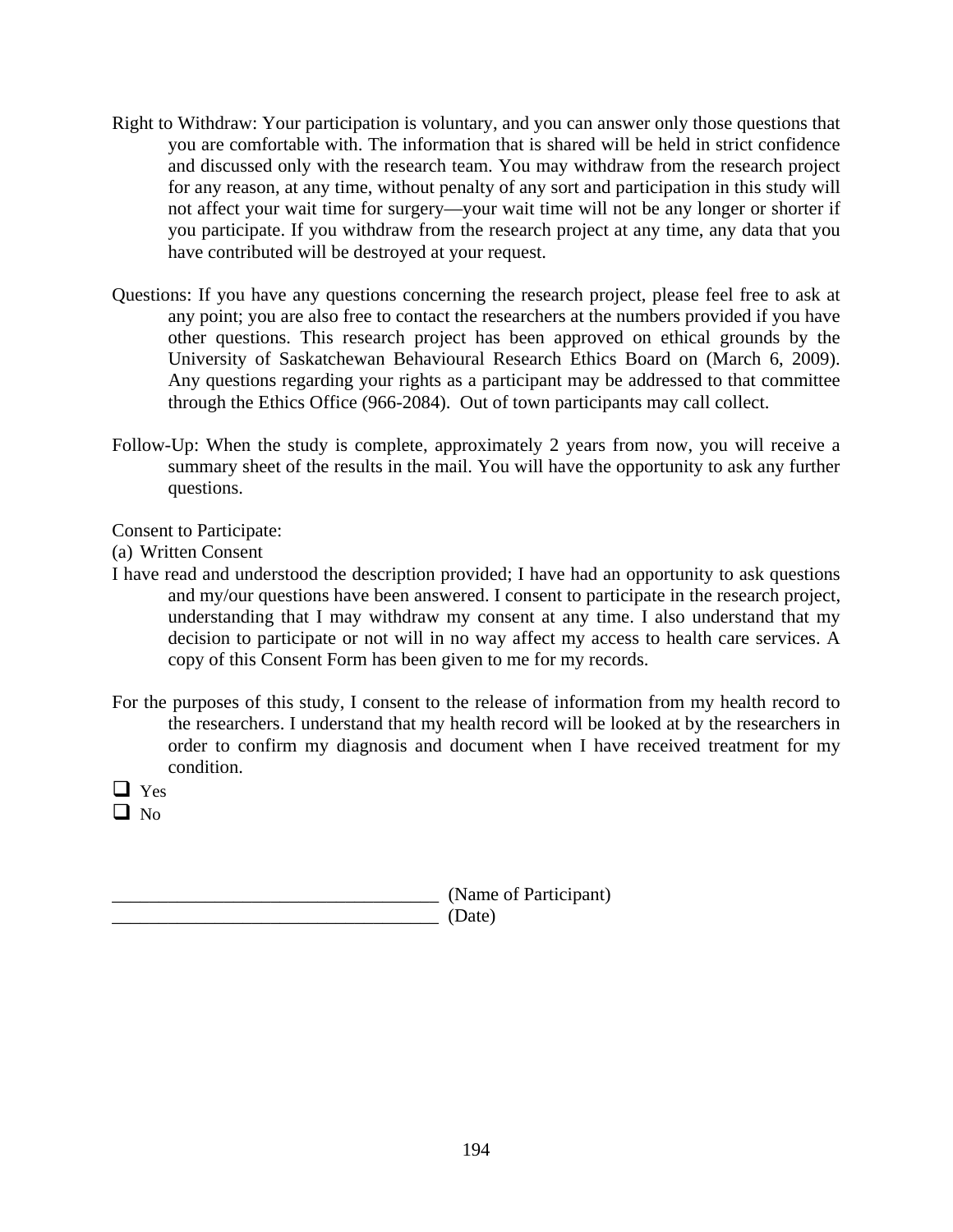- Right to Withdraw: Your participation is voluntary, and you can answer only those questions that you are comfortable with. The information that is shared will be held in strict confidence and discussed only with the research team. You may withdraw from the research project for any reason, at any time, without penalty of any sort and participation in this study will not affect your wait time for surgery—your wait time will not be any longer or shorter if you participate. If you withdraw from the research project at any time, any data that you have contributed will be destroyed at your request.
- Questions: If you have any questions concerning the research project, please feel free to ask at any point; you are also free to contact the researchers at the numbers provided if you have other questions. This research project has been approved on ethical grounds by the University of Saskatchewan Behavioural Research Ethics Board on (March 6, 2009). Any questions regarding your rights as a participant may be addressed to that committee through the Ethics Office (966-2084). Out of town participants may call collect.
- Follow-Up: When the study is complete, approximately 2 years from now, you will receive a summary sheet of the results in the mail. You will have the opportunity to ask any further questions.

Consent to Participate:

(a) Written Consent

- I have read and understood the description provided; I have had an opportunity to ask questions and my/our questions have been answered. I consent to participate in the research project, understanding that I may withdraw my consent at any time. I also understand that my decision to participate or not will in no way affect my access to health care services. A copy of this Consent Form has been given to me for my records.
- For the purposes of this study, I consent to the release of information from my health record to the researchers. I understand that my health record will be looked at by the researchers in order to confirm my diagnosis and document when I have received treatment for my condition.
- $\Box$  Yes
- $\Box$  No

\_\_\_\_\_\_\_\_\_\_\_\_\_\_\_\_\_\_\_\_\_\_\_\_\_\_\_\_\_\_\_\_\_\_\_ (Name of Participant)

 $(Date)$